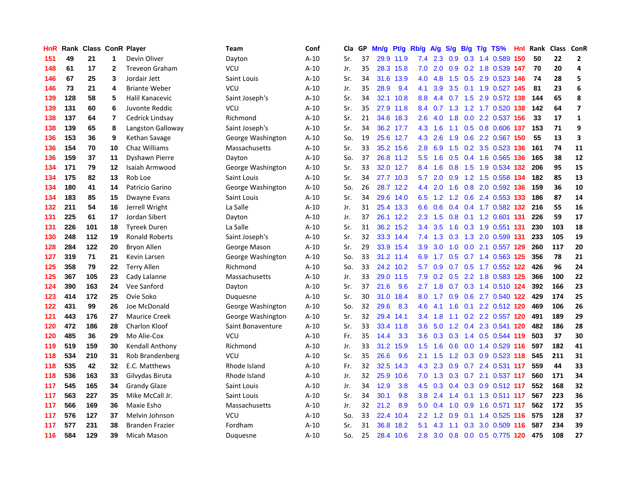| HnR | Rank | <b>Class ConR Player</b> |                |                        | Team              | Conf   | Cla | GP | Mn/g | Pt/g      | Rb/g             | <b>A/g</b>       | S/g |     | B/g T/g TS%               |     | Hnl Rank | Class | <b>ConR</b>             |
|-----|------|--------------------------|----------------|------------------------|-------------------|--------|-----|----|------|-----------|------------------|------------------|-----|-----|---------------------------|-----|----------|-------|-------------------------|
| 151 | 49   | 21                       | 1              | Devin Oliver           | Dayton            | $A-10$ | Sr. | 37 |      | 29.9 11.9 | 7.4              | 2.3              | 0.9 |     | 0.3 1.4 0.589             | 150 | 50       | 22    | $\overline{2}$          |
| 148 | 61   | 17                       | 2              | <b>Treveon Graham</b>  | VCU               | $A-10$ | Jr. | 35 |      | 28.3 15.8 | 7.0              | 2.0              |     |     | 0.9 0.2 1.8 0.539 147     |     | 70       | 20    | 4                       |
| 146 | 67   | 25                       | 3              | Jordair Jett           | Saint Louis       | $A-10$ | Sr. | 34 | 31.6 | 13.9      | 4.0              | 4.8              |     |     | 1.5 0.5 2.9 0.523 146     |     | 74       | 28    | 5                       |
| 146 | 73   | 21                       | 4              | <b>Briante Weber</b>   | VCU               | $A-10$ | Jr. | 35 | 28.9 | 9.4       | 4.1              | 3.9              |     |     | 3.5 0.1 1.9 0.527 145     |     | 81       | 23    | $\bf 6$                 |
| 139 | 128  | 58                       | 5              | Halil Kanacevic        | Saint Joseph's    | $A-10$ | Sr. | 34 | 32.1 | 10.8      | 8.8              | 4.4              |     |     | 0.7 1.5 2.9 0.572 138     |     | 144      | 65    | 8                       |
| 139 | 131  | 60                       | 6              | Juvonte Reddic         | VCU               | $A-10$ | Sr. | 35 | 27.9 | 11.8      | 8.4              | 0.7              | 1.3 |     | 1.2 1.7 0.520 138         |     | 142      | 64    | $\overline{\mathbf{z}}$ |
| 138 | 137  | 64                       | $\overline{7}$ | Cedrick Lindsay        | Richmond          | $A-10$ | Sr. | 21 | 34.6 | 18.3      | 2.6              | 4.0              | 1.8 |     | 0.0 2.2 0.537 156         |     | 33       | 17    | $\mathbf 1$             |
| 138 | 139  | 65                       | 8              | Langston Galloway      | Saint Joseph's    | $A-10$ | Sr. | 34 | 36.2 | 17.7      | 4.3              | 1.6              | 1.1 |     | 0.5 0.8 0.606 137         |     | 153      | 71    | 9                       |
| 136 | 153  | 36                       | 9              | Kethan Savage          | George Washington | $A-10$ | So. | 19 |      | 25.6 12.7 | 4.3              | 2.6              | 1.9 |     | 0.6 2.2 0.567 150         |     | 55       | 13    | 3                       |
| 136 | 154  | 70                       | 10             | Chaz Williams          | Massachusetts     | $A-10$ | Sr. | 33 |      | 35.2 15.6 | 2.8              | 6.9              | 1.5 |     | 0.2 3.5 0.523 136         |     | 161      | 74    | 11                      |
| 136 | 159  | 37                       | 11             | Dyshawn Pierre         | Dayton            | $A-10$ | So. | 37 |      | 26.8 11.2 | 5.5              | 1.6              |     |     | 0.5 0.4 1.6 0.565 136     |     | 165      | 38    | 12                      |
| 134 | 171  | 79                       | 12             | Isaiah Armwood         | George Washington | $A-10$ | Sr. | 33 |      | 32.0 12.7 | 8.4              | 1.6              |     |     | 0.8 1.5 1.9 0.534 132     |     | 206      | 95    | 15                      |
| 134 | 175  | 82                       | 13             | Rob Loe                | Saint Louis       | $A-10$ | Sr. | 34 |      | 27.7 10.3 | 5.7              | 2.0              |     |     | 0.9 1.2 1.5 0.558 134     |     | 182      | 85    | 13                      |
| 134 | 180  | 41                       | 14             | Patricio Garino        | George Washington | $A-10$ | So. | 26 | 28.7 | 12.2      | 4.4              | 2.0              | 1.6 |     | 0.8 2.0 0.592 136         |     | 159      | 36    | 10                      |
| 134 | 183  | 85                       | 15             | Dwayne Evans           | Saint Louis       | $A-10$ | Sr. | 34 |      | 29.6 14.0 | 6.5              | 1.2              |     |     | 1.2 0.6 2.4 0.553 133     |     | 186      | 87    | 14                      |
| 132 | 211  | 54                       | 16             | Jerrell Wright         | La Salle          | $A-10$ | Jr. | 31 | 25.4 | 13.3      | 6.6              | 0.6              | 0.4 |     | 0.4 1.7 0.582 132         |     | 216      | 55    | 16                      |
| 131 | 225  | 61                       | 17             | Jordan Sibert          | Dayton            | $A-10$ | Jr. | 37 | 26.1 | 12.2      | 2.3              | 1.5              | 0.8 |     | 0.1 1.2 0.601 131         |     | 226      | 59    | 17                      |
| 131 | 226  | 101                      | 18             | <b>Tyreek Duren</b>    | La Salle          | $A-10$ | Sr. | 31 |      | 36.2 15.2 | $3.4^{\circ}$    | 3.5              | 1.6 |     | 0.3 1.9 0.551 131         |     | 230      | 103   | 18                      |
| 130 | 248  | 112                      | 19             | <b>Ronald Roberts</b>  | Saint Joseph's    | $A-10$ | Sr. | 32 |      | 33.3 14.4 | 7.4              | 1.3              |     |     | 0.3 1.3 2.0 0.599 131     |     | 233      | 105   | 19                      |
| 128 | 284  | 122                      | 20             | <b>Bryon Allen</b>     | George Mason      | $A-10$ | Sr. | 29 |      | 33.9 15.4 | 3.9              | 3.0 <sub>1</sub> | 1.0 |     | 0.0 2.1 0.557 129         |     | 260      | 117   | 20                      |
| 127 | 319  | 71                       | 21             | Kevin Larsen           | George Washington | $A-10$ | So. | 33 |      | 31.2 11.4 | 6.9              | 1.7              |     |     | 0.5 0.7 1.4 0.563 125     |     | 356      | 78    | 21                      |
| 125 | 358  | 79                       | 22             | <b>Terry Allen</b>     | Richmond          | $A-10$ | So. | 33 |      | 24.2 10.2 | 5.7              | 0.9              |     |     | 0.7 0.5 1.7 0.552 122     |     | 426      | 96    | 24                      |
| 125 | 367  | 105                      | 23             | Cady Lalanne           | Massachusetts     | $A-10$ | Jr. | 33 |      | 29.0 11.5 | 7.9              | 0.2              | 0.5 |     | 2.2 1.8 0.583 125         |     | 366      | 100   | 22                      |
| 124 | 390  | 163                      | 24             | Vee Sanford            | Dayton            | $A-10$ | Sr. | 37 | 21.6 | 9.6       | 2.7              | 1.8              | 0.7 |     | 0.3 1.4 0.510 124         |     | 392      | 166   | 23                      |
| 123 | 414  | 172                      | 25             | Ovie Soko              | Duquesne          | $A-10$ | Sr. | 30 | 31.0 | 18.4      | 8.0              | 1.7              | 0.9 |     | 0.6 2.7 0.540 122         |     | 429      | 174   | 25                      |
| 122 | 431  | 99                       | 26             | Joe McDonald           | George Washington | $A-10$ | So. | 32 | 29.6 | 8.3       | 4.6              | 4.1              | 1.6 |     | 0.1 2.2 0.512 120         |     | 469      | 106   | 26                      |
| 121 | 443  | 176                      | 27             | <b>Maurice Creek</b>   | George Washington | $A-10$ | Sr. | 32 |      | 29.4 14.1 | $3.4^{\circ}$    | 1.8              |     |     | 1.1 0.2 2.2 0.557 120     |     | 491      | 189   | 29                      |
| 120 | 472  | 186                      | 28             | <b>Charlon Kloof</b>   | Saint Bonaventure | $A-10$ | Sr. | 33 | 33.4 | 11.8      | 3.6              |                  |     |     | 5.0 1.2 0.4 2.3 0.541 120 |     | 482      | 186   | 28                      |
| 120 | 485  | 36                       | 29             | Mo Alie-Cox            | VCU               | $A-10$ | Fr. | 35 | 14.4 | 3.3       | 3.6 <sup>°</sup> | 0.3              |     |     | 0.3 1.4 0.5 0.544 119     |     | 503      | 37    | 30                      |
| 119 | 519  | 159                      | 30             | Kendall Anthony        | Richmond          | $A-10$ | Jr. | 33 | 31.2 | 15.9      | 1.5              | 1.6              | 0.6 |     | 0.0 1.4 0.529 116         |     | 597      | 182   | 41                      |
| 118 | 534  | 210                      | 31             | Rob Brandenberg        | VCU               | $A-10$ | Sr. | 35 | 26.6 | 9.6       | 2.1              | 1.5              | 1.2 |     | $0.3$ 0.9 0.523 118       |     | 545      | 211   | 31                      |
| 118 | 535  | 42                       | 32             | E.C. Matthews          | Rhode Island      | $A-10$ | Fr. | 32 | 32.5 | 14.3      | 4.3              | 2.3              | 0.9 |     | 0.7 2.4 0.531 117         |     | 559      | 44    | 33                      |
| 118 | 536  | 163                      | 33             | Gilvydas Biruta        | Rhode Island      | $A-10$ | Jr. | 32 | 25.9 | 10.6      | 7.0              | 1.3              | 0.3 |     | 0.7 2.1 0.537 117         |     | 560      | 171   | 34                      |
| 117 | 545  | 165                      | 34             | <b>Grandy Glaze</b>    | Saint Louis       | $A-10$ | Jr. | 34 | 12.9 | 3.8       | 4.5              | 0.3              | 0.4 |     | 0.3 0.9 0.512 117         |     | 552      | 168   | 32                      |
| 117 | 563  | 227                      | 35             | Mike McCall Jr.        | Saint Louis       | $A-10$ | Sr. | 34 | 30.1 | 9.8       | 3.8 <sub>2</sub> | 2.4              | 1.4 |     | 0.1 1.3 0.511 117         |     | 567      | 223   | 36                      |
| 117 | 566  | 169                      | 36             | Maxie Esho             | Massachusetts     | $A-10$ | Jr. | 32 | 21.2 | 8.9       | 5.0              | 0.4              | 1.0 |     | 0.9 1.6 0.571 117         |     | 562      | 172   | 35                      |
| 117 | 576  | 127                      | 37             | Melvin Johnson         | <b>VCU</b>        | $A-10$ | So. | 33 | 22.4 | 10.4      | $2.2^{\circ}$    | 1.2              | 0.9 |     | $0.1$ 1.4 0.525 116       |     | 575      | 128   | 37                      |
| 117 | 577  | 231                      | 38             | <b>Branden Frazier</b> | Fordham           | $A-10$ | Sr. | 31 | 36.8 | 18.2      | 5.1              | 4.3              | 1.1 | 0.3 | 3.0 0.509 116             |     | 587      | 234   | 39                      |
| 116 | 584  | 129                      | 39             | Micah Mason            | Duguesne          | $A-10$ | So. | 25 | 28.4 | 10.6      | 2.8              | $3.0\quad 0.8$   |     |     | 0.0 0.5 0.775 120         |     | 475      | 108   | 27                      |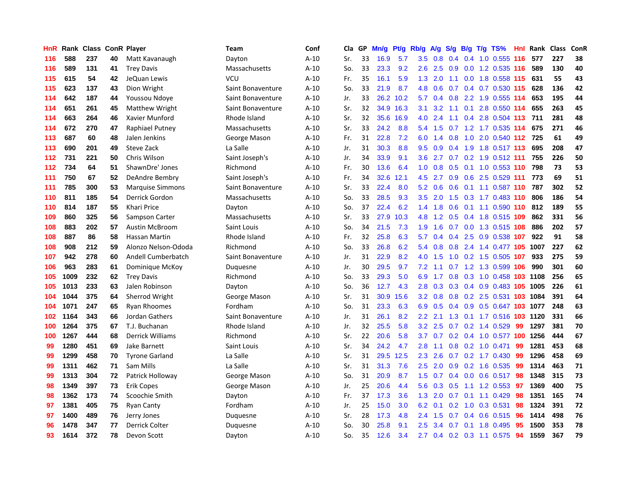| HnR | Rank | <b>Class</b> |    | <b>ConR Player</b>      | Team              | Conf   | Cla | GP | Mn/g | <b>Pt/g</b> | Rb/g             | <b>A/g</b> | S/g | B/g | $T/g$ TS%                  | Hnl | Rank | <b>Class</b> | ConR |
|-----|------|--------------|----|-------------------------|-------------------|--------|-----|----|------|-------------|------------------|------------|-----|-----|----------------------------|-----|------|--------------|------|
| 116 | 588  | 237          | 40 | Matt Kavanaugh          | Dayton            | $A-10$ | Sr. | 33 | 16.9 | 5.7         | 3.5              | 0.8        | 0.4 |     | 0.4 1.0 0.555 116          |     | 577  | 227          | 38   |
| 116 | 589  | 131          | 41 | <b>Trey Davis</b>       | Massachusetts     | $A-10$ | So. | 33 | 23.3 | 9.2         | 2.6              | 2.5        |     |     | 0.9 0.0 1.2 0.535 116      |     | 589  | 130          | 40   |
| 115 | 615  | 54           | 42 | JeQuan Lewis            | <b>VCU</b>        | $A-10$ | Fr. | 35 | 16.1 | 5.9         | 1.3              | 2.0        | 1.1 |     | $0.0$ 1.8 0.558 115        |     | 631  | 55           | 43   |
| 115 | 623  | 137          | 43 | Dion Wright             | Saint Bonaventure | $A-10$ | So. | 33 | 21.9 | 8.7         | 4.8              | 0.6        | 0.7 |     | $0.4$ 0.7 0.530 115        |     | 628  | 136          | 42   |
| 114 | 642  | 187          | 44 | Youssou Ndoye           | Saint Bonaventure | $A-10$ | Jr. | 33 | 26.2 | 10.2        | 5.7              | 0.4        | 0.8 |     | 2.2 1.9 0.555 114          |     | 653  | 195          | 44   |
| 114 | 651  | 261          | 45 | <b>Matthew Wright</b>   | Saint Bonaventure | $A-10$ | Sr. | 32 | 34.9 | 16.3        | 3.1              | 3.2        | 1.1 |     | 0.1 2.8 0.550 114          |     | 655  | 263          | 45   |
| 114 | 663  | 264          | 46 | Xavier Munford          | Rhode Island      | $A-10$ | Sr. | 32 | 35.6 | 16.9        | 4.0              | 2.4        | 1.1 |     | 0.4 2.8 0.504 113          |     | 711  | 281          | 48   |
| 114 | 672  | 270          | 47 | <b>Raphiael Putney</b>  | Massachusetts     | $A-10$ | Sr. | 33 | 24.2 | 8.8         | 5.4              | 1.5        |     |     | 0.7 1.2 1.7 0.535 114      |     | 675  | 271          | 46   |
| 113 | 687  | 60           | 48 | Jalen Jenkins           | George Mason      | $A-10$ | Fr. | 31 | 22.8 | 7.2         | 6.0              | 1.4        | 0.8 |     | 1.0 2.0 0.540 112 725      |     |      | 61           | 49   |
| 113 | 690  | 201          | 49 | Steve Zack              | La Salle          | $A-10$ | Jr. | 31 | 30.3 | 8.8         | 9.5              |            |     |     | 0.9 0.4 1.9 1.8 0.517 113  |     | 695  | 208          | 47   |
| 112 | 731  | 221          | 50 | Chris Wilson            | Saint Joseph's    | $A-10$ | Jr. | 34 | 33.9 | 9.1         | 3.6              |            |     |     | 2.7 0.7 0.2 1.9 0.512 111  |     | 755  | 226          | 50   |
| 112 | 734  | 64           | 51 | ShawnDre' Jones         | Richmond          | $A-10$ | Fr. | 30 | 13.6 | 6.4         | 1.0              | 0.8        |     |     | 0.5 0.1 1.0 0.553 110      |     | 798  | 73           | 53   |
| 111 | 750  | 67           | 52 | DeAndre Bembry          | Saint Joseph's    | $A-10$ | Fr. | 34 | 32.6 | 12.1        | 4.5              | 2.7        | 0.9 |     | $0.6$ 2.5 0.529 111        |     | 773  | 69           | 51   |
| 111 | 785  | 300          | 53 | <b>Marquise Simmons</b> | Saint Bonaventure | $A-10$ | Sr. | 33 | 22.4 | 8.0         | 5.2              | 0.6        | 0.6 |     | 0.1 1.1 0.587 110          |     | 787  | 302          | 52   |
| 110 | 811  | 185          | 54 | Derrick Gordon          | Massachusetts     | $A-10$ | So. | 33 | 28.5 | 9.3         | 3.5              | 2.0        | 1.5 |     | 0.3 1.7 0.483 110          |     | 806  | 186          | 54   |
| 110 | 814  | 187          | 55 | <b>Khari Price</b>      | Dayton            | $A-10$ | So. | 37 | 22.4 | 6.2         | 1.4              | 1.8        | 0.6 |     | $0.1$ 1.1 0.590 110        |     | 812  | 189          | 55   |
| 109 | 860  | 325          | 56 | Sampson Carter          | Massachusetts     | $A-10$ | Sr. | 33 | 27.9 | 10.3        | 4.8              | 1.2        | 0.5 |     | 0.4 1.8 0.515 109          |     | 862  | 331          | 56   |
| 108 | 883  | 202          | 57 | <b>Austin McBroom</b>   | Saint Louis       | $A-10$ | So. | 34 | 21.5 | 7.3         | 1.9              | 1.6        | 0.7 |     | 0.0 1.3 0.515 108          |     | 886  | 202          | 57   |
| 108 | 887  | 86           | 58 | <b>Hassan Martin</b>    | Rhode Island      | $A-10$ | Fr. | 32 | 25.8 | 6.3         | 5.7              | 0.4        | 0.4 |     | 2.5 0.9 0.538 107          |     | 922  | 91           | 58   |
| 108 | 908  | 212          | 59 | Alonzo Nelson-Ododa     | Richmond          | $A-10$ | So. | 33 | 26.8 | 6.2         | 5.4              | 0.8        | 0.8 |     | 2.4 1.4 0.477 105 1007     |     |      | 227          | 62   |
| 107 | 942  | 278          | 60 | Andell Cumberbatch      | Saint Bonaventure | $A-10$ | Jr. | 31 | 22.9 | 8.2         | 4.0              | 1.5        | 1.0 |     | 0.2 1.5 0.505 107          |     | 933  | 275          | 59   |
| 106 | 963  | 283          | 61 | Dominique McKoy         | Duquesne          | $A-10$ | Jr. | 30 | 29.5 | 9.7         | 7.2              | 1.1        | 0.7 |     | 1.2 1.3 0.599 106          |     | 990  | 301          | 60   |
| 105 | 1009 | 232          | 62 | <b>Trey Davis</b>       | Richmond          | $A-10$ | So. | 33 | 29.3 | 5.0         | 6.9              | 1.7        | 0.8 |     | 0.3 1.0 0.458 103 1108     |     |      | 256          | 65   |
| 105 | 1013 | 233          | 63 | Jalen Robinson          | Dayton            | $A-10$ | So. | 36 | 12.7 | 4.3         | 2.8              | 0.3        | 0.3 |     | 0.4 0.9 0.483 105 1005     |     |      | 226          | 61   |
| 104 | 1044 | 375          | 64 | Sherrod Wright          | George Mason      | $A-10$ | Sr. | 31 | 30.9 | 15.6        | 3.2              | 0.8        | 0.8 |     | 0.2 2.5 0.531 103 1084     |     |      | 391          | 64   |
| 104 | 1071 | 247          | 65 | <b>Ryan Rhoomes</b>     | Fordham           | $A-10$ | So. | 31 | 23.3 | 6.3         | 6.9              | 0.5        |     |     | 0.4 0.9 0.5 0.647 103 1077 |     |      | 248          | 63   |
| 102 | 1164 | 343          | 66 | Jordan Gathers          | Saint Bonaventure | $A-10$ | Jr. | 31 | 26.1 | 8.2         | $2.2\phantom{0}$ | 2.1        |     |     | 1.3 0.1 1.7 0.516 103 1120 |     |      | 331          | 66   |
| 100 | 1264 | 375          | 67 | T.J. Buchanan           | Rhode Island      | $A-10$ | Jr. | 32 | 25.5 | 5.8         | 3.2              | 2.5        |     |     | $0.7$ $0.2$ 1.4 $0.529$    | -99 | 1297 | 381          | 70   |
| 100 | 1267 | 444          | 68 | Derrick Williams        | Richmond          | $A-10$ | Sr. | 22 | 20.6 | 5.8         | 3.7              | 0.7        | 0.2 |     | 0.4 1.0 0.577 100 1256     |     |      | 444          | 67   |
| 99  | 1280 | 451          | 69 | Jake Barnett            | Saint Louis       | $A-10$ | Sr. | 34 | 24.2 | 4.7         | 2.8              | 1.1        | 0.8 |     | $0.2$ 1.0 0.471            | 99  | 1281 | 453          | 68   |
| 99  | 1299 | 458          | 70 | <b>Tyrone Garland</b>   | La Salle          | $A-10$ | Sr. | 31 | 29.5 | 12.5        | 2.3              | 2.6        | 0.7 |     | $0.2$ 1.7 0.430            | 99  | 1296 | 458          | 69   |
| 99  | 1311 | 462          | 71 | Sam Mills               | La Salle          | $A-10$ | Sr. | 31 | 31.3 | 7.6         | 2.5              | 2.0        | 0.9 |     | $0.2$ 1.6 $0.535$          | -99 | 1314 | 463          | 71   |
| 99  | 1313 | 304          | 72 | Patrick Holloway        | George Mason      | $A-10$ | So. | 31 | 20.9 | 8.7         | 1.5              | 0.7        | 0.4 | 0.0 | $0.6$ 0.517                | 98  | 1348 | 315          | 73   |
| 98  | 1349 | 397          | 73 | Erik Copes              | George Mason      | $A-10$ | Jr. | 25 | 20.6 | 4.4         | 5.6              | 0.3        | 0.5 |     | 1.1 1.2 0.553 97           |     | 1369 | 400          | 75   |
| 98  | 1362 | 173          | 74 | Scoochie Smith          | Dayton            | $A-10$ | Fr. | 37 | 17.3 | 3.6         | 1.3              | 2.0        |     |     | $0.7$ 0.1 1.1 0.429        | 98  | 1351 | 165          | 74   |
| 97  | 1381 | 405          | 75 | <b>Ryan Canty</b>       | Fordham           | $A-10$ | Jr. | 25 | 15.0 | 3.0         | 6.2              | 0.1        |     |     | $0.2$ 1.0 0.3 0.531        | 98  | 1324 | 391          | 72   |
| 97  | 1400 | 489          | 76 | Jerry Jones             | Duquesne          | $A-10$ | Sr. | 28 | 17.3 | 4.8         | $2.4^{\circ}$    | 1.5        | 0.7 |     | $0.4$ 0.6 0.515            | 96  | 1414 | 498          | 76   |
| 96  | 1478 | 347          | 77 | Derrick Colter          | Duquesne          | $A-10$ | So. | 30 | 25.8 | 9.1         | 2.5              | 3.4        | 0.7 | 0.1 | 1.8 0.495                  | 95  | 1500 | 353          | 78   |
| 93  | 1614 | 372          | 78 | Devon Scott             | Dayton            | $A-10$ | So. | 35 | 12.6 | 3.4         |                  |            |     |     | 2.7 0.4 0.2 0.3 1.1 0.575  | 94  | 1559 | 367          | 79   |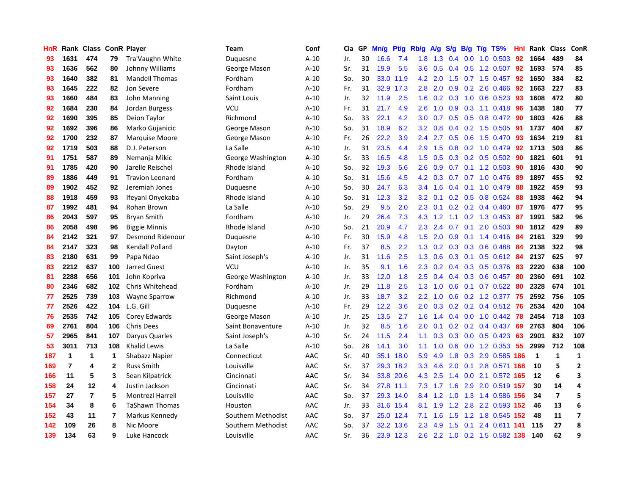| HnR | Rank           | <b>Class</b> |                | <b>ConR Player</b>      | Team               | Conf   | <b>Cla</b> | GP | Mn/g | <b>Pt/g</b> | Rb/g          | <b>A/g</b> | S/g           | B/g | $T/g$ TS%                 | Hnl | Rank        | <b>Class</b>            | ConR           |
|-----|----------------|--------------|----------------|-------------------------|--------------------|--------|------------|----|------|-------------|---------------|------------|---------------|-----|---------------------------|-----|-------------|-------------------------|----------------|
| 93  | 1631           | 474          | 79             | Tra'Vaughn White        | Duguesne           | $A-10$ | Jr.        | 30 | 16.6 | 7.4         | 1.8           | 1.3        | $0.4^{\circ}$ |     | $0.0$ 1.0 $0.503$         | -92 | 1664        | 489                     | 84             |
| 93  | 1636           | 562          | 80             | Johnny Williams         | George Mason       | $A-10$ | Sr.        | 31 | 19.9 | 5.5         | 3.6           | 0.5        |               |     | 0.4 0.5 1.2 0.507 92      |     | 1693        | 574                     | 85             |
| 93  | 1640           | 382          | 81             | <b>Mandell Thomas</b>   | Fordham            | $A-10$ | So.        | 30 | 33.0 | 11.9        | 4.2           | 2.0        |               |     | 1.5 0.7 1.5 0.457         | -92 | 1650        | 384                     | 82             |
| 93  | 1645           | 222          | 82             | Jon Severe              | Fordham            | $A-10$ | Fr.        | 31 | 32.9 | 17.3        | 2.8           | 2.0        | 0.9           |     | $0.2$ 2.6 0.466           | 92  | 1663        | 227                     | 83             |
| 93  | 1660           | 484          | 83             | John Manning            | Saint Louis        | $A-10$ | Jr.        | 32 | 11.9 | 2.5         | 1.6           | 0.2        | 0.3           |     | 1.0 0.6 0.523             | 93  | 1608        | 472                     | 80             |
| 92  | 1684           | 230          | 84             | Jordan Burgess          | VCU                | $A-10$ | Fr.        | 31 | 21.7 | 4.9         | 2.6           | 1.0        | 0.9           |     | 0.3 1.1 0.418             | -96 | 1438        | 180                     | 77             |
| 92  | 1690           | 395          | 85             | Deion Taylor            | Richmond           | $A-10$ | So.        | 33 | 22.1 | 4.2         | 3.0           | 0.7        | 0.5           |     | $0.5$ 0.8 0.472           | 90  | 1803        | 426                     | 88             |
| 92  | 1692           | 396          | 86             | Marko Gujanicic         | George Mason       | $A-10$ | So.        | 31 | 18.9 | 6.2         | 3.2           | 0.8        | 0.4           |     | 0.2 1.5 0.505             | -91 | 1737        | 404                     | 87             |
| 92  | 1700           | 232          | 87             | <b>Marquise Moore</b>   | George Mason       | $A-10$ | Fr.        | 26 | 22.2 | 3.9         | $2.4^{\circ}$ | 2.7        | 0.5           |     | 0.6 1.5 0.470             | 93  | 1634        | 219                     | 81             |
| 92  | 1719           | 503          | 88             | D.J. Peterson           | La Salle           | A-10   | Jr.        | 31 | 23.5 | 4.4         | 2.9           | 1.5        |               |     | 0.8 0.2 1.0 0.479 92      |     | 1713        | 503                     | 86             |
| 91  | 1751           | 587          | 89             | Nemanja Mikic           | George Washington  | $A-10$ | Sr.        | 33 | 16.5 | 4.8         | 1.5           | 0.5        |               |     | $0.3$ 0.2 0.5 0.502       | -90 | 1821        | 601                     | 91             |
| 91  | 1785           | 420          | 90             | Jarelle Reischel        | Rhode Island       | $A-10$ | So.        | 32 | 19.3 | 5.6         | $2.6\,$       | 0.9        |               |     | $0.7$ 0.1 1.2 0.503       | -90 | 1816        | 430                     | 90             |
| 89  | 1886           | 449          | 91             | <b>Travion Leonard</b>  | Fordham            | $A-10$ | So.        | 31 | 15.6 | 4.5         | 4.2           | 0.3        | 0.7           |     | $0.7$ 1.0 0.476           | -89 | 1897        | 455                     | 92             |
| 89  | 1902           | 452          | 92             | Jeremiah Jones          | Duquesne           | $A-10$ | So.        | 30 | 24.7 | 6.3         | 3.4           | 1.6        | $0.4^{\circ}$ |     | $0.1$ 1.0 $0.479$         | 88  | 1922        | 459                     | 93             |
| 88  | 1918           | 459          | 93             | Ifeyani Onyekaba        | Rhode Island       | $A-10$ | So.        | 31 | 12.3 | 3.2         | 3.2           | 0.1        |               |     | $0.2$ 0.5 0.8 0.524       | 88  | 1938        | 462                     | 94             |
| 87  | 1992           | 481          | 94             | Rohan Brown             | La Salle           | $A-10$ | So.        | 29 | 9.5  | 2.0         | 2.3           | 0.1        |               |     | $0.2$ 0.2 0.4 0.460       | -87 | 1976        | 477                     | 95             |
| 86  | 2043           | 597          | 95             | <b>Bryan Smith</b>      | Fordham            | $A-10$ | Jr.        | 29 | 26.4 | 7.3         | 4.3           | 1.2        | 1.1           |     | 0.2 1.3 0.453             | -87 | 1991        | 582                     | 96             |
| 86  | 2058           | 498          | 96             | <b>Biggie Minnis</b>    | Rhode Island       | $A-10$ | So.        | 21 | 20.9 | 4.7         | 2.3           | 2.4        | 0.7           |     | $0.1$ 2.0 0.503           | 90  | 1812        | 429                     | 89             |
| 84  | 2142           | 321          | 97             | Desmond Ridenour        | Duquesne           | $A-10$ | Fr.        | 30 | 15.9 | 4.8         | 1.5           | 2.0        |               |     | 0.9 0.1 1.4 0.416 84      |     | 2161        | 329                     | 99             |
| 84  | 2147           | 323          | 98             | Kendall Pollard         | Dayton             | $A-10$ | Fr.        | 37 | 8.5  | 2.2         | 1.3           | 0.2        |               |     | $0.3$ $0.3$ $0.6$ $0.488$ | -84 | 2138        | 322                     | 98             |
| 83  | 2180           | 631          | 99             | Papa Ndao               | Saint Joseph's     | $A-10$ | Jr.        | 31 | 11.6 | 2.5         | 1.3           | 0.6        | 0.3           |     | 0.1 0.5 0.612 84          |     | 2137        | 625                     | 97             |
| 83  | 2212           | 637          | 100            | Jarred Guest            | <b>VCU</b>         | $A-10$ | Jr.        | 35 | 9.1  | 1.6         | 2.3           | 0.2        | $0.4^{\circ}$ |     | 0.3 0.5 0.376             | 83  | 2220        | 638                     | 100            |
| 81  | 2288           | 656          | 101            | John Kopriva            | George Washington  | $A-10$ | Jr.        | 33 | 12.0 | 1.8         | 2.5           | 0.4        | 0.4           |     | 0.3 0.6 0.457             | 80  | 2360        | 691                     | 102            |
| 80  | 2346           | 682          | 102            | Chris Whitehead         | Fordham            | $A-10$ | Jr.        | 29 | 11.8 | 2.5         | 1.3           | 1.0        | 0.6           |     | $0.1$ 0.7 0.522           | -80 | 2328        | 674                     | 101            |
| 77  | 2525           | 739          | 103            | <b>Wayne Sparrow</b>    | Richmond           | $A-10$ | Jr.        | 33 | 18.7 | 3.2         | 2.2           | 1.0        | 0.6           |     | $0.2$ 1.2 0.377           | 75  | 2592        | 756                     | 105            |
| 77  | 2526           | 422          | 104            | L.G. Gill               | Duquesne           | $A-10$ | Fr.        | 29 | 12.2 | 3.6         | 2.0           | 0.3        |               |     | 0.2 0.2 0.4 0.512 76      |     | 2534        | 420                     | 104            |
| 76  | 2535           | 742          | 105            | Corey Edwards           | George Mason       | $A-10$ | Jr.        | 25 | 13.5 | 2.7         | 1.6           | 1.4        |               |     | 0.4 0.0 1.0 0.442 78      |     | 2454        | 718                     | 103            |
| 69  | 2761           | 804          | 106            | <b>Chris Dees</b>       | Saint Bonaventure  | $A-10$ | Jr.        | 32 | 8.5  | 1.6         | $2.0^{\circ}$ | 0.1        |               |     | $0.2$ $0.2$ $0.4$ $0.437$ | -69 | 2763        | 804                     | 106            |
| 57  | 2965           | 841          | 107            | Daryus Quarles          | Saint Joseph's     | $A-10$ | Sr.        | 24 | 11.5 | 2.4         | 1.1           | 0.3        |               |     | $0.3$ 0.0 0.5 0.423       | 63  | 2901        | 832                     | 107            |
| 53  | 3011           | 713          | 108            | <b>Khalid Lewis</b>     | La Salle           | $A-10$ | So.        | 28 | 14.1 | 3.0         | 1.1           | 1.0        | 0.6           |     | $0.0$ 1.2 0.353           | 55  | 2999        | 712                     | 108            |
| 187 | $\mathbf 1$    | 1            | 1              | Shabazz Napier          | Connecticut        | AAC    | Sr.        | 40 | 35.1 | 18.0        | 5.9           | 4.9        | 1.8           |     | 0.3 2.9 0.585 186         |     | $\mathbf 1$ | $\mathbf{1}$            | 1              |
| 169 | $\overline{7}$ | 4            | $\mathbf{2}$   | <b>Russ Smith</b>       | Louisville         | AAC    | Sr.        | 37 | 29.3 | 18.2        | 3.3           | 4.6        | 2.0           |     | 0.1 2.8 0.571             | 168 | 10          | 5                       | $\overline{2}$ |
| 166 | 11             | 5            | 3              | Sean Kilpatrick         | Cincinnati         | AAC    | Sr.        | 34 | 33.8 | 20.6        | 4.3           | 2.5        | $1.4^{\circ}$ |     | 0.0 2.1 0.572 165         |     | 12          | 6                       | 3              |
| 158 | 24             | 12           | 4              | Justin Jackson          | Cincinnati         | AAC    | Sr.        | 34 | 27.8 | 11.1        | 7.3           | 1.7        | 1.6           |     | 2.9 2.0 0.519 157         |     | 30          | 14                      | 4              |
| 157 | 27             | 7            | 5              | <b>Montrezl Harrell</b> | Louisville         | AAC    | So.        | 37 | 29.3 | 14.0        | 8.4           | 1.2        |               |     | 1.0 1.3 1.4 0.586 156     |     | 34          | $\overline{\mathbf{z}}$ | 5              |
| 154 | 34             | 8            | 6              | <b>TaShawn Thomas</b>   | Houston            | AAC    | Jr.        | 33 | 31.6 | 15.4        | 8.1           | 1.9        |               |     | 1.2 2.8 2.2 0.593 152     |     | 46          | 13                      | 6              |
| 152 | 43             | 11           | $\overline{7}$ | Markus Kennedy          | Southern Methodist | AAC    | So.        | 37 | 25.0 | 12.4        | 7.1           | 1.6        | 1.5           |     | 1.2 1.8 0.545 152         |     | 48          | 11                      | $\overline{ }$ |
| 142 | 109            | 26           | 8              | Nic Moore               | Southern Methodist | AAC    | So.        | 37 | 32.2 | 13.6        | 2.3           | 4.9        | $1.5^{\circ}$ | 0.1 | 2.4 0.611 141             |     | 115         | 27                      | 8              |
| 139 | 134            | 63           | 9              | Luke Hancock            | Louisville         | AAC    | Sr.        | 36 | 23.9 | 12.3        | $2.6^{\circ}$ |            |               |     | 2.2 1.0 0.2 1.5 0.582 138 |     | 140         | 62                      | 9              |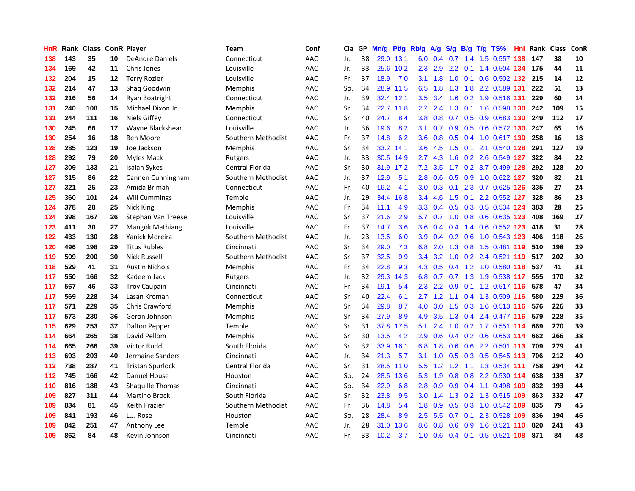| HnR | Rank |     |    | <b>Class ConR Player</b> | <b>Team</b>        | Conf | Cla | GP | Mn/g | Pt/g      | Rb/g             | A/g |               | S/g B/g | $T/g$ TS%               | Hnl | Rank  | <b>Class</b> | ConR |
|-----|------|-----|----|--------------------------|--------------------|------|-----|----|------|-----------|------------------|-----|---------------|---------|-------------------------|-----|-------|--------------|------|
| 138 | 143  | 35  | 10 | <b>DeAndre Daniels</b>   | Connecticut        | AAC  | Jr. | 38 |      | 29.0 13.1 | 6.0              | 0.4 | 0.7           | 1.4     | 1.5 0.557 138           |     | 147   | 38           | 10   |
| 134 | 169  | 42  | 11 | Chris Jones              | Louisville         | AAC  | Jr. | 33 |      | 25.6 10.2 | 2.3              | 2.9 |               |         | 2.2 0.1 1.4 0.504 134   |     | - 175 | 44           | 11   |
| 132 | 204  | 15  | 12 | <b>Terry Rozier</b>      | Louisville         | AAC  | Fr. | 37 | 18.9 | 7.0       | 3.1              | 1.8 |               |         | 1.0 0.1 0.6 0.502 132   |     | -215  | 14           | 12   |
| 132 | 214  | 47  | 13 | Shag Goodwin             | Memphis            | AAC  | So. | 34 |      | 28.9 11.5 | 6.5              | 1.8 |               |         | 1.3 1.8 2.2 0.589 131   |     | 222   | 51           | 13   |
| 132 | 216  | 56  | 14 | Ryan Boatright           | Connecticut        | AAC  | Jr. | 39 | 32.4 | 12.1      | 3.5              | 3.4 | 1.6           |         | 0.2 1.9 0.516 131       |     | 229   | 60           | 14   |
| 131 | 240  | 108 | 15 | Michael Dixon Jr.        | Memphis            | AAC  | Sr. | 34 | 22.7 | 11.8      | $2.2\phantom{0}$ | 2.4 | 1.3           |         | 0.1 1.6 0.598 130       |     | 242   | 109          | 15   |
| 131 | 244  | 111 | 16 | Niels Giffey             | Connecticut        | AAC  | Sr. | 40 | 24.7 | 8.4       | 3.8              | 0.8 | 0.7           |         | 0.5 0.9 0.683 130       |     | 249   | 112          | 17   |
| 130 | 245  | 66  | 17 | Wayne Blackshear         | Louisville         | AAC  | Jr. | 36 | 19.6 | 8.2       | 3.1              | 0.7 | 0.9           |         | 0.5 0.6 0.572 130       |     | 247   | 65           | 16   |
| 130 | 254  | 16  | 18 | <b>Ben Moore</b>         | Southern Methodist | AAC  | Fr. | 37 | 14.8 | 6.2       | 3.6              | 0.8 | 0.5           |         | 0.4 1.0 0.617 130       |     | 258   | 16           | 18   |
| 128 | 285  | 123 | 19 | Joe Jackson              | Memphis            | AAC  | Sr. | 34 |      | 33.2 14.1 | 3.6 <sup>°</sup> | 4.5 | 1.5           |         | 0.1 2.1 0.540 128       |     | 291   | 127          | 19   |
| 128 | 292  | 79  | 20 | <b>Myles Mack</b>        | Rutgers            | AAC  | Jr. | 33 |      | 30.5 14.9 | $2.7^{\circ}$    | 4.3 |               |         | 1.6 0.2 2.6 0.549 127   |     | 322   | 84           | 22   |
| 127 | 309  | 133 | 21 | Isaiah Sykes             | Central Florida    | AAC  | Sr. | 30 |      | 31.9 17.2 | 7.2              | 3.5 |               |         | 1.7 0.2 3.7 0.499 128   |     | 292   | 128          | 20   |
| 127 | 315  | 86  | 22 | Cannen Cunningham        | Southern Methodist | AAC  | Jr. | 37 | 12.9 | 5.1       | 2.8              | 0.6 | 0.5           |         | 0.9 1.0 0.622 127       |     | 320   | 82           | 21   |
| 127 | 321  | 25  | 23 | Amida Brimah             | Connecticut        | AAC  | Fr. | 40 | 16.2 | 4.1       | 3.0              | 0.3 | 0.1           |         | 2.3 0.7 0.625 126       |     | 335   | 27           | 24   |
| 125 | 360  | 101 | 24 | <b>Will Cummings</b>     | Temple             | AAC  | Jr. | 29 | 34.4 | 16.8      | 3.4              | 4.6 | 1.5           |         | $0.1$ 2.2 $0.552$ 127   |     | 328   | 86           | 23   |
| 124 | 378  | 28  | 25 | Nick King                | <b>Memphis</b>     | AAC  | Fr. | 34 | 11.1 | 4.9       | 3.3              | 0.4 | 0.5           |         | 0.3 0.5 0.534 124       |     | 383   | 28           | 25   |
| 124 | 398  | 167 | 26 | Stephan Van Treese       | Louisville         | AAC  | Sr. | 37 | 21.6 | 2.9       | 5.7              | 0.7 | 1.0           |         | 0.8 0.6 0.635 123       |     | 408   | 169          | 27   |
| 123 | 411  | 30  | 27 | Mangok Mathiang          | Louisville         | AAC  | Fr. | 37 | 14.7 | 3.6       | 3.6              | 0.4 | $0.4^{\circ}$ |         | 1.4 0.6 0.552 123       |     | 418   | 31           | 28   |
| 122 | 433  | 130 | 28 | Yanick Moreira           | Southern Methodist | AAC  | Jr. | 23 | 13.5 | 6.0       | 3.9              | 0.4 |               |         | 0.2 0.6 1.0 0.543 123   |     | 406   | 118          | 26   |
| 120 | 496  | 198 | 29 | <b>Titus Rubles</b>      | Cincinnati         | AAC  | Sr. | 34 | 29.0 | 7.3       | 6.8              | 2.0 |               |         | 1.3 0.8 1.5 0.481 119   |     | 510   | 198          | 29   |
| 119 | 509  | 200 | 30 | <b>Nick Russell</b>      | Southern Methodist | AAC  | Sr. | 37 | 32.5 | 9.9       | $3.4^{\circ}$    | 3.2 |               |         | 1.0 0.2 2.4 0.521 119   |     | 517   | 202          | 30   |
| 118 | 529  | 41  | 31 | <b>Austin Nichols</b>    | <b>Memphis</b>     | AAC  | Fr. | 34 | 22.8 | 9.3       | 4.3              | 0.5 |               |         | 0.4 1.2 1.0 0.580 118   |     | 537   | 41           | 31   |
| 117 | 550  | 166 | 32 | Kadeem Jack              | Rutgers            | AAC  | Jr. | 32 | 29.3 | 14.3      | 6.8              | 0.7 |               |         | 0.7 1.3 1.9 0.538 117   |     | 555   | 170          | 32   |
| 117 | 567  | 46  | 33 | <b>Troy Caupain</b>      | Cincinnati         | AAC  | Fr. | 34 | 19.1 | 5.4       | 2.3              | 2.2 | 0.9           |         | 0.1 1.2 0.517 116       |     | 578   | 47           | 34   |
| 117 | 569  | 228 | 34 | Lasan Kromah             | Connecticut        | AAC  | Sr. | 40 | 22.4 | 6.1       | $2.7^{\circ}$    | 1.2 | 1.1           |         | 0.4 1.3 0.509 116       |     | 580   | 229          | 36   |
| 117 | 571  | 229 | 35 | <b>Chris Crawford</b>    | <b>Memphis</b>     | AAC  | Sr. | 34 | 29.8 | 8.7       | 4.0              | 3.0 | 1.5           |         | 0.3 1.6 0.513 116       |     | 576   | 226          | 33   |
| 117 | 573  | 230 | 36 | Geron Johnson            | <b>Memphis</b>     | AAC  | Sr. | 34 | 27.9 | 8.9       | 4.9              | 3.5 | 1.3           |         | 0.4 2.4 0.477 116       |     | 579   | 228          | 35   |
| 115 | 629  | 253 | 37 | <b>Dalton Pepper</b>     | Temple             | AAC  | Sr. | 31 | 37.8 | 17.5      | 5.1              | 2.4 |               |         | 1.0 0.2 1.7 0.551 114   |     | 669   | 270          | 39   |
| 114 | 664  | 265 | 38 | David Pellom             | <b>Memphis</b>     | AAC  | Sr. | 30 | 13.5 | 4.2       | 2.9              | 0.6 | 0.4           |         | $0.2$ 0.6 0.653 114     |     | 662   | 266          | 38   |
| 114 | 665  | 266 | 39 | Victor Rudd              | South Florida      | AAC  | Sr. | 32 | 33.9 | 16.1      | 6.8              | 1.8 | 0.6           |         | $0.6$ 2.2 $0.501$ 113   |     | 709   | 279          | 41   |
| 113 | 693  | 203 | 40 | Jermaine Sanders         | Cincinnati         | AAC  | Jr. | 34 | 21.3 | 5.7       | 3.1              | 1.0 | 0.5           |         | $0.3$ $0.5$ $0.545$ 113 |     | 706   | 212          | 40   |
| 112 | 738  | 287 | 41 | <b>Tristan Spurlock</b>  | Central Florida    | AAC  | Sr. | 31 | 28.5 | 11.0      | 5.5              | 1.2 | 1.2           |         | 1.1 1.3 0.534 111       |     | 758   | 294          | 42   |
| 112 | 745  | 166 | 42 | Danuel House             | Houston            | AAC  | So. | 24 | 28.5 | 13.6      | 5.3              | 1.9 | 0.8           | 0.8     | 2.2 0.530 114           |     | 638   | 139          | 37   |
| 110 | 816  | 188 | 43 | <b>Shaquille Thomas</b>  | Cincinnati         | AAC  | So. | 34 | 22.9 | 6.8       | 2.8              | 0.9 | 0.9           |         | 0.4 1.1 0.498 109       |     | 832   | 193          | 44   |
| 109 | 827  | 311 | 44 | <b>Martino Brock</b>     | South Florida      | AAC  | Sr. | 32 | 23.8 | 9.5       | 3.0 <sub>2</sub> | 1.4 | 1.3           |         | 0.2 1.3 0.515 109       |     | 863   | 332          | 47   |
| 109 | 834  | 81  | 45 | Keith Frazier            | Southern Methodist | AAC  | Fr. | 36 | 14.8 | 5.4       | 1.8              | 0.9 |               |         | 0.5 0.3 1.0 0.542 109   |     | 835   | 79           | 45   |
| 109 | 841  | 193 | 46 | L.J. Rose                | Houston            | AAC  | So. | 28 | 28.4 | 8.9       | 2.5              | 5.5 | 0.7           |         | 0.1 2.3 0.528 109       |     | 836   | 194          | 46   |
| 109 | 842  | 251 | 47 | Anthony Lee              | Temple             | AAC  | Jr. | 28 | 31.0 | 13.6      | 8.6              | 0.8 | 0.6           |         | 0.9 1.6 0.521 110       |     | 820   | 241          | 43   |
| 109 | 862  | 84  | 48 | Kevin Johnson            | Cincinnati         | AAC  | Fr. | 33 | 10.2 | 3.7       | 1.0              | 0.6 | 0.4           |         | $0.1$ 0.5 0.521 108     |     | 871   | 84           | 48   |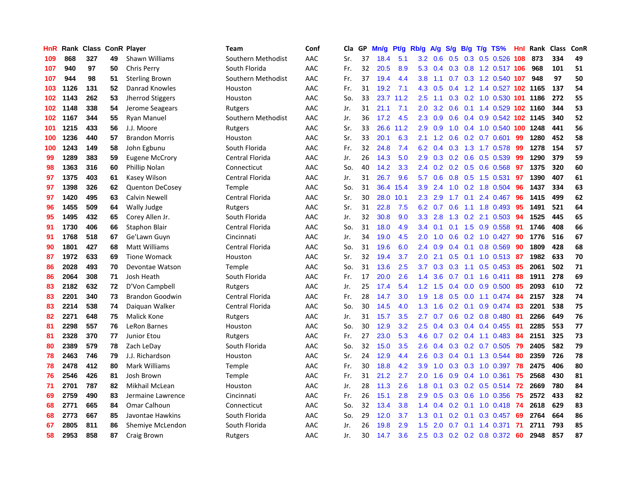| HnR | Rank | <b>Class</b> |    | <b>ConR Player</b>      | Team               | Conf | Cla | GP | Mn/g | Pt/g | Rb/g             | <b>A/g</b>    | S/g              | B/g | $T/g$ TS%                       | Hnl | Rank | <b>Class</b> | ConR |
|-----|------|--------------|----|-------------------------|--------------------|------|-----|----|------|------|------------------|---------------|------------------|-----|---------------------------------|-----|------|--------------|------|
| 109 | 868  | 327          | 49 | <b>Shawn Williams</b>   | Southern Methodist | AAC  | Sr. | 37 | 18.4 | 5.1  | 3.2 <sub>2</sub> | 0.6           | 0.5              |     | 0.3 0.5 0.526 108               |     | 873  | 334          | 49   |
| 107 | 940  | 97           | 50 | Chris Perry             | South Florida      | AAC  | Fr. | 32 | 20.5 | 8.9  | 5.3              |               |                  |     | 0.4 0.3 0.8 1.2 0.517 106       |     | 968  | 101          | 51   |
| 107 | 944  | 98           | 51 | <b>Sterling Brown</b>   | Southern Methodist | AAC  | Fr. | 37 | 19.4 | 4.4  | 3.8              | 1.1           |                  |     | $0.7$ $0.3$ 1.2 $0.540$ 107     |     | 948  | 97           | 50   |
| 103 | 1126 | 131          | 52 | Danrad Knowles          | Houston            | AAC  | Fr. | 31 | 19.2 | 7.1  | 4.3              | 0.5           | 0.4              |     | 1.2 1.4 0.527 102 1165          |     |      | 137          | 54   |
| 102 | 1143 | 262          | 53 | <b>Jherrod Stiggers</b> | Houston            | AAC  | So. | 33 | 23.7 | 11.2 | 2.5              | 1.1           | 0.3              |     | 0.2 1.0 0.530 101 1186          |     |      | 272          | 55   |
| 102 | 1148 | 338          | 54 | Jerome Seagears         | Rutgers            | AAC  | Jr. | 31 | 21.1 | 7.1  | 2.0              | 3.2           | 0.6              |     | 0.1 1.4 0.529 102 1160          |     |      | 344          | 53   |
| 102 | 1167 | 344          | 55 | <b>Ryan Manuel</b>      | Southern Methodist | AAC  | Jr. | 36 | 17.2 | 4.5  | 2.3              | 0.9           | 0.6              |     | 0.4 0.9 0.542 102 1145          |     |      | 340          | 52   |
| 101 | 1215 | 433          | 56 | J.J. Moore              | Rutgers            | AAC  | Sr. | 33 | 26.6 | 11.2 | 2.9              | 0.9           | 1.0              |     | 0.4 1.0 0.540 100 1248          |     |      | 441          | 56   |
| 100 | 1236 | 440          | 57 | <b>Brandon Morris</b>   | Houston            | AAC  | Sr. | 33 | 20.1 | 6.3  | 2.1              | 1.2           | 0.6              |     | $0.2$ 0.7 0.601                 | 99  | 1280 | 452          | 58   |
| 100 | 1243 | 149          | 58 | John Egbunu             | South Florida      | AAC  | Fr. | 32 | 24.8 | 7.4  | 6.2              | $0.4^{\circ}$ |                  |     | 0.3 1.3 1.7 0.578 99            |     | 1278 | 154          | 57   |
| 99  | 1289 | 383          | 59 | <b>Eugene McCrory</b>   | Central Florida    | AAC  | Jr. | 26 | 14.3 | 5.0  | 2.9              |               |                  |     | $0.3$ $0.2$ $0.6$ $0.5$ $0.539$ | -99 | 1290 | 379          | 59   |
| 98  | 1363 | 316          | 60 | Phillip Nolan           | Connecticut        | AAC  | So. | 40 | 14.2 | 3.3  | $2.4^{\circ}$    | 0.2           |                  |     | $0.2$ 0.5 0.6 0.568             | -97 | 1375 | 320          | 60   |
| 97  | 1375 | 403          | 61 | Kasey Wilson            | Central Florida    | AAC  | Jr. | 31 | 26.7 | 9.6  | 5.7              | 0.6           | 0.8              |     | $0.5$ 1.5 0.531                 | 97  | 1390 | 407          | 61   |
| 97  | 1398 | 326          | 62 | <b>Quenton DeCosey</b>  | Temple             | AAC  | So. | 31 | 36.4 | 15.4 | 3.9              | 2.4           | 1.0              |     | $0.2$ 1.8 $0.504$               | -96 | 1437 | 334          | 63   |
| 97  | 1420 | 495          | 63 | Calvin Newell           | Central Florida    | AAC  | Sr. | 30 | 28.0 | 10.1 | 2.3              | 2.9           | 1.7              |     | $0.1$ 2.4 $0.467$               | 96  | 1415 | 499          | 62   |
| 96  | 1455 | 509          | 64 | <b>Wally Judge</b>      | Rutgers            | AAC  | Sr. | 31 | 22.8 | 7.5  | 6.2              | 0.7           | 0.6              |     | 1.1 1.8 0.493                   | 95  | 1491 | 521          | 64   |
| 95  | 1495 | 432          | 65 | Corey Allen Jr.         | South Florida      | AAC  | Jr. | 32 | 30.8 | 9.0  | 3.3              | 2.8           | 1.3              |     | 0.2 2.1 0.503                   | 94  | 1525 | 445          | 65   |
| 91  | 1730 | 406          | 66 | <b>Staphon Blair</b>    | Central Florida    | AAC  | So. | 31 | 18.0 | 4.9  | $3.4^{\circ}$    | 0.1           |                  |     | $0.1$ 1.5 0.9 0.558             | -91 | 1746 | 408          | 66   |
| 91  | 1768 | 518          | 67 | Ge'Lawn Guyn            | Cincinnati         | AAC  | Jr. | 34 | 19.0 | 4.5  | 2.0              | 1.0           |                  |     | $0.6$ $0.2$ $1.0$ $0.427$       | 90  | 1776 | 516          | 67   |
| 90  | 1801 | 427          | 68 | <b>Matt Williams</b>    | Central Florida    | AAC  | So. | 31 | 19.6 | 6.0  | $2.4^{\circ}$    | 0.9           | 0.4              |     | $0.1$ 0.8 0.569                 | 90  | 1809 | 428          | 68   |
| 87  | 1972 | 633          | 69 | <b>Tione Womack</b>     | Houston            | AAC  | Sr. | 32 | 19.4 | 3.7  | 2.0              | 2.1           | 0.5              |     | $0.1$ 1.0 0.513                 | -87 | 1982 | 633          | 70   |
| 86  | 2028 | 493          | 70 | Devontae Watson         | Temple             | AAC  | So. | 31 | 13.6 | 2.5  | 3.7              | 0.3           | 0.3              |     | 1.1 0.5 0.453                   | 85  | 2061 | 502          | 71   |
| 86  | 2064 | 308          | 71 | Josh Heath              | South Florida      | AAC  | Fr. | 17 | 20.0 | 2.6  | 1.4              | 3.6           | 0.7              |     | $0.1$ 1.6 0.411                 | 88  | 1911 | 278          | 69   |
| 83  | 2182 | 632          | 72 | D'Von Campbell          | Rutgers            | AAC  | Jr. | 25 | 17.4 | 5.4  | 1.2              | 1.5           | 0.4              |     | $0.0$ 0.9 0.500                 | 85  | 2093 | 610          | 72   |
| 83  | 2201 | 340          | 73 | <b>Brandon Goodwin</b>  | Central Florida    | AAC  | Fr. | 28 | 14.7 | 3.0  | 1.9              | 1.8           | 0.5              |     | $0.0$ 1.1 $0.474$               | -84 | 2157 | 328          | 74   |
| 83  | 2214 | 538          | 74 | Daiguan Walker          | Central Florida    | AAC  | So. | 30 | 14.5 | 4.0  | 1.3              | 1.6           |                  |     | 0.2 0.1 0.9 0.474 83            |     | 2201 | 538          | 75   |
| 82  | 2271 | 648          | 75 | Malick Kone             | Rutgers            | AAC  | Jr. | 31 | 15.7 | 3.5  | 2.7              | 0.7           |                  |     | 0.6 0.2 0.8 0.480 81            |     | 2266 | 649          | 76   |
| 81  | 2298 | 557          | 76 | LeRon Barnes            | Houston            | AAC  | So. | 30 | 12.9 | 3.2  | 2.5              | $0.4^{\circ}$ |                  |     | $0.3$ 0.4 0.4 0.455             | -81 | 2285 | 553          | 77   |
| 81  | 2328 | 370          | 77 | Junior Etou             | Rutgers            | AAC  | Fr. | 27 | 23.0 | 5.3  | 4.6              | 0.7           |                  |     | $0.2$ 0.4 1.1 0.483             | -84 | 2151 | 325          | 73   |
| 80  | 2389 | 579          | 78 | Zach LeDay              | South Florida      | AAC  | So. | 32 | 15.0 | 3.5  | 2.6              | 0.4           | 0.3              |     | $0.2$ 0.7 0.505                 | 79  | 2405 | 582          | 79   |
| 78  | 2463 | 746          | 79 | J.J. Richardson         | Houston            | AAC  | Sr. | 24 | 12.9 | 4.4  | 2.6              | 0.3           | 0.4              |     | 0.1 1.3 0.544                   | 80  | 2359 | 726          | 78   |
| 78  | 2478 | 412          | 80 | <b>Mark Williams</b>    | Temple             | AAC  | Fr. | 30 | 18.8 | 4.2  | 3.9              | 1.0           | 0.3              |     | $0.3$ 1.0 0.397                 | 78  | 2475 | 406          | 80   |
| 76  | 2546 | 426          | 81 | Josh Brown              | Temple             | AAC  | Fr. | 31 | 21.2 | 2.7  | 2.0              | 1.6           | 0.9              |     | 0.4 1.0 0.361                   | 75  | 2568 | 430          | 81   |
| 71  | 2701 | 787          | 82 | Mikhail McLean          | Houston            | AAC  | Jr. | 28 | 11.3 | 2.6  | 1.8              | 0.1           | 0.3              |     | $0.2$ 0.5 0.514                 | -72 | 2669 | 780          | 84   |
| 69  | 2759 | 490          | 83 | Jermaine Lawrence       | Cincinnati         | AAC  | Fr. | 26 | 15.1 | 2.8  | 2.9              | 0.5           |                  |     | $0.3$ 0.6 1.0 0.356             | 75  | 2572 | 433          | 82   |
| 68  | 2771 | 665          | 84 | <b>Omar Calhoun</b>     | Connecticut        | AAC  | So. | 32 | 13.4 | 3.8  | $1.4^{\circ}$    | 0.4           |                  |     | 0.2 0.1 1.0 0.418 74            |     | 2618 | 629          | 83   |
| 68  | 2773 | 667          | 85 | Javontae Hawkins        | South Florida      | AAC  | So. | 29 | 12.0 | 3.7  | 1.3              | 0.1           | 0.2 <sub>0</sub> |     | $0.1$ 0.3 0.457                 | -69 | 2764 | 664          | 86   |
| 67  | 2805 | 811          | 86 | Shemiye McLendon        | South Florida      | AAC  | Jr. | 26 | 19.8 | 2.9  | 1.5              | 2.0           | 0.7              |     | $0.1$ 1.4 $0.371$               | 71  | 2711 | 793          | 85   |
| 58  | 2953 | 858          | 87 | Craig Brown             | Rutgers            | AAC  | Jr. | 30 | 14.7 | 3.6  | 2.5              |               |                  |     | 0.3 0.2 0.2 0.8 0.372 60        |     | 2948 | 857          | 87   |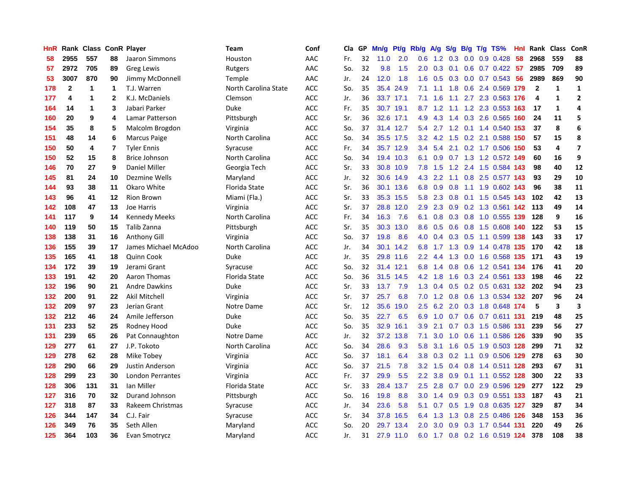| HnR |              | Rank Class ConR Player |              |                         | <b>Team</b>          | Conf       | <b>Cla</b> | GP | Mn/g | Pt/g      | Rb/g             | A/g |                  |     | S/g B/g T/g TS%           | Hnl | Rank         | <b>Class</b> | ConR                    |
|-----|--------------|------------------------|--------------|-------------------------|----------------------|------------|------------|----|------|-----------|------------------|-----|------------------|-----|---------------------------|-----|--------------|--------------|-------------------------|
| 58  | 2955         | 557                    | 88           | Jaaron Simmons          | Houston              | AAC        | Fr.        | 32 | 11.0 | 2.0       | 0.6              | 1.2 | 0.3              | 0.0 | $0.9$ 0.428               | 58  | 2968         | 559          | 88                      |
| 57  | 2972         | 705                    | 89           | <b>Greg Lewis</b>       | Rutgers              | AAC        | So.        | 32 | 9.8  | 1.5       | 2.0 <sub>1</sub> | 0.3 | 0.1              |     | $0.6$ 0.7 0.422 57        |     | 2985         | 709          | 89                      |
| 53  | 3007         | 870                    | 90           | Jimmy McDonnell         | Temple               | AAC        | Jr.        | 24 | 12.0 | 1.8       | 1.6              | 0.5 |                  |     | $0.3$ 0.0 0.7 0.543       | -56 | 2989         | 869          | 90                      |
| 178 | $\mathbf{2}$ | 1                      | 1            | T.J. Warren             | North Carolina State | ACC        | So.        | 35 | 35.4 | 24.9      | 7.1              | 1.1 | 1.8              |     | 0.6 2.4 0.569 179         |     | $\mathbf{2}$ | 1            | 1                       |
| 177 | 4            | 1                      | $\mathbf{2}$ | K.J. McDaniels          | Clemson              | ACC        | Jr.        | 36 | 33.7 | 17.1      | 7.1              | 1.6 | 1.1              |     | 2.7 2.3 0.563 176         |     | 4            | $\mathbf{1}$ | $\overline{2}$          |
| 164 | 14           | 1                      | 3            | Jabari Parker           | Duke                 | <b>ACC</b> | Fr.        | 35 | 30.7 | 19.1      | 8.7              | 1.2 |                  |     | 1.1 1.2 2.3 0.553 163     |     | 17           | $\mathbf{1}$ | 4                       |
| 160 | 20           | 9                      | 4            | Lamar Patterson         | Pittsburgh           | ACC        | Sr.        | 36 | 32.6 | 17.1      | 4.9              | 4.3 |                  |     | 1.4 0.3 2.6 0.565         | 160 | 24           | 11           | 5                       |
| 154 | 35           | 8                      | 5            | Malcolm Brogdon         | Virginia             | <b>ACC</b> | So.        | 37 | 31.4 | 12.7      | 5.4              | 2.7 | 1.2              |     | $0.1$ 1.4 $0.540$         | 153 | 37           | 8            | 6                       |
| 151 | 48           | 14                     | 6            | <b>Marcus Paige</b>     | North Carolina       | ACC        | So.        | 34 |      | 35.5 17.5 | 3.2              | 4.2 | 1.5              |     | 0.2 2.1 0.588 150         |     | 57           | 15           | 8                       |
| 150 | 50           | 4                      | 7            | <b>Tyler Ennis</b>      | Syracuse             | <b>ACC</b> | Fr.        | 34 |      | 35.7 12.9 | 3.4              | 5.4 |                  |     | 2.1 0.2 1.7 0.506 150     |     | 53           | 4            | $\overline{\mathbf{z}}$ |
| 150 | 52           | 15                     | 8            | <b>Brice Johnson</b>    | North Carolina       | <b>ACC</b> | So.        | 34 |      | 19.4 10.3 | 6.1              |     |                  |     | 0.9 0.7 1.3 1.2 0.572 149 |     | 60           | 16           | 9                       |
| 146 | 70           | 27                     | 9            | Daniel Miller           | Georgia Tech         | <b>ACC</b> | Sr.        | 33 | 30.8 | 10.9      | 7.8              | 1.5 |                  |     | 1.2 2.4 1.5 0.584 143     |     | 98           | 40           | 12                      |
| 145 | 81           | 24                     | 10           | Dezmine Wells           | Maryland             | ACC        | Jr.        | 32 | 30.6 | 14.9      | 4.3              | 2.2 |                  |     | 1.1 0.8 2.5 0.577 143     |     | 93           | 29           | 10                      |
| 144 | 93           | 38                     | 11           | Okaro White             | <b>Florida State</b> | <b>ACC</b> | Sr.        | 36 | 30.1 | 13.6      | 6.8              | 0.9 | 0.8              |     | 1.1 1.9 0.602 143         |     | 96           | 38           | 11                      |
| 143 | 96           | 41                     | 12           | <b>Rion Brown</b>       | Miami (Fla.)         | ACC        | Sr.        | 33 | 35.3 | 15.5      | 5.8              | 2.3 | 0.8              |     | 0.1 1.5 0.545 143         |     | 102          | 42           | 13                      |
| 142 | 108          | 47                     | 13           | Joe Harris              | Virginia             | <b>ACC</b> | Sr.        | 37 | 28.8 | 12.0      | 2.9 <sup>°</sup> | 2.3 | 0.9 <sup>°</sup> |     | 0.2 1.3 0.561 142         |     | 113          | 49           | 14                      |
| 141 | 117          | 9                      | 14           | <b>Kennedy Meeks</b>    | North Carolina       | ACC        | Fr.        | 34 | 16.3 | 7.6       | 6.1              | 0.8 | 0.3              |     | 0.8 1.0 0.555 139         |     | 128          | 9            | 16                      |
| 140 | 119          | 50                     | 15           | Talib Zanna             | Pittsburgh           | <b>ACC</b> | Sr.        | 35 | 30.3 | 13.0      | 8.6              | 0.5 | 0.6              |     | 0.8 1.5 0.608 140         |     | 122          | 53           | 15                      |
| 138 | 138          | 31                     | 16           | <b>Anthony Gill</b>     | Virginia             | <b>ACC</b> | So.        | 37 | 19.8 | 8.6       | 4.0              |     |                  |     | 0.4 0.3 0.5 1.1 0.599 138 |     | 143          | 33           | 17                      |
| 136 | 155          | 39                     | 17           | James Michael McAdoo    | North Carolina       | <b>ACC</b> | Jr.        | 34 |      | 30.1 14.2 | 6.8              |     |                  |     | 1.7 1.3 0.9 1.4 0.478 135 |     | 170          | 42           | 18                      |
| 135 | 165          | 41                     | 18           | Quinn Cook              | Duke                 | <b>ACC</b> | Jr.        | 35 |      | 29.8 11.6 | $2.2\phantom{0}$ | 4.4 | 1.3              |     | 0.0 1.6 0.568 135         |     | - 171        | 43           | 19                      |
| 134 | 172          | 39                     | 19           | Jerami Grant            | Syracuse             | <b>ACC</b> | So.        | 32 | 31.4 | 12.1      | 6.8              | 1.4 | 0.8              |     | 0.6 1.2 0.541             | 134 | 176          | 41           | 20                      |
| 133 | 191          | 42                     | 20           | Aaron Thomas            | Florida State        | <b>ACC</b> | So.        | 36 | 31.5 | 14.5      | 4.2              | 1.8 | 1.6              |     | 0.3 2.4 0.561 133         |     | 198          | 46           | 22                      |
| 132 | 196          | 90                     | 21           | <b>Andre Dawkins</b>    | Duke                 | <b>ACC</b> | Sr.        | 33 | 13.7 | 7.9       | 1.3              | 0.4 | 0.5              |     | 0.2 0.5 0.631 132         |     | 202          | 94           | 23                      |
| 132 | 200          | 91                     | 22           | Akil Mitchell           | Virginia             | ACC        | Sr.        | 37 | 25.7 | 6.8       | 7.0              | 1.2 | 0.8              |     | 0.6 1.3 0.534 132         |     | 207          | 96           | 24                      |
| 132 | 209          | 97                     | 23           | Jerian Grant            | Notre Dame           | <b>ACC</b> | Sr.        | 12 | 35.6 | 19.0      | 2.5              | 6.2 |                  |     | 2.0 0.3 1.8 0.648 174     |     | 5            | 3            | 3                       |
| 132 | 212          | 46                     | 24           | Amile Jefferson         | Duke                 | <b>ACC</b> | So.        | 35 | 22.7 | 6.5       | 6.9              |     |                  |     | 1.0 0.7 0.6 0.7 0.611 131 |     | 219          | 48           | 25                      |
| 131 | 233          | 52                     | 25           | Rodney Hood             | Duke                 | <b>ACC</b> | So.        | 35 | 32.9 | 16.1      | 3.9              | 2.1 |                  |     | 0.7 0.3 1.5 0.586 131     |     | 239          | 56           | 27                      |
| 131 | 239          | 65                     | 26           | Pat Connaughton         | Notre Dame           | ACC        | Jr.        | 32 | 37.2 | 13.8      | 7.1              | 3.0 | 1.0              |     | 0.6 1.1 0.586 126         |     | 339          | 90           | 35                      |
| 129 | 277          | 61                     | 27           | J.P. Tokoto             | North Carolina       | <b>ACC</b> | So.        | 34 | 28.6 | 9.3       | 5.8              | 3.1 | 1.6              |     | 0.5 1.9 0.503 128         |     | 299          | 71           | 32                      |
| 129 | 278          | 62                     | 28           | Mike Tobey              | Virginia             | <b>ACC</b> | So.        | 37 | 18.1 | 6.4       | 3.8              | 0.3 | 0.2              |     | 1.1 0.9 0.506 129         |     | 278          | 63           | 30                      |
| 128 | 290          | 66                     | 29           | Justin Anderson         | Virginia             | <b>ACC</b> | So.        | 37 | 21.5 | 7.8       | 3.2              | 1.5 | 0.4              |     | 0.8 1.4 0.511 128         |     | 293          | 67           | 31                      |
| 128 | 299          | 23                     | 30           | <b>London Perrantes</b> | Virginia             | <b>ACC</b> | Fr.        | 37 | 29.9 | 5.5       | $2.2^{\circ}$    | 3.8 | 0.9              |     | 0.1 1.1 0.552 128         |     | 300          | 22           | 33                      |
| 128 | 306          | 131                    | 31           | Ian Miller              | <b>Florida State</b> | <b>ACC</b> | Sr.        | 33 | 28.4 | 13.7      | 2.5              | 2.8 | 0.7              |     | $0.0$ 2.9 $0.596$ 129     |     | 277          | 122          | 29                      |
| 127 | 316          | 70                     | 32           | Durand Johnson          | Pittsburgh           | ACC        | So.        | 16 | 19.8 | 8.8       | 3.0 <sub>2</sub> | 1.4 | 0.9              |     | 0.3 0.9 0.551 133         |     | 187          | 43           | 21                      |
| 127 | 318          | 87                     | 33           | Rakeem Christmas        | Syracuse             | ACC        | Jr.        | 34 | 23.6 | 5.8       | 5.1              | 0.7 |                  |     | 0.5 1.9 0.8 0.635 127     |     | 329          | 87           | 34                      |
| 126 | 344          | 147                    | 34           | C.J. Fair               | Syracuse             | <b>ACC</b> | Sr.        | 34 | 37.8 | 16.5      | 6.4              | 1.3 | 1.3              |     | 0.8 2.5 0.486 126         |     | 348          | 153          | 36                      |
| 126 | 349          | 76                     | 35           | Seth Allen              | Maryland             | <b>ACC</b> | So.        | 20 | 29.7 | 13.4      | 2.0              | 3.0 | 0.9              |     | 0.3 1.7 0.544 131         |     | 220          | 49           | 26                      |
| 125 | 364          | 103                    | 36           | Evan Smotrycz           | Maryland             | <b>ACC</b> | Jr.        | 31 | 27.9 | 11.0      | 6.0              |     |                  |     | 1.7 0.8 0.2 1.6 0.519 124 |     | 378          | 108          | 38                      |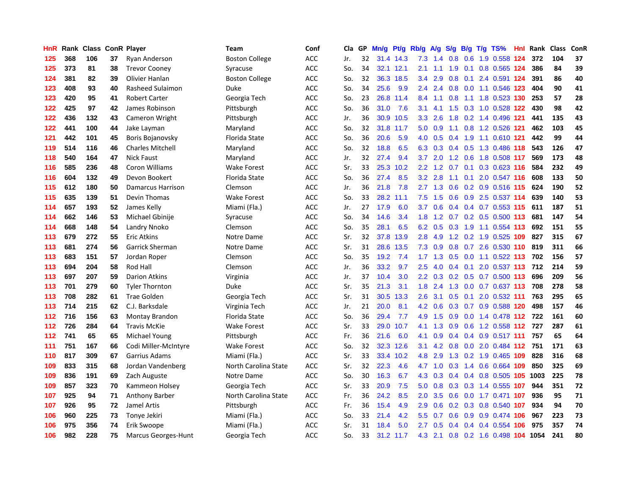| HnR | Rank | <b>Class</b> |    | <b>ConR Player</b>       | Team                  | Conf       | Cla | GP | Mn/g | Pt/g      | Rb/g             | <b>A/g</b> | S/g           | B/g | $T/g$ TS%                 | Hnl | Rank | <b>Class</b> | ConR |
|-----|------|--------------|----|--------------------------|-----------------------|------------|-----|----|------|-----------|------------------|------------|---------------|-----|---------------------------|-----|------|--------------|------|
| 125 | 368  | 106          | 37 | Ryan Anderson            | <b>Boston College</b> | <b>ACC</b> | Jr. | 32 |      | 31.4 14.3 | 7.3              | 1.4        | 0.8           |     | 0.6 1.9 0.558 124         |     | 372  | 104          | 37   |
| 125 | 373  | 81           | 38 | <b>Trevor Cooney</b>     | Syracuse              | ACC        | So. | 34 |      | 32.1 12.1 | 2.1              | 1.1        |               |     | 1.9 0.1 0.8 0.565 124     |     | 386  | 84           | 39   |
| 124 | 381  | 82           | 39 | Olivier Hanlan           | <b>Boston College</b> | <b>ACC</b> | So. | 32 | 36.3 | 18.5      | 3.4              | 2.9        | 0.8           |     | 0.1 2.4 0.591 124         |     | 391  | 86           | 40   |
| 123 | 408  | 93           | 40 | Rasheed Sulaimon         | Duke                  | ACC        | So. | 34 | 25.6 | 9.9       | 2.4              | 2.4        | 0.8           |     | 0.0 1.1 0.546 123         |     | 404  | 90           | 41   |
| 123 | 420  | 95           | 41 | <b>Robert Carter</b>     | Georgia Tech          | <b>ACC</b> | So. | 23 | 26.8 | 11.4      | 8.4              | 1.1        | 0.8           |     | 1.1 1.8 0.523 130         |     | 253  | 57           | 28   |
| 122 | 425  | 97           | 42 | James Robinson           | Pittsburgh            | <b>ACC</b> | So. | 36 | 31.0 | 7.6       | 3.1              | 4.1        | 1.5           |     | 0.3 1.0 0.528 122         |     | 430  | 98           | 42   |
| 122 | 436  | 132          | 43 | Cameron Wright           | Pittsburgh            | <b>ACC</b> | Jr. | 36 | 30.9 | 10.5      | 3.3 <sub>2</sub> | 2.6        | 1.8           |     | 0.2 1.4 0.496 121         |     | 441  | 135          | 43   |
| 122 | 441  | 100          | 44 | Jake Layman              | Maryland              | <b>ACC</b> | So. | 32 | 31.8 | 11.7      | 5.0              | 0.9        | 1.1           |     | 0.8 1.2 0.526 121         |     | 462  | 103          | 45   |
| 121 | 442  | 101          | 45 | Boris Bojanovsky         | <b>Florida State</b>  | <b>ACC</b> | So. | 36 | 20.6 | 5.9       | 4.0              | 0.5        |               |     | 0.4 1.9 1.1 0.610 121     |     | 442  | 99           | 44   |
| 119 | 514  | 116          | 46 | <b>Charles Mitchell</b>  | Maryland              | <b>ACC</b> | So. | 32 | 18.8 | 6.5       | 6.3              | 0.3        |               |     | 0.4 0.5 1.3 0.486 118     |     | 543  | 126          | 47   |
| 118 | 540  | 164          | 47 | <b>Nick Faust</b>        | Maryland              | <b>ACC</b> | Jr. | 32 | 27.4 | 9.4       | 3.7              | 2.0        |               |     | 1.2 0.6 1.8 0.508 117     |     | 569  | 173          | 48   |
| 116 | 585  | 236          | 48 | Coron Williams           | <b>Wake Forest</b>    | <b>ACC</b> | Sr. | 33 | 25.3 | 10.2      | $2.2\phantom{0}$ | 1.2        | 0.7           |     | $0.1$ $0.3$ $0.623$ 116   |     | 584  | 232          | 49   |
| 116 | 604  | 132          | 49 | Devon Bookert            | Florida State         | <b>ACC</b> | So. | 36 | 27.4 | 8.5       | 3.2              | 2.8        | 1.1           |     | $0.1$ 2.0 $0.547$ 116     |     | 608  | 133          | 50   |
| 115 | 612  | 180          | 50 | <b>Damarcus Harrison</b> | Clemson               | ACC        | Jr. | 36 | 21.8 | 7.8       | 2.7              | 1.3        | 0.6           |     | 0.2 0.9 0.516 115         |     | 624  | 190          | 52   |
| 115 | 635  | 139          | 51 | Devin Thomas             | Wake Forest           | ACC        | So. | 33 | 28.2 | 11.1      | 7.5              | 1.5        | 0.6           |     | 0.9 2.5 0.537 114         |     | 639  | 140          | 53   |
| 114 | 657  | 193          | 52 | James Kelly              | Miami (Fla.)          | <b>ACC</b> | Jr. | 27 | 17.9 | 6.0       | 3.7              | 0.6        | $0.4^{\circ}$ |     | 0.4 0.7 0.553 115         |     | 611  | 187          | 51   |
| 114 | 662  | 146          | 53 | Michael Gbinije          | Syracuse              | <b>ACC</b> | So. | 34 | 14.6 | 3.4       | 1.8              | 1.2        | 0.7           |     | 0.2 0.5 0.500 113         |     | 681  | 147          | 54   |
| 114 | 668  | 148          | 54 | Landry Nnoko             | Clemson               | <b>ACC</b> | So. | 35 | 28.1 | 6.5       | 6.2              | 0.5        |               |     | 0.3 1.9 1.1 0.554 113     |     | 692  | 151          | 55   |
| 113 | 679  | 272          | 55 | <b>Eric Atkins</b>       | Notre Dame            | <b>ACC</b> | Sr. | 32 | 37.8 | 13.9      | 2.8              | 4.9        |               |     | 1.2 0.2 1.9 0.525 109     |     | 827  | 315          | 67   |
| 113 | 681  | 274          | 56 | <b>Garrick Sherman</b>   | Notre Dame            | <b>ACC</b> | Sr. | 31 | 28.6 | 13.5      | 7.3              | 0.9        |               |     | 0.8 0.7 2.6 0.530 110     |     | 819  | 311          | 66   |
| 113 | 683  | 151          | 57 | Jordan Roper             | Clemson               | ACC        | So. | 35 | 19.2 | 7.4       | 1.7 <sub>2</sub> | 1.3        | 0.5           |     | $0.0$ 1.1 0.522 113       |     | 702  | 156          | 57   |
| 113 | 694  | 204          | 58 | Rod Hall                 | Clemson               | ACC        | Jr. | 36 | 33.2 | 9.7       | 2.5              | 4.0        | 0.4           | 0.1 | 2.0 0.537 113             |     | 712  | 214          | 59   |
| 113 | 697  | 207          | 59 | <b>Darion Atkins</b>     | Virginia              | <b>ACC</b> | Jr. | 37 | 10.4 | 3.0       | 2.2              | 0.3        | 0.2           |     | $0.5$ 0.7 0.500 113       |     | 696  | 209          | 56   |
| 113 | 701  | 279          | 60 | <b>Tyler Thornton</b>    | Duke                  | <b>ACC</b> | Sr. | 35 | 21.3 | 3.1       | 1.8              | 2.4        | 1.3           |     | $0.0$ $0.7$ $0.637$ 113   |     | 708  | 278          | 58   |
| 113 | 708  | 282          | 61 | Trae Golden              | Georgia Tech          | <b>ACC</b> | Sr. | 31 | 30.5 | 13.3      | $2.6^{\circ}$    | 3.1        | 0.5           |     | $0.1$ 2.0 0.532 111       |     | 763  | 295          | 65   |
| 113 | 714  | 215          | 62 | C.J. Barksdale           | Virginia Tech         | <b>ACC</b> | Jr. | 21 | 20.0 | 8.1       | 4.2              | 0.6        | 0.3           |     | 0.7 0.9 0.588 120         |     | 498  | 157          | 46   |
| 112 | 716  | 156          | 63 | Montay Brandon           | Florida State         | <b>ACC</b> | So. | 36 | 29.4 | 7.7       | 4.9              | 1.5        | 0.9           |     | 0.0 1.4 0.478 112 722     |     |      | 161          | 60   |
| 112 | 726  | 284          | 64 | <b>Travis McKie</b>      | <b>Wake Forest</b>    | <b>ACC</b> | Sr. | 33 | 29.0 | 10.7      | 4.1              |            |               |     | 1.3 0.9 0.6 1.2 0.558 112 |     | 727  | 287          | 61   |
| 112 | 741  | 65           | 65 | Michael Young            | Pittsburgh            | <b>ACC</b> | Fr. | 36 | 21.6 | 6.0       | 4.1              | 0.9        | 0.4           |     | $0.4$ 0.9 0.517 111       |     | 757  | 65           | 64   |
| 111 | 751  | 167          | 66 | Codi Miller-McIntyre     | Wake Forest           | <b>ACC</b> | So. | 32 | 32.3 | 12.6      | 3.1              | 4.2        | 0.8           |     | $0.0$ 2.0 0.484 112       |     | 751  | 171          | 63   |
| 110 | 817  | 309          | 67 | Garrius Adams            | Miami (Fla.)          | <b>ACC</b> | Sr. | 33 | 33.4 | 10.2      | 4.8              | 2.9        | 1.3           |     | 0.2 1.9 0.465 109         |     | 828  | 316          | 68   |
| 109 | 833  | 315          | 68 | Jordan Vandenberg        | North Carolina State  | ACC        | Sr. | 32 | 22.3 | 4.6       | 4.7              | 1.0        | 0.3           |     | 1.4 0.6 0.664 109         |     | 850  | 325          | 69   |
| 109 | 836  | 191          | 69 | Zach Auguste             | Notre Dame            | <b>ACC</b> | So. | 30 | 16.3 | 6.7       | 4.3              | 0.3        | $0.4^{\circ}$ |     | 0.4 0.8 0.505 105 1003    |     |      | 225          | 78   |
| 109 | 857  | 323          | 70 | Kammeon Holsey           | Georgia Tech          | <b>ACC</b> | Sr. | 33 | 20.9 | 7.5       | 5.0              | 0.8        | 0.3           |     | 0.3 1.4 0.555 107         |     | 944  | 351          | 72   |
| 107 | 925  | 94           | 71 | Anthony Barber           | North Carolina State  | <b>ACC</b> | Fr. | 36 | 24.2 | 8.5       | 2.0              | 3.5        | 0.6           |     | 0.0 1.7 0.471 107         |     | 936  | 95           | 71   |
| 107 | 926  | 95           | 72 | Jamel Artis              | Pittsburgh            | <b>ACC</b> | Fr. | 36 | 15.4 | 4.9       | 2.9              | 0.6        |               |     | 0.2 0.3 0.8 0.540 107     |     | 934  | 94           | 70   |
| 106 | 960  | 225          | 73 | Tonye Jekiri             | Miami (Fla.)          | <b>ACC</b> | So. | 33 | 21.4 | 4.2       | 5.5              | 0.7        | 0.6           |     | 0.9 0.9 0.474 106         |     | 967  | 223          | 73   |
| 106 | 975  | 356          | 74 | Erik Swoope              | Miami (Fla.)          | <b>ACC</b> | Sr. | 31 | 18.4 | 5.0       | $2.7^{\circ}$    | 0.5        | $0.4^{\circ}$ |     | $0.4$ 0.4 0.554 106       |     | 975  | 357          | 74   |
| 106 | 982  | 228          | 75 | Marcus Georges-Hunt      | Georgia Tech          | <b>ACC</b> | So. | 33 | 31.2 | 11.7      | 4.3              | 2.1        |               |     | 0.8 0.2 1.6 0.498 104     |     | 1054 | 241          | 80   |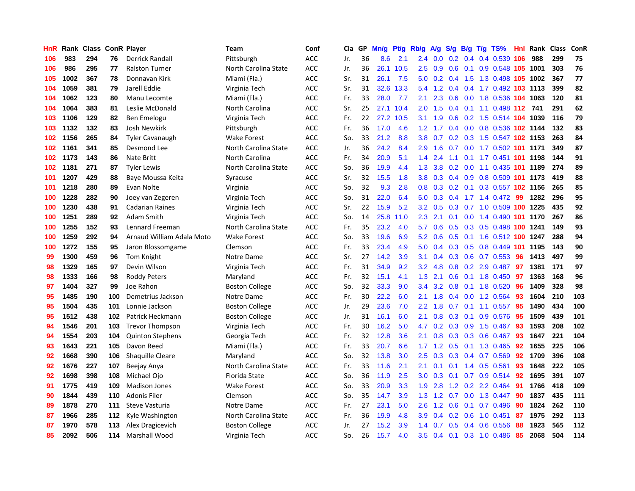| HnR | Rank | <b>Class</b> |     | <b>ConR Player</b>        | Team                  | Conf           | Cla | GP | Mn/g | <b>Pt/g</b> | Rb/g          | A/g | S/g              | B/g | T/g TS%                    | Hnl | Rank | <b>Class</b> | ConR |
|-----|------|--------------|-----|---------------------------|-----------------------|----------------|-----|----|------|-------------|---------------|-----|------------------|-----|----------------------------|-----|------|--------------|------|
| 106 | 983  | 294          | 76  | <b>Derrick Randall</b>    | Pittsburgh            | <b>ACC</b>     | Jr. | 36 | 8.6  | 2.1         | $2.4^{\circ}$ | 0.0 |                  |     | 0.2 0.4 0.4 0.539 106      |     | 988  | 299          | 75   |
| 106 | 986  | 295          | 77  | <b>Ralston Turner</b>     | North Carolina State  | <b>ACC</b>     | Jr. | 36 | 26.1 | 10.5        | 2.5           | 0.9 |                  |     | 0.6 0.1 0.9 0.548 105 1001 |     |      | 303          | 76   |
| 105 | 1002 | 367          | 78  | Donnavan Kirk             | Miami (Fla.)          | <b>ACC</b>     | Sr. | 31 | 26.1 | 7.5         | 5.0           | 0.2 |                  |     | 0.4 1.5 1.3 0.498 105 1002 |     |      | 367          | 77   |
| 104 | 1059 | 381          | 79  | Jarell Eddie              | Virginia Tech         | ACC            | Sr. | 31 | 32.6 | 13.3        | 5.4           | 1.2 | 0.4              |     | 0.4 1.7 0.492 103 1113     |     |      | 399          | 82   |
| 104 | 1062 | 123          | 80  | Manu Lecomte              | Miami (Fla.)          | <b>ACC</b>     | Fr. | 33 | 28.0 | 7.7         | 2.1           | 2.3 | 0.6              |     | 0.0 1.8 0.536 104 1063     |     |      | 120          | 81   |
| 104 | 1064 | 383          | 81  | Leslie McDonald           | North Carolina        | <b>ACC</b>     | Sr. | 25 | 27.1 | 10.4        | 2.0           | 1.5 | 0.4              |     | $0.1$ 1.1 0.498 112        |     | 741  | 291          | 62   |
| 103 | 1106 | 129          | 82  | Ben Emelogu               | Virginia Tech         | <b>ACC</b>     | Fr. | 22 | 27.2 | 10.5        | 3.1           | 1.9 | 0.6              |     | $0.2$ 1.5 0.514 104        |     | 1039 | 116          | 79   |
| 103 | 1132 | 132          | 83  | Josh Newkirk              | Pittsburgh            | <b>ACC</b>     | Fr. | 36 | 17.0 | 4.6         | 1.2           | 1.7 | 0.4              |     | 0.0 0.8 0.536 102 1144     |     |      | 132          | 83   |
| 102 | 1156 | 265          | 84  | <b>Tyler Cavanaugh</b>    | <b>Wake Forest</b>    | <b>ACC</b>     | So. | 33 | 21.2 | 8.8         | 3.8           | 0.7 | 0.2              |     | 0.3 1.5 0.547 102 1153     |     |      | 263          | 84   |
| 102 | 1161 | 341          | 85  | Desmond Lee               | North Carolina State  | <b>ACC</b>     | Jr. | 36 | 24.2 | 8.4         | 2.9           | 1.6 |                  |     | 0.7 0.0 1.7 0.502 101 1171 |     |      | 349          | 87   |
| 102 | 1173 | 143          | 86  | <b>Nate Britt</b>         | North Carolina        | <b>ACC</b>     | Fr. | 34 | 20.9 | 5.1         | $1.4^{\circ}$ | 2.4 |                  |     | 1.1 0.1 1.7 0.451 101 1198 |     |      | 144          | 91   |
| 102 | 1181 | 271          | 87  | <b>Tyler Lewis</b>        | North Carolina State  | <b>ACC</b>     | So. | 36 | 19.9 | 4.4         | 1.3           | 3.8 |                  |     | 0.2 0.0 1.1 0.435 101 1189 |     |      | 274          | 89   |
| 101 | 1207 | 429          | 88  | Baye Moussa Keita         | Syracuse              | <b>ACC</b>     | Sr. | 32 | 15.5 | 1.8         | 3.8           | 0.3 | 0.4              |     | 0.9 0.8 0.509 101 1173     |     |      | 419          | 88   |
| 101 | 1218 | 280          | 89  | Evan Nolte                | Virginia              | <b>ACC</b>     | So. | 32 | 9.3  | 2.8         | 0.8           | 0.3 |                  |     | 0.2 0.1 0.3 0.557 102 1156 |     |      | 265          | 85   |
| 100 | 1228 | 282          | 90  | Joey van Zegeren          | Virginia Tech         | <b>ACC</b>     | So. | 31 | 22.0 | 6.4         | 5.0           | 0.3 | $0.4^{\circ}$    |     | $1.7$ $1.4$ $0.472$        | -99 | 1282 | 296          | 95   |
| 100 | 1230 | 438          | 91  | <b>Cadarian Raines</b>    | Virginia Tech         | <b>ACC</b>     | Sr. | 22 | 15.9 | 5.2         | 3.2           | 0.5 | 0.3 <sub>0</sub> |     | 0.7 1.0 0.509 100 1225     |     |      | 435          | 92   |
| 100 | 1251 | 289          | 92  | Adam Smith                | Virginia Tech         | <b>ACC</b>     | So. | 14 | 25.8 | 11.0        | 2.3           | 2.1 | 0.1              |     | 0.0 1.4 0.490 101 1170     |     |      | 267          | 86   |
| 100 | 1255 | 152          | 93  | Lennard Freeman           | North Carolina State  | <b>ACC</b>     | Fr. | 35 | 23.2 | 4.0         | 5.7           | 0.6 | 0.5              |     | 0.3 0.5 0.498 100 1241     |     |      | 149          | 93   |
| 100 | 1259 | 292          | 94  | Arnaud William Adala Moto | <b>Wake Forest</b>    | <b>ACC</b>     | So. | 33 | 19.6 | 6.9         | 5.2           | 0.6 |                  |     | 0.5 0.1 1.6 0.512 100 1247 |     |      | 288          | 94   |
| 100 | 1272 | 155          | 95  | Jaron Blossomgame         | Clemson               | <b>ACC</b>     | Fr. | 33 | 23.4 | 4.9         | 5.0           | 0.4 |                  |     | 0.3 0.5 0.8 0.449 101 1195 |     |      | 143          | 90   |
| 99  | 1300 | 459          | 96  | Tom Knight                | Notre Dame            | <b>ACC</b>     | Sr. | 27 | 14.2 | 3.9         | 3.1           | 0.4 | 0.3              |     | $0.6$ 0.7 0.553            | 96  | 1413 | 497          | 99   |
| 98  | 1329 | 165          | 97  | Devin Wilson              | Virginia Tech         | <b>ACC</b>     | Fr. | 31 | 34.9 | 9.2         | 3.2           | 4.8 | 0.8              |     | 0.2 2.9 0.487              | 97  | 1381 | 171          | 97   |
| 98  | 1333 | 166          | 98  | <b>Roddy Peters</b>       | Maryland              | <b>ACC</b>     | Fr. | 32 | 15.1 | 4.1         | 1.3           | 2.1 | 0.6              |     | $0.1$ 1.8 $0.450$          | 97  | 1363 | 168          | 96   |
| 97  | 1404 | 327          | 99  | Joe Rahon                 | <b>Boston College</b> | <b>ACC</b>     | So. | 32 | 33.3 | 9.0         | 3.4           | 3.2 | 0.8              |     | $0.1$ 1.8 $0.520$          | 96  | 1409 | 328          | 98   |
| 95  | 1485 | 190          | 100 | Demetrius Jackson         | Notre Dame            | <b>ACC</b>     | Fr. | 30 | 22.2 | 6.0         | 2.1           | 1.8 | 0.4              |     | $0.0$ 1.2 $0.564$          | 93  | 1604 | 210          | 103  |
| 95  | 1504 | 435          | 101 | Lonnie Jackson            | <b>Boston College</b> | <b>ACC</b>     | Jr. | 29 | 23.6 | 7.0         | 2.2           | 1.8 | 0.7              |     | $0.1$ 1.1 0.557            | 95  | 1490 | 434          | 100  |
| 95  | 1512 | 438          | 102 | Patrick Heckmann          | <b>Boston College</b> | <b>ACC</b>     | Jr. | 31 | 16.1 | 6.0         | 2.1           | 0.8 |                  |     | 0.3 0.1 0.9 0.576 95       |     | 1509 | 439          | 101  |
| 94  | 1546 | 201          | 103 | <b>Trevor Thompson</b>    | Virginia Tech         | <b>ACC</b>     | Fr. | 30 | 16.2 | 5.0         | 4.7           | 0.2 |                  |     | $0.3$ $0.9$ 1.5 $0.467$    | -93 | 1593 | 208          | 102  |
| 94  | 1554 | 203          | 104 | <b>Quinton Stephens</b>   | Georgia Tech          | <b>ACC</b>     | Fr. | 32 | 12.8 | 3.6         | 2.1           | 0.8 | 0.3              |     | 0.3 0.6 0.467              | -93 | 1647 | 221          | 104  |
| 93  | 1643 | 221          | 105 | Davon Reed                | Miami (Fla.)          | <b>ACC</b>     | Fr. | 33 | 20.7 | 6.6         | 1.7           | 1.2 | 0.5              |     | $0.1$ 1.3 0.465            | 92  | 1655 | 225          | 106  |
| 92  | 1668 | 390          | 106 | <b>Shaquille Cleare</b>   | Maryland              | $\mathsf{ACC}$ | So. | 32 | 13.8 | 3.0         | $2.5\,$       | 0.3 | 0.3 <sub>0</sub> |     | $0.4$ 0.7 0.569            | 92  | 1709 | 396          | 108  |
| 92  | 1676 | 227          | 107 | Beejay Anya               | North Carolina State  | <b>ACC</b>     | Fr. | 33 | 11.6 | 2.1         | 2.1           | 0.1 | 0.1              | 1.4 | $0.5$ 0.561                | 93  | 1648 | 222          | 105  |
| 92  | 1698 | 398          | 108 | Michael Ojo               | <b>Florida State</b>  | <b>ACC</b>     | So. | 36 | 11.9 | 2.5         | 3.0           | 0.3 | 0.1              |     | $0.7$ 0.9 0.514            | 92  | 1695 | 391          | 107  |
| 91  | 1775 | 419          | 109 | <b>Madison Jones</b>      | <b>Wake Forest</b>    | <b>ACC</b>     | So. | 33 | 20.9 | 3.3         | 1.9           | 2.8 | 1.2              |     | 0.2 2.2 0.464              | -91 | 1766 | 418          | 109  |
| 90  | 1844 | 439          | 110 | <b>Adonis Filer</b>       | Clemson               | <b>ACC</b>     | So. | 35 | 14.7 | 3.9         | 1.3           | 1.2 | 0.7              |     | $0.0$ 1.3 0.447            | 90  | 1837 | 435          | 111  |
| 89  | 1878 | 270          | 111 | Steve Vasturia            | Notre Dame            | <b>ACC</b>     | Fr. | 27 | 23.1 | 5.0         | 2.6           | 1.2 | 0.6              |     | $0.1$ 0.7 0.496            | 90  | 1824 | 262          | 110  |
| 87  | 1966 | 285          | 112 | Kyle Washington           | North Carolina State  | <b>ACC</b>     | Fr. | 36 | 19.9 | 4.8         | 3.9           | 0.4 | 0.2              |     | $0.6$ 1.0 0.451            | 87  | 1975 | 292          | 113  |
| 87  | 1970 | 578          | 113 | Alex Dragicevich          | <b>Boston College</b> | <b>ACC</b>     | Jr. | 27 | 15.2 | 3.9         | 1.4           | 0.7 | 0.5              | 0.4 | 0.6 0.556                  | 88  | 1923 | 565          | 112  |
| 85  | 2092 | 506          | 114 | <b>Marshall Wood</b>      | Virginia Tech         | <b>ACC</b>     | So. | 26 | 15.7 | 4.0         | 3.5           | 0.4 | 0.1              |     | 0.3 1.0 0.486              | 85  | 2068 | 504          | 114  |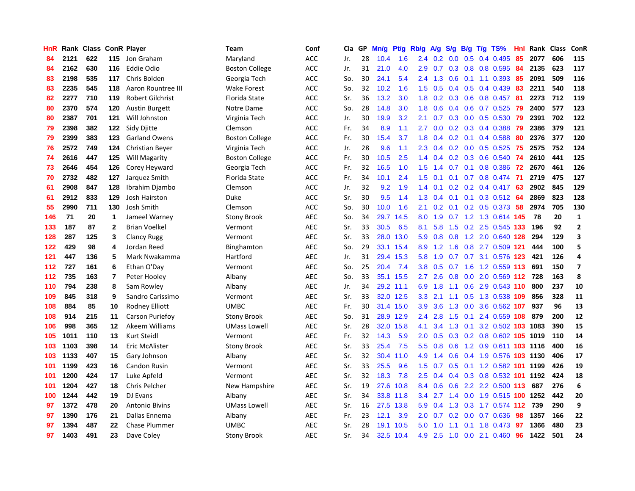| HnR |      | Rank Class |                | <b>ConR Player</b>      | <b>Team</b>           | Conf       | Cla | GP | Mn/g | Pt/g | Rb/g             | $\mathsf{A/g}$ | S/g           | B/g | $T/g$ TS%                  | Hnl | Rank | <b>Class</b> | ConR           |
|-----|------|------------|----------------|-------------------------|-----------------------|------------|-----|----|------|------|------------------|----------------|---------------|-----|----------------------------|-----|------|--------------|----------------|
| 84  | 2121 | 622        | 115            | Jon Graham              | Maryland              | <b>ACC</b> | Jr. | 28 | 10.4 | 1.6  | 2.4              | 0.2            | 0.0           | 0.5 | 0.4 0.495                  | 85  | 2077 | 606          | 115            |
| 84  | 2162 | 630        | 116            | Eddie Odio              | <b>Boston College</b> | <b>ACC</b> | Jr. | 31 | 21.0 | 4.0  | 2.9              | 0.7            | 0.3           |     | 0.8 0.8 0.595              | -84 | 2135 | 623          | 117            |
| 83  | 2198 | 535        | 117            | Chris Bolden            | Georgia Tech          | <b>ACC</b> | So. | 30 | 24.1 | 5.4  | $2.4^{\circ}$    | 1.3            |               |     | $0.6$ 0.1 1.1 0.393        | -85 | 2091 | 509          | 116            |
| 83  | 2235 | 545        | 118            | Aaron Rountree III      | <b>Wake Forest</b>    | <b>ACC</b> | So. | 32 | 10.2 | 1.6  | 1.5              | 0.5            | 0.4           |     | $0.5$ 0.4 0.439            | 83  | 2211 | 540          | 118            |
| 82  | 2277 | 710        | 119            | <b>Robert Gilchrist</b> | Florida State         | <b>ACC</b> | Sr. | 36 | 13.2 | 3.0  | 1.8              | 0.2            | 0.3           |     | 0.6 0.8 0.457              | 81  | 2273 | 712          | 119            |
| 80  | 2370 | 574        | 120            | <b>Austin Burgett</b>   | Notre Dame            | <b>ACC</b> | So. | 28 | 14.8 | 3.0  | 1.8              | 0.6            | 0.4           |     | $0.6$ 0.7 0.525            | 79  | 2400 | 577          | 123            |
| 80  | 2387 | 701        | 121            | Will Johnston           | Virginia Tech         | <b>ACC</b> | Jr. | 30 | 19.9 | 3.2  | 2.1              | 0.7            | 0.3           |     | $0.0$ $0.5$ $0.530$        | 79  | 2391 | 702          | 122            |
| 79  | 2398 | 382        | 122            | Sidy Djitte             | Clemson               | <b>ACC</b> | Fr. | 34 | 8.9  | 1.1  | 2.7              | 0.0            | 0.2           |     | $0.3$ 0.4 0.388            | 79  | 2386 | 379          | 121            |
| 79  | 2399 | 383        | 123            | <b>Garland Owens</b>    | <b>Boston College</b> | <b>ACC</b> | Fr. | 30 | 15.4 | 3.7  | 1.8              | 0.4            | 0.2           |     | $0.1$ 0.4 0.588            | 80  | 2376 | 377          | 120            |
| 76  | 2572 | 749        | 124            | Christian Beyer         | Virginia Tech         | <b>ACC</b> | Jr. | 28 | 9.6  | 1.1  | $2.3^{\circ}$    | 0.4            |               |     | $0.2$ 0.0 0.5 0.525        | -75 | 2575 | 752          | 124            |
| 74  | 2616 | 447        | 125            | Will Magarity           | <b>Boston College</b> | <b>ACC</b> | Fr. | 30 | 10.5 | 2.5  | $1.4^{\circ}$    | 0.4            |               |     | 0.2 0.3 0.6 0.540 74       |     | 2610 | 441          | 125            |
| 73  | 2646 | 454        | 126            | Corey Heyward           | Georgia Tech          | <b>ACC</b> | Fr. | 32 | 16.5 | 1.0  | 1.5              | 1.4            | 0.7           |     | $0.1$ 0.8 0.386            | -72 | 2670 | 461          | 126            |
| 70  | 2732 | 482        | 127            | Jarquez Smith           | Florida State         | <b>ACC</b> | Fr. | 34 | 10.1 | 2.4  | 1.5              | 0.1            | 0.1           |     | $0.7$ 0.8 0.474            | -71 | 2719 | 475          | 127            |
| 61  | 2908 | 847        | 128            | Ibrahim Djambo          | Clemson               | <b>ACC</b> | Jr. | 32 | 9.2  | 1.9  | 1.4              | 0.1            | 0.2           |     | $0.2$ 0.4 0.417            | 63  | 2902 | 845          | 129            |
| 61  | 2912 | 833        | 129            | Josh Hairston           | Duke                  | <b>ACC</b> | Sr. | 30 | 9.5  | 1.4  | 1.3              | 0.4            | 0.1           |     | 0.1 0.3 0.512 64           |     | 2869 | 823          | 128            |
| 55  | 2990 | 711        | 130            | Josh Smith              | Clemson               | <b>ACC</b> | So. | 30 | 10.0 | 1.6  | 2.1              | 0.2            | 0.1           |     | $0.2$ 0.5 0.373            | -58 | 2974 | 705          | 130            |
| 146 | 71   | 20         | $\mathbf 1$    | Jameel Warney           | <b>Stony Brook</b>    | <b>AEC</b> | So. | 34 | 29.7 | 14.5 | 8.0              | 1.9            |               |     | 0.7 1.2 1.3 0.614 145      |     | 78   | 20           | $\mathbf{1}$   |
| 133 | 187  | 87         | $\overline{2}$ | <b>Brian Voelkel</b>    | Vermont               | <b>AEC</b> | Sr. | 33 | 30.5 | 6.5  | 8.1              | 5.8            | $1.5^{\circ}$ |     | 0.2 2.5 0.545 133          |     | 196  | 92           | $\mathbf{2}$   |
| 128 | 287  | 125        | 3              | <b>Clancy Rugg</b>      | Vermont               | <b>AEC</b> | Sr. | 33 | 28.0 | 13.0 | 5.9              | 0.8            |               |     | 0.8 1.2 2.0 0.640 128      |     | 294  | 129          | 3              |
| 122 | 429  | 98         | 4              | Jordan Reed             | Binghamton            | <b>AEC</b> | So. | 29 | 33.1 | 15.4 | 8.9              | 1.2            | 1.6           |     | 0.8 2.7 0.509 121          |     | 444  | 100          | 5              |
| 121 | 447  | 136        | 5              | Mark Nwakamma           | Hartford              | <b>AEC</b> | Jr. | 31 | 29.4 | 15.3 | 5.8              | 1.9            | 0.7           |     | 0.7 3.1 0.576 123          |     | 421  | 126          | 4              |
| 112 | 727  | 161        | 6              | Ethan O'Day             | Vermont               | <b>AEC</b> | So. | 25 | 20.4 | 7.4  | 3.8              | 0.5            |               |     | 0.7 1.6 1.2 0.559 113      |     | 691  | 150          | $\overline{ }$ |
| 112 | 735  | 163        | $\overline{7}$ | Peter Hooley            | Albany                | <b>AEC</b> | So. | 33 | 35.1 | 15.5 | 2.7              | 2.6            | 0.8           |     | $0.0$ 2.0 0.569 112        |     | 728  | 163          | 8              |
| 110 | 794  | 238        | 8              | Sam Rowley              | Albany                | <b>AEC</b> | Jr. | 34 | 29.2 | 11.1 | 6.9              | 1.8            | 1.1           |     | $0.6$ 2.9 $0.543$ 110      |     | 800  | 237          | 10             |
| 109 | 845  | 318        | 9              | Sandro Carissimo        | Vermont               | <b>AEC</b> | Sr. | 33 | 32.0 | 12.5 | 3.3              | 2.1            | 1.1           |     | 0.5 1.3 0.538 109          |     | 856  | 328          | 11             |
| 108 | 884  | 85         | 10             | <b>Rodney Elliott</b>   | <b>UMBC</b>           | <b>AEC</b> | Fr. | 30 | 31.4 | 15.0 | 3.9              | 3.6            | 1.3           |     | 0.0 3.6 0.562 107          |     | 937  | 96           | 13             |
| 108 | 914  | 215        | 11             | <b>Carson Puriefoy</b>  | <b>Stony Brook</b>    | <b>AEC</b> | So. | 31 | 28.9 | 12.9 | $2.4\,$          | 2.8            | 1.5           |     | 0.1 2.4 0.559 108          |     | 879  | 200          | 12             |
| 106 | 998  | 365        | 12             | Akeem Williams          | <b>UMass Lowell</b>   | <b>AEC</b> | Sr. | 28 | 32.0 | 15.8 | 4.1              | 3.4            |               |     | 1.3 0.1 3.2 0.502 103 1083 |     |      | 390          | 15             |
| 105 | 1011 | 110        | 13             | Kurt Steidl             | Vermont               | <b>AEC</b> | Fr. | 32 | 14.3 | 5.9  | 2.0 <sub>1</sub> | 0.5            | 0.3           |     | 0.2 0.8 0.602 105 1019     |     |      | 110          | 14             |
| 103 | 1103 | 398        | 14             | Eric McAlister          | <b>Stony Brook</b>    | <b>AEC</b> | Sr. | 33 | 25.4 | 7.5  | 5.5              | 0.8            | 0.6           |     | 1.2 0.9 0.611 103 1116     |     |      | 400          | 16             |
| 103 | 1133 | 407        | 15             | Gary Johnson            | Albany                | <b>AEC</b> | Sr. | 32 | 30.4 | 11.0 | 4.9              | 1.4            | 0.6           |     | 0.4 1.9 0.576 103 1130     |     |      | 406          | 17             |
| 101 | 1199 | 423        | 16             | <b>Candon Rusin</b>     | Vermont               | <b>AEC</b> | Sr. | 33 | 25.5 | 9.6  | 1.5              | 0.7            | 0.5           |     | 0.1 1.2 0.582 101 1199     |     |      | 426          | 19             |
| 101 | 1200 | 424        | 17             | Luke Apfeld             | Vermont               | <b>AEC</b> | Sr. | 32 | 18.3 | 7.8  | 2.5              | 0.4            | 0.4           |     | 0.3 0.8 0.532 101 1192     |     |      | 424          | 18             |
| 101 | 1204 | 427        | 18             | Chris Pelcher           | New Hampshire         | <b>AEC</b> | Sr. | 19 | 27.6 | 10.8 | 8.4              | 0.6            | 0.6           |     | 2.2 2.2 0.500 113          |     | 687  | 276          | 6              |
| 100 | 1244 | 442        | 19             | DJ Evans                | Albany                | <b>AEC</b> | Sr. | 34 | 33.8 | 11.8 | 3.4              | 2.7            | 1.4           |     | 0.0 1.9 0.515 100 1252     |     |      | 442          | 20             |
| 97  | 1372 | 478        | 20             | <b>Antonio Bivins</b>   | <b>UMass Lowell</b>   | <b>AEC</b> | Sr. | 16 | 27.5 | 13.8 | 5.9              | $0.4^{\circ}$  |               |     | 1.3 0.3 1.7 0.574 112      |     | 739  | 290          | 9              |
| 97  | 1390 | 176        | 21             | Dallas Ennema           | Albany                | <b>AEC</b> | Fr. | 23 | 12.1 | 3.9  | $2.0^{\circ}$    | 0.7            |               |     | $0.2$ $0.0$ $0.7$ $0.636$  | 98  | 1357 | 166          | 22             |
| 97  | 1394 | 487        | 22             | <b>Chase Plummer</b>    | UMBC                  | <b>AEC</b> | Sr. | 28 | 19.1 | 10.5 | 5.0              | 1.0            | 1.1           |     | $0.1$ 1.8 $0.473$          | -97 | 1366 | 480          | 23             |
| 97  | 1403 | 491        | 23             | Dave Coley              | <b>Stony Brook</b>    | <b>AEC</b> | Sr. | 34 | 32.5 | 10.4 | 4.9              | 2.5            | 1.0           |     | $0.0$ 2.1 $0.460$          | 96  | 1422 | 501          | 24             |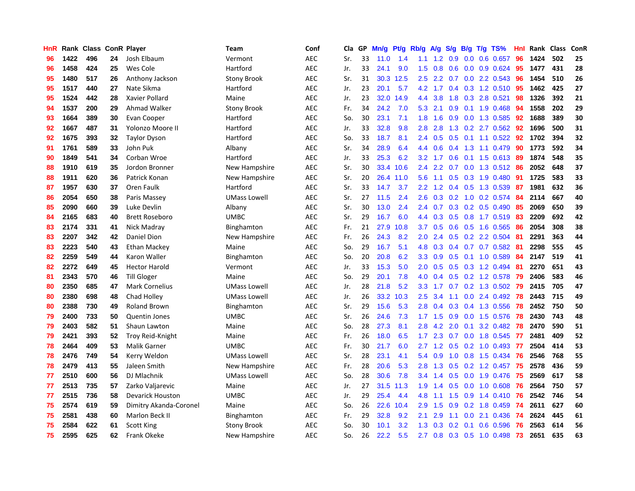| HnR |      | Rank Class |    | <b>ConR Player</b>      | Team                | Conf       | Cla | GP | Mn/g | Pt/g | Rb/g             | A/g       | S/g | B/g | T/g TS%                   | Hnl | Rank | <b>Class</b> | ConR |
|-----|------|------------|----|-------------------------|---------------------|------------|-----|----|------|------|------------------|-----------|-----|-----|---------------------------|-----|------|--------------|------|
| 96  | 1422 | 496        | 24 | Josh Elbaum             | Vermont             | <b>AEC</b> | Sr. | 33 | 11.0 | 1.4  | 1.1              | 1.2       | 0.9 |     | $0.0$ 0.6 0.657           | 96  | 1424 | 502          | 25   |
| 96  | 1458 | 424        | 25 | Wes Cole                | Hartford            | <b>AEC</b> | Jr. | 33 | 24.1 | 9.0  | 1.5              | 0.8       |     |     | $0.6$ $0.0$ $0.9$ $0.624$ | 95  | 1477 | 431          | 28   |
| 95  | 1480 | 517        | 26 | Anthony Jackson         | <b>Stony Brook</b>  | <b>AEC</b> | Sr. | 31 | 30.3 | 12.5 | 2.5              | 2.2       |     |     | 0.7 0.0 2.2 0.543         | -96 | 1454 | 510          | 26   |
| 95  | 1517 | 440        | 27 | Nate Sikma              | Hartford            | <b>AEC</b> | Jr. | 23 | 20.1 | 5.7  | 4.2              | 1.7       |     |     | 0.4 0.3 1.2 0.510         | 95  | 1462 | 425          | 27   |
| 95  | 1524 | 442        | 28 | Xavier Pollard          | Maine               | <b>AEC</b> | Jr. | 23 | 32.0 | 14.9 | $4.4^{\circ}$    | 3.8       | 1.8 |     | 0.3 2.8 0.521             | 98  | 1326 | 392          | 21   |
| 94  | 1537 | 200        | 29 | Ahmad Walker            | <b>Stony Brook</b>  | <b>AEC</b> | Fr. | 34 | 24.2 | 7.0  | 5.3              | 2.1       | 0.9 |     | $0.1$ 1.9 0.468           | -94 | 1558 | 202          | 29   |
| 93  | 1664 | 389        | 30 | Evan Cooper             | Hartford            | <b>AEC</b> | So. | 30 | 23.1 | 7.1  | 1.8              | 1.6       | 0.9 |     | $0.0$ 1.3 0.585           | 92  | 1688 | 389          | 30   |
| 92  | 1667 | 487        | 31 | Yolonzo Moore II        | Hartford            | <b>AEC</b> | Jr. | 33 | 32.8 | 9.8  | 2.8              | 2.8       | 1.3 |     | $0.2$ 2.7 $0.562$         | -92 | 1696 | 500          | 31   |
| 92  | 1675 | 393        | 32 | <b>Taylor Dyson</b>     | Hartford            | <b>AEC</b> | So. | 33 | 18.7 | 8.1  | 2.4              | 0.5       | 0.5 |     | $0.1$ 1.1 0.522           | 92  | 1702 | 394          | 32   |
| 91  | 1761 | 589        | 33 | John Puk                | Albany              | <b>AEC</b> | Sr. | 34 | 28.9 | 6.4  | $4.4^{\circ}$    | 0.6       |     |     | $0.4$ 1.3 1.1 0.479       | -90 | 1773 | 592          | 34   |
| 90  | 1849 | 541        | 34 | Corban Wroe             | Hartford            | <b>AEC</b> | Jr. | 33 | 25.3 | 6.2  | 3.2              | 1.7       |     |     | 0.6 0.1 1.5 0.613 89      |     | 1874 | 548          | 35   |
| 88  | 1910 | 619        | 35 | Jordon Bronner          | New Hampshire       | <b>AEC</b> | Sr. | 30 | 33.4 | 10.6 | $2.4^{\circ}$    | 2.2       |     |     | 0.7 0.0 1.3 0.512 86      |     | 2052 | 648          | 37   |
| 88  | 1911 | 620        | 36 | Patrick Konan           | New Hampshire       | <b>AEC</b> | Sr. | 20 | 26.4 | 11.0 | 5.6              | 1.1       | 0.5 |     | $0.3$ 1.9 0.480           | -91 | 1725 | 583          | 33   |
| 87  | 1957 | 630        | 37 | Oren Faulk              | Hartford            | <b>AEC</b> | Sr. | 33 | 14.7 | 3.7  | $2.2^{\circ}$    | 1.2       | 0.4 |     | 0.5 1.3 0.539             | -87 | 1981 | 632          | 36   |
| 86  | 2054 | 650        | 38 | Paris Massey            | <b>UMass Lowell</b> | <b>AEC</b> | Sr. | 27 | 11.5 | 2.4  | 2.6              | 0.3       | 0.2 |     | 1.0 0.2 0.574             | -84 | 2114 | 667          | 40   |
| 85  | 2090 | 660        | 39 | Luke Devlin             | Albany              | <b>AEC</b> | Sr. | 30 | 13.0 | 2.4  | 2.4              | 0.7       |     |     | 0.3 0.2 0.5 0.490         | 85  | 2069 | 650          | 39   |
| 84  | 2165 | 683        | 40 | <b>Brett Roseboro</b>   | <b>UMBC</b>         | <b>AEC</b> | Sr. | 29 | 16.7 | 6.0  | 4.4              | 0.3       | 0.5 |     | 0.8 1.7 0.519             | -83 | 2209 | 692          | 42   |
| 83  | 2174 | 331        | 41 | Nick Madray             | Binghamton          | <b>AEC</b> | Fr. | 21 | 27.9 | 10.8 | 3.7              | 0.5       | 0.6 |     | 0.5 1.6 0.565             | -86 | 2054 | 308          | 38   |
| 83  | 2207 | 342        | 42 | Daniel Dion             | New Hampshire       | <b>AEC</b> | Fr. | 26 | 24.3 | 8.2  | 2.0 <sub>1</sub> | 2.4       |     |     | $0.5$ 0.2 2.2 0.504       | -81 | 2291 | 363          | 44   |
| 83  | 2223 | 540        | 43 | Ethan Mackey            | Maine               | <b>AEC</b> | So. | 29 | 16.7 | 5.1  | 4.8              | 0.3       |     |     | 0.4 0.7 0.7 0.582 81      |     | 2298 | 555          | 45   |
| 82  | 2259 | 549        | 44 | Karon Waller            | Binghamton          | <b>AEC</b> | So. | 20 | 20.8 | 6.2  | 3.3 <sub>2</sub> | 0.9       |     |     | $0.5$ 0.1 1.0 0.589       | -84 | 2147 | 519          | 41   |
| 82  | 2272 | 649        | 45 | <b>Hector Harold</b>    | Vermont             | <b>AEC</b> | Jr. | 33 | 15.3 | 5.0  | 2.0              | 0.5       | 0.5 |     | 0.3 1.2 0.494             | 81  | 2270 | 651          | 43   |
| 81  | 2343 | 570        | 46 | Till Gloger             | Maine               | <b>AEC</b> | So. | 29 | 20.1 | 7.8  | 4.0              | 0.4       | 0.5 |     | $0.2$ 1.2 $0.578$         | 79  | 2406 | 583          | 46   |
| 80  | 2350 | 685        | 47 | <b>Mark Cornelius</b>   | <b>UMass Lowell</b> | <b>AEC</b> | Jr. | 28 | 21.8 | 5.2  | 3.3 <sub>2</sub> | 1.7       | 0.7 |     | $0.2$ 1.3 $0.502$         | 79  | 2415 | 705          | 47   |
| 80  | 2380 | 698        | 48 | Chad Holley             | <b>UMass Lowell</b> | <b>AEC</b> | Jr. | 26 | 33.2 | 10.3 | 2.5              | 3.4       | 1.1 |     | $0.0$ 2.4 $0.492$         | 78  | 2443 | 715          | 49   |
| 80  | 2388 | 730        | 49 | <b>Roland Brown</b>     | Binghamton          | <b>AEC</b> | Sr. | 29 | 15.6 | 5.3  | 2.8              | 0.4       | 0.3 |     | 0.4 1.3 0.556             | 78  | 2452 | 750          | 50   |
| 79  | 2400 | 733        | 50 | <b>Quentin Jones</b>    | <b>UMBC</b>         | <b>AEC</b> | Sr. | 26 | 24.6 | 7.3  |                  | $1.7$ 1.5 | 0.9 |     | 0.0 1.5 0.576             | -78 | 2430 | 743          | 48   |
| 79  | 2403 | 582        | 51 | Shaun Lawton            | Maine               | <b>AEC</b> | So. | 28 | 27.3 | 8.1  | 2.8              | 4.2       | 2.0 |     | $0.1$ 3.2 0.482           | 78  | 2470 | 590          | 51   |
| 79  | 2421 | 393        | 52 | Troy Reid-Knight        | Maine               | <b>AEC</b> | Fr. | 26 | 18.0 | 6.5  | 1.7 <sub>2</sub> | 2.3       |     |     | $0.7$ $0.0$ 1.8 $0.545$   | -77 | 2481 | 409          | 52   |
| 78  | 2464 | 409        | 53 | Malik Garner            | <b>UMBC</b>         | <b>AEC</b> | Fr. | 30 | 21.7 | 6.0  | $2.7^{\circ}$    | 1.2       | 0.5 |     | $0.2$ 1.0 0.493           | -77 | 2504 | 414          | 53   |
| 78  | 2476 | 749        | 54 | Kerry Weldon            | <b>UMass Lowell</b> | <b>AEC</b> | Sr. | 28 | 23.1 | 4.1  | 5.4              | 0.9       | 1.0 |     | $0.8$ 1.5 0.434           | -76 | 2546 | 768          | 55   |
| 78  | 2479 | 413        | 55 | Jaleen Smith            | New Hampshire       | <b>AEC</b> | Fr. | 28 | 20.6 | 5.3  | 2.8              | 1.3       | 0.5 |     | 0.2 1.2 0.457             | 75  | 2578 | 436          | 59   |
| 77  | 2510 | 600        | 56 | DJ Mlachnik             | <b>UMass Lowell</b> | <b>AEC</b> | So. | 28 | 30.6 | 7.8  | $3.4^{\circ}$    | 1.4       | 0.5 |     | 0.0 1.9 0.476             | 75  | 2569 | 617          | 58   |
| 77  | 2513 | 735        | 57 | Zarko Valjarevic        | Maine               | <b>AEC</b> | Jr. | 27 | 31.5 | 11.3 | 1.9              | 1.4       | 0.5 |     | 0.0 1.0 0.608             | 76  | 2564 | 750          | 57   |
| 77  | 2515 | 736        | 58 | <b>Devarick Houston</b> | <b>UMBC</b>         | <b>AEC</b> | Jr. | 29 | 25.4 | 4.4  | 4.8              | 1.1       | 1.5 |     | $0.9$ 1.4 0.410           | 76  | 2542 | 746          | 54   |
| 75  | 2574 | 619        | 59 | Dimitry Akanda-Coronel  | Maine               | <b>AEC</b> | So. | 26 | 22.6 | 10.4 | 2.9              | 1.5       | 0.9 |     | $0.2$ 1.8 $0.459$         | -74 | 2611 | 627          | 60   |
| 75  | 2581 | 438        | 60 | Marlon Beck II          | Binghamton          | <b>AEC</b> | Fr. | 29 | 32.8 | 9.2  | 2.1              | 2.9       | 1.1 |     | $0.0$ 2.1 $0.436$         | -74 | 2624 | 445          | 61   |
| 75  | 2584 | 622        | 61 | <b>Scott King</b>       | <b>Stony Brook</b>  | <b>AEC</b> | So. | 30 | 10.1 | 3.2  | 1.3              | 0.3       | 0.2 | 0.1 | $0.6$ 0.596               | -76 | 2563 | 614          | 56   |
| 75  | 2595 | 625        | 62 | Frank Okeke             | New Hampshire       | <b>AEC</b> | So. | 26 | 22.2 | 5.5  | 2.7              | 0.8       |     |     | $0.3$ $0.5$ 1.0 $0.498$   | 73  | 2651 | 635          | 63   |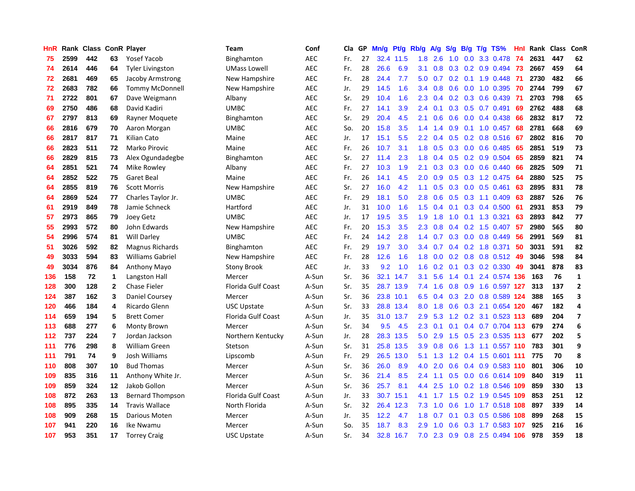| HnR |      | Rank Class ConR Player |                |                         | Team                      | Conf       | Cla | GP | Mn/g | Pt/g      | Rb/g          | $\mathsf{A/g}$ | S/g           | B/g | $T/g$ TS%               | Hnl | Rank | <b>Class</b> | ConR           |
|-----|------|------------------------|----------------|-------------------------|---------------------------|------------|-----|----|------|-----------|---------------|----------------|---------------|-----|-------------------------|-----|------|--------------|----------------|
| 75  | 2599 | 442                    | 63             | <b>Yosef Yacob</b>      | Binghamton                | <b>AEC</b> | Fr. | 27 | 32.4 | 11.5      | 1.8           | 2.6            | 1.0           |     | 0.0 3.3 0.478           | -74 | 2631 | 447          | 62             |
| 74  | 2614 | 446                    | 64             | <b>Tyler Livingston</b> | <b>UMass Lowell</b>       | <b>AEC</b> | Fr. | 28 | 26.6 | 6.9       | 3.1           | 0.8            |               |     | $0.3$ 0.2 0.9 0.494     | -73 | 2667 | 459          | 64             |
| 72  | 2681 | 469                    | 65             | Jacoby Armstrong        | New Hampshire             | <b>AEC</b> | Fr. | 28 | 24.4 | 7.7       | 5.0           | 0.7            |               |     | $0.2$ 0.1 1.9 0.448     | -71 | 2730 | 482          | 66             |
| 72  | 2683 | 782                    | 66             | <b>Tommy McDonnell</b>  | New Hampshire             | <b>AEC</b> | Jr. | 29 | 14.5 | 1.6       | 3.4           | 0.8            | 0.6           |     | $0.0$ 1.0 0.395         | 70  | 2744 | 799          | 67             |
| 71  | 2722 | 801                    | 67             | Dave Weigmann           | Albany                    | <b>AEC</b> | Sr. | 29 | 10.4 | 1.6       | 2.3           | 0.4            | 0.2           |     | 0.3 0.6 0.439           | -71 | 2703 | 798          | 65             |
| 69  | 2750 | 486                    | 68             | David Kadiri            | <b>UMBC</b>               | <b>AEC</b> | Fr. | 27 | 14.1 | 3.9       | 2.4           | 0.1            | 0.3           |     | $0.5$ 0.7 0.491         | 69  | 2762 | 488          | 68             |
| 67  | 2797 | 813                    | 69             | Rayner Moquete          | Binghamton                | <b>AEC</b> | Sr. | 29 | 20.4 | 4.5       | 2.1           | 0.6            | 0.6           |     | $0.0$ 0.4 0.438         | 66  | 2832 | 817          | 72             |
| 66  | 2816 | 679                    | 70             | Aaron Morgan            | UMBC                      | <b>AEC</b> | So. | 20 | 15.8 | 3.5       | 1.4           | 1.4            | 0.9           |     | $0.1$ 1.0 0.457         | 68  | 2781 | 668          | 69             |
| 66  | 2817 | 817                    | 71             | Kilian Cato             | Maine                     | <b>AEC</b> | Jr. | 17 | 15.1 | 5.5       | 2.2           | 0.4            | 0.5           |     | 0.2 0.8 0.516           | -67 | 2802 | 816          | 70             |
| 66  | 2823 | 511                    | 72             | Marko Pirovic           | Maine                     | <b>AEC</b> | Fr. | 26 | 10.7 | 3.1       | 1.8           | 0.5            | 0.3           |     | $0.0$ 0.6 0.485         | -65 | 2851 | 519          | 73             |
| 66  | 2829 | 815                    | 73             | Alex Ogundadegbe        | Binghamton                | <b>AEC</b> | Sr. | 27 | 11.4 | 2.3       | 1.8           | $0.4^{\circ}$  |               |     | $0.5$ 0.2 0.9 0.504     | -65 | 2859 | 821          | 74             |
| 64  | 2851 | 521                    | 74             | Mike Rowley             | Albany                    | <b>AEC</b> | Fr. | 27 | 10.3 | 1.9       | 2.1           | 0.3            | 0.3           |     | $0.0$ 0.6 0.440         | -66 | 2825 | 509          | 71             |
| 64  | 2852 | 522                    | 75             | Garet Beal              | Maine                     | <b>AEC</b> | Fr. | 26 | 14.1 | 4.5       | 2.0           | 0.9            | 0.5           |     | $0.3$ 1.2 0.475         | -64 | 2880 | 525          | 75             |
| 64  | 2855 | 819                    | 76             | <b>Scott Morris</b>     | New Hampshire             | <b>AEC</b> | Sr. | 27 | 16.0 | 4.2       | 1.1           | 0.5            | 0.3           |     | $0.0$ $0.5$ $0.461$     | 63  | 2895 | 831          | 78             |
| 64  | 2869 | 524                    | 77             | Charles Taylor Jr.      | <b>UMBC</b>               | <b>AEC</b> | Fr. | 29 | 18.1 | 5.0       | 2.8           | 0.6            | 0.5           |     | 0.3 1.1 0.409           | 63  | 2887 | 526          | 76             |
| 61  | 2919 | 849                    | 78             | Jamie Schneck           | Hartford                  | <b>AEC</b> | Jr. | 31 | 10.0 | 1.6       | 1.5           | 0.4            | 0.1           |     | $0.3$ 0.4 0.500         | -61 | 2931 | 853          | 79             |
| 57  | 2973 | 865                    | 79             | Joey Getz               | <b>UMBC</b>               | <b>AEC</b> | Jr. | 17 | 19.5 | 3.5       | 1.9           | 1.8            | 1.0           |     | 0.1 1.3 0.321           | 63  | 2893 | 842          | 77             |
| 55  | 2993 | 572                    | 80             | John Edwards            | New Hampshire             | <b>AEC</b> | Fr. | 20 | 15.3 | 3.5       | 2.3           | 0.8            | $0.4^{\circ}$ |     | 0.2 1.5 0.407           | -57 | 2980 | 565          | 80             |
| 54  | 2996 | 574                    | 81             | <b>Will Darley</b>      | <b>UMBC</b>               | <b>AEC</b> | Fr. | 24 | 14.2 | 2.8       | $1.4^{\circ}$ | 0.7            |               |     | $0.3$ 0.0 0.8 0.449     | -56 | 2991 | 569          | 81             |
| 51  | 3026 | 592                    | 82             | <b>Magnus Richards</b>  | Binghamton                | <b>AEC</b> | Fr. | 29 | 19.7 | 3.0       | $3.4^{\circ}$ | 0.7            |               |     | $0.4$ 0.2 1.8 0.371     | -50 | 3031 | 591          | 82             |
| 49  | 3033 | 594                    | 83             | <b>Williams Gabriel</b> | New Hampshire             | <b>AEC</b> | Fr. | 28 | 12.6 | 1.6       | 1.8           | 0.0            |               |     | $0.2$ 0.8 0.8 0.512     | -49 | 3046 | 598          | 84             |
| 49  | 3034 | 876                    | 84             | Anthony Mayo            | <b>Stony Brook</b>        | <b>AEC</b> | Jr. | 33 | 9.2  | 1.0       | 1.6           | 0.2            | 0.1           |     | 0.3 0.2 0.330           | 49  | 3041 | 878          | 83             |
| 136 | 158  | 72                     | $\mathbf{1}$   | Langston Hall           | Mercer                    | A-Sun      | Sr. | 36 | 32.1 | 14.7      | 3.1           | 5.6            | $1.4^{\circ}$ |     | 0.1 2.4 0.574 136       |     | 163  | 76           | $\mathbf{1}$   |
| 128 | 300  | 128                    | $\mathbf{2}$   | Chase Fieler            | Florida Gulf Coast        | A-Sun      | Sr. | 35 | 28.7 | 13.9      | 7.4           | 1.6            | 0.8           |     | 0.9 1.6 0.597 127       |     | 313  | 137          | $\overline{2}$ |
| 124 | 387  | 162                    | 3              | Daniel Coursey          | Mercer                    | A-Sun      | Sr. | 36 | 23.8 | 10.1      | 6.5           | 0.4            | 0.3           |     | 2.0 0.8 0.589 124       |     | 388  | 165          | 3              |
| 120 | 466  | 184                    | 4              | Ricardo Glenn           | <b>USC Upstate</b>        | A-Sun      | Sr. | 33 | 28.8 | 13.4      | 8.0           | 1.8            | 0.6           |     | 0.3 2.1 0.654 120       |     | 467  | 182          | 4              |
| 114 | 659  | 194                    | 5              | <b>Brett Comer</b>      | Florida Gulf Coast        | A-Sun      | Jr. | 35 |      | 31.0 13.7 | $2.9^{\circ}$ | 5.3            |               |     | 1.2 0.2 3.1 0.523 113   |     | 689  | 204          | $\overline{ }$ |
| 113 | 688  | 277                    | 6              | Monty Brown             | Mercer                    | A-Sun      | Sr. | 34 | 9.5  | 4.5       | 2.3           | 0.1            |               |     | $0.1$ 0.4 0.7 0.704 113 |     | 679  | 274          | 6              |
| 112 | 737  | 224                    | $\overline{7}$ | Jordan Jackson          | Northern Kentucky         | A-Sun      | Jr. | 28 | 28.3 | 13.5      | 5.0           | 2.9            | 1.5           |     | 0.5 2.3 0.535 113       |     | 677  | 202          | 5              |
| 111 | 776  | 298                    | 8              | William Green           | Stetson                   | A-Sun      | Sr. | 31 | 25.8 | 13.5      | 3.9           | 0.8            | 0.6           |     | 1.3 1.1 0.557 110       |     | 783  | 301          | 9              |
| 111 | 791  | 74                     | 9              | Josh Williams           | Lipscomb                  | A-Sun      | Fr. | 29 | 26.5 | 13.0      | 5.1           | 1.3            | 1.2           |     | 0.4 1.5 0.601 111       |     | 775  | 70           | 8              |
| 110 | 808  | 307                    | 10             | <b>Bud Thomas</b>       | Mercer                    | A-Sun      | Sr. | 36 | 26.0 | 8.9       | 4.0           | 2.0            | 0.6           |     | 0.4 0.9 0.583 110       |     | 801  | 306          | 10             |
| 109 | 835  | 316                    | 11             | Anthony White Jr.       | Mercer                    | A-Sun      | Sr. | 36 | 21.4 | 8.5       | 2.4           | 1.1            | 0.5           |     | $0.0$ $0.6$ $0.614$ 109 |     | 840  | 319          | 11             |
| 109 | 859  | 324                    | 12             | Jakob Gollon            | Mercer                    | A-Sun      | Sr. | 36 | 25.7 | 8.1       | 4.4           | 2.5            | 1.0           |     | 0.2 1.8 0.546 109       |     | 859  | 330          | 13             |
| 108 | 872  | 263                    | 13             | <b>Bernard Thompson</b> | <b>Florida Gulf Coast</b> | A-Sun      | Jr. | 33 | 30.7 | 15.1      | 4.1           | 1.7            | 1.5           |     | 0.2 1.9 0.545 109       |     | 853  | 251          | 12             |
| 108 | 895  | 335                    | 14             | <b>Travis Wallace</b>   | North Florida             | A-Sun      | Sr. | 32 | 26.4 | 12.3      | 7.3           | 1.0            | 0.6           |     | 1.0 1.7 0.518 108       |     | 897  | 339          | 14             |
| 108 | 909  | 268                    | 15             | Darious Moten           | Mercer                    | A-Sun      | Jr. | 35 | 12.2 | 4.7       | 1.8           | 0.7            | 0.1           |     | 0.3 0.5 0.586 108       |     | 899  | 268          | 15             |
| 107 | 941  | 220                    | 16             | Ike Nwamu               | Mercer                    | A-Sun      | So. | 35 | 18.7 | 8.3       | 2.9           | 1.0            | 0.6           |     | 0.3 1.7 0.583 107       |     | 925  | 216          | 16             |
| 107 | 953  | 351                    | 17             | <b>Torrey Craig</b>     | <b>USC Upstate</b>        | A-Sun      | Sr. | 34 | 32.8 | 16.7      | 7.0           | 2.3            | 0.9           |     | 0.8 2.5 0.494 106       |     | 978  | 359          | 18             |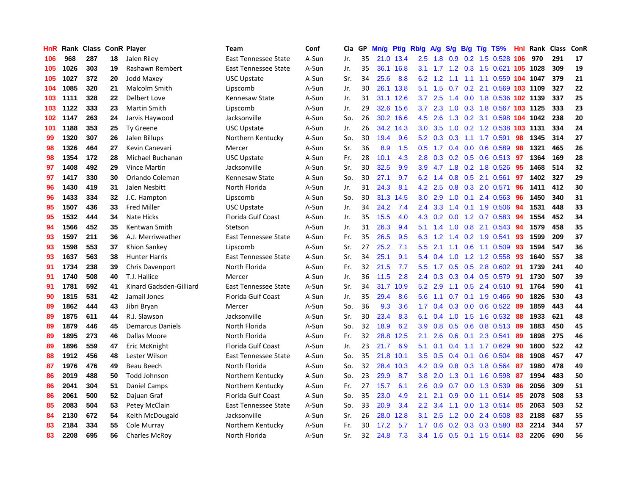| HnR |      | Rank Class ConR Player |    |                         | <b>Team</b>                 | Conf  | Cla | GP | Mn/g | <b>Pt/g</b> | Rb/g             | A/g | S/g             | B/g | $T/g$ TS%                      | Hnl | Rank | <b>Class</b> | ConR |
|-----|------|------------------------|----|-------------------------|-----------------------------|-------|-----|----|------|-------------|------------------|-----|-----------------|-----|--------------------------------|-----|------|--------------|------|
| 106 | 968  | 287                    | 18 | Jalen Riley             | East Tennessee State        | A-Sun | Jr. | 35 | 21.0 | 13.4        | 2.5              | 1.8 | 0.9             |     | 0.2 1.5 0.528 106              |     | 970  | 291          | 17   |
| 105 | 1026 | 303                    | 19 | Rashawn Rembert         | East Tennessee State        | A-Sun | Jr. | 35 | 36.1 | 16.8        | 3.1              |     |                 |     | 1.7 1.2 0.3 1.5 0.621 105 1028 |     |      | 309          | 19   |
| 105 | 1027 | 372                    | 20 | Jodd Maxey              | USC Upstate                 | A-Sun | Sr. | 34 | 25.6 | 8.8         | 6.2              |     |                 |     | 1.2 1.1 1.1 1.1 0.559 104 1047 |     |      | 379          | 21   |
| 104 | 1085 | 320                    | 21 | <b>Malcolm Smith</b>    | Lipscomb                    | A-Sun | Jr. | 30 | 26.1 | 13.8        | 5.1              | 1.5 |                 |     | 0.7 0.2 2.1 0.569 103 1109     |     |      | 327          | 22   |
| 103 | 1111 | 328                    | 22 | Delbert Love            | Kennesaw State              | A-Sun | Jr. | 31 | 31.1 | 12.6        | 3.7              | 2.5 | 1.4             |     | 0.0 1.8 0.536 102 1139         |     |      | 337          | 25   |
| 103 | 1122 | 333                    | 23 | <b>Martin Smith</b>     | Lipscomb                    | A-Sun | Jr. | 29 | 32.6 | 15.6        | 3.7              | 2.3 | 1.0             |     | 0.3 1.8 0.567 103 1125         |     |      | 333          | 23   |
| 102 | 1147 | 263                    | 24 | Jarvis Haywood          | Jacksonville                | A-Sun | So. | 26 | 30.2 | 16.6        | 4.5              | 2.6 | 1.3             |     | 0.2 3.1 0.598 104              |     | 1042 | 238          | 20   |
| 101 | 1188 | 353                    | 25 | <b>Ty Greene</b>        | <b>USC Upstate</b>          | A-Sun | Jr. | 26 | 34.2 | 14.3        | 3.0              | 3.5 | 1.0             |     | 0.2 1.2 0.538 103 1131         |     |      | 334          | 24   |
| 99  | 1320 | 307                    | 26 | Jalen Billups           | Northern Kentucky           | A-Sun | So. | 30 | 19.4 | 9.6         | 5.2              | 0.3 | 0.3             |     | 1.1 1.7 0.591                  | 98  | 1345 | 314          | 27   |
| 98  | 1326 | 464                    | 27 | Kevin Canevari          | Mercer                      | A-Sun | Sr. | 36 | 8.9  | 1.5         | 0.5              | 1.7 |                 |     | $0.4$ 0.0 0.6 0.589            | -98 | 1321 | 465          | 26   |
| 98  | 1354 | 172                    | 28 | Michael Buchanan        | <b>USC Upstate</b>          | A-Sun | Fr. | 28 | 10.1 | 4.3         | 2.8              |     |                 |     | 0.3 0.2 0.5 0.6 0.513 97       |     | 1364 | 169          | 28   |
| 97  | 1408 | 492                    | 29 | Vince Martin            | Jacksonville                | A-Sun | Sr. | 30 | 32.5 | 9.9         | 3.9              |     |                 |     | 4.7 1.8 0.2 1.8 0.526          | -95 | 1468 | 514          | 32   |
| 97  | 1417 | 330                    | 30 | Orlando Coleman         | Kennesaw State              | A-Sun | So. | 30 | 27.1 | 9.7         | 6.2              | 1.4 |                 |     | 0.8 0.5 2.1 0.561              | 97  | 1402 | 327          | 29   |
| 96  | 1430 | 419                    | 31 | Jalen Nesbitt           | North Florida               | A-Sun | Jr. | 31 | 24.3 | 8.1         | 4.2              | 2.5 | 0.8             |     | 0.3 2.0 0.571                  | 96  | 1411 | 412          | 30   |
| 96  | 1433 | 334                    | 32 | J.C. Hampton            | Lipscomb                    | A-Sun | So. | 30 | 31.3 | 14.5        | 3.0 <sub>2</sub> | 2.9 | 1.0             |     | $0.1$ 2.4 0.563                | -96 | 1450 | 340          | 31   |
| 95  | 1507 | 436                    | 33 | <b>Fred Miller</b>      | USC Upstate                 | A-Sun | Jr. | 34 | 24.2 | 7.4         | 2.4              | 3.3 | 1.4             |     | $0.1$ 1.9 0.506                | 94  | 1531 | 448          | 33   |
| 95  | 1532 | 444                    | 34 | Nate Hicks              | Florida Gulf Coast          | A-Sun | Jr. | 35 | 15.5 | 4.0         | 4.3              | 0.2 | 0.0             |     | 1.2 0.7 0.583                  | -94 | 1554 | 452          | 34   |
| 94  | 1566 | 452                    | 35 | Kentwan Smith           | Stetson                     | A-Sun | Jr. | 31 | 26.3 | 9.4         | 5.1              | 1.4 | 1.0             |     | 0.8 2.1 0.543                  | 94  | 1579 | 458          | 35   |
| 93  | 1597 | 211                    | 36 | A.J. Merriweather       | <b>East Tennessee State</b> | A-Sun | Fr. | 35 | 26.5 | 9.5         | 6.3              |     |                 |     | 1.2 1.4 0.2 1.9 0.541          | -93 | 1599 | 209          | 37   |
| 93  | 1598 | 553                    | 37 | Khion Sankey            | Lipscomb                    | A-Sun | Sr. | 27 | 25.2 | 7.1         | 5.5              | 2.1 |                 |     | 1.1 0.6 1.1 0.509              | -93 | 1594 | 547          | 36   |
| 93  | 1637 | 563                    | 38 | <b>Hunter Harris</b>    | East Tennessee State        | A-Sun | Sr. | 34 | 25.1 | 9.1         | 5.4              | 0.4 |                 |     | 1.0 1.2 1.2 0.558              | -93 | 1640 | 557          | 38   |
| 91  | 1734 | 238                    | 39 | Chris Davenport         | North Florida               | A-Sun | Fr. | 32 | 21.5 | 7.7         | 5.5              | 1.7 | 0.5             |     | 0.5 2.8 0.602                  | -91 | 1739 | 241          | 40   |
| 91  | 1740 | 508                    | 40 | T.J. Hallice            | Mercer                      | A-Sun | Jr. | 36 | 11.5 | 2.8         | $2.4^{\circ}$    | 0.3 | 0.3             |     | 0.4 0.5 0.579                  | -91 | 1730 | 507          | 39   |
| 91  | 1781 | 592                    | 41 | Kinard Gadsden-Gilliard | East Tennessee State        | A-Sun | Sr. | 34 | 31.7 | 10.9        | 5.2              | 2.9 | 1.1             |     | $0.5$ 2.4 $0.510$              | -91 | 1764 | 590          | 41   |
| 90  | 1815 | 531                    | 42 | Jamail Jones            | Florida Gulf Coast          | A-Sun | Jr. | 35 | 29.4 | 8.6         | 5.6              | 1.1 | 0.7             |     | $0.1$ 1.9 0.466                | -90 | 1826 | 530          | 43   |
| 89  | 1862 | 444                    | 43 | Jibri Bryan             | Mercer                      | A-Sun | So. | 36 | 9.3  | 3.6         | 1.7              | 0.4 | 0.3             |     | 0.0 0.6 0.522 89               |     | 1859 | 443          | 44   |
| 89  | 1875 | 611                    | 44 | R.J. Slawson            | Jacksonville                | A-Sun | Sr. | 30 | 23.4 | 8.3         | 6.1              | 0.4 |                 |     | 1.0 1.5 1.6 0.532 88           |     | 1933 | 621          | 48   |
| 89  | 1879 | 446                    | 45 | <b>Demarcus Daniels</b> | North Florida               | A-Sun | So. | 32 | 18.9 | 6.2         | 3.9              | 0.8 |                 |     | 0.5 0.6 0.8 0.513 89           |     | 1883 | 450          | 45   |
| 89  | 1895 | 273                    | 46 | Dallas Moore            | North Florida               | A-Sun | Fr. | 32 | 28.8 | 12.5        | 2.1              | 2.6 | 0.6             |     | $0.1$ 2.3 0.541                | -89 | 1898 | 275          | 46   |
| 89  | 1896 | 559                    | 47 | Eric McKnight           | <b>Florida Gulf Coast</b>   | A-Sun | Jr. | 23 | 21.7 | 6.9         | 5.1              | 0.1 |                 |     | $0.4$ 1.1 1.7 0.629            | -90 | 1800 | 522          | 42   |
| 88  | 1912 | 456                    | 48 | Lester Wilson           | East Tennessee State        | A-Sun | So. | 35 | 21.8 | 10.1        | 3.5              | 0.5 | 0.4             |     | $0.1$ 0.6 0.504                | -88 | 1908 | 457          | 47   |
| 87  | 1976 | 476                    | 49 | Beau Beech              | North Florida               | A-Sun | So. | 32 | 28.4 | 10.3        | 4.2              | 0.9 | 0.8             |     | 0.3 1.8 0.564                  | -87 | 1980 | 478          | 49   |
| 86  | 2019 | 488                    | 50 | <b>Todd Johnson</b>     | Northern Kentucky           | A-Sun | So. | 23 | 29.9 | 8.7         | 3.8              | 2.0 | 1.3             |     | $0.1$ 1.6 0.598                | 87  | 1994 | 483          | 50   |
| 86  | 2041 | 304                    | 51 | Daniel Camps            | Northern Kentucky           | A-Sun | Fr. | 27 | 15.7 | 6.1         | 2.6              | 0.9 | 0.7             |     | $0.0$ 1.3 0.539                | 86  | 2056 | 309          | 51   |
| 86  | 2061 | 500                    | 52 | Dajuan Graf             | <b>Florida Gulf Coast</b>   | A-Sun | So. | 35 | 23.0 | 4.9         | 2.1              | 2.1 | 0.9             |     | 0.0 1.1 0.514 85               |     | 2078 | 508          | 53   |
| 85  | 2083 | 504                    | 53 | Petey McClain           | East Tennessee State        | A-Sun | So. | 33 | 20.9 | 3.4         | 2.2              |     | $3.4 \quad 1.1$ |     | 0.0 1.3 0.514 85               |     | 2063 | 503          | 52   |
| 84  | 2130 | 672                    | 54 | Keith McDougald         | Jacksonville                | A-Sun | Sr. | 26 | 28.0 | 12.8        | 3.1              | 2.5 |                 |     | 1.2 0.0 2.4 0.508              | -83 | 2188 | 687          | 55   |
| 83  | 2184 | 334                    | 55 | Cole Murray             | Northern Kentucky           | A-Sun | Fr. | 30 | 17.2 | 5.7         | 1.7 <sub>2</sub> | 0.6 |                 |     | $0.2$ $0.3$ $0.3$ $0.580$      | 83  | 2214 | 344          | 57   |
| 83  | 2208 | 695                    | 56 | <b>Charles McRoy</b>    | North Florida               | A-Sun | Sr. | 32 | 24.8 | 7.3         | $3.4^{\circ}$    | 1.6 |                 |     | 0.5 0.1 1.5 0.514 83           |     | 2206 | 690          | 56   |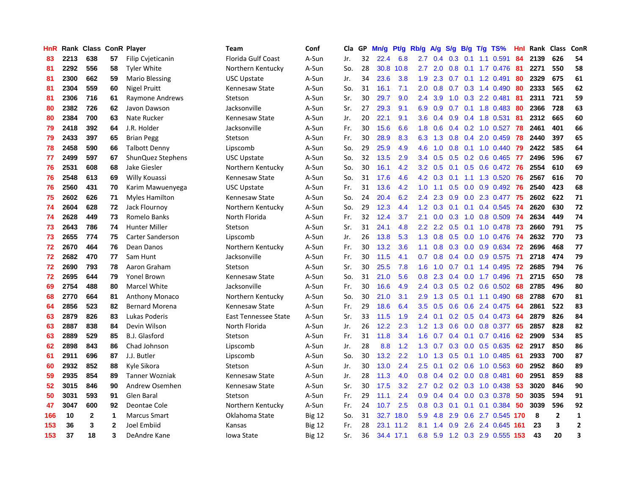| HnR |      | Rank Class ConR Player |              |                          | Team                      | Conf          | Cla | GP | Mn/g | <b>Pt/g</b> | Rb/g             | A/g | S/g              | B/g              | $T/g$ TS%                 | Hnl | Rank | <b>Class</b>   | ConR         |
|-----|------|------------------------|--------------|--------------------------|---------------------------|---------------|-----|----|------|-------------|------------------|-----|------------------|------------------|---------------------------|-----|------|----------------|--------------|
| 83  | 2213 | 638                    | 57           | <b>Filip Cvjeticanin</b> | <b>Florida Gulf Coast</b> | A-Sun         | Jr. | 32 | 22.4 | 6.8         | 2.7              | 0.4 | 0.3 <sub>0</sub> | 0.1              | 1.1 0.591                 | 84  | 2139 | 626            | 54           |
| 81  | 2292 | 556                    | 58           | <b>Tyler White</b>       | Northern Kentucky         | A-Sun         | So. | 28 | 30.8 | 10.8        | 2.7              | 2.0 |                  |                  | 0.8 0.1 1.7 0.476 81      |     | 2271 | 550            | 58           |
| 81  | 2300 | 662                    | 59           | Mario Blessing           | USC Upstate               | A-Sun         | Jr. | 34 | 23.6 | 3.8         | 1.9              | 2.3 |                  |                  | $0.7$ 0.1 1.2 0.491       | -80 | 2329 | 675            | 61           |
| 81  | 2304 | 559                    | 60           | <b>Nigel Pruitt</b>      | Kennesaw State            | A-Sun         | So. | 31 | 16.1 | 7.1         | 2.0 <sub>1</sub> | 0.8 |                  |                  | $0.7$ $0.3$ 1.4 $0.490$   | 80  | 2333 | 565            | 62           |
| 81  | 2306 | 716                    | 61           | Raymone Andrews          | Stetson                   | A-Sun         | Sr. | 30 | 29.7 | 9.0         | $2.4\,$          | 3.9 | 1.0              |                  | 0.3 2.2 0.481             | -81 | 2311 | 721            | 59           |
| 80  | 2382 | 726                    | 62           | Javon Dawson             | Jacksonville              | A-Sun         | Sr. | 27 | 29.3 | 9.1         | 6.9              | 0.9 | 0.7              |                  | $0.1$ 1.8 0.483           | -80 | 2366 | 728            | 63           |
| 80  | 2384 | 700                    | 63           | Nate Rucker              | Kennesaw State            | A-Sun         | Jr. | 20 | 22.1 | 9.1         | 3.6              | 0.4 | 0.9              |                  | 0.4 1.8 0.531             | -81 | 2312 | 665            | 60           |
| 79  | 2418 | 392                    | 64           | J.R. Holder              | Jacksonville              | A-Sun         | Fr. | 30 | 15.6 | 6.6         | 1.8              | 0.6 | 0.4              |                  | $0.2$ 1.0 0.527           | 78  | 2461 | 401            | 66           |
| 79  | 2433 | 397                    | 65           | <b>Brian Pegg</b>        | Stetson                   | A-Sun         | Fr. | 30 | 28.9 | 8.3         | 6.3              | 1.3 | 0.8              |                  | $0.4$ 2.0 0.459           | 78  | 2440 | 397            | 65           |
| 78  | 2458 | 590                    | 66           | <b>Talbott Denny</b>     | Lipscomb                  | A-Sun         | So. | 29 | 25.9 | 4.9         | 4.6              | 1.0 |                  |                  | 0.8 0.1 1.0 0.440 79      |     | 2422 | 585            | 64           |
| 77  | 2499 | 597                    | 67           | ShunQuez Stephens        | USC Upstate               | A-Sun         | So. | 32 | 13.5 | 2.9         | 3.4              | 0.5 |                  |                  | 0.5 0.2 0.6 0.465 77      |     | 2496 | 596            | 67           |
| 76  | 2531 | 608                    | 68           | Jake Giesler             | Northern Kentucky         | A-Sun         | So. | 30 | 16.1 | 4.2         | 3.2              | 0.5 | 0.1              |                  | 0.5 0.6 0.472 76          |     | 2554 | 610            | 69           |
| 76  | 2548 | 613                    | 69           | Willy Kouassi            | Kennesaw State            | A-Sun         | So. | 31 | 17.6 | 4.6         | 4.2              | 0.3 | 0.1              |                  | 1.1 1.3 0.520             | -76 | 2567 | 616            | 70           |
| 76  | 2560 | 431                    | 70           | Karim Mawuenyega         | <b>USC Upstate</b>        | A-Sun         | Fr. | 31 | 13.6 | 4.2         | 1.0              | 1.1 | 0.5              |                  | $0.0$ 0.9 0.492           | -76 | 2540 | 423            | 68           |
| 75  | 2602 | 626                    | 71           | <b>Myles Hamilton</b>    | Kennesaw State            | A-Sun         | So. | 24 | 20.4 | 6.2         | 2.4              | 2.3 | 0.9              |                  | $0.0$ 2.3 0.477           | 75  | 2602 | 622            | 71           |
| 74  | 2604 | 628                    | 72           | Jack Flournoy            | Northern Kentucky         | A-Sun         | So. | 29 | 12.3 | 4.4         | 1.2              | 0.3 | 0.1              |                  | $0.1$ 0.4 0.545           | -74 | 2620 | 630            | 72           |
| 74  | 2628 | 449                    | 73           | Romelo Banks             | North Florida             | A-Sun         | Fr. | 32 | 12.4 | 3.7         | 2.1              | 0.0 | 0.3              | 1.0              | 0.8 0.509                 | -74 | 2634 | 449            | 74           |
| 73  | 2643 | 786                    | 74           | <b>Hunter Miller</b>     | Stetson                   | A-Sun         | Sr. | 31 | 24.1 | 4.8         | $2.2^{\circ}$    | 2.2 | 0.5              |                  | $0.1$ 1.0 0.478 73        |     | 2660 | 791            | 75           |
| 73  | 2655 | 774                    | 75           | <b>Carter Sanderson</b>  | Lipscomb                  | A-Sun         | Jr. | 26 | 13.8 | 5.3         | 1.3              | 0.8 |                  |                  | 0.5 0.0 1.0 0.476 74      |     | 2632 | 770            | 73           |
| 72  | 2670 | 464                    | 76           | Dean Danos               | Northern Kentucky         | A-Sun         | Fr. | 30 | 13.2 | 3.6         | 1.1              | 0.8 | 0.3              |                  | 0.0 0.9 0.634 72          |     | 2696 | 468            | 77           |
| 72  | 2682 | 470                    | 77           | Sam Hunt                 | Jacksonville              | A-Sun         | Fr. | 30 | 11.5 | 4.1         | 0.7              | 0.8 | 0.4              |                  | $0.0$ 0.9 0.575           | -71 | 2718 | 474            | 79           |
| 72  | 2690 | 793                    | 78           | Aaron Graham             | Stetson                   | A-Sun         | Sr. | 30 | 25.5 | 7.8         | 1.6              | 1.0 | 0.7              |                  | $0.1$ 1.4 0.495           | 72  | 2685 | 794            | 76           |
| 72  | 2695 | 644                    | 79           | <b>Yonel Brown</b>       | Kennesaw State            | A-Sun         | So. | 31 | 21.0 | 5.6         | 0.8              | 2.3 | 0.4              |                  | $0.0$ 1.7 $0.496$         | 71  | 2715 | 650            | 78           |
| 69  | 2754 | 488                    | 80           | Marcel White             | Jacksonville              | A-Sun         | Fr. | 30 | 16.6 | 4.9         | 2.4              | 0.3 | 0.5              |                  | $0.2$ 0.6 0.502           | -68 | 2785 | 496            | 80           |
| 68  | 2770 | 664                    | 81           | <b>Anthony Monaco</b>    | Northern Kentucky         | A-Sun         | So. | 30 | 21.0 | 3.1         | 2.9              | 1.3 | 0.5              |                  | 0.1 1.1 0.490             | 68  | 2788 | 670            | 81           |
| 64  | 2856 | 523                    | 82           | <b>Bernard Morena</b>    | Kennesaw State            | A-Sun         | Fr. | 29 | 18.6 | 6.4         | 3.5              | 0.5 | 0.6              |                  | 0.6 2.4 0.475 64          |     | 2861 | 522            | 83           |
| 63  | 2879 | 826                    | 83           | Lukas Poderis            | East Tennessee State      | A-Sun         | Sr. | 33 | 11.5 | 1.9         | $2.4^{\circ}$    | 0.1 |                  |                  | 0.2 0.5 0.4 0.473 64      |     | 2879 | 826            | 84           |
| 63  | 2887 | 838                    | 84           | Devin Wilson             | North Florida             | A-Sun         | Jr. | 26 | 12.2 | 2.3         | 1.2              | 1.3 | 0.6              |                  | 0.0 0.8 0.377 65          |     | 2857 | 828            | 82           |
| 63  | 2889 | 529                    | 85           | B.J. Glasford            | Stetson                   | A-Sun         | Fr. | 31 | 11.8 | 3.4         | 1.6              | 0.7 | 0.4              |                  | $0.1$ 0.7 0.416 62        |     | 2909 | 534            | 85           |
| 62  | 2898 | 843                    | 86           | Chad Johnson             | Lipscomb                  | A-Sun         | Jr. | 28 | 8.8  | 1.2         | 1.3              | 0.7 | 0.3              |                  | $0.0$ $0.5$ $0.635$       | 62  | 2917 | 850            | 86           |
| 61  | 2911 | 696                    | 87           | J.J. Butler              | Lipscomb                  | A-Sun         | So. | 30 | 13.2 | 2.2         | 1.0              | 1.3 | 0.5              |                  | $0.1$ 1.0 0.485           | -61 | 2933 | 700            | 87           |
| 60  | 2932 | 852                    | 88           | Kyle Sikora              | Stetson                   | A-Sun         | Jr. | 30 | 13.0 | 2.4         | $2.5^{\circ}$    | 0.1 | 0.2              |                  | $0.6$ 1.0 0.563           | -60 | 2952 | 860            | 89           |
| 59  | 2935 | 854                    | 89           | <b>Tanner Wozniak</b>    | Kennesaw State            | A-Sun         | Jr. | 28 | 11.3 | 4.0         | 0.8              | 0.4 | 0.2              | 0.0 <sub>1</sub> | 0.8 0.481                 | 60  | 2951 | 859            | 88           |
| 52  | 3015 | 846                    | 90           | Andrew Osemhen           | Kennesaw State            | A-Sun         | Sr. | 30 | 17.5 | 3.2         | 2.7              | 0.2 |                  |                  | $0.2$ $0.3$ 1.0 0.438     | -53 | 3020 | 846            | 90           |
| 50  | 3031 | 593                    | 91           | Glen Baral               | Stetson                   | A-Sun         | Fr. | 29 | 11.1 | 2.4         | 0.9 <sub>0</sub> | 0.4 | 0.4              |                  | 0.0 0.3 0.378 50          |     | 3035 | 594            | 91           |
| 47  | 3047 | 600                    | 92           | Deontae Cole             | Northern Kentucky         | A-Sun         | Fr. | 24 | 10.7 | 2.5         | 0.8              | 0.3 | 0.1              |                  | $0.1$ 0.1 0.384           | -50 | 3039 | 596            | 92           |
| 166 | 10   | $\mathbf{2}$           | 1            | <b>Marcus Smart</b>      | Oklahoma State            | <b>Big 12</b> | So. | 31 | 32.7 | 18.0        | 5.9              | 4.8 | 2.9              |                  | 0.6 2.7 0.545 170         |     | 8    | $\overline{2}$ | $\mathbf 1$  |
| 153 | 36   | 3                      | $\mathbf{2}$ | Joel Embiid              | Kansas                    | <b>Big 12</b> | Fr. | 28 | 23.1 | 11.2        | 8.1              | 1.4 | 0.9              |                  | 2.6 2.4 0.645             | 161 | 23   | 3              | $\mathbf{2}$ |
| 153 | 37   | 18                     | 3            | DeAndre Kane             | Iowa State                | <b>Big 12</b> | Sr. | 36 |      | 34.4 17.1   | 6.8              |     |                  |                  | 5.9 1.2 0.3 2.9 0.555 153 |     | 43   | 20             | 3            |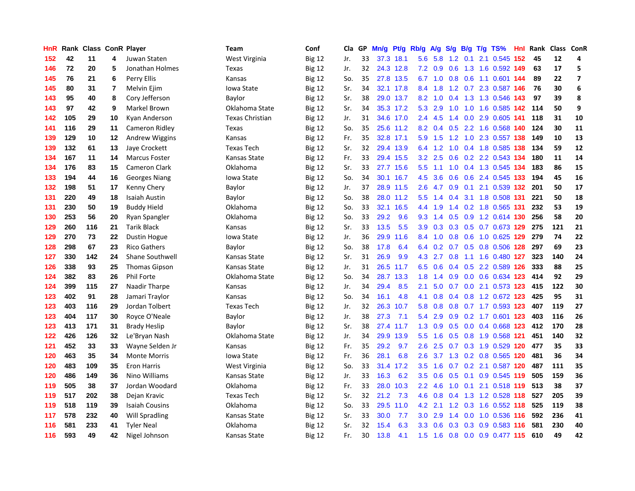| HnR |     | Rank Class ConR Player |                |                        | <b>Team</b>            | Conf          | Cla | GP | Mn/g | Pt/g      | Rb/g             | A/g | S/g           |     | $B/g$ T/g TS%                 |     | Hnl Rank | Class ConR |                |
|-----|-----|------------------------|----------------|------------------------|------------------------|---------------|-----|----|------|-----------|------------------|-----|---------------|-----|-------------------------------|-----|----------|------------|----------------|
| 152 | 42  | 11                     | 4              | Juwan Staten           | West Virginia          | <b>Big 12</b> | Jr. | 33 | 37.3 | 18.1      | 5.6              | 5.8 | 1.2           | 0.1 | 2.1 0.545                     | 152 | 45       | 12         | 4              |
| 146 | 72  | 20                     | 5              | Jonathan Holmes        | Texas                  | <b>Big 12</b> | Jr. | 32 |      | 24.3 12.8 | 7.2              | 0.9 | 0.6           |     | 1.3 1.6 0.592 149             |     | 63       | 17         | 5              |
| 145 | 76  | 21                     | 6              | Perry Ellis            | Kansas                 | <b>Big 12</b> | So. | 35 |      | 27.8 13.5 |                  |     |               |     | 6.7 1.0 0.8 0.6 1.1 0.601 144 |     | 89       | 22         | $\overline{ }$ |
| 145 | 80  | 31                     | $\overline{7}$ | Melvin Ejim            | Iowa State             | <b>Big 12</b> | Sr. | 34 |      | 32.1 17.8 | 8.4              | 1.8 |               |     | 1.2 0.7 2.3 0.587 146         |     | 76       | 30         | 6              |
| 143 | 95  | 40                     | 8              | Cory Jefferson         | Baylor                 | <b>Big 12</b> | Sr. | 38 |      | 29.0 13.7 | 8.2              | 1.0 |               |     | 0.4 1.3 1.3 0.546 143         |     | 97       | 39         | 8              |
| 143 | 97  | 42                     | 9              | Markel Brown           | Oklahoma State         | <b>Big 12</b> | Sr. | 34 |      | 35.3 17.2 | 5.3              | 2.9 | 1.0           |     | 1.0 1.6 0.585 142             |     | 114      | 50         | 9              |
| 142 | 105 | 29                     | 10             | Kyan Anderson          | <b>Texas Christian</b> | <b>Big 12</b> | Jr. | 31 |      | 34.6 17.0 | 2.4              | 4.5 | $1.4^{\circ}$ |     | $0.0$ 2.9 $0.605$ 141         |     | 118      | 31         | 10             |
| 141 | 116 | 29                     | 11             | Cameron Ridley         | Texas                  | <b>Big 12</b> | So. | 35 |      | 25.6 11.2 | 8.2              | 0.4 | 0.5           |     | 2.2 1.6 0.568 140             |     | 124      | 30         | 11             |
| 139 | 129 | 10                     | 12             | Andrew Wiggins         | Kansas                 | <b>Big 12</b> | Fr. | 35 |      | 32.8 17.1 | 5.9              | 1.5 |               |     | 1.2 1.0 2.3 0.557 138         |     | 149      | 10         | 13             |
| 139 | 132 | 61                     | 13             | Jaye Crockett          | <b>Texas Tech</b>      | <b>Big 12</b> | Sr. | 32 |      | 29.4 13.9 | 6.4              | 1.2 | 1.0           |     | 0.4 1.8 0.585 138             |     | 134      | 59         | 12             |
| 134 | 167 | 11                     | 14             | <b>Marcus Foster</b>   | Kansas State           | <b>Big 12</b> | Fr. | 33 |      | 29.4 15.5 |                  |     |               |     | 3.2 2.5 0.6 0.2 2.2 0.543 134 |     | 180      | 11         | 14             |
| 134 | 176 | 83                     | 15             | Cameron Clark          | Oklahoma               | <b>Big 12</b> | Sr. | 33 |      | 27.7 15.6 | 5.5              |     |               |     | 1.1 1.0 0.4 1.3 0.545 134     |     | 183      | 86         | 15             |
| 133 | 194 | 44                     | 16             | <b>Georges Niang</b>   | Iowa State             | <b>Big 12</b> | So. | 34 | 30.1 | 16.7      | 4.5              | 3.6 | 0.6           |     | 0.6 2.4 0.545 133             |     | 194      | 45         | 16             |
| 132 | 198 | 51                     | 17             | Kenny Chery            | Baylor                 | <b>Big 12</b> | Jr. | 37 | 28.9 | 11.5      | 2.6              | 4.7 | 0.9           |     | $0.1$ 2.1 0.539 132           |     | 201      | 50         | 17             |
| 131 | 220 | 49                     | 18             | Isaiah Austin          | Baylor                 | <b>Big 12</b> | So. | 38 |      | 28.0 11.2 | 5.5              | 1.4 | 0.4           |     | 3.1 1.8 0.508 131             |     | 221      | 50         | 18             |
| 131 | 230 | 50                     | 19             | <b>Buddy Hield</b>     | Oklahoma               | <b>Big 12</b> | So. | 33 | 32.1 | 16.5      | 4.4              | 1.9 | 1.4           |     | 0.2 1.8 0.565 131             |     | 232      | 53         | 19             |
| 130 | 253 | 56                     | 20             | Ryan Spangler          | Oklahoma               | <b>Big 12</b> | So. | 33 | 29.2 | 9.6       | 9.3              | 1.4 | 0.5           |     | 0.9 1.2 0.614 130             |     | 256      | 58         | 20             |
| 129 | 260 | 116                    | 21             | <b>Tarik Black</b>     | Kansas                 | <b>Big 12</b> | Sr. | 33 | 13.5 | 5.5       | 3.9              | 0.3 | 0.3           |     | 0.5 0.7 0.673 129             |     | 275      | 121        | 21             |
| 129 | 270 | 73                     | 22             | <b>Dustin Hogue</b>    | Iowa State             | <b>Big 12</b> | Jr. | 36 | 29.9 | 11.6      | 8.4              | 1.0 |               |     | 0.8 0.6 1.0 0.625 129         |     | 279      | 74         | 22             |
| 128 | 298 | 67                     | 23             | <b>Rico Gathers</b>    | Baylor                 | <b>Big 12</b> | So. | 38 | 17.8 | 6.4       | 6.4              | 0.2 |               |     | 0.7 0.5 0.8 0.506 128         |     | 297      | 69         | 23             |
| 127 | 330 | 142                    | 24             | <b>Shane Southwell</b> | Kansas State           | <b>Big 12</b> | Sr. | 31 | 26.9 | 9.9       | 4.3              | 2.7 |               |     | 0.8 1.1 1.6 0.480 127         |     | 323      | 140        | 24             |
| 126 | 338 | 93                     | 25             | <b>Thomas Gipson</b>   | Kansas State           | <b>Big 12</b> | Jr. | 31 | 26.5 | 11.7      | 6.5              | 0.6 | $0.4^{\circ}$ |     | 0.5 2.2 0.589 126             |     | 333      | 88         | 25             |
| 124 | 382 | 83                     | 26             | Phil Forte             | Oklahoma State         | <b>Big 12</b> | So. | 34 | 28.7 | 13.3      | 1.8              | 1.4 | 0.9           |     | 0.0 0.6 0.634 123             |     | 414      | 92         | 29             |
| 124 | 399 | 115                    | 27             | Naadir Tharpe          | Kansas                 | <b>Big 12</b> | Jr. | 34 | 29.4 | 8.5       | 2.1              | 5.0 | 0.7           |     | 0.0 2.1 0.573 123             |     | 415      | 122        | 30             |
| 123 | 402 | 91                     | 28             | Jamari Traylor         | Kansas                 | <b>Big 12</b> | So. | 34 | 16.1 | 4.8       | 4.1              | 0.8 | 0.4           |     | 0.8 1.2 0.672 123             |     | 425      | 95         | 31             |
| 123 | 403 | 116                    | 29             | Jordan Tolbert         | <b>Texas Tech</b>      | <b>Big 12</b> | Jr. | 32 | 26.3 | 10.7      | 5.8              | 0.8 | 0.8           |     | 0.7 1.7 0.593 123             |     | 407      | 119        | 27             |
| 123 | 404 | 117                    | 30             | Royce O'Neale          | Baylor                 | <b>Big 12</b> | Jr. | 38 | 27.3 | 7.1       | 5.4              | 2.9 |               |     | 0.9 0.2 1.7 0.601 123         |     | 403      | 116        | 26             |
| 123 | 413 | 171                    | 31             | <b>Brady Heslip</b>    | Baylor                 | <b>Big 12</b> | Sr. | 38 |      | 27.4 11.7 | 1.3              | 0.9 |               |     | 0.5 0.0 0.4 0.668 123         |     | 412      | 170        | 28             |
| 122 | 426 | 126                    | 32             | Le'Bryan Nash          | Oklahoma State         | <b>Big 12</b> | Jr. | 34 | 29.9 | 13.9      | 5.5              | 1.6 | 0.5           |     | 0.8 1.9 0.568 121             |     | 451      | 140        | 32             |
| 121 | 452 | 33                     | 33             | Wayne Selden Jr        | Kansas                 | <b>Big 12</b> | Fr. | 35 | 29.2 | 9.7       | 2.6              | 2.5 | 0.7           |     | 0.3 1.9 0.529 120             |     | 477      | 35         | 33             |
| 120 | 463 | 35                     | 34             | <b>Monte Morris</b>    | Iowa State             | <b>Big 12</b> | Fr. | 36 | 28.1 | 6.8       | 2.6              | 3.7 | 1.3           |     | 0.2 0.8 0.565 120             |     | 481      | 36         | 34             |
| 120 | 483 | 109                    | 35             | <b>Eron Harris</b>     | West Virginia          | <b>Big 12</b> | So. | 33 | 31.4 | 17.2      | 3.5              | 1.6 | 0.7           |     | 0.2 2.1 0.587 120             |     | 487      | 111        | 35             |
| 120 | 486 | 149                    | 36             | Nino Williams          | Kansas State           | <b>Big 12</b> | Jr. | 33 | 16.3 | 6.2       | $3.5^{\circ}$    | 0.6 | 0.5           | 0.1 | 0.9 0.545 119                 |     | 505      | 159        | 36             |
| 119 | 505 | 38                     | 37             | Jordan Woodard         | Oklahoma               | <b>Big 12</b> | Fr. | 33 | 28.0 | 10.3      | $2.2\phantom{0}$ | 4.6 | 1.0           |     | 0.1 2.1 0.518 119 513         |     |          | 38         | 37             |
| 119 | 517 | 202                    | 38             | Dejan Kravic           | <b>Texas Tech</b>      | <b>Big 12</b> | Sr. | 32 | 21.2 | 7.3       | 4.6              | 0.8 |               |     | 0.4 1.3 1.2 0.528 118 527     |     |          | 205        | 39             |
| 119 | 518 | 119                    | 39             | <b>Isaiah Cousins</b>  | Oklahoma               | <b>Big 12</b> | So. | 33 | 29.5 | 11.0      | 4.2              | 2.1 |               |     | 1.2 0.3 1.6 0.552 118         |     | 525      | 119        | 38             |
| 117 | 578 | 232                    | 40             | Will Spradling         | Kansas State           | <b>Big 12</b> | Sr. | 33 | 30.0 | 7.7       | 3.0 <sub>2</sub> | 2.9 | $1.4^{\circ}$ |     | $0.0$ 1.0 $0.536$ 116         |     | 592      | 236        | 41             |
| 116 | 581 | 233                    | 41             | <b>Tyler Neal</b>      | Oklahoma               | <b>Big 12</b> | Sr. | 32 | 15.4 | 6.3       | 3.3              | 0.6 | 0.3           |     | 0.3 0.9 0.583 116             |     | 581      | 230        | 40             |
| 116 | 593 | 49                     | 42             | Nigel Johnson          | Kansas State           | <b>Big 12</b> | Fr. | 30 | 13.8 | 4.1       | 1.5              | 1.6 | 0.8           |     | 0.0 0.9 0.477 115             |     | 610      | 49         | 42             |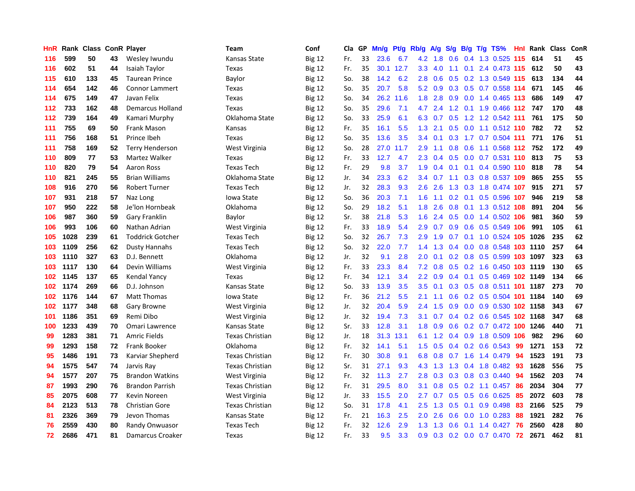| HnR | Rank | <b>Class</b> |    | <b>ConR Player</b>      | Team                   | Conf          | Cla | GP | Mn/g | <b>Pt/g</b> | Rb/g             | A/g | S/g           | B/g | $T/g$ TS%                    | Hnl | Rank | <b>Class</b> | ConR |
|-----|------|--------------|----|-------------------------|------------------------|---------------|-----|----|------|-------------|------------------|-----|---------------|-----|------------------------------|-----|------|--------------|------|
| 116 | 599  | 50           | 43 | Wesley Iwundu           | Kansas State           | <b>Big 12</b> | Fr. | 33 | 23.6 | 6.7         | 4.2              | 1.8 | 0.6           |     | 0.4 1.3 0.525 115            |     | 614  | 51           | 45   |
| 116 | 602  | 51           | 44 | Isaiah Taylor           | Texas                  | <b>Big 12</b> | Fr. | 35 | 30.1 | 12.7        | 3.3 <sub>2</sub> | 4.0 | $-1.1$        |     | 0.1 2.4 0.473 115 612        |     |      | 50           | 43   |
| 115 | 610  | 133          | 45 | <b>Taurean Prince</b>   | Baylor                 | <b>Big 12</b> | So. | 38 | 14.2 | 6.2         | 2.8              | 0.6 | 0.5           |     | $0.2$ 1.3 0.549 115          |     | 613  | 134          | 44   |
| 114 | 654  | 142          | 46 | <b>Connor Lammert</b>   | Texas                  | <b>Big 12</b> | So. | 35 | 20.7 | 5.8         | 5.2              | 0.9 | 0.3           |     | 0.5 0.7 0.558 114            |     | 671  | 145          | 46   |
| 114 | 675  | 149          | 47 | Javan Felix             | Texas                  | <b>Big 12</b> | So. | 34 | 26.2 | 11.6        | 1.8              | 2.8 | 0.9           |     | $0.0$ 1.4 0.465 113          |     | 686  | 149          | 47   |
| 112 | 733  | 162          | 48 | <b>Demarcus Holland</b> | Texas                  | <b>Big 12</b> | So. | 35 | 29.6 | 7.1         | 4.7              | 2.4 |               |     | 1.2 0.1 1.9 0.466 112        |     | 747  | 170          | 48   |
| 112 | 739  | 164          | 49 | Kamari Murphy           | Oklahoma State         | <b>Big 12</b> | So. | 33 | 25.9 | 6.1         | 6.3              | 0.7 | 0.5           |     | 1.2 1.2 0.542 111            |     | 761  | 175          | 50   |
| 111 | 755  | 69           | 50 | Frank Mason             | Kansas                 | <b>Big 12</b> | Fr. | 35 | 16.1 | 5.5         | 1.3              | 2.1 | 0.5           |     | 0.0 1.1 0.512 110            |     | 782  | 72           | 52   |
| 111 | 756  | 168          | 51 | Prince Ibeh             | Texas                  | <b>Big 12</b> | So. | 35 | 13.6 | 3.5         | 3.4              | 0.1 |               |     | 0.3 1.7 0.7 0.504 111        |     | 771  | 176          | 51   |
| 111 | 758  | 169          | 52 | <b>Terry Henderson</b>  | West Virginia          | <b>Big 12</b> | So. | 28 | 27.0 | 11.7        | 2.9              | 1.1 |               |     | 0.8 0.6 1.1 0.568 112 752    |     |      | 172          | 49   |
| 110 | 809  | 77           | 53 | Martez Walker           | Texas                  | <b>Big 12</b> | Fr. | 33 | 12.7 | 4.7         | 2.3              | 0.4 | 0.5           |     | 0.0 0.7 0.531 110 813        |     |      | 75           | 53   |
| 110 | 820  | 79           | 54 | <b>Aaron Ross</b>       | Texas Tech             | <b>Big 12</b> | Fr. | 29 | 9.8  | 3.7         | 1.9              | 0.4 | 0.1           |     | $0.1$ 0.4 0.590 110          |     | 818  | 78           | 54   |
| 110 | 821  | 245          | 55 | <b>Brian Williams</b>   | Oklahoma State         | <b>Big 12</b> | Jr. | 34 | 23.3 | 6.2         | 3.4              | 0.7 | 1.1           |     | 0.3 0.8 0.537 109            |     | 865  | 255          | 55   |
| 108 | 916  | 270          | 56 | <b>Robert Turner</b>    | <b>Texas Tech</b>      | <b>Big 12</b> | Jr. | 32 | 28.3 | 9.3         | 2.6              | 2.6 | 1.3           |     | 0.3 1.8 0.474 107            |     | 915  | 271          | 57   |
| 107 | 931  | 218          | 57 | Naz Long                | Iowa State             | <b>Big 12</b> | So. | 36 | 20.3 | 7.1         | 1.6              | 1.1 | 0.2           |     | 0.1 0.5 0.596 107            |     | 946  | 219          | 58   |
| 107 | 950  | 222          | 58 | Je'lon Hornbeak         | Oklahoma               | <b>Big 12</b> | So. | 29 | 18.2 | 5.1         | 1.8              | 2.6 | 0.8           |     | 0.1 1.3 0.512 108            |     | 891  | 204          | 56   |
| 106 | 987  | 360          | 59 | Gary Franklin           | Baylor                 | <b>Big 12</b> | Sr. | 38 | 21.8 | 5.3         | 1.6              | 2.4 | 0.5           |     | $0.0$ 1.4 $0.502$ 106        |     | 981  | 360          | 59   |
| 106 | 993  | 106          | 60 | Nathan Adrian           | West Virginia          | <b>Big 12</b> | Fr. | 33 | 18.9 | 5.4         | 2.9              | 0.7 | 0.9           |     | $0.6$ $0.5$ $0.549$ 106      |     | 991  | 105          | 61   |
| 105 | 1028 | 239          | 61 | <b>Toddrick Gotcher</b> | <b>Texas Tech</b>      | <b>Big 12</b> | So. | 32 | 26.7 | 7.3         | 2.9              | 1.9 | 0.7           |     | 0.1 1.0 0.524 105 1026       |     |      | 235          | 62   |
| 103 | 1109 | 256          | 62 | Dusty Hannahs           | <b>Texas Tech</b>      | <b>Big 12</b> | So. | 32 | 22.0 | 7.7         | 1.4              | 1.3 | $0.4^{\circ}$ |     | 0.0 0.8 0.548 103 1110       |     |      | 257          | 64   |
| 103 | 1110 | 327          | 63 | D.J. Bennett            | Oklahoma               | <b>Big 12</b> | Jr. | 32 | 9.1  | 2.8         | 2.0              | 0.1 | 0.2           |     | 0.8 0.5 0.599 103 1097       |     |      | 323          | 63   |
| 103 | 1117 | 130          | 64 | Devin Williams          | West Virginia          | <b>Big 12</b> | Fr. | 33 | 23.3 | 8.4         | 7.2              | 0.8 | 0.5           |     | 0.2 1.6 0.450 103 1119       |     |      | 130          | 65   |
| 102 | 1145 | 137          | 65 | Kendal Yancy            | Texas                  | <b>Big 12</b> | Fr. | 34 | 12.1 | 3.4         | 2.2              | 0.9 | 0.4           |     | 0.1 0.5 0.469 102 1149       |     |      | 134          | 66   |
| 102 | 1174 | 269          | 66 | D.J. Johnson            | Kansas State           | <b>Big 12</b> | So. | 33 | 13.9 | 3.5         | 3.5              | 0.1 | 0.3           |     | 0.5 0.8 0.511 101 1187       |     |      | 273          | 70   |
| 102 | 1176 | 144          | 67 | <b>Matt Thomas</b>      | Iowa State             | <b>Big 12</b> | Fr. | 36 | 21.2 | 5.5         | 2.1              | 1.1 | 0.6           |     | 0.2 0.5 0.504 101 1184       |     |      | 140          | 69   |
| 102 | 1177 | 348          | 68 | <b>Gary Browne</b>      | West Virginia          | <b>Big 12</b> | Jr. | 32 | 20.4 | 5.9         | 2.4              | 1.5 | 0.9           |     | 0.0 0.9 0.530 102 1158       |     |      | 343          | 67   |
| 101 | 1186 | 351          | 69 | Remi Dibo               | West Virginia          | <b>Big 12</b> | Jr. | 32 | 19.4 | 7.3         | 3.1              | 0.7 |               |     | $0.4$ 0.2 0.6 0.545 102 1168 |     |      | 347          | 68   |
| 100 | 1233 | 439          | 70 | Omari Lawrence          | Kansas State           | <b>Big 12</b> | Sr. | 33 | 12.8 | 3.1         | 1.8              | 0.9 | 0.6           |     | 0.2 0.7 0.472 100 1246       |     |      | 440          | 71   |
| 99  | 1283 | 381          | 71 | <b>Amric Fields</b>     | <b>Texas Christian</b> | <b>Big 12</b> | Jr. | 18 | 31.3 | 13.1        | 6.1              | 1.2 | $0.4^{\circ}$ |     | 0.9 1.8 0.509 106            |     | 982  | 296          | 60   |
| 99  | 1293 | 158          | 72 | <b>Frank Booker</b>     | Oklahoma               | <b>Big 12</b> | Fr. | 32 | 14.1 | 5.1         | 1.5              | 0.5 | 0.4           |     | $0.2$ 0.6 0.543              | -99 | 1271 | 153          | 72   |
| 95  | 1486 | 191          | 73 | Karviar Shepherd        | <b>Texas Christian</b> | <b>Big 12</b> | Fr. | 30 | 30.8 | 9.1         | 6.8              | 0.8 | 0.7           |     | 1.6 1.4 0.479                | 94  | 1523 | 191          | 73   |
| 94  | 1575 | 547          | 74 | Jarvis Ray              | <b>Texas Christian</b> | <b>Big 12</b> | Sr. | 31 | 27.1 | 9.3         | 4.3              | 1.3 | 1.3           |     | 0.4 1.8 0.482                | -93 | 1628 | 556          | 75   |
| 94  | 1577 | 207          | 75 | <b>Brandon Watkins</b>  | West Virginia          | <b>Big 12</b> | Fr. | 32 | 11.3 | 2.7         | 2.8              | 0.3 | 0.3           | 0.8 | $0.3$ 0.440                  | 94  | 1562 | 203          | 74   |
| 87  | 1993 | 290          | 76 | <b>Brandon Parrish</b>  | <b>Texas Christian</b> | <b>Big 12</b> | Fr. | 31 | 29.5 | 8.0         | 3.1              | 0.8 | 0.5           |     | $0.2$ 1.1 0.457              | -86 | 2034 | 304          | 77   |
| 85  | 2075 | 608          | 77 | Kevin Noreen            | West Virginia          | <b>Big 12</b> | Jr. | 33 | 15.5 | 2.0         | 2.7              | 0.7 | 0.5           |     | $0.5$ 0.6 0.625              | -85 | 2072 | 603          | 78   |
| 84  | 2123 | 513          | 78 | <b>Christian Gore</b>   | <b>Texas Christian</b> | <b>Big 12</b> | So. | 31 | 17.8 | 4.1         | $2.5\,$          | 1.3 | 0.5           |     | $0.1$ 0.9 0.498              | -83 | 2166 | 525          | 79   |
| 81  | 2326 | 369          | 79 | Jevon Thomas            | Kansas State           | <b>Big 12</b> | Fr. | 21 | 16.3 | 2.5         | 2.0 <sub>1</sub> | 2.6 | 0.6           |     | $0.0$ 1.0 0.283              | 88  | 1921 | 282          | 76   |
| 76  | 2559 | 430          | 80 | Randy Onwuasor          | <b>Texas Tech</b>      | <b>Big 12</b> | Fr. | 32 | 12.6 | 2.9         | 1.3              | 1.3 | 0.6           | 0.1 | 1.4 0.427                    | 76  | 2560 | 428          | 80   |
| 72  | 2686 | 471          | 81 | Damarcus Croaker        | Texas                  | <b>Big 12</b> | Fr. | 33 | 9.5  | 3.3         | 0.9              | 0.3 |               |     | $0.2$ 0.0 0.7 0.470          | 72  | 2671 | 462          | 81   |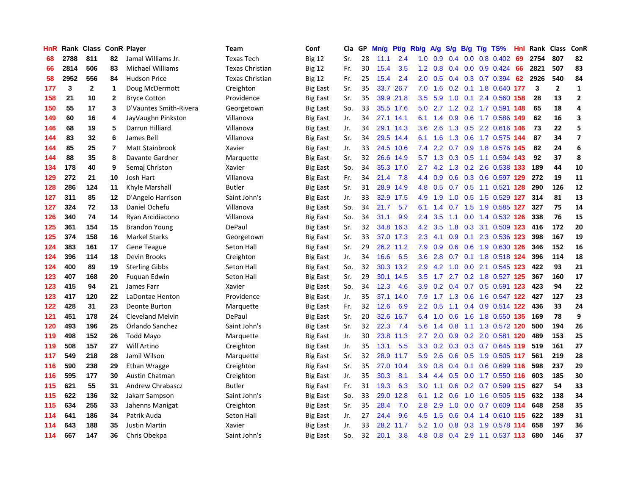| HnR |      |     |              | Rank Class ConR Player  | <b>Team</b>       | Conf            | Cla | GP | Mn/g | Pt/g      | Rb/g             | A/g | S/g           | B/g | $T/g$ TS%                 | Hnl | Rank | <b>Class</b>   | ConR                    |
|-----|------|-----|--------------|-------------------------|-------------------|-----------------|-----|----|------|-----------|------------------|-----|---------------|-----|---------------------------|-----|------|----------------|-------------------------|
| 68  | 2788 | 811 | 82           | Jamal Williams Jr.      | <b>Texas Tech</b> | <b>Big 12</b>   | Sr. | 28 | 11.1 | 2.4       | 1.0              | 0.9 | 0.4           | 0.0 | 0.8 0.402                 | 69  | 2754 | 807            | 82                      |
| 66  | 2814 | 506 | 83           | <b>Michael Williams</b> | Texas Christian   | <b>Big 12</b>   | Fr. | 30 | 15.4 | 3.5       | 1.2              | 0.8 | $0.4^{\circ}$ |     | $0.0$ $0.9$ $0.424$       | 66  | 2821 | 507            | 83                      |
| 58  | 2952 | 556 | 84           | <b>Hudson Price</b>     | Texas Christian   | <b>Big 12</b>   | Fr. | 25 | 15.4 | 2.4       | $2.0^{\circ}$    | 0.5 | $0.4^{\circ}$ |     | $0.3$ 0.7 0.394           | 62  | 2926 | 540            | 84                      |
| 177 | 3    | 2   | 1            | Doug McDermott          | Creighton         | <b>Big East</b> | Sr. | 35 | 33.7 | 26.7      | 7.0              | 1.6 |               |     | 0.2 0.1 1.8 0.640 177     |     | 3    | $\overline{2}$ | 1                       |
| 158 | 21   | 10  | $\mathbf{2}$ | <b>Bryce Cotton</b>     | Providence        | <b>Big East</b> | Sr. | 35 | 39.9 | 21.8      | 3.5              | 5.9 | 1.0           | 0.1 | 2.4 0.560                 | 158 | 28   | 13             | $\overline{2}$          |
| 150 | 55   | 17  | 3            | D'Vauntes Smith-Rivera  | Georgetown        | <b>Big East</b> | So. | 33 | 35.5 | 17.6      | 5.0              | 2.7 |               |     | 1.2 0.2 1.7 0.591         | 148 | 65   | 18             | 4                       |
| 149 | 60   | 16  | 4            | JayVaughn Pinkston      | Villanova         | <b>Big East</b> | Jr. | 34 | 27.1 | 14.1      | 6.1              | 1.4 | 0.9           |     | 0.6 1.7 0.586             | 149 | 62   | 16             | 3                       |
| 146 | 68   | 19  | 5            | Darrun Hilliard         | Villanova         | <b>Big East</b> | Jr. | 34 | 29.1 | 14.3      | 3.6              | 2.6 | 1.3           |     | 0.5 2.2 0.616 146         |     | 73   | 22             | 5                       |
| 144 | 83   | 32  | 6            | James Bell              | Villanova         | <b>Big East</b> | Sr. | 34 | 29.5 | 14.4      | 6.1              | 1.6 | 1.3           |     | 0.6 1.7 0.575 144         |     | 87   | 34             | $\overline{\mathbf{z}}$ |
| 144 | 85   | 25  | 7            | Matt Stainbrook         | Xavier            | <b>Big East</b> | Jr. | 33 | 24.5 | 10.6      | 7.4              | 2.2 |               |     | 0.7 0.9 1.8 0.576 145     |     | 82   | 24             | 6                       |
| 144 | 88   | 35  | 8            | Davante Gardner         | Marquette         | <b>Big East</b> | Sr. | 32 | 26.6 | 14.9      | 5.7              |     |               |     | 1.3 0.3 0.5 1.1 0.594 143 |     | 92   | 37             | 8                       |
| 134 | 178  | 40  | 9            | Semaj Christon          | Xavier            | <b>Big East</b> | So. | 34 | 35.3 | 17.0      | $2.7^{\circ}$    |     |               |     | 4.2 1.3 0.2 2.6 0.538 133 |     | 189  | 44             | 10                      |
| 129 | 272  | 21  | 10           | Josh Hart               | Villanova         | <b>Big East</b> | Fr. | 34 | 21.4 | 7.8       | 4.4              | 0.9 | 0.6           |     | 0.3 0.6 0.597 129         |     | 272  | 19             | 11                      |
| 128 | 286  | 124 | 11           | Khyle Marshall          | <b>Butler</b>     | <b>Big East</b> | Sr. | 31 | 28.9 | 14.9      | 4.8              | 0.5 | 0.7           |     | 0.5 1.1 0.521 128         |     | 290  | 126            | 12                      |
| 127 | 311  | 85  | 12           | D'Angelo Harrison       | Saint John's      | <b>Big East</b> | Jr. | 33 | 32.9 | 17.5      | 4.9              | 1.9 | 1.0           |     | 0.5 1.5 0.529 127         |     | 314  | 81             | 13                      |
| 127 | 324  | 72  | 13           | Daniel Ochefu           | Villanova         | <b>Big East</b> | So. | 34 | 21.7 | 5.7       | 6.1              | 1.4 | 0.7           |     | 1.5 1.9 0.585 127         |     | 327  | 75             | 14                      |
| 126 | 340  | 74  | 14           | Ryan Arcidiacono        | Villanova         | <b>Big East</b> | So. | 34 | 31.1 | 9.9       | 2.4              | 3.5 | 1.1           |     | 0.0 1.4 0.532 126         |     | 338  | 76             | 15                      |
| 125 | 361  | 154 | 15           | <b>Brandon Young</b>    | DePaul            | <b>Big East</b> | Sr. | 32 | 34.8 | 16.3      | 4.2              | 3.5 | 1.8           |     | 0.3 3.1 0.509 123         |     | 416  | 172            | 20                      |
| 125 | 374  | 158 | 16           | <b>Markel Starks</b>    | Georgetown        | <b>Big East</b> | Sr. | 33 |      | 37.0 17.3 | 2.3              | 4.1 | 0.9           |     | 0.1 2.3 0.536 123         |     | 398  | 167            | 19                      |
| 124 | 383  | 161 | 17           | <b>Gene Teague</b>      | Seton Hall        | <b>Big East</b> | Sr. | 29 |      | 26.2 11.2 | 7.9              | 0.9 | 0.6           |     | 0.6 1.9 0.630 126         |     | 346  | 152            | 16                      |
| 124 | 396  | 114 | 18           | Devin Brooks            | Creighton         | <b>Big East</b> | Jr. | 34 | 16.6 | 6.5       | 3.6              | 2.8 | 0.7           |     | 0.1 1.8 0.518 124         |     | 396  | 114            | 18                      |
| 124 | 400  | 89  | 19           | <b>Sterling Gibbs</b>   | Seton Hall        | <b>Big East</b> | So. | 32 | 30.3 | 13.2      | 2.9              | 4.2 | 1.0           |     | 0.0 2.1 0.545 123         |     | 422  | 93             | 21                      |
| 123 | 407  | 168 | 20           | Fuguan Edwin            | Seton Hall        | <b>Big East</b> | Sr. | 29 | 30.1 | 14.5      | 3.5              | 1.7 | 2.7           |     | 0.2 1.8 0.527 125         |     | 367  | 160            | 17                      |
| 123 | 415  | 94  | 21           | James Farr              | Xavier            | <b>Big East</b> | So. | 34 | 12.3 | 4.6       | 3.9 <sup>°</sup> | 0.2 | $0.4^{\circ}$ |     | 0.7 0.5 0.591 123         |     | 423  | 94             | 22                      |
| 123 | 417  | 120 | 22           | LaDontae Henton         | Providence        | <b>Big East</b> | Jr. | 35 | 37.1 | 14.0      | 7.9              | 1.7 | 1.3           |     | 0.6 1.6 0.547 122         |     | 427  | 127            | 23                      |
| 122 | 428  | 31  | 23           | Deonte Burton           | Marquette         | <b>Big East</b> | Fr. | 32 | 12.6 | 6.9       | $2.2^{\circ}$    | 0.5 | 1.1           |     | 0.4 0.9 0.514 122         |     | 436  | 33             | 24                      |
| 121 | 451  | 178 | 24           | <b>Cleveland Melvin</b> | DePaul            | <b>Big East</b> | Sr. | 20 | 32.6 | 16.7      | 6.4              | 1.0 |               |     | 0.6 1.6 1.8 0.550 135     |     | 169  | 78             | 9                       |
| 120 | 493  | 196 | 25           | Orlando Sanchez         | Saint John's      | <b>Big East</b> | Sr. | 32 | 22.3 | 7.4       | 5.6              | 1.4 | 0.8           |     | 1.1 1.3 0.572 120         |     | 500  | 194            | 26                      |
| 119 | 498  | 152 | 26           | Todd Mayo               | Marquette         | <b>Big East</b> | Jr. | 30 | 23.8 | 11.3      | 2.7              | 2.0 | 0.9           |     | 0.2 2.0 0.581 120         |     | 489  | 153            | 25                      |
| 119 | 508  | 157 | 27           | Will Artino             | Creighton         | <b>Big East</b> | Jr. | 35 | 13.1 | 5.5       | 3.3              | 0.2 | 0.3           |     | 0.3 0.7 0.645 119         |     | 519  | 161            | 27                      |
| 117 | 549  | 218 | 28           | Jamil Wilson            | Marquette         | <b>Big East</b> | Sr. | 32 | 28.9 | 11.7      | 5.9              | 2.6 | 0.6           |     | 0.5 1.9 0.505 117         |     | 561  | 219            | 28                      |
| 116 | 590  | 238 | 29           | Ethan Wragge            | Creighton         | <b>Big East</b> | Sr. | 35 | 27.0 | 10.4      | 3.9              | 0.8 | 0.4           | 0.1 | 0.6 0.699 116             |     | 598  | 237            | 29                      |
| 116 | 595  | 177 | 30           | <b>Austin Chatman</b>   | Creighton         | <b>Big East</b> | Jr. | 35 | 30.3 | 8.1       | 3.4              | 4.4 | 0.5           |     | 0.0 1.7 0.550 116         |     | 603  | 185            | 30                      |
| 115 | 621  | 55  | 31           | <b>Andrew Chrabascz</b> | <b>Butler</b>     | <b>Big East</b> | Fr. | 31 | 19.3 | 6.3       | 3.0              | 1.1 | 0.6           |     | $0.2$ 0.7 0.599 115       |     | 627  | 54             | 33                      |
| 115 | 622  | 136 | 32           | Jakarr Sampson          | Saint John's      | <b>Big East</b> | So. | 33 | 29.0 | 12.8      | 6.1              | 1.2 | 0.6           |     | 1.0 1.6 0.505 115         |     | 632  | 138            | 34                      |
| 115 | 634  | 255 | 33           | Jahenns Manigat         | Creighton         | <b>Big East</b> | Sr. | 35 | 28.4 | 7.0       | 2.8              | 2.9 | 1.0           |     | $0.0$ 0.7 0.609 114       |     | 648  | 258            | 35                      |
| 114 | 641  | 186 | 34           | Patrik Auda             | Seton Hall        | Big East        | Jr. | 27 | 24.4 | 9.6       | 4.5              | 1.5 | 0.6           |     | 0.4 1.4 0.610 115         |     | 622  | 189            | 31                      |
| 114 | 643  | 188 | 35           | <b>Justin Martin</b>    | Xavier            | <b>Big East</b> | Jr. | 33 | 28.2 | 11.7      | 5.2              | 1.0 | 0.8           |     | 0.3 1.9 0.578 114         |     | 658  | 197            | 36                      |
| 114 | 667  | 147 | 36           | Chris Obekpa            | Saint John's      | <b>Big East</b> | So. | 32 | 20.1 | 3.8       | 4.8              | 0.8 | 0.4           |     | 2.9 1.1 0.537 113         |     | 680  | 146            | 37                      |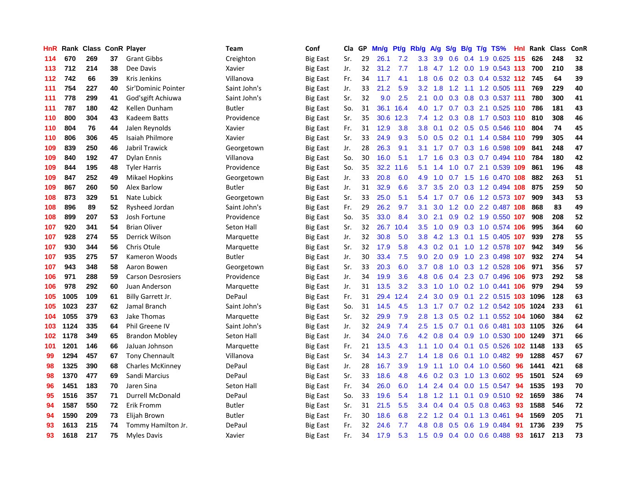| HnR | Rank |     |    | <b>Class ConR Player</b> | Team          | Conf            | Cla | GP | Mn/g | <b>Pt/g</b> | Rb/g             | A/g | S/g           |     | $B/g$ T/g TS%                  | <b>Hnl</b> | Rank | <b>Class</b> | ConR |
|-----|------|-----|----|--------------------------|---------------|-----------------|-----|----|------|-------------|------------------|-----|---------------|-----|--------------------------------|------------|------|--------------|------|
| 114 | 670  | 269 | 37 | <b>Grant Gibbs</b>       | Creighton     | <b>Big East</b> | Sr. | 29 | 26.1 | 7.2         | 3.3              | 3.9 | 0.6           |     | 0.4 1.9 0.625 115              |            | 626  | 248          | 32   |
| 113 | 712  | 214 | 38 | Dee Davis                | Xavier        | <b>Big East</b> | Jr. | 32 | 31.2 | 7.7         | 1.8              |     |               |     | 4.7 1.2 0.0 1.9 0.543 113      |            | 700  | 210          | 38   |
| 112 | 742  | 66  | 39 | <b>Kris Jenkins</b>      | Villanova     | <b>Big East</b> | Fr. | 34 | 11.7 | 4.1         | 1.8              | 0.6 |               |     | 0.2 0.3 0.4 0.532 112 745      |            |      | 64           | 39   |
| 111 | 754  | 227 | 40 | Sir'Dominic Pointer      | Saint John's  | Big East        | Jr. | 33 | 21.2 | 5.9         | 3.2              | 1.8 |               |     | 1.2 1.1 1.2 0.505 111          |            | 769  | 229          | 40   |
| 111 | 778  | 299 | 41 | God'sgift Achiuwa        | Saint John's  | Big East        | Sr. | 32 | 9.0  | 2.5         | 2.1              | 0.0 | 0.3           |     | 0.8 0.3 0.537 111              |            | 780  | 300          | 41   |
| 111 | 787  | 180 | 42 | Kellen Dunham            | <b>Butler</b> | <b>Big East</b> | So. | 31 | 36.1 | 16.4        | 4.0              | 1.7 | 0.7           |     | 0.3 2.1 0.525 110              |            | 786  | 181          | 43   |
| 110 | 800  | 304 | 43 | Kadeem Batts             | Providence    | <b>Big East</b> | Sr. | 35 | 30.6 | 12.3        | 7.4              | 1.2 | 0.3           |     | 0.8 1.7 0.503 110              |            | 810  | 308          | 46   |
| 110 | 804  | 76  | 44 | Jalen Reynolds           | Xavier        | <b>Big East</b> | Fr. | 31 | 12.9 | 3.8         | 3.8              | 0.1 | 0.2           |     | 0.5 0.5 0.546 110              |            | 804  | 74           | 45   |
| 110 | 806  | 306 | 45 | Isaiah Philmore          | Xavier        | <b>Big East</b> | Sr. | 33 | 24.9 | 9.3         | 5.0              | 0.5 | 0.2           |     | $0.1$ 1.4 0.584 110            |            | 799  | 305          | 44   |
| 109 | 839  | 250 | 46 | Jabril Trawick           | Georgetown    | <b>Big East</b> | Jr. | 28 | 26.3 | 9.1         | 3.1              | 1.7 |               |     | 0.7 0.3 1.6 0.598 109          |            | 841  | 248          | 47   |
| 109 | 840  | 192 | 47 | <b>Dylan Ennis</b>       | Villanova     | Big East        | So. | 30 | 16.0 | 5.1         | 1.7 <sub>2</sub> | 1.6 |               |     | 0.3 0.3 0.7 0.494 110          |            | 784  | 180          | 42   |
| 109 | 844  | 195 | 48 | <b>Tyler Harris</b>      | Providence    | <b>Big East</b> | So. | 35 | 32.2 | 11.6        | 5.1              | 1.4 | 1.0           |     | 0.7 2.1 0.539 109              |            | 861  | 196          | 48   |
| 109 | 847  | 252 | 49 | <b>Mikael Hopkins</b>    | Georgetown    | <b>Big East</b> | Jr. | 33 | 20.8 | 6.0         | 4.9              | 1.0 |               |     | 0.7 1.5 1.6 0.470 108          |            | 882  | 263          | 51   |
| 109 | 867  | 260 | 50 | Alex Barlow              | Butler        | <b>Big East</b> | Jr. | 31 | 32.9 | 6.6         | 3.7              | 3.5 | 2.0           |     | 0.3 1.2 0.494 108              |            | 875  | 259          | 50   |
| 108 | 873  | 329 | 51 | Nate Lubick              | Georgetown    | Big East        | Sr. | 33 | 25.0 | 5.1         | 5.4              | 1.7 | 0.7           |     | 0.6 1.2 0.573 107              |            | 909  | 343          | 53   |
| 108 | 896  | 89  | 52 | Rysheed Jordan           | Saint John's  | Big East        | Fr. | 29 | 26.2 | 9.7         | 3.1              | 3.0 | 1.2           |     | 0.0 2.2 0.487 108              |            | 868  | 83           | 49   |
| 108 | 899  | 207 | 53 | Josh Fortune             | Providence    | <b>Big East</b> | So. | 35 | 33.0 | 8.4         | 3.0              | 2.1 | 0.9           |     | 0.2 1.9 0.550 107              |            | 908  | 208          | 52   |
| 107 | 920  | 341 | 54 | <b>Brian Oliver</b>      | Seton Hall    | <b>Big East</b> | Sr. | 32 | 26.7 | 10.4        | 3.5              | 1.0 | 0.9           |     | 0.3 1.0 0.574 106              |            | 995  | 364          | 60   |
| 107 | 928  | 274 | 55 | Derrick Wilson           | Marquette     | <b>Big East</b> | Jr. | 32 | 30.8 | 5.0         | 3.8              |     |               |     | 4.2 1.3 0.1 1.5 0.405 107      |            | 939  | 278          | 55   |
| 107 | 930  | 344 | 56 | Chris Otule              | Marquette     | Big East        | Sr. | 32 | 17.9 | 5.8         | 4.3              | 0.2 |               |     | 0.1 1.0 1.2 0.578 107          |            | 942  | 349          | 56   |
| 107 | 935  | 275 | 57 | Kameron Woods            | <b>Butler</b> | <b>Big East</b> | Jr. | 30 | 33.4 | 7.5         | 9.0              | 2.0 | 0.9           |     | 1.0 2.3 0.498 107              |            | 932  | 274          | 54   |
| 107 | 943  | 348 | 58 | Aaron Bowen              | Georgetown    | <b>Big East</b> | Sr. | 33 | 20.3 | 6.0         | 3.7              | 0.8 | 1.0           |     | 0.3 1.2 0.528 106              |            | 971  | 356          | 57   |
| 106 | 971  | 288 | 59 | <b>Carson Desrosiers</b> | Providence    | Big East        | Jr. | 34 | 19.9 | 3.6         | 4.8              | 0.6 | $0.4^{\circ}$ |     | 2.3 0.7 0.496 106              |            | 973  | 292          | 58   |
| 106 | 978  | 292 | 60 | Juan Anderson            | Marquette     | <b>Big East</b> | Jr. | 31 | 13.5 | 3.2         | 3.3 <sub>2</sub> | 1.0 | 1.0           |     | 0.2 1.0 0.441 106              |            | 979  | 294          | 59   |
| 105 | 1005 | 109 | 61 | Billy Garrett Jr.        | DePaul        | Big East        | Fr. | 31 | 29.4 | 12.4        | $2.4\,$          | 3.0 | 0.9           | 0.1 | 2.2 0.515 103                  |            | 1096 | 128          | 63   |
| 105 | 1023 | 237 | 62 | Jamal Branch             | Saint John's  | <b>Big East</b> | So. | 31 | 14.5 | 4.5         | 1.3              | 1.7 | 0.7           |     | 0.2 1.2 0.542 105 1024         |            |      | 233          | 61   |
| 104 | 1055 | 379 | 63 | Jake Thomas              | Marquette     | Big East        | Sr. | 32 | 29.9 | 7.9         | 2.8              |     |               |     | 1.3 0.5 0.2 1.1 0.552 104 1060 |            |      | 384          | 62   |
| 103 | 1124 | 335 | 64 | Phil Greene IV           | Saint John's  | <b>Big East</b> | Jr. | 32 | 24.9 | 7.4         | 2.5              | 1.5 |               |     | 0.7 0.1 0.6 0.481 103 1105     |            |      | 326          | 64   |
| 102 | 1178 | 349 | 65 | <b>Brandon Mobley</b>    | Seton Hall    | <b>Big East</b> | Jr. | 34 | 24.0 | 7.6         | 4.2              | 0.8 | 0.4           |     | 0.9 1.0 0.530 100 1249         |            |      | 371          | 66   |
| 101 | 1201 | 146 | 66 | JaJuan Johnson           | Marquette     | <b>Big East</b> | Fr. | 21 | 13.5 | 4.3         | 1.1              | 1.0 | $0.4^{\circ}$ | 0.1 | 0.5 0.526 102 1148             |            |      | 133          | 65   |
| 99  | 1294 | 457 | 67 | <b>Tony Chennault</b>    | Villanova     | <b>Big East</b> | Sr. | 34 | 14.3 | 2.7         | 1.4              | 1.8 | 0.6           |     | $0.1$ 1.0 0.482                | -99        | 1288 | 457          | 67   |
| 98  | 1325 | 390 | 68 | <b>Charles McKinney</b>  | DePaul        | <b>Big East</b> | Jr. | 28 | 16.7 | 3.9         | 1.9              | 1.1 | 1.0           |     | 0.4 1.0 0.560                  | 96         | 1441 | 421          | 68   |
| 98  | 1370 | 477 | 69 | Sandi Marcius            | DePaul        | Big East        | Sr. | 33 | 18.6 | 4.8         | 4.6              | 0.2 | 0.3           |     | 1.0 1.3 0.602                  | -95        | 1501 | 524          | 69   |
| 96  | 1451 | 183 | 70 | Jaren Sina               | Seton Hall    | <b>Big East</b> | Fr. | 34 | 26.0 | 6.0         | 1.4              | 2.4 | $0.4^{\circ}$ |     | $0.0$ 1.5 $0.547$              | 94         | 1535 | 193          | 70   |
| 95  | 1516 | 357 | 71 | <b>Durrell McDonald</b>  | DePaul        | <b>Big East</b> | So. | 33 | 19.6 | 5.4         | 1.8              | 1.2 | 1.1           |     | 0.1 0.9 0.510 92               |            | 1659 | 386          | 74   |
| 94  | 1587 | 550 | 72 | Erik Fromm               | <b>Butler</b> | <b>Big East</b> | Sr. | 31 | 21.5 | 5.5         | 3.4              | 0.4 | $0.4^{\circ}$ |     | $0.5$ 0.8 0.463                | -93        | 1588 | 546          | 72   |
| 94  | 1590 | 209 | 73 | Elijah Brown             | Butler        | Big East        | Fr. | 30 | 18.6 | 6.8         | $2.2^{\circ}$    | 1.2 | 0.4           |     | $0.1$ 1.3 0.461                | 94         | 1569 | 205          | 71   |
| 93  | 1613 | 215 | 74 | Tommy Hamilton Jr.       | DePaul        | Big East        | Fr. | 32 | 24.6 | 7.7         | 4.8              | 0.8 | 0.5           | 0.6 | 1.9 0.484                      | 91         | 1736 | 239          | 75   |
| 93  | 1618 | 217 | 75 | <b>Myles Davis</b>       | Xavier        | <b>Big East</b> | Fr. | 34 | 17.9 | 5.3         | 1.5              | 0.9 | 0.4           |     | $0.0$ 0.6 0.488                | 93         | 1617 | 213          | 73   |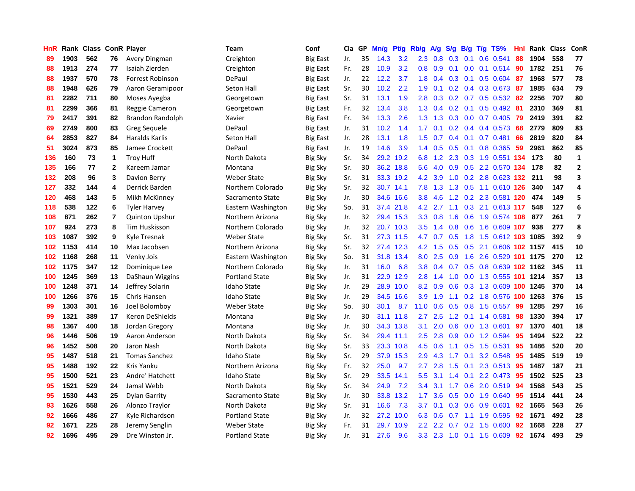| HnR |      | Rank Class ConR Player |              |                       | Team                  | Conf            | Cla | GP | Mn/g | Pt/g      | Rb/g             | A/g | S/g           | <b>B/g</b> | $T/g$ TS%                  | Hnl | Rank Class |     | ConR           |
|-----|------|------------------------|--------------|-----------------------|-----------------------|-----------------|-----|----|------|-----------|------------------|-----|---------------|------------|----------------------------|-----|------------|-----|----------------|
| 89  | 1903 | 562                    | 76           | Avery Dingman         | Creighton             | <b>Big East</b> | Jr. | 35 | 14.3 | 3.2       | 2.3              | 0.8 | 0.3           | 0.1        | 0.6 0.541                  | 88  | 1904       | 558 | 77             |
| 88  | 1913 | 274                    | 77           | Isaiah Zierden        | Creighton             | <b>Big East</b> | Fr. | 28 | 10.9 | 3.2       | 0.8              | 0.9 | 0.1           |            | $0.0$ 0.1 0.514 90         |     | 1782       | 251 | 76             |
| 88  | 1937 | 570                    | 78           | Forrest Robinson      | DePaul                | <b>Big East</b> | Jr. | 22 | 12.2 | 3.7       | 1.8              | 0.4 |               |            | $0.3$ 0.1 0.5 0.604        | -87 | 1968       | 577 | 78             |
| 88  | 1948 | 626                    | 79           | Aaron Geramipoor      | Seton Hall            | <b>Big East</b> | Sr. | 30 | 10.2 | 2.2       | 1.9              | 0.1 |               |            | $0.2$ 0.4 0.3 0.673        | -87 | 1985       | 634 | 79             |
| 81  | 2282 | 711                    | 80           | Moses Ayegba          | Georgetown            | <b>Big East</b> | Sr. | 31 | 13.1 | 1.9       | 2.8              | 0.3 |               |            | 0.2 0.7 0.5 0.532 82       |     | 2256       | 707 | 80             |
| 81  | 2299 | 366                    | 81           | Reggie Cameron        | Georgetown            | <b>Big East</b> | Fr. | 32 | 13.4 | 3.8       | 1.3              | 0.4 |               |            | $0.2$ 0.1 0.5 0.492        | -81 | 2310       | 369 | 81             |
| 79  | 2417 | 391                    | 82           | Brandon Randolph      | Xavier                | <b>Big East</b> | Fr. | 34 | 13.3 | 2.6       | 1.3              | 1.3 | 0.3           |            | $0.0$ 0.7 0.405            | 79  | 2419       | 391 | 82             |
| 69  | 2749 | 800                    | 83           | Greg Sequele          | DePaul                | <b>Big East</b> | Jr. | 31 | 10.2 | 1.4       | 1.7              | 0.1 |               |            | $0.2$ 0.4 0.4 0.573        | 68  | 2779       | 809 | 83             |
| 64  | 2853 | 827                    | 84           | <b>Haralds Karlis</b> | Seton Hall            | <b>Big East</b> | Jr. | 28 | 13.1 | 1.8       | 1.5              | 0.7 | $0.4^{\circ}$ |            | $0.1$ 0.7 0.481            | 66  | 2819       | 820 | 84             |
| 51  | 3024 | 873                    | 85           | Jamee Crockett        | DePaul                | <b>Big East</b> | Jr. | 19 | 14.6 | 3.9       | 1.4              | 0.5 | 0.5           |            | $0.1$ 0.8 0.365            | -59 | 2961       | 862 | 85             |
| 136 | 160  | 73                     | 1            | <b>Troy Huff</b>      | North Dakota          | <b>Big Sky</b>  | Sr. | 34 | 29.2 | 19.2      | 6.8              |     |               |            | 1.2 2.3 0.3 1.9 0.551 134  |     | 173        | 80  | $\mathbf{1}$   |
| 135 | 166  | 77                     | $\mathbf{2}$ | Kareem Jamar          | Montana               | <b>Big Sky</b>  | Sr. | 30 |      | 36.2 18.8 | 5.6              | 4.0 |               |            | 0.9 0.5 2.2 0.570 134      |     | 178        | 82  | $\overline{2}$ |
| 132 | 208  | 96                     | 3            | Davion Berry          | Weber State           | <b>Big Sky</b>  | Sr. | 31 | 33.3 | 19.2      | 4.2              | 3.9 | 1.0           |            | 0.2 2.8 0.623 132          |     | 211        | 98  | 3              |
| 127 | 332  | 144                    | 4            | Derrick Barden        | Northern Colorado     | <b>Big Sky</b>  | Sr. | 32 | 30.7 | 14.1      | 7.8              | 1.3 | 1.3           |            | 0.5 1.1 0.610 126          |     | 340        | 147 | 4              |
| 120 | 468  | 143                    | 5            | Mikh McKinney         | Sacramento State      | <b>Big Sky</b>  | Jr. | 30 | 34.6 | 16.6      | 3.8 <sub>2</sub> | 4.6 |               |            | 1.2 0.2 2.3 0.581 120      |     | 474        | 149 | 5              |
| 118 | 538  | 122                    | 6            | <b>Tyler Harvey</b>   | Eastern Washington    | <b>Big Sky</b>  | So. | 31 | 37.4 | 21.8      | 4.2              | 2.7 | 1.1           |            | 0.3 2.1 0.613 117          |     | 548        | 127 | 6              |
| 108 | 871  | 262                    | 7            | <b>Quinton Upshur</b> | Northern Arizona      | Big Sky         | Jr. | 32 | 29.4 | 15.3      | 3.3 <sub>2</sub> | 0.8 | 1.6           |            | 0.6 1.9 0.574 108          |     | 877        | 261 | $\overline{ }$ |
| 107 | 924  | 273                    | 8            | Tim Huskisson         | Northern Colorado     | <b>Big Sky</b>  | Jr. | 32 | 20.7 | 10.3      | 3.5              | 1.4 | 0.8           |            | 0.6 1.6 0.609 107          |     | 938        | 277 | 8              |
| 103 | 1087 | 392                    | 9            | Kyle Tresnak          | Weber State           | <b>Big Sky</b>  | Sr. | 31 |      | 27.3 11.5 | 4.7              | 0.7 |               |            | 0.5 1.8 1.5 0.612 103 1085 |     |            | 392 | 9              |
| 102 | 1153 | 414                    | 10           | Max Jacobsen          | Northern Arizona      | <b>Big Sky</b>  | Sr. | 32 |      | 27.4 12.3 | 4.2              | 1.5 |               |            | 0.5 0.5 2.1 0.606 102 1157 |     |            | 415 | 10             |
| 102 | 1168 | 268                    | 11           | Venky Jois            | Eastern Washington    | Big Sky         | So. | 31 | 31.8 | 13.4      | 8.0              | 2.5 |               |            | 0.9 1.6 2.6 0.529 101 1175 |     |            | 270 | 12             |
| 102 | 1175 | 347                    | $12 \,$      | Dominique Lee         | Northern Colorado     | Big Sky         | Jr. | 31 | 16.0 | 6.8       | 3.8 <sub>2</sub> | 0.4 | 0.7           |            | 0.5 0.8 0.639 102 1162     |     |            | 345 | 11             |
| 100 | 1245 | 369                    | 13           | DaShaun Wiggins       | <b>Portland State</b> | Big Sky         | Jr. | 31 | 22.9 | 12.9      | 2.8              | 1.4 | 1.0           |            | 0.0 1.3 0.555 101 1214     |     |            | 357 | 13             |
| 100 | 1248 | 371                    | 14           | Jeffrey Solarin       | Idaho State           | <b>Big Sky</b>  | Jr. | 29 | 28.9 | 10.0      | 8.2              | 0.9 | 0.6           |            | 0.3 1.3 0.609 100 1245     |     |            | 370 | 14             |
| 100 | 1266 | 376                    | 15           | Chris Hansen          | <b>Idaho State</b>    | <b>Big Sky</b>  | Jr. | 29 | 34.5 | 16.6      | 3.9              | 1.9 | 1.1           |            | 0.2 1.8 0.576 100 1263     |     |            | 376 | 15             |
| 99  | 1303 | 301                    | 16           | Joel Bolomboy         | <b>Weber State</b>    | <b>Big Sky</b>  | So. | 30 | 30.1 | 8.7       | 11.0             | 0.6 | 0.5           |            | $0.8$ 1.5 0.557            | 99  | 1285       | 297 | 16             |
| 99  | 1321 | 389                    | 17           | Keron DeShields       | Montana               | <b>Big Sky</b>  | Jr. | 30 |      | 31.1 11.8 | $2.7^{\circ}$    | 2.5 |               |            | 1.2 0.1 1.4 0.581          | 98  | 1330       | 394 | 17             |
| 98  | 1367 | 400                    | 18           | Jordan Gregory        | Montana               | <b>Big Sky</b>  | Jr. | 30 | 34.3 | 13.8      | 3.1              | 2.0 |               |            | 0.6 0.0 1.3 0.601          | 97  | 1370       | 401 | 18             |
| 96  | 1446 | 506                    | 19           | Aaron Anderson        | North Dakota          | Big Sky         | Sr. | 34 | 29.4 | 11.1      | 2.5              | 2.8 | 0.9           |            | 0.0 1.2 0.594              | 95  | 1494       | 522 | 22             |
| 96  | 1452 | 508                    | 20           | Jaron Nash            | North Dakota          | <b>Big Sky</b>  | Sr. | 33 | 23.3 | 10.8      | 4.5              | 0.6 | 1.1           |            | 0.5 1.5 0.531              | 95  | 1486       | 520 | 20             |
| 95  | 1487 | 518                    | 21           | <b>Tomas Sanchez</b>  | <b>Idaho State</b>    | <b>Big Sky</b>  | Sr. | 29 | 37.9 | 15.3      | 2.9              | 4.3 | 1.7           | 0.1        | 3.2 0.548                  | -95 | 1485       | 519 | 19             |
| 95  | 1488 | 192                    | 22           | Kris Yanku            | Northern Arizona      | <b>Big Sky</b>  | Fr. | 32 | 25.0 | 9.7       | 2.7              | 2.8 | $1.5^{\circ}$ | 0.1        | 2.3 0.513                  | -95 | 1487       | 187 | 21             |
| 95  | 1500 | 521                    | 23           | Andre' Hatchett       | <b>Idaho State</b>    | <b>Big Sky</b>  | Sr. | 29 | 33.5 | 14.1      | 5.5 <sub>1</sub> | 3.1 | 1.4           | 0.1        | 2.2 0.473                  | -95 | 1502       | 525 | 23             |
| 95  | 1521 | 529                    | 24           | Jamal Webb            | North Dakota          | <b>Big Sky</b>  | Sr. | 34 | 24.9 | 7.2       | 3.4              | 3.1 | 1.7           |            | 0.6 2.0 0.519              | -94 | 1568       | 543 | 25             |
| 95  | 1530 | 443                    | 25           | Dylan Garrity         | Sacramento State      | Big Sky         | Jr. | 30 | 33.8 | 13.2      | 1.7              | 3.6 | 0.5           |            | $0.0$ 1.9 $0.640$          | -95 | 1514       | 441 | 24             |
| 93  | 1626 | 558                    | 26           | Alonzo Traylor        | North Dakota          | <b>Big Sky</b>  | Sr. | 31 | 16.6 | 7.3       | 3.7              | 0.1 |               |            | 0.3 0.6 0.9 0.601          | 92  | 1665       | 563 | 26             |
| 92  | 1666 | 486                    | 27           | Kyle Richardson       | <b>Portland State</b> | <b>Big Sky</b>  | Jr. | 32 | 27.2 | 10.0      | 6.3              | 0.6 |               |            | $0.7$ 1.1 1.9 0.595        | 92  | 1671       | 492 | 28             |
| 92  | 1671 | 225                    | 28           | Jeremy Senglin        | <b>Weber State</b>    | <b>Big Sky</b>  | Fr. | 31 | 29.7 | 10.9      | 2.2              | 2.2 | 0.7           |            | $0.2$ 1.5 0.600            | 92  | 1668       | 228 | 27             |
| 92  | 1696 | 495                    | 29           | Dre Winston Jr.       | <b>Portland State</b> | <b>Big Sky</b>  | Jr. | 31 | 27.6 | 9.6       | 3.3 <sub>2</sub> | 2.3 |               |            | 1.0 0.1 1.5 0.609          | 92  | 1674       | 493 | 29             |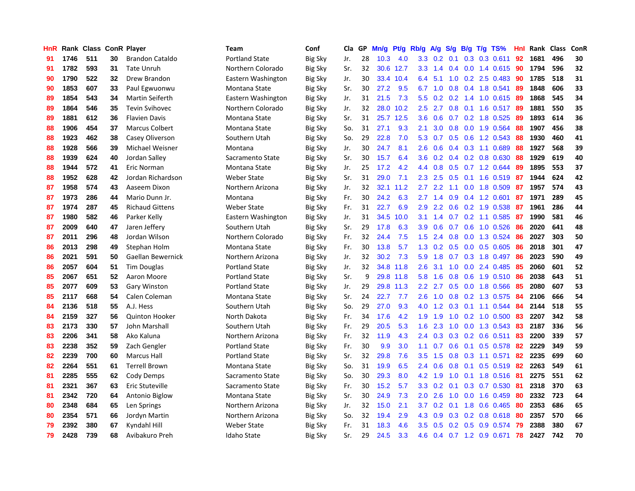| HnR |      | Rank Class ConR Player |    |                        | Team                  | Conf           | <b>Cla</b> | GP | Mn/g | <b>Pt/g</b> | Rb/g             | <b>A/g</b> | S/g | B/g | $T/g$ TS%                 | Hnl | Rank | <b>Class</b> | ConR |
|-----|------|------------------------|----|------------------------|-----------------------|----------------|------------|----|------|-------------|------------------|------------|-----|-----|---------------------------|-----|------|--------------|------|
| 91  | 1746 | 511                    | 30 | <b>Brandon Cataldo</b> | <b>Portland State</b> | <b>Big Sky</b> | Jr.        | 28 | 10.3 | 4.0         | 3.3 <sub>2</sub> | 0.2        | 0.1 |     | 0.3 0.3 0.611             | 92  | 1681 | 496          | 30   |
| 91  | 1782 | 593                    | 31 | <b>Tate Unruh</b>      | Northern Colorado     | <b>Big Sky</b> | Sr.        | 32 |      | 30.6 12.7   | 3.3 <sub>2</sub> | 1.4        |     |     | 0.4 0.0 1.4 0.615 90      |     | 1794 | 596          | 32   |
| 90  | 1790 | 522                    | 32 | Drew Brandon           | Eastern Washington    | <b>Big Sky</b> | Jr.        | 30 | 33.4 | 10.4        | 6.4              | 5.1        |     |     | 1.0 0.2 2.5 0.483         | -90 | 1785 | 518          | 31   |
| 90  | 1853 | 607                    | 33 | Paul Egwuonwu          | Montana State         | <b>Big Sky</b> | Sr.        | 30 | 27.2 | 9.5         | 6.7              | 1.0        | 0.8 |     | $0.4$ 1.8 0.541           | -89 | 1848 | 606          | 33   |
| 89  | 1854 | 543                    | 34 | Martin Seiferth        | Eastern Washington    | <b>Big Sky</b> | Jr.        | 31 | 21.5 | 7.3         | 5.5              | 0.2        | 0.2 |     | 1.4 1.0 0.615             | -89 | 1868 | 545          | 34   |
| 89  | 1864 | 546                    | 35 | <b>Tevin Svihovec</b>  | Northern Colorado     | <b>Big Sky</b> | Jr.        | 32 | 28.0 | 10.2        | 2.5              | 2.7        | 0.8 |     | $0.1$ 1.6 0.517           | -89 | 1881 | 550          | 35   |
| 89  | 1881 | 612                    | 36 | <b>Flavien Davis</b>   | Montana State         | <b>Big Sky</b> | Sr.        | 31 | 25.7 | 12.5        | 3.6              | 0.6        | 0.7 |     | 0.2 1.8 0.525             | 89  | 1893 | 614          | 36   |
| 88  | 1906 | 454                    | 37 | <b>Marcus Colbert</b>  | Montana State         | Big Sky        | So.        | 31 | 27.1 | 9.3         | 2.1              | 3.0        | 0.8 |     | $0.0$ 1.9 $0.564$         | 88  | 1907 | 456          | 38   |
| 88  | 1923 | 462                    | 38 | Casey Oliverson        | Southern Utah         | <b>Big Sky</b> | So.        | 29 | 22.8 | 7.0         | 5.3              | 0.7        | 0.5 |     | 0.6 1.2 0.543             | -88 | 1930 | 460          | 41   |
| 88  | 1928 | 566                    | 39 | Michael Weisner        | Montana               | <b>Big Sky</b> | Jr.        | 30 | 24.7 | 8.1         | 2.6              | 0.6        |     |     | $0.4$ $0.3$ 1.1 $0.689$   | -88 | 1927 | 568          | 39   |
| 88  | 1939 | 624                    | 40 | Jordan Salley          | Sacramento State      | <b>Big Sky</b> | Sr.        | 30 | 15.7 | 6.4         | 3.6              |            |     |     | 0.2 0.4 0.2 0.8 0.630 88  |     | 1929 | 619          | 40   |
| 88  | 1944 | 572                    | 41 | Eric Norman            | Montana State         | Big Sky        | Jr.        | 25 | 17.2 | 4.2         | 4.4              | 0.8        |     |     | $0.5$ 0.7 1.2 0.644       | -89 | 1895 | 553          | 37   |
| 88  | 1952 | 628                    | 42 | Jordan Richardson      | Weber State           | Big Sky        | Sr.        | 31 | 29.0 | 7.1         | 2.3              | 2.5        | 0.5 |     | 0.1 1.6 0.519 87          |     | 1944 | 624          | 42   |
| 87  | 1958 | 574                    | 43 | Aaseem Dixon           | Northern Arizona      | <b>Big Sky</b> | Jr.        | 32 | 32.1 | 11.2        | 2.7              | 2.2        | 1.1 |     | $0.0$ 1.8 $0.509$         | -87 | 1957 | 574          | 43   |
| 87  | 1973 | 286                    | 44 | Mario Dunn Jr.         | Montana               | <b>Big Sky</b> | Fr.        | 30 | 24.2 | 6.3         | 2.7              | 1.4        | 0.9 |     | $0.4$ 1.2 0.601           | 87  | 1971 | 289          | 45   |
| 87  | 1974 | 287                    | 45 | <b>Richaud Gittens</b> | Weber State           | <b>Big Sky</b> | Fr.        | 31 | 22.7 | 6.9         | 2.9              | 2.2        | 0.6 |     | 0.2 1.9 0.538             | 87  | 1961 | 286          | 44   |
| 87  | 1980 | 582                    | 46 | Parker Kelly           | Eastern Washington    | <b>Big Sky</b> | Jr.        | 31 | 34.5 | 10.0        | 3.1              | 1.4        | 0.7 |     | $0.2$ 1.1 0.585           | -87 | 1990 | 581          | 46   |
| 87  | 2009 | 640                    | 47 | Jaren Jefferv          | Southern Utah         | <b>Big Sky</b> | Sr.        | 29 | 17.8 | 6.3         | 3.9 <sup>°</sup> | 0.6        | 0.7 |     | $0.6$ 1.0 0.526           | -86 | 2020 | 641          | 48   |
| 87  | 2011 | 296                    | 48 | Jordan Wilson          | Northern Colorado     | <b>Big Sky</b> | Fr.        | 32 | 24.4 | 7.5         | $1.5^{\circ}$    | 2.4        |     |     | 0.8 0.0 1.3 0.524         | -86 | 2027 | 303          | 50   |
| 86  | 2013 | 298                    | 49 | Stephan Holm           | Montana State         | Big Sky        | Fr.        | 30 | 13.8 | 5.7         | 1.3              | 0.2        |     |     | $0.5$ 0.0 0.5 0.605       | -86 | 2018 | 301          | 47   |
| 86  | 2021 | 591                    | 50 | Gaellan Bewernick      | Northern Arizona      | Big Sky        | Jr.        | 32 | 30.2 | 7.3         | 5.9              | 1.8        |     |     | $0.7$ $0.3$ $1.8$ $0.497$ | -86 | 2023 | 590          | 49   |
| 86  | 2057 | 604                    | 51 | Tim Douglas            | <b>Portland State</b> | <b>Big Sky</b> | Jr.        | 32 | 34.8 | 11.8        | 2.6              | 3.1        | 1.0 |     | $0.0$ 2.4 $0.485$         | -85 | 2060 | 601          | 52   |
| 85  | 2067 | 651                    | 52 | Aaron Moore            | <b>Portland State</b> | <b>Big Sky</b> | Sr.        | 9  | 29.8 | 11.8        | 5.8              | 1.6        | 0.8 |     | 0.6 1.9 0.510 86          |     | 2038 | 643          | 51   |
| 85  | 2077 | 609                    | 53 | Gary Winston           | <b>Portland State</b> | <b>Big Sky</b> | Jr.        | 29 | 29.8 | 11.3        | 2.2              | 2.7        | 0.5 |     | 0.0 1.8 0.566             | 85  | 2080 | 607          | 53   |
| 85  | 2117 | 668                    | 54 | Calen Coleman          | Montana State         | Big Sky        | Sr.        | 24 | 22.7 | 7.7         | 2.6              | 1.0        | 0.8 |     | 0.2 1.3 0.575             | 84  | 2106 | 666          | 54   |
| 84  | 2136 | 518                    | 55 | A.J. Hess              | Southern Utah         | <b>Big Sky</b> | So.        | 29 | 27.0 | 9.3         | 4.0              | 1.2        | 0.3 |     | $0.1$ 1.1 0.544           | -84 | 2144 | 518          | 55   |
| 84  | 2159 | 327                    | 56 | <b>Quinton Hooker</b>  | North Dakota          | <b>Big Sky</b> | Fr.        | 34 | 17.6 | 4.2         | 1.9              | 1.9        |     |     | 1.0 0.2 1.0 0.500 83      |     | 2207 | 342          | 58   |
| 83  | 2173 | 330                    | 57 | John Marshall          | Southern Utah         | <b>Big Sky</b> | Fr.        | 29 | 20.5 | 5.3         | 1.6              | 2.3        |     |     | 1.0 0.0 1.3 0.543 83      |     | 2187 | 336          | 56   |
| 83  | 2206 | 341                    | 58 | Ako Kaluna             | Northern Arizona      | Big Sky        | Fr.        | 32 | 11.9 | 4.3         | $2.4^{\circ}$    | 0.3        |     |     | $0.3$ 0.2 0.6 0.511       | -83 | 2200 | 339          | 57   |
| 83  | 2238 | 352                    | 59 | Zach Gengler           | <b>Portland State</b> | <b>Big Sky</b> | Fr.        | 30 | 9.9  | 3.0         | 1.1              | 0.7        | 0.6 |     | 0.1 0.5 0.578             | -82 | 2229 | 349          | 59   |
| 82  | 2239 | 700                    | 60 | <b>Marcus Hall</b>     | <b>Portland State</b> | <b>Big Sky</b> | Sr.        | 32 | 29.8 | 7.6         | 3.5              | 1.5        | 0.8 |     | $0.3$ 1.1 $0.571$         | 82  | 2235 | 699          | 60   |
| 82  | 2264 | 551                    | 61 | <b>Terrell Brown</b>   | Montana State         | <b>Big Sky</b> | So.        | 31 | 19.9 | 6.5         | 2.4              | 0.6        | 0.8 |     | $0.1$ 0.5 0.519           | 82  | 2263 | 549          | 61   |
| 81  | 2285 | 555                    | 62 | Cody Demps             | Sacramento State      | Big Sky        | So.        | 30 | 29.3 | 8.0         | 4.2              | 1.9        | 1.0 |     | 0.1 1.8 0.516 81          |     | 2275 | 551          | 62   |
| 81  | 2321 | 367                    | 63 | Eric Stuteville        | Sacramento State      | <b>Big Sky</b> | Fr.        | 30 | 15.2 | 5.7         | 3.3 <sub>2</sub> | 0.2        | 0.1 |     | $0.3$ 0.7 0.530           | -81 | 2318 | 370          | 63   |
| 81  | 2342 | 720                    | 64 | Antonio Biglow         | Montana State         | <b>Big Sky</b> | Sr.        | 30 | 24.9 | 7.3         | 2.0              | 2.6        | 1.0 |     | $0.0$ 1.6 $0.459$         | -80 | 2332 | 723          | 64   |
| 80  | 2348 | 684                    | 65 | Len Springs            | Northern Arizona      | <b>Big Sky</b> | Jr.        | 32 | 15.0 | 2.1         | 3.7              | 0.2        |     |     | 0.1 1.8 0.6 0.465 80      |     | 2353 | 686          | 65   |
| 80  | 2354 | 571                    | 66 | Jordyn Martin          | Northern Arizona      | <b>Big Sky</b> | So.        | 32 | 19.4 | 2.9         | 4.3              | 0.9        | 0.3 |     | 0.2 0.8 0.618 80          |     | 2357 | 570          | 66   |
| 79  | 2392 | 380                    | 67 | Kyndahl Hill           | <b>Weber State</b>    | Big Sky        | Fr.        | 31 | 18.3 | 4.6         | 3.5              | 0.5        | 0.2 |     | $0.5$ 0.9 0.574           | 79  | 2388 | 380          | 67   |
| 79  | 2428 | 739                    | 68 | Avibakuro Preh         | Idaho State           | <b>Big Sky</b> | Sr.        | 29 | 24.5 | 3.3         | 4.6              |            |     |     | 0.4 0.7 1.2 0.9 0.671     | 78  | 2427 | 742          | 70   |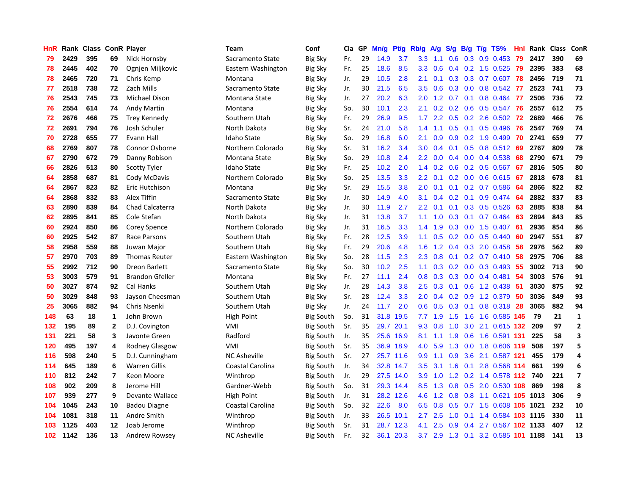| HnR |      | Rank Class ConR Player |                |                        | <b>Team</b>         | Conf             | Cla | GP | Mn/g | Pt/g | Rb/g             | A/g              | S/g           |     | $B/g$ T/g TS%              | <b>Hnl</b> | Rank Class |     | ConR                    |
|-----|------|------------------------|----------------|------------------------|---------------------|------------------|-----|----|------|------|------------------|------------------|---------------|-----|----------------------------|------------|------------|-----|-------------------------|
| 79  | 2429 | 395                    | 69             | Nick Hornsby           | Sacramento State    | <b>Big Sky</b>   | Fr. | 29 | 14.9 | 3.7  | 3.3              | 1.1              | 0.6           | 0.3 | $0.9$ 0.453                | 79         | 2417       | 390 | 69                      |
| 78  | 2445 | 402                    | 70             | Ognjen Miljkovic       | Eastern Washington  | <b>Big Sky</b>   | Fr. | 25 | 18.6 | 8.5  | 3.3 <sub>2</sub> | 0.6              | $0.4^{\circ}$ |     | 0.2 1.5 0.525 79           |            | 2395       | 383 | 68                      |
| 78  | 2465 | 720                    | 71             | Chris Kemp             | Montana             | <b>Big Sky</b>   | Jr. | 29 | 10.5 | 2.8  | 2.1              | 0.1              |               |     | 0.3 0.3 0.7 0.607 78       |            | 2456       | 719 | 71                      |
| 77  | 2518 | 738                    | 72             | Zach Mills             | Sacramento State    | Big Sky          | Jr. | 30 | 21.5 | 6.5  | 3.5              | 0.6              | 0.3           |     | $0.0$ 0.8 0.542 77         |            | 2523       | 741 | 73                      |
| 76  | 2543 | 745                    | 73             | Michael Dison          | Montana State       | <b>Big Sky</b>   | Jr. | 27 | 20.2 | 6.3  | 2.0              | 1.2              | 0.7           |     | $0.1$ 0.8 0.464            | -77        | 2506       | 736 | 72                      |
| 76  | 2554 | 614                    | 74             | <b>Andy Martin</b>     | Montana             | <b>Big Sky</b>   | So. | 30 | 10.1 | 2.3  | 2.1              | 0.2 <sub>0</sub> | 0.2           |     | $0.6$ 0.5 0.547            | -76        | 2557       | 612 | 75                      |
| 72  | 2676 | 466                    | 75             | <b>Trey Kennedy</b>    | Southern Utah       | <b>Big Sky</b>   | Fr. | 29 | 26.9 | 9.5  | 1.7              | 2.2              | 0.5           |     | $0.2$ 2.6 $0.502$          | 72         | 2689       | 466 | 76                      |
| 72  | 2691 | 794                    | 76             | Josh Schuler           | North Dakota        | <b>Big Sky</b>   | Sr. | 24 | 21.0 | 5.8  | 1.4              | 1.1              | 0.5           |     | $0.1$ 0.5 0.496            | 76         | 2547       | 769 | 74                      |
| 70  | 2728 | 655                    | 77             | Evann Hall             | <b>Idaho State</b>  | <b>Big Sky</b>   | So. | 29 | 16.8 | 6.0  | 2.1              | 0.9              | 0.9           |     | 0.2 1.9 0.499              | 70         | 2741       | 659 | 77                      |
| 68  | 2769 | 807                    | 78             | Connor Osborne         | Northern Colorado   | <b>Big Sky</b>   | Sr. | 31 | 16.2 | 3.4  | 3.0              | 0.4              | 0.1           |     | 0.5 0.8 0.512 69           |            | 2767       | 809 | 78                      |
| 67  | 2790 | 672                    | 79             | Danny Robison          | Montana State       | <b>Big Sky</b>   | So. | 29 | 10.8 | 2.4  | 2.2              | 0.0              |               |     | 0.4 0.0 0.4 0.538 68       |            | 2790       | 671 | 79                      |
| 66  | 2826 | 513                    | 80             | <b>Scotty Tyler</b>    | <b>Idaho State</b>  | <b>Big Sky</b>   | Fr. | 25 | 10.2 | 2.0  | 1.4              | 0.2              |               |     | 0.6 0.2 0.5 0.567 67       |            | 2816       | 505 | 80                      |
| 64  | 2858 | 687                    | 81             | Cody McDavis           | Northern Colorado   | <b>Big Sky</b>   | So. | 25 | 13.5 | 3.3  | $2.2\phantom{0}$ | 0.1              |               |     | 0.2 0.0 0.6 0.615 67       |            | 2818       | 678 | 81                      |
| 64  | 2867 | 823                    | 82             | Eric Hutchison         | Montana             | <b>Big Sky</b>   | Sr. | 29 | 15.5 | 3.8  | 2.0              | 0.1              | 0.1           |     | $0.2$ 0.7 0.586            | -64        | 2866       | 822 | 82                      |
| 64  | 2868 | 832                    | 83             | Alex Tiffin            | Sacramento State    | <b>Big Sky</b>   | Jr. | 30 | 14.9 | 4.0  | 3.1              | 0.4              | 0.2           |     | $0.1$ 0.9 0.474 64         |            | 2882       | 837 | 83                      |
| 63  | 2890 | 839                    | 84             | Chad Calcaterra        | North Dakota        | <b>Big Sky</b>   | Jr. | 30 | 11.9 | 2.7  | 2.2              | 0.1              | 0.1           |     | $0.3$ 0.5 0.526            | -63        | 2885       | 838 | 84                      |
| 62  | 2895 | 841                    | 85             | Cole Stefan            | North Dakota        | <b>Big Sky</b>   | Jr. | 31 | 13.8 | 3.7  | 1.1              | 1.0              | 0.3           |     | $0.1$ 0.7 0.464            | -63        | 2894       | 843 | 85                      |
| 60  | 2924 | 850                    | 86             | Corey Spence           | Northern Colorado   | <b>Big Sky</b>   | Jr. | 31 | 16.5 | 3.3  | $1.4^{\circ}$    | 1.9              | 0.3           |     | $0.0$ 1.5 0.407            | -61        | 2936       | 854 | 86                      |
| 60  | 2925 | 542                    | 87             | Race Parsons           | Southern Utah       | <b>Big Sky</b>   | Fr. | 28 | 12.5 | 3.9  | 1.1              | 0.5              |               |     | $0.2$ 0.0 0.5 0.440        | -60        | 2947       | 551 | 87                      |
| 58  | 2958 | 559                    | 88             | Juwan Major            | Southern Utah       | <b>Big Sky</b>   | Fr. | 29 | 20.6 | 4.8  | 1.6              | 1.2              |               |     | $0.4$ 0.3 2.0 0.458        | 58         | 2976       | 562 | 89                      |
| 57  | 2970 | 703                    | 89             | <b>Thomas Reuter</b>   | Eastern Washington  | <b>Big Sky</b>   | So. | 28 | 11.5 | 2.3  | 2.3              | 0.8              | 0.1           |     | 0.2 0.7 0.410 58           |            | 2975       | 706 | 88                      |
| 55  | 2992 | 712                    | 90             | Dreon Barlett          | Sacramento State    | <b>Big Sky</b>   | So. | 30 | 10.2 | 2.5  | 1.1              | 0.3              | 0.2           |     | $0.0$ $0.3$ $0.493$        | 55         | 3002       | 713 | 90                      |
| 53  | 3003 | 579                    | 91             | <b>Brandon Gfeller</b> | Montana             | <b>Big Sky</b>   | Fr. | 27 | 11.1 | 2.4  | 0.8              | 0.3              | 0.3           |     | $0.0$ 0.4 0.481            | 54         | 3003       | 576 | 91                      |
| 50  | 3027 | 874                    | 92             | Cal Hanks              | Southern Utah       | <b>Big Sky</b>   | Jr. | 28 | 14.3 | 3.8  | 2.5              | 0.3              | 0.1           |     | 0.6 1.2 0.438              | -51        | 3030       | 875 | 92                      |
| 50  | 3029 | 848                    | 93             | Jayson Cheesman        | Southern Utah       | <b>Big Sky</b>   | Sr. | 28 | 12.4 | 3.3  | 2.0              | 0.4              | 0.2           |     | 0.9 1.2 0.379              | -50        | 3036       | 849 | 93                      |
| 25  | 3065 | 882                    | 94             | Chris Nsenki           | Southern Utah       | <b>Big Sky</b>   | Jr. | 24 | 11.7 | 2.0  | 0.6              | 0.5              | 0.3           |     | $0.1$ 0.8 0.318            | -28        | 3065       | 882 | 94                      |
| 148 | 63   | 18                     | $\mathbf 1$    | John Brown             | <b>High Point</b>   | Big South        | So. | 31 | 31.8 | 19.5 |                  | $7.7$ 1.9        |               |     | 1.5 1.6 1.6 0.585 145      |            | 79         | 21  | $\mathbf{1}$            |
| 132 | 195  | 89                     | $\mathbf{2}$   | D.J. Covington         | VMI                 | <b>Big South</b> | Sr. | 35 | 29.7 | 20.1 | 9.3              | 0.8              |               |     | 1.0 3.0 2.1 0.615 132      |            | 209        | 97  | $\overline{2}$          |
| 131 | 221  | 58                     | 3              | Javonte Green          | Radford             | Big South        | Jr. | 35 | 25.6 | 16.9 | 8.1              | 1.1              | 1.9           |     | 0.6 1.6 0.591 131          |            | 225        | 58  | 3                       |
| 120 | 495  | 197                    | 4              | <b>Rodney Glasgow</b>  | VMI                 | Big South        | Sr. | 35 | 36.9 | 18.9 | 4.0              | 5.9              | 1.3           |     | 0.0 1.8 0.606 119          |            | 508        | 197 | 5                       |
| 116 | 598  | 240                    | 5              | D.J. Cunningham        | <b>NC Asheville</b> | <b>Big South</b> | Sr. | 27 | 25.7 | 11.6 | 9.9              | 1.1              | 0.9           |     | 3.6 2.1 0.587 121          |            | 455        | 179 | 4                       |
| 114 | 645  | 189                    | 6              | <b>Warren Gillis</b>   | Coastal Carolina    | <b>Big South</b> | Jr. | 34 | 32.8 | 14.7 | 3.5              | 3.1              | 1.6           |     | 0.1 2.8 0.568 114          |            | 661        | 199 | 6                       |
| 110 | 812  | 242                    | $\overline{7}$ | Keon Moore             | Winthrop            | <b>Big South</b> | Jr. | 29 | 27.5 | 14.0 | 3.9              | 1.0              | 1.2           |     | $0.2$ 1.4 0.578 112        |            | 740        | 221 | $\overline{\mathbf{z}}$ |
| 108 | 902  | 209                    | 8              | Jerome Hill            | Gardner-Webb        | <b>Big South</b> | So. | 31 | 29.3 | 14.4 | 8.5              | 1.3              | 0.8           |     | 0.5 2.0 0.530 108          |            | 869        | 198 | 8                       |
| 107 | 939  | 277                    | 9              | Devante Wallace        | High Point          | <b>Big South</b> | Jr. | 31 | 28.2 | 12.6 | 4.6              | 1.2              | 0.8           |     | 0.8 1.1 0.621 105 1013     |            |            | 306 | 9                       |
| 104 | 1045 | 243                    | 10             | <b>Badou Diagne</b>    | Coastal Carolina    | <b>Big South</b> | So. | 32 | 22.6 | 8.0  | 6.5              | 0.8              | 0.5           |     | 0.7 1.5 0.608 105 1021     |            |            | 232 | 10                      |
| 104 | 1081 | 318                    | 11             | Andre Smith            | Winthrop            | Big South        | Jr. | 33 | 26.5 | 10.1 | $2.7^{\circ}$    | 2.5              | 1.0           |     | 0.1 1.4 0.584 103 1115     |            |            | 330 | 11                      |
| 103 | 1125 | 403                    | 12             | Joab Jerome            | Winthrop            | Big South        | Sr. | 31 | 28.7 | 12.3 | 4.1              | 2.5              | 0.9           |     | 0.4 2.7 0.567 102 1133     |            |            | 407 | 12                      |
| 102 | 1142 | 136                    | 13             | Andrew Rowsey          | <b>NC Asheville</b> | <b>Big South</b> | Fr. | 32 | 36.1 | 20.3 |                  | $3.7$ 2.9        |               |     | 1.3 0.1 3.2 0.585 101 1188 |            |            | 141 | 13                      |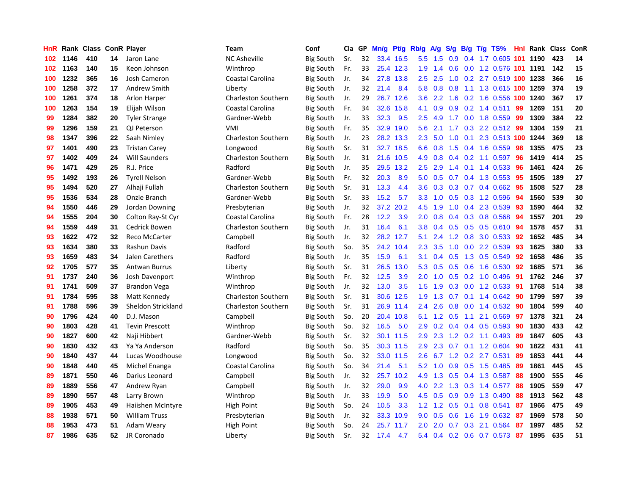| HnR |      | Rank Class ConR Player |    |                       | Team                       | Conf             | Cla | GP | Mn/g | Pt/g | Rb/g          | A/g | S/g              | <b>B/g</b> | T/g TS%                    |     | <b>Hnl Rank Class</b> |     | ConR |
|-----|------|------------------------|----|-----------------------|----------------------------|------------------|-----|----|------|------|---------------|-----|------------------|------------|----------------------------|-----|-----------------------|-----|------|
| 102 | 1146 | 410                    | 14 | Jaron Lane            | <b>NC Asheville</b>        | <b>Big South</b> | Sr. | 32 | 33.4 | 16.5 | 5.5           | 1.5 | 0.9              |            | $0.4$ 1.7 0.605 101        |     | 1190                  | 423 | 14   |
| 102 | 1163 | 140                    | 15 | Keon Johnson          | Winthrop                   | <b>Big South</b> | Fr. | 33 | 25.4 | 12.3 | 1.9           | 1.4 | 0.6              |            | 0.0 1.2 0.576 101 1191     |     |                       | 142 | 15   |
| 100 | 1232 | 365                    | 16 | <b>Josh Cameron</b>   | Coastal Carolina           | <b>Big South</b> | Jr. | 34 | 27.8 | 13.8 | $2.5^{\circ}$ | 2.5 |                  |            | 1.0 0.2 2.7 0.519 100 1238 |     |                       | 366 | 16   |
| 100 | 1258 | 372                    | 17 | Andrew Smith          | Liberty                    | <b>Big South</b> | Jr. | 32 | 21.4 | 8.4  | 5.8           | 0.8 | 0.8              |            | 1.1 1.3 0.615 100 1259     |     |                       | 374 | 19   |
| 100 | 1261 | 374                    | 18 | Arlon Harper          | <b>Charleston Southern</b> | <b>Big South</b> | Jr. | 29 | 26.7 | 12.6 | 3.6           | 2.2 | 1.6              |            | 0.2 1.6 0.556 100 1240     |     |                       | 367 | 17   |
| 100 | 1263 | 154                    | 19 | Elijah Wilson         | Coastal Carolina           | <b>Big South</b> | Fr. | 34 | 32.6 | 15.8 | 4.1           | 0.9 | 0.9              |            | $0.2$ 1.4 $0.511$          | 99  | 1269                  | 151 | 20   |
| 99  | 1284 | 382                    | 20 | <b>Tyler Strange</b>  | Gardner-Webb               | <b>Big South</b> | Jr. | 33 | 32.3 | 9.5  | 2.5           | 4.9 | 1.7              |            | $0.0$ 1.8 $0.559$          | 99  | 1309                  | 384 | 22   |
| 99  | 1296 | 159                    | 21 | QJ Peterson           | VMI                        | <b>Big South</b> | Fr. | 35 | 32.9 | 19.0 | 5.6           | 2.1 | 1.7              | 0.3        | 2.2 0.512                  | 99  | 1304                  | 159 | 21   |
| 98  | 1347 | 396                    | 22 | Saah Nimley           | <b>Charleston Southern</b> | <b>Big South</b> | Jr. | 23 | 28.2 | 13.3 | 2.3           | 5.0 | 1.0              | 0.1        | 2.3 0.513 100              |     | 1244                  | 369 | 18   |
| 97  | 1401 | 490                    | 23 | <b>Tristan Carey</b>  | Longwood                   | <b>Big South</b> | Sr. | 31 | 32.7 | 18.5 | 6.6           | 0.8 | 1.5              |            | 0.4 1.6 0.559              | 98  | 1355                  | 475 | 23   |
| 97  | 1402 | 409                    | 24 | <b>Will Saunders</b>  | <b>Charleston Southern</b> | <b>Big South</b> | Jr. | 31 | 21.6 | 10.5 | 4.9           | 0.8 |                  |            | $0.4$ 0.2 1.1 0.597        | -96 | 1419                  | 414 | 25   |
| 96  | 1471 | 429                    | 25 | R.J. Price            | Radford                    | <b>Big South</b> | Jr. | 35 | 29.5 | 13.2 | $2.5\,$       | 2.9 | $1.4^{\circ}$    |            | $0.1$ 1.4 0.533            | -96 | 1461                  | 424 | 26   |
| 95  | 1492 | 193                    | 26 | <b>Tyrell Nelson</b>  | Gardner-Webb               | <b>Big South</b> | Fr. | 32 | 20.3 | 8.9  | 5.0           | 0.5 | 0.7              |            | 0.4 1.3 0.553              | -95 | 1505                  | 189 | 27   |
| 95  | 1494 | 520                    | 27 | Alhaji Fullah         | <b>Charleston Southern</b> | <b>Big South</b> | Sr. | 31 | 13.3 | 4.4  | 3.6           | 0.3 | 0.3 <sub>0</sub> |            | $0.7$ 0.4 0.662            | 95  | 1508                  | 527 | 28   |
| 95  | 1536 | 534                    | 28 | Onzie Branch          | Gardner-Webb               | <b>Big South</b> | Sr. | 33 | 15.2 | 5.7  | 3.3           | 1.0 | 0.5              |            | 0.3 1.2 0.596              | -94 | 1560                  | 539 | 30   |
| 94  | 1550 | 446                    | 29 | Jordan Downing        | Presbyterian               | <b>Big South</b> | Jr. | 32 | 37.2 | 20.2 | 4.5           | 1.9 | 1.0              | 0.4        | 2.3 0.539                  | 93  | 1590                  | 464 | 32   |
| 94  | 1555 | 204                    | 30 | Colton Ray-St Cyr     | Coastal Carolina           | Big South        | Fr. | 28 | 12.2 | 3.9  | 2.0           | 0.8 | $0.4^{\circ}$    |            | 0.3 0.8 0.568              | 94  | 1557                  | 201 | 29   |
| 94  | 1559 | 449                    | 31 | Cedrick Bowen         | <b>Charleston Southern</b> | <b>Big South</b> | Jr. | 31 | 16.4 | 6.1  | 3.8           | 0.4 | 0.5              |            | $0.5$ 0.5 0.610            | -94 | 1578                  | 457 | 31   |
| 93  | 1622 | 472                    | 32 | Reco McCarter         | Campbell                   | <b>Big South</b> | Jr. | 32 | 28.2 | 12.7 | 5.1           | 2.4 |                  |            | 1.2 0.8 3.0 0.533 92       |     | 1652                  | 485 | 34   |
| 93  | 1634 | 380                    | 33 | Rashun Davis          | Radford                    | <b>Big South</b> | So. | 35 | 24.2 | 10.4 | 2.3           | 3.5 | 1.0              |            | $0.0$ 2.2 $0.539$          | 93  | 1625                  | 380 | 33   |
| 93  | 1659 | 483                    | 34 | Jalen Carethers       | Radford                    | <b>Big South</b> | Jr. | 35 | 15.9 | 6.1  | 3.1           | 0.4 |                  |            | $0.5$ 1.3 0.5 0.549        | 92  | 1658                  | 486 | 35   |
| 92  | 1705 | 577                    | 35 | <b>Antwan Burrus</b>  | Liberty                    | <b>Big South</b> | Sr. | 31 | 26.5 | 13.0 | 5.3           | 0.5 | 0.5              |            | $0.6$ 1.6 0.530            | 92  | 1685                  | 571 | 36   |
| 91  | 1737 | 240                    | 36 | Josh Davenport        | Winthrop                   | <b>Big South</b> | Fr. | 32 | 12.5 | 3.9  | 2.0           | 1.0 | 0.5              |            | 0.2 1.0 0.496              | -91 | 1762                  | 246 | 37   |
| 91  | 1741 | 509                    | 37 | <b>Brandon Vega</b>   | Winthrop                   | Big South        | Jr. | 32 | 13.0 | 3.5  | 1.5           | 1.9 | 0.3              |            | $0.0$ 1.2 0.533            | -91 | 1768                  | 514 | 38   |
| 91  | 1784 | 595                    | 38 | Matt Kennedy          | Charleston Southern        | Big South        | Sr. | 31 | 30.6 | 12.5 | 1.9           | 1.3 | 0.7              |            | $0.1$ 1.4 $0.642$          | 90  | 1799                  | 597 | 39   |
| 91  | 1788 | 596                    | 39 | Sheldon Strickland    | Charleston Southern        | <b>Big South</b> | Sr. | 31 | 26.9 | 11.4 | 2.4           | 2.6 | 0.8              |            | 0.0 1.4 0.532              | -90 | 1804                  | 599 | 40   |
| 90  | 1796 | 424                    | 40 | D.J. Mason            | Campbell                   | <b>Big South</b> | So. | 20 | 20.4 | 10.8 | 5.1           |     | $1.2 \quad 0.5$  |            | 1.1 2.1 0.569              | -97 | 1378                  | 321 | 24   |
| 90  | 1803 | 428                    | 41 | <b>Tevin Prescott</b> | Winthrop                   | <b>Big South</b> | So. | 32 | 16.5 | 5.0  | 2.9           | 0.2 |                  |            | $0.4$ 0.4 0.5 0.593        | 90  | 1830                  | 433 | 42   |
| 90  | 1827 | 600                    | 42 | Naji Hibbert          | Gardner-Webb               | <b>Big South</b> | Sr. | 32 | 30.1 | 11.5 | 2.9           | 2.3 |                  |            | 1.2 0.2 1.1 0.493          | -89 | 1847                  | 605 | 43   |
| 90  | 1830 | 432                    | 43 | Ya Ya Anderson        | Radford                    | <b>Big South</b> | So. | 35 | 30.3 | 11.5 | 2.9           | 2.3 | 0.7              |            | $0.1$ 1.2 0.604            | 90  | 1822                  | 431 | 41   |
| 90  | 1840 | 437                    | 44 | Lucas Woodhouse       | Longwood                   | <b>Big South</b> | So. | 32 | 33.0 | 11.5 | 2.6           | 6.7 | 1.2              |            | 0.2 2.7 0.531              | 89  | 1853                  | 441 | 44   |
| 90  | 1848 | 440                    | 45 | Michel Enanga         | Coastal Carolina           | <b>Big South</b> | So. | 34 | 21.4 | 5.1  | 5.2           | 1.0 | 0.9              |            | $0.5$ 1.5 0.485            | 89  | 1861                  | 445 | 45   |
| 89  | 1871 | 550                    | 46 | Darius Leonard        | Campbell                   | <b>Big South</b> | Jr. | 32 | 25.7 | 10.2 | 4.9           | 1.3 | 0.5              |            | 0.4 1.3 0.587              | 88  | 1900                  | 555 | 46   |
| 89  | 1889 | 556                    | 47 | Andrew Ryan           | Campbell                   | <b>Big South</b> | Jr. | 32 | 29.0 | 9.9  | 4.0           | 2.2 | 1.3              |            | 0.3 1.4 0.577              | 88  | 1905                  | 559 | 47   |
| 89  | 1890 | 557                    | 48 | Larry Brown           | Winthrop                   | <b>Big South</b> | Jr. | 33 | 19.9 | 5.0  | 4.5           | 0.5 | 0.9              |            | 0.9 1.3 0.490              | 88  | 1913                  | 562 | 48   |
| 89  | 1905 | 453                    | 49 | Haiishen McIntyre     | High Point                 | <b>Big South</b> | So. | 24 | 10.5 | 3.3  | $1.2^{\circ}$ | 1.2 | 0.5              |            | $0.1$ 0.8 0.541            | 87  | 1966                  | 475 | 49   |
| 88  | 1938 | 571                    | 50 | <b>William Truss</b>  | Presbyterian               | <b>Big South</b> | Jr. | 32 | 33.3 | 10.9 | 9.0           | 0.5 | 0.6              |            | 1.6 1.9 0.632              | -87 | 1969                  | 578 | 50   |
| 88  | 1953 | 473                    | 51 | Adam Weary            | High Point                 | <b>Big South</b> | So. | 24 | 25.7 | 11.7 | 2.0           | 2.0 | 0.7              | 0.3        | 2.1 0.564                  | 87  | 1997                  | 485 | 52   |
| 87  | 1986 | 635                    | 52 | JR Coronado           | Liberty                    | <b>Big South</b> | Sr. | 32 | 17.4 | 4.7  | 5.4           | 0.4 |                  |            | $0.2$ $0.6$ $0.7$ $0.573$  | 87  | 1995                  | 635 | 51   |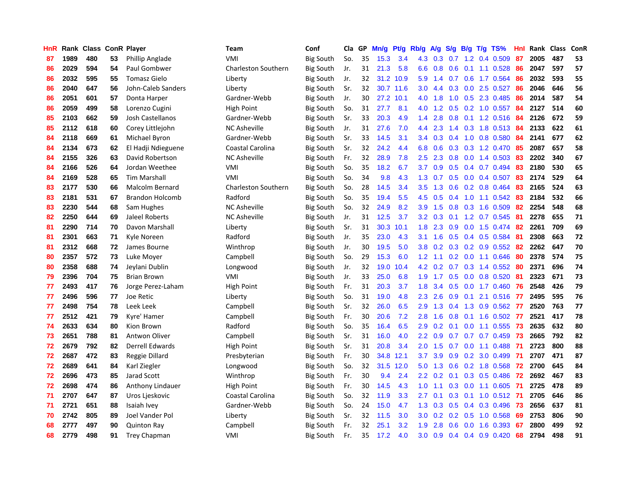| HnR |      | Rank Class ConR Player |    |                        | Team                       | Conf             | Cla | GP | Mn/g | Pf/g | Rb/g             | A/g | S/g |     | $B/g$ T/g TS%           | Hnl | Rank Class |     | ConR |
|-----|------|------------------------|----|------------------------|----------------------------|------------------|-----|----|------|------|------------------|-----|-----|-----|-------------------------|-----|------------|-----|------|
| 87  | 1989 | 480                    | 53 | Phillip Anglade        | VMI                        | <b>Big South</b> | So. | 35 | 15.3 | 3.4  | 4.3              | 0.3 | 0.7 | 1.2 | 0.4 0.509               | 87  | 2005       | 487 | 53   |
| 86  | 2029 | 594                    | 54 | Paul Gombwer           | <b>Charleston Southern</b> | <b>Big South</b> | Jr. | 31 | 21.3 | 5.8  | 6.6              | 0.8 | 0.6 |     | $0.1$ 1.1 0.528         | -86 | 2047       | 597 | 57   |
| 86  | 2032 | 595                    | 55 | <b>Tomasz Gielo</b>    | Liberty                    | <b>Big South</b> | Jr. | 32 | 31.2 | 10.9 | 5.9              | 1.4 |     |     | 0.7 0.6 1.7 0.564       | -86 | 2032       | 593 | 55   |
| 86  | 2040 | 647                    | 56 | John-Caleb Sanders     | Liberty                    | Big South        | Sr. | 32 | 30.7 | 11.6 | 3.0 <sub>2</sub> | 4.4 | 0.3 |     | $0.0$ 2.5 $0.527$       | -86 | 2046       | 646 | 56   |
| 86  | 2051 | 601                    | 57 | Donta Harper           | Gardner-Webb               | Big South        | Jr. | 30 | 27.2 | 10.1 | 4.0              | 1.8 | 1.0 |     | 0.5 2.3 0.485           | 86  | 2014       | 587 | 54   |
| 86  | 2059 | 499                    | 58 | Lorenzo Cugini         | High Point                 | <b>Big South</b> | So. | 31 | 27.7 | 8.1  | 4.0              | 1.2 | 0.5 |     | $0.2$ 1.0 0.557         | 84  | 2127       | 514 | 60   |
| 85  | 2103 | 662                    | 59 | Josh Castellanos       | Gardner-Webb               | <b>Big South</b> | Sr. | 33 | 20.3 | 4.9  | 1.4              | 2.8 | 0.8 |     | $0.1$ 1.2 0.516         | -84 | 2126       | 672 | 59   |
| 85  | 2112 | 618                    | 60 | Corey Littlejohn       | <b>NC Asheville</b>        | Big South        | Jr. | 31 | 27.6 | 7.0  | 4.4              | 2.3 | 1.4 |     | 0.3 1.8 0.513           | -84 | 2133       | 622 | 61   |
| 84  | 2118 | 669                    | 61 | Michael Byron          | Gardner-Webb               | <b>Big South</b> | Sr. | 33 | 14.5 | 3.1  | $3.4^{\circ}$    | 0.3 |     |     | 0.4 1.0 0.8 0.580       | 84  | 2141       | 677 | 62   |
| 84  | 2134 | 673                    | 62 | El Hadji Ndieguene     | Coastal Carolina           | <b>Big South</b> | Sr. | 32 | 24.2 | 4.4  | 6.8              | 0.6 | 0.3 |     | 0.3 1.2 0.470           | -85 | 2087       | 657 | 58   |
| 84  | 2155 | 326                    | 63 | David Robertson        | <b>NC Asheville</b>        | Big South        | Fr. | 32 | 28.9 | 7.8  | $2.5^{\circ}$    | 2.3 |     |     | 0.8 0.0 1.4 0.503 83    |     | 2202       | 340 | 67   |
| 84  | 2166 | 526                    | 64 | Jordan Weethee         | VMI                        | <b>Big South</b> | So. | 35 | 18.2 | 6.7  | 3.7              | 0.9 |     |     | $0.5$ 0.4 0.7 0.494     | -83 | 2180       | 530 | 65   |
| 84  | 2169 | 528                    | 65 | <b>Tim Marshall</b>    | VMI                        | Big South        | So. | 34 | 9.8  | 4.3  | 1.3              | 0.7 | 0.5 |     | $0.0$ 0.4 0.507 83      |     | 2174       | 529 | 64   |
| 83  | 2177 | 530                    | 66 | <b>Malcolm Bernard</b> | <b>Charleston Southern</b> | <b>Big South</b> | So. | 28 | 14.5 | 3.4  | 3.5              | 1.3 | 0.6 |     | $0.2$ 0.8 0.464         | 83  | 2165       | 524 | 63   |
| 83  | 2181 | 531                    | 67 | <b>Brandon Holcomb</b> | Radford                    | <b>Big South</b> | So. | 35 | 19.4 | 5.5  | 4.5              | 0.5 | 0.4 |     | 1.0 1.1 0.542           | 83  | 2184       | 532 | 66   |
| 83  | 2230 | 544                    | 68 | Sam Hughes             | <b>NC Asheville</b>        | <b>Big South</b> | So. | 32 | 24.9 | 8.2  | 3.9              | 1.5 | 0.8 |     | 0.3 1.6 0.509           | 82  | 2254       | 548 | 68   |
| 82  | 2250 | 644                    | 69 | Jaleel Roberts         | <b>NC Asheville</b>        | <b>Big South</b> | Jr. | 31 | 12.5 | 3.7  | 3.2              | 0.3 |     |     | $0.1$ 1.2 0.7 0.545     | -81 | 2278       | 655 | 71   |
| 81  | 2290 | 714                    | 70 | Davon Marshall         | Liberty                    | <b>Big South</b> | Sr. | 31 | 30.3 | 10.1 | 1.8              | 2.3 | 0.9 |     | $0.0$ 1.5 $0.474$       | -82 | 2261       | 709 | 69   |
| 81  | 2301 | 663                    | 71 | Kyle Noreen            | Radford                    | <b>Big South</b> | Jr. | 35 | 23.0 | 4.3  | 3.1              | 1.6 | 0.5 |     | 0.4 0.5 0.584           | -81 | 2308       | 663 | 72   |
| 81  | 2312 | 668                    | 72 | James Bourne           | Winthrop                   | Big South        | Jr. | 30 | 19.5 | 5.0  | 3.8              | 0.2 |     |     | 0.3 0.2 0.9 0.552 82    |     | 2262       | 647 | 70   |
| 80  | 2357 | 572                    | 73 | Luke Moyer             | Campbell                   | <b>Big South</b> | So. | 29 | 15.3 | 6.0  | 1.2 <sub>1</sub> | 1.1 |     |     | $0.2$ 0.0 1.1 0.646     | -80 | 2378       | 574 | 75   |
| 80  | 2358 | 688                    | 74 | Jeylani Dublin         | Longwood                   | Big South        | Jr. | 32 | 19.0 | 10.4 | 4.2              | 0.2 | 0.7 |     | $0.3$ 1.4 $0.552$       | -80 | 2371       | 696 | 74   |
| 79  | 2396 | 704                    | 75 | <b>Brian Brown</b>     | VMI                        | <b>Big South</b> | Jr. | 33 | 25.0 | 6.8  | 1.9              | 1.7 | 0.5 |     | $0.0$ 0.8 0.520         | 81  | 2323       | 671 | 73   |
| 77  | 2493 | 417                    | 76 | Jorge Perez-Laham      | High Point                 | <b>Big South</b> | Fr. | 31 | 20.3 | 3.7  | 1.8              | 3.4 | 0.5 |     | $0.0$ 1.7 $0.460$       | 76  | 2548       | 426 | 79   |
| 77  | 2496 | 596                    | 77 | Joe Retic              | Liberty                    | Big South        | So. | 31 | 19.0 | 4.8  | 2.3              | 2.6 | 0.9 |     | $0.1$ 2.1 $0.516$       | -77 | 2495       | 595 | 76   |
| 77  | 2498 | 754                    | 78 | Leek Leek              | Campbell                   | <b>Big South</b> | Sr. | 32 | 26.0 | 6.5  | 2.9              | 1.3 | 0.4 |     | 1.3 0.9 0.562           | -77 | 2520       | 763 | 77   |
| 77  | 2512 | 421                    | 79 | Kvre' Hamer            | Campbell                   | <b>Big South</b> | Fr. | 30 | 20.6 | 7.2  | 2.8              | 1.6 | 0.8 |     | 0.1 1.6 0.502 77        |     | 2521       | 417 | 78   |
| 74  | 2633 | 634                    | 80 | Kion Brown             | Radford                    | <b>Big South</b> | So. | 35 | 16.4 | 6.5  | 2.9              | 0.2 |     |     | $0.1$ 0.0 1.1 0.555 73  |     | 2635       | 632 | 80   |
| 73  | 2651 | 788                    | 81 | Antwon Oliver          | Campbell                   | <b>Big South</b> | Sr. | 31 | 16.0 | 4.0  | $2.2\phantom{0}$ | 0.9 |     |     | 0.7 0.7 0.7 0.459 73    |     | 2665       | 792 | 82   |
| 72  | 2679 | 792                    | 82 | Derrell Edwards        | High Point                 | Big South        | Sr. | 31 | 20.8 | 3.4  | 2.0              | 1.5 | 0.7 |     | $0.0$ 1.1 $0.488$       | -71 | 2723       | 800 | 88   |
| 72  | 2687 | 472                    | 83 | Reggie Dillard         | Presbyterian               | <b>Big South</b> | Fr. | 30 | 34.8 | 12.1 | 3.7              | 3.9 | 0.9 |     | 0.2 3.0 0.499           | 71  | 2707       | 471 | 87   |
| 72  | 2689 | 641                    | 84 | Karl Ziegler           | Longwood                   | <b>Big South</b> | So. | 32 | 31.5 | 12.0 | 5.0              | 1.3 | 0.6 |     | 0.2 1.8 0.568           | 72  | 2700       | 645 | 84   |
| 72  | 2696 | 473                    | 85 | Jarad Scott            | Winthrop                   | <b>Big South</b> | Fr. | 30 | 9.4  | 2.4  | $2.2\phantom{0}$ | 0.2 | 0.1 |     | 0.3 0.5 0.486           | 72  | 2692       | 467 | 83   |
| 72  | 2698 | 474                    | 86 | Anthony Lindauer       | High Point                 | <b>Big South</b> | Fr. | 30 | 14.5 | 4.3  | 1.0              | 1.1 | 0.3 |     | $0.0$ 1.1 $0.605$       | 71  | 2725       | 478 | 89   |
| 71  | 2707 | 647                    | 87 | Uros Ljeskovic         | Coastal Carolina           | <b>Big South</b> | So. | 32 | 11.9 | 3.3  | 2.7              | 0.1 | 0.3 |     | $0.1$ 1.0 $0.512$ 71    |     | 2705       | 646 | 86   |
| 71  | 2721 | 651                    | 88 | Isaiah Ivey            | Gardner-Webb               | <b>Big South</b> | So. | 24 | 15.0 | 4.7  | 1.3              | 0.3 |     |     | $0.5$ 0.4 0.3 0.496     | -73 | 2656       | 637 | 81   |
| 70  | 2742 | 805                    | 89 | Joel Vander Pol        | Liberty                    | <b>Big South</b> | Sr. | 32 | 11.5 | 3.0  | 3.0 <sub>2</sub> | 0.2 |     |     | $0.2$ $0.5$ 1.0 $0.568$ | -69 | 2753       | 806 | 90   |
| 68  | 2777 | 497                    | 90 | <b>Quinton Ray</b>     | Campbell                   | Big South        | Fr. | 32 | 25.1 | 3.2  | 1.9              | 2.8 | 0.6 |     | $0.0$ 1.6 0.393         | -67 | 2800       | 499 | 92   |
| 68  | 2779 | 498                    | 91 | <b>Trey Chapman</b>    | VMI                        | <b>Big South</b> | Fr. | 35 | 17.2 | 4.0  | 3.0              | 0.9 | 0.4 |     | $0.4$ 0.9 0.420         | 68  | 2794       | 498 | 91   |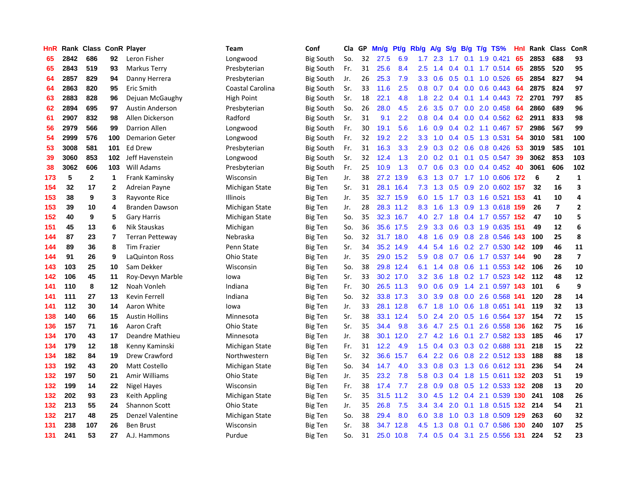| HnR |      | Rank Class ConR Player |              |                         | Team             | Conf             | Cla | GP | Mn/g | Pt/g | Rb/g             | <b>A/g</b> | S/g              | B/g | T/g TS%               | Hnl | Rank Class |                | ConR                    |
|-----|------|------------------------|--------------|-------------------------|------------------|------------------|-----|----|------|------|------------------|------------|------------------|-----|-----------------------|-----|------------|----------------|-------------------------|
| 65  | 2842 | 686                    | 92           | Leron Fisher            | Longwood         | <b>Big South</b> | So. | 32 | 27.5 | 6.9  | 1.7              | 2.3        | 1.7              | 0.1 | 1.9 0.421             | 65  | 2853       | 688            | 93                      |
| 65  | 2843 | 519                    | 93           | Markus Terry            | Presbyterian     | <b>Big South</b> | Fr. | 31 | 25.6 | 8.4  | 2.5              | 1.4        | $0.4^{\circ}$    |     | $0.1$ 1.7 0.514 65    |     | 2855       | 520            | 95                      |
| 64  | 2857 | 829                    | 94           | Danny Herrera           | Presbyterian     | <b>Big South</b> | Jr. | 26 | 25.3 | 7.9  | 3.3 <sub>2</sub> | 0.6        |                  |     | $0.5$ 0.1 1.0 0.526   | -65 | 2854       | 827            | 94                      |
| 64  | 2863 | 820                    | 95           | Eric Smith              | Coastal Carolina | <b>Big South</b> | Sr. | 33 | 11.6 | 2.5  | 0.8              | 0.7        |                  |     | $0.4$ 0.0 0.6 0.443   | -64 | 2875       | 824            | 97                      |
| 63  | 2883 | 828                    | 96           | Dejuan McGaughy         | High Point       | <b>Big South</b> | Sr. | 18 | 22.1 | 4.8  | 1.8              | 2.2        | 0.4              |     | $0.1$ 1.4 $0.443$     | -72 | 2701       | 797            | 85                      |
| 62  | 2894 | 695                    | 97           | <b>Austin Anderson</b>  | Presbyterian     | <b>Big South</b> | So. | 26 | 28.0 | 4.5  | 2.6              | 3.5        | 0.7              |     | $0.0$ 2.0 0.458       | 64  | 2860       | 689            | 96                      |
| 61  | 2907 | 832                    | 98           | Allen Dickerson         | Radford          | <b>Big South</b> | Sr. | 31 | 9.1  | 2.2  | 0.8              | 0.4        | 0.4              |     | $0.0$ 0.4 0.562       | 62  | 2911       | 833            | 98                      |
| 56  | 2979 | 566                    | 99           | <b>Darrion Allen</b>    | Longwood         | <b>Big South</b> | Fr. | 30 | 19.1 | 5.6  | 1.6              | 0.9        | 0.4              |     | $0.2$ 1.1 0.467       | 57  | 2986       | 567            | 99                      |
| 54  | 2999 | 576                    | 100          | <b>Demarion Geter</b>   | Longwood         | <b>Big South</b> | Fr. | 32 | 19.2 | 2.2  | 3.3              | 1.0        | 0.4              |     | 0.5 1.3 0.531         | 54  | 3010       | 581            | 100                     |
| 53  | 3008 | 581                    | 101          | <b>Ed Drew</b>          | Presbyterian     | <b>Big South</b> | Fr. | 31 | 16.3 | 3.3  | 2.9              | 0.3        |                  |     | 0.2 0.6 0.8 0.426     | 53  | 3019       | 585            | 101                     |
| 39  | 3060 | 853                    | 102          | Jeff Havenstein         | Longwood         | <b>Big South</b> | Sr. | 32 | 12.4 | 1.3  | 2.0              | 0.2        |                  |     | 0.1 0.1 0.5 0.547 39  |     | 3062       | 853            | 103                     |
| 38  | 3062 | 606                    | 103          | Will Adams              | Presbyterian     | <b>Big South</b> | Fr. | 25 | 10.9 | 1.3  | 0.7              | 0.6        |                  |     | 0.3 0.0 0.4 0.452 40  |     | 3061       | 606            | 102                     |
| 173 | 5    | $\mathbf{2}$           | 1            | Frank Kaminsky          | Wisconsin        | Big Ten          | Jr. | 38 | 27.2 | 13.9 | 6.3              | 1.3        |                  |     | 0.7 1.7 1.0 0.606 172 |     | 6          | $\mathbf{2}$   | 1                       |
| 154 | 32   | 17                     | $\mathbf{2}$ | Adreian Payne           | Michigan State   | <b>Big Ten</b>   | Sr. | 31 | 28.1 | 16.4 | 7.3              | 1.3        | 0.5              |     | 0.9 2.0 0.602 157     |     | 32         | 16             | 3                       |
| 153 | 38   | 9                      | 3            | Rayvonte Rice           | <b>Illinois</b>  | Big Ten          | Jr. | 35 | 32.7 | 15.9 | 6.0              | 1.5        |                  |     | 1.7 0.3 1.6 0.521 153 |     | 41         | 10             | 4                       |
| 153 | 39   | 10                     | 4            | <b>Branden Dawson</b>   | Michigan State   | Big Ten          | Jr. | 28 | 28.3 | 11.2 | 8.3              | 1.6        | 1.3              |     | 0.9 1.3 0.618 159     |     | 26         | $\overline{7}$ | $\mathbf{2}$            |
| 152 | 40   | 9                      | 5            | Gary Harris             | Michigan State   | Big Ten          | So. | 35 | 32.3 | 16.7 | 4.0              | 2.7        | 1.8              |     | 0.4 1.7 0.557 152     |     | 47         | 10             | 5                       |
| 151 | 45   | 13                     | 6            | Nik Stauskas            | Michigan         | <b>Big Ten</b>   | So. | 36 | 35.6 | 17.5 | 2.9              | 3.3        | 0.6              |     | 0.3 1.9 0.635 151     |     | 49         | 12             | 6                       |
| 144 | 87   | 23                     | 7            | <b>Terran Petteway</b>  | Nebraska         | Big Ten          | So. | 32 | 31.7 | 18.0 | 4.8              | 1.6        | 0.9              |     | 0.8 2.8 0.546 143     |     | 100        | 25             | 8                       |
| 144 | 89   | 36                     | 8            | <b>Tim Frazier</b>      | Penn State       | <b>Big Ten</b>   | Sr. | 34 | 35.2 | 14.9 | 4.4              | 5.4        |                  |     | 1.6 0.2 2.7 0.530 142 |     | 109        | 46             | 11                      |
| 144 | 91   | 26                     | 9            | LaQuinton Ross          | Ohio State       | <b>Big Ten</b>   | Jr. | 35 | 29.0 | 15.2 | 5.9              | 0.8        | 0.7              |     | 0.6 1.7 0.537 144     |     | 90         | 28             | $\overline{\mathbf{z}}$ |
| 143 | 103  | 25                     | 10           | Sam Dekker              | Wisconsin        | <b>Big Ten</b>   | So. | 38 | 29.8 | 12.4 | 6.1              | 1.4        | 0.8              |     | 0.6 1.1 0.553 142     |     | 106        | 26             | 10                      |
| 142 | 106  | 45                     | 11           | Roy-Devyn Marble        | lowa             | <b>Big Ten</b>   | Sr. | 33 | 30.2 | 17.0 | 3.2              | 3.6        | 1.8              |     | 0.2 1.7 0.523 142     |     | 112        | 48             | 12                      |
| 141 | 110  | 8                      | $12 \,$      | Noah Vonleh             | Indiana          | <b>Big Ten</b>   | Fr. | 30 | 26.5 | 11.3 | 9.0              | 0.6        | 0.9 <sub>0</sub> | 1.4 | 2.1 0.597 143         |     | 101        | 6              | 9                       |
| 141 | 111  | 27                     | 13           | Kevin Ferrell           | Indiana          | Big Ten          | So. | 32 | 33.8 | 17.3 | 3.0 <sub>2</sub> | 3.9        | 0.8              |     | 0.0 2.6 0.568 141     |     | 120        | 28             | 14                      |
| 141 | 112  | 30                     | 14           | Aaron White             | lowa             | <b>Big Ten</b>   | Jr. | 33 | 28.1 | 12.8 | 6.7              | 1.8        | 1.0              |     | 0.6 1.8 0.651 141     |     | 119        | 32             | 13                      |
| 138 | 140  | 66                     | 15           | <b>Austin Hollins</b>   | Minnesota        | <b>Big Ten</b>   | Sr. | 38 | 33.1 | 12.4 | 5.0              | 2.4        | 2.0              |     | 0.5 1.6 0.564 137     |     | 154        | 72             | 15                      |
| 136 | 157  | 71                     | 16           | Aaron Craft             | Ohio State       | <b>Big Ten</b>   | Sr. | 35 | 34.4 | 9.8  | 3.6              |            | 4.7 2.5          |     | 0.1 2.6 0.558 136     |     | 162        | 75             | 16                      |
| 134 | 170  | 43                     | 17           | Deandre Mathieu         | Minnesota        | <b>Big Ten</b>   | Jr. | 38 | 30.1 | 12.0 | $2.7^{\circ}$    |            | 4.2 1.6          |     | $0.1$ 2.7 $0.582$ 133 |     | 185        | 46             | 17                      |
| 134 | 179  | 12                     | 18           | Kenny Kaminski          | Michigan State   | <b>Big Ten</b>   | Fr. | 31 | 12.2 | 4.9  | 1.5              | 0.4        | 0.3              |     | 0.3 0.2 0.688 131     |     | 218        | 15             | 22                      |
| 134 | 182  | 84                     | 19           | Drew Crawford           | Northwestern     | <b>Big Ten</b>   | Sr. | 32 | 36.6 | 15.7 | 6.4              | 2.2        | 0.6              |     | 0.8 2.2 0.512 133     |     | 188        | 88             | 18                      |
| 133 | 192  | 43                     | 20           | Matt Costello           | Michigan State   | <b>Big Ten</b>   | So. | 34 | 14.7 | 4.0  | 3.3              | 0.8        | 0.3              |     | 1.3 0.6 0.612 131     |     | 236        | 54             | 24                      |
| 132 | 197  | 50                     | 21           | Amir Williams           | Ohio State       | Big Ten          | Jr. | 35 | 23.2 | 7.8  | 5.8              | 0.3        | 0.4              |     | 1.8 1.5 0.611 132     |     | 203        | 51             | 19                      |
| 132 | 199  | 14                     | 22           | Nigel Hayes             | Wisconsin        | <b>Big Ten</b>   | Fr. | 38 | 17.4 | 7.7  | 2.8              | 0.9        | 0.8              |     | 0.5 1.2 0.533 132     |     | 208        | 13             | ${\bf 20}$              |
| 132 | 202  | 93                     | 23           | Keith Appling           | Michigan State   | <b>Big Ten</b>   | Sr. | 35 | 31.5 | 11.2 | 3.0              | 4.5        | 1.2              |     | 0.4 2.1 0.539 130     |     | 241        | 108            | 26                      |
| 132 | 213  | 55                     | 24           | <b>Shannon Scott</b>    | Ohio State       | <b>Big Ten</b>   | Jr. | 35 | 26.8 | 7.5  | $3.4^{\circ}$    | 3.4        | 2.0              |     | 0.1 1.8 0.515 132     |     | 214        | 54             | 21                      |
| 132 | 217  | 48                     | 25           | <b>Denzel Valentine</b> | Michigan State   | Big Ten          | So. | 38 | 29.4 | 8.0  | 6.0              | 3.8        | 1.0 <sub>1</sub> |     | 0.3 1.8 0.509 129     |     | 263        | 60             | 32                      |
| 131 | 238  | 107                    | 26           | <b>Ben Brust</b>        | Wisconsin        | Big Ten          | Sr. | 38 | 34.7 | 12.8 | 4.5              | 1.3        | 0.8              | 0.1 | 0.7 0.586 130         |     | 240        | 107            | 25                      |
| 131 | 241  | 53                     | 27           | A.J. Hammons            | Purdue           | <b>Big Ten</b>   | So. | 31 | 25.0 | 10.8 | 7.4              | 0.5        | 0.4              | 3.1 | 2.5 0.556 131         |     | 224        | 52             | 23                      |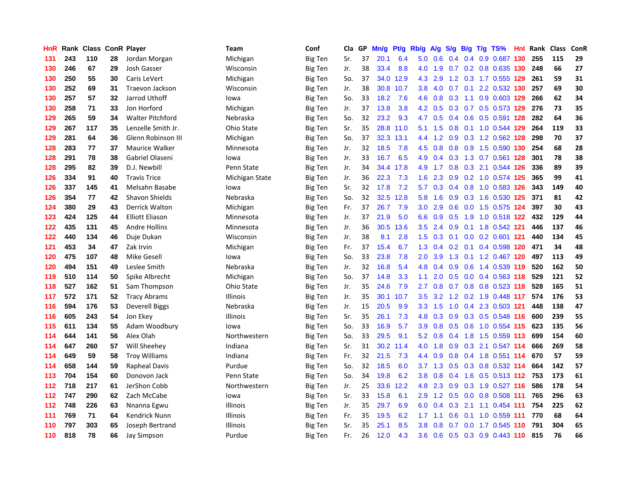| HnR |     | Rank Class ConR Player |    |                         | <b>Team</b>     | Conf           | Cla | GP | Mn/g | Pf/g | Rb/g             | A/g | S/g              |     | $B/g$ T/g TS%                  | Hnl Rank | <b>Class</b> | ConR |
|-----|-----|------------------------|----|-------------------------|-----------------|----------------|-----|----|------|------|------------------|-----|------------------|-----|--------------------------------|----------|--------------|------|
| 131 | 243 | 110                    | 28 | Jordan Morgan           | Michigan        | <b>Big Ten</b> | Sr. | 37 | 20.1 | 6.4  | 5.0              | 0.6 | 0.4              | 0.4 | 0.9 0.687 130                  | 255      | 115          | 29   |
| 130 | 246 | 67                     | 29 | Josh Gasser             | Wisconsin       | <b>Big Ten</b> | Jr. | 38 | 33.4 | 8.8  | 4.0              | 1.9 | 0.7              |     | $0.2$ 0.8 0.635 130            | 248      | 66           | 27   |
| 130 | 250 | 55                     | 30 | Caris LeVert            | Michigan        | <b>Big Ten</b> | So. | 37 | 34.0 | 12.9 | 4.3              | 2.9 |                  |     | 1.2 0.3 1.7 0.555 129          | 261      | 59           | 31   |
| 130 | 252 | 69                     | 31 | Traevon Jackson         | Wisconsin       | <b>Big Ten</b> | Jr. | 38 | 30.8 | 10.7 | 3.8 <sub>2</sub> | 4.0 | 0.7              |     | $0.1$ 2.2 0.532 130            | 257      | 69           | 30   |
| 130 | 257 | 57                     | 32 | Jarrod Uthoff           | lowa            | <b>Big Ten</b> | So. | 33 | 18.2 | 7.6  | 4.6              | 0.8 | 0.3 <sub>0</sub> |     | 1.1 0.9 0.603 129              | 266      | 62           | 34   |
| 130 | 258 | 71                     | 33 | Jon Horford             | Michigan        | <b>Big Ten</b> | Jr. | 37 | 13.8 | 3.8  | 4.2              | 0.5 | 0.3 <sub>0</sub> |     | 0.7 0.5 0.573 129              | 276      | 73           | 35   |
| 129 | 265 | 59                     | 34 | <b>Walter Pitchford</b> | Nebraska        | Big Ten        | So. | 32 | 23.2 | 9.3  | 4.7              | 0.5 | 0.4              |     | 0.6 0.5 0.591 128              | 282      | 64           | 36   |
| 129 | 267 | 117                    | 35 | Lenzelle Smith Jr.      | Ohio State      | Big Ten        | Sr. | 35 | 28.8 | 11.0 | 5.1              | 1.5 | 0.8              |     | 0.1 1.0 0.544 129              | 264      | 119          | 33   |
| 129 | 281 | 64                     | 36 | Glenn Robinson III      | Michigan        | Big Ten        | So. | 37 | 32.3 | 13.1 | 4.4              | 1.2 | 0.9              |     | 0.3 1.2 0.562 128              | 298      | 70           | 37   |
| 128 | 283 | 77                     | 37 | <b>Maurice Walker</b>   | Minnesota       | <b>Big Ten</b> | Jr. | 32 | 18.5 | 7.8  | 4.5              | 0.8 | 0.8              |     | 0.9 1.5 0.590 130              | 254      | 68           | 28   |
| 128 | 291 | 78                     | 38 | Gabriel Olaseni         | lowa            | Big Ten        | Jr. | 33 | 16.7 | 6.5  | 4.9              |     |                  |     | 0.4 0.3 1.3 0.7 0.561 128      | 301      | 78           | 38   |
| 128 | 295 | 82                     | 39 | D.J. Newbill            | Penn State      | <b>Big Ten</b> | Jr. | 34 | 34.4 | 17.8 | 4.9              | 1.7 |                  |     | 0.8 0.3 2.1 0.544 126          | 336      | 89           | 39   |
| 126 | 334 | 91                     | 40 | <b>Travis Trice</b>     | Michigan State  | <b>Big Ten</b> | Jr. | 36 | 22.3 | 7.3  | 1.6              | 2.3 | 0.9 <sup>°</sup> |     | 0.2 1.0 0.574 125              | 365      | 99           | 41   |
| 126 | 337 | 145                    | 41 | Melsahn Basabe          | lowa            | <b>Big Ten</b> | Sr. | 32 | 17.8 | 7.2  | 5.7              | 0.3 | $0.4^{\circ}$    |     | 0.8 1.0 0.583 126              | 343      | 149          | 40   |
| 126 | 354 | 77                     | 42 | <b>Shavon Shields</b>   | Nebraska        | Big Ten        | So. | 32 | 32.5 | 12.8 | 5.8              | 1.6 | 0.9              |     | 0.3 1.6 0.530 125              | 371      | 81           | 42   |
| 124 | 380 | 29                     | 43 | <b>Derrick Walton</b>   | Michigan        | Big Ten        | Fr. | 37 | 26.7 | 7.9  | 3.0              | 2.9 | 0.6              |     | 0.0 1.5 0.575 124              | 397      | 30           | 43   |
| 123 | 424 | 125                    | 44 | <b>Elliott Eliason</b>  | Minnesota       | Big Ten        | Jr. | 37 | 21.9 | 5.0  | 6.6              | 0.9 | 0.5              |     | 1.9 1.0 0.518 122              | 432      | 129          | 44   |
| 122 | 435 | 131                    | 45 | <b>Andre Hollins</b>    | Minnesota       | <b>Big Ten</b> | Jr. | 36 | 30.5 | 13.6 | 3.5              | 2.4 | 0.9              |     | 0.1 1.8 0.542 121              | 446      | 137          | 46   |
| 122 | 440 | 134                    | 46 | Duje Dukan              | Wisconsin       | Big Ten        | Jr. | 38 | 8.1  | 2.8  | 1.5              | 0.3 | 0.1              |     | $0.0$ $0.2$ $0.601$ <b>121</b> | 440      | 134          | 45   |
| 121 | 453 | 34                     | 47 | Zak Irvin               | Michigan        | <b>Big Ten</b> | Fr. | 37 | 15.4 | 6.7  | 1.3              | 0.4 |                  |     | 0.2 0.1 0.4 0.598 120          | 471      | 34           | 48   |
| 120 | 475 | 107                    | 48 | Mike Gesell             | lowa            | <b>Big Ten</b> | So. | 33 | 23.8 | 7.8  | 2.0              | 3.9 | 1.3              |     | 0.1 1.2 0.467 120              | 497      | 113          | 49   |
| 120 | 494 | 151                    | 49 | Leslee Smith            | Nebraska        | <b>Big Ten</b> | Jr. | 32 | 16.8 | 5.4  | 4.8              | 0.4 | 0.9              |     | 0.6 1.4 0.539 119              | 520      | 162          | 50   |
| 119 | 510 | 114                    | 50 | Spike Albrecht          | Michigan        | <b>Big Ten</b> | So. | 37 | 14.8 | 3.3  | 1.1              | 2.0 | 0.5              |     | $0.0$ 0.4 0.563 118            | 529      | 121          | 52   |
| 118 | 527 | 162                    | 51 | Sam Thompson            | Ohio State      | <b>Big Ten</b> | Jr. | 35 | 24.6 | 7.9  | 2.7              | 0.8 | 0.7              |     | 0.8 0.8 0.523 118              | 528      | 165          | 51   |
| 117 | 572 | 171                    | 52 | <b>Tracy Abrams</b>     | Illinois        | Big Ten        | Jr. | 35 | 30.1 | 10.7 | 3.5              | 3.2 | 1.2              |     | 0.2 1.9 0.448 117              | 574      | 176          | 53   |
| 116 | 594 | 176                    | 53 | <b>Deverell Biggs</b>   | Nebraska        | <b>Big Ten</b> | Jr. | 15 | 20.5 | 9.9  | 3.3              | 1.5 | 1.0              |     | 0.4 2.3 0.503 121              | 448      | 138          | 47   |
| 116 | 605 | 243                    | 54 | Jon Ekey                | Illinois        | <b>Big Ten</b> | Sr. | 35 | 26.1 | 7.3  | 4.8              | 0.3 | 0.9              |     | 0.3 0.5 0.548 116              | 600      | 239          | 55   |
| 115 | 611 | 134                    | 55 | Adam Woodbury           | lowa            | <b>Big Ten</b> | So. | 33 | 16.9 | 5.7  | 3.9              | 0.8 |                  |     | 0.5 0.6 1.0 0.554 115          | 623      | 135          | 56   |
| 114 | 644 | 141                    | 56 | Alex Olah               | Northwestern    | <b>Big Ten</b> | So. | 33 | 29.5 | 9.1  | 5.2              | 0.8 |                  |     | 0.4 1.8 1.5 0.559 113          | 699      | 154          | 60   |
| 114 | 647 | 260                    | 57 | Will Sheehey            | Indiana         | <b>Big Ten</b> | Sr. | 31 | 30.2 | 11.4 | 4.0              | 1.8 | 0.9              |     | 0.3 2.1 0.547 114              | 666      | 269          | 58   |
| 114 | 649 | 59                     | 58 | <b>Troy Williams</b>    | Indiana         | <b>Big Ten</b> | Fr. | 32 | 21.5 | 7.3  | 4.4              | 0.9 | 0.8              |     | 0.4 1.8 0.551 114              | 670      | 57           | 59   |
| 114 | 658 | 144                    | 59 | <b>Rapheal Davis</b>    | Purdue          | <b>Big Ten</b> | So. | 32 | 18.5 | 6.0  | 3.7              | 1.3 | 0.5              |     | 0.3 0.8 0.532 114              | 664      | 142          | 57   |
| 113 | 704 | 154                    | 60 | Donovon Jack            | Penn State      | <b>Big Ten</b> | So. | 34 | 19.8 | 6.2  | 3.8              | 0.8 | $0.4^{\circ}$    | 1.6 | $0.5$ 0.513 112                | 753      | 173          | 61   |
| 112 | 718 | 217                    | 61 | JerShon Cobb            | Northwestern    | <b>Big Ten</b> | Jr. | 25 | 33.6 | 12.2 | 4.8              | 2.3 | 0.9              |     | 0.3 1.9 0.527 116              | 586      | 178          | 54   |
| 112 | 747 | 290                    | 62 | Zach McCabe             | lowa            | <b>Big Ten</b> | Sr. | 33 | 15.8 | 6.1  | 2.9              | 1.2 | 0.5              |     | $0.0$ 0.8 0.508 111            | 765      | 296          | 63   |
| 112 | 748 | 226                    | 63 | Nnanna Egwu             | <b>Illinois</b> | Big Ten        | Jr. | 35 | 29.7 | 6.9  | 6.0              | 0.4 | 0.3              |     | 2.1 1.1 0.454 111              | 754      | 225          | 62   |
| 111 | 769 | 71                     | 64 | Kendrick Nunn           | <b>Illinois</b> | Big Ten        | Fr. | 35 | 19.5 | 6.2  | 1.7 <sub>2</sub> | 1.1 | 0.6              |     | $0.1$ 1.0 0.559 111            | 770      | 68           | 64   |
| 110 | 797 | 303                    | 65 | Joseph Bertrand         | Illinois        | Big Ten        | Sr. | 35 | 25.1 | 8.5  | 3.8              | 0.8 | 0.7              |     | $0.0$ 1.7 $0.545$ 110          | 791      | 304          | 65   |
| 110 | 818 | 78                     | 66 | <b>Jay Simpson</b>      | Purdue          | Big Ten        | Fr. | 26 | 12.0 | 4.3  | 3.6              | 0.6 | 0.5              |     | $0.3$ 0.9 0.443 110            | 815      | 76           | 66   |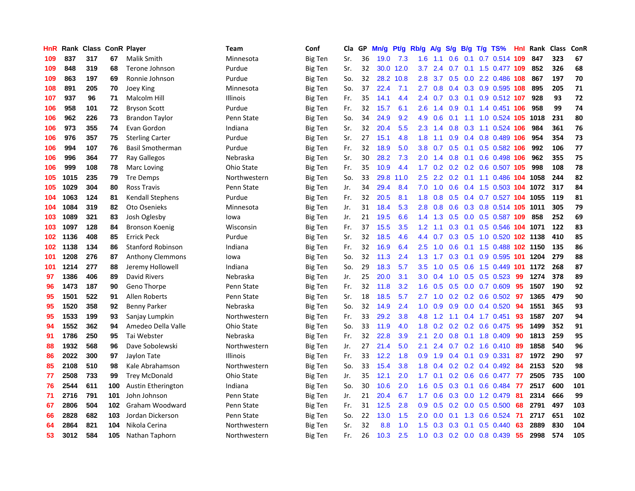| HnR |      | Rank Class ConR Player |     |                          | Team         | Conf           | Cla | GP | Mn/g | Pf/g | Rb/g             | <b>A/g</b>    | S/g              |     | $B/g$ T/g TS%              | <b>Hnl</b> | Rank | <b>Class</b> | ConR |
|-----|------|------------------------|-----|--------------------------|--------------|----------------|-----|----|------|------|------------------|---------------|------------------|-----|----------------------------|------------|------|--------------|------|
| 109 | 837  | 317                    | 67  | Malik Smith              | Minnesota    | <b>Big Ten</b> | Sr. | 36 | 19.0 | 7.3  | 1.6              | 1.1           | 0.6              | 0.1 | 0.7 0.514 109              |            | 847  | 323          | 67   |
| 109 | 848  | 319                    | 68  | Terone Johnson           | Purdue       | <b>Big Ten</b> | Sr. | 32 | 30.0 | 12.0 | 3.7              | 2.4           | 0.7              |     | 0.1 1.5 0.477 109          |            | 852  | 326          | 68   |
| 109 | 863  | 197                    | 69  | Ronnie Johnson           | Purdue       | <b>Big Ten</b> | So. | 32 | 28.2 | 10.8 | 2.8              | $3.7^{\circ}$ |                  |     | $0.5$ 0.0 2.2 0.486 108    |            | 867  | 197          | 70   |
| 108 | 891  | 205                    | 70  | Joey King                | Minnesota    | <b>Big Ten</b> | So. | 37 | 22.4 | 7.1  | 2.7              | 0.8           | $0.4^{\circ}$    |     | 0.3 0.9 0.595 108          |            | 895  | 205          | 71   |
| 107 | 937  | 96                     | 71  | Malcolm Hill             | Illinois     | Big Ten        | Fr. | 35 | 14.1 | 4.4  | 2.4              | 0.7           | 0.3              |     | $0.1$ 0.9 0.512 107        |            | 928  | 93           | 72   |
| 106 | 958  | 101                    | 72  | <b>Bryson Scott</b>      | Purdue       | Big Ten        | Fr. | 32 | 15.7 | 6.1  | $2.6\,$          | 1.4           | 0.9              |     | $0.1$ 1.4 0.451 106        |            | 958  | 99           | 74   |
| 106 | 962  | 226                    | 73  | <b>Brandon Taylor</b>    | Penn State   | Big Ten        | So. | 34 | 24.9 | 9.2  | 4.9              | 0.6           | 0.1              |     | 1.1 1.0 0.524 105 1018     |            |      | 231          | 80   |
| 106 | 973  | 355                    | 74  | Evan Gordon              | Indiana      | Big Ten        | Sr. | 32 | 20.4 | 5.5  | 2.3              | 1.4           | 0.8              |     | 0.3 1.1 0.524 106          |            | 984  | 361          | 76   |
| 106 | 976  | 357                    | 75  | <b>Sterling Carter</b>   | Purdue       | Big Ten        | Sr. | 27 | 15.1 | 4.8  | 1.8              | 1.1           | 0.9              |     | 0.4 0.8 0.489 106          |            | 954  | 354          | 73   |
| 106 | 994  | 107                    | 76  | <b>Basil Smotherman</b>  | Purdue       | <b>Big Ten</b> | Fr. | 32 | 18.9 | 5.0  | 3.8              | 0.7           | 0.5              |     | $0.1$ 0.5 0.582 106        |            | 992  | 106          | 77   |
| 106 | 996  | 364                    | 77  | Ray Gallegos             | Nebraska     | Big Ten        | Sr. | 30 | 28.2 | 7.3  | 2.0              | 1.4           |                  |     | 0.8 0.1 0.6 0.498 106      |            | 962  | 355          | 75   |
| 106 | 999  | 108                    | 78  | Marc Loving              | Ohio State   | <b>Big Ten</b> | Fr. | 35 | 10.9 | 4.4  | 1.7 <sub>z</sub> | 0.2           |                  |     | 0.2 0.2 0.6 0.507 105      |            | 998  | 108          | 78   |
| 105 | 1015 | 235                    | 79  | Tre Demps                | Northwestern | <b>Big Ten</b> | So. | 33 | 29.8 | 11.0 | $2.5\,$          | 2.2           |                  |     | 0.2 0.1 1.1 0.486 104 1058 |            |      | 244          | 82   |
| 105 | 1029 | 304                    | 80  | <b>Ross Travis</b>       | Penn State   | <b>Big Ten</b> | Jr. | 34 | 29.4 | 8.4  | 7.0              | 1.0           | 0.6              |     | 0.4 1.5 0.503 104 1072     |            |      | 317          | 84   |
| 104 | 1063 | 124                    | 81  | <b>Kendall Stephens</b>  | Purdue       | Big Ten        | Fr. | 32 | 20.5 | 8.1  | 1.8              | 0.8           | 0.5              |     | $0.4$ 0.7 0.527 104        |            | 1055 | 119          | 81   |
| 104 | 1084 | 319                    | 82  | Oto Osenieks             | Minnesota    | Big Ten        | Jr. | 31 | 18.4 | 5.3  | 2.8              | 0.8           | 0.6              |     | $0.3$ 0.8 0.514 105        |            | 1011 | 305          | 79   |
| 103 | 1089 | 321                    | 83  | Josh Oglesby             | lowa         | Big Ten        | Jr. | 21 | 19.5 | 6.6  | 1.4              | 1.3           | 0.5 <sub>0</sub> | 0.0 | 0.5 0.587 109              |            | 858  | 252          | 69   |
| 103 | 1097 | 128                    | 84  | <b>Bronson Koenig</b>    | Wisconsin    | <b>Big Ten</b> | Fr. | 37 | 15.5 | 3.5  | 1.2              | 1.1           | 0.3              | 0.1 | 0.5 0.546 104 1071         |            |      | 122          | 83   |
| 102 | 1136 | 408                    | 85  | <b>Errick Peck</b>       | Purdue       | Big Ten        | Sr. | 32 | 18.5 | 4.6  | 4.4              | 0.7           | 0.3              |     | 0.5 1.0 0.520 102 1138     |            |      | 410          | 85   |
| 102 | 1138 | 134                    | 86  | <b>Stanford Robinson</b> | Indiana      | <b>Big Ten</b> | Fr. | 32 | 16.9 | 6.4  | 2.5              | 1.0           | 0.6              |     | 0.1 1.5 0.488 102 1150     |            |      | 135          | 86   |
| 101 | 1208 | 276                    | 87  | <b>Anthony Clemmons</b>  | lowa         | <b>Big Ten</b> | So. | 32 | 11.3 | 2.4  | 1.3              | 1.7           | 0.3              |     | 0.1 0.9 0.595 101 1204     |            |      | 279          | 88   |
| 101 | 1214 | 277                    | 88  | Jeremy Hollowell         | Indiana      | <b>Big Ten</b> | So. | 29 | 18.3 | 5.7  | 3.5              | 1.0           | 0.5              |     | $0.6$ 1.5 0.449 101        |            | 1172 | 268          | 87   |
| 97  | 1386 | 406                    | 89  | David Rivers             | Nebraska     | <b>Big Ten</b> | Jr. | 25 | 20.0 | 3.1  | 3.0              | 0.4           | 1.0              |     | $0.5$ 0.5 0.523            | 99         | 1274 | 378          | 89   |
| 96  | 1473 | 187                    | 90  | Geno Thorpe              | Penn State   | <b>Big Ten</b> | Fr. | 32 | 11.8 | 3.2  | 1.6              | 0.5           | 0.5              |     | $0.0$ 0.7 0.609            | 95         | 1507 | 190          | 92   |
| 95  | 1501 | 522                    | 91  | Allen Roberts            | Penn State   | Big Ten        | Sr. | 18 | 18.5 | 5.7  | 2.7              | 1.0           | 0.2 <sub>0</sub> |     | $0.2$ 0.6 0.502            | -97        | 1365 | 479          | 90   |
| 95  | 1520 | 358                    | 92  | <b>Benny Parker</b>      | Nebraska     | Big Ten        | So. | 32 | 14.9 | 2.4  | 1.0              | 0.9           | 0.9 <sub>0</sub> |     | $0.0$ 0.4 0.520            | 94         | 1551 | 365          | 93   |
| 95  | 1533 | 199                    | 93  | Sanjay Lumpkin           | Northwestern | Big Ten        | Fr. | 33 | 29.2 | 3.8  | 4.8              | 1.2           |                  |     | 1.1 0.4 1.7 0.451          | 93         | 1587 | 207          | 94   |
| 94  | 1552 | 362                    | 94  | Amedeo Della Valle       | Ohio State   | <b>Big Ten</b> | So. | 33 | 11.9 | 4.0  | 1.8              | 0.2           |                  |     | 0.2 0.2 0.6 0.475 95       |            | 1499 | 352          | 91   |
| 91  | 1786 | 250                    | 95  | Tai Webster              | Nebraska     | Big Ten        | Fr. | 32 | 22.8 | 3.9  | 2.1              | 2.0           | 0.8              |     | 0.1 1.8 0.409              | -90        | 1813 | 259          | 95   |
| 88  | 1932 | 568                    | 96  | Dave Sobolewski          | Northwestern | <b>Big Ten</b> | Jr. | 27 | 21.4 | 5.0  | 2.1              | 2.4           | 0.7              |     | 0.2 1.6 0.410 89           |            | 1858 | 540          | 96   |
| 86  | 2022 | 300                    | 97  | Jaylon Tate              | Illinois     | Big Ten        | Fr. | 33 | 12.2 | 1.8  | 0.9              | 1.9           | $0.4^{\circ}$    |     | $0.1$ 0.9 0.331            | -87        | 1972 | 290          | 97   |
| 85  | 2108 | 510                    | 98  | Kale Abrahamson          | Northwestern | <b>Big Ten</b> | So. | 33 | 15.4 | 3.8  | 1.8              | 0.4           | 0.2              |     | $0.2$ 0.4 0.492            | -84        | 2153 | 520          | 98   |
| 77  | 2508 | 733                    | 99  | <b>Trey McDonald</b>     | Ohio State   | Big Ten        | Jr. | 35 | 12.1 | 2.0  | 1.7              | 0.1           | 0.2 <sub>0</sub> | 0.6 | $0.6$ 0.477                | 77         | 2505 | 735          | 100  |
| 76  | 2544 | 611                    | 100 | Austin Etherington       | Indiana      | <b>Big Ten</b> | So. | 30 | 10.6 | 2.0  | 1.6              | 0.5           | 0.3              | 0.1 | $0.6$ 0.484                | -77        | 2517 | 600          | 101  |
| 71  | 2716 | 791                    | 101 | John Johnson             | Penn State   | <b>Big Ten</b> | Jr. | 21 | 20.4 | 6.7  | 1.7              | 0.6           | 0.3              |     | $0.0$ 1.2 $0.479$          | -81        | 2314 | 666          | 99   |
| 67  | 2806 | 504                    | 102 | Graham Woodward          | Penn State   | Big Ten        | Fr. | 31 | 12.5 | 2.8  | 0.9 <sub>0</sub> | 0.5           |                  |     | $0.2$ 0.0 0.5 0.500        | -68        | 2791 | 497          | 103  |
| 66  | 2828 | 682                    | 103 | Jordan Dickerson         | Penn State   | Big Ten        | So. | 22 | 13.0 | 1.5  | 2.0              | 0.0           | 0.1              | 1.3 | $0.6$ 0.524                | -71        | 2717 | 651          | 102  |
| 64  | 2864 | 821                    | 104 | Nikola Cerina            | Northwestern | Big Ten        | Sr. | 32 | 8.8  | 1.0  | 1.5              | 0.3           | 0.3              | 0.1 | $0.5$ 0.440                | 63         | 2889 | 830          | 104  |
| 53  | 3012 | 584                    | 105 | Nathan Taphorn           | Northwestern | <b>Big Ten</b> | Fr. | 26 | 10.3 | 2.5  | 1.0              | 0.3           |                  |     | $0.2$ 0.0 0.8 0.439        | 55         | 2998 | 574          | 105  |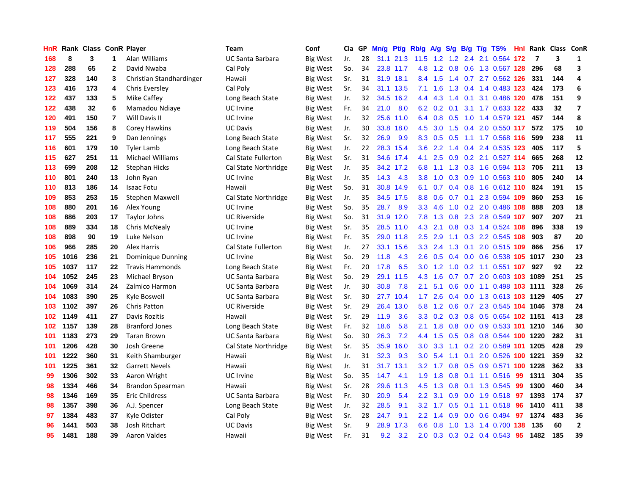| HnR |      | Rank Class ConR Player |                         |                          | <b>Team</b>             | Conf            | Cla | GP | Mn/g | Pt/g      | Rb/g             | A/g |               |     | S/g B/g T/g TS%                 |     |      | Hnl Rank Class ConR |                         |
|-----|------|------------------------|-------------------------|--------------------------|-------------------------|-----------------|-----|----|------|-----------|------------------|-----|---------------|-----|---------------------------------|-----|------|---------------------|-------------------------|
| 168 | 8    | 3                      | 1                       | Alan Williams            | <b>UC Santa Barbara</b> | <b>Big West</b> | Jr. | 28 | 31.1 | 21.3      | 11.5             | 1.2 | 1.2           | 2.4 | 2.1 0.564                       | 172 | 7    | 3                   | 1                       |
| 128 | 288  | 65                     | $\mathbf{2}$            | David Nwaba              | Cal Poly                | Big West        | So. | 34 |      | 23.8 11.7 | 4.8              | 1.2 | 0.8           |     | 0.6 1.3 0.567 128               |     | 296  | 68                  | 3                       |
| 127 | 328  | 140                    | 3                       | Christian Standhardinger | Hawaii                  | <b>Big West</b> | Sr. | 31 |      | 31.9 18.1 | 8.4              | 1.5 |               |     | 1.4 0.7 2.7 0.562 126           |     | 331  | 144                 | 4                       |
| 123 | 416  | 173                    | 4                       | Chris Eversley           | Cal Poly                | Big West        | Sr. | 34 |      | 31.1 13.5 | 7.1              | 1.6 | 1.3           |     | 0.4 1.4 0.483 123               |     | 424  | 173                 | 6                       |
| 122 | 437  | 133                    | 5                       | Mike Caffey              | Long Beach State        | <b>Big West</b> | Jr. | 32 | 34.5 | 16.2      | 4.4              | 4.3 | 1.4           | 0.1 | 3.1 0.486 120                   |     | 478  | 151                 | 9                       |
| 122 | 438  | 32                     | 6                       | Mamadou Ndiaye           | UC Irvine               | Big West        | Fr. | 34 | 21.0 | 8.0       | 6.2              | 0.2 | 0.1           |     | 3.1 1.7 0.633 122               |     | 433  | 32                  | $\overline{\mathbf{z}}$ |
| 120 | 491  | 150                    | $\overline{\mathbf{r}}$ | Will Davis II            | UC Irvine               | Big West        | Jr. | 32 | 25.6 | 11.0      | 6.4              | 0.8 | 0.5           |     | 1.0 1.4 0.579 121               |     | 457  | 144                 | 8                       |
| 119 | 504  | 156                    | 8                       | <b>Corey Hawkins</b>     | <b>UC Davis</b>         | Big West        | Jr. | 30 | 33.8 | 18.0      | 4.5              | 3.0 | 1.5           |     | 0.4 2.0 0.550 117               |     | 572  | 175                 | 10                      |
| 117 | 555  | 221                    | 9                       | Dan Jennings             | Long Beach State        | <b>Big West</b> | Sr. | 32 | 26.9 | 9.9       | 8.3              | 0.5 | 0.5           |     | 1.1 1.7 0.568 116               |     | 599  | 238                 | 11                      |
| 116 | 601  | 179                    | 10                      | <b>Tyler Lamb</b>        | Long Beach State        | Big West        | Jr. | 22 | 28.3 | 15.4      | 3.6              | 2.2 | 1.4           |     | 0.4 2.4 0.535 123               |     | 405  | 117                 | 5                       |
| 115 | 627  | 251                    | 11                      | Michael Williams         | Cal State Fullerton     | Big West        | Sr. | 31 |      | 34.6 17.4 | 4.1              | 2.5 |               |     | 0.9 0.2 2.1 0.527 114           |     | 665  | 268                 | 12                      |
| 113 | 699  | 208                    | 12                      | <b>Stephan Hicks</b>     | Cal State Northridge    | Big West        | Jr. | 35 |      | 34.2 17.2 | 6.8              |     |               |     | 1.1 1.3 0.3 1.6 0.594 113       |     | 705  | 211                 | 13                      |
| 110 | 801  | 240                    | 13                      | John Ryan                | UC Irvine               | Big West        | Jr. | 35 | 14.3 | 4.3       | 3.8              | 1.0 | 0.3           |     | 0.9 1.0 0.563 110               |     | 805  | 240                 | 14                      |
| 110 | 813  | 186                    | 14                      | <b>Isaac Fotu</b>        | Hawaii                  | <b>Big West</b> | So. | 31 | 30.8 | 14.9      | 6.1              | 0.7 | $0.4^{\circ}$ |     | 0.8 1.6 0.612 110               |     | 824  | 191                 | 15                      |
| 109 | 853  | 253                    | 15                      | Stephen Maxwell          | Cal State Northridge    | Big West        | Jr. | 35 | 34.5 | 17.5      | 8.8              | 0.6 | 0.7           |     | 0.1 2.3 0.594 109               |     | 860  | 253                 | 16                      |
| 108 | 880  | 201                    | 16                      | Alex Young               | UC Irvine               | Big West        | So. | 35 | 28.7 | 8.9       | 3.3              | 4.6 | 1.0           |     | $0.2$ 2.0 0.486 108             |     | 888  | 203                 | 18                      |
| 108 | 886  | 203                    | 17                      | <b>Taylor Johns</b>      | <b>UC Riverside</b>     | <b>Big West</b> | So. | 31 | 31.9 | 12.0      | 7.8              | 1.3 | 0.8           |     | 2.3 2.8 0.549 107               |     | 907  | 207                 | 21                      |
| 108 | 889  | 334                    | 18                      | Chris McNealy            | UC Irvine               | Big West        | Sr. | 35 | 28.5 | 11.0      | 4.3              | 2.1 | 0.8           |     | 0.3 1.4 0.524 108               |     | 896  | 338                 | 19                      |
| 108 | 898  | 90                     | 19                      | Luke Nelson              | UC Irvine               | <b>Big West</b> | Fr. | 35 |      | 29.0 11.8 | 2.5              | 2.9 | 1.1           |     | 0.3 2.2 0.545 108               |     | 903  | 87                  | 20                      |
| 106 | 966  | 285                    | 20                      | <b>Alex Harris</b>       | Cal State Fullerton     | Big West        | Jr. | 27 | 33.1 | 15.6      | 3.3              | 2.4 | 1.3           |     | 0.1 2.0 0.515 109               |     | 866  | 256                 | 17                      |
| 105 | 1016 | 236                    | 21                      | Dominique Dunning        | UC Irvine               | Big West        | So. | 29 | 11.8 | 4.3       | 2.6              | 0.5 | 0.4           |     | 0.0 0.6 0.538 105 1017          |     |      | 230                 | 23                      |
| 105 | 1037 | 117                    | 22                      | <b>Travis Hammonds</b>   | Long Beach State        | <b>Big West</b> | Fr. | 20 | 17.8 | 6.5       | 3.0              | 1.2 | 1.0           |     | 0.2 1.1 0.551 107               |     | 927  | 92                  | 22                      |
| 104 | 1052 | 245                    | 23                      | Michael Bryson           | <b>UC Santa Barbara</b> | Big West        | So. | 29 | 29.1 | 11.5      | 4.3              | 1.6 | 0.7           |     | 0.7 2.0 0.603 103 1089          |     |      | 251                 | 25                      |
| 104 | 1069 | 314                    | 24                      | Zalmico Harmon           | <b>UC Santa Barbara</b> | Big West        | Jr. | 30 | 30.8 | 7.8       | 2.1              | 5.1 | 0.6           |     | $0.0$ 1.1 0.498 103             |     | 1111 | 328                 | 26                      |
| 104 | 1083 | 390                    | 25                      | Kyle Boswell             | <b>UC Santa Barbara</b> | Big West        | Sr. | 30 | 27.7 | 10.4      | 1.7 <sub>2</sub> | 2.6 | $0.4^{\circ}$ |     | 0.0 1.3 0.613 103 1129          |     |      | 405                 | 27                      |
| 103 | 1102 | 397                    | 26                      | <b>Chris Patton</b>      | <b>UC Riverside</b>     | Big West        | Sr. | 29 | 26.4 | 13.0      | 5.8              | 1.2 | 0.6           |     | 0.7 2.3 0.545 104 1046          |     |      | 378                 | 24                      |
| 102 | 1149 | 411                    | 27                      | Davis Rozitis            | Hawaii                  | <b>Big West</b> | Sr. | 29 | 11.9 | 3.6       | 3.3 <sub>2</sub> |     |               |     | 0.2 0.3 0.8 0.5 0.654 102 1151  |     |      | 413                 | 28                      |
| 102 | 1157 | 139                    | 28                      | <b>Branford Jones</b>    | Long Beach State        | Big West        | Fr. | 32 | 18.6 | 5.8       | 2.1              | 1.8 | 0.8           |     | 0.0 0.9 0.533 101 1210          |     |      | 146                 | 30                      |
| 101 | 1183 | 273                    | 29                      | <b>Taran Brown</b>       | <b>UC Santa Barbara</b> | Big West        | So. | 30 | 26.3 | 7.2       | 4.4              | 1.5 | 0.5           |     | 0.8 0.8 0.544 100 1220          |     |      | 282                 | 31                      |
| 101 | 1206 | 428                    | 30                      | Josh Greene              | Cal State Northridge    | Big West        | Sr. | 35 | 35.9 | 16.0      | 3.0              | 3.3 | 1.1           |     | 0.2 2.0 0.589 101 1205          |     |      | 428                 | 29                      |
| 101 | 1222 | 360                    | 31                      | Keith Shamburger         | Hawaii                  | Big West        | Jr. | 31 | 32.3 | 9.3       | 3.0              | 5.4 | 1.1           |     | 0.1 2.0 0.526 100 1221          |     |      | 359                 | 32                      |
| 101 | 1225 | 361                    | 32                      | <b>Garrett Nevels</b>    | Hawaii                  | Big West        | Jr. | 31 | 31.7 | 13.1      | 3.2              | 1.7 | 0.8           | 0.5 | 0.9 0.571 100                   |     | 1228 | 362                 | 33                      |
| 99  | 1306 | 302                    | 33                      | Aaron Wright             | UC Irvine               | Big West        | So. | 35 | 14.7 | 4.1       | 1.9              | 1.8 | 0.8           |     | $0.1$ 1.1 0.516                 | -99 | 1311 | 304                 | 35                      |
| 98  | 1334 | 466                    | 34                      | <b>Brandon Spearman</b>  | Hawaii                  | <b>Big West</b> | Sr. | 28 | 29.6 | 11.3      | 4.5              | 1.3 | 0.8           |     | 0.1 1.3 0.545                   | -99 | 1300 | 460                 | 34                      |
| 98  | 1346 | 169                    | 35                      | <b>Eric Childress</b>    | <b>UC Santa Barbara</b> | <b>Big West</b> | Fr. | 30 | 20.9 | 5.4       | $2.2^{\circ}$    | 3.1 | 0.9           |     | $0.0$ 1.9 $0.518$               | -97 | 1393 | 174                 | 37                      |
| 98  | 1357 | 398                    | 36                      | A.J. Spencer             | Long Beach State        | <b>Big West</b> | Jr. | 32 | 28.5 | 9.1       | 3.2              | 1.7 | 0.5           |     | $0.1$ 1.1 0.518                 | -96 | 1410 | 411                 | 38                      |
| 97  | 1384 | 483                    | 37                      | Kyle Odister             | Cal Poly                | Big West        | Sr. | 28 | 24.7 | 9.1       | $2.2^{\circ}$    | 1.4 | 0.9           |     | $0.0 \quad 0.6 \quad 0.494$     | 97  | 1374 | 483                 | 36                      |
| 96  | 1441 | 503                    | 38                      | Josh Ritchart            | <b>UC Davis</b>         | <b>Big West</b> | Sr. | 9  | 28.9 | 17.3      | 6.6              | 0.8 | 1.0           |     | 1.3 1.4 0.700 138               |     | 135  | 60                  | $\mathbf{2}$            |
| 95  | 1481 | 188                    | 39                      | Aaron Valdes             | Hawaii                  | <b>Big West</b> | Fr. | 31 | 9.2  | 3.2       | 2.0              |     |               |     | $0.3$ $0.3$ $0.2$ $0.4$ $0.543$ | 95  | 1482 | 185                 | 39                      |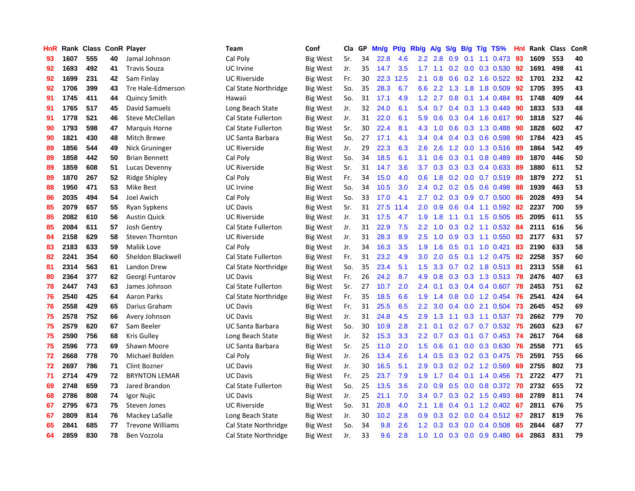| HnR |      | Rank Class ConR Player |    |                         | <b>Team</b>                | Conf            | Cla | GP | Mn/g | <b>Pt/g</b> | Rb/g             | <b>A/g</b> | S/g              | B/g | $T/g$ TS%                 | Hnl | Rank | <b>Class</b> | ConR |
|-----|------|------------------------|----|-------------------------|----------------------------|-----------------|-----|----|------|-------------|------------------|------------|------------------|-----|---------------------------|-----|------|--------------|------|
| 93  | 1607 | 555                    | 40 | Jamal Johnson           | Cal Poly                   | <b>Big West</b> | Sr. | 34 | 22.8 | 4.6         | 2.2              | 2.8        | 0.9              | 0.1 | 1.1 0.473                 | 93  | 1609 | 553          | 40   |
| 92  | 1693 | 492                    | 41 | <b>Travis Souza</b>     | UC Irvine                  | <b>Big West</b> | Jr. | 35 | 14.7 | 3.5         | 1.7              | 1.1        |                  |     | $0.2$ 0.0 0.3 0.530       | 92  | 1691 | 498          | 41   |
| 92  | 1699 | 231                    | 42 | Sam Finlay              | <b>UC Riverside</b>        | Big West        | Fr. | 30 | 22.3 | 12.5        | 2.1              | 0.8        |                  |     | $0.6$ $0.2$ 1.6 $0.522$   | -92 | 1701 | 232          | 42   |
| 92  | 1706 | 399                    | 43 | Tre Hale-Edmerson       | Cal State Northridge       | <b>Big West</b> | So. | 35 | 28.3 | 6.7         | 6.6              | 2.2        | 1.3              |     | 1.8 1.8 0.509             | 92  | 1705 | 395          | 43   |
| 91  | 1745 | 411                    | 44 | <b>Quincy Smith</b>     | Hawaii                     | <b>Big West</b> | So. | 31 | 17.1 | 4.9         | 1.2              | 2.7        | 0.8              |     | $0.1$ 1.4 $0.484$         | 91  | 1748 | 409          | 44   |
| 91  | 1765 | 517                    | 45 | David Samuels           | Long Beach State           | <b>Big West</b> | Jr. | 32 | 24.0 | 6.1         | 5.4              | 0.7        | 0.4              |     | 0.3 1.3 0.449             | 90  | 1833 | 533          | 48   |
| 91  | 1778 | 521                    | 46 | <b>Steve McClellan</b>  | Cal State Fullerton        | <b>Big West</b> | Jr. | 31 | 22.0 | 6.1         | 5.9              | 0.6        | 0.3              |     | 0.4 1.6 0.617             | 90  | 1818 | 527          | 46   |
| 90  | 1793 | 598                    | 47 | Marquis Horne           | <b>Cal State Fullerton</b> | Big West        | Sr. | 30 | 22.4 | 8.1         | 4.3              | 1.0        | 0.6              |     | $0.3$ 1.3 0.488           | 90  | 1828 | 602          | 47   |
| 90  | 1821 | 430                    | 48 | Mitch Brewe             | <b>UC Santa Barbara</b>    | Big West        | So. | 27 | 17.1 | 4.1         | 3.4              | 0.4        | 0.4              |     | 0.3 0.6 0.598             | 90  | 1784 | 423          | 45   |
| 89  | 1856 | 544                    | 49 | Nick Gruninger          | <b>UC Riverside</b>        | Big West        | Jr. | 29 | 22.3 | 6.3         | 2.6              | 2.6        |                  |     | 1.2 0.0 1.3 0.516 89      |     | 1864 | 542          | 49   |
| 89  | 1858 | 442                    | 50 | <b>Brian Bennett</b>    | Cal Poly                   | Big West        | So. | 34 | 18.5 | 6.1         | 3.1              | 0.6        |                  |     | 0.3 0.1 0.8 0.489         | -89 | 1870 | 446          | 50   |
| 89  | 1859 | 608                    | 51 | Lucas Devenny           | <b>UC Riverside</b>        | <b>Big West</b> | Sr. | 31 | 14.7 | 3.6         | 3.7              | 0.3        |                  |     | $0.3$ $0.3$ $0.4$ $0.633$ | -89 | 1880 | 611          | 52   |
| 89  | 1870 | 267                    | 52 | Ridge Shipley           | Cal Poly                   | <b>Big West</b> | Fr. | 34 | 15.0 | 4.0         | 0.6              | 1.8        |                  |     | $0.2$ 0.0 0.7 0.519       | -89 | 1879 | 272          | 51   |
| 88  | 1950 | 471                    | 53 | Mike Best               | UC Irvine                  | <b>Big West</b> | So. | 34 | 10.5 | 3.0         | $2.4^{\circ}$    | 0.2        |                  |     | $0.2$ 0.5 0.6 0.498       | 88  | 1939 | 463          | 53   |
| 86  | 2035 | 494                    | 54 | Joel Awich              | Cal Poly                   | Big West        | So. | 33 | 17.0 | 4.1         | 2.7              | 0.2        | 0.3              |     | $0.9$ 0.7 0.500           | -86 | 2028 | 493          | 54   |
| 85  | 2079 | 657                    | 55 | Ryan Sypkens            | <b>UC Davis</b>            | <b>Big West</b> | Sr. | 31 | 27.5 | 11.4        | 2.0              | 0.9        | 0.6              |     | $0.4$ 1.1 0.592           | -82 | 2237 | 700          | 59   |
| 85  | 2082 | 610                    | 56 | <b>Austin Quick</b>     | <b>UC Riverside</b>        | <b>Big West</b> | Jr. | 31 | 17.5 | 4.7         | 1.9              | 1.8        | 1.1              |     | $0.1$ 1.5 0.505           | 85  | 2095 | 611          | 55   |
| 85  | 2084 | 611                    | 57 | <b>Josh Gentry</b>      | Cal State Fullerton        | <b>Big West</b> | Jr. | 31 | 22.9 | 7.5         | 2.2              | 1.0        | 0.3 <sub>0</sub> |     | $0.2$ 1.1 0.532           | -84 | 2111 | 616          | 56   |
| 84  | 2158 | 629                    | 58 | <b>Steven Thornton</b>  | <b>UC Riverside</b>        | <b>Big West</b> | Jr. | 31 | 28.3 | 8.9         | 2.5              | 1.0        | 0.9              |     | $0.3$ 1.1 $0.550$         | 83  | 2177 | 631          | 57   |
| 83  | 2183 | 633                    | 59 | Maliik Love             | Cal Poly                   | <b>Big West</b> | Jr. | 34 | 16.3 | 3.5         | 1.9              | 1.6        |                  |     | $0.5$ 0.1 1.0 0.421       | 83  | 2190 | 633          | 58   |
| 82  | 2241 | 354                    | 60 | Sheldon Blackwell       | Cal State Fullerton        | <b>Big West</b> | Fr. | 31 | 23.2 | 4.9         | 3.0              | 2.0        | 0.5              |     | $0.1$ 1.2 0.475           | -82 | 2258 | 357          | 60   |
| 81  | 2314 | 563                    | 61 | Landon Drew             | Cal State Northridge       | <b>Big West</b> | So. | 35 | 23.4 | 5.1         | 1.5              | 3.3        | 0.7              |     | 0.2 1.8 0.513             | -81 | 2313 | 558          | 61   |
| 80  | 2364 | 377                    | 62 | Georgi Funtarov         | <b>UC Davis</b>            | <b>Big West</b> | Fr. | 26 | 24.2 | 8.7         | 4.9              | 0.8        | 0.3              |     | $0.3$ 1.3 0.513           | -78 | 2476 | 407          | 63   |
| 78  | 2447 | 743                    | 63 | James Johnson           | Cal State Fullerton        | Big West        | Sr. | 27 | 10.7 | 2.0         | 2.4              | 0.1        | 0.3 <sub>0</sub> |     | $0.4$ 0.4 0.607           | 78  | 2453 | 751          | 62   |
| 76  | 2540 | 425                    | 64 | <b>Aaron Parks</b>      | Cal State Northridge       | Big West        | Fr. | 35 | 18.5 | 6.6         | 1.9              | 1.4        | 0.8 <sub>0</sub> |     | $0.0$ 1.2 $0.454$         | 76  | 2541 | 424          | 64   |
| 76  | 2558 | 429                    | 65 | Darius Graham           | <b>UC Davis</b>            | <b>Big West</b> | Fr. | 31 | 25.5 | 6.5         | 2.2              | 3.0        | 0.4              |     | $0.0$ 2.1 $0.504$         | 73  | 2645 | 452          | 69   |
| 75  | 2578 | 752                    | 66 | Avery Johnson           | <b>UC Davis</b>            | <b>Big West</b> | Jr. | 31 | 24.8 | 4.5         | 2.9              | 1.3        |                  |     | 1.1 0.3 1.1 0.537         | -73 | 2662 | 779          | 70   |
| 75  | 2579 | 620                    | 67 | Sam Beeler              | <b>UC Santa Barbara</b>    | <b>Big West</b> | So. | 30 | 10.9 | 2.8         | 2.1              | 0.1        |                  |     | 0.2 0.7 0.7 0.532 75      |     | 2603 | 623          | 67   |
| 75  | 2590 | 756                    | 68 | Kris Gulley             | Long Beach State           | <b>Big West</b> | Jr. | 32 | 15.3 | 3.3         | 2.2              | 0.7        |                  |     | 0.3 0.1 0.7 0.453 74      |     | 2617 | 764          | 68   |
| 75  | 2596 | 773                    | 69 | Shawn Moore             | <b>UC Santa Barbara</b>    | <b>Big West</b> | Sr. | 25 | 11.0 | 2.0         | 1.5              | 0.6        | 0.1              |     | $0.0$ $0.3$ $0.630$       | 76  | 2558 | 771          | 65   |
| 72  | 2668 | 778                    | 70 | Michael Bolden          | Cal Poly                   | Big West        | Jr. | 26 | 13.4 | 2.6         | 1.4              | 0.5        | 0.3              |     | $0.2$ 0.3 0.475           | -75 | 2591 | 755          | 66   |
| 72  | 2697 | 786                    | 71 | <b>Clint Bozner</b>     | <b>UC Davis</b>            | Big West        | Jr. | 30 | 16.5 | 5.1         | 2.9              | 0.3        | 0.2              |     | 0.2 1.2 0.569             | 69  | 2755 | 802          | 73   |
| 71  | 2714 | 479                    | 72 | <b>BRYNTON LEMAR</b>    | <b>UC Davis</b>            | <b>Big West</b> | Fr. | 25 | 23.7 | 7.9         | 1.9              | 1.7        | $0.4^{\circ}$    |     | $0.1$ 1.4 0.456           | 71  | 2722 | 477          | 71   |
| 69  | 2748 | 659                    | 73 | Jared Brandon           | Cal State Fullerton        | <b>Big West</b> | So. | 25 | 13.5 | 3.6         | 2.0              | 0.9        | 0.5              |     | $0.0$ 0.8 0.372           | 70  | 2732 | 655          | 72   |
| 68  | 2786 | 808                    | 74 | Igor Nujic              | <b>UC Davis</b>            | <b>Big West</b> | Jr. | 25 | 21.1 | 7.0         | $3.4^{\circ}$    | 0.7        | 0.3              |     | $0.2$ 1.5 0.493           | 68  | 2789 | 811          | 74   |
| 67  | 2795 | 673                    | 75 | Steven Jones            | <b>UC Riverside</b>        | <b>Big West</b> | So. | 31 | 20.8 | 4.0         | 2.1              | 1.8        | $0.4^{\circ}$    |     | 0.1 1.2 0.402 67          |     | 2811 | 676          | 75   |
| 67  | 2809 | 814                    | 76 | Mackey LaSalle          | Long Beach State           | <b>Big West</b> | Jr. | 30 | 10.2 | 2.8         | 0.9 <sub>0</sub> | 0.3        |                  |     | $0.2$ 0.0 0.4 0.512       | -67 | 2817 | 819          | 76   |
| 65  | 2841 | 685                    | 77 | <b>Trevone Williams</b> | Cal State Northridge       | Big West        | So. | 34 | 9.8  | 2.6         | 1.2 <sub>1</sub> | 0.3        | 0.3 <sub>0</sub> |     | $0.0$ 0.4 0.508           | -65 | 2844 | 687          | 77   |
| 64  | 2859 | 830                    | 78 | Ben Vozzola             | Cal State Northridge       | <b>Big West</b> | Jr. | 33 | 9.6  | 2.8         | 1.0              | 1.0        | 0.3              |     | $0.0$ $0.9$ $0.480$       | 64  | 2863 | 831          | 79   |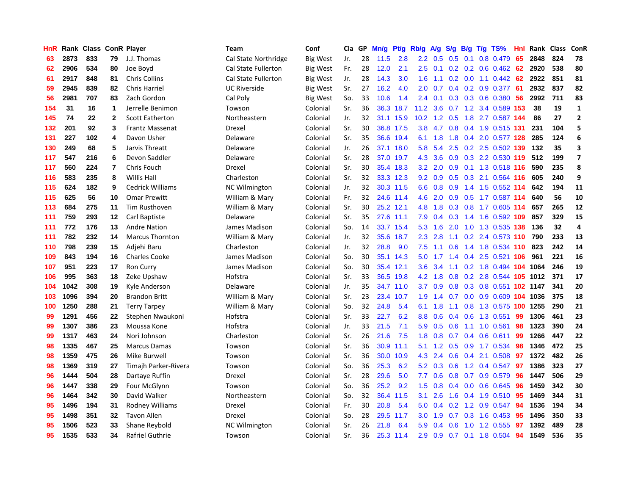| HnR |      | Rank Class ConR Player |                |                         | <b>Team</b>                | Conf            | Cla | GP | Mn/g | Pf/g      | Rb/g             | A/g              | S/g           | B/g | $T/g$ TS%              | Hnl | Rank | <b>Class</b> | ConR                    |
|-----|------|------------------------|----------------|-------------------------|----------------------------|-----------------|-----|----|------|-----------|------------------|------------------|---------------|-----|------------------------|-----|------|--------------|-------------------------|
| 63  | 2873 | 833                    | 79             | J.J. Thomas             | Cal State Northridge       | <b>Big West</b> | Jr. | 28 | 11.5 | 2.8       | $2.2\phantom{0}$ | 0.5              | 0.5           | 0.1 | 0.8 0.479              | 65  | 2848 | 824          | 78                      |
| 62  | 2906 | 534                    | 80             | Joe Boyd                | <b>Cal State Fullerton</b> | <b>Big West</b> | Fr. | 28 | 12.0 | 2.1       | 2.5              | 0.1              |               |     | $0.2$ 0.2 0.6 0.462 62 |     | 2920 | 538          | 80                      |
| 61  | 2917 | 848                    | 81             | <b>Chris Collins</b>    | <b>Cal State Fullerton</b> | Big West        | Jr. | 28 | 14.3 | 3.0       | 1.6              | 1.1              |               |     | $0.2$ 0.0 1.1 0.442 62 |     | 2922 | 851          | 81                      |
| 59  | 2945 | 839                    | 82             | <b>Chris Harriel</b>    | <b>UC Riverside</b>        | Big West        | Sr. | 27 | 16.2 | 4.0       | 2.0              | 0.7              | 0.4           |     | $0.2$ 0.9 0.377        | -61 | 2932 | 837          | 82                      |
| 56  | 2981 | 707                    | 83             | Zach Gordon             | Cal Poly                   | Big West        | So. | 33 | 10.6 | 1.4       | 2.4              | 0.1              | 0.3           |     | $0.3$ 0.6 0.380        | -56 | 2992 | 711          | 83                      |
| 154 | 31   | 16                     | 1              | Jerrelle Benimon        | Towson                     | Colonial        | Sr. | 36 | 36.3 | 18.7      | 11.2             | 3.6              | 0.7           |     | 1.2 3.4 0.589 153      |     | 38   | 19           | $\mathbf 1$             |
| 145 | 74   | 22                     | $\mathbf 2$    | <b>Scott Eatherton</b>  | Northeastern               | Colonial        | Jr. | 32 | 31.1 | 15.9      | 10.2             | 1.2              | 0.5           |     | 1.8 2.7 0.587 144      |     | 86   | 27           | $\mathbf{2}$            |
| 132 | 201  | 92                     | 3              | Frantz Massenat         | Drexel                     | Colonial        | Sr. | 30 | 36.8 | 17.5      | 3.8              | 4.7              | 0.8           |     | 0.4 1.9 0.515 131      |     | 231  | 104          | 5                       |
| 131 | 227  | 102                    | 4              | Davon Usher             | Delaware                   | Colonial        | Sr. | 35 | 36.6 | 19.4      | 6.1              | 1.8              | 1.8           |     | 0.4 2.0 0.577 128      |     | 285  | 124          | 6                       |
| 130 | 249  | 68                     | 5              | Jarvis Threatt          | Delaware                   | Colonial        | Jr. | 26 | 37.1 | 18.0      | 5.8              | 5.4              | 2.5           |     | 0.2 2.5 0.502 139      |     | 132  | 35           | 3                       |
| 117 | 547  | 216                    | 6              | Devon Saddler           | Delaware                   | Colonial        | Sr. | 28 |      | 37.0 19.7 | 4.3              | 3.6              |               |     | 0.9 0.3 2.2 0.530 119  |     | 512  | 199          | $\overline{\mathbf{z}}$ |
| 117 | 560  | 224                    | $\overline{7}$ | Chris Fouch             | Drexel                     | Colonial        | Sr. | 30 |      | 35.4 18.3 | 3.2 <sub>2</sub> | 2.0              |               |     | 0.9 0.1 1.3 0.518 116  |     | 590  | 235          | 8                       |
| 116 | 583  | 235                    | 8              | Willis Hall             | Charleston                 | Colonial        | Sr. | 32 |      | 33.3 12.3 | 9.2              | 0.9              | 0.5           |     | 0.3 2.1 0.564 116      |     | 605  | 240          | 9                       |
| 115 | 624  | 182                    | 9              | <b>Cedrick Williams</b> | <b>NC Wilmington</b>       | Colonial        | Jr. | 32 |      | 30.3 11.5 | 6.6              | 0.8              | 0.9           |     | 1.4 1.5 0.552 114      |     | 642  | 194          | 11                      |
| 115 | 625  | 56                     | 10             | <b>Omar Prewitt</b>     | William & Mary             | Colonial        | Fr. | 32 |      | 24.6 11.4 | 4.6              | 2.0              | 0.9           |     | 0.5 1.7 0.587 114      |     | 640  | 56           | 10                      |
| 113 | 684  | 275                    | 11             | Tim Rusthoven           | William & Mary             | Colonial        | Sr. | 30 | 25.2 | 12.1      | 4.8              | 1.8              | 0.3           |     | 0.8 1.7 0.605 114      |     | 657  | 265          | 12                      |
| 111 | 759  | 293                    | 12             | Carl Baptiste           | Delaware                   | Colonial        | Sr. | 35 | 27.6 | 11.1      | 7.9              | 0.4              | 0.3           |     | 1.4 1.6 0.592 109      |     | 857  | 329          | 15                      |
| 111 | 772  | 176                    | 13             | <b>Andre Nation</b>     | James Madison              | Colonial        | So. | 14 | 33.7 | 15.4      | 5.3              | 1.6              | 2.0           |     | 1.0 1.3 0.535 138      |     | 136  | 32           | 4                       |
| 111 | 782  | 232                    | 14             | <b>Marcus Thornton</b>  | William & Mary             | Colonial        | Jr. | 32 | 35.6 | 18.7      | 2.3              | 2.8              | 1.1           |     | $0.2$ 2.4 0.573 110    |     | 790  | 233          | 13                      |
| 110 | 798  | 239                    | 15             | Adjehi Baru             | Charleston                 | Colonial        | Jr. | 32 | 28.8 | 9.0       | 7.5              | 1.1              |               |     | 0.6 1.4 1.8 0.534 110  |     | 823  | 242          | 14                      |
| 109 | 843  | 194                    | 16             | <b>Charles Cooke</b>    | James Madison              | Colonial        | So. | 30 |      | 35.1 14.3 | 5.0              | 1.7 <sub>2</sub> | 1.4           |     | $0.4$ 2.5 0.521 106    |     | 961  | 221          | 16                      |
| 107 | 951  | 223                    | 17             | <b>Ron Curry</b>        | James Madison              | Colonial        | So. | 30 | 35.4 | 12.1      | 3.6              | 3.4              | 1.1           |     | 0.2 1.8 0.494 104 1064 |     |      | 246          | 19                      |
| 106 | 995  | 363                    | 18             | Zeke Upshaw             | Hofstra                    | Colonial        | Sr. | 33 | 36.5 | 19.8      | 4.2              | 1.8              | 0.8           |     | 0.2 2.8 0.544 105 1012 |     |      | 371          | 17                      |
| 104 | 1042 | 308                    | 19             | Kyle Anderson           | Delaware                   | Colonial        | Jr. | 35 | 34.7 | 11.0      | 3.7              | 0.9              | 0.8           |     | 0.3 0.8 0.551 102 1147 |     |      | 341          | 20                      |
| 103 | 1096 | 394                    | 20             | <b>Brandon Britt</b>    | William & Mary             | Colonial        | Sr. | 23 | 23.4 | 10.7      | 1.9              | 1.4              | 0.7           | 0.0 | 0.9 0.609 104 1036     |     |      | 375          | 18                      |
| 100 | 1250 | 288                    | 21             | <b>Terry Tarpey</b>     | William & Mary             | Colonial        | So. | 32 | 24.8 | 5.4       | 6.1              | 1.8              | 1.1           |     | 0.8 1.3 0.575 100 1255 |     |      | 290          | 21                      |
| 99  | 1291 | 456                    | 22             | Stephen Nwaukoni        | Hofstra                    | Colonial        | Sr. | 33 | 22.7 | 6.2       | 8.8              | 0.6              | $0.4^{\circ}$ |     | $0.6$ 1.3 0.551        | 99  | 1306 | 461          | 23                      |
| 99  | 1307 | 386                    | 23             | Moussa Kone             | Hofstra                    | Colonial        | Jr. | 33 | 21.5 | 7.1       | 5.9              | 0.5              | 0.6           |     | 1.1 1.0 0.561          | -98 | 1323 | 390          | 24                      |
| 99  | 1317 | 463                    | 24             | Nori Johnson            | Charleston                 | Colonial        | Sr. | 26 | 21.6 | 7.5       | 1.8              | 0.8              | 0.7           |     | $0.4$ 0.6 0.611        | -99 | 1266 | 447          | 22                      |
| 98  | 1335 | 467                    | 25             | <b>Marcus Damas</b>     | Towson                     | Colonial        | Sr. | 36 | 30.9 | 11.1      | 5.1              | 1.2              | 0.5           |     | 0.9 1.7 0.534          | 98  | 1346 | 472          | 25                      |
| 98  | 1359 | 475                    | 26             | Mike Burwell            | Towson                     | Colonial        | Sr. | 36 | 30.0 | 10.9      | 4.3              | 2.4              | 0.6           |     | $0.4$ 2.1 0.508        | 97  | 1372 | 482          | 26                      |
| 98  | 1369 | 319                    | 27             | Timajh Parker-Rivera    | Towson                     | Colonial        | So. | 36 | 25.3 | 6.2       | 5.2              | 0.3              | 0.6           |     | 1.2 0.4 0.547          | 97  | 1386 | 323          | 27                      |
| 96  | 1444 | 504                    | 28             | Dartaye Ruffin          | Drexel                     | Colonial        | Sr. | 28 | 29.6 | 5.0       | 7.7              | 0.6              | 0.8           | 0.7 | 0.9 0.579              | 96  | 1447 | 506          | 29                      |
| 96  | 1447 | 338                    | 29             | Four McGlynn            | Towson                     | Colonial        | So. | 36 | 25.2 | 9.2       | 1.5              | 0.8              | 0.4           | 0.0 | $0.6$ 0.645            | 96  | 1459 | 342          | 30                      |
| 96  | 1464 | 342                    | 30             | David Walker            | Northeastern               | Colonial        | So. | 32 | 36.4 | 11.5      | 3.1              | 2.6              | 1.6           |     | $0.4$ 1.9 $0.510$      | -95 | 1469 | 344          | 31                      |
| 95  | 1496 | 194                    | 31             | Rodney Williams         | Drexel                     | Colonial        | Fr. | 30 | 20.8 | 5.4       | 5.0              | 0.4              |               |     | 0.2 1.2 0.9 0.547      | -94 | 1536 | 194          | 34                      |
| 95  | 1498 | 351                    | 32             | <b>Tavon Allen</b>      | Drexel                     | Colonial        | So. | 28 |      | 29.5 11.7 | 3.0              | 1.9              | 0.7           |     | $0.3$ 1.6 0.453        | -95 | 1496 | 350          | 33                      |
| 95  | 1506 | 523                    | 33             | Shane Reybold           | <b>NC Wilmington</b>       | Colonial        | Sr. | 26 | 21.8 | 6.4       | 5.9              | 0.4              | 0.6           |     | 1.0 1.2 0.555          | -97 | 1392 | 489          | 28                      |
| 95  | 1535 | 533                    | 34             | Rafriel Guthrie         | Towson                     | Colonial        | Sr. | 36 |      | 25.3 11.4 | 2.9              | 0.9              |               |     | 0.7 0.1 1.8 0.504      | 94  | 1549 | 536          | 35                      |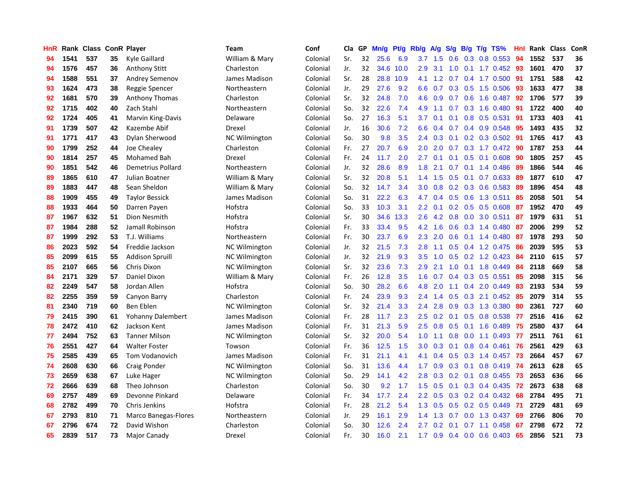| HnR |      | Rank Class ConR Player |    |                        | Team                 | Conf     | Cla | GP | Mn/g | Pt/g | Rb/g             | A/g | S/g              | B/g | T/g TS%                   | Hnl | Rank Class |     | ConR |
|-----|------|------------------------|----|------------------------|----------------------|----------|-----|----|------|------|------------------|-----|------------------|-----|---------------------------|-----|------------|-----|------|
| 94  | 1541 | 537                    | 35 | Kyle Gaillard          | William & Mary       | Colonial | Sr. | 32 | 25.6 | 6.9  | 3.7              | 1.5 | 0.6              | 0.3 | 0.8 0.553                 | 94  | 1552       | 537 | 36   |
| 94  | 1576 | 457                    | 36 | <b>Anthony Stitt</b>   | Charleston           | Colonial | Jr. | 32 | 34.6 | 10.0 | 2.9              | 3.1 | 1.0              |     | 0.1 1.7 0.452 93          |     | 1601       | 470 | 37   |
| 94  | 1588 | 551                    | 37 | Andrey Semenov         | James Madison        | Colonial | Sr. | 28 | 28.8 | 10.9 | 4.1              | 1.2 |                  |     | 0.7 0.4 1.7 0.500 91      |     | 1751       | 588 | 42   |
| 93  | 1624 | 473                    | 38 | Reggie Spencer         | Northeastern         | Colonial | Jr. | 29 | 27.6 | 9.2  | 6.6              | 0.7 |                  |     | $0.3$ $0.5$ 1.5 $0.506$   | 93  | 1633       | 477 | 38   |
| 92  | 1681 | 570                    | 39 | Anthony Thomas         | Charleston           | Colonial | Sr. | 32 | 24.8 | 7.0  | 4.6              | 0.9 |                  |     | $0.7$ $0.6$ $1.6$ $0.487$ | 92  | 1706       | 577 | 39   |
| 92  | 1715 | 402                    | 40 | Zach Stahl             | Northeastern         | Colonial | So. | 32 | 22.6 | 7.4  | 4.9              | 1.1 | 0.7              |     | 0.3 1.6 0.480             | 91  | 1722       | 400 | 40   |
| 92  | 1724 | 405                    | 41 | Marvin King-Davis      | Delaware             | Colonial | So. | 27 | 16.3 | 5.1  | 3.7              | 0.1 | 0.1              |     | 0.8 0.5 0.531             | 91  | 1733       | 403 | 41   |
| 91  | 1739 | 507                    | 42 | Kazembe Abif           | Drexel               | Colonial | Jr. | 16 | 30.6 | 7.2  | 6.6              | 0.4 | 0.7              |     | 0.4 0.9 0.548             | 95  | 1493       | 435 | 32   |
| 91  | 1771 | 417                    | 43 | Dylan Sherwood         | NC Wilmington        | Colonial | So. | 30 | 9.8  | 3.5  | $2.4^{\circ}$    | 0.3 | 0.1              |     | 0.2 0.3 0.502             | -91 | 1765       | 417 | 43   |
| 90  | 1799 | 252                    | 44 | Joe Chealey            | Charleston           | Colonial | Fr. | 27 | 20.7 | 6.9  | 2.0 <sub>2</sub> | 2.0 | 0.7              |     | 0.3 1.7 0.472 90          |     | 1787       | 253 | 44   |
| 90  | 1814 | 257                    | 45 | Mohamed Bah            | Drexel               | Colonial | Fr. | 24 | 11.7 | 2.0  | $2.7^{\circ}$    | 0.1 |                  |     | 0.1 0.5 0.1 0.608 90      |     | 1805       | 257 | 45   |
| 90  | 1851 | 542                    | 46 | Demetrius Pollard      | Northeastern         | Colonial | Jr. | 32 | 28.6 | 8.9  | 1.8              | 2.1 |                  |     | $0.7$ 0.1 1.4 0.486       | -89 | 1866       | 544 | 46   |
| 89  | 1865 | 610                    | 47 | Julian Boatner         | William & Mary       | Colonial | Sr. | 32 | 20.8 | 5.1  | $1.4^{\circ}$    | 1.5 | 0.5              |     | $0.1$ 0.7 0.633           | -89 | 1877       | 610 | 47   |
| 89  | 1883 | 447                    | 48 | Sean Sheldon           | William & Mary       | Colonial | So. | 32 | 14.7 | 3.4  | 3.0 <sub>2</sub> | 0.8 |                  |     | $0.2$ 0.3 0.6 0.583       | -89 | 1896       | 454 | 48   |
| 88  | 1909 | 455                    | 49 | <b>Taylor Bessick</b>  | James Madison        | Colonial | So. | 31 | 22.2 | 6.3  | 4.7              | 0.4 | 0.5              |     | 0.6 1.3 0.511             | 85  | 2058       | 501 | 54   |
| 88  | 1933 | 464                    | 50 | Darren Payen           | Hofstra              | Colonial | So. | 33 | 10.3 | 3.1  | $2.2^{\circ}$    | 0.1 | 0.2              |     | $0.5$ 0.5 0.608           | 87  | 1952       | 470 | 49   |
| 87  | 1967 | 632                    | 51 | Dion Nesmith           | Hofstra              | Colonial | Sr. | 30 | 34.6 | 13.3 | $2.6\,$          | 4.2 | 0.8              | 0.0 | 3.0 0.511                 | 87  | 1979       | 631 | 51   |
| 87  | 1984 | 288                    | 52 | Jamall Robinson        | Hofstra              | Colonial | Fr. | 33 | 33.4 | 9.5  | 4.2              | 1.6 | 0.6              |     | 0.3 1.4 0.480             | 87  | 2006       | 299 | 52   |
| 87  | 1999 | 292                    | 53 | T.J. Williams          | Northeastern         | Colonial | Fr. | 30 | 23.7 | 6.9  | 2.3              | 2.0 | 0.6              |     | $0.1$ 1.4 0.480           | -87 | 1978       | 293 | 50   |
| 86  | 2023 | 592                    | 54 | Freddie Jackson        | <b>NC Wilmington</b> | Colonial | Jr. | 32 | 21.5 | 7.3  | 2.8              | 1.1 |                  |     | 0.5 0.4 1.2 0.475         | -86 | 2039       | 595 | 53   |
| 85  | 2099 | 615                    | 55 | <b>Addison Spruill</b> | <b>NC Wilmington</b> | Colonial | Jr. | 32 | 21.9 | 9.3  | 3.5              | 1.0 |                  |     | $0.5$ $0.2$ $1.2$ $0.423$ | -84 | 2110       | 615 | 57   |
| 85  | 2107 | 665                    | 56 | Chris Dixon            | <b>NC Wilmington</b> | Colonial | Sr. | 32 | 23.6 | 7.3  | 2.9              | 2.1 | 1.0              |     | 0.1 1.8 0.449             | 84  | 2118       | 669 | 58   |
| 84  | 2171 | 329                    | 57 | Daniel Dixon           | William & Mary       | Colonial | Fr. | 26 | 12.8 | 3.5  | 1.6              | 0.7 |                  |     | $0.4$ 0.3 0.5 0.551       | 85  | 2098       | 315 | 56   |
| 82  | 2249 | 547                    | 58 | Jordan Allen           | Hofstra              | Colonial | So. | 30 | 28.2 | 6.6  | 4.8              | 2.0 | 1.1              | 0.4 | 2.0 0.449                 | 83  | 2193       | 534 | 59   |
| 82  | 2255 | 359                    | 59 | Canyon Barry           | Charleston           | Colonial | Fr. | 24 | 23.9 | 9.3  | $2.4^{\circ}$    | 1.4 | 0.5              |     | $0.3$ 2.1 $0.452$         | 85  | 2079       | 314 | 55   |
| 81  | 2340 | 719                    | 60 | Ben Eblen              | <b>NC Wilmington</b> | Colonial | Sr. | 32 | 21.4 | 3.3  | 2.4              | 2.8 | 0.9              |     | 0.3 1.3 0.380             | 80  | 2361       | 727 | 60   |
| 79  | 2415 | 390                    | 61 | Yohanny Dalembert      | James Madison        | Colonial | Fr. | 28 | 11.7 | 2.3  | 2.5              | 0.2 |                  |     | $0.1$ $0.5$ $0.8$ $0.538$ | -77 | 2516       | 416 | 62   |
| 78  | 2472 | 410                    | 62 | Jackson Kent           | James Madison        | Colonial | Fr. | 31 | 21.3 | 5.9  | 2.5              | 0.8 |                  |     | 0.5 0.1 1.6 0.489         | 75  | 2580       | 437 | 64   |
| 77  | 2494 | 752                    | 63 | <b>Tanner Milson</b>   | <b>NC Wilmington</b> | Colonial | Sr. | 32 | 20.0 | 5.4  | 1.0 <sub>1</sub> | 1.1 | 0.8              |     | $0.0$ 1.1 0.493           | -77 | 2511       | 761 | 61   |
| 76  | 2551 | 427                    | 64 | <b>Walter Foster</b>   | Towson               | Colonial | Fr. | 36 | 12.5 | 1.5  | 3.0 <sub>2</sub> | 0.3 | 0.1              |     | $0.8$ 0.4 0.461           | 76  | 2561       | 429 | 63   |
| 75  | 2585 | 439                    | 65 | Tom Vodanovich         | James Madison        | Colonial | Fr. | 31 | 21.1 | 4.1  | 4.1              | 0.4 | 0.5              |     | 0.3 1.4 0.457             | 73  | 2664       | 457 | 67   |
| 74  | 2608 | 630                    | 66 | Craig Ponder           | <b>NC Wilmington</b> | Colonial | So. | 31 | 13.6 | 4.4  | 1.7              | 0.9 | 0.3              | 0.1 | $0.8$ 0.419               | -74 | 2613       | 628 | 65   |
| 73  | 2659 | 638                    | 67 | Luke Hager             | <b>NC Wilmington</b> | Colonial | So. | 29 | 14.1 | 4.2  | 2.8              | 0.3 | 0.2 <sub>0</sub> | 0.1 | $0.8$ 0.455               | 73  | 2653       | 636 | 66   |
| 72  | 2666 | 639                    | 68 | Theo Johnson           | Charleston           | Colonial | So. | 30 | 9.2  | 1.7  | 1.5              | 0.5 | 0.1              |     | $0.3$ 0.4 0.435           | -72 | 2673       | 638 | 68   |
| 69  | 2757 | 489                    | 69 | Devonne Pinkard        | Delaware             | Colonial | Fr. | 34 | 17.7 | 2.4  | $2.2^{\circ}$    | 0.5 | 0.3              |     | $0.2$ 0.4 0.432           | -68 | 2784       | 495 | 71   |
| 68  | 2782 | 499                    | 70 | Chris Jenkins          | Hofstra              | Colonial | Fr. | 28 | 21.2 | 5.4  | 1.3              | 0.5 |                  |     | $0.5$ 0.2 0.5 0.449       | -71 | 2729       | 481 | 69   |
| 67  | 2793 | 810                    | 71 | Marco Banegas-Flores   | Northeastern         | Colonial | Jr. | 29 | 16.1 | 2.9  | $1.4^{\circ}$    | 1.3 | 0.7              |     | $0.0$ 1.3 0.437           | 69  | 2766       | 806 | 70   |
| 67  | 2796 | 674                    | 72 | David Wishon           | Charleston           | Colonial | So. | 30 | 12.6 | 2.4  | $2.7^{\circ}$    | 0.2 | 0.1              |     | $0.7$ 1.1 $0.458$         | 67  | 2798       | 672 | 72   |
| 65  | 2839 | 517                    | 73 | Major Canady           | Drexel               | Colonial | Fr. | 30 | 16.0 | 2.1  | 1.7 <sub>2</sub> | 0.9 |                  |     | $0.4$ 0.0 0.6 0.403       | 65  | 2856       | 521 | 73   |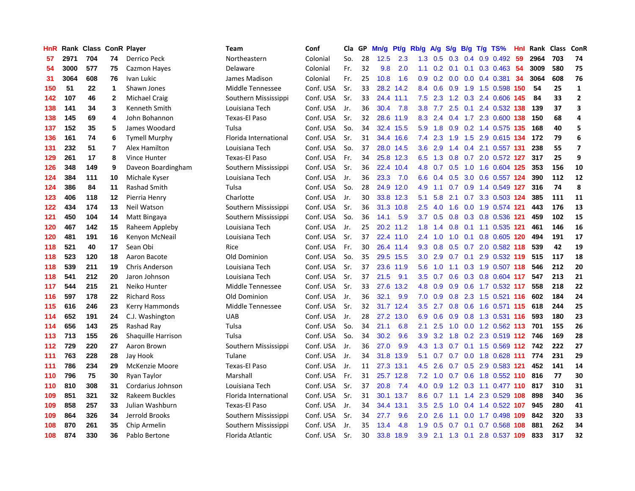| HnR |      | Rank Class ConR Player |                |                       | Team                  | Conf      | Cla | GP | Mn/g | Pf/g      | Rb/g             | A/g | S/g             | B/g | $T/g$ TS%                 | Hnl | Rank | <b>Class</b> | ConR           |
|-----|------|------------------------|----------------|-----------------------|-----------------------|-----------|-----|----|------|-----------|------------------|-----|-----------------|-----|---------------------------|-----|------|--------------|----------------|
| 57  | 2971 | 704                    | 74             | Derrico Peck          | Northeastern          | Colonial  | So. | 28 | 12.5 | 2.3       | 1.3              | 0.5 | 0.3             | 0.4 | 0.9 0.492                 | 59  | 2964 | 703          | 74             |
| 54  | 3000 | 577                    | 75             | Cazmon Hayes          | Delaware              | Colonial  | Fr. | 32 | 9.8  | 2.0       | 1.1              | 0.2 | 0.1             |     | $0.1$ $0.3$ $0.463$ 54    |     | 3009 | 580          | 75             |
| 31  | 3064 | 608                    | 76             | Ivan Lukic            | James Madison         | Colonial  | Fr. | 25 | 10.8 | 1.6       | 0.9 <sub>0</sub> | 0.2 |                 |     | 0.0 0.0 0.4 0.381 34      |     | 3064 | 608          | 76             |
| 150 | 51   | 22                     | 1              | Shawn Jones           | Middle Tennessee      | Conf. USA | Sr. | 33 |      | 28.2 14.2 | 8.4              | 0.6 |                 |     | 0.9 1.9 1.5 0.598 150     |     | 54   | 25           | $\mathbf{1}$   |
| 142 | 107  | 46                     | $\mathbf 2$    | Michael Craig         | Southern Mississippi  | Conf. USA | Sr. | 33 | 24.4 | 11.1      | 7.5              | 2.3 |                 |     | 1.2 0.3 2.4 0.606 145     |     | 84   | 33           | $\overline{2}$ |
| 138 | 141  | 34                     | 3              | Kenneth Smith         | Louisiana Tech        | Conf. USA | Jr. | 36 | 30.4 | 7.8       | 3.8              | 7.7 | 2.5             |     | 0.1 2.4 0.532 138         |     | 139  | 37           | 3              |
| 138 | 145  | 69                     | 4              | John Bohannon         | <b>Texas-El Paso</b>  | Conf. USA | Sr. | 32 |      | 28.6 11.9 | 8.3              | 2.4 |                 |     | 0.4 1.7 2.3 0.600 138     |     | 150  | 68           | 4              |
| 137 | 152  | 35                     | 5              | James Woodard         | Tulsa                 | Conf. USA | So. | 34 | 32.4 | 15.5      | 5.9              | 1.8 | 0.9             |     | 0.2 1.4 0.575 135         |     | 168  | 40           | 5              |
| 136 | 161  | 74                     | 6              | <b>Tymell Murphy</b>  | Florida International | Conf. USA | Sr. | 31 | 34.4 | 16.6      | 7.4              | 2.3 | 1.9             |     | 1.5 2.9 0.615 134         |     | 172  | 79           | 6              |
| 131 | 232  | 51                     | $\overline{7}$ | Alex Hamilton         | Louisiana Tech        | Conf. USA | So. | 37 | 28.0 | 14.5      | 3.6              | 2.9 | 1.4             |     | 0.4 2.1 0.557 131         |     | 238  | 55           | $\overline{ }$ |
| 129 | 261  | 17                     | 8              | Vince Hunter          | Texas-El Paso         | Conf. USA | Fr. | 34 |      | 25.8 12.3 | 6.5              |     |                 |     | 1.3 0.8 0.7 2.0 0.572 127 |     | 317  | 25           | 9              |
| 126 | 348  | 149                    | 9              | Daveon Boardingham    | Southern Mississippi  | Conf. USA | Sr. | 36 | 22.4 | 10.4      | 4.8              |     |                 |     | 0.7 0.5 1.0 1.6 0.604 125 |     | 353  | 156          | 10             |
| 124 | 384  | 111                    | 10             | Michale Kyser         | Louisiana Tech        | Conf. USA | Jr. | 36 | 23.3 | 7.0       | 6.6              | 0.4 | 0.5             |     | 3.0 0.6 0.557 124         |     | 390  | 112          | 12             |
| 124 | 386  | 84                     | 11             | Rashad Smith          | Tulsa                 | Conf. USA | So. | 28 | 24.9 | 12.0      | 4.9              | 1.1 | 0.7             |     | 0.9 1.4 0.549 127         |     | 316  | 74           | 8              |
| 123 | 406  | 118                    | 12             | Pierria Henry         | Charlotte             | Conf. USA | Jr. | 30 |      | 33.8 12.3 | 5.1              | 5.8 | 2.1             |     | 0.7 3.3 0.503 124         |     | 385  | 111          | 11             |
| 122 | 434  | 174                    | 13             | Neil Watson           | Southern Mississippi  | Conf. USA | Sr. | 36 | 31.3 | 10.8      | 2.5              | 4.0 | 1.6             |     | 0.0 1.9 0.574 121         |     | 443  | 176          | 13             |
| 121 | 450  | 104                    | 14             | Matt Bingaya          | Southern Mississippi  | Conf. USA | So. | 36 | 14.1 | 5.9       | 3.7              | 0.5 | 0.8             |     | 0.3 0.8 0.536 121         |     | 459  | 102          | 15             |
| 120 | 467  | 142                    | 15             | Raheem Appleby        | Louisiana Tech        | Conf. USA | Jr. | 25 | 20.2 | 11.2      | 1.8              | 1.4 | 0.8             |     | $0.1$ 1.1 0.535 121       |     | 461  | 146          | 16             |
| 120 | 481  | 191                    | 16             | Kenyon McNeail        | Louisiana Tech        | Conf. USA | Sr. | 37 |      | 22.4 11.0 | $2.4^{\circ}$    | 1.0 | 1.0             |     | $0.1$ 0.8 0.605 120       |     | 494  | 191          | 17             |
| 118 | 521  | 40                     | 17             | Sean Obi              | Rice                  | Conf. USA | Fr. | 30 |      | 26.4 11.4 | 9.3              | 0.8 |                 |     | 0.5 0.7 2.0 0.582 118     |     | 539  | 42           | 19             |
| 118 | 523  | 120                    | 18             | Aaron Bacote          | Old Dominion          | Conf. USA | So. | 35 |      | 29.5 15.5 | 3.0 <sub>2</sub> | 2.9 | 0.7             |     | $0.1$ 2.9 0.532 119       |     | 515  | 117          | 18             |
| 118 | 539  | 211                    | 19             | <b>Chris Anderson</b> | Louisiana Tech        | Conf. USA | Sr. | 37 | 23.6 | 11.9      | 5.6              | 1.0 | 1.1             |     | 0.3 1.9 0.507 118         |     | 546  | 212          | 20             |
| 118 | 541  | 212                    | 20             | Jaron Johnson         | Louisiana Tech        | Conf. USA | Sr. | 37 | 21.5 | 9.1       | 3.5              | 0.7 | 0.6             |     | 0.3 0.8 0.604 117         |     | 547  | 213          | 21             |
| 117 | 544  | 215                    | 21             | Neiko Hunter          | Middle Tennessee      | Conf. USA | Sr. | 33 | 27.6 | 13.2      | 4.8              | 0.9 | 0.9             |     | 0.6 1.7 0.532 117         |     | 558  | 218          | 22             |
| 116 | 597  | 178                    | 22             | <b>Richard Ross</b>   | Old Dominion          | Conf. USA | Jr. | 36 | 32.1 | 9.9       | 7.0              | 0.9 | 0.8             |     | 2.3 1.5 0.521 116         |     | 602  | 184          | 24             |
| 115 | 616  | 246                    | 23             | Kerry Hammonds        | Middle Tennessee      | Conf. USA | Sr. | 32 | 31.7 | 12.4      | 3.5              | 2.7 | 0.8             |     | 0.6 1.6 0.571 115         |     | 618  | 244          | 25             |
| 114 | 652  | 191                    | 24             | C.J. Washington       | <b>UAB</b>            | Conf. USA | Jr. | 28 | 27.2 | 13.0      | 6.9              | 0.6 | 0.9             |     | 0.8 1.3 0.531 116         |     | 593  | 180          | 23             |
| 114 | 656  | 143                    | 25             | Rashad Ray            | Tulsa                 | Conf. USA | So. | 34 | 21.1 | 6.8       | 2.1              | 2.5 |                 |     | 1.0 0.0 1.2 0.562 113     |     | 701  | 155          | 26             |
| 113 | 713  | 155                    | 26             | Shaquille Harrison    | Tulsa                 | Conf. USA | So. | 34 | 30.2 | 9.6       | 3.9 <sup>°</sup> |     | $3.2 \quad 1.8$ |     | 0.2 2.3 0.519 112 746     |     |      | 169          | 28             |
| 112 | 729  | 220                    | 27             | Aaron Brown           | Southern Mississippi  | Conf. USA | Jr. | 36 | 27.0 | 9.9       | 4.3              | 1.3 |                 |     | 0.7 0.1 1.5 0.569 112 742 |     |      | 222          | 27             |
| 111 | 763  | 228                    | 28             | Jay Hook              | Tulane                | Conf. USA | Jr. | 34 | 31.8 | 13.9      | 5.1              | 0.7 | 0.7             |     | 0.0 1.8 0.628 111         |     | 774  | 231          | 29             |
| 111 | 786  | 234                    | 29             | <b>McKenzie Moore</b> | <b>Texas-El Paso</b>  | Conf. USA | Jr. | 11 | 27.3 | 13.1      | 4.5              | 2.6 | 0.7             |     | 0.5 2.9 0.583 121         |     | 452  | 141          | 14             |
| 110 | 796  | 75                     | 30             | Ryan Taylor           | Marshall              | Conf. USA | Fr. | 31 | 25.7 | 12.8      | 7.2              | 1.0 | 0.7             |     | 0.6 1.8 0.552 110         |     | 816  | 77           | 30             |
| 110 | 810  | 308                    | 31             | Cordarius Johnson     | Louisiana Tech        | Conf. USA | Sr. | 37 | 20.8 | 7.4       | 4.0              | 0.9 | 1.2             |     | 0.3 1.1 0.477 110         |     | 817  | 310          | 31             |
| 109 | 851  | 321                    | 32             | Rakeem Buckles        | Florida International | Conf. USA | Sr. | 31 | 30.1 | 13.7      | 8.6              | 0.7 | 1.1             |     | 1.4 2.3 0.529 108         |     | 898  | 340          | 36             |
| 109 | 858  | 257                    | 33             | Julian Washburn       | Texas-El Paso         | Conf. USA | Jr. | 34 | 34.4 | 13.1      | 3.5              | 2.5 | 1.0             |     | 0.4 1.4 0.522 107         |     | 945  | 280          | 41             |
| 109 | 864  | 326                    | 34             | Jerrold Brooks        | Southern Mississippi  | Conf. USA | Sr. | 34 | 27.7 | 9.6       | 2.0 <sub>2</sub> | 2.6 | 1.1             |     | 0.0 1.7 0.498 109         |     | 842  | 320          | 33             |
| 108 | 870  | 261                    | 35             | Chip Armelin          | Southern Mississippi  | Conf. USA | Jr. | 35 | 13.4 | 4.8       | 1.9              | 0.5 | 0.7             |     | $0.1$ 0.7 0.568 108       |     | 881  | 262          | 34             |
| 108 | 874  | 330                    | 36             | Pablo Bertone         | Florida Atlantic      | Conf. USA | Sr. | 30 | 33.8 | 18.9      | 3.9              |     |                 |     | 2.1 1.3 0.1 2.8 0.537 109 |     | 833  | 317          | 32             |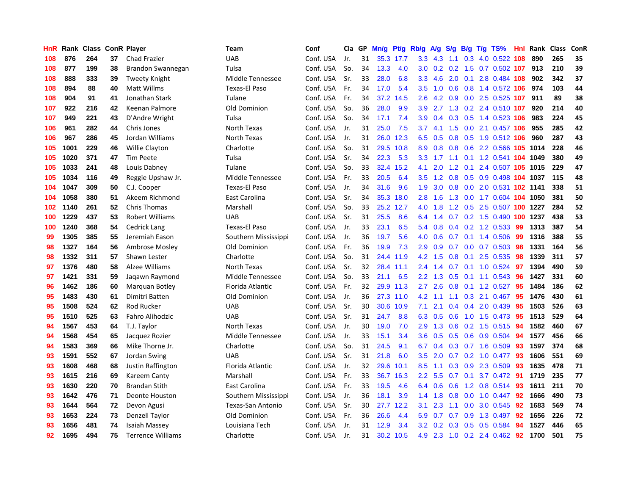| HnR | Rank |     |    | <b>Class ConR Player</b> | <b>Team</b>          | Conf      | Cla l | GP | Mn/g | <b>Pt/g</b> | Rb/g             | A/g | S/g |     | $B/g$ T/g TS%                  |     | Hnl Rank | <b>Class</b> | ConR |
|-----|------|-----|----|--------------------------|----------------------|-----------|-------|----|------|-------------|------------------|-----|-----|-----|--------------------------------|-----|----------|--------------|------|
| 108 | 876  | 264 | 37 | <b>Chad Frazier</b>      | <b>UAB</b>           | Conf. USA | Jr.   | 31 |      | 35.3 17.7   | 3.3 <sub>2</sub> | 4.3 | 1.1 |     | 0.3 4.0 0.522 108              |     | 890      | 265          | 35   |
| 108 | 877  | 199 | 38 | Brandon Swannegan        | Tulsa                | Conf. USA | So.   | 34 | 13.3 | 4.0         | 3.0 <sub>2</sub> |     |     |     | $0.2$ 0.2 1.5 0.7 0.502 107    |     | 913      | 210          | 39   |
| 108 | 888  | 333 | 39 | Tweety Knight            | Middle Tennessee     | Conf. USA | Sr.   | 33 | 28.0 | 6.8         | 3.3 <sub>2</sub> | 4.6 |     |     | 2.0 0.1 2.8 0.484 108          |     | 902      | 342          | 37   |
| 108 | 894  | 88  | 40 | Matt Willms              | Texas-El Paso        | Conf. USA | Fr.   | 34 | 17.0 | 5.4         | 3.5              | 1.0 |     |     | 0.6 0.8 1.4 0.572 106 974      |     |          | 103          | 44   |
| 108 | 904  | 91  | 41 | Jonathan Stark           | Tulane               | Conf. USA | Fr.   | 34 | 37.2 | 14.5        | 2.6              | 4.2 | 0.9 |     | 0.0 2.5 0.525 107              |     | 911      | 89           | 38   |
| 107 | 922  | 216 | 42 | Keenan Palmore           | Old Dominion         | Conf. USA | So.   | 36 | 28.0 | 9.9         | 3.9              | 2.7 | 1.3 |     | 0.2 2.4 0.510 107              |     | 920      | 214          | 40   |
| 107 | 949  | 221 | 43 | D'Andre Wright           | Tulsa                | Conf. USA | So.   | 34 | 17.1 | 7.4         | 3.9              | 0.4 | 0.3 |     | 0.5 1.4 0.523 106              |     | 983      | 224          | 45   |
| 106 | 961  | 282 | 44 | Chris Jones              | North Texas          | Conf. USA | Jr.   | 31 | 25.0 | 7.5         | 3.7              | 4.1 | 1.5 |     | $0.0$ 2.1 $0.457$ 106          |     | 955      | 285          | 42   |
| 106 | 967  | 286 | 45 | Jordan Williams          | North Texas          | Conf. USA | Jr.   | 31 | 26.0 | 12.3        | 6.5              | 0.5 | 0.8 |     | 0.5 1.9 0.512 106              |     | 960      | 287          | 43   |
| 105 | 1001 | 229 | 46 | <b>Willie Clayton</b>    | Charlotte            | Conf. USA | So.   | 31 | 29.5 | 10.8        | 8.9              | 0.8 |     |     | 0.8 0.6 2.2 0.566 105 1014     |     |          | 228          | 46   |
| 105 | 1020 | 371 | 47 | <b>Tim Peete</b>         | Tulsa                | Conf. USA | Sr.   | 34 | 22.3 | 5.3         | 3.3 <sub>2</sub> |     |     |     | 1.7 1.1 0.1 1.2 0.541 104 1049 |     |          | 380          | 49   |
| 105 | 1033 | 241 | 48 | Louis Dabney             | Tulane               | Conf. USA | So.   | 33 | 32.4 | 15.2        | 4.1              | 2.0 |     |     | 1.2 0.1 2.4 0.507 105 1015     |     |          | 229          | 47   |
| 105 | 1034 | 116 | 49 | Reggie Upshaw Jr.        | Middle Tennessee     | Conf. USA | Fr.   | 33 | 20.5 | 6.4         | 3.5              | 1.2 | 0.8 |     | 0.5 0.9 0.498 104 1037         |     |          | 115          | 48   |
| 104 | 1047 | 309 | 50 | C.J. Cooper              | Texas-El Paso        | Conf. USA | Jr.   | 34 | 31.6 | 9.6         | 1.9              | 3.0 | 0.8 |     | 0.0 2.0 0.531 102 1141         |     |          | 338          | 51   |
| 104 | 1058 | 380 | 51 | Akeem Richmond           | East Carolina        | Conf. USA | Sr.   | 34 | 35.3 | 18.0        | 2.8              | 1.6 | 1.3 |     | 0.0 1.7 0.604 104 1050         |     |          | 381          | 50   |
| 102 | 1140 | 261 | 52 | Chris Thomas             | Marshall             | Conf. USA | So.   | 33 | 25.2 | 12.7        | 4.0              | 1.8 | 1.2 |     | 0.5 2.5 0.507 100 1227         |     |          | 284          | 52   |
| 100 | 1229 | 437 | 53 | <b>Robert Williams</b>   | <b>UAB</b>           | Conf. USA | Sr.   | 31 | 25.5 | 8.6         | 6.4              | 1.4 | 0.7 |     | 0.2 1.5 0.490 100 1237         |     |          | 438          | 53   |
| 100 | 1240 | 368 | 54 | Cedrick Lang             | <b>Texas-El Paso</b> | Conf. USA | Jr.   | 33 | 23.1 | 6.5         | 5.4              | 0.8 | 0.4 |     | 0.2 1.2 0.533                  | -99 | 1313     | 387          | 54   |
| 99  | 1305 | 385 | 55 | Jeremiah Eason           | Southern Mississippi | Conf. USA | Jr.   | 36 | 19.7 | 5.6         | 4.0              | 0.6 |     |     | 0.7 0.1 1.4 0.506 99           |     | 1316     | 388          | 55   |
| 98  | 1327 | 164 | 56 | Ambrose Mosley           | Old Dominion         | Conf. USA | Fr.   | 36 | 19.9 | 7.3         | 2.9              | 0.9 |     |     | 0.7 0.0 0.7 0.503 98           |     | 1331     | 164          | 56   |
| 98  | 1332 | 311 | 57 | Shawn Lester             | Charlotte            | Conf. USA | So.   | 31 | 24.4 | 11.9        | 4.2              | 1.5 | 0.8 |     | $0.1$ 2.5 0.535                | -98 | 1339     | 311          | 57   |
| 97  | 1376 | 480 | 58 | Alzee Williams           | North Texas          | Conf. USA | Sr.   | 32 | 28.4 | 11.1        | $2.4^{\circ}$    | 1.4 | 0.7 |     | $0.1$ 1.0 0.524                | -97 | 1394     | 490          | 59   |
| 97  | 1421 | 331 | 59 | Jagawn Raymond           | Middle Tennessee     | Conf. USA | So.   | 33 | 21.1 | 6.5         | 2.2              | 1.3 | 0.5 |     | $0.1$ 1.1 0.543                | 96  | 1427     | 331          | 60   |
| 96  | 1462 | 186 | 60 | Marquan Botley           | Florida Atlantic     | Conf. USA | Fr.   | 32 | 29.9 | 11.3        | 2.7              | 2.6 | 0.8 |     | $0.1$ 1.2 0.527                | 95  | 1484     | 186          | 62   |
| 95  | 1483 | 430 | 61 | Dimitri Batten           | Old Dominion         | Conf. USA | Jr.   | 36 | 27.3 | 11.0        | 4.2              | 1.1 | 1.1 |     | $0.3$ 2.1 $0.467$              | -95 | 1476     | 430          | 61   |
| 95  | 1508 | 524 | 62 | <b>Rod Rucker</b>        | <b>UAB</b>           | Conf. USA | Sr.   | 30 | 30.6 | 10.9        | 7.1              | 2.1 | 0.4 |     | $0.4$ 2.0 0.439                | 95  | 1503     | 526          | 63   |
| 95  | 1510 | 525 | 63 | Fahro Alihodzic          | <b>UAB</b>           | Conf. USA | Sr.   | 31 | 24.7 | 8.8         | 6.3              | 0.5 |     |     | 0.6 1.0 1.5 0.473 95           |     | 1513     | 529          | 64   |
| 94  | 1567 | 453 | 64 | T.J. Taylor              | North Texas          | Conf. USA | Jr.   | 30 | 19.0 | 7.0         | 2.9              |     |     |     | 1.3 0.6 0.2 1.5 0.515 94       |     | 1582     | 460          | 67   |
| 94  | 1568 | 454 | 65 | Jacquez Rozier           | Middle Tennessee     | Conf. USA | Jr.   | 33 | 15.1 | 3.4         | $3.6^{\circ}$    | 0.5 | 0.5 |     | 0.6 0.9 0.504 94               |     | 1577     | 456          | 66   |
| 94  | 1583 | 369 | 66 | Mike Thorne Jr.          | Charlotte            | Conf. USA | So.   | 31 | 24.5 | 9.1         | 6.7              | 0.4 | 0.3 |     | $0.7$ 1.6 0.509                | -93 | 1597     | 374          | 68   |
| 93  | 1591 | 552 | 67 | Jordan Swing             | <b>UAB</b>           | Conf. USA | Sr.   | 31 | 21.8 | 6.0         | $3.5^{\circ}$    | 2.0 | 0.7 |     | $0.2$ 1.0 0.477                | 93  | 1606     | 551          | 69   |
| 93  | 1608 | 468 | 68 | Justin Raffington        | Florida Atlantic     | Conf. USA | Jr.   | 32 | 29.6 | 10.1        | 8.5              | 1.1 | 0.3 |     | 0.9 2.3 0.509                  | 93  | 1635     | 478          | 71   |
| 93  | 1615 | 216 | 69 | Kareem Canty             | Marshall             | Conf. USA | Fr.   | 33 | 36.7 | 16.3        | $2.2\phantom{0}$ | 5.5 | 0.7 | 0.1 | 3.7 0.472                      | 91  | 1719     | 235          | 77   |
| 93  | 1630 | 220 | 70 | <b>Brandan Stith</b>     | East Carolina        | Conf. USA | Fr.   | 33 | 19.5 | 4.6         | 6.4              | 0.6 | 0.6 |     | 1.2 0.8 0.514 93               |     | 1611     | 211          | 70   |
| 93  | 1642 | 476 | 71 | Deonte Houston           | Southern Mississippi | Conf. USA | Jr.   | 36 | 18.1 | 3.9         | 1.4              | 1.8 | 0.8 |     | $0.0$ 1.0 0.447                | 92  | 1666     | 490          | 73   |
| 93  | 1644 | 564 | 72 | Devon Agusi              | Texas-San Antonio    | Conf. USA | Sr.   | 30 | 27.7 | 12.2        | 3.1              | 2.3 | 1.1 |     | $0.0$ 3.0 $0.545$              | 92  | 1683     | 569          | 74   |
| 93  | 1653 | 224 | 73 | Denzell Taylor           | Old Dominion         | Conf. USA | Fr.   | 36 | 26.6 | 4.4         | 5.9              | 0.7 | 0.7 |     | 0.9 1.3 0.497 92               |     | 1656     | 226          | 72   |
| 93  | 1656 | 481 | 74 | Isaiah Massey            | Louisiana Tech       | Conf. USA | Jr.   | 31 | 12.9 | 3.4         | 3.2              | 0.2 | 0.3 |     | $0.5$ 0.5 0.584                | -94 | 1527     | 446          | 65   |
| 92  | 1695 | 494 | 75 | <b>Terrence Williams</b> | Charlotte            | Conf. USA | Jr.   | 31 |      | 30.2 10.5   | 4.9              |     |     |     | 2.3 1.0 0.2 2.4 0.462 92       |     | 1700     | 501          | 75   |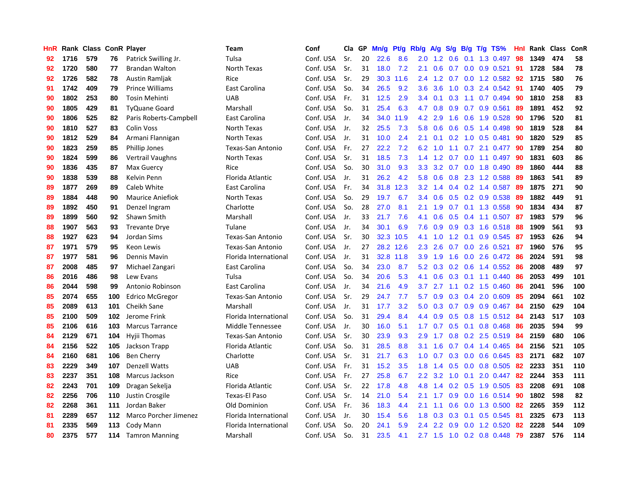| HnR |      | Rank Class ConR Player |     |                         | <b>Team</b>           | Conf      | Cla | GP | Mn/g | <b>Pt/g</b> | Rb/g             | <b>A/g</b> | S/g              | B/g | $T/g$ TS%                | Hnl | Rank | <b>Class</b> | ConR |
|-----|------|------------------------|-----|-------------------------|-----------------------|-----------|-----|----|------|-------------|------------------|------------|------------------|-----|--------------------------|-----|------|--------------|------|
| 92  | 1716 | 579                    | 76  | Patrick Swilling Jr.    | Tulsa                 | Conf. USA | Sr. | 20 | 22.6 | 8.6         | 2.0              | 1.2        | 0.6              | 0.1 | 1.3 0.497                | 98  | 1349 | 474          | 58   |
| 92  | 1720 | 580                    | 77  | <b>Brandan Walton</b>   | North Texas           | Conf. USA | Sr. | 31 | 18.0 | 7.2         | 2.1              | 0.6        |                  |     | 0.7 0.0 0.9 0.521        | -91 | 1728 | 584          | 78   |
| 92  | 1726 | 582                    | 78  | Austin Ramljak          | Rice                  | Conf. USA | Sr. | 29 | 30.3 | 11.6        | 2.4              | 1.2        |                  |     | $0.7$ $0.0$ 1.2 $0.582$  | -92 | 1715 | 580          | 76   |
| 91  | 1742 | 409                    | 79  | Prince Williams         | East Carolina         | Conf. USA | So. | 34 | 26.5 | 9.2         | 3.6 <sup>°</sup> | 3.6        | 1.0              |     | 0.3 2.4 0.542            | -91 | 1740 | 405          | 79   |
| 90  | 1802 | 253                    | 80  | <b>Tosin Mehinti</b>    | <b>UAB</b>            | Conf. USA | Fr. | 31 | 12.5 | 2.9         | 3.4              | 0.1        | 0.3              |     | 1.1 0.7 0.494            | 90  | 1810 | 258          | 83   |
| 90  | 1805 | 429                    | 81  | <b>TyQuane Goard</b>    | Marshall              | Conf. USA | So. | 31 | 25.4 | 6.3         | 4.7              | 0.8        | 0.9              |     | $0.7$ 0.9 0.561          | 89  | 1891 | 452          | 92   |
| 90  | 1806 | 525                    | 82  | Paris Roberts-Campbell  | East Carolina         | Conf. USA | Jr. | 34 | 34.0 | 11.9        | 4.2              | 2.9        | 1.6              |     | 0.6 1.9 0.528            | 90  | 1796 | 520          | 81   |
| 90  | 1810 | 527                    | 83  | <b>Colin Voss</b>       | North Texas           | Conf. USA | Jr. | 32 | 25.5 | 7.3         | 5.8              | 0.6        | 0.6              |     | $0.5$ 1.4 0.498          | 90  | 1819 | 528          | 84   |
| 90  | 1812 | 529                    | 84  | Armani Flannigan        | North Texas           | Conf. USA | Jr. | 31 | 10.0 | 2.4         | 2.1              | 0.1        |                  |     | $0.2$ 1.0 0.5 0.481      | 90  | 1820 | 529          | 85   |
| 90  | 1823 | 259                    | 85  | Phillip Jones           | Texas-San Antonio     | Conf. USA | Fr. | 27 | 22.2 | 7.2         | 6.2              | 1.0        |                  |     | 1.1 0.7 2.1 0.477 90     |     | 1789 | 254          | 80   |
| 90  | 1824 | 599                    | 86  | Vertrail Vaughns        | North Texas           | Conf. USA | Sr. | 31 | 18.5 | 7.3         | 1.4              |            |                  |     | 1.2 0.7 0.0 1.1 0.497 90 |     | 1831 | 603          | 86   |
| 90  | 1836 | 435                    | 87  | Max Guercy              | Rice                  | Conf. USA | So. | 30 | 31.0 | 9.3         | 3.3 <sub>2</sub> | 3.2        |                  |     | 0.7 0.0 1.8 0.490        | -89 | 1860 | 444          | 88   |
| 90  | 1838 | 539                    | 88  | Kelvin Penn             | Florida Atlantic      | Conf. USA | Jr. | 31 | 26.2 | 4.2         | 5.8              | 0.6        |                  |     | 0.8 2.3 1.2 0.588        | -89 | 1863 | 541          | 89   |
| 89  | 1877 | 269                    | 89  | Caleb White             | East Carolina         | Conf. USA | Fr. | 34 | 31.8 | 12.3        | 3.2              | 1.4        | 0.4              |     | $0.2$ 1.4 0.587          | 89  | 1875 | 271          | 90   |
| 89  | 1884 | 448                    | 90  | <b>Maurice Aniefiok</b> | North Texas           | Conf. USA | So. | 29 | 19.7 | 6.7         | 3.4              | 0.6        | 0.5              |     | 0.2 0.9 0.538            | -89 | 1882 | 449          | 91   |
| 89  | 1892 | 450                    | 91  | Denzel Ingram           | Charlotte             | Conf. USA | So. | 28 | 27.0 | 8.1         | 2.1              | 1.9        | 0.7              |     | $0.1$ 1.3 0.558          | -90 | 1834 | 434          | 87   |
| 89  | 1899 | 560                    | 92  | Shawn Smith             | Marshall              | Conf. USA | Jr. | 33 | 21.7 | 7.6         | 4.1              | 0.6        | 0.5              |     | 0.4 1.1 0.507 87         |     | 1983 | 579          | 96   |
| 88  | 1907 | 563                    | 93  | <b>Trevante Drye</b>    | Tulane                | Conf. USA | Jr. | 34 | 30.1 | 6.9         | 7.6              | 0.9        | 0.9 <sup>°</sup> |     | $0.3$ 1.6 0.518          | -88 | 1909 | 561          | 93   |
| 88  | 1927 | 623                    | 94  | Jordan Sims             | Texas-San Antonio     | Conf. USA | Sr. | 30 | 32.3 | 10.5        | 4.1              | 1.0        |                  |     | 1.2 0.1 0.9 0.545 87     |     | 1953 | 626          | 94   |
| 87  | 1971 | 579                    | 95  | Keon Lewis              | Texas-San Antonio     | Conf. USA | Jr. | 27 | 28.2 | 12.6        | 2.3              | 2.6        |                  |     | 0.7 0.0 2.6 0.521 87     |     | 1960 | 576          | 95   |
| 87  | 1977 | 581                    | 96  | Dennis Mavin            | Florida International | Conf. USA | Jr. | 31 | 32.8 | 11.8        | 3.9              | 1.9        | 1.6              |     | $0.0$ 2.6 $0.472$        | -86 | 2024 | 591          | 98   |
| 87  | 2008 | 485                    | 97  | Michael Zangari         | East Carolina         | Conf. USA | So. | 34 | 23.0 | 8.7         | 5.2              | 0.3        | 0.2              |     | $0.6$ 1.4 0.552          | -86 | 2008 | 489          | 97   |
| 86  | 2016 | 486                    | 98  | Lew Evans               | Tulsa                 | Conf. USA | So. | 34 | 20.6 | 5.3         | 4.1              | 0.6        | 0.3              |     | $0.1$ 1.1 $0.440$        | 86  | 2053 | 499          | 101  |
| 86  | 2044 | 598                    | 99  | Antonio Robinson        | East Carolina         | Conf. USA | Jr. | 34 | 21.6 | 4.9         | 3.7              | 2.7        | 1.1              |     | $0.2$ 1.5 0.460          | 86  | 2041 | 596          | 100  |
| 85  | 2074 | 655                    | 100 | Edrico McGregor         | Texas-San Antonio     | Conf. USA | Sr. | 29 | 24.7 | 7.7         | 5.7              | 0.9        | 0.3 <sub>0</sub> |     | 0.4 2.0 0.609            | 85  | 2094 | 661          | 102  |
| 85  | 2089 | 613                    | 101 | Cheikh Sane             | Marshall              | Conf. USA | Jr. | 31 | 17.7 | 3.2         | 5.0              | 0.3        | 0.7              |     | $0.9$ 0.9 0.467          | 84  | 2150 | 629          | 104  |
| 85  | 2100 | 509                    | 102 | Jerome Frink            | Florida International | Conf. USA | So. | 31 | 29.4 | 8.4         | 4.4              | 0.9        | 0.5              |     | 0.8 1.5 0.512 84         |     | 2143 | 517          | 103  |
| 85  | 2106 | 616                    | 103 | <b>Marcus Tarrance</b>  | Middle Tennessee      | Conf. USA | Jr. | 30 | 16.0 | 5.1         | 1.7 <sub>1</sub> |            |                  |     | 0.7 0.5 0.1 0.8 0.468 86 |     | 2035 | 594          | 99   |
| 84  | 2129 | 671                    | 104 | Hyjii Thomas            | Texas-San Antonio     | Conf. USA | Sr. | 30 | 23.9 | 9.3         | 2.9              | 1.7        |                  |     | 0.8 0.2 2.5 0.519 84     |     | 2159 | 680          | 106  |
| 84  | 2156 | 522                    | 105 | Jackson Trapp           | Florida Atlantic      | Conf. USA | So. | 31 | 28.5 | 8.8         | 3.1              | 1.6        |                  |     | $0.7$ 0.4 1.4 0.465      | -84 | 2156 | 521          | 105  |
| 84  | 2160 | 681                    | 106 | <b>Ben Cherry</b>       | Charlotte             | Conf. USA | Sr. | 31 | 21.7 | 6.3         | 1.0              | 0.7        | 0.3              |     | $0.0$ 0.6 0.645          | -83 | 2171 | 682          | 107  |
| 83  | 2229 | 349                    | 107 | <b>Denzell Watts</b>    | <b>UAB</b>            | Conf. USA | Fr. | 31 | 15.2 | 3.5         | 1.8              | 1.4        | 0.5              |     | $0.0$ 0.8 0.505          | 82  | 2233 | 351          | 110  |
| 83  | 2237 | 351                    | 108 | Marcus Jackson          | Rice                  | Conf. USA | Fr. | 27 | 25.8 | 6.7         | 2.2              | 3.2        | 1.0              | 0.1 | 2.0 0.447                | -82 | 2244 | 353          | 111  |
| 82  | 2243 | 701                    | 109 | Dragan Sekelja          | Florida Atlantic      | Conf. USA | Sr. | 22 | 17.8 | 4.8         | 4.8              | 1.4        | 0.2              |     | $0.5$ 1.9 0.505          | -83 | 2208 | 691          | 108  |
| 82  | 2256 | 706                    | 110 | Justin Crosgile         | <b>Texas-El Paso</b>  | Conf. USA | Sr. | 14 | 21.0 | 5.4         | 2.1              | 1.7        | 0.9              |     | $0.0$ 1.6 0.514          | -90 | 1802 | 598          | 82   |
| 82  | 2268 | 361                    | 111 | Jordan Baker            | Old Dominion          | Conf. USA | Fr. | 36 | 18.3 | 4.4         | 2.1              | 1.1        | 0.6              |     | 0.0 1.3 0.500 82         |     | 2265 | 359          | 112  |
| 81  | 2289 | 657                    | 112 | Marco Porcher Jimenez   | Florida International | Conf. USA | Jr. | 30 | 15.4 | 5.6         | 1.8              | 0.3        | 0.3              |     | $0.1$ 0.5 0.545          | -81 | 2325 | 673          | 113  |
| 81  | 2335 | 569                    | 113 | Cody Mann               | Florida International | Conf. USA | So. | 20 | 24.1 | 5.9         | $2.4\,$          | 2.2        | 0.9              |     | $0.0$ 1.2 $0.520$        | -82 | 2228 | 544          | 109  |
| 80  | 2375 | 577                    | 114 | <b>Tamron Manning</b>   | Marshall              | Conf. USA | So. | 31 | 23.5 | 4.1         |                  | $2.7$ 1.5  | 1.0              |     | $0.2$ 0.8 0.448          | -79 | 2387 | 576          | 114  |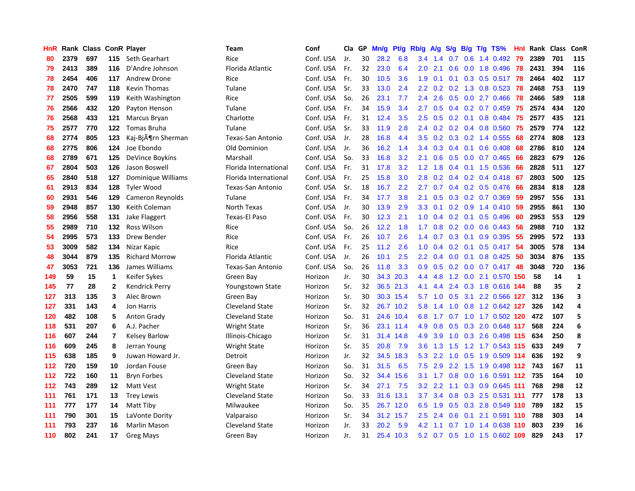| HnR |      | Rank Class |                | <b>ConR Player</b>             | Team                    | Conf      | Cla | GP | Mn/g   | Pt/g      | Rb/g             | A/g | S/g              | B/g | $T/g$ TS%                 | Hnl | Rank | <b>Class</b> | ConR                     |
|-----|------|------------|----------------|--------------------------------|-------------------------|-----------|-----|----|--------|-----------|------------------|-----|------------------|-----|---------------------------|-----|------|--------------|--------------------------|
| 80  | 2379 | 697        | 115            | Seth Gearhart                  | Rice                    | Conf. USA | Jr. | 30 | 28.2   | 6.8       | 3.4              | 1.4 | 0.7              | 0.6 | 1.4 0.492                 | -79 | 2389 | 701          | 115                      |
| 79  | 2413 | 389        | 116            | D'Andre Johnson                | Florida Atlantic        | Conf. USA | Fr. | 32 | 23.0   | 6.4       | 2.0 <sub>1</sub> | 2.1 | 0.6              |     | 0.0 1.8 0.496 78          |     | 2431 | 394          | 116                      |
| 78  | 2454 | 406        | 117            | Andrew Drone                   | Rice                    | Conf. USA | Fr. | 30 | 10.5   | 3.6       | 1.9              | 0.1 |                  |     | 0.1 0.3 0.5 0.517 78      |     | 2464 | 402          | 117                      |
| 78  | 2470 | 747        | 118            | <b>Kevin Thomas</b>            | Tulane                  | Conf. USA | Sr. | 33 | 13.0   | 2.4       | $2.2^{\circ}$    | 0.2 |                  |     | $0.2$ 1.3 0.8 0.523       | -78 | 2468 | 753          | 119                      |
| 77  | 2505 | 599        | 119            | Keith Washington               | Rice                    | Conf. USA | So. | 26 | 23.1   | 7.7       | $2.4\,$          | 2.6 | 0.5              |     | $0.0$ 2.7 $0.466$         | 78  | 2466 | 589          | 118                      |
| 76  | 2566 | 432        | 120            | Payton Henson                  | Tulane                  | Conf. USA | Fr. | 34 | 15.9   | 3.4       | 2.7              | 0.5 | 0.4              |     | $0.2$ 0.7 0.459           | 75  | 2574 | 434          | 120                      |
| 76  | 2568 | 433        | 121            | Marcus Bryan                   | Charlotte               | Conf. USA | Fr. | 31 | 12.4   | 3.5       | 2.5              | 0.5 |                  |     | 0.2 0.1 0.8 0.484         | 75  | 2577 | 435          | 121                      |
| 75  | 2577 | 770        | 122            | <b>Tomas Bruha</b>             | Tulane                  | Conf. USA | Sr. | 33 | 11.9   | 2.8       | 2.4              | 0.2 |                  |     | $0.2$ 0.4 0.8 0.560       | 75  | 2579 | 774          | 122                      |
| 68  | 2774 | 805        | 123            | Kaj-Bj $\tilde{A}$ ¶rn Sherman | Texas-San Antonio       | Conf. USA | Jr. | 28 | 16.8   | 4.4       | 3.5              | 0.2 | 0.3              |     | $0.2$ 1.4 $0.555$         | 68  | 2774 | 808          | 123                      |
| 68  | 2775 | 806        | 124            | Joe Ebondo                     | Old Dominion            | Conf. USA | Jr. | 36 | 16.2   | 1.4       | 3.4              | 0.3 | 0.4              |     | $0.1$ 0.6 0.408           | 68  | 2786 | 810          | 124                      |
| 68  | 2789 | 671        | 125            | DeVince Boykins                | Marshall                | Conf. USA | So. | 33 | 16.8   | 3.2       | 2.1              | 0.6 |                  |     | $0.5$ 0.0 0.7 0.465       | -66 | 2823 | 679          | 126                      |
| 67  | 2804 | 503        | 126            | Jason Boswell                  | Florida International   | Conf. USA | Fr. | 31 | 17.8   | 3.2       | 1.2              | 1.8 |                  |     | $0.4$ 0.1 1.5 0.536       | -66 | 2828 | 511          | 127                      |
| 65  | 2840 | 518        | 127            | Dominique Williams             | Florida International   | Conf. USA | Fr. | 25 | 15.8   | 3.0       | 2.8              | 0.2 | $0.4^{\circ}$    |     | 0.2 0.4 0.418 67          |     | 2803 | 500          | 125                      |
| 61  | 2913 | 834        | 128            | Tyler Wood                     | Texas-San Antonio       | Conf. USA | Sr. | 18 | 16.7   | 2.2       | 2.7              | 0.7 | 0.4              |     | $0.2$ 0.5 0.476           | -66 | 2834 | 818          | 128                      |
| 60  | 2931 | 546        | 129            | Cameron Reynolds               | Tulane                  | Conf. USA | Fr. | 34 | 17.7   | 3.8       | 2.1              | 0.5 | 0.3              |     | $0.2$ 0.7 0.369           | 59  | 2957 | 556          | 131                      |
| 59  | 2948 | 857        | 130            | Keith Coleman                  | North Texas             | Conf. USA | Jr. | 30 | 13.9   | 2.9       | 3.3              | 0.1 | 0.2              |     | 0.9 1.4 0.410             | 59  | 2955 | 861          | 130                      |
| 58  | 2956 | 558        | 131            | Jake Flaggert                  | Texas-El Paso           | Conf. USA | Fr. | 30 | 12.3   | 2.1       | 1.0              | 0.4 | 0.2              |     | $0.1$ 0.5 0.496           | -60 | 2953 | 553          | 129                      |
| 55  | 2989 | 710        | 132            | Ross Wilson                    | Rice                    | Conf. USA | So. | 26 | 12.2   | 1.8       | 1.7              | 0.8 | 0.2              | 0.0 | $0.6$ 0.443               | 56  | 2988 | 710          | 132                      |
| 54  | 2995 | 573        | 133            | Drew Bender                    | Rice                    | Conf. USA | Fr. | 26 | $10.7$ | 2.6       | $1.4^{\circ}$    | 0.7 | 0.3              |     | $0.1$ 0.9 0.395           | -55 | 2995 | 572          | 133                      |
| 53  | 3009 | 582        | 134            | Nizar Kapic                    | Rice                    | Conf. USA | Fr. | 25 | 11.2   | 2.6       | 1.0              | 0.4 |                  |     | 0.2 0.1 0.5 0.417 54      |     | 3005 | 578          | 134                      |
| 48  | 3044 | 879        | 135            | <b>Richard Morrow</b>          | Florida Atlantic        | Conf. USA | Jr. | 26 | 10.1   | 2.5       | $2.2\phantom{0}$ | 0.4 | 0.0 <sub>1</sub> |     | $0.1$ 0.8 0.425           | -50 | 3034 | 876          | 135                      |
| 47  | 3053 | 721        | 136            | James Williams                 | Texas-San Antonio       | Conf. USA | So. | 26 | 11.8   | 3.3       | 0.9              | 0.5 |                  |     | 0.2 0.0 0.7 0.417 48      |     | 3048 | 720          | 136                      |
| 149 | 59   | 15         | $\mathbf{1}$   | Keifer Sykes                   | Green Bay               | Horizon   | Jr. | 30 | 34.3   | 20.3      | 4.4              | 4.8 |                  |     | 1.2 0.0 2.1 0.570 150     |     | 58   | 14           | $\mathbf 1$              |
| 145 | 77   | 28         | $\mathbf{2}$   | <b>Kendrick Perry</b>          | <b>Youngstown State</b> | Horizon   | Sr. | 32 | 36.5   | 21.3      | 4.1              | 4.4 | 2.4              |     | 0.3 1.8 0.616 144         |     | 88   | 35           | $\mathbf{2}$             |
| 127 | 313  | 135        | 3              | Alec Brown                     | Green Bay               | Horizon   | Sr. | 30 | 30.3   | 15.4      | 5.7              | 1.0 | 0.5              |     | 3.1 2.2 0.566 127         |     | 312  | 136          | 3                        |
| 127 | 331  | 143        | 4              | Jon Harris                     | Cleveland State         | Horizon   | Sr. | 32 | 26.7   | 10.2      | 5.8              | 1.4 | 1.0              |     | 0.8 1.2 0.642 127         |     | 326  | 142          | 4                        |
| 120 | 482  | 108        | 5              | <b>Anton Grady</b>             | <b>Cleveland State</b>  | Horizon   | So. | 31 | 24.6   | 10.4      | 6.8              | 1.7 |                  |     | 0.7 1.0 1.7 0.502 120     |     | 472  | 107          | 5                        |
| 118 | 531  | 207        | 6              | A.J. Pacher                    | <b>Wright State</b>     | Horizon   | Sr. | 36 |        | 23.1 11.4 | 4.9              | 0.8 |                  |     | 0.5 0.3 2.0 0.648 117     |     | 568  | 224          | 6                        |
| 116 | 607  | 244        | $\overline{7}$ | <b>Kelsey Barlow</b>           | Illinois-Chicago        | Horizon   | Sr. | 31 | 31.4   | 14.8      | 4.9              | 3.9 |                  |     | 1.0 0.3 2.6 0.498 115     |     | 634  | 250          | 8                        |
| 116 | 609  | 245        | 8              | Jerran Young                   | <b>Wright State</b>     | Horizon   | Sr. | 35 | 20.8   | 7.9       | $3.6^{\circ}$    | 1.3 | 1.5              |     | 1.2 1.7 0.543 115         |     | 633  | 249          | $\overline{\phantom{a}}$ |
| 115 | 638  | 185        | 9              | Juwan Howard Jr.               | Detroit                 | Horizon   | Jr. | 32 | 34.5   | 18.3      | 5.3              | 2.2 | 1.0              |     | 0.5 1.9 0.509 114         |     | 636  | 192          | 9                        |
| 112 | 720  | 159        | 10             | Jordan Fouse                   | Green Bay               | Horizon   | So. | 31 | 31.5   | 6.5       | 7.5              | 2.9 | 2.2              | 1.5 | 1.9 0.498 112             |     | 743  | 167          | 11                       |
| 112 | 722  | 160        | 11             | <b>Bryn Forbes</b>             | <b>Cleveland State</b>  | Horizon   | So. | 32 | 34.4   | 15.6      | 3.1              | 1.7 | 0.8              |     | $0.0$ 1.6 0.591 112       |     | 735  | 164          | 10                       |
| 112 | 743  | 289        | 12             | Matt Vest                      | <b>Wright State</b>     | Horizon   | Sr. | 34 | 27.1   | 7.5       | 3.2              | 2.2 | 1.1              |     | 0.3 0.9 0.645 111         |     | 768  | 298          | 12                       |
| 111 | 761  | 171        | 13             | <b>Trey Lewis</b>              | <b>Cleveland State</b>  | Horizon   | So. | 33 | 31.6   | 13.1      | 3.7              | 3.4 | 0.8              |     | 0.3 2.5 0.531 111         |     | 777  | 178          | 13                       |
| 111 | 777  | 177        | 14             | Matt Tiby                      | Milwaukee               | Horizon   | So. | 35 | 26.7   | 12.0      | 6.5              | 1.9 |                  |     | 0.5 0.3 2.8 0.549 110     |     | 789  | 182          | 15                       |
| 111 | 790  | 301        | 15             | LaVonte Dority                 | Valparaiso              | Horizon   | Sr. | 34 | 31.2   | 15.7      | $2.5^{\circ}$    | 2.4 | 0.6              |     | 0.1 2.1 0.591 110         |     | 788  | 303          | 14                       |
| 111 | 793  | 237        | 16             | Marlin Mason                   | <b>Cleveland State</b>  | Horizon   | Jr. | 33 | 20.2   | 5.9       | 4.2              | 1.1 |                  |     | 0.7 1.0 1.4 0.638 110     |     | 803  | 239          | 16                       |
| 110 | 802  | 241        | 17             | <b>Greg Mays</b>               | Green Bay               | Horizon   | Jr. | 31 |        | 25.4 10.3 | 5.2              |     |                  |     | 0.7 0.5 1.0 1.5 0.602 109 |     | 829  | 243          | 17                       |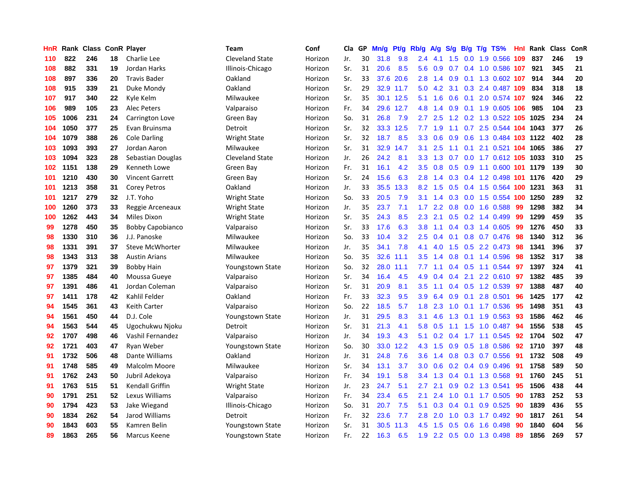| HnR | Rank | <b>Class ConR Player</b> |    |                         | <b>Team</b>             | Conf    | Cla | GP | Mn/g | <b>Pt/g</b> | Rb/g             | A/g              | S/g             | B/g | $T/g$ TS%                  | <b>Hnl</b> | Rank | <b>Class</b> | ConR |
|-----|------|--------------------------|----|-------------------------|-------------------------|---------|-----|----|------|-------------|------------------|------------------|-----------------|-----|----------------------------|------------|------|--------------|------|
| 110 | 822  | 246                      | 18 | Charlie Lee             | Cleveland State         | Horizon | Jr. | 30 | 31.8 | 9.8         | 2.4              | 4.1              | 1.5             |     | 0.0 1.9 0.566              | 109        | 837  | 246          | 19   |
| 108 | 882  | 331                      | 19 | Jordan Harks            | Illinois-Chicago        | Horizon | Sr. | 31 | 20.6 | 8.5         | 5.6              | 0.9              | 0.7             |     | 0.4 1.0 0.586 107          |            | 921  | 345          | 21   |
| 108 | 897  | 336                      | 20 | <b>Travis Bader</b>     | Oakland                 | Horizon | Sr. | 33 | 37.6 | 20.6        | 2.8              | 1.4              |                 |     | 0.9 0.1 1.3 0.602 107      |            | 914  | 344          | 20   |
| 108 | 915  | 339                      | 21 | Duke Mondy              | Oakland                 | Horizon | Sr. | 29 |      | 32.9 11.7   | 5.0              | 4.2              | 3.1             |     | 0.3 2.4 0.487 109          |            | 834  | 318          | 18   |
| 107 | 917  | 340                      | 22 | Kyle Kelm               | Milwaukee               | Horizon | Sr. | 35 | 30.1 | 12.5        | 5.1              | 1.6              | 0.6             |     | 0.1 2.0 0.574 107          |            | 924  | 346          | 22   |
| 106 | 989  | 105                      | 23 | <b>Alec Peters</b>      | Valparaiso              | Horizon | Fr. | 34 | 29.6 | 12.7        | 4.8              | 1.4              | 0.9             |     | 0.1 1.9 0.605 106          |            | 985  | 104          | 23   |
| 105 | 1006 | 231                      | 24 | Carrington Love         | Green Bay               | Horizon | So. | 31 | 26.8 | 7.9         | 2.7              | 2.5              | 1.2             |     | 0.2 1.3 0.522 105 1025     |            |      | 234          | 24   |
| 104 | 1050 | 377                      | 25 | Evan Bruinsma           | Detroit                 | Horizon | Sr. | 32 | 33.3 | 12.5        | 7.7              | 1.9              | 1.1             | 0.7 | 2.5 0.544 104 1043         |            |      | 377          | 26   |
| 104 | 1079 | 388                      | 26 | <b>Cole Darling</b>     | <b>Wright State</b>     | Horizon | Sr. | 32 | 18.7 | 8.5         | 3.3              | 0.6              | 0.9             |     | 0.6 1.3 0.484 103 1122     |            |      | 402          | 28   |
| 103 | 1093 | 393                      | 27 | Jordan Aaron            | Milwaukee               | Horizon | Sr. | 31 | 32.9 | 14.7        | 3.1              | 2.5              | 1.1             |     | 0.1 2.1 0.521 104 1065     |            |      | 386          | 27   |
| 103 | 1094 | 323                      | 28 | Sebastian Douglas       | Cleveland State         | Horizon | Jr. | 26 | 24.2 | 8.1         | 3.3 <sub>2</sub> | 1.3              | 0.7             |     | 0.0 1.7 0.612 105 1033     |            |      | 310          | 25   |
| 102 | 1151 | 138                      | 29 | Kenneth Lowe            | Green Bay               | Horizon | Fr. | 31 | 16.1 | 4.2         | 3.5              | 0.8              |                 |     | 0.5 0.9 1.1 0.600 101 1179 |            |      | 139          | 30   |
| 101 | 1210 | 430                      | 30 | <b>Vincent Garrett</b>  | Green Bay               | Horizon | Sr. | 24 | 15.6 | 6.3         | 2.8              | 1.4              | 0.3             |     | 0.4 1.2 0.498 101 1176     |            |      | 420          | 29   |
| 101 | 1213 | 358                      | 31 | Corey Petros            | Oakland                 | Horizon | Jr. | 33 | 35.5 | 13.3        | 8.2              | 1.5              | 0.5             |     | 0.4 1.5 0.564 100 1231     |            |      | 363          | 31   |
| 101 | 1217 | 279                      | 32 | J.T. Yoho               | <b>Wright State</b>     | Horizon | So. | 33 | 20.5 | 7.9         | 3.1              | 1.4              | 0.3             |     | 0.0 1.5 0.554 100 1250     |            |      | 289          | 32   |
| 100 | 1260 | 373                      | 33 | Reggie Arceneaux        | <b>Wright State</b>     | Horizon | Jr. | 35 | 23.7 | 7.1         | 1.7              | 2.2              | 0.8             |     | $0.0$ 1.6 $0.588$          | 99         | 1298 | 382          | 34   |
| 100 | 1262 | 443                      | 34 | Miles Dixon             | Wright State            | Horizon | Sr. | 35 | 24.3 | 8.5         | 2.3              | 2.1              | 0.5             |     | $0.2$ 1.4 0.499            | 99         | 1299 | 459          | 35   |
| 99  | 1278 | 450                      | 35 | <b>Bobby Capobianco</b> | Valparaiso              | Horizon | Sr. | 33 | 17.6 | 6.3         | 3.8              | 1.1              | 0.4             |     | 0.3 1.4 0.605              | -99        | 1276 | 450          | 33   |
| 98  | 1330 | 310                      | 36 | J.J. Panoske            | Milwaukee               | Horizon | So. | 33 | 10.4 | 3.2         | 2.5              | 0.4              | 0.1             |     | 0.8 0.7 0.476              | -98        | 1340 | 312          | 36   |
| 98  | 1331 | 391                      | 37 | Steve McWhorter         | Milwaukee               | Horizon | Jr. | 35 | 34.1 | 7.8         | 4.1              | 4.0              | 1.5             |     | $0.5$ 2.2 0.473            | -98        | 1341 | 396          | 37   |
| 98  | 1343 | 313                      | 38 | <b>Austin Arians</b>    | Milwaukee               | Horizon | So. | 35 | 32.6 | 11.1        | 3.5              | 1.4              | 0.8             |     | $0.1$ 1.4 0.596            | 98         | 1352 | 317          | 38   |
| 97  | 1379 | 321                      | 39 | <b>Bobby Hain</b>       | <b>Youngstown State</b> | Horizon | So. | 32 | 28.0 | 11.1        | 7.7              | 1.1              | 0.4             |     | 0.5 1.1 0.544              | 97         | 1397 | 324          | 41   |
| 97  | 1385 | 484                      | 40 | Moussa Gueye            | Valparaiso              | Horizon | Sr. | 34 | 16.4 | 4.5         | 4.9              | 0.4              | 0.4             |     | 2.1 2.2 0.610              | 97         | 1382 | 485          | 39   |
| 97  | 1391 | 486                      | 41 | Jordan Coleman          | Valparaiso              | Horizon | Sr. | 31 | 20.9 | 8.1         | 3.5              | 1.1              | $0.4^{\circ}$   |     | 0.5 1.2 0.539              | 97         | 1388 | 487          | 40   |
| 97  | 1411 | 178                      | 42 | Kahlil Felder           | Oakland                 | Horizon | Fr. | 33 | 32.3 | 9.5         | 3.9              | 6.4              | 0.9             | 0.1 | 2.8 0.501                  | 96         | 1425 | 177          | 42   |
| 94  | 1545 | 361                      | 43 | Keith Carter            | Valparaiso              | Horizon | So. | 22 | 18.5 | 5.7         | 1.8              | 2.3              | 1.0             |     | $0.1$ 1.7 $0.536$          | 95         | 1498 | 351          | 43   |
| 94  | 1561 | 450                      | 44 | D.J. Cole               | <b>Youngstown State</b> | Horizon | Jr. | 31 | 29.5 | 8.3         | 3.1              | 4.6              | 1.3             |     | $0.1$ 1.9 $0.563$          | -93        | 1586 | 462          | 46   |
| 94  | 1563 | 544                      | 45 | Ugochukwu Njoku         | Detroit                 | Horizon | Sr. | 31 | 21.3 | 4.1         | 5.8              | 0.5              |                 |     | 1.1 1.5 1.0 0.487 94       |            | 1556 | 538          | 45   |
| 92  | 1707 | 498                      | 46 | Vashil Fernandez        | Valparaiso              | Horizon | Jr. | 34 | 19.3 | 4.3         | 5.1              | 0.2 <sub>0</sub> |                 |     | $0.4$ 1.7 1.1 0.545        | -92        | 1704 | 502          | 47   |
| 92  | 1721 | 403                      | 47 | Ryan Weber              | <b>Youngstown State</b> | Horizon | So. | 30 | 33.0 | 12.2        | 4.3              | 1.5              | 0.9             |     | 0.5 1.8 0.586              | 92         | 1710 | 397          | 48   |
| 91  | 1732 | 506                      | 48 | Dante Williams          | Oakland                 | Horizon | Jr. | 31 | 24.8 | 7.6         | 3.6              | 1.4              | 0.8             |     | 0.3 0.7 0.556              | 91         | 1732 | 508          | 49   |
| 91  | 1748 | 585                      | 49 | Malcolm Moore           | Milwaukee               | Horizon | Sr. | 34 | 13.1 | 3.7         | 3.0              | 0.6              |                 |     | 0.2 0.4 0.9 0.496          | -91        | 1758 | 589          | 50   |
| 91  | 1762 | 243                      | 50 | Jubril Adekoya          | Valparaiso              | Horizon | Fr. | 34 | 19.1 | 5.8         | 3.4              | 1.3              | 0.4             |     | 0.1 1.3 0.568              | -91        | 1760 | 245          | 51   |
| 91  | 1763 | 515                      | 51 | Kendall Griffin         | <b>Wright State</b>     | Horizon | Jr. | 23 | 24.7 | 5.1         | $2.7^{\circ}$    | 2.1              | 0.9             |     | 0.2 1.3 0.541              | 95         | 1506 | 438          | 44   |
| 90  | 1791 | 251                      | 52 | Lexus Williams          | Valparaiso              | Horizon | Fr. | 34 | 23.4 | 6.5         | 2.1              | 2.4              | 1.0             |     | $0.1$ 1.7 0.505            | 90         | 1783 | 252          | 53   |
| 90  | 1794 | 423                      | 53 | Jake Wiegand            | Illinois-Chicago        | Horizon | So. | 31 | 20.7 | 7.5         | 5.1              | 0.3              | 0.4             |     | $0.1$ 0.9 0.525            | 90         | 1839 | 436          | 55   |
| 90  | 1834 | 262                      | 54 | Jarod Williams          | Detroit                 | Horizon | Fr. | 32 | 23.6 | 7.7         | 2.8              | 2.0              | 1.0             |     | $0.3$ 1.7 $0.492$          | -90        | 1817 | 261          | 54   |
| 90  | 1843 | 603                      | 55 | Kamren Belin            | <b>Youngstown State</b> | Horizon | Sr. | 31 | 30.5 | 11.3        | 4.5              | 1.5              | 0.5             |     | $0.6$ 1.6 0.498            | 90         | 1840 | 604          | 56   |
| 89  | 1863 | 265                      | 56 | Marcus Keene            | <b>Youngstown State</b> | Horizon | Fr. | 22 | 16.3 | 6.5         | 1.9              |                  | $2.2 \quad 0.5$ |     | 0.0 1.3 0.498              | 89         | 1856 | 269          | 57   |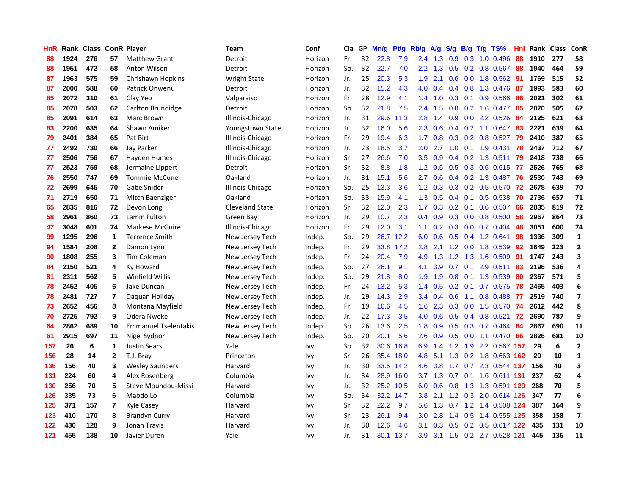| HnR |      | Rank Class ConR Player |              |                             | Team                | Conf    | Cla | GP | Mn/g | Pt/g | Rb/g             | <b>A/g</b> | S/g              | B/g | $T/g$ TS%                 | Hnl | Rank | <b>Class</b> | ConR                    |
|-----|------|------------------------|--------------|-----------------------------|---------------------|---------|-----|----|------|------|------------------|------------|------------------|-----|---------------------------|-----|------|--------------|-------------------------|
| 88  | 1924 | 276                    | 57           | <b>Matthew Grant</b>        | Detroit             | Horizon | Fr. | 32 | 22.8 | 7.9  | 2.4              | 1.3        | 0.9              | 0.3 | 1.0 0.496                 | 88  | 1910 | 277          | 58                      |
| 88  | 1951 | 472                    | 58           | Anton Wilson                | Detroit             | Horizon | So. | 32 | 22.7 | 7.0  | $2.2^{\circ}$    | 1.3        | 0.5              |     | $0.2$ 0.8 0.567           | 88  | 1940 | 464          | 59                      |
| 87  | 1963 | 575                    | 59           | Chrishawn Hopkins           | <b>Wright State</b> | Horizon | Jr. | 25 | 20.3 | 5.3  | 1.9              | 2.1        |                  |     | $0.6$ 0.0 1.8 0.562       | -91 | 1769 | 515          | 52                      |
| 87  | 2000 | 588                    | 60           | Patrick Onwenu              | Detroit             | Horizon | Jr. | 32 | 15.2 | 4.3  | 4.0              | 0.4        | 0.4              |     | 0.8 1.3 0.476             | -87 | 1993 | 583          | 60                      |
| 85  | 2072 | 310                    | 61           | Clay Yeo                    | Valparaiso          | Horizon | Fr. | 28 | 12.9 | 4.1  | 1.4              | 1.0        | 0.3              |     | 0.1 0.9 0.566             | 86  | 2021 | 302          | 61                      |
| 85  | 2078 | 503                    | 62           | Carlton Brundidge           | Detroit             | Horizon | So. | 32 | 21.8 | 7.5  | 2.4              | 1.5        | 0.8              |     | $0.2$ 1.6 0.477           | 85  | 2070 | 505          | 62                      |
| 85  | 2091 | 614                    | 63           | Marc Brown                  | Illinois-Chicago    | Horizon | Jr. | 31 | 29.6 | 11.3 | 2.8              | 1.4        | 0.9 <sub>0</sub> |     | $0.0$ 2.2 $0.526$         | 84  | 2125 | 621          | 63                      |
| 83  | 2200 | 635                    | 64           | Shawn Amiker                | Youngstown State    | Horizon | Jr. | 32 | 16.0 | 5.6  | 2.3              | 0.6        | 0.4              |     | $0.2$ 1.1 0.647           | 83  | 2221 | 639          | 64                      |
| 79  | 2401 | 384                    | 65           | Pat Birt                    | Illinois-Chicago    | Horizon | Fr. | 29 | 19.4 | 6.3  | 1.7              | 0.8        | 0.3              |     | $0.2$ 0.8 0.527           | 79  | 2410 | 387          | 65                      |
| 77  | 2492 | 730                    | 66           | Jay Parker                  | Illinois-Chicago    | Horizon | Jr. | 23 | 18.5 | 3.7  | 2.0              | 2.7        | 1.0              |     | $0.1$ 1.9 0.431           | 78  | 2437 | 712          | 67                      |
| 77  | 2506 | 756                    | 67           | Hayden Humes                | Illinois-Chicago    | Horizon | Sr. | 27 | 26.6 | 7.0  | 3.5              | 0.9        |                  |     | 0.4 0.2 1.3 0.511 79      |     | 2418 | 738          | 66                      |
| 77  | 2523 | 759                    | 68           | Jermaine Lippert            | Detroit             | Horizon | Sr. | 32 | 8.8  | 1.8  | $1.2^{\circ}$    | 0.5        |                  |     | 0.5 0.3 0.6 0.615 77      |     | 2526 | 765          | 68                      |
| 76  | 2550 | 747                    | 69           | <b>Tommie McCune</b>        | Oakland             | Horizon | Jr. | 31 | 15.1 | 5.6  | 2.7              | 0.6        | 0.4              |     | 0.2 1.3 0.487 76          |     | 2530 | 743          | 69                      |
| 72  | 2699 | 645                    | 70           | Gabe Snider                 | Illinois-Chicago    | Horizon | So. | 25 | 13.3 | 3.6  | 1.2              | 0.3        | 0.3              |     | 0.2 0.5 0.570             | 72  | 2678 | 639          | 70                      |
| 71  | 2719 | 650                    | 71           | Mitch Baenziger             | Oakland             | Horizon | So. | 33 | 15.9 | 4.1  | 1.3              | 0.5        | 0.4              |     | $0.1$ 0.5 0.538           | 70  | 2736 | 657          | 71                      |
| 65  | 2835 | 816                    | 72           | Devon Long                  | Cleveland State     | Horizon | Sr. | 32 | 12.0 | 2.3  | 1.7              | 0.3        | 0.2              |     | $0.1$ 0.6 0.507           | 66  | 2835 | 819          | 72                      |
| 58  | 2961 | 860                    | 73           | Lamin Fulton                | Green Bay           | Horizon | Jr. | 29 | 10.7 | 2.3  | 0.4              | 0.9        | 0.3              |     | $0.0$ 0.8 0.500           | 58  | 2967 | 864          | 73                      |
| 47  | 3048 | 601                    | 74           | Markese McGuire             | Illinois-Chicago    | Horizon | Fr. | 29 | 12.0 | 3.1  | 1.1              | 0.2        |                  |     | $0.3$ 0.0 0.7 0.404       | 48  | 3051 | 600          | 74                      |
| 99  | 1295 | 296                    | 1            | <b>Terrence Smith</b>       | New Jersey Tech     | Indep.  | So. | 29 | 26.7 | 12.2 | 6.0              | 0.6        |                  |     | $0.5$ 0.4 1.2 0.641       | 98  | 1336 | 309          | $\mathbf{1}$            |
| 94  | 1584 | 208                    | $\mathbf{2}$ | Damon Lynn                  | New Jersey Tech     | Indep.  | Fr. | 29 | 33.8 | 17.2 | 2.8              | 2.1        |                  |     | 1.2 0.0 1.8 0.539         | 92  | 1649 | 223          | $\overline{2}$          |
| 90  | 1808 | 255                    | 3            | Tim Coleman                 | New Jersey Tech     | Indep.  | Fr. | 24 | 20.4 | 7.9  | 4.9              | 1.3        |                  |     | 1.2 1.3 1.6 0.509         | -91 | 1747 | 243          | 3                       |
| 84  | 2150 | 521                    | 4            | Ky Howard                   | New Jersey Tech     | Indep.  | So. | 27 | 26.1 | 9.1  | 4.1              | 3.9        | 0.7              | 0.1 | 2.9 0.511                 | 83  | 2196 | 536          | 4                       |
| 81  | 2311 | 562                    | 5            | Winfield Willis             | New Jersey Tech     | Indep.  | So. | 29 | 21.8 | 8.0  | 1.9              | 1.9        | 0.8              |     | 0.1 1.3 0.539             | 80  | 2367 | 571          | 5                       |
| 78  | 2452 | 405                    | 6            | Jake Duncan                 | New Jersey Tech     | Indep.  | Fr. | 24 | 13.2 | 5.3  | 1.4              | 0.5        | 0.2              | 0.1 | $0.7$ 0.575               | 78  | 2465 | 403          | 6                       |
| 78  | 2481 | 727                    | 7            | Daguan Holiday              | New Jersey Tech     | Indep.  | Jr. | 29 | 14.3 | 2.9  | $3.4^{\circ}$    | 0.4        | 0.6              | 1.1 | 0.8 0.488                 | 77  | 2519 | 740          | $\overline{\mathbf{z}}$ |
| 73  | 2652 | 456                    | 8            | Montana Mayfield            | New Jersey Tech     | Indep.  | Fr. | 19 | 16.6 | 4.5  | 1.6              | 2.3        | 0.3              |     | $0.0$ 1.5 0.570           | -74 | 2612 | 442          | 8                       |
| 70  | 2725 | 792                    | 9            | Odera Nweke                 | New Jersey Tech     | Indep.  | Jr. | 22 | 17.3 | 3.5  | 4.0              | 0.6        |                  |     | $0.5$ 0.4 0.8 0.521       | 72  | 2690 | 787          | 9                       |
| 64  | 2862 | 689                    | 10           | <b>Emmanuel Tselentakis</b> | New Jersey Tech     | Indep.  | So. | 26 | 13.6 | 2.5  | 1.8              | 0.9        |                  |     | $0.5$ $0.3$ $0.7$ $0.464$ | -64 | 2867 | 690          | 11                      |
| 61  | 2915 | 697                    | 11           | Nigel Sydnor                | New Jersey Tech     | Indep.  | So. | 20 | 20.1 | 5.6  | $2.6^{\circ}$    | 0.9        |                  |     | $0.5$ 0.0 1.1 0.470       | -66 | 2826 | 681          | 10                      |
| 157 | 26   | 6                      | 1            | <b>Justin Sears</b>         | Yale                | Ivy     | So. | 32 | 30.6 | 16.8 | 6.9              | 1.4        | 1.2              |     | 1.9 2.2 0.567 157         |     | 29   | 6            | $\mathbf{2}$            |
| 156 | 28   | 14                     | $\mathbf{2}$ | T.J. Bray                   | Princeton           | Ivy     | Sr. | 26 | 35.4 | 18.0 | 4.8              | 5.1        |                  |     | 1.3 0.2 1.8 0.663 162     |     | 20   | 10           | $\mathbf{1}$            |
| 136 | 156  | 40                     | 3            | <b>Wesley Saunders</b>      | Harvard             | Ivy     | Jr. | 30 | 33.5 | 14.2 | 4.6              | 3.8        | 1.7              |     | 0.7 2.3 0.544 137         |     | 156  | 40           | 3                       |
| 131 | 224  | 60                     | 4            | Alex Rosenberg              | Columbia            | Ivy     | Jr. | 34 | 28.9 | 16.0 | 3.7              | 1.3        | 0.7              |     | 0.1 1.6 0.611 131         |     | 237  | 62           | 4                       |
| 130 | 256  | 70                     | 5            | Steve Moundou-Missi         | Harvard             | Ivy     | Jr. | 32 | 25.2 | 10.5 | 6.0              | 0.6        | 0.8              |     | 1.3 1.3 0.591 129         |     | 268  | 70           | 5                       |
| 126 | 335  | 73                     | 6            | Maodo Lo                    | Columbia            | Ivy     | So. | 34 | 32.2 | 14.7 | 3.8 <sub>2</sub> | 2.1        |                  |     | 1.2 0.3 2.0 0.614 126     |     | 347  | 77           | 6                       |
| 125 | 371  | 157                    | 7            | Kyle Casey                  | Harvard             | Ivy     | Sr. | 32 | 22.2 | 9.7  | 5.6              | 1.3        |                  |     | 0.7 1.2 1.4 0.508 124     |     | 387  | 164          | 9                       |
| 123 | 410  | 170                    | 8            | <b>Brandyn Curry</b>        | Harvard             | Ivy     | Sr. | 23 | 26.1 | 9.4  | 3.0              | 2.8        | $1.4^{\circ}$    |     | 0.5 1.4 0.555 125         |     | 358  | 158          | $\overline{ }$          |
| 122 | 430  | 128                    | 9            | Jonah Travis                | Harvard             | Ivy     | Jr. | 30 | 12.6 | 4.6  | 3.1              | 0.3        | 0.5              |     | 0.2 0.5 0.617 122         |     | 435  | 131          | 10                      |
| 121 | 455  | 138                    | 10           | Javier Duren                | Yale                | Ivv     | Jr. | 31 | 30.1 | 13.7 | 3.9              |            |                  |     | 3.1 1.5 0.2 2.7 0.528 121 |     | 445  | 136          | 11                      |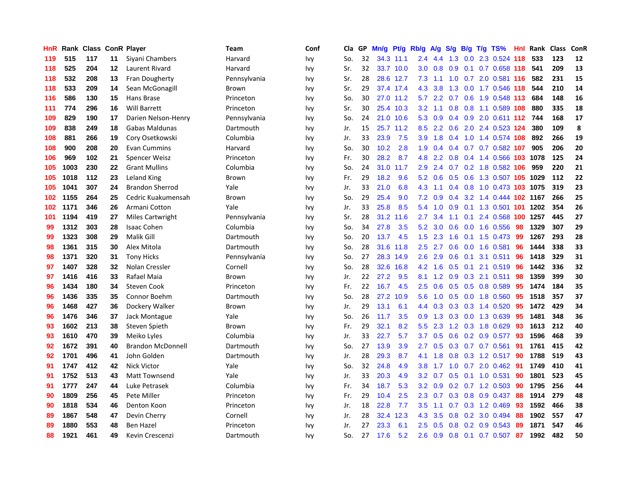| HnR | Rank | <b>Class</b> |    | <b>ConR Player</b>       | Team         | Conf | Cla | GP | Mn/g | Pt/g      | Rb/g             | $\mathsf{A/g}$ | S/g           | B/g | T/g TS%                    | <b>Hnl</b> | Rank | <b>Class</b> | ConR |
|-----|------|--------------|----|--------------------------|--------------|------|-----|----|------|-----------|------------------|----------------|---------------|-----|----------------------------|------------|------|--------------|------|
| 119 | 515  | 117          | 11 | Siyani Chambers          | Harvard      | Ivy  | So. | 32 |      | 34.3 11.1 | $2.4^{\circ}$    | 4.4            | 1.3           |     | $0.0$ 2.3 0.524 118        |            | 533  | 123          | 12   |
| 118 | 525  | 204          | 12 | Laurent Rivard           | Harvard      | Ivy  | Sr. | 32 |      | 33.7 10.0 | 3.0 <sub>1</sub> | 0.8            | 0.9           |     | 0.1 0.7 0.658 118          |            | 541  | 209          | 13   |
| 118 | 532  | 208          | 13 | <b>Fran Dougherty</b>    | Pennsylvania | Ivy  | Sr. | 28 |      | 28.6 12.7 | 7.3              | 1.1            | 1.0           |     | 0.7 2.0 0.581 116          |            | 582  | 231          | 15   |
| 118 | 533  | 209          | 14 | Sean McGonagill          | Brown        | Ivy  | Sr. | 29 |      | 37.4 17.4 | 4.3              | 3.8            | 1.3           |     | 0.0 1.7 0.546 118          |            | 544  | 210          | 14   |
| 116 | 586  | 130          | 15 | Hans Brase               | Princeton    | Ivy  | So. | 30 | 27.0 | 11.2      | 5.7              | 2.2            | 0.7           |     | 0.6 1.9 0.548 113          |            | 684  | 148          | 16   |
| 111 | 774  | 296          | 16 | <b>Will Barrett</b>      | Princeton    | Ivy  | Sr. | 30 | 25.4 | 10.3      | 3.2              | 1.1            | 0.8           |     | 0.8 1.1 0.589 108          |            | 880  | 335          | 18   |
| 109 | 829  | 190          | 17 | Darien Nelson-Henry      | Pennsylvania | Ivy  | So. | 24 | 21.0 | 10.6      | 5.3              | 0.9            | 0.4           |     | 0.9 2.0 0.611 112          |            | 744  | 168          | 17   |
| 109 | 838  | 249          | 18 | Gabas Maldunas           | Dartmouth    | Ivy  | Jr. | 15 | 25.7 | 11.2      | 8.5              | 2.2            | 0.6           |     | 2.0 2.4 0.523 124          |            | 380  | 109          | 8    |
| 108 | 881  | 266          | 19 | Cory Osetkowski          | Columbia     | Ivy  | Jr. | 33 | 23.9 | 7.5       | 3.9              | 1.8            | 0.4           |     | 1.0 1.4 0.574 108          |            | 892  | 266          | 19   |
| 108 | 900  | 208          | 20 | Evan Cummins             | Harvard      | Ivy  | So. | 30 | 10.2 | 2.8       | 1.9              | $0.4^{\circ}$  |               |     | 0.4 0.7 0.7 0.582 107      |            | 905  | 206          | 20   |
| 106 | 969  | 102          | 21 | Spencer Weisz            | Princeton    | Ivy  | Fr. | 30 | 28.2 | 8.7       | 4.8              | 2.2            |               |     | 0.8 0.4 1.4 0.566 103 1078 |            |      | 125          | 24   |
| 105 | 1003 | 230          | 22 | <b>Grant Mullins</b>     | Columbia     | Ivy  | So. | 24 | 31.0 | 11.7      | 2.9              | 2.4            |               |     | 0.7 0.2 1.8 0.582 106      |            | 959  | 220          | 21   |
| 105 | 1018 | 112          | 23 | Leland King              | Brown        | Ivy  | Fr. | 29 | 18.2 | 9.6       | 5.2              | 0.6            | 0.5           |     | 0.6 1.3 0.507 105 1029     |            |      | 112          | 22   |
| 105 | 1041 | 307          | 24 | <b>Brandon Sherrod</b>   | Yale         | Ivy  | Jr. | 33 | 21.0 | 6.8       | 4.3              | 1.1            | $0.4^{\circ}$ |     | 0.8 1.0 0.473 103 1075     |            |      | 319          | 23   |
| 102 | 1155 | 264          | 25 | Cedric Kuakumensah       | Brown        | Ivy  | So. | 29 | 25.4 | 9.0       | 7.2              | 0.9            | $0.4^{\circ}$ |     | 3.2 1.4 0.444 102 1167     |            |      | 266          | 25   |
| 102 | 1171 | 346          | 26 | Armani Cotton            | Yale         | Ivy  | Jr. | 33 | 25.8 | 8.5       | 5.4              | 1.0            | 0.9           |     | 0.1 1.3 0.501 101 1202     |            |      | 354          | 26   |
| 101 | 1194 | 419          | 27 | Miles Cartwright         | Pennsylvania | Ivy  | Sr. | 28 | 31.2 | 11.6      | 2.7              | 3.4            | 1.1           | 0.1 | 2.4 0.568 100 1257         |            |      | 445          | 27   |
| 99  | 1312 | 303          | 28 | <b>Isaac Cohen</b>       | Columbia     | Ivy  | So. | 34 | 27.8 | 3.5       | 5.2              | 3.0            | 0.6           |     | $0.0$ 1.6 $0.556$          | 98         | 1329 | 307          | 29   |
| 99  | 1323 | 308          | 29 | Malik Gill               | Dartmouth    | Ivy  | So. | 20 | 13.7 | 4.5       | 1.5              | 2.3            |               |     | 1.6 0.1 1.5 0.473 99       |            | 1267 | 293          | 28   |
| 98  | 1361 | 315          | 30 | Alex Mitola              | Dartmouth    | Ivy  | So. | 28 | 31.6 | 11.8      | $2.5^{\circ}$    | 2.7            |               |     | $0.6$ $0.0$ 1.6 $0.581$    | 96         | 1444 | 338          | 33   |
| 98  | 1371 | 320          | 31 | <b>Tony Hicks</b>        | Pennsylvania | Ivy  | So. | 27 | 28.3 | 14.9      | 2.6              | 2.9            | 0.6           |     | $0.1$ 3.1 $0.511$          | 96         | 1418 | 329          | 31   |
| 97  | 1407 | 328          | 32 | Nolan Cressler           | Cornell      | Ivy  | So. | 28 | 32.6 | 16.8      | 4.2              | 1.6            | 0.5           | 0.1 | 2.1 0.519                  | 96         | 1442 | 336          | 32   |
| 97  | 1416 | 416          | 33 | Rafael Maia              | Brown        | Ivy  | Jr. | 22 | 27.2 | 9.5       | 8.1              | 1.2            | 0.9           |     | $0.3$ 2.1 $0.511$          | 98         | 1359 | 399          | 30   |
| 96  | 1434 | 180          | 34 | <b>Steven Cook</b>       | Princeton    | Ivy  | Fr. | 22 | 16.7 | 4.5       | $2.5^{\circ}$    | 0.6            | 0.5           |     | $0.5$ 0.8 0.589            | 95         | 1474 | 184          | 35   |
| 96  | 1436 | 335          | 35 | Connor Boehm             | Dartmouth    | Ivy  | So. | 28 | 27.2 | 10.9      | 5.6              | 1.0            | 0.5           |     | $0.0$ 1.8 $0.560$          | 95         | 1518 | 357          | 37   |
| 96  | 1468 | 427          | 36 | Dockery Walker           | Brown        | Ivy  | Jr. | 29 | 13.1 | 6.1       | 4.4              | 0.3            |               |     | 0.3 0.3 1.4 0.520          | 95         | 1472 | 429          | 34   |
| 96  | 1476 | 346          | 37 | Jack Montague            | Yale         | Ivy  | So. | 26 | 11.7 | 3.5       | 0.9              |                |               |     | 1.3 0.3 0.0 1.3 0.639      | -95        | 1481 | 348          | 36   |
| 93  | 1602 | 213          | 38 | Steven Spieth            | Brown        | Ivy  | Fr. | 29 | 32.1 | 8.2       | 5.5              | 2.3            |               |     | 1.2 0.3 1.8 0.629          | -93        | 1613 | 212          | 40   |
| 93  | 1610 | 470          | 39 | Meiko Lyles              | Columbia     | Ivy  | Jr. | 33 | 22.7 | 5.7       | 3.7 <sub>2</sub> | 0.5            |               |     | $0.6$ 0.2 0.9 0.577        | -93        | 1596 | 468          | 39   |
| 92  | 1672 | 391          | 40 | <b>Brandon McDonnell</b> | Dartmouth    | Ivy  | So. | 27 | 13.9 | 3.9       | 2.7              | 0.5            | 0.3           |     | $0.7$ 0.7 0.561            | 91         | 1761 | 415          | 42   |
| 92  | 1701 | 496          | 41 | John Golden              | Dartmouth    | Ivy  | Jr. | 28 | 29.3 | 8.7       | 4.1              | 1.8            | 0.8           |     | $0.3$ 1.2 0.517            | -90        | 1788 | 519          | 43   |
| 91  | 1747 | 412          | 42 | <b>Nick Victor</b>       | Yale         | Ivy  | So. | 32 | 24.8 | 4.9       | 3.8              | 1.7            | 1.0           |     | $0.7$ 2.0 $0.462$          | 91         | 1749 | 410          | 41   |
| 91  | 1752 | 513          | 43 | Matt Townsend            | Yale         | Ivy  | Jr. | 33 | 20.3 | 4.9       | 3.2              | 0.7            | 0.5           |     | $0.1$ 1.0 $0.531$          | 90         | 1801 | 523          | 45   |
| 91  | 1777 | 247          | 44 | Luke Petrasek            | Columbia     | Ivy  | Fr. | 34 | 18.7 | 5.3       | 3.2              | 0.9            | 0.2           |     | 0.7 1.2 0.503              | 90         | 1795 | 256          | 44   |
| 90  | 1809 | 256          | 45 | Pete Miller              | Princeton    | Ivy  | Fr. | 29 | 10.4 | 2.5       | 2.3              | 0.7            | 0.3           |     | $0.8$ 0.9 0.437            | -88        | 1914 | 279          | 48   |
| 90  | 1818 | 534          | 46 | Denton Koon              | Princeton    | Ivy  | Jr. | 18 | 22.8 | 7.7       | 3.5              | 1.1            |               |     | $0.7$ $0.3$ $1.2$ $0.469$  | -93        | 1592 | 466          | 38   |
| 89  | 1867 | 548          | 47 | Devin Cherry             | Cornell      | Ivy  | Jr. | 28 | 32.4 | 12.3      | 4.3              | 3.5            | 0.8           |     | $0.2$ 3.0 0.494            | 88         | 1902 | 557          | 47   |
| 89  | 1880 | 553          | 48 | <b>Ben Hazel</b>         | Princeton    | Ivv  | Jr. | 27 | 23.3 | 6.1       | 2.5              | 0.5            | 0.8           |     | 0.2 0.9 0.543              | 89         | 1871 | 547          | 46   |
| 88  | 1921 | 461          | 49 | Kevin Crescenzi          | Dartmouth    | Ivv  | So. | 27 | 17.6 | 5.2       | $2.6\,$          | 0.9            | 0.8           |     | $0.1$ 0.7 0.507            | 87         | 1992 | 482          | 50   |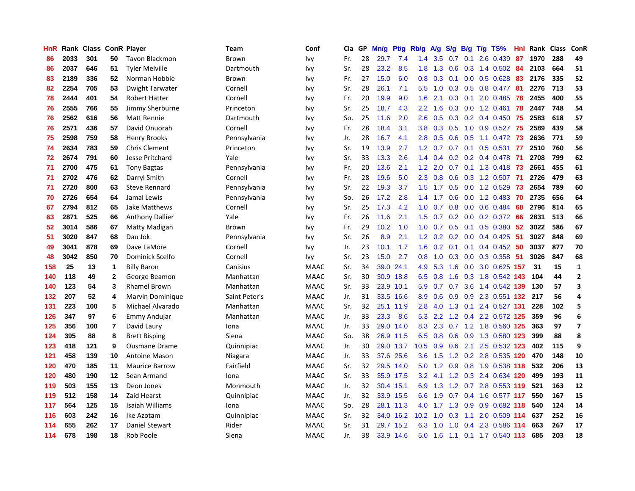| HnR | Rank | Class |              | <b>ConR Player</b>     | <b>Team</b>   | Conf        | Cla | <b>GP</b> | Mn/g | Pt/g      | Rb/g             | <b>A/g</b> | S/g | B/g | $T/g$ TS%             | Hnl  | Rank | <b>Class</b> | ConR                     |
|-----|------|-------|--------------|------------------------|---------------|-------------|-----|-----------|------|-----------|------------------|------------|-----|-----|-----------------------|------|------|--------------|--------------------------|
| 86  | 2033 | 301   | 50           | <b>Tavon Blackmon</b>  | Brown         | Ivy         | Fr. | 28        | 29.7 | 7.4       | 1.4              | 3.5        | 0.7 | 0.1 | 2.6 0.439             | -87  | 1970 | 288          | 49                       |
| 86  | 2037 | 646   | 51           | Tyler Melville         | Dartmouth     | Ivy         | Sr. | 28        | 23.2 | 8.5       | 1.8              | 1.3        |     |     | 0.6 0.3 1.4 0.502 84  |      | 2103 | 664          | 51                       |
| 83  | 2189 | 336   | 52           | Norman Hobbie          | Brown         | Ivy         | Fr. | 27        | 15.0 | 6.0       | 0.8              | 0.3        |     |     | $0.1$ 0.0 0.5 0.628   | 83   | 2176 | 335          | 52                       |
| 82  | 2254 | 705   | 53           | Dwight Tarwater        | Cornell       | Ivy         | Sr. | 28        | 26.1 | 7.1       | 5.5              | 1.0        | 0.3 |     | $0.5$ 0.8 0.477       | -81  | 2276 | 713          | 53                       |
| 78  | 2444 | 401   | 54           | <b>Robert Hatter</b>   | Cornell       | Ivy         | Fr. | 20        | 19.9 | 9.0       | 1.6              | 2.1        | 0.3 |     | 0.1 2.0 0.485         | 78   | 2455 | 400          | 55                       |
| 76  | 2555 | 766   | 55           | Jimmy Sherburne        | Princeton     | Ivy         | Sr. | 25        | 18.7 | 4.3       | 2.2              | 1.6        | 0.3 |     | 0.0 1.2 0.461         | 78   | 2447 | 748          | 54                       |
| 76  | 2562 | 616   | 56           | Matt Rennie            | Dartmouth     | Ivy         | So. | 25        | 11.6 | 2.0       | 2.6              | 0.5        | 0.3 |     | $0.2$ 0.4 0.450       | 75   | 2583 | 618          | 57                       |
| 76  | 2571 | 436   | 57           | David Onuorah          | Cornell       | Ivy         | Fr. | 28        | 18.4 | 3.1       | 3.8              | 0.3        | 0.5 |     | 1.0 0.9 0.527         | 75   | 2589 | 439          | 58                       |
| 75  | 2598 | 759   | 58           | <b>Henry Brooks</b>    | Pennsylvania  | Ivy         | Jr. | 28        | 16.7 | 4.1       | 2.8              | 0.5        | 0.6 |     | 0.5 1.1 0.472 73      |      | 2636 | 771          | 59                       |
| 74  | 2634 | 783   | 59           | <b>Chris Clement</b>   | Princeton     | Ivy         | Sr. | 19        | 13.9 | 2.7       | 1.2              | 0.7        |     |     | $0.7$ 0.1 0.5 0.531   | -77  | 2510 | 760          | 56                       |
| 72  | 2674 | 791   | 60           | Jesse Pritchard        | Yale          | Ivy         | Sr. | 33        | 13.3 | 2.6       | 1.4              | 0.4        |     |     | 0.2 0.2 0.4 0.478 71  |      | 2708 | 799          | 62                       |
| 71  | 2700 | 475   | 61           | <b>Tony Bagtas</b>     | Pennsylvania  | Ivy         | Fr. | 20        | 13.6 | 2.1       | 1.2 <sub>1</sub> | 2.0        | 0.7 |     | 0.1 1.3 0.418 73      |      | 2661 | 455          | 61                       |
| 71  | 2702 | 476   | 62           | Darryl Smith           | Cornell       | Ivy         | Fr. | 28        | 19.6 | 5.0       | 2.3              | 0.8        | 0.6 |     | $0.3$ 1.2 0.507       | -71  | 2726 | 479          | 63                       |
| 71  | 2720 | 800   | 63           | <b>Steve Rennard</b>   | Pennsylvania  | Ivy         | Sr. | 22        | 19.3 | 3.7       | 1.5              | 1.7        | 0.5 |     | 0.0 1.2 0.529         | 73   | 2654 | 789          | 60                       |
| 70  | 2726 | 654   | 64           | Jamal Lewis            | Pennsylvania  | Ivy         | So. | 26        | 17.2 | 2.8       | 1.4              | 1.7        | 0.6 |     | $0.0$ 1.2 0.483       | 70   | 2735 | 656          | 64                       |
| 67  | 2794 | 812   | 65           | <b>Jake Matthews</b>   | Cornell       | Ivy         | Sr. | 25        | 17.3 | 4.2       | 1.0              | 0.7        | 0.8 |     | $0.0$ $0.6$ $0.484$   | 68   | 2796 | 814          | 65                       |
| 63  | 2871 | 525   | 66           | <b>Anthony Dallier</b> | Yale          | Ivy         | Fr. | 26        | 11.6 | 2.1       | 1.5              | 0.7        | 0.2 |     | $0.0$ $0.2$ $0.372$   | 66   | 2831 | 513          | 66                       |
| 52  | 3014 | 586   | 67           | Matty Madigan          | Brown         | Ivy         | Fr. | 29        | 10.2 | 1.0       | 1.0              | 0.7        |     |     | 0.5 0.1 0.5 0.380     | -52  | 3022 | 586          | 67                       |
| 51  | 3020 | 847   | 68           | Dau Jok                | Pennsylvania  | Ivy         | Sr. | 26        | 8.9  | 2.1       | 1.2              | 0.2        |     |     | 0.2 0.0 0.4 0.425 51  |      | 3027 | 848          | 69                       |
| 49  | 3041 | 878   | 69           | Dave LaMore            | Cornell       | Ivy         | Jr. | 23        | 10.1 | 1.7       | 1.6              | 0.2        | 0.1 |     | $0.1$ 0.4 0.452 50    |      | 3037 | 877          | 70                       |
| 48  | 3042 | 850   | 70           | Dominick Scelfo        | Cornell       | Ivy         | Sr. | 23        | 15.0 | 2.7       | 0.8              | 1.0        | 0.3 |     | $0.0$ $0.3$ $0.358$   | 51   | 3026 | 847          | 68                       |
| 158 | 25   | 13    | 1            | <b>Billy Baron</b>     | Canisius      | <b>MAAC</b> | Sr. | 34        | 39.0 | 24.1      | 4.9              | 5.3        | 1.6 |     | 0.0 3.0 0.625 157     |      | 31   | 15           | $\mathbf{1}$             |
| 140 | 118  | 49    | $\mathbf{2}$ | George Beamon          | Manhattan     | <b>MAAC</b> | Sr. | 30        | 30.9 | 18.8      | 6.5              | 0.8        | 1.6 |     | 0.3 1.8 0.542         | 143  | 104  | 44           | $\mathbf{2}$             |
| 140 | 123  | 54    | 3            | <b>Rhamel Brown</b>    | Manhattan     | <b>MAAC</b> | Sr. | 33        | 23.9 | 10.1      | 5.9              | 0.7        | 0.7 |     | 3.6 1.4 0.542 139     |      | 130  | 57           | 3                        |
| 132 | 207  | 52    | 4            | Marvin Dominique       | Saint Peter's | <b>MAAC</b> | Jr. | 31        | 33.5 | 16.6      | 8.9              | 0.6        | 0.9 |     | 0.9 2.3 0.551 132     |      | 217  | 56           | 4                        |
| 131 | 223  | 100   | 5            | Michael Alvarado       | Manhattan     | <b>MAAC</b> | Sr. | 32        | 25.1 | 11.9      | 2.8              | 4.0        |     |     | 1.3 0.1 2.4 0.527 131 |      | 228  | 102          | 5                        |
| 126 | 347  | 97    | 6            | <b>Emmy Andujar</b>    | Manhattan     | <b>MAAC</b> | Jr. | 33        | 23.3 | 8.6       | 5.3              | 2.2        |     |     | 1.2 0.4 2.2 0.572 125 |      | 359  | 96           | 6                        |
| 125 | 356  | 100   | 7            | David Laury            | Iona          | <b>MAAC</b> | Jr. | 33        | 29.0 | 14.0      | 8.3              | 2.3        |     |     | 0.7 1.2 1.8 0.560 125 |      | 363  | 97           | $\overline{\phantom{a}}$ |
| 124 | 395  | 88    | 8            | <b>Brett Bisping</b>   | Siena         | <b>MAAC</b> | So. | 38        |      | 26.9 11.5 | 6.5              | 0.8        | 0.6 |     | 0.9 1.3 0.580 123     |      | 399  | 88           | 8                        |
| 123 | 418  | 121   | 9            | <b>Ousmane Drame</b>   | Quinnipiac    | <b>MAAC</b> | Jr. | 30        | 29.0 | 13.7      | 10.5             | 0.9        | 0.6 |     | 2.1 2.5 0.532 123     |      | 402  | 115          | 9                        |
| 121 | 458  | 139   | 10           | Antoine Mason          | Niagara       | <b>MAAC</b> | Jr. | 33        | 37.6 | 25.6      | 3.6              | 1.5        | 1.2 |     | 0.2 2.8 0.535 120     |      | 470  | 148          | 10                       |
| 120 | 470  | 185   | 11           | <b>Maurice Barrow</b>  | Fairfield     | <b>MAAC</b> | Sr. | 32        | 29.5 | 14.0      | 5.0              | 1.2        | 0.9 |     | 0.8 1.9 0.538 118     |      | 532  | 206          | 13                       |
| 120 | 480  | 190   | $12 \,$      | Sean Armand            | Iona          | <b>MAAC</b> | Sr. | 33        | 35.9 | 17.5      | 3.2              | 4.1        | 1.2 |     | 0.3 2.4 0.634 120     |      | 499  | 193          | 11                       |
| 119 | 503  | 155   | 13           | Deon Jones             | Monmouth      | <b>MAAC</b> | Jr. | 32        | 30.4 | 15.1      | 6.9              | 1.3        |     |     | 1.2 0.7 2.8 0.553 119 |      | 521  | 163          | 12                       |
| 119 | 512  | 158   | 14           | Zaid Hearst            | Quinnipiac    | <b>MAAC</b> | Jr. | 32        |      | 33.9 15.5 | 6.6              | 1.9        |     |     | 0.7 0.4 1.6 0.577 117 |      | 550  | 167          | 15                       |
| 117 | 564  | 125   | 15           | Isaiah Williams        | Iona          | <b>MAAC</b> | So. | 28        |      | 28.1 11.3 | 4.0              | $1.7$ 1.3  |     |     | 0.9 0.9 0.682 118     |      | 540  | 124          | 14                       |
| 116 | 603  | 242   | 16           | Ike Azotam             | Quinnipiac    | <b>MAAC</b> | Sr. | 32        |      | 34.0 16.2 | 10.2             | 1.0        | 0.3 | 1.1 | 2.0 0.509 114         |      | 637  | 252          | 16                       |
| 114 | 655  | 262   | 17           | <b>Daniel Stewart</b>  | Rider         | <b>MAAC</b> | Sr. | 31        | 29.7 | 15.2      | 6.3              | 1.0        | 1.0 | 0.4 | 2.3 0.586             | -114 | 663  | 267          | 17                       |
| 114 | 678  | 198   | 18           | Rob Poole              | Siena         | <b>MAAC</b> | Jr. | 38        |      | 33.9 14.6 | 5.0              | 1.6        |     |     | 1.1 0.1 1.7 0.540 113 |      | 685  | 203          | 18                       |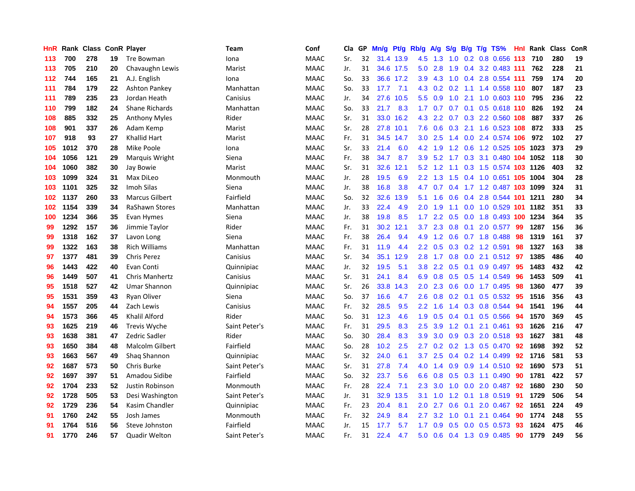| HnR | Rank |     |    | <b>Class ConR Player</b> | Team          | Conf        | Cla | GP | Mn/g | <b>Pt/g</b> | Rb/g             | A/g              | S/g              | B/g | $T/g$ TS%                      | Hnl | Rank | <b>Class</b> | ConR |
|-----|------|-----|----|--------------------------|---------------|-------------|-----|----|------|-------------|------------------|------------------|------------------|-----|--------------------------------|-----|------|--------------|------|
| 113 | 700  | 278 | 19 | <b>Tre Bowman</b>        | Iona          | <b>MAAC</b> | Sr. | 32 |      | 31.4 13.9   | 4.5              | 1.3              | 1.0              |     | 0.2 0.8 0.656 113              |     | 710  | 280          | 19   |
| 113 | 705  | 210 | 20 | Chavaughn Lewis          | Marist        | <b>MAAC</b> | Jr. | 31 |      | 34.6 17.5   | 5.0              | 2.8              | 1.9              |     | 0.4 3.2 0.483 111              |     | 762  | 228          | 21   |
| 112 | 744  | 165 | 21 | A.J. English             | Iona          | <b>MAAC</b> | So. | 33 |      | 36.6 17.2   | 3.9              |                  |                  |     | 4.3 1.0 0.4 2.8 0.554 111      |     | 759  | 174          | 20   |
| 111 | 784  | 179 | 22 | Ashton Pankey            | Manhattan     | <b>MAAC</b> | So. | 33 | 17.7 | 7.1         | 4.3              | 0.2              |                  |     | 0.2 1.1 1.4 0.558 110          |     | 807  | 187          | 23   |
| 111 | 789  | 235 | 23 | Jordan Heath             | Canisius      | <b>MAAC</b> | Jr. | 34 | 27.6 | 10.5        | 5.5              | 0.9              | 1.0              |     | 2.1 1.0 0.603 110              |     | 795  | 236          | 22   |
| 110 | 799  | 182 | 24 | <b>Shane Richards</b>    | Manhattan     | MAAC        | So. | 33 | 21.7 | 8.3         | 1.7              | 0.7              | 0.7              |     | $0.1$ $0.5$ $0.618$ <b>110</b> |     | 826  | 192          | 24   |
| 108 | 885  | 332 | 25 | <b>Anthony Myles</b>     | Rider         | <b>MAAC</b> | Sr. | 31 | 33.0 | 16.2        | 4.3              | 2.2              | 0.7              |     | 0.3 2.2 0.560 108              |     | 887  | 337          | 26   |
| 108 | 901  | 337 | 26 | Adam Kemp                | Marist        | <b>MAAC</b> | Sr. | 28 | 27.8 | 10.1        | 7.6              | 0.6              | 0.3              |     | 2.1 1.6 0.523 108              |     | 872  | 333          | 25   |
| 107 | 918  | 93  | 27 | Khallid Hart             | Marist        | <b>MAAC</b> | Fr. | 31 | 34.5 | 14.7        | 3.0              | 2.5              | 1.4              |     | 0.0 2.4 0.574 106              |     | 972  | 102          | 27   |
| 105 | 1012 | 370 | 28 | Mike Poole               | Iona          | <b>MAAC</b> | Sr. | 33 | 21.4 | 6.0         | 4.2              | 1.9              |                  |     | 1.2 0.6 1.2 0.525 105 1023     |     |      | 373          | 29   |
| 104 | 1056 | 121 | 29 | Marquis Wright           | Siena         | <b>MAAC</b> | Fr. | 38 | 34.7 | 8.7         | 3.9              |                  |                  |     | 5.2 1.7 0.3 3.1 0.480 104 1052 |     |      | 118          | 30   |
| 104 | 1060 | 382 | 30 | Jay Bowie                | Marist        | <b>MAAC</b> | Sr. | 31 | 32.6 | 12.1        | 5.2              |                  |                  |     | 1.2 1.1 0.3 1.5 0.574 103 1126 |     |      | 403          | 32   |
| 103 | 1099 | 324 | 31 | Max DiLeo                | Monmouth      | <b>MAAC</b> | Jr. | 28 | 19.5 | 6.9         | $2.2\phantom{0}$ | 1.3              | 1.5              |     | 0.4 1.0 0.651 105 1004         |     |      | 304          | 28   |
| 103 | 1101 | 325 | 32 | Imoh Silas               | Siena         | <b>MAAC</b> | Jr. | 38 | 16.8 | 3.8         | 4.7              | 0.7              |                  |     | 0.4 1.7 1.2 0.487 103 1099     |     |      | 324          | 31   |
| 102 | 1137 | 260 | 33 | <b>Marcus Gilbert</b>    | Fairfield     | <b>MAAC</b> | So. | 32 | 32.6 | 13.9        | 5.1              | 1.6              | 0.6              |     | 0.4 2.8 0.544 101 1211         |     |      | 280          | 34   |
| 102 | 1154 | 339 | 34 | RaShawn Stores           | Manhattan     | <b>MAAC</b> | Jr. | 33 | 22.4 | 4.9         | 2.0 <sub>1</sub> | 1.9              | 1.1              |     | 0.0 1.0 0.529 101 1182         |     |      | 351          | 33   |
| 100 | 1234 | 366 | 35 | Evan Hymes               | Siena         | <b>MAAC</b> | Jr. | 38 | 19.8 | 8.5         | 1.7 <sub>2</sub> | 2.2              | 0.5              |     | 0.0 1.8 0.493 100 1234         |     |      | 364          | 35   |
| 99  | 1292 | 157 | 36 | Jimmie Taylor            | Rider         | <b>MAAC</b> | Fr. | 31 | 30.2 | 12.1        | 3.7              | 2.3              | 0.8              |     | $0.1$ 2.0 0.577                | -99 | 1287 | 156          | 36   |
| 99  | 1318 | 162 | 37 | Lavon Long               | Siena         | <b>MAAC</b> | Fr. | 38 | 26.4 | 9.4         | 4.9              |                  |                  |     | 1.2 0.6 0.7 1.8 0.488 98       |     | 1319 | 161          | 37   |
| 99  | 1322 | 163 | 38 | <b>Rich Williams</b>     | Manhattan     | <b>MAAC</b> | Fr. | 31 | 11.9 | 4.4         | $2.2^{\circ}$    | 0.5              |                  |     | $0.3$ 0.2 1.2 0.591            | -98 | 1327 | 163          | 38   |
| 97  | 1377 | 481 | 39 | <b>Chris Perez</b>       | Canisius      | <b>MAAC</b> | Sr. | 34 | 35.1 | 12.9        | 2.8              | 1.7              | 0.8              |     | 0.0 2.1 0.512 97               |     | 1385 | 486          | 40   |
| 96  | 1443 | 422 | 40 | Evan Conti               | Quinnipiac    | MAAC        | Jr. | 32 | 19.5 | 5.1         | 3.8 <sub>2</sub> | 2.2              | 0.5              |     | $0.1$ 0.9 0.497                | 95  | 1483 | 432          | 42   |
| 96  | 1449 | 507 | 41 | <b>Chris Manhertz</b>    | Canisius      | <b>MAAC</b> | Sr. | 31 | 24.1 | 8.4         | 6.9              | 0.8              | 0.5              |     | 0.5 1.4 0.549                  | 96  | 1453 | 509          | 41   |
| 95  | 1518 | 527 | 42 | Umar Shannon             | Quinnipiac    | <b>MAAC</b> | Sr. | 26 | 33.8 | 14.3        | 2.0              | 2.3              | 0.6              |     | $0.0$ 1.7 $0.495$              | -98 | 1360 | 477          | 39   |
| 95  | 1531 | 359 | 43 | Ryan Oliver              | Siena         | <b>MAAC</b> | So. | 37 | 16.6 | 4.7         | 2.6              | 0.8              | 0.2              |     | $0.1$ 0.5 0.532                | -95 | 1516 | 356          | 43   |
| 94  | 1557 | 205 | 44 | Zach Lewis               | Canisius      | <b>MAAC</b> | Fr. | 32 | 28.5 | 9.5         | 2.2              | 1.6              |                  |     | 1.4 0.3 0.8 0.544 94           |     | 1541 | 196          | 44   |
| 94  | 1573 | 366 | 45 | Khalil Alford            | Rider         | <b>MAAC</b> | So. | 31 | 12.3 | 4.6         | 1.9              | 0.5              |                  |     | 0.4 0.1 0.5 0.566 94           |     | 1570 | 369          | 45   |
| 93  | 1625 | 219 | 46 | Trevis Wyche             | Saint Peter's | <b>MAAC</b> | Fr. | 31 | 29.5 | 8.3         | $2.5\,$          | 3.9              |                  |     | 1.2 0.1 2.1 0.461              | -93 | 1626 | 216          | 47   |
| 93  | 1638 | 381 | 47 | Zedric Sadler            | Rider         | <b>MAAC</b> | So. | 30 | 28.4 | 8.3         | 3.9              | 3.0              | 0.9 <sup>°</sup> |     | 0.3 2.0 0.518 93               |     | 1627 | 381          | 48   |
| 93  | 1650 | 384 | 48 | Malcolm Gilbert          | Fairfield     | <b>MAAC</b> | So. | 28 | 10.2 | 2.5         | 2.7              | 0.2 <sub>0</sub> |                  |     | $0.2$ 1.3 0.5 0.470            | -92 | 1698 | 392          | 52   |
| 93  | 1663 | 567 | 49 | Shaq Shannon             | Quinnipiac    | <b>MAAC</b> | Sr. | 32 | 24.0 | 6.1         | 3.7              | 2.5              | $0.4^{\circ}$    |     | 0.2 1.4 0.499                  | 92  | 1716 | 581          | 53   |
| 92  | 1687 | 573 | 50 | Chris Burke              | Saint Peter's | <b>MAAC</b> | Sr. | 31 | 27.8 | 7.4         | 4.0              | 1.4              | 0.9 <sup>°</sup> |     | $0.9$ 1.4 $0.510$              | -92 | 1690 | 573          | 51   |
| 92  | 1697 | 397 | 51 | Amadou Sidibe            | Fairfield     | <b>MAAC</b> | So. | 32 | 23.7 | 5.6         | 6.6              | 0.8              | 0.5              |     | $0.3$ 1.1 0.490                | 90  | 1781 | 422          | 57   |
| 92  | 1704 | 233 | 52 | Justin Robinson          | Monmouth      | <b>MAAC</b> | Fr. | 28 | 22.4 | 7.1         | $2.3\phantom{0}$ | 3.0              | 1.0              |     | $0.0$ 2.0 0.487                | -92 | 1680 | 230          | 50   |
| 92  | 1728 | 505 | 53 | Desi Washington          | Saint Peter's | <b>MAAC</b> | Jr. | 31 | 32.9 | 13.5        | 3.1              | 1.0              |                  |     | 1.2 0.1 1.8 0.519 91           |     | 1729 | 506          | 54   |
| 92  | 1729 | 236 | 54 | Kasim Chandler           | Quinnipiac    | <b>MAAC</b> | Fr. | 23 | 20.4 | 8.1         | 2.0 <sub>1</sub> | 2.7              | 0.6              |     | $0.1$ 2.0 0.467                | -92 | 1651 | 224          | 49   |
| 91  | 1760 | 242 | 55 | Josh James               | Monmouth      | <b>MAAC</b> | Fr. | 32 | 24.9 | 8.4         | $2.7^{\circ}$    | 3.2              | 1.0              | 0.1 | 2.1 0.464                      | 90  | 1774 | 248          | 55   |
| 91  | 1764 | 516 | 56 | Steve Johnston           | Fairfield     | <b>MAAC</b> | Jr. | 15 | 17.7 | 5.7         | 1.7              | 0.9              | 0.5              |     | $0.0$ 0.5 0.573                | 93  | 1624 | 475          | 46   |
| 91  | 1770 | 246 | 57 | Quadir Welton            | Saint Peter's | <b>MAAC</b> | Fr. | 31 | 22.4 | 4.7         | 5.0              | 0.6              |                  |     | 0.4 1.3 0.9 0.485              | 90  | 1779 | 249          | 56   |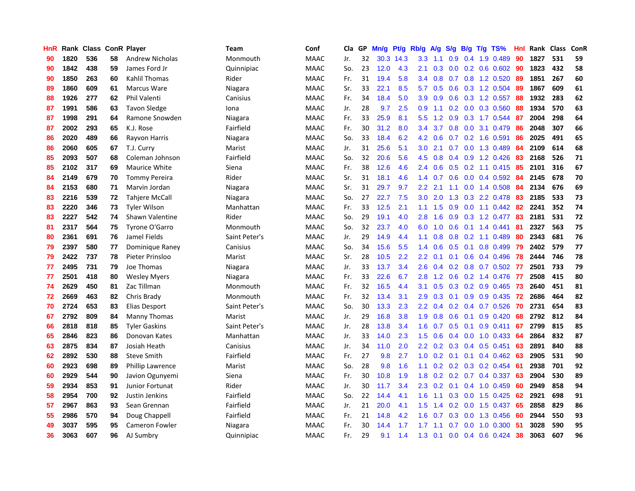| HnR | Rank | <b>Class ConR Player</b> |    |                        | Team          | Conf        | Cla | GP | Mn/g | Pt/g      | Rb/g             | A/g | S/g           |     | B/g T/g TS%                         | Hnl | Rank | <b>Class</b> | ConR |
|-----|------|--------------------------|----|------------------------|---------------|-------------|-----|----|------|-----------|------------------|-----|---------------|-----|-------------------------------------|-----|------|--------------|------|
| 90  | 1820 | 536                      | 58 | <b>Andrew Nicholas</b> | Monmouth      | <b>MAAC</b> | Jr. | 32 |      | 30.3 14.3 | 3.3 <sub>2</sub> | 1.1 | 0.9           | 0.4 | 1.9 0.489                           | 90  | 1827 | 531          | 59   |
| 90  | 1842 | 438                      | 59 | James Ford Jr          | Quinnipiac    | <b>MAAC</b> | So. | 23 | 12.0 | 4.3       | 2.1              | 0.3 |               |     | $0.0$ $0.2$ $0.6$ $0.602$ <b>90</b> |     | 1823 | 432          | 58   |
| 90  | 1850 | 263                      | 60 | Kahlil Thomas          | Rider         | <b>MAAC</b> | Fr. | 31 | 19.4 | 5.8       | $3.4^{\circ}$    | 0.8 |               |     | $0.7$ $0.8$ 1.2 $0.520$             | -89 | 1851 | 267          | 60   |
| 89  | 1860 | 609                      | 61 | <b>Marcus Ware</b>     | Niagara       | <b>MAAC</b> | Sr. | 33 | 22.1 | 8.5       | 5.7              | 0.5 |               |     | $0.6$ $0.3$ 1.2 $0.504$             | -89 | 1867 | 609          | 61   |
| 88  | 1926 | 277                      | 62 | Phil Valenti           | Canisius      | <b>MAAC</b> | Fr. | 34 | 18.4 | 5.0       | 3.9              | 0.9 | 0.6           |     | $0.3$ 1.2 $0.557$                   | 88  | 1932 | 283          | 62   |
| 87  | 1991 | 586                      | 63 | <b>Tavon Sledge</b>    | Iona          | MAAC        | Jr. | 28 | 9.7  | 2.5       | 0.9              | 1.1 |               |     | $0.2$ 0.0 0.3 0.560                 | 88  | 1934 | 570          | 63   |
| 87  | 1998 | 291                      | 64 | Ramone Snowden         | Niagara       | <b>MAAC</b> | Fr. | 33 | 25.9 | 8.1       | 5.5              | 1.2 | 0.9           |     | 0.3 1.7 0.544                       | -87 | 2004 | 298          | 64   |
| 87  | 2002 | 293                      | 65 | K.J. Rose              | Fairfield     | <b>MAAC</b> | Fr. | 30 | 31.2 | 8.0       | 3.4              | 3.7 | 0.8           |     | 0.0 3.1 0.479                       | -86 | 2048 | 307          | 66   |
| 86  | 2020 | 489                      | 66 | Rayvon Harris          | Niagara       | <b>MAAC</b> | So. | 33 | 18.4 | 6.2       | 4.2              | 0.6 | 0.7           |     | $0.2$ 1.6 0.591                     | 86  | 2025 | 491          | 65   |
| 86  | 2060 | 605                      | 67 | T.J. Curry             | Marist        | <b>MAAC</b> | Jr. | 31 | 25.6 | 5.1       | 3.0 <sub>2</sub> | 2.1 |               |     | 0.7 0.0 1.3 0.489                   | -84 | 2109 | 614          | 68   |
| 85  | 2093 | 507                      | 68 | Coleman Johnson        | Fairfield     | <b>MAAC</b> | So. | 32 | 20.6 | 5.6       | 4.5              | 0.8 |               |     | 0.4 0.9 1.2 0.426 83                |     | 2168 | 526          | 71   |
| 85  | 2102 | 317                      | 69 | Maurice White          | Siena         | <b>MAAC</b> | Fr. | 38 | 12.6 | 4.6       | $2.4^{\circ}$    | 0.6 |               |     | 0.5 0.2 1.1 0.415 85                |     | 2101 | 316          | 67   |
| 84  | 2149 | 679                      | 70 | <b>Tommy Pereira</b>   | Rider         | <b>MAAC</b> | Sr. | 31 | 18.1 | 4.6       | 1.4              | 0.7 | 0.6           |     | $0.0$ 0.4 0.592                     | -84 | 2145 | 678          | 70   |
| 84  | 2153 | 680                      | 71 | Marvin Jordan          | Niagara       | <b>MAAC</b> | Sr. | 31 | 29.7 | 9.7       | $2.2^{\circ}$    | 2.1 | 1.1           |     | $0.0$ 1.4 $0.508$                   | -84 | 2134 | 676          | 69   |
| 83  | 2216 | 539                      | 72 | <b>Tahjere McCall</b>  | Niagara       | <b>MAAC</b> | So. | 27 | 22.7 | 7.5       | 3.0              | 2.0 | 1.3           |     | 0.3 2.2 0.478                       | -83 | 2185 | 533          | 73   |
| 83  | 2220 | 346                      | 73 | <b>Tyler Wilson</b>    | Manhattan     | <b>MAAC</b> | Fr. | 33 | 12.5 | 2.1       | 1.1              | 1.5 | 0.9           |     | $0.0$ 1.1 $0.442$                   | -82 | 2241 | 352          | 74   |
| 83  | 2227 | 542                      | 74 | Shawn Valentine        | Rider         | <b>MAAC</b> | So. | 29 | 19.1 | 4.0       | 2.8              | 1.6 | 0.9           |     | 0.3 1.2 0.477                       | 83  | 2181 | 531          | 72   |
| 81  | 2317 | 564                      | 75 | Tyrone O'Garro         | Monmouth      | <b>MAAC</b> | So. | 32 | 23.7 | 4.0       | 6.0              | 1.0 | 0.6           |     | $0.1$ 1.4 0.441                     | -81 | 2327 | 563          | 75   |
| 80  | 2361 | 691                      | 76 | Jamel Fields           | Saint Peter's | <b>MAAC</b> | Jr. | 29 | 14.9 | 4.4       | 1.1              | 0.8 |               |     | $0.8$ 0.2 1.1 0.489                 | -80 | 2343 | 681          | 76   |
| 79  | 2397 | 580                      | 77 | Dominique Raney        | Canisius      | <b>MAAC</b> | So. | 34 | 15.6 | 5.5       | $1.4^{\circ}$    | 0.6 |               |     | $0.5$ 0.1 0.8 0.499                 | -79 | 2402 | 579          | 77   |
| 79  | 2422 | 737                      | 78 | Pieter Prinsloo        | Marist        | MAAC        | Sr. | 28 | 10.5 | 2.2       | $2.2^{\circ}$    | 0.1 | 0.1           |     | $0.6$ 0.4 0.496                     | -78 | 2444 | 746          | 78   |
| 77  | 2495 | 731                      | 79 | Joe Thomas             | Niagara       | <b>MAAC</b> | Jr. | 33 | 13.7 | 3.4       | 2.6              | 0.4 |               |     | 0.2 0.8 0.7 0.502 77                |     | 2501 | 733          | 79   |
| 77  | 2501 | 418                      | 80 | <b>Wesley Myers</b>    | Niagara       | <b>MAAC</b> | Fr. | 33 | 22.6 | 6.7       | 2.8              | 1.2 | 0.6           |     | 0.2 1.4 0.476                       | -77 | 2508 | 415          | 80   |
| 74  | 2629 | 450                      | 81 | Zac Tillman            | Monmouth      | <b>MAAC</b> | Fr. | 32 | 16.5 | 4.4       | 3.1              | 0.5 | 0.3           |     | $0.2$ 0.9 0.465                     | 73  | 2640 | 451          | 81   |
| 72  | 2669 | 463                      | 82 | Chris Brady            | Monmouth      | <b>MAAC</b> | Fr. | 32 | 13.4 | 3.1       | 2.9              | 0.3 | 0.1           |     | 0.9 0.9 0.435                       | -72 | 2686 | 464          | 82   |
| 70  | 2724 | 653                      | 83 | Elias Desport          | Saint Peter's | <b>MAAC</b> | So. | 30 | 13.3 | 2.3       | $2.2^{\circ}$    | 0.4 |               |     | $0.2$ 0.4 0.7 0.526                 | -70 | 2731 | 654          | 83   |
| 67  | 2792 | 809                      | 84 | Manny Thomas           | Marist        | <b>MAAC</b> | Jr. | 29 | 16.8 | 3.8       | 1.9 <sup>°</sup> | 0.8 |               |     | $0.6$ 0.1 0.9 0.420                 | -68 | 2792 | 812          | 84   |
| 66  | 2818 | 818                      | 85 | <b>Tyler Gaskins</b>   | Saint Peter's | <b>MAAC</b> | Jr. | 28 | 13.8 | 3.4       | 1.6              | 0.7 |               |     | $0.5$ 0.1 0.9 0.411                 | 67  | 2799 | 815          | 85   |
| 65  | 2846 | 823                      | 86 | Donovan Kates          | Manhattan     | <b>MAAC</b> | Jr. | 33 | 14.0 | 2.3       | 1.5              | 0.6 | $0.4^{\circ}$ |     | $0.0 \quad 1.0 \quad 0.433$         | -64 | 2864 | 832          | 87   |
| 63  | 2875 | 834                      | 87 | Josiah Heath           | Canisius      | <b>MAAC</b> | Jr. | 34 | 11.0 | 2.0       | $2.2^{\circ}$    | 0.2 | 0.3           |     | $0.4$ 0.5 0.451                     | 63  | 2891 | 840          | 88   |
| 62  | 2892 | 530                      | 88 | <b>Steve Smith</b>     | Fairfield     | <b>MAAC</b> | Fr. | 27 | 9.8  | 2.7       | 1.0 <sub>1</sub> | 0.2 |               |     | $0.1$ 0.1 0.4 0.462 63              |     | 2905 | 531          | 90   |
| 60  | 2923 | 698                      | 89 | Phillip Lawrence       | Marist        | <b>MAAC</b> | So. | 28 | 9.8  | 1.6       | 1.1              | 0.2 |               |     | $0.2$ $0.3$ $0.2$ $0.454$           | -61 | 2938 | 701          | 92   |
| 60  | 2929 | 544                      | 90 | Javion Ogunyemi        | Siena         | <b>MAAC</b> | Fr. | 30 | 10.8 | 1.9       | 1.8              | 0.2 | 0.2           |     | $0.7$ 0.4 0.337                     | 63  | 2904 | 530          | 89   |
| 59  | 2934 | 853                      | 91 | Junior Fortunat        | Rider         | <b>MAAC</b> | Jr. | 30 | 11.7 | 3.4       | $2.3^{\circ}$    | 0.2 | 0.1           |     | $0.4$ 1.0 0.459                     | -60 | 2949 | 858          | 94   |
| 58  | 2954 | 700                      | 92 | Justin Jenkins         | Fairfield     | <b>MAAC</b> | So. | 22 | 14.4 | 4.1       | 1.6              | 1.1 |               |     | 0.3 0.0 1.5 0.425                   | -62 | 2921 | 698          | 91   |
| 57  | 2967 | 863                      | 93 | Sean Grennan           | Fairfield     | <b>MAAC</b> | Jr. | 21 | 20.0 | 4.1       | 1.5              | 1.4 |               |     | 0.2 0.0 1.5 0.437 65                |     | 2858 | 829          | 86   |
| 55  | 2986 | 570                      | 94 | Doug Chappell          | Fairfield     | <b>MAAC</b> | Fr. | 21 | 14.8 | 4.2       | 1.6              | 0.7 | 0.3           |     | 0.0 1.3 0.456                       | -60 | 2944 | 550          | 93   |
| 49  | 3037 | 595                      | 95 | Cameron Fowler         | Niagara       | <b>MAAC</b> | Fr. | 30 | 14.4 | 1.7       | 1.7              | 1.1 | 0.7           |     | $0.0$ 1.0 $0.300$                   | -51 | 3028 | 590          | 95   |
| 36  | 3063 | 607                      | 96 | AJ Sumbry              | Quinnipiac    | <b>MAAC</b> | Fr. | 29 | 9.1  | 1.4       | 1.3              | 0.1 |               |     | $0.0$ 0.4 0.6 0.424                 | 38  | 3063 | 607          | 96   |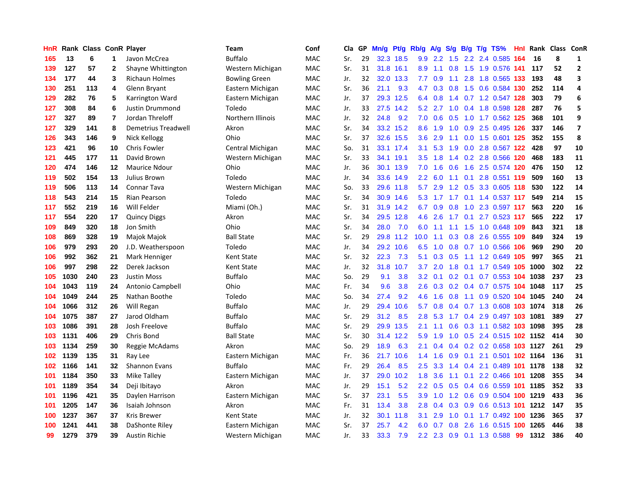| <b>HnR</b> |      | Rank Class ConR Player |                         |                       | Team                 | Conf       | Cla | GP | Mn/g | Pt/g Rb/g |               | <b>A/g</b> | S/g             |  | B/g T/g TS%                    |      | Hnl Rank | Class ConR |                         |
|------------|------|------------------------|-------------------------|-----------------------|----------------------|------------|-----|----|------|-----------|---------------|------------|-----------------|--|--------------------------------|------|----------|------------|-------------------------|
| 165        | 13   | 6                      | 1                       | Javon McCrea          | <b>Buffalo</b>       | <b>MAC</b> | Sr. | 29 | 32.3 | 18.5      | 9.9           | 2.2        | 1.5             |  | 2.2 2.4 0.585                  | -164 | 16       | 8          | 1                       |
| 139        | 127  | 57                     | 2                       | Shayne Whittington    | Western Michigan     | <b>MAC</b> | Sr. | 31 |      | 31.8 16.1 | 8.9           | 1.1        |                 |  | 0.8 1.5 1.9 0.576 141 117      |      |          | 52         | $\mathbf{2}$            |
| 134        | 177  | 44                     | 3                       | <b>Richaun Holmes</b> | <b>Bowling Green</b> | <b>MAC</b> | Jr. | 32 | 32.0 | 13.3      | 7.7           | 0.9        | 1.1             |  | 2.8 1.8 0.565 133              |      | 193      | 48         | 3                       |
| 130        | 251  | 113                    | 4                       | Glenn Bryant          | Eastern Michigan     | MAC        | Sr. | 36 | 21.1 | 9.3       | 4.7           | 0.3        |                 |  | 0.8 1.5 0.6 0.584 130          |      | 252      | 114        | 4                       |
| 129        | 282  | 76                     | 5                       | Karrington Ward       | Eastern Michigan     | MAC        | Jr. | 37 | 29.3 | 12.5      | 6.4           | 0.8        | 1.4             |  | 0.7 1.2 0.547 128              |      | 303      | 79         | 6                       |
| 127        | 308  | 84                     | 6                       | Justin Drummond       | Toledo               | MAC        | Jr. | 33 | 27.5 | 14.2      | 5.2           | 2.7        | 1.0             |  | 0.4 1.8 0.598 128              |      | 287      | 76         | 5                       |
| 127        | 327  | 89                     | $\overline{\mathbf{r}}$ | Jordan Threloff       | Northern Illinois    | MAC        | Jr. | 32 | 24.8 | 9.2       | 7.0           | 0.6        | 0.5             |  | 1.0 1.7 0.562 125              |      | 368      | 101        | 9                       |
| 127        | 329  | 141                    | 8                       | Demetrius Treadwell   | Akron                | MAC        | Sr. | 34 |      | 33.2 15.2 | 8.6           | 1.9        | 1.0             |  | 0.9 2.5 0.495 126              |      | 337      | 146        | $\overline{\mathbf{z}}$ |
| 126        | 343  | 146                    | 9                       | Nick Kellogg          | Ohio                 | <b>MAC</b> | Sr. | 37 | 32.6 | 15.5      | 3.6           | 2.9        | 1.1             |  | 0.0 1.5 0.601 125              |      | 352      | 155        | 8                       |
| 123        | 421  | 96                     | 10                      | <b>Chris Fowler</b>   | Central Michigan     | <b>MAC</b> | So. | 31 |      | 33.1 17.4 | 3.1           | 5.3        | 1.9             |  | 0.0 2.8 0.567 122              |      | 428      | 97         | 10                      |
| 121        | 445  | 177                    | 11                      | David Brown           | Western Michigan     | MAC        | Sr. | 33 |      | 34.1 19.1 | 3.5           |            |                 |  | 1.8 1.4 0.2 2.8 0.566 120      |      | 468      | 183        | 11                      |
| 120        | 474  | 146                    | 12                      | <b>Maurice Ndour</b>  | Ohio                 | <b>MAC</b> | Jr. | 36 |      | 30.1 13.9 | 7.0           | 1.6        |                 |  | 0.6 1.6 2.5 0.574 120          |      | 476      | 150        | 12                      |
| 119        | 502  | 154                    | 13                      | Julius Brown          | Toledo               | MAC        | Jr. | 34 |      | 33.6 14.9 | $2.2^{\circ}$ | 6.0        | 1.1             |  | 0.1 2.8 0.551 119              |      | 509      | 160        | 13                      |
| 119        | 506  | 113                    | 14                      | <b>Connar Tava</b>    | Western Michigan     | MAC        | So. | 33 | 29.6 | 11.8      | 5.7           | 2.9        | 1.2             |  | 0.5 3.3 0.605 118              |      | 530      | 122        | 14                      |
| 118        | 543  | 214                    | 15                      | Rian Pearson          | Toledo               | MAC        | Sr. | 34 |      | 30.9 14.6 | 5.3           | 1.7        | 1.7             |  | 0.1 1.4 0.537 117              |      | 549      | 214        | 15                      |
| 117        | 552  | 219                    | 16                      | Will Felder           | Miami (Oh.)          | MAC        | Sr. | 31 | 31.9 | 14.2      | 6.7           | 0.9        | 0.8             |  | 1.0 2.3 0.597 117              |      | 563      | 220        | 16                      |
| 117        | 554  | 220                    | 17                      | <b>Quincy Diggs</b>   | Akron                | MAC        | Sr. | 34 |      | 29.5 12.8 | 4.6           | 2.6        | 1.7             |  | $0.1$ 2.7 0.523 117            |      | 565      | 222        | 17                      |
| 109        | 849  | 320                    | 18                      | Jon Smith             | Ohio                 | <b>MAC</b> | Sr. | 34 | 28.0 | 7.0       | 6.0           | 1.1        | 1.1             |  | 1.5 1.0 0.648 109              |      | 843      | 321        | 18                      |
| 108        | 869  | 328                    | 19                      | Majok Majok           | <b>Ball State</b>    | <b>MAC</b> | Sr. | 29 |      | 29.8 11.2 | 10.0          | 1.1        |                 |  | 0.3 0.8 2.6 0.555 109          |      | 849      | 324        | 19                      |
| 106        | 979  | 293                    | 20                      | J.D. Weatherspoon     | Toledo               | <b>MAC</b> | Jr. | 34 |      | 29.2 10.6 | 6.5           | 1.0        |                 |  | 0.8 0.7 1.0 0.566 106          |      | 969      | 290        | 20                      |
| 106        | 992  | 362                    | 21                      | Mark Henniger         | Kent State           | MAC        | Sr. | 32 | 22.3 | 7.3       | 5.1           | 0.3        |                 |  | 0.5 1.1 1.2 0.649 105          |      | 997      | 365        | 21                      |
| 106        | 997  | 298                    | 22                      | Derek Jackson         | <b>Kent State</b>    | MAC        | Jr. | 32 | 31.8 | 10.7      | 3.7           | 2.0        | 1.8             |  | 0.1 1.7 0.549 105 1000         |      |          | 302        | 22                      |
| 105        | 1030 | 240                    | 23                      | <b>Justin Moss</b>    | <b>Buffalo</b>       | MAC        | So. | 29 | 9.1  | 3.8       | 3.2           | 0.1        | 0.2             |  | 0.1 0.7 0.553 104 1038         |      |          | 237        | 23                      |
| 104        | 1043 | 119                    | 24                      | Antonio Campbell      | Ohio                 | MAC        | Fr. | 34 | 9.6  | 3.8       | 2.6           | 0.3        | 0.2             |  | 0.4 0.7 0.575 104 1048         |      |          | 117        | 25                      |
| 104        | 1049 | 244                    | 25                      | Nathan Boothe         | Toledo               | MAC        | So. | 34 | 27.4 | 9.2       | 4.6           | 1.6        | 0.8             |  | 1.1 0.9 0.520 104 1045         |      |          | 240        | 24                      |
| 104        | 1066 | 312                    | 26                      | Will Regan            | <b>Buffalo</b>       | <b>MAC</b> | Jr. | 29 | 29.4 | 10.6      | 5.7           | 0.8        | 0.4             |  | 0.7 1.3 0.608 103 1074         |      |          | 318        | 26                      |
| 104        | 1075 | 387                    | 27                      | Jarod Oldham          | <b>Buffalo</b>       | <b>MAC</b> | Sr. | 29 | 31.2 | 8.5       | 2.8           |            |                 |  | 5.3 1.7 0.4 2.9 0.497 103 1081 |      |          | 389        | 27                      |
| 103        | 1086 | 391                    | 28                      | Josh Freelove         | <b>Buffalo</b>       | <b>MAC</b> | Sr. | 29 |      | 29.9 13.5 | 2.1           |            |                 |  | 1.1 0.6 0.3 1.1 0.582 103 1098 |      |          | 395        | 28                      |
| 103        | 1131 | 406                    | 29                      | Chris Bond            | <b>Ball State</b>    | MAC        | Sr. | 30 |      | 31.4 12.2 | 5.9           | 1.9        | 1.0             |  | 0.5 2.4 0.515 102 1152         |      |          | 414        | 30                      |
| 103        | 1134 | 259                    | 30                      | Reggie McAdams        | Akron                | <b>MAC</b> | So. | 29 | 18.9 | 6.3       | 2.1           | 0.4        | 0.4             |  | 0.2 0.2 0.658 103 1127         |      |          | 261        | 29                      |
| 102        | 1139 | 135                    | 31                      | Ray Lee               | Eastern Michigan     | MAC        | Fr. | 36 | 21.7 | 10.6      | 1.4           | 1.6        | 0.9             |  | 0.1 2.1 0.501 102 1164         |      |          | 136        | 31                      |
| 102        | 1166 | 141                    | 32                      | <b>Shannon Evans</b>  | <b>Buffalo</b>       | MAC        | Fr. | 29 | 26.4 | 8.5       | 2.5           | 3.3        | 1.4             |  | 0.4 2.1 0.489 101 1178         |      |          | 138        | 32                      |
| 101        | 1184 | 350                    | 33                      | Mike Talley           | Eastern Michigan     | MAC        | Jr. | 37 | 29.0 | 10.2      | 1.8           | 3.6        | 1.1             |  | $0.1$ 2.2 0.466 101 1208       |      |          | 355        | 34                      |
| 101        | 1189 | 354                    | 34                      | Deji Ibitayo          | Akron                | MAC        | Jr. | 29 | 15.1 | 5.2       | 2.2           | 0.5        | 0.5             |  | 0.4 0.6 0.559 101 1185         |      |          | 352        | 33                      |
| 101        | 1196 | 421                    | 35                      | Daylen Harrison       | Eastern Michigan     | <b>MAC</b> | Sr. | 37 | 23.1 | 5.5       | 3.9           | 1.0        |                 |  | 1.2 0.6 0.9 0.504 100 1219     |      |          | 433        | 36                      |
| 101        | 1205 | 147                    | 36                      | Isaiah Johnson        | Akron                | <b>MAC</b> | Fr. | 31 | 13.4 | 3.8       | 2.8           |            | $0.4 \quad 0.3$ |  | 0.9 0.6 0.513 101 1212         |      |          | 147        | 35                      |
| 100        | 1237 | 367                    | 37                      | Kris Brewer           | <b>Kent State</b>    | <b>MAC</b> | Jr. | 32 | 30.1 | 11.8      | 3.1           | 2.9        | 1.0             |  | 0.1 1.7 0.492 100 1236         |      |          | 365        | 37                      |
| 100        | 1241 | 441                    | 38                      | DaShonte Riley        | Eastern Michigan     | <b>MAC</b> | Sr. | 37 | 25.7 | 4.2       | 6.0           | 0.7        | 0.8             |  | 2.6 1.6 0.515 100 1265         |      |          | 446        | 38                      |
| 99         | 1279 | 379                    | 39                      | <b>Austin Richie</b>  | Western Michigan     | <b>MAC</b> | Jr. | 33 | 33.3 | 7.9       |               |            |                 |  | 2.2 2.3 0.9 0.1 1.3 0.588      | 99   | 1312     | 386        | 40                      |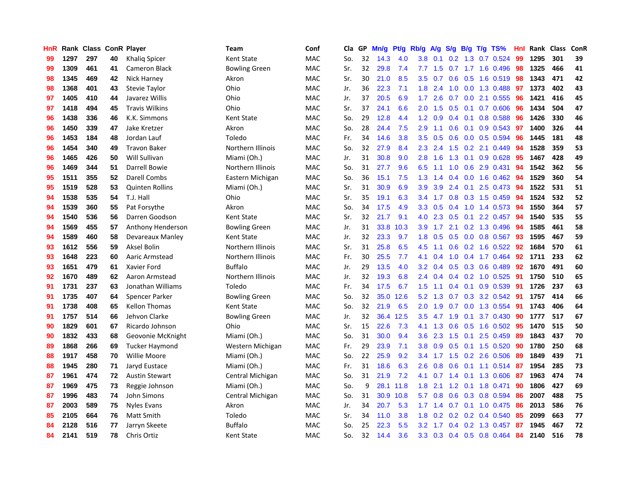| HnR |      | Rank Class ConR Player |    |                        | Team                 | Conf       | Cla | GP | Mn/g | Pt/g | Rb/g             | <b>A/g</b> |                  |     | S/g B/g T/g TS%              | Hnl | Rank | <b>Class</b> | ConR |
|-----|------|------------------------|----|------------------------|----------------------|------------|-----|----|------|------|------------------|------------|------------------|-----|------------------------------|-----|------|--------------|------|
| 99  | 1297 | 297                    | 40 | Khaliq Spicer          | Kent State           | <b>MAC</b> | So. | 32 | 14.3 | 4.0  | 3.8 <sub>2</sub> | 0.1        | 0.2 <sub>0</sub> | 1.3 | 0.7 0.524                    | 99  | 1295 | 301          | 39   |
| 99  | 1309 | 461                    | 41 | <b>Cameron Black</b>   | <b>Bowling Green</b> | <b>MAC</b> | Sr. | 32 | 29.8 | 7.4  | 7.7              | 1.5        |                  |     | 0.7 1.7 1.6 0.496 98         |     | 1325 | 466          | 41   |
| 98  | 1345 | 469                    | 42 | Nick Harney            | Akron                | <b>MAC</b> | Sr. | 30 | 21.0 | 8.5  | 3.5              | 0.7        |                  |     | $0.6$ $0.5$ 1.6 $0.519$      | -98 | 1343 | 471          | 42   |
| 98  | 1368 | 401                    | 43 | Stevie Taylor          | Ohio                 | MAC        | Jr. | 36 | 22.3 | 7.1  | 1.8              | 2.4        | 1.0              |     | $0.0$ 1.3 0.488              | -97 | 1373 | 402          | 43   |
| 97  | 1405 | 410                    | 44 | Javarez Willis         | Ohio                 | MAC        | Jr. | 37 | 20.5 | 6.9  | 1.7 <sup>2</sup> | 2.6        | 0.7              |     | $0.0$ 2.1 $0.555$            | 96  | 1421 | 416          | 45   |
| 97  | 1418 | 494                    | 45 | <b>Travis Wilkins</b>  | Ohio                 | MAC        | Sr. | 37 | 24.1 | 6.6  | 2.0              | 1.5        | 0.5              |     | $0.1$ 0.7 0.606              | 96  | 1434 | 504          | 47   |
| 96  | 1438 | 336                    | 46 | K.K. Simmons           | Kent State           | MAC        | So. | 29 | 12.8 | 4.4  | 1.2              | 0.9        |                  |     | 0.4 0.1 0.8 0.588            | 96  | 1426 | 330          | 46   |
| 96  | 1450 | 339                    | 47 | Jake Kretzer           | Akron                | MAC        | So. | 28 | 24.4 | 7.5  | 2.9              | 1.1        | 0.6              |     | $0.1$ 0.9 0.543              | 97  | 1400 | 326          | 44   |
| 96  | 1453 | 184                    | 48 | Jordan Lauf            | Toledo               | <b>MAC</b> | Fr. | 34 | 14.6 | 3.8  | 3.5              | 0.5        | 0.6              |     | 0.0 0.5 0.594                | 96  | 1445 | 181          | 48   |
| 96  | 1454 | 340                    | 49 | <b>Travon Baker</b>    | Northern Illinois    | <b>MAC</b> | So. | 32 | 27.9 | 8.4  | $2.3^{\circ}$    | 2.4        |                  |     | 1.5 0.2 2.1 0.449            | -94 | 1528 | 359          | 53   |
| 96  | 1465 | 426                    | 50 | Will Sullivan          | Miami (Oh.)          | <b>MAC</b> | Jr. | 31 | 30.8 | 9.0  | 2.8              | 1.6        |                  |     | 1.3 0.1 0.9 0.628 95         |     | 1467 | 428          | 49   |
| 96  | 1469 | 344                    | 51 | Darrell Bowie          | Northern Illinois    | <b>MAC</b> | So. | 31 | 27.7 | 9.6  | 6.5              | 1.1        |                  |     | 1.0 0.6 2.9 0.431            | -94 | 1542 | 362          | 56   |
| 95  | 1511 | 355                    | 52 | Darell Combs           | Eastern Michigan     | MAC        | So. | 36 | 15.1 | 7.5  | 1.3              | 1.4        | 0.4              |     | 0.0 1.6 0.462 94             |     | 1529 | 360          | 54   |
| 95  | 1519 | 528                    | 53 | <b>Quinten Rollins</b> | Miami (Oh.)          | MAC        | Sr. | 31 | 30.9 | 6.9  | 3.9              | 3.9        | $2.4^{\circ}$    | 0.1 | 2.5 0.473                    | 94  | 1522 | 531          | 51   |
| 94  | 1538 | 535                    | 54 | T.J. Hall              | Ohio                 | MAC        | Sr. | 35 | 19.1 | 6.3  | 3.4              | 1.7        | 0.8              |     | $0.3$ 1.5 0.459              | 94  | 1524 | 532          | 52   |
| 94  | 1539 | 360                    | 55 | Pat Forsythe           | Akron                | MAC        | So. | 34 | 17.5 | 4.9  | 3.3 <sub>2</sub> | 0.5        | 0.4              |     | 1.0 1.4 0.573                | -94 | 1550 | 364          | 57   |
| 94  | 1540 | 536                    | 56 | Darren Goodson         | Kent State           | MAC        | Sr. | 32 | 21.7 | 9.1  | 4.0              | 2.3        | 0.5              | 0.1 | 2.2 0.457                    | -94 | 1540 | 535          | 55   |
| 94  | 1569 | 455                    | 57 | Anthony Henderson      | <b>Bowling Green</b> | <b>MAC</b> | Jr. | 31 | 33.8 | 10.3 | 3.9 <sup>°</sup> | 1.7        | 2.1              |     | 0.2 1.3 0.496                | -94 | 1585 | 461          | 58   |
| 94  | 1589 | 460                    | 58 | Devareaux Manley       | Kent State           | <b>MAC</b> | Jr. | 32 | 23.3 | 9.7  | 1.8              | 0.5        |                  |     | 0.5 0.0 0.8 0.567 93         |     | 1595 | 467          | 59   |
| 93  | 1612 | 556                    | 59 | Aksel Bolin            | Northern Illinois    | <b>MAC</b> | Sr. | 31 | 25.8 | 6.5  | 4.5              | 1.1        |                  |     | 0.6 0.2 1.6 0.522 92         |     | 1684 | 570          | 61   |
| 93  | 1648 | 223                    | 60 | Aaric Armstead         | Northern Illinois    | MAC        | Fr. | 30 | 25.5 | 7.7  | 4.1              | 0.4        | 1.0              |     | 0.4 1.7 0.464                | 92  | 1711 | 233          | 62   |
| 93  | 1651 | 479                    | 61 | Xavier Ford            | <b>Buffalo</b>       | MAC        | Jr. | 29 | 13.5 | 4.0  | 3.2 <sub>2</sub> | 0.4        | 0.5              |     | 0.3 0.6 0.489                | 92  | 1670 | 491          | 60   |
| 92  | 1670 | 489                    | 62 | Aaron Armstead         | Northern Illinois    | MAC        | Jr. | 32 | 19.3 | 6.8  | 2.4              | 0.4        |                  |     | $0.4$ 0.2 1.0 0.525          | 91  | 1750 | 510          | 65   |
| 91  | 1731 | 237                    | 63 | Jonathan Williams      | Toledo               | MAC        | Fr. | 34 | 17.5 | 6.7  | 1.5              | 1.1        | 0.4              | 0.1 | 0.9 0.539                    | 91  | 1726 | 237          | 63   |
| 91  | 1735 | 407                    | 64 | Spencer Parker         | <b>Bowling Green</b> | MAC        | So. | 32 | 35.0 | 12.6 | 5.2              | 1.3        | 0.7              |     | 0.3 3.2 0.542                | -91 | 1757 | 414          | 66   |
| 91  | 1738 | 408                    | 65 | <b>Kellon Thomas</b>   | Kent State           | <b>MAC</b> | So. | 32 | 21.9 | 6.5  | 2.0              | 1.9        | 0.7              |     | 0.0 1.3 0.554                | -91 | 1743 | 406          | 64   |
| 91  | 1757 | 514                    | 66 | Jehvon Clarke          | <b>Bowling Green</b> | <b>MAC</b> | Jr. | 32 | 36.4 | 12.5 | 3.5              | 4.7        | 1.9              |     | $0.1$ 3.7 $0.430$            | -90 | 1777 | 517          | 67   |
| 90  | 1829 | 601                    | 67 | Ricardo Johnson        | Ohio                 | <b>MAC</b> | Sr. | 15 | 22.6 | 7.3  | 4.1              | 1.3        |                  |     | 0.6 0.5 1.6 0.502 95         |     | 1470 | 515          | 50   |
| 90  | 1832 | 433                    | 68 | Geovonie McKnight      | Miami (Oh.)          | MAC        | So. | 31 | 30.0 | 9.4  | $3.6^{\circ}$    | 2.3        | 1.5              |     | $0.1$ 2.5 0.459              | -89 | 1843 | 437          | 70   |
| 89  | 1868 | 266                    | 69 | <b>Tucker Haymond</b>  | Western Michigan     | MAC        | Fr. | 29 | 23.9 | 7.1  | 3.8 <sub>2</sub> | 0.9        | 0.5              |     | 0.1 1.5 0.520                | -90 | 1780 | 250          | 68   |
| 88  | 1917 | 458                    | 70 | <b>Willie Moore</b>    | Miami (Oh.)          | MAC        | So. | 22 | 25.9 | 9.2  | 3.4              | 1.7        | 1.5              |     | $0.2$ 2.6 $0.506$            | -89 | 1849 | 439          | 71   |
| 88  | 1945 | 280                    | 71 | Jaryd Eustace          | Miami (Oh.)          | MAC        | Fr. | 31 | 18.6 | 6.3  | 2.6              | 0.8        | 0.6              |     | $0.1$ 1.1 $0.514$            | -87 | 1954 | 285          | 73   |
| 87  | 1961 | 474                    | 72 | <b>Austin Stewart</b>  | Central Michigan     | MAC        | So. | 31 | 21.9 | 7.2  | 4.1              | 0.7        | $1.4^{\circ}$    |     | $0.1$ 1.3 0.606              | -87 | 1963 | 474          | 74   |
| 87  | 1969 | 475                    | 73 | Reggie Johnson         | Miami (Oh.)          | MAC        | So. | 9  | 28.1 | 11.8 | 1.8              | 2.1        | 1.2              |     | $0.1$ 1.8 $0.471$            | 90  | 1806 | 427          | 69   |
| 87  | 1996 | 483                    | 74 | John Simons            | Central Michigan     | <b>MAC</b> | So. | 31 | 30.9 | 10.8 | 5.7              | 0.8        | 0.6              |     | 0.3 0.8 0.594                | -86 | 2007 | 488          | 75   |
| 87  | 2003 | 589                    | 75 | <b>Nyles Evans</b>     | Akron                | <b>MAC</b> | Jr. | 34 | 20.7 | 5.3  |                  |            |                  |     | 1.7 1.4 0.7 0.1 1.0 0.475 86 |     | 2013 | 586          | 76   |
| 85  | 2105 | 664                    | 76 | Matt Smith             | Toledo               | <b>MAC</b> | Sr. | 34 | 11.0 | 3.8  | 1.8              | 0.2        |                  |     | $0.2$ 0.2 0.4 0.540          | 85  | 2099 | 663          | 77   |
| 84  | 2128 | 516                    | 77 | Jarryn Skeete          | <b>Buffalo</b>       | MAC        | So. | 25 | 22.3 | 5.5  | 3.2 <sub>2</sub> | 1.7        |                  |     | $0.4$ 0.2 1.3 0.457          | -87 | 1945 | 467          | 72   |
| 84  | 2141 | 519                    | 78 | Chris Ortiz            | Kent State           | MAC        | So. | 32 | 14.4 | 3.6  | 3.3 <sub>2</sub> |            |                  |     | 0.3 0.4 0.5 0.8 0.464        | -84 | 2140 | 516          | 78   |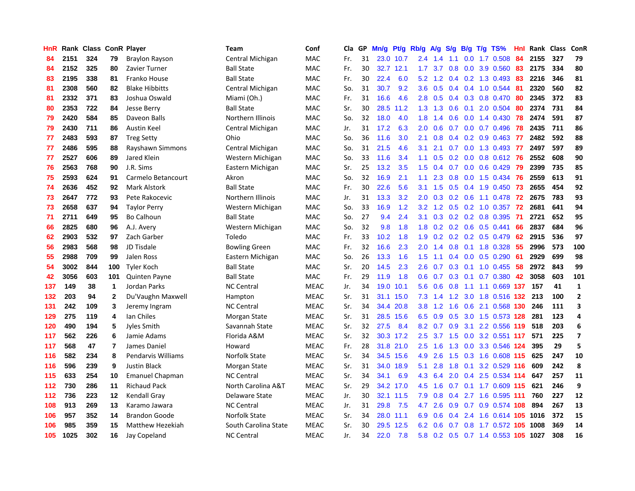| HnR |      | Rank Class ConR Player |                |                        | Team                 | Conf        | Cla | GP | Mn/g | <b>Pt/g</b> | Rb/g             | $\mathsf{A/g}$ | S/g              | B/g | $T/g$ TS%                      | Hnl | Rank | Class | ConR                     |
|-----|------|------------------------|----------------|------------------------|----------------------|-------------|-----|----|------|-------------|------------------|----------------|------------------|-----|--------------------------------|-----|------|-------|--------------------------|
| 84  | 2151 | 324                    | 79             | Braylon Rayson         | Central Michigan     | <b>MAC</b>  | Fr. | 31 |      | 23.0 10.7   | 2.4              | 1.4            | 1.1              |     | $0.0$ 1.7 $0.508$              | 84  | 2155 | 327   | 79                       |
| 84  | 2152 | 325                    | 80             | Zavier Turner          | <b>Ball State</b>    | <b>MAC</b>  | Fr. | 30 | 32.7 | 12.1        | 1.7 <sub>z</sub> | 3.7            | 0.8              |     | $0.0$ 3.9 $0.560$              | 83  | 2175 | 334   | 80                       |
| 83  | 2195 | 338                    | 81             | Franko House           | <b>Ball State</b>    | <b>MAC</b>  | Fr. | 30 | 22.4 | 6.0         | 5.2              | 1.2            |                  |     | $0.4$ 0.2 1.3 0.493            | -83 | 2216 | 346   | 81                       |
| 81  | 2308 | 560                    | 82             | <b>Blake Hibbitts</b>  | Central Michigan     | <b>MAC</b>  | So. | 31 | 30.7 | 9.2         | $3.6^{\circ}$    | 0.5            | 0.4              |     | $0.4$ 1.0 0.544                | -81 | 2320 | 560   | 82                       |
| 81  | 2332 | 371                    | 83             | Joshua Oswald          | Miami (Oh.)          | MAC         | Fr. | 31 | 16.6 | 4.6         | 2.8              | 0.5            | 0.4              |     | 0.3 0.8 0.470                  | 80  | 2345 | 372   | 83                       |
| 80  | 2353 | 722                    | 84             | Jesse Berry            | <b>Ball State</b>    | MAC         | Sr. | 30 | 28.5 | 11.2        | 1.3              | 1.3            | 0.6              |     | $0.1$ 2.0 0.504                | 80  | 2374 | 731   | 84                       |
| 79  | 2420 | 584                    | 85             | Daveon Balls           | Northern Illinois    | MAC         | So. | 32 | 18.0 | 4.0         | 1.8              | 1.4            | 0.6              |     | $0.0$ 1.4 $0.430$              | 78  | 2474 | 591   | 87                       |
| 79  | 2430 | 711                    | 86             | <b>Austin Keel</b>     | Central Michigan     | <b>MAC</b>  | Jr. | 31 | 17.2 | 6.3         | 2.0              | 0.6            | 0.7              |     | $0.0$ 0.7 0.496                | 78  | 2435 | 711   | 86                       |
| 77  | 2483 | 593                    | 87             | <b>Treg Setty</b>      | Ohio                 | <b>MAC</b>  | So. | 36 | 11.6 | 3.0         | 2.1              | 0.8            | $0.4^{\circ}$    |     | $0.2$ 0.9 0.463                | -77 | 2482 | 592   | 88                       |
| 77  | 2486 | 595                    | 88             | Rayshawn Simmons       | Central Michigan     | <b>MAC</b>  | So. | 31 | 21.5 | 4.6         | 3.1              | 2.1            |                  |     | 0.7 0.0 1.3 0.493 77           |     | 2497 | 597   | 89                       |
| 77  | 2527 | 606                    | 89             | Jared Klein            | Western Michigan     | <b>MAC</b>  | So. | 33 | 11.6 | 3.4         | 1.1              | 0.5            |                  |     | $0.2$ 0.0 0.8 0.612 76         |     | 2552 | 608   | 90                       |
| 76  | 2563 | 768                    | 90             | J.R. Sims              | Eastern Michigan     | <b>MAC</b>  | Sr. | 25 | 13.2 | 3.5         | 1.5              | 0.4            |                  |     | 0.7 0.0 0.6 0.429 79           |     | 2399 | 735   | 85                       |
| 75  | 2593 | 624                    | 91             | Carmelo Betancourt     | Akron                | <b>MAC</b>  | So. | 32 | 16.9 | 2.1         | 1.1              | 2.3            | 0.8 <sub>0</sub> |     | 0.0 1.5 0.434 76               |     | 2559 | 613   | 91                       |
| 74  | 2636 | 452                    | 92             | <b>Mark Alstork</b>    | <b>Ball State</b>    | MAC         | Fr. | 30 | 22.6 | 5.6         | 3.1              | 1.5            | 0.5              |     | $0.4$ 1.9 0.450                | 73  | 2655 | 454   | 92                       |
| 73  | 2647 | 772                    | 93             | Pete Rakocevic         | Northern Illinois    | <b>MAC</b>  | Jr. | 31 | 13.3 | 3.2         | 2.0              | 0.3            |                  |     | 0.2 0.6 1.1 0.478              | -72 | 2675 | 783   | 93                       |
| 73  | 2658 | 637                    | 94             | <b>Taylor Perry</b>    | Western Michigan     | <b>MAC</b>  | So. | 33 | 16.9 | 1.2         | 3.2              | 1.2            | 0.5              |     | $0.2$ 1.0 0.357                | 72  | 2681 | 641   | 94                       |
| 71  | 2711 | 649                    | 95             | <b>Bo Calhoun</b>      | <b>Ball State</b>    | MAC         | So. | 27 | 9.4  | 2.4         | 3.1              | 0.3            | 0.2              |     | 0.2 0.8 0.395                  | -71 | 2721 | 652   | 95                       |
| 66  | 2825 | 680                    | 96             | A.J. Avery             | Western Michigan     | <b>MAC</b>  | So. | 32 | 9.8  | 1.8         | 1.8              | 0.2            |                  |     | $0.2$ 0.6 0.5 0.441            | 66  | 2837 | 684   | 96                       |
| 62  | 2903 | 532                    | 97             | Zach Garber            | Toledo               | <b>MAC</b>  | Fr. | 33 | 10.2 | 1.8         | 1.9              |                |                  |     | $0.2$ 0.2 0.2 0.5 0.479        | -62 | 2915 | 536   | 97                       |
| 56  | 2983 | 568                    | 98             | JD Tisdale             | <b>Bowling Green</b> | <b>MAC</b>  | Fr. | 32 | 16.6 | 2.3         | $2.0^{\circ}$    | 1.4            |                  |     | 0.8 0.1 1.8 0.328 55           |     | 2996 | 573   | 100                      |
| 55  | 2988 | 709                    | 99             | Jalen Ross             | Eastern Michigan     | MAC         | So. | 26 | 13.3 | 1.6         | 1.5              | 1.1            | 0.4              |     | $0.0$ $0.5$ $0.290$            | -61 | 2929 | 699   | 98                       |
| 54  | 3002 | 844                    | 100            | Tyler Koch             | <b>Ball State</b>    | MAC         | Sr. | 20 | 14.5 | 2.3         | $2.6\,$          | 0.7            | 0.3              |     | 0.1 1.0 0.455                  | 58  | 2972 | 843   | 99                       |
| 42  | 3056 | 603                    | 101            | <b>Quinten Payne</b>   | <b>Ball State</b>    | <b>MAC</b>  | Fr. | 29 | 11.9 | 1.8         | 0.6              | 0.7            | 0.3              |     | $0.1$ 0.7 0.380                | 42  | 3058 | 603   | 101                      |
| 137 | 149  | 38                     | $\mathbf{1}$   | Jordan Parks           | <b>NC Central</b>    | <b>MEAC</b> | Jr. | 34 | 19.0 | 10.1        | 5.6              | 0.6            | 0.8              |     | 1.1 1.1 0.669 137              |     | 157  | 41    | $\mathbf{1}$             |
| 132 | 203  | 94                     | $\mathbf{2}$   | Du'Vaughn Maxwell      | Hampton              | <b>MEAC</b> | Sr. | 31 | 31.1 | 15.0        | 7.3              | 1.4            | 1.2              |     | 3.0 1.8 0.516 132              |     | 213  | 100   | $\overline{2}$           |
| 131 | 242  | 109                    | 3              | Jeremy Ingram          | <b>NC Central</b>    | <b>MEAC</b> | Sr. | 34 | 34.4 | 20.8        | 3.8 <sub>2</sub> | 1.2            | 1.6              |     | 0.6 2.1 0.568 130              |     | 246  | 111   | 3                        |
| 129 | 275  | 119                    | 4              | Ian Chiles             | Morgan State         | <b>MEAC</b> | Sr. | 31 | 28.5 | 15.6        | 6.5              | 0.9            |                  |     | 0.5 3.0 1.5 0.573 128          |     | 281  | 123   | 4                        |
| 120 | 490  | 194                    | 5              | Jyles Smith            | Savannah State       | <b>MEAC</b> | Sr. | 32 | 27.5 | 8.4         | 8.2              | 0.7            |                  |     | 0.9 3.1 2.2 0.556 119 518      |     |      | 203   | 6                        |
| 117 | 562  | 226                    | 6              | Jamie Adams            | Florida A&M          | <b>MEAC</b> | Sr. | 32 |      | 30.3 17.2   | $2.5^{\circ}$    |                | $3.7 \quad 1.5$  |     | $0.0$ 3.2 0.551 117            |     | 571  | 225   | $\overline{\phantom{a}}$ |
| 117 | 568  | 47                     | $\overline{7}$ | James Daniel           | Howard               | <b>MEAC</b> | Fr. | 28 | 31.8 | 21.0        | $2.5\,$          | 1.6            | 1.3              |     | 0.0 3.3 0.546 124              |     | 395  | 29    | 5                        |
| 116 | 582  | 234                    | 8              | Pendarvis Williams     | Norfolk State        | <b>MEAC</b> | Sr. | 34 | 34.5 | 15.6        | 4.9              | 2.6            | 1.5              |     | 0.3 1.6 0.608 115              |     | 625  | 247   | 10                       |
| 116 | 596  | 239                    | 9              | <b>Justin Black</b>    | Morgan State         | <b>MEAC</b> | Sr. | 31 | 34.0 | 18.9        | 5.1              | 2.8            | 1.8              |     | 0.1 3.2 0.529 116              |     | 609  | 242   | 8                        |
| 115 | 633  | 254                    | 10             | <b>Emanuel Chapman</b> | <b>NC Central</b>    | <b>MEAC</b> | Sr. | 34 | 34.1 | 6.9         | 4.3              | 6.4            | 2.0              |     | $0.4$ 2.5 0.534 114            |     | 647  | 257   | 11                       |
| 112 | 730  | 286                    | 11             | <b>Richaud Pack</b>    | North Carolina A&T   | <b>MEAC</b> | Sr. | 29 | 34.2 | 17.0        | 4.5              | 1.6            | 0.7              |     | $0.1$ 1.7 $0.609$ 115          |     | 621  | 246   | 9                        |
| 112 | 736  | 223                    | 12             | Kendall Gray           | Delaware State       | <b>MEAC</b> | Jr. | 30 | 32.1 | 11.5        | 7.9              | 0.8            | $0.4^{\circ}$    |     | 2.7 1.6 0.595 111              |     | 760  | 227   | 12                       |
| 108 | 913  | 269                    | 13             | Karamo Jawara          | <b>NC Central</b>    | <b>MEAC</b> | Jr. | 31 | 29.8 | 7.5         | 4.7              | 2.6            |                  |     | 0.9 0.7 0.9 0.574 108          |     | 894  | 267   | 13                       |
| 106 | 957  | 352                    | 14             | <b>Brandon Goode</b>   | Norfolk State        | <b>MEAC</b> | Sr. | 34 | 28.0 | 11.1        | 6.9              | 0.6            | $0.4^{\circ}$    |     | 2.4 1.6 0.614 105 1016         |     |      | 372   | 15                       |
| 106 | 985  | 359                    | 15             | Matthew Hezekiah       | South Carolina State | <b>MEAC</b> | Sr. | 30 | 29.5 | 12.5        | 6.2              | 0.6            | 0.7              |     | 0.8 1.7 0.572 105 1008         |     |      | 369   | 14                       |
| 105 | 1025 | 302                    | 16             | Jay Copeland           | <b>NC Central</b>    | <b>MEAC</b> | Jr. | 34 | 22.0 | 7.8         | 5.8              |                |                  |     | 0.2 0.5 0.7 1.4 0.553 105 1027 |     |      | 308   | 16                       |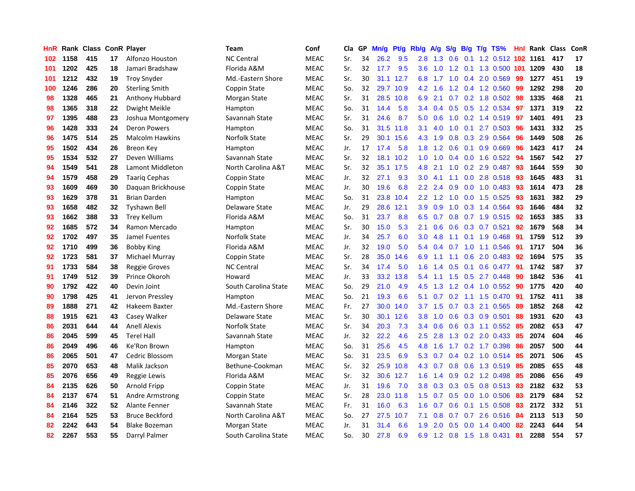| HnR |      | Rank Class ConR Player |    |                        | Team                 | Conf        | Cla | GP | Mn/g | Pt/g      | Rb/g             | A/g    | S/g | B/g | $T/g$ TS%                  | Hnl | Rank | <b>Class</b> | ConR |
|-----|------|------------------------|----|------------------------|----------------------|-------------|-----|----|------|-----------|------------------|--------|-----|-----|----------------------------|-----|------|--------------|------|
| 102 | 1158 | 415                    | 17 | <b>Alfonzo Houston</b> | <b>NC Central</b>    | <b>MEAC</b> | Sr. | 34 | 26.2 | 9.5       | 2.8              | 1.3    | 0.6 | 0.1 | 1.2 0.512 102 1161         |     |      | 417          | 17   |
| 101 | 1202 | 425                    | 18 | Jamari Bradshaw        | Florida A&M          | <b>MEAC</b> | Sr. | 32 | 17.7 | 9.5       | 3.6              | $-1.0$ |     |     | 1.2 0.1 1.3 0.500 101 1209 |     |      | 430          | 18   |
| 101 | 1212 | 432                    | 19 | <b>Troy Snyder</b>     | Md.-Eastern Shore    | <b>MEAC</b> | Sr. | 30 |      | 31.1 12.7 | 6.8              |        |     |     | 1.7 1.0 0.4 2.0 0.569      | -99 | 1277 | 451          | 19   |
| 100 | 1246 | 286                    | 20 | <b>Sterling Smith</b>  | Coppin State         | <b>MEAC</b> | So. | 32 | 29.7 | 10.9      | 4.2              | 1.6    |     |     | 1.2 0.4 1.2 0.560          | 99  | 1292 | 298          | 20   |
| 98  | 1328 | 465                    | 21 | Anthony Hubbard        | Morgan State         | <b>MEAC</b> | Sr. | 31 | 28.5 | 10.8      | 6.9              | 2.1    |     |     | $0.7$ 0.2 1.8 0.502        | 98  | 1335 | 468          | 21   |
| 98  | 1365 | 318                    | 22 | Dwight Meikle          | Hampton              | <b>MEAC</b> | So. | 31 | 14.4 | 5.8       | 3.4              | 0.4    |     |     | 0.5 0.5 1.2 0.534          | 97  | 1371 | 319          | 22   |
| 97  | 1395 | 488                    | 23 | Joshua Montgomery      | Savannah State       | <b>MEAC</b> | Sr. | 31 | 24.6 | 8.7       | 5.0              | 0.6    | 1.0 |     | 0.2 1.4 0.519              | 97  | 1401 | 491          | 23   |
| 96  | 1428 | 333                    | 24 | Deron Powers           | Hampton              | <b>MEAC</b> | So. | 31 | 31.5 | 11.8      | 3.1              | 4.0    | 1.0 |     | $0.1$ 2.7 0.503            | 96  | 1431 | 332          | 25   |
| 96  | 1475 | 514                    | 25 | <b>Malcolm Hawkins</b> | Norfolk State        | <b>MEAC</b> | Sr. | 29 | 30.1 | 15.6      | 4.3              | 1.9    | 0.8 |     | 0.3 2.9 0.564              | 96  | 1449 | 508          | 26   |
| 95  | 1502 | 434                    | 26 | <b>Breon Key</b>       | Hampton              | <b>MEAC</b> | Jr. | 17 | 17.4 | 5.8       | 1.8              | 1.2    | 0.6 |     | $0.1$ 0.9 0.669            | -96 | 1423 | 417          | 24   |
| 95  | 1534 | 532                    | 27 | Deven Williams         | Savannah State       | <b>MEAC</b> | Sr. | 32 | 18.1 | 10.2      | 1.0              | 1.0    |     |     | 0.4 0.0 1.6 0.522 94       |     | 1567 | 542          | 27   |
| 94  | 1549 | 541                    | 28 | Lamont Middleton       | North Carolina A&T   | <b>MEAC</b> | Sr. | 32 | 35.1 | 17.5      | 4.8              | 2.1    |     |     | 1.0 0.2 2.9 0.487 93       |     | 1644 | 559          | 30   |
| 94  | 1579 | 458                    | 29 | Taarig Cephas          | Coppin State         | <b>MEAC</b> | Jr. | 32 | 27.1 | 9.3       | 3.0              | 4.1    | 1.1 |     | 0.0 2.8 0.518 93           |     | 1645 | 483          | 31   |
| 93  | 1609 | 469                    | 30 | Daguan Brickhouse      | Coppin State         | <b>MEAC</b> | Jr. | 30 | 19.6 | 6.8       | $2.2^{\circ}$    | 2.4    | 0.9 |     | $0.0$ 1.0 0.483            | -93 | 1614 | 473          | 28   |
| 93  | 1629 | 378                    | 31 | <b>Brian Darden</b>    | Hampton              | <b>MEAC</b> | So. | 31 | 23.8 | 10.4      | 2.2              | 1.2    | 1.0 |     | $0.0$ 1.5 0.525            | 93  | 1631 | 382          | 29   |
| 93  | 1658 | 482                    | 32 | <b>Tyshawn Bell</b>    | Delaware State       | <b>MEAC</b> | Jr. | 29 | 28.6 | 12.1      | 3.9 <sup>°</sup> | 0.9    | 1.0 |     | 0.3 1.4 0.564              | 93  | 1646 | 484          | 32   |
| 93  | 1662 | 388                    | 33 | Trey Kellum            | Florida A&M          | <b>MEAC</b> | So. | 31 | 23.7 | 8.8       | 6.5              | 0.7    | 0.8 |     | 0.7 1.9 0.515              | 92  | 1653 | 385          | 33   |
| 92  | 1685 | 572                    | 34 | Ramon Mercado          | Hampton              | <b>MEAC</b> | Sr. | 30 | 15.0 | 5.3       | 2.1              | 0.6    | 0.6 |     | $0.3$ 0.7 0.521            | 92  | 1679 | 568          | 34   |
| 92  | 1702 | 497                    | 35 | Jamel Fuentes          | Norfolk State        | <b>MEAC</b> | Jr. | 34 | 25.7 | 6.0       | 3.0 <sub>2</sub> | 4.8    |     |     | 1.1 0.1 1.9 0.468          | -91 | 1759 | 512          | 39   |
| 92  | 1710 | 499                    | 36 | <b>Bobby King</b>      | Florida A&M          | <b>MEAC</b> | Jr. | 32 | 19.0 | 5.0       | 5.4              | 0.4    |     |     | $0.7$ 1.0 1.1 0.546        | -91 | 1717 | 504          | 36   |
| 92  | 1723 | 581                    | 37 | Michael Murray         | Coppin State         | <b>MEAC</b> | Sr. | 28 | 35.0 | 14.6      | 6.9              | 1.1    |     |     | 1.1 0.6 2.0 0.483          | 92  | 1694 | 575          | 35   |
| 91  | 1733 | 584                    | 38 | <b>Reggie Groves</b>   | <b>NC Central</b>    | <b>MEAC</b> | Sr. | 34 | 17.4 | 5.0       | 1.6              | 1.4    | 0.5 | 0.1 | $0.6$ 0.477                | -91 | 1742 | 587          | 37   |
| 91  | 1749 | 512                    | 39 | Prince Okoroh          | Howard               | <b>MEAC</b> | Jr. | 33 | 33.2 | 13.8      | 5.4              | 1.1    | 1.5 |     | $0.5$ 2.7 0.448            | 90  | 1842 | 536          | 41   |
| 90  | 1792 | 422                    | 40 | Devin Joint            | South Carolina State | <b>MEAC</b> | So. | 29 | 21.0 | 4.9       | 4.5              | 1.3    | 1.2 |     | $0.4$ 1.0 0.552            | 90  | 1775 | 420          | 40   |
| 90  | 1798 | 425                    | 41 | Jervon Pressley        | Hampton              | <b>MEAC</b> | So. | 21 | 19.3 | 6.6       | 5.1              | 0.7    |     |     | 0.2 1.1 1.5 0.470          | -91 | 1752 | 411          | 38   |
| 89  | 1888 | 271                    | 42 | Hakeem Baxter          | Md.-Eastern Shore    | <b>MEAC</b> | Fr. | 27 | 30.0 | 14.0      | 3.7              | 1.5    | 0.7 |     | 0.3 2.1 0.565              | -89 | 1852 | 268          | 42   |
| 88  | 1915 | 621                    | 43 | Casey Walker           | Delaware State       | <b>MEAC</b> | Sr. | 30 | 30.1 | 12.6      | 3.8 <sub>2</sub> | 1.0    |     |     | $0.6$ $0.3$ $0.9$ $0.501$  | -88 | 1931 | 620          | 43   |
| 86  | 2031 | 644                    | 44 | <b>Anell Alexis</b>    | Norfolk State        | <b>MEAC</b> | Sr. | 34 | 20.3 | 7.3       | 3.4              | 0.6    |     |     | 0.6 0.3 1.1 0.552 85       |     | 2082 | 653          | 47   |
| 86  | 2045 | 599                    | 45 | <b>Terel Hall</b>      | Savannah State       | <b>MEAC</b> | Jr. | 32 | 22.2 | 4.6       | $2.5\,$          | 2.8    |     |     | 1.3 0.2 2.0 0.433          | -85 | 2074 | 604          | 46   |
| 86  | 2049 | 496                    | 46 | Ke'Ron Brown           | Hampton              | <b>MEAC</b> | So. | 31 | 25.6 | 4.5       | 4.8              | 1.6    |     |     | 1.7 0.2 1.7 0.398          | 86  | 2057 | 500          | 44   |
| 86  | 2065 | 501                    | 47 | Cedric Blossom         | Morgan State         | <b>MEAC</b> | So. | 31 | 23.5 | 6.9       | 5.3              | 0.7    | 0.4 |     | 0.2 1.0 0.514 85           |     | 2071 | 506          | 45   |
| 85  | 2070 | 653                    | 48 | Malik Jackson          | Bethune-Cookman      | <b>MEAC</b> | Sr. | 32 | 25.9 | 10.8      | 4.3              | 0.7    | 0.8 |     | 0.6 1.3 0.519              | 85  | 2085 | 655          | 48   |
| 85  | 2076 | 656                    | 49 | Reggie Lewis           | Florida A&M          | <b>MEAC</b> | Sr. | 32 | 30.6 | 12.7      | 1.6              | 1.4    | 0.9 |     | $0.2$ 1.2 0.498            | 85  | 2086 | 656          | 49   |
| 84  | 2135 | 626                    | 50 | Arnold Fripp           | Coppin State         | <b>MEAC</b> | Jr. | 31 | 19.6 | 7.0       | 3.8              | 0.3    | 0.3 |     | 0.5 0.8 0.513 83           |     | 2182 | 632          | 53   |
| 84  | 2137 | 674                    | 51 | Andre Armstrong        | Coppin State         | <b>MEAC</b> | Sr. | 28 | 23.0 | 11.8      | $1.5^{\circ}$    | 0.7    | 0.5 |     | $0.0$ 1.0 0.506            | 83  | 2179 | 684          | 52   |
| 84  | 2146 | 322                    | 52 | Alante Fenner          | Savannah State       | <b>MEAC</b> | Fr. | 31 | 16.0 | 6.3       | 1.6              | 0.7    |     |     | $0.6$ 0.1 1.5 0.508        | -83 | 2172 | 332          | 51   |
| 84  | 2164 | 525                    | 53 | <b>Bruce Beckford</b>  | North Carolina A&T   | <b>MEAC</b> | So. | 27 | 27.5 | 10.7      | 7.1              | 0.8    | 0.7 |     | $0.7$ 2.6 $0.516$          | -84 | 2113 | 513          | 50   |
| 82  | 2242 | 643                    | 54 | <b>Blake Bozeman</b>   | Morgan State         | <b>MEAC</b> | Jr. | 31 | 31.4 | 6.6       | 1.9              | 2.0    | 0.5 |     | $0.0$ 1.4 $0.400$          | 82  | 2243 | 644          | 54   |
| 82  | 2267 | 553                    | 55 | Darryl Palmer          | South Carolina State | <b>MEAC</b> | So. | 30 | 27.8 | 6.9       | 6.9              |        |     |     | 1.2 0.8 1.5 1.8 0.431      | 81  | 2288 | 554          | 57   |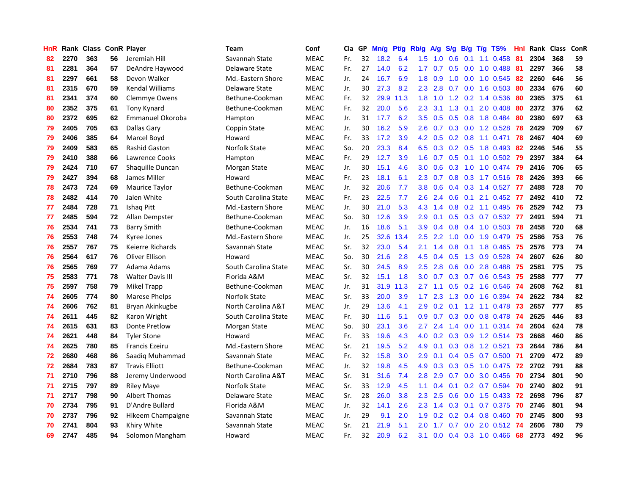| HnR |      | Rank Class ConR Player |    |                         | <b>Team</b>          | Conf        | Cla | GP | Mn/g | Pt/g | Rb/g             | A/g | S/g           | <b>B/g</b> | T/g TS%                  | Hnl | Rank Class |     | ConR |
|-----|------|------------------------|----|-------------------------|----------------------|-------------|-----|----|------|------|------------------|-----|---------------|------------|--------------------------|-----|------------|-----|------|
| 82  | 2270 | 363                    | 56 | Jeremiah Hill           | Savannah State       | <b>MEAC</b> | Fr. | 32 | 18.2 | 6.4  | 1.5              | 1.0 | 0.6           | 0.1        | 1.1 0.458                | 81  | 2304       | 368 | 59   |
| 81  | 2281 | 364                    | 57 | DeAndre Haywood         | Delaware State       | <b>MEAC</b> | Fr. | 27 | 14.0 | 6.2  | 1.7 <sub>z</sub> | 0.7 | 0.5           |            | 0.0 1.0 0.488 81         |     | 2297       | 366 | 58   |
| 81  | 2297 | 661                    | 58 | Devon Walker            | Md.-Eastern Shore    | <b>MEAC</b> | Jr. | 24 | 16.7 | 6.9  | 1.8              | 0.9 |               |            | 1.0 0.0 1.0 0.545 82     |     | 2260       | 646 | 56   |
| 81  | 2315 | 670                    | 59 | <b>Kendal Williams</b>  | Delaware State       | <b>MEAC</b> | Jr. | 30 | 27.3 | 8.2  | 2.3              | 2.8 |               |            | $0.7$ $0.0$ 1.6 $0.503$  | -80 | 2334       | 676 | 60   |
| 81  | 2341 | 374                    | 60 | Clemmye Owens           | Bethune-Cookman      | <b>MEAC</b> | Fr. | 32 | 29.9 | 11.3 | 1.8              | 1.0 | 1.2           |            | 0.2 1.4 0.536            | -80 | 2365       | 375 | 61   |
| 80  | 2352 | 375                    | 61 | Tony Kynard             | Bethune-Cookman      | <b>MEAC</b> | Fr. | 32 | 20.0 | 5.6  | 2.3              | 3.1 | 1.3           |            | $0.1$ 2.0 0.408          | -80 | 2372       | 376 | 62   |
| 80  | 2372 | 695                    | 62 | Emmanuel Okoroba        | Hampton              | <b>MEAC</b> | Jr. | 31 | 17.7 | 6.2  | 3.5              | 0.5 |               |            | 0.5 0.8 1.8 0.484        | 80  | 2380       | 697 | 63   |
| 79  | 2405 | 705                    | 63 | Dallas Gary             | Coppin State         | <b>MEAC</b> | Jr. | 30 | 16.2 | 5.9  | 2.6              | 0.7 |               |            | 0.3 0.0 1.2 0.528        | 78  | 2429       | 709 | 67   |
| 79  | 2406 | 385                    | 64 | Marcel Boyd             | Howard               | <b>MEAC</b> | Fr. | 33 | 17.2 | 3.9  | 4.2              | 0.5 |               |            | 0.2 0.8 1.1 0.471        | 78  | 2467       | 404 | 69   |
| 79  | 2409 | 583                    | 65 | <b>Rashid Gaston</b>    | Norfolk State        | <b>MEAC</b> | So. | 20 | 23.3 | 8.4  | 6.5              | 0.3 |               |            | 0.2 0.5 1.8 0.493 82     |     | 2246       | 546 | 55   |
| 79  | 2410 | 388                    | 66 | Lawrence Cooks          | Hampton              | <b>MEAC</b> | Fr. | 29 | 12.7 | 3.9  | 1.6              | 0.7 |               |            | 0.5 0.1 1.0 0.502 79     |     | 2397       | 384 | 64   |
| 79  | 2424 | 710                    | 67 | Shaquille Duncan        | Morgan State         | <b>MEAC</b> | Jr. | 30 | 15.1 | 4.6  | 3.0 <sub>2</sub> | 0.6 |               |            | 0.3 1.0 1.0 0.474 79     |     | 2416       | 706 | 65   |
| 79  | 2427 | 394                    | 68 | James Miller            | Howard               | <b>MEAC</b> | Fr. | 23 | 18.1 | 6.1  | 2.3              | 0.7 |               |            | 0.8 0.3 1.7 0.516 78     |     | 2426       | 393 | 66   |
| 78  | 2473 | 724                    | 69 | Maurice Taylor          | Bethune-Cookman      | <b>MEAC</b> | Jr. | 32 | 20.6 | 7.7  | 3.8              | 0.6 | $0.4^{\circ}$ |            | 0.3 1.4 0.527            | -77 | 2488       | 728 | 70   |
| 78  | 2482 | 414                    | 70 | Jalen White             | South Carolina State | <b>MEAC</b> | Fr. | 23 | 22.5 | 7.7  | 2.6              | 2.4 | 0.6           |            | $0.1$ 2.1 0.452 77       |     | 2492       | 410 | 72   |
| 77  | 2484 | 728                    | 71 | Ishag Pitt              | Md.-Eastern Shore    | <b>MEAC</b> | Jr. | 30 | 21.0 | 5.3  | 4.3              | 1.4 | 0.8           |            | $0.2$ 1.1 0.495          | -76 | 2529       | 742 | 73   |
| 77  | 2485 | 594                    | 72 | Allan Dempster          | Bethune-Cookman      | <b>MEAC</b> | So. | 30 | 12.6 | 3.9  | 2.9              | 0.1 | 0.5           |            | $0.3$ 0.7 0.532          | -77 | 2491       | 594 | 71   |
| 76  | 2534 | 741                    | 73 | <b>Barry Smith</b>      | Bethune-Cookman      | <b>MEAC</b> | Jr. | 16 | 18.6 | 5.1  | 3.9 <sup>°</sup> | 0.4 | 0.8           |            | $0.4$ 1.0 0.503          | 78  | 2458       | 720 | 68   |
| 76  | 2553 | 748                    | 74 | Kyree Jones             | Md.-Eastern Shore    | <b>MEAC</b> | Jr. | 25 | 32.6 | 13.4 | 2.5              | 2.2 | 1.0           |            | 0.0 1.9 0.479 75         |     | 2586       | 753 | 76   |
| 76  | 2557 | 767                    | 75 | Keierre Richards        | Savannah State       | <b>MEAC</b> | Sr. | 32 | 23.0 | 5.4  | 2.1              | 1.4 |               |            | 0.8 0.1 1.8 0.465 75     |     | 2576       | 773 | 74   |
| 76  | 2564 | 617                    | 76 | Oliver Ellison          | Howard               | <b>MEAC</b> | So. | 30 | 21.6 | 2.8  | 4.5              | 0.4 |               |            | $0.5$ 1.3 0.9 0.528      | -74 | 2607       | 626 | 80   |
| 76  | 2565 | 769                    | 77 | Adama Adams             | South Carolina State | MEAC        | Sr. | 30 | 24.5 | 8.9  | 2.5              | 2.8 | 0.6           |            | 0.0 2.8 0.488 75         |     | 2581       | 775 | 75   |
| 75  | 2583 | 771                    | 78 | <b>Walter Davis III</b> | Florida A&M          | <b>MEAC</b> | Sr. | 32 | 15.1 | 1.8  | 3.0              | 0.7 |               |            | $0.3$ 0.7 0.6 0.543      | 75  | 2588       | 777 | 77   |
| 75  | 2597 | 758                    | 79 | Mikel Trapp             | Bethune-Cookman      | <b>MEAC</b> | Jr. | 31 | 31.9 | 11.3 | 2.7              | 1.1 | 0.5           |            | $0.2$ 1.6 0.546          | 74  | 2608       | 762 | 81   |
| 74  | 2605 | 774                    | 80 | Marese Phelps           | Norfolk State        | <b>MEAC</b> | Sr. | 33 | 20.0 | 3.9  | 1.7              | 2.3 | 1.3           |            | $0.0$ 1.6 $0.394$        | -74 | 2622       | 784 | 82   |
| 74  | 2606 | 762                    | 81 | Bryan Akinkugbe         | North Carolina A&T   | <b>MEAC</b> | Jr. | 29 | 13.6 | 4.1  | 2.9              | 0.2 |               |            | $0.1$ 1.2 1.1 0.478      | -73 | 2657       | 777 | 85   |
| 74  | 2611 | 445                    | 82 | Karon Wright            | South Carolina State | <b>MEAC</b> | Fr. | 30 | 11.6 | 5.1  | 0.9 <sup>°</sup> | 0.7 |               |            | 0.3 0.0 0.8 0.478 74     |     | 2625       | 446 | 83   |
| 74  | 2615 | 631                    | 83 | <b>Donte Pretlow</b>    | Morgan State         | <b>MEAC</b> | So. | 30 | 23.1 | 3.6  | 2.7              | 2.4 |               |            | 1.4 0.0 1.1 0.314 74     |     | 2604       | 624 | 78   |
| 74  | 2621 | 448                    | 84 | <b>Tyler Stone</b>      | Howard               | <b>MEAC</b> | Fr. | 33 | 19.6 | 4.3  | 4.0              | 0.2 |               |            | 0.3 0.9 1.2 0.514 73     |     | 2668       | 460 | 86   |
| 74  | 2625 | 780                    | 85 | <b>Francis Ezeiru</b>   | Md.-Eastern Shore    | <b>MEAC</b> | Sr. | 21 | 19.5 | 5.2  | 4.9              | 0.1 | 0.3           |            | 0.8 1.2 0.521            | 73  | 2644       | 786 | 84   |
| 72  | 2680 | 468                    | 86 | Saadig Muhammad         | Savannah State       | <b>MEAC</b> | Fr. | 32 | 15.8 | 3.0  | 2.9              | 0.1 | 0.4           |            | $0.5$ 0.7 0.500          | -71 | 2709       | 472 | 89   |
| 72  | 2684 | 783                    | 87 | <b>Travis Elliott</b>   | Bethune-Cookman      | <b>MEAC</b> | Jr. | 32 | 19.8 | 4.5  | 4.9              | 0.3 | 0.3           |            | 0.5 1.0 0.475            | -72 | 2702       | 791 | 88   |
| 71  | 2710 | 796                    | 88 | Jeremy Underwood        | North Carolina A&T   | <b>MEAC</b> | Sr. | 31 | 31.6 | 7.4  | 2.8              | 2.9 | 0.7           | 0.0        | 3.0 0.456                | 70  | 2734       | 801 | 90   |
| 71  | 2715 | 797                    | 89 | <b>Riley Maye</b>       | Norfolk State        | <b>MEAC</b> | Sr. | 33 | 12.9 | 4.5  | 1.1              | 0.4 | 0.1           |            | $0.2$ 0.7 0.594          | 70  | 2740       | 802 | 91   |
| 71  | 2717 | 798                    | 90 | Albert Thomas           | Delaware State       | <b>MEAC</b> | Sr. | 28 | 26.0 | 3.8  | 2.3              | 2.5 | 0.6           |            | 0.0 1.5 0.433 72         |     | 2698       | 796 | 87   |
| 70  | 2734 | 795                    | 91 | D'Andre Bullard         | Florida A&M          | <b>MEAC</b> | Jr. | 32 | 14.1 | 2.6  | 2.3              |     |               |            | 1.4 0.3 0.1 0.7 0.375 70 |     | 2746       | 801 | 94   |
| 70  | 2737 | 796                    | 92 | Hikeem Champaigne       | Savannah State       | <b>MEAC</b> | Jr. | 29 | 9.1  | 2.0  | 1.9              | 0.2 |               |            | $0.2$ 0.4 0.8 0.460      | -70 | 2745       | 800 | 93   |
| 70  | 2741 | 804                    | 93 | Khiry White             | Savannah State       | <b>MEAC</b> | Sr. | 21 | 21.9 | 5.1  | 2.0              | 1.7 | 0.7           |            | 0.0 2.0 0.512 74         |     | 2606       | 780 | 79   |
| 69  | 2747 | 485                    | 94 | Solomon Mangham         | Howard               | <b>MEAC</b> | Fr. | 32 | 20.9 | 6.2  | 3.1              | 0.0 |               |            | 0.4 0.3 1.0 0.466        | -68 | 2773       | 492 | 96   |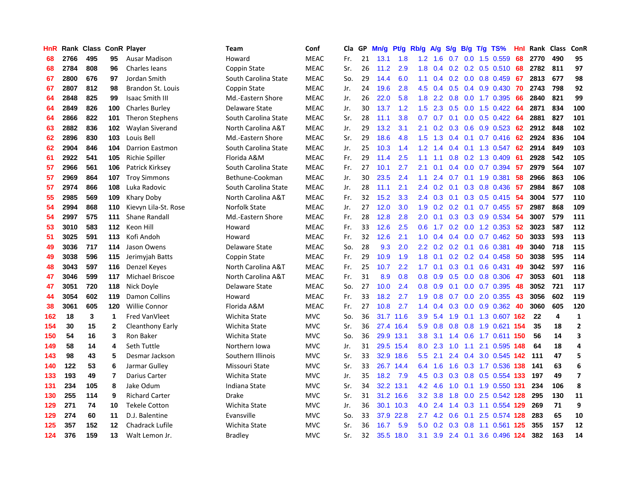| HnR |      | Rank Class ConR Player |                |                        | Team                 | Conf        | Cla | GP | Mn/g | <b>Pt/g</b> | Rb/g             | A/g           | S/g              | B/g | $T/g$ TS%                  | Hnl | Rank | <b>Class</b> | ConR                    |
|-----|------|------------------------|----------------|------------------------|----------------------|-------------|-----|----|------|-------------|------------------|---------------|------------------|-----|----------------------------|-----|------|--------------|-------------------------|
| 68  | 2766 | 495                    | 95             | <b>Ausar Madison</b>   | Howard               | <b>MEAC</b> | Fr. | 21 | 13.1 | 1.8         | 1.2              | 1.6           | 0.7              |     | $0.0$ 1.5 $0.559$          | 68  | 2770 | 490          | 95                      |
| 68  | 2784 | 808                    | 96             | <b>Charles leans</b>   | Coppin State         | <b>MEAC</b> | Sr. | 26 | 11.2 | 2.9         | 1.8              |               |                  |     | $0.4$ 0.2 0.2 0.5 0.510 68 |     | 2782 | 811          | 97                      |
| 67  | 2800 | 676                    | 97             | Jordan Smith           | South Carolina State | <b>MEAC</b> | So. | 29 | 14.4 | 6.0         | 1.1              | $0.4^{\circ}$ |                  |     | $0.2$ 0.0 0.8 0.459        | 67  | 2813 | 677          | 98                      |
| 67  | 2807 | 812                    | 98             | Brandon St. Louis      | Coppin State         | <b>MEAC</b> | Jr. | 24 | 19.6 | 2.8         | 4.5              | 0.4           | 0.5              |     | $0.4$ 0.9 0.430            | -70 | 2743 | 798          | 92                      |
| 64  | 2848 | 825                    | 99             | <b>Isaac Smith III</b> | Md.-Eastern Shore    | <b>MEAC</b> | Jr. | 26 | 22.0 | 5.8         | 1.8              | 2.2           | 0.8              |     | $0.0$ 1.7 $0.395$          | 66  | 2840 | 821          | 99                      |
| 64  | 2849 | 826                    | 100            | <b>Charles Burley</b>  | Delaware State       | <b>MEAC</b> | Jr. | 30 | 13.7 | 1.2         | 1.5              | 2.3           | 0.5              |     | 0.0 1.5 0.422 64           |     | 2871 | 834          | 100                     |
| 64  | 2866 | 822                    | 101            | <b>Theron Stephens</b> | South Carolina State | <b>MEAC</b> | Sr. | 28 | 11.1 | 3.8         | 0.7              | 0.7           | 0.1              |     | $0.0$ 0.5 0.422            | -64 | 2881 | 827          | 101                     |
| 63  | 2882 | 836                    | 102            | Waylan Siverand        | North Carolina A&T   | <b>MEAC</b> | Jr. | 29 | 13.2 | 3.1         | 2.1              | 0.2           | 0.3              |     | $0.6$ 0.9 0.523            | 62  | 2912 | 848          | 102                     |
| 62  | 2896 | 830                    | 103            | Louis Bell             | Md.-Eastern Shore    | <b>MEAC</b> | Sr. | 29 | 18.6 | 4.8         | 1.5              | 1.3           | $0.4^{\circ}$    |     | $0.1$ 0.7 0.416            | -62 | 2924 | 836          | 104                     |
| 62  | 2904 | 846                    | 104            | <b>Darrion Eastmon</b> | South Carolina State | <b>MEAC</b> | Jr. | 25 | 10.3 | 1.4         | $1.2^{\circ}$    | 1.4           |                  |     | 0.4 0.1 1.3 0.547 62       |     | 2914 | 849          | 103                     |
| 61  | 2922 | 541                    | 105            | Richie Spiller         | Florida A&M          | <b>MEAC</b> | Fr. | 29 | 11.4 | 2.5         | 1.1              | 1.1           |                  |     | 0.8 0.2 1.3 0.409 61       |     | 2928 | 542          | 105                     |
| 57  | 2966 | 561                    | 106            | Patrick Kirksey        | South Carolina State | <b>MEAC</b> | Fr. | 27 | 10.1 | 2.7         | 2.1              | 0.1           | 0.4              |     | $0.0$ 0.7 0.394 57         |     | 2979 | 564          | 107                     |
| 57  | 2969 | 864                    | 107            | <b>Troy Simmons</b>    | Bethune-Cookman      | <b>MEAC</b> | Jr. | 30 | 23.5 | 2.4         | 1.1              | 2.4           | 0.7              |     | 0.1 1.9 0.381              | -58 | 2966 | 863          | 106                     |
| 57  | 2974 | 866                    | 108            | Luka Radovic           | South Carolina State | <b>MEAC</b> | Jr. | 28 | 11.1 | 2.1         | $2.4^{\circ}$    | 0.2           | 0.1              |     | 0.3 0.8 0.436              | -57 | 2984 | 867          | 108                     |
| 55  | 2985 | 569                    | 109            | Khary Doby             | North Carolina A&T   | <b>MEAC</b> | Fr. | 32 | 15.2 | 3.3         | 2.4              | 0.3           |                  |     | 0.1 0.3 0.5 0.415 54       |     | 3004 | 577          | 110                     |
| 54  | 2994 | 868                    | 110            | Kievyn Lila-St. Rose   | Norfolk State        | <b>MEAC</b> | Jr. | 27 | 12.0 | 3.0         | 1.9              | 0.2           |                  |     | $0.2$ 0.1 0.7 0.455        | 57  | 2987 | 868          | 109                     |
| 54  | 2997 | 575                    | 111            | Shane Randall          | Md.-Eastern Shore    | <b>MEAC</b> | Fr. | 28 | 12.8 | 2.8         | 2.0              | 0.1           | 0.3              |     | 0.3 0.9 0.534              | 54  | 3007 | 579          | 111                     |
| 53  | 3010 | 583                    | 112            | Keon Hill              | Howard               | <b>MEAC</b> | Fr. | 33 | 12.6 | 2.5         | 0.6              | 1.7           |                  |     | $0.2$ 0.0 1.2 0.353        | -52 | 3023 | 587          | 112                     |
| 51  | 3025 | 591                    | 113            | Kofi Andoh             | Howard               | <b>MEAC</b> | Fr. | 32 | 12.6 | 2.1         | 1.0              | $0.4^{\circ}$ |                  |     | $0.4$ 0.0 0.7 0.462 50     |     | 3033 | 593          | 113                     |
| 49  | 3036 | 717                    | 114            | Jason Owens            | Delaware State       | <b>MEAC</b> | So. | 28 | 9.3  | 2.0         | $2.2\phantom{0}$ | 0.2           |                  |     | $0.2$ 0.1 0.6 0.381        | 49  | 3040 | 718          | 115                     |
| 49  | 3038 | 596                    | 115            | Jerimyjah Batts        | Coppin State         | <b>MEAC</b> | Fr. | 29 | 10.9 | 1.9         | 1.8              | 0.1           |                  |     | $0.2$ 0.2 0.4 0.458        | -50 | 3038 | 595          | 114                     |
| 48  | 3043 | 597                    | 116            | Denzel Keyes           | North Carolina A&T   | <b>MEAC</b> | Fr. | 25 | 10.7 | 2.2         | 1.7 <sub>2</sub> | 0.1           | 0.3              |     | $0.1$ 0.6 0.431            | 49  | 3042 | 597          | 116                     |
| 47  | 3046 | 599                    | 117            | Michael Briscoe        | North Carolina A&T   | <b>MEAC</b> | Fr. | 31 | 8.9  | 0.8         | 0.8              | 0.9           | 0.5              |     | $0.0$ 0.8 0.306            | 47  | 3053 | 601          | 118                     |
| 47  | 3051 | 720                    | 118            | Nick Doyle             | Delaware State       | <b>MEAC</b> | So. | 27 | 10.0 | 2.4         | 0.8              | 0.9           | 0.1              |     | $0.0$ 0.7 0.395            | 48  | 3052 | 721          | 117                     |
| 44  | 3054 | 602                    | 119            | Damon Collins          | Howard               | <b>MEAC</b> | Fr. | 33 | 18.2 | 2.7         | 1.9              | 0.8           | 0.7              |     | $0.0$ 2.0 $0.355$          | 43  | 3056 | 602          | 119                     |
| 38  | 3061 | 605                    | 120            | <b>Willie Connor</b>   | Florida A&M          | <b>MEAC</b> | Fr. | 27 | 10.8 | 2.7         | 1.4              | 0.4           | 0.3              |     | 0.0 0.9 0.362 40           |     | 3060 | 605          | 120                     |
| 162 | 18   | 3                      | $\mathbf 1$    | Fred VanVleet          | Wichita State        | <b>MVC</b>  | So. | 36 |      | 31.7 11.6   | 3.9 <sup>°</sup> |               |                  |     | 5.4 1.9 0.1 1.3 0.607 162  |     | 22   | 4            | $\mathbf{1}$            |
| 154 | 30   | 15                     | $\mathbf{2}$   | Cleanthony Early       | Wichita State        | <b>MVC</b>  | Sr. | 36 | 27.4 | 16.4        | 5.9              | 0.8           |                  |     | 0.8 0.8 1.9 0.621 154      |     | 35   | 18           | $\overline{2}$          |
| 150 | 54   | 16                     | 3              | Ron Baker              | Wichita State        | <b>MVC</b>  | So. | 36 | 29.9 | 13.1        | 3.8 <sub>2</sub> |               |                  |     | 3.1 1.4 0.6 1.7 0.611 150  |     | 56   | 14           | 3                       |
| 149 | 58   | 14                     | 4              | Seth Tuttle            | Northern Iowa        | <b>MVC</b>  | Jr. | 31 |      | 29.5 15.4   | 8.0              | 2.3           | 1.0              |     | 1.1 2.1 0.595 148          |     | 64   | 18           | 4                       |
| 143 | 98   | 43                     | 5              | Desmar Jackson         | Southern Illinois    | <b>MVC</b>  | Sr. | 33 | 32.9 | 18.6        | 5.5              | 2.1           | 2.4              |     | 0.4 3.0 0.545 142          |     | -111 | 47           | 5                       |
| 140 | 122  | 53                     | 6              | Jarmar Gulley          | Missouri State       | <b>MVC</b>  | Sr. | 33 | 26.7 | 14.4        | 6.4              | 1.6           | 1.6              |     | 0.3 1.7 0.536 138          |     | 141  | 63           | 6                       |
| 133 | 193  | 49                     | $\overline{7}$ | Darius Carter          | Wichita State        | <b>MVC</b>  | Jr. | 35 | 18.2 | 7.9         | 4.5              | 0.3           | 0.3              |     | 0.8 0.5 0.554 133          |     | 197  | 49           | $\overline{\mathbf{z}}$ |
| 131 | 234  | 105                    | 8              | Jake Odum              | Indiana State        | <b>MVC</b>  | Sr. | 34 | 32.2 | 13.1        | 4.2              | 4.6           | 1.0              |     | 0.1 1.9 0.550 131          |     | 234  | 106          | 8                       |
| 130 | 255  | 114                    | 9              | <b>Richard Carter</b>  | Drake                | <b>MVC</b>  | Sr. | 31 | 31.2 | 16.6        | 3.2              | 3.8           | 1.8              |     | $0.0$ 2.5 $0.542$ 128      |     | 295  | 130          | 11                      |
| 129 | 271  | 74                     | 10             | <b>Tekele Cotton</b>   | Wichita State        | <b>MVC</b>  | Jr. | 36 | 30.1 | 10.3        |                  | $4.0\quad2.4$ |                  |     | 1.4 0.3 1.1 0.554 129      |     | 269  | 71           | 9                       |
| 129 | 274  | 60                     | 11             | D.J. Balentine         | Evansville           | <b>MVC</b>  | So. | 33 | 37.9 | 22.8        | $2.7^{\circ}$    | 4.2           | 0.6              |     | $0.1$ 2.5 0.574 128        |     | 283  | 65           | 10                      |
| 125 | 357  | 152                    | 12             | Chadrack Lufile        | Wichita State        | <b>MVC</b>  | Sr. | 36 | 16.7 | 5.9         | 5.0              | 0.2           | 0.3 <sub>0</sub> |     | 0.8 1.1 0.561 125          |     | 355  | 157          | 12                      |
| 124 | 376  | 159                    | 13             | Walt Lemon Jr.         | Bradley              | <b>MVC</b>  | Sr. | 32 | 35.5 | 18.0        | 3.1              |               |                  |     | 3.9 2.4 0.1 3.6 0.496 124  |     | 382  | 163          | 14                      |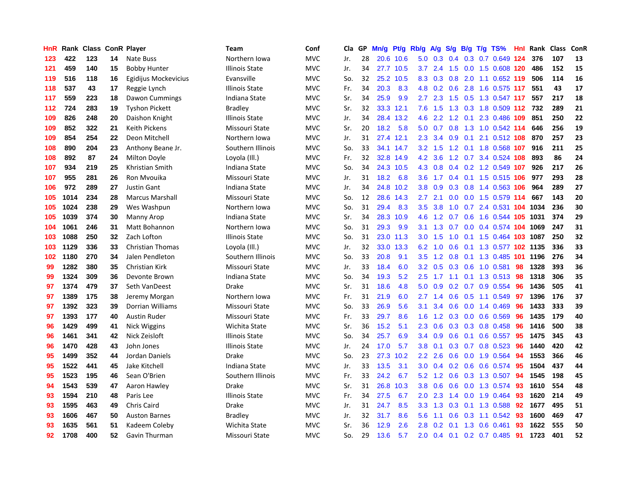| HnR | Rank | <b>Class</b> |    | <b>ConR Player</b>      | Team                  | Conf       | Cla | GP | Mn/g | Pt/g      | Rb/g             | $\mathsf{A/g}$  | S/g | B/g | T/g TS%                    | <b>Hnl</b> | Rank | Class | ConR |
|-----|------|--------------|----|-------------------------|-----------------------|------------|-----|----|------|-----------|------------------|-----------------|-----|-----|----------------------------|------------|------|-------|------|
| 123 | 422  | 123          | 14 | Nate Buss               | Northern Iowa         | <b>MVC</b> | Jr. | 28 |      | 20.6 10.6 |                  | $5.0 \quad 0.3$ | 0.4 |     | 0.3 0.7 0.649 124          |            | 376  | 107   | 13   |
| 121 | 459  | 140          | 15 | <b>Bobby Hunter</b>     | <b>Illinois State</b> | <b>MVC</b> | Jr. | 34 |      | 27.7 10.5 | 3.7              |                 |     |     | 2.4 1.5 0.0 1.5 0.608 120  |            | 486  | 152   | 15   |
| 119 | 516  | 118          | 16 | Egidijus Mockevicius    | Evansville            | <b>MVC</b> | So. | 32 | 25.2 | 10.5      | 8.3              | 0.3             |     |     | 0.8 2.0 1.1 0.652 119      |            | 506  | 114   | 16   |
| 118 | 537  | 43           | 17 | Reggie Lynch            | <b>Illinois State</b> | <b>MVC</b> | Fr. | 34 | 20.3 | 8.3       | 4.8              | 0.2             | 0.6 |     | 2.8 1.6 0.575 117          |            | 551  | 43    | 17   |
| 117 | 559  | 223          | 18 | Dawon Cummings          | Indiana State         | <b>MVC</b> | Sr. | 34 | 25.9 | 9.9       | $2.7^{\circ}$    | 2.3             | 1.5 |     | 0.5 1.3 0.547 117          |            | 557  | 217   | 18   |
| 112 | 724  | 283          | 19 | <b>Tyshon Pickett</b>   | <b>Bradley</b>        | <b>MVC</b> | Sr. | 32 |      | 33.3 12.1 | 7.6              | 1.5             |     |     | 1.3 0.3 1.8 0.509 112      |            | 732  | 289   | 21   |
| 109 | 826  | 248          | 20 | Daishon Knight          | <b>Illinois State</b> | <b>MVC</b> | Jr. | 34 | 28.4 | 13.2      | 4.6              | 2.2             |     |     | 1.2 0.1 2.3 0.486 109      |            | 851  | 250   | 22   |
| 109 | 852  | 322          | 21 | <b>Keith Pickens</b>    | Missouri State        | <b>MVC</b> | Sr. | 20 | 18.2 | 5.8       | 5.0              | 0.7             |     |     | 0.8 1.3 1.0 0.542 114      |            | 646  | 256   | 19   |
| 109 | 854  | 254          | 22 | Deon Mitchell           | Northern Iowa         | <b>MVC</b> | Jr. | 31 | 27.4 | 12.1      | 2.3              | 3.4             | 0.9 |     | $0.1$ 2.1 0.512 108        |            | 870  | 257   | 23   |
| 108 | 890  | 204          | 23 | Anthony Beane Jr.       | Southern Illinois     | <b>MVC</b> | So. | 33 |      | 34.1 14.7 | 3.2              | 1.5             |     |     | 1.2 0.1 1.8 0.568 107      |            | 916  | 211   | 25   |
| 108 | 892  | 87           | 24 | Milton Doyle            | Loyola (III.)         | <b>MVC</b> | Fr. | 32 |      | 32.8 14.9 | 4.2              | 3.6             |     |     | 1.2 0.7 3.4 0.524 108      |            | 893  | 86    | 24   |
| 107 | 934  | 219          | 25 | Khristian Smith         | Indiana State         | <b>MVC</b> | So. | 34 | 24.3 | 10.5      | 4.3              | 0.8             |     |     | $0.4$ 0.2 1.2 0.549 107    |            | 926  | 217   | 26   |
| 107 | 955  | 281          | 26 | Ron Mvouika             | Missouri State        | <b>MVC</b> | Jr. | 31 | 18.2 | 6.8       | 3.6              | 1.7             | 0.4 |     | 0.1 1.5 0.515 106          |            | 977  | 293   | 28   |
| 106 | 972  | 289          | 27 | <b>Justin Gant</b>      | Indiana State         | <b>MVC</b> | Jr. | 34 | 24.8 | 10.2      | 3.8 <sub>2</sub> | 0.9             | 0.3 |     | 0.8 1.4 0.563 106          |            | 964  | 289   | 27   |
| 105 | 1014 | 234          | 28 | <b>Marcus Marshall</b>  | Missouri State        | <b>MVC</b> | So. | 12 | 28.6 | 14.3      | $2.7^{\circ}$    | 2.1             | 0.0 |     | 0.0 1.5 0.579 114          |            | 667  | 143   | 20   |
| 105 | 1024 | 238          | 29 | Wes Washpun             | Northern Iowa         | <b>MVC</b> | So. | 31 | 29.4 | 8.3       | $3.5^{\circ}$    | 3.8             | 1.0 |     | 0.7 2.4 0.531 104 1034     |            |      | 236   | 30   |
| 105 | 1039 | 374          | 30 | <b>Manny Arop</b>       | Indiana State         | <b>MVC</b> | Sr. | 34 | 28.3 | 10.9      | 4.6              | 1.2             | 0.7 |     | 0.6 1.6 0.544 105 1031     |            |      | 374   | 29   |
| 104 | 1061 | 246          | 31 | Matt Bohannon           | Northern Iowa         | <b>MVC</b> | So. | 31 | 29.3 | 9.9       | 3.1              | 1.3             | 0.7 |     | 0.0 0.4 0.574 104 1069     |            |      | 247   | 31   |
| 103 | 1088 | 250          | 32 | Zach Lofton             | <b>Illinois State</b> | <b>MVC</b> | So. | 31 |      | 23.0 11.3 | 3.0 <sub>2</sub> | 1.5             |     |     | 1.0 0.1 1.5 0.464 103 1087 |            |      | 250   | 32   |
| 103 | 1129 | 336          | 33 | <b>Christian Thomas</b> | Loyola (III.)         | <b>MVC</b> | Jr. | 32 | 33.0 | 13.3      | 6.2              | 1.0             |     |     | 0.6 0.1 1.3 0.577 102 1135 |            |      | 336   | 33   |
| 102 | 1180 | 270          | 34 | Jalen Pendleton         | Southern Illinois     | <b>MVC</b> | So. | 33 | 20.8 | 9.1       | 3.5              | 1.2             | 0.8 |     | 0.1 1.3 0.485 101 1196     |            |      | 276   | 34   |
| 99  | 1282 | 380          | 35 | Christian Kirk          | Missouri State        | <b>MVC</b> | Jr. | 33 | 18.4 | 6.0       | 3.2              | 0.5             | 0.3 |     | 0.6 1.0 0.581              | 98         | 1328 | 393   | 36   |
| 99  | 1324 | 309          | 36 | Devonte Brown           | Indiana State         | <b>MVC</b> | So. | 34 | 19.3 | 5.2       | 2.5              | 1.7             | 1.1 |     | 0.1 1.3 0.513 98           |            | 1318 | 306   | 35   |
| 97  | 1374 | 479          | 37 | Seth VanDeest           | Drake                 | <b>MVC</b> | Sr. | 31 | 18.6 | 4.8       | 5.0              | 0.9             |     |     | 0.2 0.7 0.9 0.554          | 96         | 1436 | 505   | 41   |
| 97  | 1389 | 175          | 38 | Jeremy Morgan           | Northern Iowa         | <b>MVC</b> | Fr. | 31 | 21.9 | 6.0       | $2.7^{\circ}$    | 1.4             | 0.6 |     | 0.5 1.1 0.549              | -97        | 1396 | 176   | 37   |
| 97  | 1392 | 323          | 39 | <b>Dorrian Williams</b> | Missouri State        | <b>MVC</b> | So. | 33 | 26.9 | 5.6       | 3.1              | 3.4             | 0.6 |     | $0.0$ 1.4 $0.469$          | 96         | 1433 | 333   | 39   |
| 97  | 1393 | 177          | 40 | <b>Austin Ruder</b>     | Missouri State        | <b>MVC</b> | Fr. | 33 | 29.7 | 8.6       | 1.6              |                 |     |     | 1.2 0.3 0.0 0.6 0.569 96   |            | 1435 | 179   | 40   |
| 96  | 1429 | 499          | 41 | Nick Wiggins            | Wichita State         | <b>MVC</b> | Sr. | 36 | 15.2 | 5.1       | $2.3^{\circ}$    | 0.6             |     |     | $0.3$ 0.3 0.8 0.458        | -96        | 1416 | 500   | 38   |
| 96  | 1461 | 341          | 42 | Nick Zeisloft           | Illinois State        | <b>MVC</b> | So. | 34 | 25.7 | 6.9       | $3.4^{\circ}$    | 0.9             |     |     | 0.6 0.1 0.6 0.557 95       |            | 1475 | 345   | 43   |
| 96  | 1470 | 428          | 43 | John Jones              | Illinois State        | <b>MVC</b> | Jr. | 24 | 17.0 | 5.7       | 3.8              | 0.1             | 0.3 |     | $0.7$ 0.8 0.523            | -96        | 1440 | 420   | 42   |
| 95  | 1499 | 352          | 44 | Jordan Daniels          | Drake                 | <b>MVC</b> | So. | 23 | 27.3 | 10.2      | 2.2              | 2.6             | 0.6 |     | 0.0 1.9 0.564 94           |            | 1553 | 366   | 46   |
| 95  | 1522 | 441          | 45 | Jake Kitchell           | <b>Indiana State</b>  | <b>MVC</b> | Jr. | 33 | 13.5 | 3.1       | 3.0 <sub>2</sub> | 0.4             |     |     | $0.2$ 0.6 0.6 0.574        | 95         | 1504 | 437   | 44   |
| 95  | 1523 | 195          | 46 | Sean O'Brien            | Southern Illinois     | <b>MVC</b> | Fr. | 33 | 24.2 | 6.7       | 5.2              | 1.2             | 0.6 |     | $0.3$ 1.3 0.507            | -94        | 1545 | 198   | 45   |
| 94  | 1543 | 539          | 47 | Aaron Hawley            | Drake                 | <b>MVC</b> | Sr. | 31 | 26.8 | 10.3      | 3.8              | 0.6             | 0.6 |     | 0.0 1.3 0.574              | 93         | 1610 | 554   | 48   |
| 93  | 1594 | 210          | 48 | Paris Lee               | <b>Illinois State</b> | <b>MVC</b> | Fr. | 34 | 27.5 | 6.7       | 2.0              | 2.3             | 1.4 |     | 0.0 1.9 0.464 93           |            | 1620 | 214   | 49   |
| 93  | 1595 | 463          | 49 | Chris Caird             | Drake                 | <b>MVC</b> | Jr. | 31 | 24.7 | 8.5       | 3.3 <sub>2</sub> | 1.3             |     |     | 0.3 0.1 1.3 0.588 92       |            | 1677 | 495   | 51   |
| 93  | 1606 | 467          | 50 | <b>Auston Barnes</b>    | Bradley               | <b>MVC</b> | Jr. | 32 | 31.7 | 8.6       | 5.6              | 1.1             | 0.6 |     | 0.3 1.1 0.542              | -93        | 1600 | 469   | 47   |
| 93  | 1635 | 561          | 51 | Kadeem Coleby           | Wichita State         | <b>MVC</b> | Sr. | 36 | 12.9 | 2.6       | 2.8              | 0.2             |     |     | 0.1 1.3 0.6 0.461          | 93         | 1622 | 555   | 50   |
| 92  | 1708 | 400          | 52 | Gavin Thurman           | Missouri State        | <b>MVC</b> | So. | 29 | 13.6 | 5.7       | $2.0^{\circ}$    |                 |     |     | $0.4$ 0.1 0.2 0.7 0.485    | -91        | 1723 | 401   | 52   |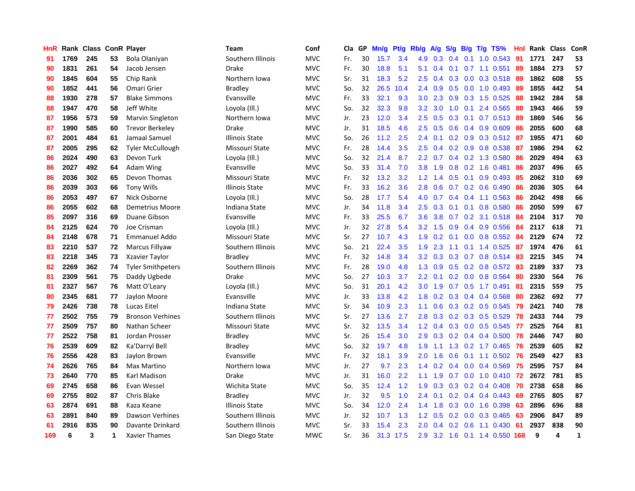| HnR |      | Rank Class ConR Player |    |                          | Team                  | Conf       | Cla | GP | Mn/g | <b>Pt/g</b> | Rb/g             | <b>A/g</b> | S/g              | B/g | $T/g$ TS%                 | Hnl | Rank | Class | ConR         |
|-----|------|------------------------|----|--------------------------|-----------------------|------------|-----|----|------|-------------|------------------|------------|------------------|-----|---------------------------|-----|------|-------|--------------|
| 91  | 1769 | 245                    | 53 | Bola Olaniyan            | Southern Illinois     | <b>MVC</b> | Fr. | 30 | 15.7 | 3.4         | 4.9              | 0.3        | 0.4              | 0.1 | $1.0 \t0.543$             | 91  | 1771 | 247   | 53           |
| 90  | 1831 | 261                    | 54 | Jacob Jensen             | Drake                 | <b>MVC</b> | Fr. | 30 | 18.8 | 5.1         | 5.1              | 0.4        |                  |     | $0.1$ 0.7 1.1 0.551       | -89 | 1884 | 273   | 57           |
| 90  | 1845 | 604                    | 55 | Chip Rank                | Northern Iowa         | <b>MVC</b> | Sr. | 31 | 18.3 | 5.2         | 2.5              | 0.4        |                  |     | 0.3 0.0 0.3 0.518 89      |     | 1862 | 608   | 55           |
| 90  | 1852 | 441                    | 56 | Omari Grier              | Bradley               | <b>MVC</b> | So. | 32 | 26.5 | 10.4        | $2.4^{\circ}$    | 0.9        |                  |     | $0.5$ 0.0 1.0 0.493       | -89 | 1855 | 442   | 54           |
| 88  | 1930 | 278                    | 57 | <b>Blake Simmons</b>     | Evansville            | <b>MVC</b> | Fr. | 33 | 32.1 | 9.3         | 3.0              | 2.3        | 0.9              |     | 0.3 1.5 0.525             | 88  | 1942 | 284   | 58           |
| 88  | 1947 | 470                    | 58 | Jeff White               | Loyola (III.)         | <b>MVC</b> | So. | 32 | 32.3 | 9.8         | 3.2              | 3.0        | 1.0              |     | $0.1$ 2.4 $0.565$         | 88  | 1943 | 466   | 59           |
| 87  | 1956 | 573                    | 59 | Marvin Singleton         | Northern Iowa         | <b>MVC</b> | Jr. | 23 | 12.0 | 3.4         | 2.5              | 0.5        | 0.3              |     | 0.1 0.7 0.513 89          |     | 1869 | 546   | 56           |
| 87  | 1990 | 585                    | 60 | <b>Trevor Berkeley</b>   | Drake                 | <b>MVC</b> | Jr. | 31 | 18.5 | 4.6         | 2.5              | 0.5        | 0.6              |     | $0.4$ 0.9 0.609           | 86  | 2055 | 600   | 68           |
| 87  | 2001 | 484                    | 61 | Jamaal Samuel            | <b>Illinois State</b> | <b>MVC</b> | So. | 26 | 11.2 | 2.5         | 2.4              | 0.1        | 0.2              |     | 0.9 0.3 0.512 87          |     | 1955 | 471   | 60           |
| 87  | 2005 | 295                    | 62 | <b>Tyler McCullough</b>  | Missouri State        | <b>MVC</b> | Fr. | 28 | 14.4 | 3.5         | 2.5              | 0.4        |                  |     | 0.2 0.9 0.8 0.538 87      |     | 1986 | 294   | 62           |
| 86  | 2024 | 490                    | 63 | Devon Turk               | Loyola (III.)         | <b>MVC</b> | So. | 32 | 21.4 | 8.7         | 2.2              | 0.7        |                  |     | 0.4 0.2 1.3 0.580 86      |     | 2029 | 494   | 63           |
| 86  | 2027 | 492                    | 64 | Adam Wing                | Evansville            | <b>MVC</b> | So. | 33 | 31.4 | 7.0         | 3.8              | 1.9        |                  |     | $0.8$ 0.2 1.6 0.481       | 86  | 2037 | 496   | 65           |
| 86  | 2036 | 302                    | 65 | Devon Thomas             | Missouri State        | <b>MVC</b> | Fr. | 32 | 13.2 | 3.2         | 1.2              | 1.4        | 0.5              |     | $0.1$ 0.9 0.493           | -85 | 2062 | 310   | 69           |
| 86  | 2039 | 303                    | 66 | <b>Tony Wills</b>        | <b>Illinois State</b> | <b>MVC</b> | Fr. | 33 | 16.2 | 3.6         | 2.8              | 0.6        |                  |     | $0.7$ 0.2 0.6 0.490       | -86 | 2036 | 305   | 64           |
| 86  | 2053 | 497                    | 67 | Nick Osborne             | Loyola (Ill.)         | <b>MVC</b> | So. | 28 | 17.7 | 5.4         | 4.0              | 0.7        |                  |     | $0.4$ 0.4 1.1 0.563       | -86 | 2042 | 498   | 66           |
| 86  | 2055 | 602                    | 68 | Demetrius Moore          | Indiana State         | <b>MVC</b> | Jr. | 34 | 11.8 | 3.4         | $2.5^{\circ}$    | 0.3        | 0.1              |     | $0.1$ 0.8 0.580           | -86 | 2050 | 599   | 67           |
| 85  | 2097 | 316                    | 69 | Duane Gibson             | Evansville            | <b>MVC</b> | Fr. | 33 | 25.5 | 6.7         | 3.6              | 3.8        | 0.7              |     | 0.2 3.1 0.518             | -84 | 2104 | 317   | 70           |
| 84  | 2125 | 624                    | 70 | Joe Crisman              | Loyola (III.)         | <b>MVC</b> | Jr. | 32 | 27.8 | 5.4         | 3.2              | 1.5        | 0.9              |     | 0.4 0.9 0.556             | -84 | 2117 | 618   | 71           |
| 84  | 2148 | 678                    | 71 | <b>Emmanuel Addo</b>     | Missouri State        | <b>MVC</b> | Sr. | 27 | 10.7 | 4.3         | 1.9              | 0.2        |                  |     | 0.1 0.0 0.8 0.552 84      |     | 2129 | 674   | 72           |
| 83  | 2210 | 537                    | 72 | Marcus Fillyaw           | Southern Illinois     | <b>MVC</b> | So. | 21 | 22.4 | 3.5         | 1.9              | 2.3        |                  |     | 1.1 0.1 1.4 0.525         | -87 | 1974 | 476   | 61           |
| 83  | 2218 | 345                    | 73 | Xzavier Taylor           | <b>Bradley</b>        | <b>MVC</b> | Fr. | 32 | 14.8 | 3.4         | 3.2              | 0.3        | 0.3              |     | 0.7 0.8 0.514 83          |     | 2215 | 345   | 74           |
| 82  | 2269 | 362                    | 74 | <b>Tyler Smithpeters</b> | Southern Illinois     | <b>MVC</b> | Fr. | 28 | 19.0 | 4.8         | 1.3              | 0.9        | 0.5              |     | 0.2 0.8 0.572             | -83 | 2189 | 337   | 73           |
| 81  | 2309 | 561                    | 75 | Daddy Ugbede             | Drake                 | <b>MVC</b> | So. | 27 | 10.3 | 3.7         | 2.2              | 0.1        |                  |     | $0.2$ 0.0 0.8 0.564       | 80  | 2330 | 564   | 76           |
| 81  | 2327 | 567                    | 76 | Matt O'Leary             | Loyola (Ill.)         | <b>MVC</b> | So. | 31 | 20.1 | 4.2         | 3.0 <sub>2</sub> | 1.9        | 0.7              |     | $0.5$ 1.7 $0.491$         | 81  | 2315 | 559   | 75           |
| 80  | 2345 | 681                    | 77 | Jaylon Moore             | Evansville            | <b>MVC</b> | Jr. | 33 | 13.8 | 4.2         | 1.8              | 0.2        | 0.3 <sub>0</sub> |     | 0.4 0.4 0.568             | -80 | 2362 | 692   | 77           |
| 79  | 2426 | 738                    | 78 | <b>Lucas Eitel</b>       | Indiana State         | <b>MVC</b> | Sr. | 34 | 10.9 | 2.3         | 1.1              | 0.6        |                  |     | 0.3 0.2 0.5 0.545 79      |     | 2421 | 740   | 78           |
| 77  | 2502 | 755                    | 79 | <b>Bronson Verhines</b>  | Southern Illinois     | <b>MVC</b> | Sr. | 27 | 13.6 | 2.7         | 2.8              |            |                  |     | 0.3 0.2 0.3 0.5 0.529 78  |     | 2433 | 744   | 79           |
| 77  | 2509 | 757                    | 80 | Nathan Scheer            | Missouri State        | <b>MVC</b> | Sr. | 32 | 13.5 | 3.4         | 1.2              | 0.4        |                  |     | 0.3 0.0 0.5 0.545 77      |     | 2525 | 764   | 81           |
| 77  | 2522 | 758                    | 81 | Jordan Prosser           | <b>Bradley</b>        | <b>MVC</b> | Sr. | 26 | 15.4 | 3.0         | 2.9              | 0.3        |                  |     | $0.2$ 0.4 0.4 0.500       | 78  | 2446 | 747   | 80           |
| 76  | 2539 | 609                    | 82 | Ka'Darryl Bell           | <b>Bradley</b>        | <b>MVC</b> | So. | 32 | 19.7 | 4.8         | 1.9              | 1.1        | 1.3              |     | $0.2$ 1.7 0.465           | -76 | 2539 | 605   | 82           |
| 76  | 2556 | 428                    | 83 | Jaylon Brown             | Evansville            | <b>MVC</b> | Fr. | 32 | 18.1 | 3.9         | 2.0              | 1.6        | 0.6              |     | 0.1 1.1 0.502 76          |     | 2549 | 427   | 83           |
| 74  | 2626 | 765                    | 84 | Max Martino              | Northern Iowa         | <b>MVC</b> | Jr. | 27 | 9.7  | 2.3         | 1.4              | 0.2        | $0.4^{\circ}$    |     | $0.0$ 0.4 0.569           | 75  | 2595 | 757   | 84           |
| 73  | 2640 | 770                    | 85 | Karl Madison             | Drake                 | <b>MVC</b> | Jr. | 31 | 16.0 | 2.2         | 1.1              | 1.9        | 0.7              |     | $0.0$ 1.0 $0.410$         | 72  | 2672 | 781   | 85           |
| 69  | 2745 | 658                    | 86 | Evan Wessel              | Wichita State         | <b>MVC</b> | So. | 35 | 12.4 | 1.2         | 1.9              | 0.3        | 0.3              |     | $0.2$ 0.4 0.408           | -70 | 2738 | 658   | 86           |
| 69  | 2755 | 802                    | 87 | Chris Blake              | Bradley               | <b>MVC</b> | Jr. | 32 | 9.5  | 1.0         | $2.4^{\circ}$    | 0.1        |                  |     | $0.2$ 0.4 0.4 0.443       | -69 | 2765 | 805   | 87           |
| 63  | 2874 | 691                    | 88 | Kaza Keane               | Illinois State        | <b>MVC</b> | So. | 34 | 12.0 | 2.4         | 1.4              | 1.8        |                  |     | $0.3$ 0.0 1.6 0.398       | -63 | 2896 | 696   | 88           |
| 63  | 2891 | 840                    | 89 | Dawson Verhines          | Southern Illinois     | <b>MVC</b> | Jr. | 32 | 10.7 | 1.3         | $1.2^{\circ}$    | 0.5        | 0.2              |     | $0.0$ 0.3 0.465           | -63 | 2906 | 847   | 89           |
| 61  | 2916 | 835                    | 90 | Davante Drinkard         | Southern Illinois     | <b>MVC</b> | Sr. | 33 | 15.4 | 2.3         | 2.0              | 0.4        | 0.2              |     | $0.6$ 1.1 $0.430$         | -61 | 2937 | 838   | 90           |
| 169 | 6    | 3                      | 1  | <b>Xavier Thames</b>     | San Diego State       | <b>MWC</b> | Sr. | 36 |      | 31.3 17.5   | 2.9              |            |                  |     | 3.2 1.6 0.1 1.4 0.550 168 |     | 9    | 4     | $\mathbf{1}$ |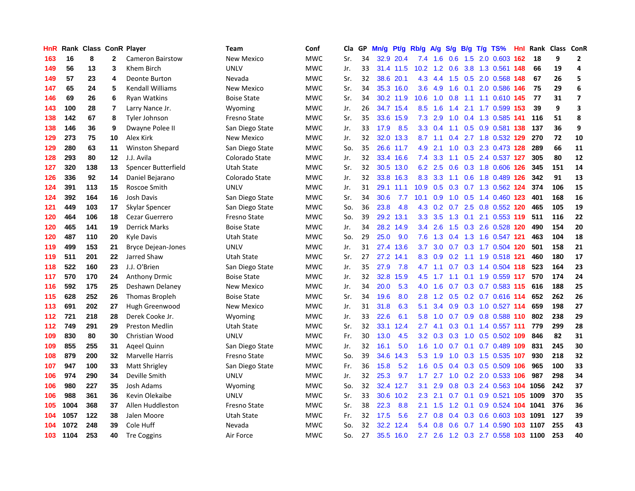| HnR | Rank | <b>Class ConR Player</b> |                |                           | Team               | Conf       | Cla | GP | Mn/g | <b>Pt/g</b> | Rb/g              | A/g     |               |  | S/g B/g T/g TS%                    | <b>Hnl</b> Rank | Class ConR |                         |
|-----|------|--------------------------|----------------|---------------------------|--------------------|------------|-----|----|------|-------------|-------------------|---------|---------------|--|------------------------------------|-----------------|------------|-------------------------|
| 163 | 16   | 8                        | $\mathbf{2}$   | <b>Cameron Bairstow</b>   | New Mexico         | <b>MWC</b> | Sr. | 34 |      | 32.9 20.4   | 7.4               | 1.6     | 0.6           |  | 1.5 2.0 0.603 162                  | 18              | 9          | $\overline{2}$          |
| 149 | 56   | 13                       | 3              | Khem Birch                | <b>UNLV</b>        | <b>MWC</b> | Jr. | 33 |      | 31.4 11.5   | 10.2 <sub>2</sub> |         |               |  | 1.2 0.6 3.8 1.3 0.561 148          | 66              | 19         | 4                       |
| 149 | 57   | 23                       | 4              | Deonte Burton             | Nevada             | <b>MWC</b> | Sr. | 32 | 38.6 | 20.1        | 4.3               |         |               |  | 4.4 1.5 0.5 2.0 0.568 148          | 67              | 26         | 5                       |
| 147 | 65   | 24                       | 5              | <b>Kendall Williams</b>   | New Mexico         | <b>MWC</b> | Sr. | 34 |      | 35.3 16.0   | 3.6               | 4.9 1.6 |               |  | 0.1 2.0 0.586 146                  | 75              | 29         | 6                       |
| 146 | 69   | 26                       | 6              | Ryan Watkins              | <b>Boise State</b> | <b>MWC</b> | Sr. | 34 |      | 30.2 11.9   | 10.6              | 1.0     | 0.8           |  | 1.1 1.1 0.610 145                  | 77              | 31         | $\overline{ }$          |
| 143 | 100  | 28                       | $\overline{7}$ | Larry Nance Jr.           | Wyoming            | <b>MWC</b> | Jr. | 26 |      | 34.7 15.4   | 8.5               | 1.6     | $1.4^{\circ}$ |  | 2.1 1.7 0.599 153                  | 39              | 9          | $\overline{\mathbf{3}}$ |
| 138 | 142  | 67                       | 8              | Tyler Johnson             | Fresno State       | <b>MWC</b> | Sr. | 35 | 33.6 | 15.9        | 7.3               | 2.9     | 1.0           |  | 0.4 1.3 0.585 141                  | 116             | 51         | 8                       |
| 138 | 146  | 36                       | 9              | Dwayne Polee II           | San Diego State    | <b>MWC</b> | Jr. | 33 | 17.9 | 8.5         | 3.3               | 0.4     | 1.1           |  | 0.5 0.9 0.581 138                  | 137             | 36         | 9                       |
| 129 | 273  | 75                       | 10             | Alex Kirk                 | <b>New Mexico</b>  | <b>MWC</b> | Jr. | 32 | 32.0 | 13.3        | 8.7               | 1.1     | 0.4           |  | 2.7 1.8 0.532 129                  | 270             | 72         | 10                      |
| 129 | 280  | 63                       | 11             | Winston Shepard           | San Diego State    | <b>MWC</b> | So. | 35 |      | 26.6 11.7   | 4.9               | 2.1     |               |  | 1.0 0.3 2.3 0.473 128              | 289             | 66         | 11                      |
| 128 | 293  | 80                       | 12             | J.J. Avila                | Colorado State     | <b>MWC</b> | Jr. | 32 |      | 33.4 16.6   | 7.4               |         |               |  | 3.3 1.1 0.5 2.4 0.537 127          | 305             | 80         | 12                      |
| 127 | 320  | 138                      | 13             | Spencer Butterfield       | Utah State         | <b>MWC</b> | Sr. | 32 |      | 30.5 13.0   | 6.2               | 2.5     |               |  | 0.6 0.3 1.8 0.606 126              | 345             | 151        | 14                      |
| 126 | 336  | 92                       | 14             | Daniel Bejarano           | Colorado State     | <b>MWC</b> | Jr. | 32 |      | 33.8 16.3   | 8.3               | 3.3     | 1.1           |  | 0.6 1.8 0.489 126                  | 342             | 91         | 13                      |
| 124 | 391  | 113                      | 15             | Roscoe Smith              | <b>UNLV</b>        | <b>MWC</b> | Jr. | 31 |      | 29.1 11.1   | 10.9              | 0.5     | 0.3           |  | 0.7 1.3 0.562 124                  | 374             | 106        | 15                      |
| 124 | 392  | 164                      | 16             | Josh Davis                | San Diego State    | <b>MWC</b> | Sr. | 34 | 30.6 | 7.7         | 10.1              | 0.9     | 1.0           |  | 0.5 1.4 0.460 123                  | 401             | 168        | 16                      |
| 121 | 449  | 103                      | 17             | Skylar Spencer            | San Diego State    | <b>MWC</b> | So. | 36 | 23.8 | 4.8         | 4.3               | 0.2     | 0.7           |  | 2.5 0.8 0.552 120                  | 465             | 105        | 19                      |
| 120 | 464  | 106                      | 18             | Cezar Guerrero            | Fresno State       | <b>MWC</b> | So. | 39 | 29.2 | 13.1        | 3.3 <sub>2</sub>  | 3.5     | 1.3           |  | 0.1 2.1 0.553 119                  | 511             | 116        | 22                      |
| 120 | 465  | 141                      | 19             | <b>Derrick Marks</b>      | <b>Boise State</b> | <b>MWC</b> | Jr. | 34 |      | 28.2 14.9   | $3.4^{\circ}$     | 2.6     | 1.5           |  | 0.3 2.6 0.528 120                  | 490             | 154        | 20                      |
| 120 | 487  | 110                      | 20             | Kyle Davis                | Utah State         | <b>MWC</b> | So. | 29 | 25.0 | 9.0         | 7.6               |         |               |  | 1.3 0.4 1.3 1.6 0.547 121          | 463             | 104        | 18                      |
| 119 | 499  | 153                      | 21             | <b>Bryce Dejean-Jones</b> | <b>UNLV</b>        | <b>MWC</b> | Jr. | 31 | 27.4 | 13.6        | 3.7 <sub>2</sub>  |         |               |  | 3.0 0.7 0.3 1.7 0.504 120          | 501             | 158        | 21                      |
| 119 | 511  | 201                      | 22             | Jarred Shaw               | Utah State         | <b>MWC</b> | Sr. | 27 | 27.2 | 14.1        | 8.3               | 0.9     |               |  | 0.2 1.1 1.9 0.518 121              | 460             | 180        | 17                      |
| 118 | 522  | 160                      | 23             | J.J. O'Brien              | San Diego State    | <b>MWC</b> | Jr. | 35 | 27.9 | 7.8         | 4.7               | 1.1     | 0.7           |  | 0.3 1.4 0.504 118                  | 523             | 164        | 23                      |
| 117 | 570  | 170                      | 24             | <b>Anthony Drmic</b>      | <b>Boise State</b> | <b>MWC</b> | Jr. | 32 | 32.8 | 15.9        | 4.5               | 1.7     | 1.1           |  | 0.1 1.9 0.559 117                  | 570             | 174        | 24                      |
| 116 | 592  | 175                      | 25             | Deshawn Delaney           | New Mexico         | <b>MWC</b> | Jr. | 34 | 20.0 | 5.3         | 4.0               | 1.6     | 0.7           |  | 0.3 0.7 0.583 115                  | 616             | 188        | 25                      |
| 115 | 628  | 252                      | 26             | Thomas Bropleh            | <b>Boise State</b> | <b>MWC</b> | Sr. | 34 | 19.6 | 8.0         | 2.8               | 1.2     | 0.5           |  | 0.2 0.7 0.616 114                  | 652             | 262        | 26                      |
| 113 | 691  | 202                      | 27             | Hugh Greenwood            | New Mexico         | <b>MWC</b> | Jr. | 31 | 31.8 | 6.3         | 5.1               | 3.4     |               |  | 0.9 0.3 1.0 0.527 114              | 659             | 198        | 27                      |
| 112 | 721  | 218                      | 28             | Derek Cooke Jr.           | Wyoming            | <b>MWC</b> | Jr. | 33 | 22.6 | 6.1         | 5.8               |         |               |  | 1.0 0.7 0.9 0.8 0.588 110          | 802             | 238        | 29                      |
| 112 | 749  | 291                      | 29             | <b>Preston Medlin</b>     | Utah State         | <b>MWC</b> | Sr. | 32 | 33.1 | 12.4        | 2.7               | 4.1     | 0.3           |  | $0.1$ 1.4 0.557 111                | 779             | 299        | 28                      |
| 109 | 830  | 80                       | 30             | Christian Wood            | <b>UNLV</b>        | <b>MWC</b> | Fr. | 30 | 13.0 | 4.5         | 3.2               | 0.3     |               |  | 0.3 1.0 0.5 0.502 109              | 846             | 82         | 31                      |
| 109 | 855  | 255                      | 31             | Ageel Quinn               | San Diego State    | <b>MWC</b> | Jr. | 32 | 16.1 | 5.0         | 1.6               | 1.0     | 0.7           |  | $0.1$ 0.7 0.489 109                | 831             | 245        | 30                      |
| 108 | 879  | 200                      | 32             | Marvelle Harris           | Fresno State       | <b>MWC</b> | So. | 39 | 34.6 | 14.3        | 5.3               | 1.9     | 1.0           |  | 0.3 1.5 0.535 107                  | 930             | 218        | 32                      |
| 107 | 947  | 100                      | 33             | Matt Shrigley             | San Diego State    | <b>MWC</b> | Fr. | 36 | 15.8 | 5.2         | 1.6               | 0.5     | $0.4^{\circ}$ |  | $0.3$ 0.5 0.509 106                | 965             | 100        | 33                      |
| 106 | 974  | 290                      | 34             | Deville Smith             | <b>UNLV</b>        | <b>MWC</b> | Jr. | 32 | 25.3 | 9.7         | 1.7 <sup>2</sup>  | 2.7     | 1.0           |  | 0.2 2.0 0.533 106                  | 987             | 298        | 34                      |
| 106 | 980  | 227                      | 35             | Josh Adams                | Wyoming            | <b>MWC</b> | So. | 32 |      | 32.4 12.7   | 3.1               | 2.9     | 0.8           |  | 0.3 2.4 0.563 104 1056             |                 | 242        | 37                      |
| 106 | 988  | 361                      | 36             | Kevin Olekaibe            | UNLV               | <b>MWC</b> | Sr. | 33 |      | 30.6 10.2   | 2.3               | 2.1     | 0.7           |  | 0.1 0.9 0.521 105 1009             |                 | 370        | 35                      |
| 105 | 1004 | 368                      | 37             | Allen Huddleston          | Fresno State       | <b>MWC</b> | Sr. | 38 | 22.3 | 8.8         | 2.1               | 1.5     |               |  | 1.2 0.1 0.9 0.524 104 1041         |                 | 376        | 36                      |
| 104 | 1057 | 122                      | 38             | Jalen Moore               | Utah State         | <b>MWC</b> | Fr. | 32 | 17.5 | 5.6         | 2.7               | 0.8     | 0.4           |  | 0.3 0.6 0.603 103 1091             |                 | 127        | 39                      |
| 104 | 1072 | 248                      | 39             | Cole Huff                 | Nevada             | <b>MWC</b> | So. | 32 | 32.2 | 12.4        | 5.4               | 0.8     | 0.6           |  | 0.7 1.4 0.590 103 1107             |                 | 255        | 43                      |
| 103 | 1104 | 253                      | 40             | <b>Tre Coggins</b>        | Air Force          | <b>MWC</b> | So. | 27 |      | 35.5 16.0   |                   |         |               |  | 2.7 2.6 1.2 0.3 2.7 0.558 103 1100 |                 | 253        | 40                      |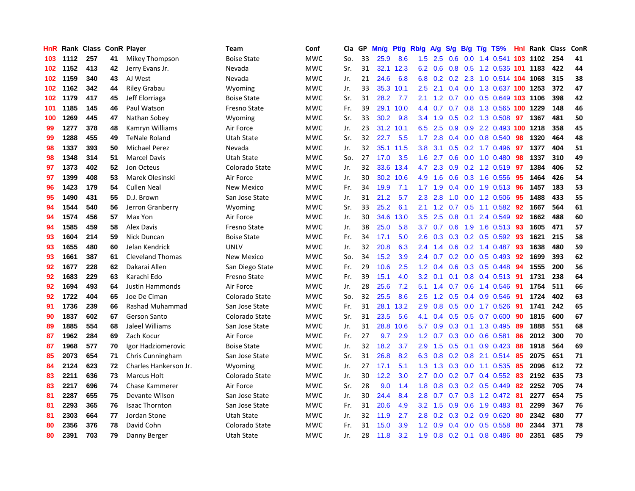| HnR |      | Rank Class ConR Player |    |                         | Team               | Conf       | Cla | GP | Mn/g | Pt/g | Rb/g             | A/g     | S/g           |     | $B/g$ T/g TS%                  |     | <b>Hnl</b> Rank | <b>Class</b> | ConR |
|-----|------|------------------------|----|-------------------------|--------------------|------------|-----|----|------|------|------------------|---------|---------------|-----|--------------------------------|-----|-----------------|--------------|------|
| 103 | 1112 | 257                    | 41 | Mikey Thompson          | <b>Boise State</b> | <b>MWC</b> | So. | 33 | 25.9 | 8.6  | 1.5              | 2.5     | 0.6           |     | 0.0 1.4 0.541 103 1102         |     |                 | 254          | 41   |
| 102 | 1152 | 413                    | 42 | Jerry Evans Jr.         | Nevada             | <b>MWC</b> | Sr. | 31 | 32.1 | 12.3 |                  | 6.2 0.6 |               |     | 0.8 0.5 1.2 0.535 101 1183     |     |                 | 422          | 44   |
| 102 | 1159 | 340                    | 43 | AJ West                 | Nevada             | <b>MWC</b> | Jr. | 21 | 24.6 | 6.8  | 6.8              |         |               |     | 0.2 0.2 2.3 1.0 0.514 104 1068 |     |                 | 315          | 38   |
| 102 | 1162 | 342                    | 44 | Riley Grabau            | Wyoming            | <b>MWC</b> | Jr. | 33 | 35.3 | 10.1 | $2.5^{\circ}$    | 2.1     |               |     | 0.4 0.0 1.3 0.637 100 1253     |     |                 | 372          | 47   |
| 102 | 1179 | 417                    | 45 | Jeff Elorriaga          | <b>Boise State</b> | <b>MWC</b> | Sr. | 31 | 28.2 | 7.7  | 2.1              | 1.2     | 0.7           |     | 0.0 0.5 0.649 103 1106         |     |                 | 398          | 42   |
| 101 | 1185 | 145                    | 46 | Paul Watson             | Fresno State       | <b>MWC</b> | Fr. | 39 | 29.1 | 10.0 | 4.4              | 0.7     |               |     | 0.7 0.8 1.3 0.565 100 1229     |     |                 | 148          | 46   |
| 100 | 1269 | 445                    | 47 | Nathan Sobey            | Wyoming            | <b>MWC</b> | Sr. | 33 | 30.2 | 9.8  | 3.4              | 1.9     | 0.5           |     | 0.2 1.3 0.508                  | 97  | 1367            | 481          | 50   |
| 99  | 1277 | 378                    | 48 | Kamryn Williams         | Air Force          | <b>MWC</b> | Jr. | 23 | 31.2 | 10.1 | 6.5              | 2.5     | 0.9           |     | 0.9 2.2 0.493 100 1218         |     |                 | 358          | 45   |
| 99  | 1288 | 455                    | 49 | <b>TeNale Roland</b>    | <b>Utah State</b>  | <b>MWC</b> | Sr. | 32 | 22.7 | 5.5  | 1.7              | 2.8     | 0.4           |     | $0.0$ 0.8 0.540                | 98  | 1320            | 464          | 48   |
| 98  | 1337 | 393                    | 50 | Michael Perez           | Nevada             | <b>MWC</b> | Jr. | 32 | 35.1 | 11.5 | 3.8 <sub>2</sub> | 3.1     |               |     | 0.5 0.2 1.7 0.496 97           |     | 1377            | 404          | 51   |
| 98  | 1348 | 314                    | 51 | <b>Marcel Davis</b>     | <b>Utah State</b>  | <b>MWC</b> | So. | 27 | 17.0 | 3.5  | 1.6              | 2.7     |               |     | 0.6 0.0 1.0 0.480 98           |     | 1337            | 310          | 49   |
| 97  | 1373 | 402                    | 52 | Jon Octeus              | Colorado State     | <b>MWC</b> | Jr. | 32 | 33.6 | 13.4 | 4.7              | 2.3     |               |     | 0.9 0.2 1.2 0.519 97           |     | 1384            | 406          | 52   |
| 97  | 1399 | 408                    | 53 | Marek Olesinski         | Air Force          | <b>MWC</b> | Jr. | 30 | 30.2 | 10.6 | 4.9              | 1.6     | 0.6           |     | 0.3 1.6 0.556                  | -95 | 1464            | 426          | 54   |
| 96  | 1423 | 179                    | 54 | <b>Cullen Neal</b>      | New Mexico         | <b>MWC</b> | Fr. | 34 | 19.9 | 7.1  | 1.7              | 1.9     | $0.4^{\circ}$ |     | 0.0 1.9 0.513 96               |     | 1457            | 183          | 53   |
| 95  | 1490 | 431                    | 55 | D.J. Brown              | San Jose State     | <b>MWC</b> | Jr. | 31 | 21.2 | 5.7  | 2.3              | 2.8     | 1.0           |     | $0.0$ 1.2 $0.506$              | 95  | 1488            | 433          | 55   |
| 94  | 1544 | 540                    | 56 | Jerron Granberry        | Wyoming            | <b>MWC</b> | Sr. | 33 | 25.2 | 6.1  | 2.1              | 1.2     | 0.7           |     | $0.5$ 1.1 0.582                | -92 | 1667            | 564          | 61   |
| 94  | 1574 | 456                    | 57 | Max Yon                 | Air Force          | <b>MWC</b> | Jr. | 30 | 34.6 | 13.0 | 3.5              | 2.5     | 0.8           | 0.1 | 2.4 0.549                      | 92  | 1662            | 488          | 60   |
| 94  | 1585 | 459                    | 58 | <b>Alex Davis</b>       | Fresno State       | <b>MWC</b> | Jr. | 38 | 25.0 | 5.8  | 3.7              | 0.7     | 0.6           |     | 1.9 1.6 0.513 93               |     | 1605            | 471          | 57   |
| 93  | 1604 | 214                    | 59 | Nick Duncan             | <b>Boise State</b> | <b>MWC</b> | Fr. | 34 | 17.1 | 5.0  | 2.6              | 0.3     |               |     | 0.3 0.2 0.5 0.592 93           |     | 1621            | 215          | 58   |
| 93  | 1655 | 480                    | 60 | Jelan Kendrick          | <b>UNLV</b>        | <b>MWC</b> | Jr. | 32 | 20.8 | 6.3  | $2.4\,$          | 1.4     |               |     | 0.6 0.2 1.4 0.487 93           |     | 1638            | 480          | 59   |
| 93  | 1661 | 387                    | 61 | <b>Cleveland Thomas</b> | New Mexico         | <b>MWC</b> | So. | 34 | 15.2 | 3.9  | $2.4^{\circ}$    | 0.7     |               |     | $0.2$ 0.0 0.5 0.493            | -92 | 1699            | 393          | 62   |
| 92  | 1677 | 228                    | 62 | Dakarai Allen           | San Diego State    | <b>MWC</b> | Fr. | 29 | 10.6 | 2.5  | 1.2              | 0.4     | 0.6           |     | 0.3 0.5 0.448                  | 94  | 1555            | 200          | 56   |
| 92  | 1683 | 229                    | 63 | Karachi Edo             | Fresno State       | <b>MWC</b> | Fr. | 39 | 15.1 | 4.0  | 3.2              | 0.1     | 0.1           |     | 0.8 0.4 0.513 91               |     | 1731            | 238          | 64   |
| 92  | 1694 | 493                    | 64 | Justin Hammonds         | Air Force          | <b>MWC</b> | Jr. | 28 | 25.6 | 7.2  | 5.1              | 1.4     | 0.7           |     | $0.6$ 1.4 0.546                | 91  | 1754            | 511          | 66   |
| 92  | 1722 | 404                    | 65 | Joe De Ciman            | Colorado State     | <b>MWC</b> | So. | 32 | 25.5 | 8.6  | $2.5^{\circ}$    | 1.2     | 0.5           |     | $0.4$ 0.9 0.546                | -91 | 1724            | 402          | 63   |
| 91  | 1736 | 239                    | 66 | <b>Rashad Muhammad</b>  | San Jose State     | <b>MWC</b> | Fr. | 31 | 28.1 | 13.2 | 2.9              | 0.8     | 0.5           |     | $0.0$ 1.7 $0.526$              | -91 | 1741            | 242          | 65   |
| 90  | 1837 | 602                    | 67 | <b>Gerson Santo</b>     | Colorado State     | <b>MWC</b> | Sr. | 31 | 23.5 | 5.6  | 4.1              |         |               |     | 0.4 0.5 0.5 0.7 0.600 90       |     | 1815            | 600          | 67   |
| 89  | 1885 | 554                    | 68 | Jaleel Williams         | San Jose State     | <b>MWC</b> | Jr. | 31 | 28.8 | 10.6 | 5.7              | 0.9     |               |     | 0.3 0.1 1.3 0.495              | -89 | 1888            | 551          | 68   |
| 87  | 1962 | 284                    | 69 | Zach Kocur              | Air Force          | <b>MWC</b> | Fr. | 27 | 9.7  | 2.9  | 1.2              | 0.7     | 0.3           |     | $0.0$ 0.6 0.581                | 86  | 2012            | 300          | 70   |
| 87  | 1968 | 577                    | 70 | Igor Hadziomerovic      | <b>Boise State</b> | <b>MWC</b> | Jr. | 32 | 18.2 | 3.7  | 2.9              | 1.5     | 0.5           |     | $0.1$ 0.9 0.423                | 88  | 1918            | 564          | 69   |
| 85  | 2073 | 654                    | 71 | Chris Cunningham        | San Jose State     | <b>MWC</b> | Sr. | 31 | 26.8 | 8.2  | 6.3              | 0.8     |               |     | 0.2 0.8 2.1 0.514 85           |     | 2075            | 651          | 71   |
| 84  | 2124 | 623                    | 72 | Charles Hankerson Jr.   | Wyoming            | <b>MWC</b> | Jr. | 27 | 17.1 | 5.1  | 1.3              | 1.3     | 0.3           |     | $0.0$ 1.1 $0.535$              | -85 | 2096            | 612          | 72   |
| 83  | 2211 | 636                    | 73 | Marcus Holt             | Colorado State     | <b>MWC</b> | Jr. | 30 | 12.2 | 3.0  | $2.7^{\circ}$    | 0.0     | 0.2           |     | $0.7$ 0.4 0.552                | -83 | 2192            | 635          | 73   |
| 83  | 2217 | 696                    | 74 | Chase Kammerer          | Air Force          | <b>MWC</b> | Sr. | 28 | 9.0  | 1.4  | 1.8              | 0.8     | 0.3           |     | 0.2 0.5 0.449                  | 82  | 2252            | 705          | 74   |
| 81  | 2287 | 655                    | 75 | Devante Wilson          | San Jose State     | <b>MWC</b> | Jr. | 30 | 24.4 | 8.4  | 2.8              | 0.7     |               |     | 0.7 0.3 1.2 0.472 81           |     | 2277            | 654          | 75   |
| 81  | 2293 | 365                    | 76 | <b>Isaac Thornton</b>   | San Jose State     | <b>MWC</b> | Fr. | 31 | 20.6 | 4.9  | 3.2              | 1.5     |               |     | 0.9 0.6 1.9 0.483 81           |     | 2299            | 367          | 76   |
| 81  | 2303 | 664                    | 77 | Jordan Stone            | Utah State         | MWC        | Jr. | 32 | 11.9 | 2.7  | 2.8              | 0.2     | 0.3           |     | $0.2$ 0.9 0.620                | -80 | 2342            | 680          | 77   |
| 80  | 2356 | 376                    | 78 | David Cohn              | Colorado State     | <b>MWC</b> | Fr. | 31 | 15.0 | 3.9  | 1.2              | 0.9     | 0.4           |     | $0.0$ $0.5$ $0.558$            | 80  | 2344            | 371          | 78   |
| 80  | 2391 | 703                    | 79 | Danny Berger            | <b>Utah State</b>  | <b>MWC</b> | Jr. | 28 | 11.8 | 3.2  | 1.9              |         |               |     | $0.8$ 0.2 0.1 0.8 0.486        | -80 | 2351            | 685          | 79   |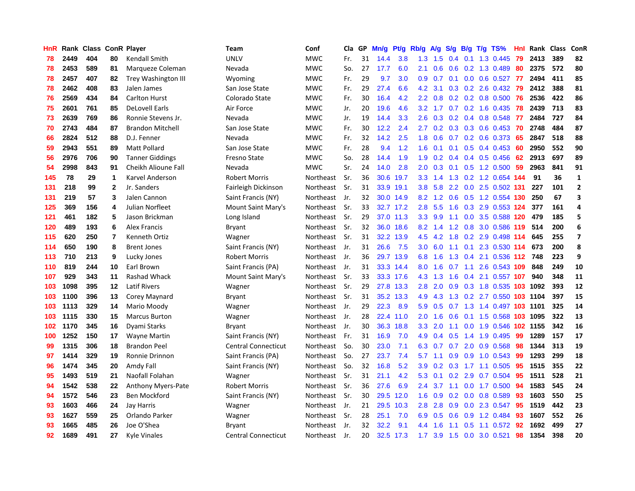| HnR | Rank | Class |                | <b>ConR Player</b>      | Team                       | Conf             | Cla | GP | Mn/g | <b>Pt/g</b> | Rb/g             | $\mathsf{A/g}$  | S/g    | B/g             | $T/g$ TS%                    | Hnl | Rank | <b>Class</b> | ConR                    |
|-----|------|-------|----------------|-------------------------|----------------------------|------------------|-----|----|------|-------------|------------------|-----------------|--------|-----------------|------------------------------|-----|------|--------------|-------------------------|
| 78  | 2449 | 404   | 80             | <b>Kendall Smith</b>    | <b>UNLV</b>                | <b>MWC</b>       | Fr. | 31 | 14.4 | 3.8         | 1.3              | 1.5             | 0.4    | 0.1             | 1.3 0.445                    | 79  | 2413 | 389          | 82                      |
| 78  | 2453 | 589   | 81             | Marqueze Coleman        | Nevada                     | <b>MWC</b>       | So. | 27 | 17.7 | 6.0         | 2.1              | 0.6             |        |                 | $0.6$ $0.2$ 1.3 0.489        | -80 | 2375 | 572          | 80                      |
| 78  | 2457 | 407   | 82             | Trey Washington III     | Wyoming                    | <b>MWC</b>       | Fr. | 29 | 9.7  | 3.0         | 0.9 <sub>0</sub> | 0.7             |        |                 | $0.1$ 0.0 0.6 0.527 77       |     | 2494 | 411          | 85                      |
| 78  | 2462 | 408   | 83             | Jalen James             | San Jose State             | <b>MWC</b>       | Fr. | 29 | 27.4 | 6.6         | 4.2              | 3.1             | 0.3    |                 | $0.2$ 2.6 0.432              | 79  | 2412 | 388          | 81                      |
| 76  | 2569 | 434   | 84             | <b>Carlton Hurst</b>    | Colorado State             | <b>MWC</b>       | Fr. | 30 | 16.4 | 4.2         | 2.2              | 0.8             | 0.2    |                 | 0.2 0.8 0.500                | 76  | 2536 | 422          | 86                      |
| 75  | 2601 | 761   | 85             | <b>DeLovell Earls</b>   | Air Force                  | <b>MWC</b>       | Jr. | 20 | 19.6 | 4.6         | 3.2              | 1.7             | 0.7    |                 | $0.2$ 1.6 0.435              | 78  | 2439 | 713          | 83                      |
| 73  | 2639 | 769   | 86             | Ronnie Stevens Jr.      | Nevada                     | <b>MWC</b>       | Jr. | 19 | 14.4 | 3.3         | 2.6              | 0.3             |        |                 | 0.2 0.4 0.8 0.548            | -77 | 2484 | 727          | 84                      |
| 70  | 2743 | 484   | 87             | <b>Brandon Mitchell</b> | San Jose State             | <b>MWC</b>       | Fr. | 30 | 12.2 | 2.4         | 2.7              | 0.2             | 0.3    |                 | $0.3$ 0.6 0.453              | 70  | 2748 | 484          | 87                      |
| 66  | 2824 | 512   | 88             | D.J. Fenner             | Nevada                     | <b>MWC</b>       | Fr. | 32 | 14.2 | 2.5         | 1.8              | 0.6             | 0.7    |                 | $0.2$ 0.6 0.373              | -65 | 2847 | 518          | 88                      |
| 59  | 2943 | 551   | 89             | <b>Matt Pollard</b>     | San Jose State             | <b>MWC</b>       | Fr. | 28 | 9.4  | 1.2         | 1.6              | 0.1             |        |                 | $0.1$ $0.5$ $0.4$ $0.453$ 60 |     | 2950 | 552          | 90                      |
| 56  | 2976 | 706   | 90             | <b>Tanner Giddings</b>  | <b>Fresno State</b>        | <b>MWC</b>       | So. | 28 | 14.4 | 1.9         | 1.9              |                 |        |                 | 0.2 0.4 0.4 0.5 0.456 62     |     | 2913 | 697          | 89                      |
| 54  | 2998 | 843   | 91             | Cheikh Alioune Fall     | Nevada                     | <b>MWC</b>       | Sr. | 24 | 14.0 | 2.8         | 2.0              | 0.3             |        |                 | $0.1$ $0.5$ 1.2 $0.500$      | -59 | 2963 | 841          | 91                      |
| 145 | 78   | 29    | $\mathbf{1}$   | Karvel Anderson         | <b>Robert Morris</b>       | Northeast        | Sr. | 36 | 30.6 | 19.7        | 3.3 <sub>2</sub> |                 |        |                 | 1.4 1.3 0.2 1.2 0.654 144    |     | 91   | 36           | $\mathbf 1$             |
| 131 | 218  | 99    | $\mathbf{2}$   | Jr. Sanders             | Fairleigh Dickinson        | Northeast        | Sr. | 31 | 33.9 | 19.1        | 3.8              | 5.8             |        |                 | 2.2 0.0 2.5 0.502 131        |     | 227  | 101          | $\overline{2}$          |
| 131 | 219  | 57    | 3              | Jalen Cannon            | Saint Francis (NY)         | Northeast        | Jr. | 32 | 30.0 | 14.9        | 8.2              | 1.2             | 0.6    |                 | 0.5 1.2 0.554 130            |     | 250  | 67           | 3                       |
| 125 | 369  | 156   | 4              | Julian Norfleet         | Mount Saint Mary's         | Northeast        | Sr. | 33 | 32.7 | 17.2        | 2.8              | 5.5             | 1.6    |                 | 0.3 2.9 0.553 124            |     | 377  | 161          | 4                       |
| 121 | 461  | 182   | 5              | Jason Brickman          | Long Island                | <b>Northeast</b> | Sr. | 29 | 37.0 | 11.3        | 3.3              | 9.9             | 1.1    | 0.0             | 3.5 0.588 120                |     | 479  | 185          | 5                       |
| 120 | 489  | 193   | 6              | <b>Alex Francis</b>     | Bryant                     | Northeast        | Sr. | 32 | 36.0 | 18.6        | 8.2              | 1.4             | 1.2    |                 | 0.8 3.0 0.586 119            |     | 514  | 200          | 6                       |
| 115 | 620  | 250   | $\overline{7}$ | Kenneth Ortiz           | Wagner                     | Northeast        | Sr. | 31 | 32.2 | 13.9        | 4.5              | $4.2 \quad 1.8$ |        |                 | 0.2 2.9 0.498 114            |     | 645  | 255          | $\overline{\mathbf{z}}$ |
| 114 | 650  | 190   | 8              | <b>Brent Jones</b>      | Saint Francis (NY)         | Northeast        | Jr. | 31 | 26.6 | 7.5         | 3.0              |                 |        |                 | 6.0 1.1 0.1 2.3 0.530 114    |     | 673  | 200          | 8                       |
| 113 | 710  | 213   | 9              | Lucky Jones             | <b>Robert Morris</b>       | Northeast        | Jr. | 36 |      | 29.7 13.9   | 6.8              | 1.6             | 1.3    |                 | 0.4 2.1 0.536 112 748        |     |      | 223          | 9                       |
| 110 | 819  | 244   | 10             | Earl Brown              | Saint Francis (PA)         | Northeast        | Jr. | 31 | 33.3 | 14.4        | 8.0              | 1.6             |        | $0.7 \quad 1.1$ | 2.6 0.543 109                |     | 848  | 249          | 10                      |
| 107 | 929  | 343   | 11             | Rashad Whack            | Mount Saint Mary's         | Northeast        | Sr. | 33 | 33.3 | 17.6        | 4.3              | 1.3             | 1.6    |                 | $0.4$ 2.1 0.557 107          |     | 940  | 348          | 11                      |
| 103 | 1098 | 395   | $12 \,$        | <b>Latif Rivers</b>     | Wagner                     | Northeast        | Sr. | 29 | 27.8 | 13.3        | 2.8              | 2.0             | 0.9    |                 | 0.3 1.8 0.535                | 103 | 1092 | 393          | 12                      |
| 103 | 1100 | 396   | 13             | Corey Maynard           | Bryant                     | Northeast        | Sr. | 31 | 35.2 | 13.3        | 4.9              | 4.3             | 1.3    |                 | 0.2 2.7 0.550 103 1104       |     |      | 397          | 15                      |
| 103 | 1113 | 329   | 14             | Mario Moody             | Wagner                     | Northeast        | Jr. | 29 | 22.3 | 8.9         | 5.9              | 0.5             |        |                 | 0.7 1.3 1.4 0.497 103 1101   |     |      | 325          | 14                      |
| 103 | 1115 | 330   | 15             | <b>Marcus Burton</b>    | Wagner                     | Northeast        | Jr. | 28 | 22.4 | 11.0        | 2.0 <sub>1</sub> | 1.6             | 0.6    |                 | 0.1 1.5 0.568 103 1095       |     |      | 322          | 13                      |
| 102 | 1170 | 345   | 16             | Dyami Starks            | Bryant                     | Northeast        | Jr. | 30 | 36.3 | 18.8        | 3.3              | 2.0             |        |                 | 1.1 0.0 1.9 0.546 102 1155   |     |      | 342          | 16                      |
| 100 | 1252 | 150   | 17             | Wayne Martin            | Saint Francis (NY)         | Northeast        | Fr. | 31 | 16.9 | 7.0         | 4.9              | 0.4             |        |                 | $0.5$ 1.4 1.9 0.495          | -99 | 1289 | 157          | 17                      |
| 99  | 1315 | 306   | 18             | <b>Brandon Peel</b>     | <b>Central Connecticut</b> | Northeast        | So. | 30 | 23.0 | 7.1         | 6.3              | 0.7             | 0.7    |                 | 2.0 0.9 0.568                | 98  | 1344 | 313          | 19                      |
| 97  | 1414 | 329   | 19             | Ronnie Drinnon          | Saint Francis (PA)         | Northeast        | So. | 27 | 23.7 | 7.4         | 5.7              | 1.1             | 0.9    |                 | $0.9$ 1.0 0.543              | -99 | 1293 | 299          | 18                      |
| 96  | 1474 | 345   | 20             | Amdy Fall               | Saint Francis (NY)         | Northeast        | So. | 32 | 16.8 | 5.2         | 3.9              | 0.2             | 0.3    | 1.7             | 1.1 0.505                    | 95  | 1515 | 355          | 22                      |
| 95  | 1493 | 519   | 21             | Naofall Folahan         | Wagner                     | Northeast        | Sr. | 31 | 21.1 | 4.2         | 5.3              | 0.1             | 0.2    | 2.9             | 0.7 0.504                    | 95  | 1511 | 528          | 21                      |
| 94  | 1542 | 538   | 22             | Anthony Myers-Pate      | <b>Robert Morris</b>       | Northeast        | Sr. | 36 | 27.6 | 6.9         | 2.4              | 3.7             | $-1.1$ |                 | $0.0$ 1.7 $0.500$            | 94  | 1583 | 545          | 24                      |
| 94  | 1572 | 546   | 23             | Ben Mockford            | Saint Francis (NY)         | Northeast        | Sr. | 30 | 29.5 | 12.0        | 1.6              | 0.9             | 0.2    |                 | $0.0$ $0.8$ $0.589$          | 93  | 1603 | 550          | 25                      |
| 93  | 1603 | 466   | 24             | Jay Harris              | Wagner                     | Northeast        | Jr. | 21 | 29.5 | 10.3        | 2.8              | 2.8             | 0.9    |                 | 0.0 2.3 0.547                | 95  | 1519 | 442          | 23                      |
| 93  | 1627 | 559   | 25             | Orlando Parker          | Wagner                     | Northeast        | Sr. | 28 | 25.1 | 7.0         | 6.9              | 0.5             | 0.6    |                 | $0.9$ 1.2 0.484              | 93  | 1607 | 552          | 26                      |
| 93  | 1665 | 485   | 26             | Joe O'Shea              | Bryant                     | Northeast        | Jr. | 32 | 32.2 | 9.1         | 4.4              | 1.6             | 1.1    |                 | $0.5$ 1.1 0.572              | -92 | 1692 | 499          | 27                      |
| 92  | 1689 | 491   | 27             | Kyle Vinales            | <b>Central Connecticut</b> | Northeast        | Jr. | 20 |      | 32.5 17.3   | 1.7 <sub>z</sub> | 3.9             | 1.5    |                 | $0.0$ 3.0 $0.521$            | 98  | 1354 | 398          | 20                      |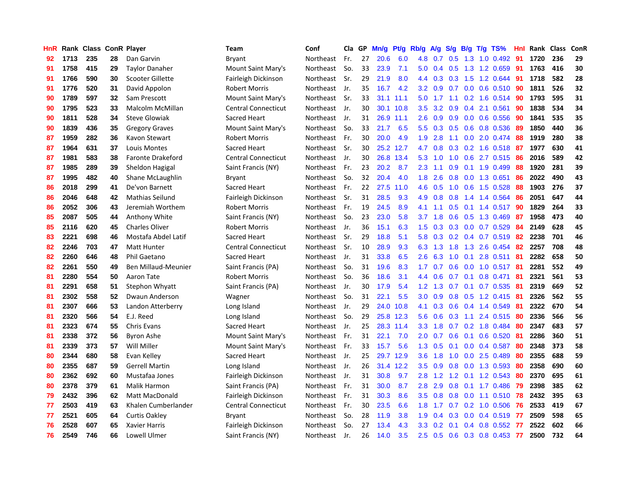| HnR |      | Rank Class ConR Player |    |                          | Team                       | Conf      | Cla GP |    | Mn/g | Pt/g | Rb/g             | A/g    | S/g       | B/g | $T/g$ TS%                 | Hnl | Rank Class |     | ConR |
|-----|------|------------------------|----|--------------------------|----------------------------|-----------|--------|----|------|------|------------------|--------|-----------|-----|---------------------------|-----|------------|-----|------|
| 92  | 1713 | 235                    | 28 | Dan Garvin               | Bryant                     | Northeast | Fr.    | 27 | 20.6 | 6.0  | 4.8              | 0.7    | 0.5       | 1.3 | $1.0 \quad 0.492$         | 91  | 1720       | 236 | 29   |
| 91  | 1758 | 415                    | 29 | Taylor Danaher           | Mount Saint Mary's         | Northeast | So.    | 33 | 23.9 | 7.1  | 5.0              | 0.4    | 0.5       |     | 1.3 1.2 0.659             | -91 | 1763       | 416 | 30   |
| 91  | 1766 | 590                    | 30 | Scooter Gillette         | Fairleigh Dickinson        | Northeast | Sr.    | 29 | 21.9 | 8.0  | 4.4              | 0.3    |           |     | $0.3$ 1.5 1.2 0.644       | -91 | 1718       | 582 | 28   |
| 91  | 1776 | 520                    | 31 | David Appolon            | <b>Robert Morris</b>       | Northeast | Jr.    | 35 | 16.7 | 4.2  | 3.2              | 0.9    |           |     | $0.7$ 0.0 0.6 0.510       | -90 | 1811       | 526 | 32   |
| 90  | 1789 | 597                    | 32 | Sam Prescott             | Mount Saint Mary's         | Northeast | Sr.    | 33 | 31.1 | 11.1 | 5.0              |        | $1.7$ 1.1 |     | $0.2$ 1.6 0.514           | -90 | 1793       | 595 | 31   |
| 90  | 1795 | 523                    | 33 | Malcolm McMillan         | <b>Central Connecticut</b> | Northeast | Jr.    | 30 | 30.1 | 10.8 | 3.5              | 3.2    | 0.9       |     | 0.4 2.1 0.561             | 90  | 1838       | 534 | 34   |
| 90  | 1811 | 528                    | 34 | <b>Steve Glowiak</b>     | Sacred Heart               | Northeast | Jr.    | 31 | 26.9 | 11.1 | 2.6              | 0.9    | 0.9       |     | $0.0$ 0.6 0.556           | 90  | 1841       | 535 | 35   |
| 90  | 1839 | 436                    | 35 | <b>Gregory Graves</b>    | Mount Saint Mary's         | Northeast | So.    | 33 | 21.7 | 6.5  | 5.5              | 0.3    | 0.5       |     | 0.6 0.8 0.536             | 89  | 1850       | 440 | 36   |
| 87  | 1959 | 282                    | 36 | Kavon Stewart            | <b>Robert Morris</b>       | Northeast | Fr.    | 30 | 20.0 | 4.9  | 1.9              | 2.8    | 1.1       |     | $0.0$ 2.0 0.474           | 88  | 1919       | 280 | 38   |
| 87  | 1964 | 631                    | 37 | Louis Montes             | Sacred Heart               | Northeast | Sr.    | 30 | 25.2 | 12.7 | 4.7              | 0.8    | 0.3       |     | 0.2 1.6 0.518 87          |     | 1977       | 630 | 41   |
| 87  | 1981 | 583                    | 38 | <b>Faronte Drakeford</b> | <b>Central Connecticut</b> | Northeast | Jr.    | 30 | 26.8 | 13.4 | 5.3              | $-1.0$ |           |     | 1.0 0.6 2.7 0.515 86      |     | 2016       | 589 | 42   |
| 87  | 1985 | 289                    | 39 | Sheldon Hagigal          | Saint Francis (NY)         | Northeast | Fr.    | 23 | 20.2 | 8.7  | 2.3              | 1.1    |           |     | $0.9$ 0.1 1.9 0.499       | -88 | 1920       | 281 | 39   |
| 87  | 1995 | 482                    | 40 | Shane McLaughlin         | Bryant                     | Northeast | So.    | 32 | 20.4 | 4.0  | 1.8              | 2.6    | 0.8       |     | 0.0 1.3 0.651             | 86  | 2022       | 490 | 43   |
| 86  | 2018 | 299                    | 41 | De'von Barnett           | Sacred Heart               | Northeast | Fr.    | 22 | 27.5 | 11.0 | 4.6              | 0.5    | 1.0       |     | 0.6 1.5 0.528             | 88  | 1903       | 276 | 37   |
| 86  | 2046 | 648                    | 42 | <b>Mathias Seilund</b>   | Fairleigh Dickinson        | Northeast | Sr.    | 31 | 28.5 | 9.3  | 4.9              | 0.8    | 0.8       |     | 1.4 1.4 0.564             | 86  | 2051       | 647 | 44   |
| 86  | 2052 | 306                    | 43 | Jeremiah Worthem         | <b>Robert Morris</b>       | Northeast | Fr.    | 19 | 24.5 | 8.9  | 4.1              | 1.1    | 0.5       |     | $0.1$ 1.4 $0.517$         | 90  | 1829       | 264 | 33   |
| 85  | 2087 | 505                    | 44 | <b>Anthony White</b>     | Saint Francis (NY)         | Northeast | So.    | 23 | 23.0 | 5.8  | 3.7              | 1.8    | 0.6       |     | 0.5 1.3 0.469             | -87 | 1958       | 473 | 40   |
| 85  | 2116 | 620                    | 45 | <b>Charles Oliver</b>    | <b>Robert Morris</b>       | Northeast | Jr.    | 36 | 15.1 | 6.3  | 1.5              | 0.3    | 0.3       |     | $0.0$ 0.7 0.529           | 84  | 2149       | 628 | 45   |
| 83  | 2221 | 698                    | 46 | Mostafa Abdel Latif      | Sacred Heart               | Northeast | Sr.    | 29 | 18.8 | 5.1  | 5.8              | 0.3    |           |     | 0.2 0.4 0.7 0.519 82      |     | 2238       | 701 | 46   |
| 82  | 2246 | 703                    | 47 | <b>Matt Hunter</b>       | <b>Central Connecticut</b> | Northeast | Sr.    | 10 | 28.9 | 9.3  | 6.3              | 1.3    |           |     | 1.8 1.3 2.6 0.454         | -82 | 2257       | 708 | 48   |
| 82  | 2260 | 646                    | 48 | Phil Gaetano             | Sacred Heart               | Northeast | Jr.    | 31 | 33.8 | 6.5  | $2.6\,$          | 6.3    | 1.0       |     | $0.1$ 2.8 $0.511$         | -81 | 2282       | 658 | 50   |
| 82  | 2261 | 550                    | 49 | Ben Millaud-Meunier      | Saint Francis (PA)         | Northeast | So.    | 31 | 19.6 | 8.3  | $1.7^{\circ}$    | 0.7    | 0.6       |     | $0.0$ 1.0 0.517           | -81 | 2281       | 552 | 49   |
| 81  | 2280 | 554                    | 50 | Aaron Tate               | <b>Robert Morris</b>       | Northeast | So.    | 36 | 18.6 | 3.1  | 4.4              | 0.6    | 0.7       |     | $0.1$ 0.8 0.471           | -81 | 2321       | 561 | 53   |
| 81  | 2291 | 658                    | 51 | Stephon Whyatt           | Saint Francis (PA)         | Northeast | Jr.    | 30 | 17.9 | 5.4  | 1.2              | 1.3    | 0.7       |     | $0.1$ 0.7 0.535           | -81 | 2319       | 669 | 52   |
| 81  | 2302 | 558                    | 52 | Dwaun Anderson           | Wagner                     | Northeast | So.    | 31 | 22.1 | 5.5  | 3.0 <sub>2</sub> | 0.9    | 0.8       |     | $0.5$ 1.2 0.415           | -81 | 2326       | 562 | 55   |
| 81  | 2307 | 666                    | 53 | Landon Atterberry        | Long Island                | Northeast | Jr.    | 29 | 24.0 | 10.8 | 4.1              | 0.3    | 0.6       |     | 0.4 1.4 0.549             | -81 | 2322       | 670 | 54   |
| 81  | 2320 | 566                    | 54 | E.J. Reed                | Long Island                | Northeast | So.    | 29 | 25.8 | 12.3 | 5.6              | 0.6    |           |     | 0.3 1.1 2.4 0.515 80      |     | 2336       | 566 | 56   |
| 81  | 2323 | 674                    | 55 | <b>Chris Evans</b>       | Sacred Heart               | Northeast | Jr.    | 25 | 28.3 | 11.4 | 3.3 <sub>2</sub> | 1.8    |           |     | 0.7 0.2 1.8 0.484 80      |     | 2347       | 683 | 57   |
| 81  | 2338 | 372                    | 56 | Byron Ashe               | Mount Saint Mary's         | Northeast | Fr.    | 31 | 22.1 | 7.0  | 2.0 <sub>1</sub> | 0.7    |           |     | $0.6$ 0.1 0.6 0.520       | -81 | 2286       | 360 | 51   |
| 81  | 2339 | 373                    | 57 | Will Miller              | Mount Saint Mary's         | Northeast | Fr.    | 33 | 15.7 | 5.6  | 1.3              | 0.5    | 0.1       |     | $0.0$ 0.4 0.587           | -80 | 2348       | 373 | 58   |
| 80  | 2344 | 680                    | 58 | Evan Kelley              | Sacred Heart               | Northeast | Jr.    | 25 | 29.7 | 12.9 | 3.6              | 1.8    | 1.0       |     | $0.0$ 2.5 $0.489$         | 80  | 2355       | 688 | 59   |
| 80  | 2355 | 687                    | 59 | <b>Gerrell Martin</b>    | Long Island                | Northeast | Jr.    | 26 | 31.4 | 12.2 | 3.5              | 0.9    | 0.8       |     | $0.0$ 1.3 0.593           | -80 | 2358       | 690 | 60   |
| 80  | 2362 | 692                    | 60 | Mustafaa Jones           | Fairleigh Dickinson        | Northeast | Jr.    | 31 | 30.8 | 9.7  | 2.8              | 1.2    | 1.2       |     | $0.1$ 1.2 0.543           | 80  | 2370       | 695 | 61   |
| 80  | 2378 | 379                    | 61 | Malik Harmon             | Saint Francis (PA)         | Northeast | Fr.    | 31 | 30.0 | 8.7  | 2.8              | 2.9    | 0.8       |     | $0.1$ 1.7 $0.486$         | 79  | 2398       | 385 | 62   |
| 79  | 2432 | 396                    | 62 | Matt MacDonald           | Fairleigh Dickinson        | Northeast | Fr.    | 31 | 30.3 | 8.6  | 3.5              | 0.8    | 0.8       |     | $0.0$ 1.1 0.510           | 78  | 2432       | 395 | 63   |
| 77  | 2503 | 419                    | 63 | Khalen Cumberlander      | <b>Central Connecticut</b> | Northeast | Fr.    | 30 | 23.5 | 6.6  | 1.8              | 1.7    |           |     | $0.7$ $0.2$ $1.0$ $0.506$ | -76 | 2533       | 419 | 67   |
| 77  | 2521 | 605                    | 64 | <b>Curtis Oakley</b>     | Bryant                     | Northeast | So.    | 28 | 11.9 | 3.8  | 1.9              | 0.4    | 0.3       |     | $0.0$ 0.4 0.519           | -77 | 2509       | 598 | 65   |
| 76  | 2528 | 607                    | 65 | Xavier Harris            | Fairleigh Dickinson        | Northeast | So.    | 27 | 13.4 | 4.3  | 3.3 <sub>2</sub> | 0.2    | 0.1       |     | $0.4$ 0.8 0.552           | -77 | 2522       | 602 | 66   |
| 76  | 2549 | 746                    | 66 | <b>Lowell Ulmer</b>      | Saint Francis (NY)         | Northeast | Jr.    | 26 | 14.0 | 3.5  | 2.5              | 0.5    | 0.6       |     | 0.3 0.8 0.453             | 77  | 2500       | 732 | 64   |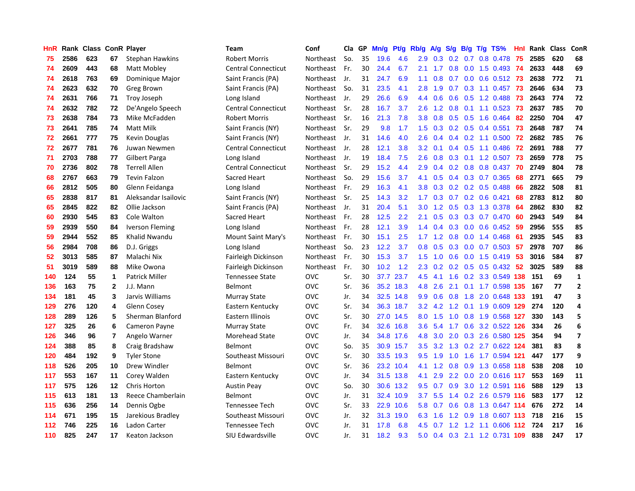| HnR |      | Rank Class ConR Player |                |                        | <b>Team</b>                | Conf       | Cla | GP | Mn/g | Pf/g      | Rb/g | A/g              | S/g |     | $B/g$ T/g TS%               | Hnl | Rank Class |     | ConR                    |
|-----|------|------------------------|----------------|------------------------|----------------------------|------------|-----|----|------|-----------|------|------------------|-----|-----|-----------------------------|-----|------------|-----|-------------------------|
| 75  | 2586 | 623                    | 67             | Stephan Hawkins        | Robert Morris              | Northeast  | So. | 35 | 19.6 | 4.6       | 2.9  | 0.3              | 0.2 | 0.7 | 0.8 0.478                   | 75  | 2585       | 620 | 68                      |
| 74  | 2609 | 443                    | 68             | Matt Mobley            | <b>Central Connecticut</b> | Northeast  | Fr. | 30 | 24.4 | 6.7       | 2.1  | 1.7              | 0.8 |     | 0.0 1.5 0.493 74            |     | 2633       | 448 | 69                      |
| 74  | 2618 | 763                    | 69             | Dominique Major        | Saint Francis (PA)         | Northeast  | Jr. | 31 | 24.7 | 6.9       | 1.1  | 0.8              | 0.7 |     | $0.0$ $0.6$ $0.512$ 73      |     | 2638       | 772 | 71                      |
| 74  | 2623 | 632                    | 70             | Greg Brown             | Saint Francis (PA)         | Northeast  | So. | 31 | 23.5 | 4.1       | 2.8  | 1.9              |     |     | 0.7 0.3 1.1 0.457 73        |     | 2646       | 634 | 73                      |
| 74  | 2631 | 766                    | 71             | Troy Joseph            | Long Island                | Northeast  | Jr. | 29 | 26.6 | 6.9       | 4.4  | 0.6              | 0.6 |     | $0.5$ 1.2 0.488             | -73 | 2643       | 774 | 72                      |
| 74  | 2632 | 782                    | 72             | De'Angelo Speech       | <b>Central Connecticut</b> | Northeast  | Sr. | 28 | 16.7 | 3.7       | 2.6  | 1.2              | 0.8 |     | $0.1$ 1.1 0.523             | 73  | 2637       | 785 | 70                      |
| 73  | 2638 | 784                    | 73             | Mike McFadden          | <b>Robert Morris</b>       | Northeast  | Sr. | 16 | 21.3 | 7.8       | 3.8  | 0.8              |     |     | 0.5 0.5 1.6 0.464           | 82  | 2250       | 704 | 47                      |
| 73  | 2641 | 785                    | 74             | Matt Milk              | Saint Francis (NY)         | Northeast  | Sr. | 29 | 9.8  | 1.7       | 1.5  | 0.3              |     |     | $0.2$ 0.5 0.4 0.551         | 73  | 2648       | 787 | 74                      |
| 72  | 2661 | 777                    | 75             | Kevin Douglas          | Saint Francis (NY)         | Northeast  | Jr. | 31 | 14.6 | 4.0       | 2.6  | 0.4              | 0.4 |     | $0.2$ 1.1 0.500             | 72  | 2682       | 785 | 76                      |
| 72  | 2677 | 781                    | 76             | Juwan Newmen           | <b>Central Connecticut</b> | Northeast  | Jr. | 28 | 12.1 | 3.8       | 3.2  | 0.1              | 0.4 |     | $0.5$ 1.1 0.486             | 72  | 2691       | 788 | 77                      |
| 71  | 2703 | 788                    | 77             | <b>Gilbert Parga</b>   | Long Island                | Northeast  | Jr. | 19 | 18.4 | 7.5       | 2.6  | 0.8              |     |     | 0.3 0.1 1.2 0.507 73        |     | 2659       | 778 | 75                      |
| 70  | 2736 | 802                    | 78             | <b>Terrell Allen</b>   | <b>Central Connecticut</b> | Northeast  | Sr. | 29 | 15.2 | 4.4       | 2.9  | $0.4^{\circ}$    |     |     | 0.2 0.8 0.8 0.437 70        |     | 2749       | 804 | 78                      |
| 68  | 2767 | 663                    | 79             | <b>Tevin Falzon</b>    | Sacred Heart               | Northeast  | So. | 29 | 15.6 | 3.7       | 4.1  | 0.5              |     |     | $0.4$ 0.3 0.7 0.365         | 68  | 2771       | 665 | 79                      |
| 66  | 2812 | 505                    | 80             | Glenn Feidanga         | Long Island                | Northeast  | Fr. | 29 | 16.3 | 4.1       | 3.8  | 0.3              | 0.2 |     | $0.2$ 0.5 0.488             | 66  | 2822       | 508 | 81                      |
| 65  | 2838 | 817                    | 81             | Aleksandar Isailovic   | Saint Francis (NY)         | Northeast  | Sr. | 25 | 14.3 | 3.2       | 1.7  | 0.3              | 0.7 |     | $0.2$ 0.6 0.421             | 68  | 2783       | 812 | 80                      |
| 65  | 2845 | 822                    | 82             | Ollie Jackson          | Saint Francis (PA)         | Northeast  | Jr. | 31 | 20.4 | 5.1       | 3.0  | 1.2              | 0.5 |     | 0.3 1.3 0.378               | -64 | 2862       | 830 | 82                      |
| 60  | 2930 | 545                    | 83             | Cole Walton            | Sacred Heart               | Northeast  | Fr. | 28 | 12.5 | 2.2       | 2.1  | 0.5              | 0.3 | 0.3 | $0.7$ 0.470                 | -60 | 2943       | 549 | 84                      |
| 59  | 2939 | 550                    | 84             | <b>Iverson Fleming</b> | Long Island                | Northeast  | Fr. | 28 | 12.1 | 3.9       | 1.4  | 0.4              | 0.3 |     | $0.0$ 0.6 0.452             | -59 | 2956       | 555 | 85                      |
| 59  | 2944 | 552                    | 85             | <b>Khalid Nwandu</b>   | Mount Saint Mary's         | Northeast  | Fr. | 30 | 15.1 | 2.5       | 1.7  | 1.2              | 0.8 |     | $0.0$ 1.4 $0.468$           | -61 | 2935       | 545 | 83                      |
| 56  | 2984 | 708                    | 86             | D.J. Griggs            | Long Island                | Northeast  | So. | 23 | 12.2 | 3.7       | 0.8  | 0.5              |     |     | 0.3 0.0 0.7 0.503 57        |     | 2978       | 707 | 86                      |
| 52  | 3013 | 585                    | 87             | Malachi Nix            | Fairleigh Dickinson        | Northeast  | Fr. | 30 | 15.3 | 3.7       | 1.5  | 1.0              | 0.6 |     | $0.0$ 1.5 $0.419$           | -53 | 3016       | 584 | 87                      |
| 51  | 3019 | 589                    | 88             | Mike Owona             | Fairleigh Dickinson        | Northeast  | Fr. | 30 | 10.2 | 1.2       | 2.3  | 0.2              |     |     | $0.2$ $0.5$ $0.5$ $0.432$   | -52 | 3025       | 589 | 88                      |
| 140 | 124  | 55                     | $\mathbf{1}$   | <b>Patrick Miller</b>  | <b>Tennessee State</b>     | <b>OVC</b> | Sr. | 30 | 37.7 | 23.7      | 4.5  | 4.1              | 1.6 |     | 0.2 3.3 0.549 138           |     | 151        | 69  | $\mathbf 1$             |
| 136 | 163  | 75                     | $\overline{2}$ | J.J. Mann              | Belmont                    | <b>OVC</b> | Sr. | 36 | 35.2 | 18.3      | 4.8  | 2.6              | 2.1 |     | 0.1 1.7 0.598 135           |     | 167        | 77  | $\mathbf{2}$            |
| 134 | 181  | 45                     | 3              | Jarvis Williams        | Murray State               | <b>OVC</b> | Jr. | 34 | 32.5 | 14.8      | 9.9  | 0.6              | 0.8 |     | 1.8 2.0 0.648 133           |     | 191        | 47  | 3                       |
| 129 | 276  | 120                    | 4              | Glenn Cosey            | Eastern Kentucky           | <b>OVC</b> | Sr. | 34 | 36.3 | 18.7      | 3.2  | 4.2              | 1.2 |     | 0.1 1.9 0.609 129           |     | 274        | 120 | 4                       |
| 128 | 289  | 126                    | 5              | Sherman Blanford       | Eastern Illinois           | <b>OVC</b> | Sr. | 30 |      | 27.0 14.5 | 8.0  | 1.5              |     |     | 1.0 0.8 1.9 0.568 127       |     | 330        | 143 | 5                       |
| 127 | 325  | 26                     | 6              | <b>Cameron Payne</b>   | <b>Murray State</b>        | <b>OVC</b> | Fr. | 34 | 32.6 | 16.8      | 3.6  |                  |     |     | 5.4 1.7 0.6 3.2 0.522 126   |     | 334        | 26  | 6                       |
| 126 | 346  | 96                     | $\overline{7}$ | Angelo Warner          | Morehead State             | <b>OVC</b> | Jr. | 34 | 34.8 | 17.6      | 4.8  | 3.0 <sub>2</sub> |     |     | 2.0 0.3 2.6 0.580 125       |     | 354        | 94  | $\overline{\mathbf{z}}$ |
| 124 | 388  | 85                     | 8              | Craig Bradshaw         | Belmont                    | <b>OVC</b> | So. | 35 | 30.9 | 15.7      | 3.5  | 3.2              | 1.3 |     | 0.2 2.7 0.622 124           |     | 381        | 83  | 8                       |
| 120 | 484  | 192                    | 9              | <b>Tyler Stone</b>     | Southeast Missouri         | <b>OVC</b> | Sr. | 30 | 33.5 | 19.3      | 9.5  | 1.9              | 1.0 |     | 1.6 1.7 0.594 121           |     | 447        | 177 | 9                       |
| 118 | 526  | 205                    | 10             | Drew Windler           | Belmont                    | <b>OVC</b> | Sr. | 36 | 23.2 | 10.4      | 4.1  | 1.2              | 0.8 |     | 0.9 1.3 0.658 118           |     | 538        | 208 | 10                      |
| 117 | 553  | 167                    | 11             | Corey Walden           | Eastern Kentucky           | <b>OVC</b> | Jr. | 34 | 31.5 | 13.8      | 4.1  | 2.9              | 2.2 |     | 0.0 2.0 0.616 117           |     | 553        | 169 | 11                      |
| 117 | 575  | 126                    | 12             | Chris Horton           | <b>Austin Peay</b>         | <b>OVC</b> | So. | 30 | 30.6 | 13.2      | 9.5  | 0.7              | 0.9 |     | 3.0 1.2 0.591 116           |     | 588        | 129 | 13                      |
| 115 | 613  | 181                    | 13             | Reece Chamberlain      | <b>Belmont</b>             | <b>OVC</b> | Jr. | 31 | 32.4 | 10.9      | 3.7  | 5.5              | 1.4 |     | 0.2 2.6 0.579 116           |     | 583        | 177 | 12                      |
| 115 | 636  | 256                    | 14             | Dennis Ogbe            | Tennessee Tech             | <b>OVC</b> | Sr. | 33 | 22.9 | 10.6      |      | $5.8\quad 0.7$   |     |     | 0.6 0.8 1.3 0.647 114       |     | 676        | 272 | 14                      |
| 114 | 671  | 195                    | 15             | Jarekious Bradley      | Southeast Missouri         | <b>OVC</b> | Jr. | 32 | 31.3 | 19.0      | 6.3  | 1.6              |     |     | 1.2 0.9 1.8 0.607 113       |     | 718        | 216 | 15                      |
| 112 | 746  | 225                    | 16             | Ladon Carter           | Tennessee Tech             | <b>OVC</b> | Jr. | 31 | 17.8 | 6.8       | 4.5  |                  |     |     | $0.7$ 1.2 1.2 1.1 0.606 112 |     | 724        | 217 | 16                      |
| 110 | 825  | 247                    | 17             | Keaton Jackson         | SIU Edwardsville           | <b>OVC</b> | Jr. | 31 | 18.2 | 9.3       | 5.0  |                  |     |     | 0.4 0.3 2.1 1.2 0.731 109   |     | 838        | 247 | 17                      |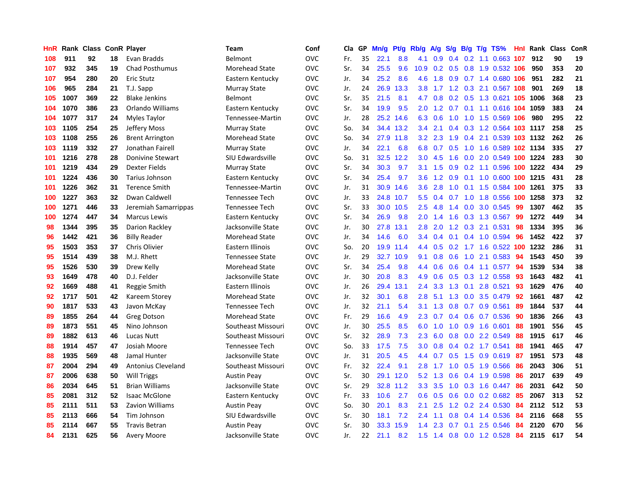| HnR | Rank | Class |    | <b>ConR Player</b>        | Team                   | Conf       | Cla | GP | Mn/g | <b>Pt/g</b> | Rb/g             | A/g | S/g | B/g | $T/g$ TS%                  | <b>Hnl</b> | Rank | <b>Class</b> | ConR |
|-----|------|-------|----|---------------------------|------------------------|------------|-----|----|------|-------------|------------------|-----|-----|-----|----------------------------|------------|------|--------------|------|
| 108 | 911  | 92    | 18 | Evan Bradds               | Belmont                | <b>OVC</b> | Fr. | 35 | 22.1 | 8.8         | 4.1              | 0.9 | 0.4 |     | 0.2 1.1 0.663 107          |            | 912  | 90           | 19   |
| 107 | 932  | 345   | 19 | <b>Chad Posthumus</b>     | <b>Morehead State</b>  | <b>OVC</b> | Sr. | 34 | 25.5 | 9.6         | 10.9             |     |     |     | 0.2 0.5 0.8 1.9 0.532 106  |            | 950  | 353          | 20   |
| 107 | 954  | 280   | 20 | <b>Eric Stutz</b>         | Eastern Kentucky       | <b>OVC</b> | Jr. | 34 | 25.2 | 8.6         | 4.6              | 1.8 |     |     | 0.9 0.7 1.4 0.680 106      |            | 951  | 282          | 21   |
| 106 | 965  | 284   | 21 | T.J. Sapp                 | Murray State           | <b>OVC</b> | Jr. | 24 | 26.9 | 13.3        | 3.8              |     |     |     | 1.7 1.2 0.3 2.1 0.567 108  |            | 901  | 269          | 18   |
| 105 | 1007 | 369   | 22 | <b>Blake Jenkins</b>      | Belmont                | <b>OVC</b> | Sr. | 35 | 21.5 | 8.1         | 4.7              | 0.8 |     |     | 0.2 0.5 1.3 0.621 105 1006 |            |      | 368          | 23   |
| 104 | 1070 | 386   | 23 | Orlando Williams          | Eastern Kentucky       | <b>OVC</b> | Sr. | 34 | 19.9 | 9.5         | 2.0              | 1.2 | 0.7 |     | 0.1 1.1 0.616 104 1059     |            |      | 383          | 24   |
| 104 | 1077 | 317   | 24 | Myles Taylor              | Tennessee-Martin       | <b>OVC</b> | Jr. | 28 | 25.2 | 14.6        | 6.3              | 0.6 | 1.0 |     | 1.0 1.5 0.569 106          |            | 980  | 295          | 22   |
| 103 | 1105 | 254   | 25 | Jeffery Moss              | Murray State           | <b>OVC</b> | So. | 34 | 34.4 | 13.2        | $3.4^{\circ}$    | 2.1 | 0.4 |     | 0.3 1.2 0.564 103 1117     |            |      | 258          | 25   |
| 103 | 1108 | 255   | 26 | <b>Brent Arrington</b>    | Morehead State         | <b>OVC</b> | So. | 34 | 27.9 | 11.8        | 3.2              | 2.3 | 1.9 |     | 0.4 2.1 0.539 103 1132     |            |      | 262          | 26   |
| 103 | 1119 | 332   | 27 | Jonathan Fairell          | <b>Murray State</b>    | <b>OVC</b> | Jr. | 34 | 22.1 | 6.8         | 6.8              | 0.7 |     |     | 0.5 1.0 1.6 0.589 102 1134 |            |      | 335          | 27   |
| 101 | 1216 | 278   | 28 | <b>Donivine Stewart</b>   | SIU Edwardsville       | <b>OVC</b> | So. | 31 | 32.5 | 12.2        | 3.0              | 4.5 |     |     | 1.6 0.0 2.0 0.549 100 1224 |            |      | 283          | 30   |
| 101 | 1219 | 434   | 29 | Dexter Fields             | Murray State           | <b>OVC</b> | Sr. | 34 | 30.3 | 9.7         | 3.1              | 1.5 | 0.9 |     | 0.2 1.1 0.596 100 1222     |            |      | 434          | 29   |
| 101 | 1224 | 436   | 30 | Tarius Johnson            | Eastern Kentucky       | <b>OVC</b> | Sr. | 34 | 25.4 | 9.7         | 3.6              | 1.2 | 0.9 |     | 0.1 1.0 0.600 100 1215     |            |      | 431          | 28   |
| 101 | 1226 | 362   | 31 | <b>Terence Smith</b>      | Tennessee-Martin       | <b>OVC</b> | Jr. | 31 | 30.9 | 14.6        | $3.6^{\circ}$    | 2.8 | 1.0 |     | 0.1 1.5 0.584 100 1261     |            |      | 375          | 33   |
| 100 | 1227 | 363   | 32 | Dwan Caldwell             | <b>Tennessee Tech</b>  | <b>OVC</b> | Jr. | 33 | 24.8 | 10.7        | 5.5              | 0.4 |     |     | 0.7 1.0 1.8 0.556 100 1258 |            |      | 373          | 32   |
| 100 | 1271 | 446   | 33 | Jeremiah Samarrippas      | Tennessee Tech         | <b>OVC</b> | Sr. | 33 | 30.0 | 10.5        | $2.5^{\circ}$    | 4.8 | 1.4 | 0.0 | 3.0 0.545                  | -99        | 1307 | 462          | 35   |
| 100 | 1274 | 447   | 34 | <b>Marcus Lewis</b>       | Eastern Kentucky       | <b>OVC</b> | Sr. | 34 | 26.9 | 9.8         | 2.0              | 1.4 | 1.6 |     | 0.3 1.3 0.567              | 99         | 1272 | 449          | 34   |
| 98  | 1344 | 395   | 35 | Darion Rackley            | Jacksonville State     | <b>OVC</b> | Jr. | 30 | 27.8 | 13.1        | 2.8              | 2.0 |     |     | 1.2 0.3 2.1 0.531          | 98         | 1334 | 395          | 36   |
| 96  | 1442 | 421   | 36 | <b>Billy Reader</b>       | Morehead State         | <b>OVC</b> | Jr. | 34 | 14.6 | 6.0         | $3.4^{\circ}$    | 0.4 |     |     | $0.1$ 0.4 1.0 0.594        | 96         | 1452 | 422          | 37   |
| 95  | 1503 | 353   | 37 | Chris Olivier             | Eastern Illinois       | <b>OVC</b> | So. | 20 | 19.9 | 11.4        | 4.4              | 0.5 |     |     | 0.2 1.7 1.6 0.522 100 1232 |            |      | 286          | 31   |
| 95  | 1514 | 439   | 38 | M.J. Rhett                | <b>Tennessee State</b> | <b>OVC</b> | Jr. | 29 | 32.7 | 10.9        | 9.1              | 0.8 |     |     | $0.6$ 1.0 2.1 0.583        | 94         | 1543 | 450          | 39   |
| 95  | 1526 | 530   | 39 | Drew Kelly                | <b>Morehead State</b>  | <b>OVC</b> | Sr. | 34 | 25.4 | 9.8         | 4.4              | 0.6 | 0.6 |     | $0.4$ 1.1 0.577            | 94         | 1539 | 534          | 38   |
| 93  | 1649 | 478   | 40 | D.J. Felder               | Jacksonville State     | <b>OVC</b> | Jr. | 30 | 20.8 | 8.3         | 4.9              | 0.6 | 0.5 |     | 0.3 1.2 0.558              | -93        | 1643 | 482          | 41   |
| 92  | 1669 | 488   | 41 | Reggie Smith              | Eastern Illinois       | <b>OVC</b> | Jr. | 26 | 29.4 | 13.1        | 2.4              | 3.3 | 1.3 | 0.1 | 2.8 0.521                  | 93         | 1629 | 476          | 40   |
| 92  | 1717 | 501   | 42 | Kareem Storey             | Morehead State         | <b>OVC</b> | Jr. | 32 | 30.1 | 6.8         | 2.8              | 5.1 | 1.3 |     | 0.0 3.5 0.479              | 92         | 1661 | 487          | 42   |
| 90  | 1817 | 533   | 43 | Javon McKay               | <b>Tennessee Tech</b>  | <b>OVC</b> | Jr. | 32 | 21.1 | 5.4         | 3.1              | 1.3 | 0.8 |     | 0.7 0.9 0.561              | -89        | 1844 | 537          | 44   |
| 89  | 1855 | 264   | 44 | <b>Greg Dotson</b>        | Morehead State         | <b>OVC</b> | Fr. | 29 | 16.6 | 4.9         | 2.3              | 0.7 |     |     | 0.4 0.6 0.7 0.536 90       |            | 1836 | 266          | 43   |
| 89  | 1873 | 551   | 45 | Nino Johnson              | Southeast Missouri     | <b>OVC</b> | Jr. | 30 | 25.5 | 8.5         | 6.0              |     |     |     | 1.0 1.0 0.9 1.6 0.601      | 88         | 1901 | 556          | 45   |
| 89  | 1882 | 613   | 46 | Lucas Nutt                | Southeast Missouri     | <b>OVC</b> | Sr. | 32 | 28.9 | 7.3         | $2.3\phantom{0}$ | 6.0 | 0.8 |     | $0.0$ 2.2 $0.549$          | -88        | 1915 | 617          | 46   |
| 88  | 1914 | 457   | 47 | Josiah Moore              | <b>Tennessee Tech</b>  | <b>OVC</b> | So. | 33 | 17.5 | 7.5         | 3.0              | 0.8 | 0.4 |     | $0.2$ 1.7 $0.541$          | 88         | 1941 | 465          | 47   |
| 88  | 1935 | 569   | 48 | Jamal Hunter              | Jacksonville State     | <b>OVC</b> | Jr. | 31 | 20.5 | 4.5         | 4.4              | 0.7 | 0.5 |     | 1.5 0.9 0.619              | -87        | 1951 | 573          | 48   |
| 87  | 2004 | 294   | 49 | <b>Antonius Cleveland</b> | Southeast Missouri     | <b>OVC</b> | Fr. | 32 | 22.4 | 9.1         | 2.8              | 1.7 | 1.0 |     | 0.5 1.9 0.566              | 86         | 2043 | 306          | 51   |
| 87  | 2006 | 638   | 50 | <b>Will Triggs</b>        | <b>Austin Peay</b>     | <b>OVC</b> | Sr. | 30 | 29.1 | 12.0        | 5.2              | 1.3 | 0.6 |     | 0.4 1.9 0.598              | -86        | 2017 | 639          | 49   |
| 86  | 2034 | 645   | 51 | <b>Brian Williams</b>     | Jacksonville State     | <b>OVC</b> | Sr. | 29 | 32.8 | 11.2        | 3.3              | 3.5 | 1.0 |     | 0.3 1.6 0.447              | 86         | 2031 | 642          | 50   |
| 85  | 2081 | 312   | 52 | <b>Isaac McGlone</b>      | Eastern Kentucky       | <b>OVC</b> | Fr. | 33 | 10.6 | 2.7         | 0.6              | 0.5 | 0.6 |     | $0.0$ 0.2 0.682            | -85        | 2067 | 313          | 52   |
| 85  | 2111 | 511   | 53 | <b>Zavion Williams</b>    | <b>Austin Peay</b>     | <b>OVC</b> | So. | 30 | 20.1 | 8.3         | 2.1              | 2.5 |     |     | 1.2 0.2 2.4 0.530 84       |            | 2112 | 512          | 53   |
| 85  | 2113 | 666   | 54 | Tim Johnson               | SIU Edwardsville       | <b>OVC</b> | Sr. | 30 | 18.1 | 7.2         | $2.4\,$          | 1.1 | 0.8 |     | $0.4$ 1.4 0.536            | -84        | 2116 | 668          | 55   |
| 85  | 2114 | 667   | 55 | <b>Travis Betran</b>      | <b>Austin Peay</b>     | <b>OVC</b> | Sr. | 30 | 33.3 | 15.9        | 1.4              | 2.3 | 0.7 | 0.1 | 2.5 0.546                  | 84         | 2120 | 670          | 56   |
| 84  | 2131 | 625   | 56 | <b>Avery Moore</b>        | Jacksonville State     | <b>OVC</b> | Jr. | 22 | 21.1 | 8.2         | 1.5              |     |     |     | 1.4 0.8 0.0 1.2 0.528      | -84        | 2115 | 617          | 54   |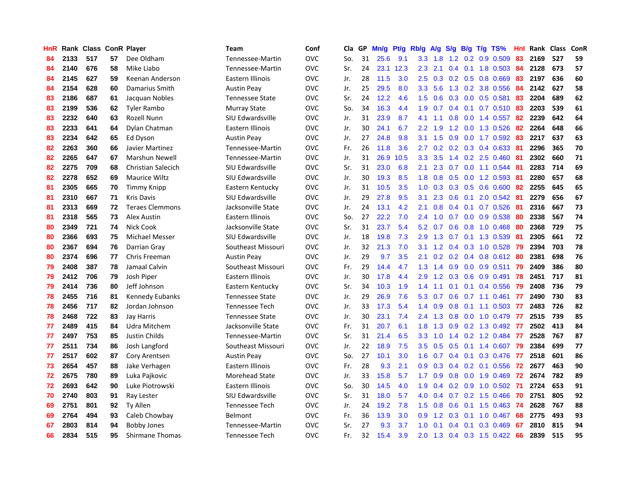| HnR |      | Rank Class ConR Player |    |                           | <b>Team</b>            | Conf       | Cla | GP | Mn/g | Pt/g | Rb/g             | A/g | S/g           | B/g | $T/g$ TS%                   | Hnl | Rank | <b>Class</b> | <b>ConR</b> |
|-----|------|------------------------|----|---------------------------|------------------------|------------|-----|----|------|------|------------------|-----|---------------|-----|-----------------------------|-----|------|--------------|-------------|
| 84  | 2133 | 517                    | 57 | Dee Oldham                | Tennessee-Martin       | <b>OVC</b> | So. | 31 | 25.6 | 9.1  | 3.3 <sub>2</sub> | 1.8 | 1.2           |     | $0.2$ 0.9 0.509             | 83  | 2169 | 527          | 59          |
| 84  | 2140 | 676                    | 58 | Mike Liabo                | Tennessee-Martin       | <b>OVC</b> | Sr. | 24 | 23.1 | 12.3 | 2.3              | 2.1 |               |     | 0.4 0.1 1.8 0.503 84        |     | 2128 | 673          | 57          |
| 84  | 2145 | 627                    | 59 | Keenan Anderson           | Eastern Illinois       | <b>OVC</b> | Jr. | 28 | 11.5 | 3.0  | 2.5              |     |               |     | 0.3 0.2 0.5 0.8 0.669       | -83 | 2197 | 636          | 60          |
| 84  | 2154 | 628                    | 60 | Damarius Smith            | <b>Austin Peay</b>     | <b>OVC</b> | Jr. | 25 | 29.5 | 8.0  | 3.3              | 5.6 |               |     | 1.3 0.2 3.8 0.556           | -84 | 2142 | 627          | 58          |
| 83  | 2186 | 687                    | 61 | Jacquan Nobles            | <b>Tennessee State</b> | OVC        | Sr. | 24 | 12.2 | 4.6  | 1.5              | 0.6 | 0.3           |     | 0.0 0.5 0.581               | 83  | 2204 | 689          | 62          |
| 83  | 2199 | 536                    | 62 | <b>Tyler Rambo</b>        | <b>Murray State</b>    | <b>OVC</b> | So. | 34 | 16.3 | 4.4  | 1.9              | 0.7 |               |     | 0.4 0.1 0.7 0.510 83        |     | 2203 | 539          | 61          |
| 83  | 2232 | 640                    | 63 | Rozell Nunn               | SIU Edwardsville       | <b>OVC</b> | Jr. | 31 | 23.9 | 8.7  | 4.1              | 1.1 | 0.8           |     | $0.0$ 1.4 $0.557$           | 82  | 2239 | 642          | 64          |
| 83  | 2233 | 641                    | 64 | Dylan Chatman             | Eastern Illinois       | <b>OVC</b> | Jr. | 30 | 24.1 | 6.7  | $2.2^{\circ}$    | 1.9 | 1.2           |     | $0.0$ 1.3 0.526             | 82  | 2264 | 648          | 66          |
| 83  | 2234 | 642                    | 65 | Ed Dyson                  | <b>Austin Peav</b>     | <b>OVC</b> | Jr. | 27 | 24.8 | 9.8  | 3.1              | 1.5 | 0.9           |     | $0.0$ 1.7 $0.592$           | -83 | 2217 | 637          | 63          |
| 82  | 2263 | 360                    | 66 | Javier Martinez           | Tennessee-Martin       | <b>OVC</b> | Fr. | 26 | 11.8 | 3.6  | 2.7              | 0.2 |               |     | 0.2 0.3 0.4 0.633 81        |     | 2296 | 365          | 70          |
| 82  | 2265 | 647                    | 67 | Marshun Newell            | Tennessee-Martin       | <b>OVC</b> | Jr. | 31 | 26.9 | 10.5 | 3.3 <sub>2</sub> | 3.5 |               |     | 1.4 0.2 2.5 0.460 81        |     | 2302 | 660          | 71          |
| 82  | 2275 | 709                    | 68 | <b>Christian Salecich</b> | SIU Edwardsville       | <b>OVC</b> | Sr. | 31 | 23.0 | 6.8  | 2.1              | 2.3 |               |     | $0.7$ 0.0 1.1 0.544         | -81 | 2283 | 714          | 69          |
| 82  | 2278 | 652                    | 69 | Maurice Wiltz             | SIU Edwardsville       | OVC        | Jr. | 30 | 19.3 | 8.5  | 1.8              | 0.8 |               |     | 0.5 0.0 1.2 0.593           | -81 | 2280 | 657          | 68          |
| 81  | 2305 | 665                    | 70 | <b>Timmy Knipp</b>        | Eastern Kentucky       | <b>OVC</b> | Jr. | 31 | 10.5 | 3.5  | 1.0              | 0.3 | 0.3           |     | $0.5$ 0.6 0.600             | -82 | 2255 | 645          | 65          |
| 81  | 2310 | 667                    | 71 | <b>Kris Davis</b>         | SIU Edwardsville       | <b>OVC</b> | Jr. | 29 | 27.8 | 9.5  | 3.1              | 2.3 | 0.6           |     | 0.1 2.0 0.542 81            |     | 2279 | 656          | 67          |
| 81  | 2313 | 669                    | 72 | <b>Teraes Clemmons</b>    | Jacksonville State     | <b>OVC</b> | Jr. | 24 | 13.1 | 4.2  | 2.1              | 0.8 | $0.4^{\circ}$ |     | $0.1$ 0.7 0.526             | -81 | 2316 | 667          | 73          |
| 81  | 2318 | 565                    | 73 | Alex Austin               | Eastern Illinois       | <b>OVC</b> | So. | 27 | 22.2 | 7.0  | 2.4              | 1.0 | 0.7           |     | $0.0$ $0.9$ $0.538$         | -80 | 2338 | 567          | 74          |
| 80  | 2349 | 721                    | 74 | Nick Cook                 | Jacksonville State     | <b>OVC</b> | Sr. | 31 | 23.7 | 5.4  | 5.2              | 0.7 | 0.6           |     | $0.8$ 1.0 0.468             | -80 | 2368 | 729          | 75          |
| 80  | 2366 | 693                    | 75 | <b>Michael Messer</b>     | SIU Edwardsville       | <b>OVC</b> | Jr. | 18 | 19.8 | 7.3  | 2.9              | 1.3 |               |     | 0.7 0.1 1.3 0.539           | -81 | 2305 | 661          | 72          |
| 80  | 2367 | 694                    | 76 | Darrian Gray              | Southeast Missouri     | <b>OVC</b> | Jr. | 32 | 21.3 | 7.0  | 3.1              | 1.2 |               |     | 0.4 0.3 1.0 0.528 79        |     | 2394 | 703          | 78          |
| 80  | 2374 | 696                    | 77 | Chris Freeman             | <b>Austin Peay</b>     | <b>OVC</b> | Jr. | 29 | 9.7  | 3.5  | 2.1              | 0.2 |               |     | $0.2$ 0.4 0.8 0.612         | -80 | 2381 | 698          | 76          |
| 79  | 2408 | 387                    | 78 | Jamaal Calvin             | Southeast Missouri     | <b>OVC</b> | Fr. | 29 | 14.4 | 4.7  | 1.3              | 1.4 | 0.9           |     | $0.0$ 0.9 0.511             | 79  | 2409 | 386          | 80          |
| 79  | 2412 | 706                    | 79 | Josh Piper                | Eastern Illinois       | <b>OVC</b> | Jr. | 30 | 17.8 | 4.4  | 2.9              | 1.2 | 0.3           |     | $0.6$ 0.9 0.491             | 78  | 2451 | 717          | 81          |
| 79  | 2414 | 736                    | 80 | Jeff Johnson              | Eastern Kentucky       | <b>OVC</b> | Sr. | 34 | 10.3 | 1.9  | 1.4              | 1.1 | 0.1           |     | $0.1 \quad 0.4 \quad 0.556$ | 79  | 2408 | 736          | 79          |
| 78  | 2455 | 716                    | 81 | Kennedy Eubanks           | <b>Tennessee State</b> | <b>OVC</b> | Jr. | 29 | 26.9 | 7.6  | 5.3              | 0.7 | 0.6           |     | $0.7$ 1.1 0.461             | 77  | 2490 | 730          | 83          |
| 78  | 2456 | 717                    | 82 | Jordan Johnson            | <b>Tennessee Tech</b>  | <b>OVC</b> | Jr. | 33 | 17.3 | 5.4  | 1.4              | 0.9 | 0.8           |     | $0.1$ 1.1 0.503             | -77 | 2483 | 726          | 82          |
| 78  | 2468 | 722                    | 83 | <b>Jay Harris</b>         | <b>Tennessee State</b> | <b>OVC</b> | Jr. | 30 | 23.1 | 7.4  | $2.4^{\circ}$    | 1.3 |               |     | 0.8 0.0 1.0 0.479 77        |     | 2515 | 739          | 85          |
| 77  | 2489 | 415                    | 84 | Udra Mitchem              | Jacksonville State     | <b>OVC</b> | Fr. | 31 | 20.7 | 6.1  | 1.8              | 1.3 |               |     | 0.9 0.2 1.3 0.492 77        |     | 2502 | 413          | 84          |
| 77  | 2497 | 753                    | 85 | Justin Childs             | Tennessee-Martin       | <b>OVC</b> | Sr. | 31 | 21.4 | 6.5  | 3.3 <sub>2</sub> | 1.0 |               |     | 1.4 0.2 1.2 0.484 77        |     | 2528 | 767          | 87          |
| 77  | 2511 | 734                    | 86 | Josh Langford             | Southeast Missouri     | <b>OVC</b> | Jr. | 22 | 18.9 | 7.5  | 3.5              | 0.5 | 0.5           |     | 0.1 1.4 0.607 79            |     | 2384 | 699          | 77          |
| 77  | 2517 | 602                    | 87 | Cory Arentsen             | <b>Austin Peay</b>     | <b>OVC</b> | So. | 27 | 10.1 | 3.0  | 1.6              | 0.7 | 0.4           |     | $0.1$ 0.3 0.476             | -77 | 2518 | 601          | 86          |
| 73  | 2654 | 457                    | 88 | Jake Verhagen             | Eastern Illinois       | <b>OVC</b> | Fr. | 28 | 9.3  | 2.1  | 0.9              | 0.3 | 0.4           |     | $0.2$ 0.1 0.556             | 72  | 2677 | 463          | 90          |
| 72  | 2675 | 780                    | 89 | Luka Pajkovic             | Morehead State         | <b>OVC</b> | Jr. | 33 | 15.8 | 5.7  | 1.7              | 0.9 | 0.8           |     | $0.0$ 1.9 $0.469$           | 72  | 2674 | 782          | 89          |
| 72  | 2693 | 642                    | 90 | Luke Piotrowski           | Eastern Illinois       | <b>OVC</b> | So. | 30 | 14.5 | 4.0  | 1.9              | 0.4 | 0.2           |     | $0.9$ 1.0 0.502             | -71 | 2724 | 653          | 91          |
| 70  | 2740 | 803                    | 91 | Ray Lester                | SIU Edwardsville       | <b>OVC</b> | Sr. | 31 | 18.0 | 5.7  | 4.0              | 0.4 | 0.7           |     | $0.2$ 1.5 0.466             | 70  | 2751 | 805          | 92          |
| 69  | 2751 | 801                    | 92 | <b>Ty Allen</b>           | Tennessee Tech         | <b>OVC</b> | Jr. | 24 | 19.2 | 7.8  | 1.5              | 0.8 |               |     | 0.6 0.1 1.5 0.463 74        |     | 2628 | 767          | 88          |
| 69  | 2764 | 494                    | 93 | Caleb Chowbay             | Belmont                | <b>OVC</b> | Fr. | 36 | 13.9 | 3.0  | 0.9 <sub>0</sub> | 1.2 |               |     | $0.3$ 0.1 1.0 0.467         | -68 | 2775 | 493          | 93          |
| 67  | 2803 | 814                    | 94 | <b>Bobby Jones</b>        | Tennessee-Martin       | <b>OVC</b> | Sr. | 27 | 9.3  | 3.7  | 1.0              | 0.1 | 0.4           |     | $0.1$ 0.3 0.469             | -67 | 2810 | 815          | 94          |
| 66  | 2834 | 515                    | 95 | <b>Shirmane Thomas</b>    | Tennessee Tech         | OVC        | Fr. | 32 | 15.4 | 3.9  | 2.0              |     |               |     | 1.3 0.4 0.3 1.5 0.422 66    |     | 2839 | 515          | 95          |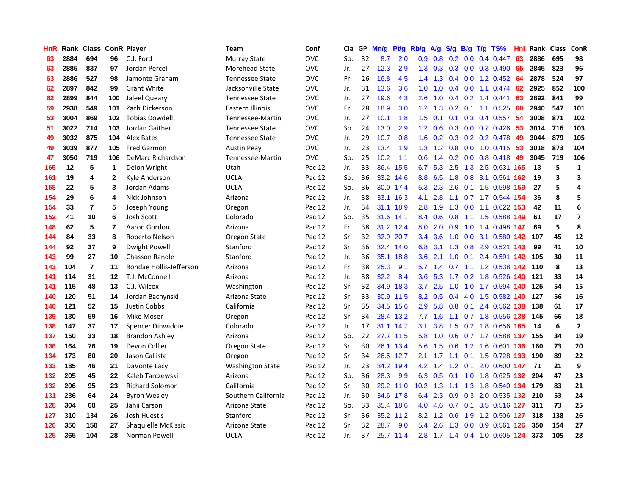| HnR |      | Rank Class ConR Player  |              |                         | <b>Team</b>             | Conf       | Cla | <b>GP</b> | Mn/g | Pt/g      | Rb/g             | A/g | S/g | B/g | $T/g$ TS%                 | Hnl | Rank  | <b>Class</b> | ConR                    |
|-----|------|-------------------------|--------------|-------------------------|-------------------------|------------|-----|-----------|------|-----------|------------------|-----|-----|-----|---------------------------|-----|-------|--------------|-------------------------|
| 63  | 2884 | 694                     | 96           | C.J. Ford               | <b>Murray State</b>     | <b>OVC</b> | So. | 32        | 8.7  | 2.0       | 0.9 <sub>0</sub> | 0.8 | 0.2 | 0.0 | 0.4 0.447                 | 63  | 2886  | 695          | 98                      |
| 63  | 2885 | 837                     | 97           | Jordan Percell          | <b>Morehead State</b>   | <b>OVC</b> | Jr. | 27        | 12.3 | 2.9       | 1.3              | 0.3 |     |     | $0.3$ 0.0 0.3 0.490       | -65 | 2845  | 823          | 96                      |
| 63  | 2886 | 527                     | 98           | Jamonte Graham          | <b>Tennessee State</b>  | <b>OVC</b> | Fr. | 26        | 16.8 | 4.5       | $1.4^{\circ}$    | 1.3 |     |     | 0.4 0.0 1.2 0.452 64      |     | 2878  | 524          | 97                      |
| 62  | 2897 | 842                     | 99           | <b>Grant White</b>      | Jacksonville State      | <b>OVC</b> | Jr. | 31        | 13.6 | 3.6       | 1.0              | 1.0 | 0.4 |     | $0.0$ 1.1 $0.474$         | 62  | 2925  | 852          | 100                     |
| 62  | 2899 | 844                     | 100          | Jaleel Queary           | <b>Tennessee State</b>  | OVC        | Jr. | 27        | 19.6 | 4.3       | 2.6              | 1.0 | 0.4 |     | $0.2$ 1.4 0.441           | 63  | 2892  | 841          | 99                      |
| 59  | 2938 | 549                     | 101          | Zach Dickerson          | Eastern Illinois        | <b>OVC</b> | Fr. | 28        | 18.9 | 3.0       | 1.2              | 1.3 |     |     | $0.2$ 0.1 1.1 0.525       | 60  | 2940  | 547          | 101                     |
| 53  | 3004 | 869                     | 102          | <b>Tobias Dowdell</b>   | Tennessee-Martin        | OVC        | Jr. | 27        | 10.1 | 1.8       | 1.5              | 0.1 | 0.1 |     | $0.3$ 0.4 0.557           | 54  | 3008  | 871          | 102                     |
| 51  | 3022 | 714                     | 103          | Jordan Gaither          | <b>Tennessee State</b>  | <b>OVC</b> | So. | 24        | 13.0 | 2.9       | 1.2              | 0.6 | 0.3 |     | $0.0$ 0.7 0.426           | 53  | 3014  | 716          | 103                     |
| 49  | 3032 | 875                     | 104          | Alex Bates              | <b>Tennessee State</b>  | <b>OVC</b> | Jr. | 29        | 10.7 | 0.8       | 1.6              | 0.2 | 0.3 |     | 0.2 0.2 0.478             | -49 | 3044  | 879          | 105                     |
| 49  | 3039 | 877                     | 105          | <b>Fred Garmon</b>      | <b>Austin Peav</b>      | <b>OVC</b> | Jr. | 23        | 13.4 | 1.9       | 1.3              | 1.2 | 0.8 |     | $0.0$ 1.0 0.415 53        |     | 3018  | 873          | 104                     |
| 47  | 3050 | 719                     | 106          | DeMarc Richardson       | Tennessee-Martin        | <b>OVC</b> | So. | 25        | 10.2 | 1.1       | 0.6              |     |     |     | 1.4 0.2 0.0 0.8 0.418 49  |     | 3045  | 719          | 106                     |
| 165 | 12   | 5                       | 1            | Delon Wright            | Utah                    | Pac 12     | Jr. | 33        | 36.4 | 15.5      | 6.7              | 5.3 |     |     | 2.5 1.3 2.5 0.631 165     |     | 13    | 5            | 1                       |
| 161 | 19   | 4                       | $\mathbf{2}$ | Kyle Anderson           | <b>UCLA</b>             | Pac 12     | So. | 36        | 33.2 | 14.6      | 8.8              | 6.5 | 1.8 |     | 0.8 3.1 0.561 162         |     | 19    | 3            | 3                       |
| 158 | 22   | 5                       | 3            | Jordan Adams            | <b>UCLA</b>             | Pac 12     | So. | 36        | 30.0 | 17.4      | 5.3              | 2.3 | 2.6 |     | 0.1 1.5 0.598 159         |     | 27    | 5            | 4                       |
| 154 | 29   | 6                       | 4            | Nick Johnson            | Arizona                 | Pac 12     | Jr. | 38        | 33.1 | 16.3      | 4.1              | 2.8 |     |     | 1.1 0.7 1.7 0.544 154     |     | 36    | 8            | 5                       |
| 154 | 33   | $\overline{\mathbf{r}}$ | 5            | Joseph Young            | Oregon                  | Pac 12     | Jr. | 34        | 31.1 | 18.9      | 2.8              | 1.9 | 1.3 |     | $0.0$ 1.1 $0.622$ 153     |     | 42    | 11           | 6                       |
| 152 | 41   | 10                      | 6            | Josh Scott              | Colorado                | Pac 12     | So. | 35        | 31.6 | 14.1      | 8.4              | 0.6 | 0.8 |     | 1.1 1.5 0.588 149         |     | 61    | 17           | $\overline{\mathbf{z}}$ |
| 148 | 62   | 5                       | 7            | Aaron Gordon            | Arizona                 | Pac 12     | Fr. | 38        |      | 31.2 12.4 | 8.0              | 2.0 | 0.9 |     | 1.0 1.4 0.498 147         |     | 69    | 5            | 8                       |
| 144 | 84   | 33                      | 8            | Roberto Nelson          | Oregon State            | Pac 12     | Sr. | 32        |      | 32.9 20.7 | $3.4^{\circ}$    | 3.6 |     |     | 1.0 0.0 3.1 0.580 142     |     | 107   | 45           | 12                      |
| 144 | 92   | 37                      | 9            | <b>Dwight Powell</b>    | Stanford                | Pac 12     | Sr. | 36        | 32.4 | 14.0      | 6.8              | 3.1 |     |     | 1.3 0.8 2.9 0.521 143     |     | 99    | 41           | 10                      |
| 143 | 99   | 27                      | 10           | <b>Chasson Randle</b>   | Stanford                | Pac 12     | Jr. | 36        | 35.1 | 18.8      | $3.6^{\circ}$    | 2.1 | 1.0 |     | $0.1$ 2.4 0.591 142       |     | 105   | 30           | 11                      |
| 143 | 104  | $\overline{7}$          | 11           | Rondae Hollis-Jefferson | Arizona                 | Pac 12     | Fr. | 38        | 25.3 | 9.1       | 5.7              | 1.4 | 0.7 |     | 1.1 1.2 0.538 142         |     | 110   | 8            | 13                      |
| 141 | 114  | 31                      | 12           | T.J. McConnell          | Arizona                 | Pac 12     | Jr. | 38        | 32.2 | 8.4       | 3.6              | 5.3 | 1.7 |     | 0.2 1.8 0.526 140         |     | 121   | 33           | 14                      |
| 141 | 115  | 48                      | 13           | C.J. Wilcox             | Washington              | Pac 12     | Sr. | 32        | 34.9 | 18.3      | 3.7              | 2.5 | 1.0 |     | 1.0 1.7 0.594             | 140 | 125   | 54           | 15                      |
| 140 | 120  | 51                      | 14           | Jordan Bachynski        | Arizona State           | Pac 12     | Sr. | 33        | 30.9 | 11.5      | 8.2              | 0.5 | 0.4 |     | 4.0 1.5 0.582 140         |     | 127   | 56           | 16                      |
| 140 | 121  | 52                      | 15           | Justin Cobbs            | California              | Pac 12     | Sr. | 35        | 34.5 | 15.6      | 2.9              | 5.8 | 0.8 |     | $0.1$ 2.4 0.562 138       |     | 138   | 61           | 17                      |
| 139 | 130  | 59                      | 16           | Mike Moser              | Oregon                  | Pac 12     | Sr. | 34        |      | 28.4 13.2 | 7.7              | 1.6 |     |     | 1.1 0.7 1.8 0.556 138     |     | - 145 | 66           | 18                      |
| 138 | 147  | 37                      | 17           | Spencer Dinwiddie       | Colorado                | Pac 12     | Jr. | 17        |      | 31.1 14.7 | 3.1              | 3.8 |     |     | 1.5 0.2 1.8 0.656 165     |     | 14    | 6            | $\overline{2}$          |
| 137 | 150  | 33                      | 18           | Brandon Ashley          | Arizona                 | Pac 12     | So. | 22        | 27.7 | 11.5      | 5.8              | 1.0 |     |     | 0.6 0.7 1.7 0.588 137     |     | 155   | 34           | 19                      |
| 136 | 164  | 76                      | 19           | Devon Collier           | Oregon State            | Pac 12     | Sr. | 30        | 26.1 | 13.4      | 5.6              | 1.5 | 0.6 |     | 1.2 1.6 0.601 136         |     | 160   | 73           | 20                      |
| 134 | 173  | 80                      | 20           | Jason Calliste          | Oregon                  | Pac 12     | Sr. | 34        | 26.5 | 12.7      | 2.1              | 1.7 |     |     | 1.1 0.1 1.5 0.728 133     |     | 190   | 89           | 22                      |
| 133 | 185  | 46                      | 21           | DaVonte Lacy            | <b>Washington State</b> | Pac 12     | Jr. | 23        | 34.2 | 19.4      | 4.2              | 1.4 | 1.2 | 0.1 | 2.0 0.600                 | 147 | 71    | 21           | 9                       |
| 132 | 205  | 45                      | 22           | Kaleb Tarczewski        | Arizona                 | Pac 12     | So. | 36        | 28.3 | 9.9       | 6.3              | 0.5 |     |     | 0.1 1.0 1.8 0.625 132     |     | 204   | 47           | 23                      |
| 132 | 206  | 95                      | 23           | <b>Richard Solomon</b>  | California              | Pac 12     | Sr. | 30        | 29.2 | 11.0      | 10.2             | 1.3 | 1.1 |     | 1.3 1.8 0.540 134         |     | 179   | 83           | 21                      |
| 131 | 236  | 64                      | 24           | <b>Byron Wesley</b>     | Southern California     | Pac 12     | Jr. | 30        | 34.6 | 17.8      | 6.4              | 2.3 | 0.9 |     | 0.3 2.0 0.535 132 210     |     |       | 53           | 24                      |
| 128 | 304  | 68                      | 25           | Jahii Carson            | Arizona State           | Pac 12     | So. | 33        | 35.4 | 18.6      | 4.0              | 4.6 |     |     | 0.7 0.1 3.5 0.516 127     |     | 311   | 73           | 25                      |
| 127 | 310  | 134                     | 26           | Josh Huestis            | Stanford                | Pac 12     | Sr. | 36        | 35.2 | 11.2      | 8.2              | 1.2 | 0.6 |     | 1.9 1.2 0.506 127         |     | 318   | 138          | 26                      |
| 126 | 350  | 150                     | 27           | Shaquielle McKissic     | Arizona State           | Pac 12     | Sr. | 32        | 28.7 | 9.0       | 5.4              | 2.6 | 1.3 |     | 0.0 0.9 0.561 126         |     | 350   | 154          | 27                      |
| 125 | 365  | 104                     | 28           | Norman Powell           | <b>UCLA</b>             | Pac 12     | Jr. | 37        |      | 25.7 11.4 | 2.8              |     |     |     | 1.7 1.4 0.4 1.0 0.605 124 |     | 373   | 105          | 28                      |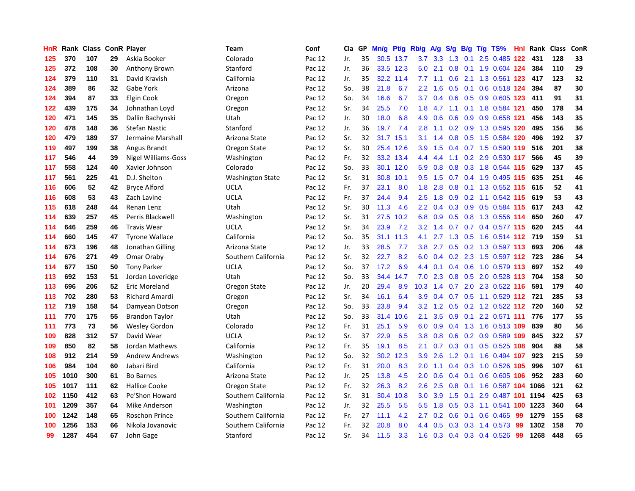| HnR | Rank |     |    | <b>Class ConR Player</b>   | Team                    | Conf   | Cla | <b>GP</b> | Mn/g | Pt/g      | Rb/g             | A/g | S/g           | B/g | $T/g$ TS%                   | Hnl | Rank | <b>Class</b> | ConR |
|-----|------|-----|----|----------------------------|-------------------------|--------|-----|-----------|------|-----------|------------------|-----|---------------|-----|-----------------------------|-----|------|--------------|------|
| 125 | 370  | 107 | 29 | Askia Booker               | Colorado                | Pac 12 | Jr. | 35        |      | 30.5 13.7 | 3.7              | 3.3 | 1.3           | 0.1 | 2.5 0.485 122               |     | 431  | 128          | 33   |
| 125 | 372  | 108 | 30 | Anthony Brown              | Stanford                | Pac 12 | Jr. | 36        |      | 33.5 12.3 | 5.0              | 2.1 | 0.8           |     | 0.1 1.9 0.604 124           |     | 384  | 110          | 29   |
| 124 | 379  | 110 | 31 | David Kravish              | California              | Pac 12 | Jr. | 35        | 32.2 | 11.4      | 7.7              | 1.1 | 0.6           |     | 2.1 1.3 0.561 123           |     | -417 | 123          | 32   |
| 124 | 389  | 86  | 32 | Gabe York                  | Arizona                 | Pac 12 | So. | 38        | 21.8 | 6.7       | $2.2\phantom{0}$ | 1.6 | 0.5           |     | $0.1$ 0.6 0.518 124         |     | 394  | 87           | 30   |
| 124 | 394  | 87  | 33 | Elgin Cook                 | Oregon                  | Pac 12 | So. | 34        | 16.6 | 6.7       | 3.7              | 0.4 | 0.6           |     | 0.5 0.9 0.605 123           |     | 411  | 91           | 31   |
| 122 | 439  | 175 | 34 | Johnathan Loyd             | Oregon                  | Pac 12 | Sr. | 34        | 25.5 | 7.0       | 1.8              | 4.7 | 1.1           |     | 0.1 1.8 0.584 121           |     | 450  | 178          | 34   |
| 120 | 471  | 145 | 35 | Dallin Bachynski           | Utah                    | Pac 12 | Jr. | 30        | 18.0 | 6.8       | 4.9              | 0.6 | 0.6           |     | 0.9 0.9 0.658 121           |     | 456  | 143          | 35   |
| 120 | 478  | 148 | 36 | <b>Stefan Nastic</b>       | Stanford                | Pac 12 | Jr. | 36        | 19.7 | 7.4       | 2.8              | 1.1 | 0.2           |     | 0.9 1.3 0.595 120           |     | 495  | 156          | 36   |
| 120 | 479  | 189 | 37 | Jermaine Marshall          | Arizona State           | Pac 12 | Sr. | 32        | 31.7 | 15.1      | 3.1              | 1.4 | 0.8           |     | 0.5 1.5 0.584 120           |     | 496  | 192          | 37   |
| 119 | 497  | 199 | 38 | Angus Brandt               | Oregon State            | Pac 12 | Sr. | 30        |      | 25.4 12.6 | 3.9 <sup>°</sup> | 1.5 |               |     | 0.4 0.7 1.5 0.590 119       |     | 516  | 201          | 38   |
| 117 | 546  | 44  | 39 | <b>Nigel Williams-Goss</b> | Washington              | Pac 12 | Fr. | 32        |      | 33.2 13.4 | 4.4              | 4.4 |               |     | 1.1 0.2 2.9 0.530 117       |     | 566  | 45           | 39   |
| 117 | 558  | 124 | 40 | Xavier Johnson             | Colorado                | Pac 12 | So. | 33        | 30.1 | 12.0      | 5.9              | 0.8 |               |     | 0.8 0.3 1.8 0.544 115       |     | 629  | 137          | 45   |
| 117 | 561  | 225 | 41 | D.J. Shelton               | <b>Washington State</b> | Pac 12 | Sr. | 31        | 30.8 | 10.1      | 9.5              | 1.5 | 0.7           |     | 0.4 1.9 0.495 115           |     | 635  | 251          | 46   |
| 116 | 606  | 52  | 42 | <b>Bryce Alford</b>        | <b>UCLA</b>             | Pac 12 | Fr. | 37        | 23.1 | 8.0       | 1.8              | 2.8 | 0.8           |     | 0.1 1.3 0.552 115           |     | 615  | 52           | 41   |
| 116 | 608  | 53  | 43 | Zach Lavine                | <b>UCLA</b>             | Pac 12 | Fr. | 37        | 24.4 | 9.4       | 2.5              | 1.8 | 0.9           |     | 0.2 1.1 0.542 115           |     | 619  | 53           | 43   |
| 115 | 618  | 248 | 44 | Renan Lenz                 | Utah                    | Pac 12 | Sr. | 30        | 11.3 | 4.6       | $2.2\phantom{0}$ | 0.4 | 0.3           |     | 0.9 0.5 0.584 115           |     | 617  | 243          | 42   |
| 114 | 639  | 257 | 45 | Perris Blackwell           | Washington              | Pac 12 | Sr. | 31        | 27.5 | 10.2      | 6.8              | 0.9 | 0.5           |     | 0.8 1.3 0.556 114           |     | 650  | 260          | 47   |
| 114 | 646  | 259 | 46 | <b>Travis Wear</b>         | <b>UCLA</b>             | Pac 12 | Sr. | 34        | 23.9 | 7.2       | 3.2              | 1.4 | 0.7           |     | 0.7 0.4 0.577 115           |     | 620  | 245          | 44   |
| 114 | 660  | 145 | 47 | <b>Tyrone Wallace</b>      | California              | Pac 12 | So. | 35        | 31.1 | 11.3      | 4.1              | 2.7 |               |     | 1.3 0.5 1.6 0.514 112 719   |     |      | 159          | 51   |
| 114 | 673  | 196 | 48 | Jonathan Gilling           | Arizona State           | Pac 12 | Jr. | 33        | 28.5 | 7.7       | 3.8              | 2.7 |               |     | 0.5 0.2 1.3 0.597 113       |     | 693  | 206          | 48   |
| 114 | 676  | 271 | 49 | Omar Oraby                 | Southern California     | Pac 12 | Sr. | 32        | 22.7 | 8.2       | 6.0              | 0.4 |               |     | 0.2 2.3 1.5 0.597 112 723   |     |      | 286          | 54   |
| 114 | 677  | 150 | 50 | <b>Tony Parker</b>         | <b>UCLA</b>             | Pac 12 | So. | 37        | 17.2 | 6.9       | 4.4              | 0.1 | $0.4^{\circ}$ |     | 0.6 1.0 0.579 113           |     | 697  | 152          | 49   |
| 113 | 692  | 153 | 51 | Jordan Loveridge           | Utah                    | Pac 12 | So. | 33        | 34.4 | 14.7      | 7.0              | 2.3 | 0.8           |     | 0.5 2.0 0.528 113           |     | 704  | 158          | 50   |
| 113 | 696  | 206 | 52 | Eric Moreland              | Oregon State            | Pac 12 | Jr. | 20        | 29.4 | 8.9       | 10.3             | 1.4 | 0.7           |     | 2.0 2.3 0.522 116           |     | 591  | 179          | 40   |
| 113 | 702  | 280 | 53 | Richard Amardi             | Oregon                  | Pac 12 | Sr. | 34        | 16.1 | 6.4       | 3.9              | 0.4 | 0.7           |     | 0.5 1.1 0.529 112           |     | 721  | 285          | 53   |
| 112 | 719  | 158 | 54 | Damyean Dotson             | Oregon                  | Pac 12 | So. | 33        | 23.8 | 9.4       | 3.2              | 1.2 | 0.5           |     | 0.2 1.2 0.522 112           |     | 720  | 160          | 52   |
| 111 | 770  | 175 | 55 | <b>Brandon Taylor</b>      | Utah                    | Pac 12 | So. | 33        | 31.4 | 10.6      | 2.1              | 3.5 |               |     | 0.9 0.1 2.2 0.571 111       |     | 776  | 177          | 55   |
| 111 | 773  | 73  | 56 | <b>Wesley Gordon</b>       | Colorado                | Pac 12 | Fr. | 31        | 25.1 | 5.9       | 6.0              |     |               |     | 0.9 0.4 1.3 1.6 0.513 109   |     | 839  | 80           | 56   |
| 109 | 828  | 312 | 57 | David Wear                 | <b>UCLA</b>             | Pac 12 | Sr. | 37        | 22.9 | 6.5       | 3.8              | 0.8 | 0.6           |     | 0.2 0.9 0.589 109           |     | 845  | 322          | 57   |
| 109 | 850  | 82  | 58 | Jordan Mathews             | California              | Pac 12 | Fr. | 35        | 19.1 | 8.5       | 2.1              | 0.7 | 0.3           |     | $0.1$ 0.5 0.525 108         |     | 904  | 88           | 58   |
| 108 | 912  | 214 | 59 | <b>Andrew Andrews</b>      | Washington              | Pac 12 | So. | 32        | 30.2 | 12.3      | 3.9              | 2.6 | 1.2           |     | 0.1 1.6 0.494 107           |     | 923  | 215          | 59   |
| 106 | 984  | 104 | 60 | Jabari Bird                | California              | Pac 12 | Fr. | 31        | 20.0 | 8.3       | 2.0              | 1.1 | $0.4^{\circ}$ |     | 0.3 1.0 0.526 105           |     | 996  | 107          | 61   |
| 105 | 1010 | 300 | 61 | <b>Bo Barnes</b>           | Arizona State           | Pac 12 | Jr. | 25        | 13.8 | 4.5       | 2.0              | 0.6 | 0.4           | 0.1 | 0.6 0.605 106               |     | 952  | 283          | 60   |
| 105 | 1017 | 111 | 62 | Hallice Cooke              | Oregon State            | Pac 12 | Fr. | 32        | 26.3 | 8.2       | 2.6              | 2.5 | 0.8           |     | $0.1$ 1.6 $0.587$ 104       |     | 1066 | 121          | 62   |
| 102 | 1150 | 412 | 63 | Pe'Shon Howard             | Southern California     | Pac 12 | Sr. | 31        | 30.4 | 10.8      | 3.0 <sub>2</sub> | 3.9 | 1.5           |     | 0.1 2.9 0.487 101 1194      |     |      | 425          | 63   |
| 101 | 1209 | 357 | 64 | Mike Anderson              | Washington              | Pac 12 | Jr. | 32        | 25.5 | 5.5       | 5.5              | 1.8 | 0.5           |     | 0.3 1.1 0.541 100 1223      |     |      | 360          | 64   |
| 100 | 1242 | 148 | 65 | <b>Roschon Prince</b>      | Southern California     | Pac 12 | Fr. | 27        | 11.1 | 4.2       | $2.7^{\circ}$    | 0.2 | 0.6           |     | $0.1 \quad 0.6 \quad 0.465$ | 99  | 1279 | 155          | 68   |
| 100 | 1256 | 153 | 66 | Nikola Jovanovic           | Southern California     | Pac 12 | Fr. | 32        | 20.8 | 8.0       | 4.4              | 0.5 | 0.3           |     | 0.3 1.4 0.573               | 99  | 1302 | 158          | 70   |
| 99  | 1287 | 454 | 67 | John Gage                  | Stanford                | Pac 12 | Sr. | 34        | 11.5 | 3.3       | 1.6              | 0.3 |               |     | 0.4 0.3 0.4 0.526           | 99  | 1268 | 448          | 65   |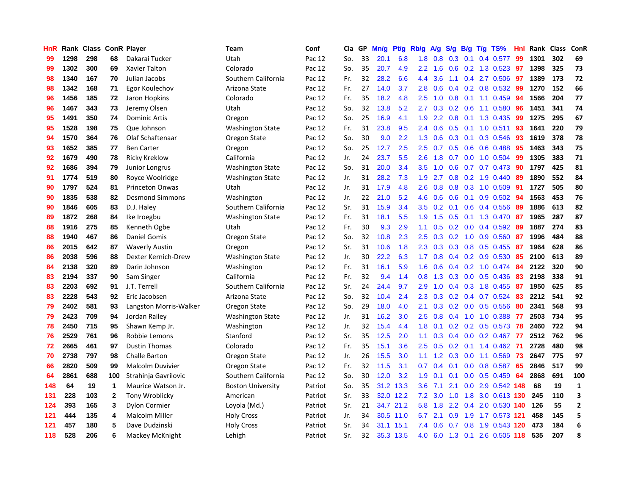| HnR |      | Rank Class ConR Player |              |                        | Team                     | Conf    | Cla | GP | Mn/g | Pt/g      | Rb/g          | <b>A/g</b> | S/g              | B/g | $T/g$ TS%                 | Hnl | Rank | <b>Class</b> | ConR           |
|-----|------|------------------------|--------------|------------------------|--------------------------|---------|-----|----|------|-----------|---------------|------------|------------------|-----|---------------------------|-----|------|--------------|----------------|
| 99  | 1298 | 298                    | 68           | Dakarai Tucker         | Utah                     | Pac 12  | So. | 33 | 20.1 | 6.8       | 1.8           | 0.8        | 0.3              | 0.1 | 0.4 0.577                 | 99  | 1301 | 302          | 69             |
| 99  | 1302 | 300                    | 69           | <b>Xavier Talton</b>   | Colorado                 | Pac 12  | So. | 35 | 20.7 | 4.9       | $2.2^{\circ}$ | 1.6        |                  |     | 0.6 0.2 1.3 0.523 97      |     | 1398 | 325          | 73             |
| 98  | 1340 | 167                    | 70           | Julian Jacobs          | Southern California      | Pac 12  | Fr. | 32 | 28.2 | 6.6       | 4.4           | 3.6        |                  |     | 1.1 0.4 2.7 0.506         | -97 | 1389 | 173          | 72             |
| 98  | 1342 | 168                    | 71           | Egor Koulechov         | Arizona State            | Pac 12  | Fr. | 27 | 14.0 | 3.7       | 2.8           | 0.6        | 0.4              |     | $0.2$ 0.8 0.532           | 99  | 1270 | 152          | 66             |
| 96  | 1456 | 185                    | 72           | Jaron Hopkins          | Colorado                 | Pac 12  | Fr. | 35 | 18.2 | 4.8       | 2.5           | 1.0        | 0.8              |     | 0.1 1.1 0.459             | 94  | 1566 | 204          | 77             |
| 96  | 1467 | 343                    | 73           | Jeremy Olsen           | Utah                     | Pac 12  | So. | 32 | 13.8 | 5.2       | 2.7           | 0.3        |                  |     | $0.2$ 0.6 1.1 0.580       | 96  | 1451 | 341          | 74             |
| 95  | 1491 | 350                    | 74           | <b>Dominic Artis</b>   | Oregon                   | Pac 12  | So. | 25 | 16.9 | 4.1       | 1.9           | 2.2        | 0.8              |     | 0.1 1.3 0.435             | 99  | 1275 | 295          | 67             |
| 95  | 1528 | 198                    | 75           | Que Johnson            | <b>Washington State</b>  | Pac 12  | Fr. | 31 | 23.8 | 9.5       | 2.4           | 0.6        | 0.5              |     | $0.1$ 1.0 0.511           | 93  | 1641 | 220          | 79             |
| 94  | 1570 | 364                    | 76           | Olaf Schaftenaar       | Oregon State             | Pac 12  | So. | 30 | 9.0  | 2.2       | 1.3           | 0.6        | 0.3              |     | 0.1 0.3 0.546             | 93  | 1619 | 378          | 78             |
| 93  | 1652 | 385                    | 77           | <b>Ben Carter</b>      | Oregon                   | Pac 12  | So. | 25 | 12.7 | 2.5       | $2.5^{\circ}$ | 0.7        | 0.5              |     | $0.6$ 0.6 0.488           | -95 | 1463 | 343          | 75             |
| 92  | 1679 | 490                    | 78           | <b>Ricky Kreklow</b>   | California               | Pac 12  | Jr. | 24 | 23.7 | 5.5       | 2.6           | 1.8        |                  |     | $0.7$ 0.0 1.0 0.504       | -99 | 1305 | 383          | 71             |
| 92  | 1686 | 394                    | 79           | Junior Longrus         | <b>Washington State</b>  | Pac 12  | So. | 31 | 20.0 | 3.4       | 3.5           | 1.0        | 0.6              |     | 0.7 0.7 0.473             | -90 | 1797 | 425          | 81             |
| 91  | 1774 | 519                    | 80           | Royce Woolridge        | Washington State         | Pac 12  | Jr. | 31 | 28.2 | 7.3       | 1.9           | 2.7        | 0.8              |     | $0.2$ 1.9 0.440           | -89 | 1890 | 552          | 84             |
| 90  | 1797 | 524                    | 81           | <b>Princeton Onwas</b> | Utah                     | Pac 12  | Jr. | 31 | 17.9 | 4.8       | 2.6           | 0.8        | 0.8              |     | 0.3 1.0 0.509             | 91  | 1727 | 505          | 80             |
| 90  | 1835 | 538                    | 82           | <b>Desmond Simmons</b> | Washington               | Pac 12  | Jr. | 22 | 21.0 | 5.2       | 4.6           | 0.6        | 0.6              |     | $0.1$ 0.9 0.502           | -94 | 1563 | 453          | 76             |
| 90  | 1846 | 605                    | 83           | D.J. Haley             | Southern California      | Pac 12  | Sr. | 31 | 15.9 | 3.4       | 3.5           | 0.2        | 0.1              |     | $0.6$ 0.4 0.556           | 89  | 1886 | 613          | 82             |
| 89  | 1872 | 268                    | 84           | Ike Iroegbu            | <b>Washington State</b>  | Pac 12  | Fr. | 31 | 18.1 | 5.5       | 1.9           | 1.5        | 0.5              |     | 0.1 1.3 0.470             | -87 | 1965 | 287          | 87             |
| 88  | 1916 | 275                    | 85           | Kenneth Ogbe           | Utah                     | Pac 12  | Fr. | 30 | 9.3  | 2.9       | 1.1           | 0.5        | 0.2              |     | 0.0 0.4 0.592 89          |     | 1887 | 274          | 83             |
| 88  | 1940 | 467                    | 86           | <b>Daniel Gomis</b>    | Oregon State             | Pac 12  | So. | 32 | 10.8 | 2.3       | $2.5^{\circ}$ | 0.3        |                  |     | $0.2$ 1.0 0.9 0.560       | -87 | 1996 | 484          | 88             |
| 86  | 2015 | 642                    | 87           | <b>Waverly Austin</b>  | Oregon                   | Pac 12  | Sr. | 31 | 10.6 | 1.8       | 2.3           | 0.3        |                  |     | $0.3$ 0.8 0.5 0.455       | -87 | 1964 | 628          | 86             |
| 86  | 2038 | 596                    | 88           | Dexter Kernich-Drew    | <b>Washington State</b>  | Pac 12  | Jr. | 30 | 22.2 | 6.3       | 1.7           | 0.8        |                  |     | $0.4$ 0.2 0.9 0.530       | 85  | 2100 | 613          | 89             |
| 84  | 2138 | 320                    | 89           | Darin Johnson          | Washington               | Pac 12  | Fr. | 31 | 16.1 | 5.9       | 1.6           | 0.6        | 0.4              |     | 0.2 1.0 0.474             | 84  | 2122 | 320          | 90             |
| 83  | 2194 | 337                    | 90           | Sam Singer             | California               | Pac 12  | Fr. | 32 | 9.4  | 1.4       | 0.8           | 1.3        | 0.3              |     | $0.0$ $0.5$ $0.436$       | 83  | 2198 | 338          | 91             |
| 83  | 2203 | 692                    | 91           | J.T. Terrell           | Southern California      | Pac 12  | Sr. | 24 | 24.4 | 9.7       | 2.9           | 1.0        | 0.4              |     | 0.3 1.8 0.455             | 87  | 1950 | 625          | 85             |
| 83  | 2228 | 543                    | 92           | Eric Jacobsen          | Arizona State            | Pac 12  | So. | 32 | 10.4 | 2.4       | 2.3           | 0.3        | 0.2              |     | $0.4$ 0.7 0.524           | 83  | 2212 | 541          | 92             |
| 79  | 2402 | 581                    | 93           | Langston Morris-Walker | Oregon State             | Pac 12  | So. | 29 | 18.0 | 4.0       | 2.1           | 0.3        |                  |     | $0.2$ 0.0 0.5 0.556       | -80 | 2341 | 568          | 93             |
| 79  | 2423 | 709                    | 94           | Jordan Railey          | <b>Washington State</b>  | Pac 12  | Jr. | 31 | 16.2 | 3.0       | $2.5^{\circ}$ | 0.8        |                  |     | 0.4 1.0 1.0 0.388 77      |     | 2503 | 734          | 95             |
| 78  | 2450 | 715                    | 95           | Shawn Kemp Jr.         | Washington               | Pac 12  | Jr. | 32 | 15.4 | 4.4       | 1.8           | 0.1        |                  |     | $0.2$ 0.2 0.5 0.573 78    |     | 2460 | 722          | 94             |
| 76  | 2529 | 761                    | 96           | Robbie Lemons          | Stanford                 | Pac 12  | Sr. | 35 | 12.5 | 2.0       | 1.1           | 0.3        |                  |     | 0.4 0.0 0.2 0.467 77      |     | 2512 | 762          | 96             |
| 72  | 2665 | 461                    | 97           | <b>Dustin Thomas</b>   | Colorado                 | Pac 12  | Fr. | 35 | 15.1 | 3.6       | 2.5           | 0.5        | 0.2 <sub>0</sub> |     | $0.1$ 1.4 $0.462$         | -71 | 2728 | 480          | 98             |
| 70  | 2738 | 797                    | 98           | <b>Challe Barton</b>   | Oregon State             | Pac 12  | Jr. | 26 | 15.5 | 3.0       | 1.1           | 1.2        | 0.3              |     | $0.0$ 1.1 $0.569$         | 73  | 2647 | 775          | 97             |
| 66  | 2820 | 509                    | 99           | Malcolm Duvivier       | Oregon State             | Pac 12  | Fr. | 32 | 11.5 | 3.1       | 0.7           | 0.4        | 0.1              |     | $0.0$ 0.8 0.587           | 65  | 2846 | 517          | 99             |
| 64  | 2861 | 688                    | 100          | Strahinja Gavrilovic   | Southern California      | Pac 12  | So. | 30 | 12.0 | 3.2       | 1.9           | 0.1        | 0.1              |     | $0.0$ $0.5$ $0.459$       | 64  | 2868 | 691          | 100            |
| 148 | 64   | 19                     | 1            | Maurice Watson Jr.     | <b>Boston University</b> | Patriot | So. | 35 | 31.2 | 13.3      | 3.6           | 7.1        | 2.1              |     | 0.0 2.9 0.542 148         |     | 68   | 19           | $\mathbf{1}$   |
| 131 | 228  | 103                    | $\mathbf{2}$ | Tony Wroblicky         | American                 | Patriot | Sr. | 33 |      | 32.0 12.2 | 7.2           | 3.0        | 1.0              |     | 1.8 3.0 0.613 130         |     | 245  | 110          | 3              |
| 124 | 393  | 165                    | 3            | <b>Dylon Cormier</b>   | Loyola (Md.)             | Patriot | Sr. | 21 | 34.7 | 21.2      | 5.8           | 1.8        |                  |     | 2.2 0.4 2.0 0.530 140     |     | 126  | 55           | $\overline{2}$ |
| 121 | 444  | 135                    | 4            | <b>Malcolm Miller</b>  | <b>Holy Cross</b>        | Patriot | Jr. | 34 | 30.5 | 11.0      | 5.7           | 2.1        | 0.9 <sup>°</sup> |     | 1.9 1.7 0.573 121         |     | 458  | 145          | 5              |
| 121 | 457  | 180                    | 5            | Dave Dudzinski         | <b>Holy Cross</b>        | Patriot | Sr. | 34 | 31.1 | 15.1      | 7.4           | 0.6        | 0.7              |     | 0.8 1.9 0.543 120         |     | 473  | 184          | 6              |
| 118 | 528  | 206                    | 6            | Mackey McKnight        | Lehigh                   | Patriot | Sr. | 32 | 35.3 | 13.5      | 4.0           |            |                  |     | 6.0 1.3 0.1 2.6 0.505 118 |     | 535  | 207          | 8              |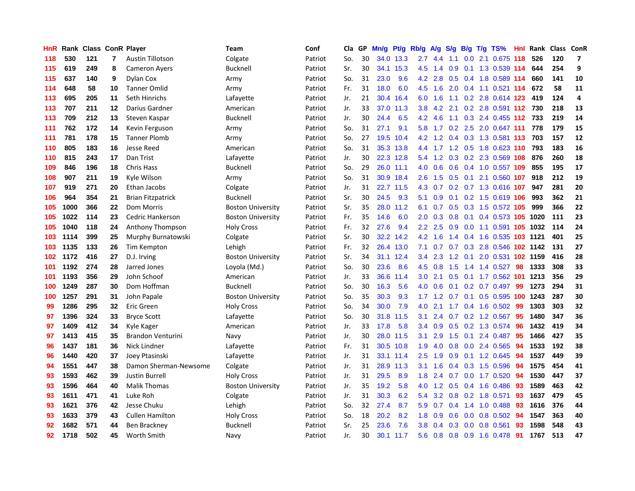| HnR | Rank |     |         | Class ConR Player        | Team                     | Conf    | Cla | GP | Mn/g | Pt/g      | Rb/g          | A/g | S/g           | B/g              |           | $T/g$ TS%                  | Hnl | Rank | Class | <b>ConR</b>              |
|-----|------|-----|---------|--------------------------|--------------------------|---------|-----|----|------|-----------|---------------|-----|---------------|------------------|-----------|----------------------------|-----|------|-------|--------------------------|
| 118 | 530  | 121 | 7       | <b>Austin Tillotson</b>  | Colgate                  | Patriot | So. | 30 | 34.0 | 13.3      | 2.7           | 4.4 | 1.1           | 0.0 <sub>1</sub> |           | 2.1 0.675 118              |     | 526  | 120   | $\overline{\phantom{a}}$ |
| 115 | 619  | 249 | 8       | <b>Cameron Avers</b>     | Bucknell                 | Patriot | Sr. | 30 | 34.1 | 15.3      | 4.5           | 1.4 | 0.9           |                  |           | 0.1 1.3 0.539 114          |     | 644  | 254   | 9                        |
| 115 | 637  | 140 | 9       | Dylan Cox                | Army                     | Patriot | So. | 31 | 23.0 | 9.6       | 4.2           | 2.8 | 0.5           |                  |           | 0.4 1.8 0.589 114          |     | 660  | 141   | 10                       |
| 114 | 648  | 58  | 10      | <b>Tanner Omlid</b>      | Army                     | Patriot | Fr. | 31 | 18.0 | 6.0       | 4.5           | 1.6 | 2.0           |                  |           | $0.4$ 1.1 0.521 114        |     | 672  | 58    | 11                       |
| 113 | 695  | 205 | 11      | Seth Hinrichs            | Lafayette                | Patriot | Jr. | 21 | 30.4 | 16.4      | 6.0           | 1.6 | 1.1           |                  |           | 0.2 2.8 0.614 123          |     | 419  | 124   | 4                        |
| 113 | 707  | 211 | $12 \,$ | Darius Gardner           | American                 | Patriot | Jr. | 33 | 37.0 | 11.3      | 3.8           | 4.2 | 2.1           |                  |           | $0.2$ 2.8 $0.591$ 112      |     | 730  | 218   | 13                       |
| 113 | 709  | 212 | 13      | Steven Kaspar            | <b>Bucknell</b>          | Patriot | Jr. | 30 | 24.4 | 6.5       | 4.2           | 4.6 | 1.1           |                  |           | 0.3 2.4 0.455 112          |     | 733  | 219   | 14                       |
| 111 | 762  | 172 | 14      | Kevin Ferguson           | Army                     | Patriot | So. | 31 | 27.1 | 9.1       | 5.8           | 1.7 | 0.2           |                  |           | 2.5 2.0 0.647 111          |     | 778  | 179   | 15                       |
| 111 | 781  | 178 | 15      | <b>Tanner Plomb</b>      | Army                     | Patriot | So. | 27 | 19.5 | 10.4      | 4.2           | 1.2 | 0.4           |                  |           | 0.3 1.3 0.581 113          |     | 703  | 157   | 12                       |
| 110 | 805  | 183 | 16      | Jesse Reed               | American                 | Patriot | So. | 31 | 35.3 | 13.8      | 4.4           |     |               |                  |           | 1.7 1.2 0.5 1.8 0.623 110  |     | 793  | 183   | 16                       |
| 110 | 815  | 243 | 17      | Dan Trist                | Lafayette                | Patriot | Jr. | 30 |      | 22.3 12.8 | 5.4           | 1.2 |               |                  |           | 0.3 0.2 2.3 0.569 108      |     | 876  | 260   | 18                       |
| 109 | 846  | 196 | 18      | <b>Chris Hass</b>        | <b>Bucknell</b>          | Patriot | So. | 29 | 26.0 | 11.1      | 4.0           | 0.6 | 0.6           |                  |           | 0.4 1.0 0.557 109          |     | 855  | 195   | 17                       |
| 108 | 907  | 211 | 19      | Kyle Wilson              | Army                     | Patriot | So. | 31 | 30.9 | 18.4      | 2.6           | 1.5 | 0.5           | 0.1              |           | 2.1 0.560 107              |     | 918  | 212   | 19                       |
| 107 | 919  | 271 | 20      | Ethan Jacobs             | Colgate                  | Patriot | Jr. | 31 | 22.7 | 11.5      | 4.3           | 0.7 |               |                  |           | 0.2 0.7 1.3 0.616 107      |     | 947  | 281   | 20                       |
| 106 | 964  | 354 | 21      | <b>Brian Fitzpatrick</b> | <b>Bucknell</b>          | Patriot | Sr. | 30 | 24.5 | 9.3       | 5.1           | 0.9 | 0.1           |                  |           | 0.2 1.5 0.619 106          |     | 993  | 362   | 21                       |
| 105 | 1000 | 366 | 22      | <b>Dom Morris</b>        | <b>Boston University</b> | Patriot | Sr. | 35 | 28.0 | 11.2      | 6.1           | 0.7 | 0.5           |                  |           | 0.3 1.5 0.572 105          |     | 999  | 366   | 22                       |
| 105 | 1022 | 114 | 23      | Cedric Hankerson         | <b>Boston University</b> | Patriot | Fr. | 35 | 14.6 | 6.0       | 2.0           | 0.3 | 0.8           | 0.1              |           | 0.4 0.573 105 1020         |     |      | 111   | 23                       |
| 105 | 1040 | 118 | 24      | Anthony Thompson         | <b>Holy Cross</b>        | Patriot | Fr. | 32 | 27.6 | 9.4       | 2.2           | 2.5 | 0.9           |                  |           | 0.0 1.1 0.591 105 1032     |     |      | 114   | 24                       |
| 103 | 1114 | 399 | 25      | Murphy Burnatowski       | Colgate                  | Patriot | Sr. | 30 | 32.2 | 14.2      | 4.2           | 1.6 |               |                  |           | 1.4 0.4 1.6 0.535 103 1121 |     |      | 401   | 25                       |
| 103 | 1135 | 133 | 26      | Tim Kempton              | Lehigh                   | Patriot | Fr. | 32 | 26.4 | 13.0      | 7.1           | 0.7 |               |                  |           | 0.7 0.3 2.8 0.546 102 1142 |     |      | 131   | 27                       |
| 102 | 1172 | 416 | 27      | D.J. Irving              | <b>Boston University</b> | Patriot | Sr. | 34 | 31.1 | 12.4      | $3.4^{\circ}$ | 2.3 | 1.2           | 0.1              |           | 2.0 0.531 102 1159         |     |      | 416   | 28                       |
| 101 | 1192 | 274 | 28      | Jarred Jones             | Loyola (Md.)             | Patriot | So. | 30 | 23.6 | 8.6       | 4.5           | 0.8 | $1.5^{\circ}$ |                  |           | 1.4 1.4 0.527              | 98  | 1333 | 308   | 33                       |
| 101 | 1193 | 356 | 29      | John Schoof              | American                 | Patriot | Jr. | 33 | 36.6 | 11.4      | 3.0           | 2.1 | 0.5           |                  |           | $0.1$ 1.7 0.562 101        |     | 1213 | 356   | 29                       |
| 100 | 1249 | 287 | 30      | Dom Hoffman              | Bucknell                 | Patriot | So. | 30 | 16.3 | 5.6       | 4.0           | 0.6 | 0.1           |                  |           | $0.2$ 0.7 0.497            | 99  | 1273 | 294   | 31                       |
| 100 | 1257 | 291 | 31      | John Papale              | <b>Boston University</b> | Patriot | So. | 35 | 30.3 | 9.3       | 1.7           | 1.2 | 0.7           | 0.1              |           | $0.5$ 0.595 100            |     | 1243 | 287   | 30                       |
| 99  | 1286 | 295 | 32      | Eric Green               | <b>Holy Cross</b>        | Patriot | So. | 34 | 30.0 | 7.9       | 4.0           | 2.1 |               |                  |           | 1.7 0.4 1.6 0.502          | -99 | 1303 | 303   | 32                       |
| 97  | 1396 | 324 | 33      | <b>Bryce Scott</b>       | Lafayette                | Patriot | So. | 30 | 31.8 | 11.5      | 3.1           | 2.4 |               |                  |           | 0.7 0.2 1.2 0.567 95       |     | 1480 | 347   | 36                       |
| 97  | 1409 | 412 | 34      | Kyle Kager               | American                 | Patriot | Jr. | 33 | 17.8 | 5.8       | $3.4^{\circ}$ | 0.9 | 0.5           |                  |           | 0.2 1.3 0.574              | -96 | 1432 | 419   | 34                       |
| 97  | 1413 | 415 | 35      | <b>Brandon Venturini</b> | Navy                     | Patriot | Jr. | 30 | 28.0 | 11.5      | 3.1           | 2.9 | 1.5           |                  |           | $0.1$ 2.4 $0.487$          | 95  | 1466 | 427   | 35                       |
| 96  | 1437 | 181 | 36      | Nick Lindner             | Lafayette                | Patriot | Fr. | 31 | 30.5 | 10.8      | 1.9           | 4.0 | 0.8           |                  |           | $0.0$ 2.4 $0.565$          | 94  | 1533 | 192   | 38                       |
| 96  | 1440 | 420 | 37      | Joey Ptasinski           | Lafayette                | Patriot | Jr. | 31 | 33.1 | 11.4      | 2.5           | 1.9 | 0.9           |                  |           | 0.1 1.2 0.645              | 94  | 1537 | 449   | 39                       |
| 94  | 1551 | 447 | 38      | Damon Sherman-Newsome    | Colgate                  | Patriot | Jr. | 31 | 28.9 | 11.3      | 3.1           | 1.6 | $0.4^{\circ}$ |                  | $0.3$ 1.5 | 0.596                      | 94  | 1575 | 454   | 41                       |
| 93  | 1593 | 462 | 39      | <b>Justin Burrell</b>    | <b>Holy Cross</b>        | Patriot | Jr. | 31 | 29.5 | 8.9       | 1.8           | 2.4 | 0.7           |                  |           | $0.0$ 1.7 $0.520$          | 94  | 1530 | 447   | 37                       |
| 93  | 1596 | 464 | 40      | <b>Malik Thomas</b>      | <b>Boston University</b> | Patriot | Jr. | 35 | 19.2 | 5.8       | 4.0           | 1.2 | 0.5           |                  |           | 0.4 1.6 0.486              | -93 | 1589 | 463   | 42                       |
| 93  | 1611 | 471 | 41      | Luke Roh                 | Colgate                  | Patriot | Jr. | 31 | 30.3 | 6.2       | 5.4           | 3.2 |               |                  |           | 0.8 0.2 1.8 0.571          | 93  | 1637 | 479   | 45                       |
| 93  | 1621 | 376 | 42      | Jesse Chuku              | Lehigh                   | Patriot | So. | 32 | 27.4 | 8.7       | 5.9           | 0.7 | 0.4           |                  |           | 1.4 1.0 0.488              | 93  | 1616 | 376   | 44                       |
| 93  | 1633 | 379 | 43      | <b>Cullen Hamilton</b>   | <b>Holy Cross</b>        | Patriot | So. | 18 | 20.2 | 8.2       | 1.8           | 0.9 | 0.6           |                  |           | $0.0$ 0.8 0.502            | -94 | 1547 | 363   | 40                       |
| 92  | 1682 | 571 | 44      | Ben Brackney             | <b>Bucknell</b>          | Patriot | Sr. | 25 | 23.6 | 7.6       | 3.8           | 0.4 | 0.3           | 0.0              |           | 0.8 0.561                  | 93  | 1598 | 548   | 43                       |
| 92  | 1718 | 502 | 45      | Worth Smith              | Navy                     | Patriot | Jr. | 30 | 30.1 | 11.7      | 5.6           | 0.8 |               |                  |           | 0.8 0.9 1.6 0.478          | -91 | 1767 | 513   | 47                       |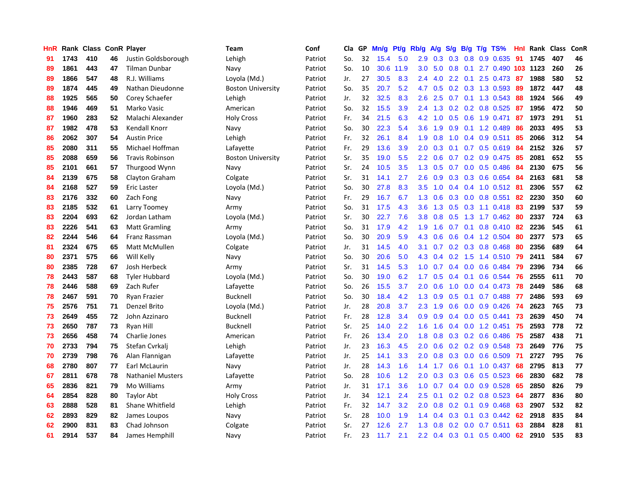| <b>HnR</b> |      | Rank Class |    | <b>ConR Player</b>       | Team                     | Conf    | Cla | GP | Mn/g | Pt/g | Rb/g             | A/g | S/g           | B/g | $T/g$ TS%                 | Hnl | Rank | <b>Class</b> | ConR |
|------------|------|------------|----|--------------------------|--------------------------|---------|-----|----|------|------|------------------|-----|---------------|-----|---------------------------|-----|------|--------------|------|
| 91         | 1743 | 410        | 46 | Justin Goldsborough      | Lehigh                   | Patriot | So. | 32 | 15.4 | 5.0  | 2.9              | 0.3 | 0.3           | 0.8 | 0.9 0.635                 | 91  | 1745 | 407          | 46   |
| 89         | 1861 | 443        | 47 | Tilman Dunbar            | Navy                     | Patriot | So. | 10 | 30.6 | 11.9 | 3.0 <sub>2</sub> | 5.0 | 0.8           |     | 0.1 2.7 0.490 103 1123    |     |      | 260          | 26   |
| 89         | 1866 | 547        | 48 | R.J. Williams            | Loyola (Md.)             | Patriot | Jr. | 27 | 30.5 | 8.3  | 2.4              | 4.0 |               |     | 2.2 0.1 2.5 0.473 87      |     | 1988 | 580          | 52   |
| 89         | 1874 | 445        | 49 | Nathan Dieudonne         | <b>Boston University</b> | Patriot | So. | 35 | 20.7 | 5.2  | 4.7              | 0.5 |               |     | $0.2$ 0.3 1.3 0.593       | -89 | 1872 | 447          | 48   |
| 88         | 1925 | 565        | 50 | Corey Schaefer           | Lehigh                   | Patriot | Jr. | 32 | 32.5 | 8.3  | 2.6              | 2.5 | 0.7           |     | $0.1$ 1.3 0.543           | 88  | 1924 | 566          | 49   |
| 88         | 1946 | 469        | 51 | Marko Vasic              | American                 | Patriot | So. | 32 | 15.5 | 3.9  | 2.4              | 1.3 |               |     | $0.2$ 0.2 0.8 0.525       | 87  | 1956 | 472          | 50   |
| 87         | 1960 | 283        | 52 | Malachi Alexander        | <b>Holy Cross</b>        | Patriot | Fr. | 34 | 21.5 | 6.3  | 4.2              | 1.0 | 0.5           |     | 0.6 1.9 0.471             | 87  | 1973 | 291          | 51   |
| 87         | 1982 | 478        | 53 | Kendall Knorr            | Navy                     | Patriot | So. | 30 | 22.3 | 5.4  | 3.6              | 1.9 | 0.9           |     | $0.1$ 1.2 0.489           | 86  | 2033 | 495          | 53   |
| 86         | 2062 | 307        | 54 | <b>Austin Price</b>      | Lehigh                   | Patriot | Fr. | 32 | 26.1 | 8.4  | 1.9              | 0.8 | 1.0           |     | $0.4$ 0.9 0.511           | 85  | 2066 | 312          | 54   |
| 85         | 2080 | 311        | 55 | Michael Hoffman          | Lafayette                | Patriot | Fr. | 29 | 13.6 | 3.9  | 2.0 <sub>2</sub> | 0.3 |               |     | $0.1$ 0.7 0.5 0.619       | -84 | 2152 | 326          | 57   |
| 85         | 2088 | 659        | 56 | <b>Travis Robinson</b>   | <b>Boston University</b> | Patriot | Sr. | 35 | 19.0 | 5.5  | $2.2\phantom{0}$ | 0.6 |               |     | 0.7 0.2 0.9 0.475 85      |     | 2081 | 652          | 55   |
| 85         | 2101 | 661        | 57 | Thurgood Wynn            | Navy                     | Patriot | Sr. | 24 | 10.5 | 3.5  | 1.3              | 0.5 |               |     | $0.7$ 0.0 0.5 0.486       | -84 | 2130 | 675          | 56   |
| 84         | 2139 | 675        | 58 | Clayton Graham           | Colgate                  | Patriot | Sr. | 31 | 14.1 | 2.7  | 2.6              | 0.9 | 0.3           |     | 0.3 0.6 0.654             | 84  | 2163 | 681          | 58   |
| 84         | 2168 | 527        | 59 | Eric Laster              | Loyola (Md.)             | Patriot | So. | 30 | 27.8 | 8.3  | 3.5              | 1.0 | $0.4^{\circ}$ |     | 0.4 1.0 0.512 81          |     | 2306 | 557          | 62   |
| 83         | 2176 | 332        | 60 | Zach Fong                | Navy                     | Patriot | Fr. | 29 | 16.7 | 6.7  | 1.3              | 0.6 | 0.3           |     | $0.0$ 0.8 0.551           | 82  | 2230 | 350          | 60   |
| 83         | 2185 | 532        | 61 | Larry Toomey             | Army                     | Patriot | So. | 31 | 17.5 | 4.3  | 3.6              | 1.3 | 0.5           |     | $0.3$ 1.1 $0.418$         | 83  | 2199 | 537          | 59   |
| 83         | 2204 | 693        | 62 | Jordan Latham            | Loyola (Md.)             | Patriot | Sr. | 30 | 22.7 | 7.6  | 3.8              | 0.8 | 0.5           |     | 1.3 1.7 0.462             | -80 | 2337 | 724          | 63   |
| 83         | 2226 | 541        | 63 | <b>Matt Gramling</b>     | Army                     | Patriot | So. | 31 | 17.9 | 4.2  | 1.9              | 1.6 | 0.7           |     | $0.1$ 0.8 0.410 82        |     | 2236 | 545          | 61   |
| 82         | 2244 | 546        | 64 | Franz Rassman            | Loyola (Md.)             | Patriot | So. | 30 | 20.9 | 5.9  | 4.3              | 0.6 |               |     | $0.6$ 0.4 1.2 0.504       | -80 | 2377 | 573          | 65   |
| 81         | 2324 | 675        | 65 | Matt McMullen            | Colgate                  | Patriot | Jr. | 31 | 14.5 | 4.0  | 3.1              | 0.7 |               |     | $0.2$ $0.3$ $0.8$ $0.468$ | -80 | 2356 | 689          | 64   |
| 80         | 2371 | 575        | 66 | Will Kelly               | Navy                     | Patriot | So. | 30 | 20.6 | 5.0  | 4.3              | 0.4 |               |     | $0.2$ 1.5 1.4 0.510       | -79 | 2411 | 584          | 67   |
| 80         | 2385 | 728        | 67 | Josh Herbeck             | Army                     | Patriot | Sr. | 31 | 14.5 | 5.3  | 1.0              | 0.7 | 0.4           |     | $0.0$ $0.6$ $0.484$       | 79  | 2396 | 734          | 66   |
| 78         | 2443 | 587        | 68 | <b>Tyler Hubbard</b>     | Loyola (Md.)             | Patriot | So. | 30 | 19.0 | 6.2  | 1.7              | 0.5 | $0.4^{\circ}$ | 0.1 | 0.6 0.544                 | 76  | 2555 | 611          | 70   |
| 78         | 2446 | 588        | 69 | Zach Rufer               | Lafayette                | Patriot | So. | 26 | 15.5 | 3.7  | 2.0              | 0.6 | 1.0           |     | $0.0$ 0.4 0.473           | 78  | 2449 | 586          | 68   |
| 78         | 2467 | 591        | 70 | <b>Ryan Frazier</b>      | <b>Bucknell</b>          | Patriot | So. | 30 | 18.4 | 4.2  | 1.3              | 0.9 | 0.5           | 0.1 | $0.7$ 0.488               | -77 | 2486 | 593          | 69   |
| 75         | 2576 | 751        | 71 | Denzel Brito             | Loyola (Md.)             | Patriot | Jr. | 28 | 20.8 | 3.7  | 2.3              | 1.9 | 0.6           |     | $0.0$ $0.9$ $0.426$       | -74 | 2623 | 765          | 73   |
| 73         | 2649 | 455        | 72 | John Azzinaro            | <b>Bucknell</b>          | Patriot | Fr. | 28 | 12.8 | 3.4  | 0.9              | 0.9 |               |     | $0.4$ 0.0 0.5 0.441       | -73 | 2639 | 450          | 74   |
| 73         | 2650 | 787        | 73 | Ryan Hill                | <b>Bucknell</b>          | Patriot | Sr. | 25 | 14.0 | 2.2  | 1.6              | 1.6 |               |     | $0.4$ 0.0 1.2 0.451       | -75 | 2593 | 778          | 72   |
| 73         | 2656 | 458        | 74 | Charlie Jones            | American                 | Patriot | Fr. | 26 | 13.4 | 2.0  | 1.8              | 0.8 | 0.3           |     | 0.2 0.6 0.486             | 75  | 2587 | 438          | 71   |
| 70         | 2733 | 794        | 75 | Stefan Cvrkali           | Lehigh                   | Patriot | Jr. | 23 | 16.3 | 4.5  | 2.0              | 0.6 |               |     | $0.2$ 0.2 0.9 0.548       | -73 | 2649 | 776          | 75   |
| 70         | 2739 | 798        | 76 | Alan Flannigan           | Lafayette                | Patriot | Jr. | 25 | 14.1 | 3.3  | 2.0              | 0.8 | 0.3           |     | $0.0$ 0.6 0.509           | -71 | 2727 | 795          | 76   |
| 68         | 2780 | 807        | 77 | Earl McLaurin            | Navy                     | Patriot | Jr. | 28 | 14.3 | 1.6  | 1.4              | 1.7 | 0.6           |     | $0.1$ 1.0 0.437           | 68  | 2795 | 813          | 77   |
| 67         | 2811 | 678        | 78 | <b>Nathaniel Musters</b> | Lafayette                | Patriot | So. | 28 | 10.6 | 1.2  | 2.0              | 0.3 | 0.3           |     | $0.6$ 0.5 0.523           | 66  | 2830 | 682          | 78   |
| 65         | 2836 | 821        | 79 | Mo Williams              | Army                     | Patriot | Jr. | 31 | 17.1 | 3.6  | 1.0 <sub>1</sub> | 0.7 |               |     | $0.4$ 0.0 0.9 0.528       | -65 | 2850 | 826          | 79   |
| 64         | 2854 | 828        | 80 | <b>Taylor Abt</b>        | <b>Holy Cross</b>        | Patriot | Jr. | 34 | 12.1 | 2.4  | 2.5              | 0.1 |               |     | $0.2$ 0.2 0.8 0.523       | -64 | 2877 | 836          | 80   |
| 63         | 2888 | 528        | 81 | Shane Whitfield          | Lehigh                   | Patriot | Fr. | 32 | 14.7 | 3.2  | 2.0              | 0.8 | 0.2           | 0.1 | $0.9$ 0.468               | -63 | 2907 | 532          | 82   |
| 62         | 2893 | 829        | 82 | James Loupos             | Navy                     | Patriot | Sr. | 28 | 10.0 | 1.9  | 1.4              | 0.4 | 0.3           | 0.1 | $0.3$ 0.442               | -62 | 2918 | 835          | 84   |
| 62         | 2900 | 831        | 83 | Chad Johnson             | Colgate                  | Patriot | Sr. | 27 | 12.6 | 2.7  | 1.3              | 0.8 | 0.2           |     | $0.0$ 0.7 0.511           | 63  | 2884 | 828          | 81   |
| 61         | 2914 | 537        | 84 | James Hemphill           | Navy                     | Patriot | Fr. | 23 | 11.7 | 2.1  | 2.2              |     |               |     | 0.4 0.3 0.1 0.5 0.400     | 62  | 2910 | 535          | 83   |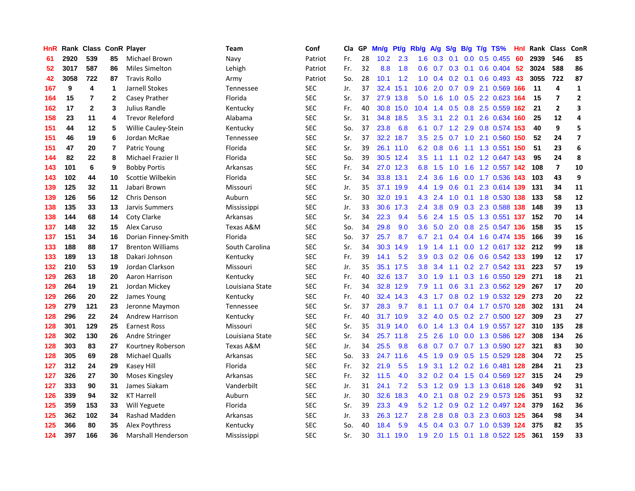| <b>HnR</b> |      |              |              | Rank Class ConR Player  | Team            | Conf       | Cla | GP | Mn/g | Pt/g      | Rb/g             | A/g | S/g              |     | $B/g$ T/g TS%             | Hnl | Rank Class |                | ConR                    |
|------------|------|--------------|--------------|-------------------------|-----------------|------------|-----|----|------|-----------|------------------|-----|------------------|-----|---------------------------|-----|------------|----------------|-------------------------|
| 61         | 2920 | 539          | 85           | Michael Brown           | Navy            | Patriot    | Fr. | 28 | 10.2 | 2.3       | 1.6              | 0.3 | 0.1              | 0.0 | $0.5$ 0.455               | 60  | 2939       | 546            | 85                      |
| 52         | 3017 | 587          | 86           | <b>Miles Simelton</b>   | Lehigh          | Patriot    | Fr. | 32 | 8.8  | 1.8       | 0.6              | 0.7 | 0.3              |     | $0.1$ 0.6 0.404 52        |     | 3024       | 588            | 86                      |
| 42         | 3058 | 722          | 87           | <b>Travis Rollo</b>     | Army            | Patriot    | So. | 28 | 10.1 | 1.2       | 1.0              | 0.4 |                  |     | 0.2 0.1 0.6 0.493 43      |     | 3055       | 722            | 87                      |
| 167        | 9    | 4            | 1            | Jarnell Stokes          | Tennessee       | <b>SEC</b> | Jr. | 37 | 32.4 | 15.1      | 10.6             | 2.0 |                  |     | 0.7 0.9 2.1 0.569 166     |     | 11         | 4              | $\mathbf{1}$            |
| 164        | 15   | 7            | $\mathbf{2}$ | Casey Prather           | Florida         | <b>SEC</b> | Sr. | 37 |      | 27.9 13.8 | 5.0              | 1.6 | 1.0              |     | 0.5 2.2 0.623 164         |     | 15         | 7              | $\overline{2}$          |
| 162        | 17   | $\mathbf{2}$ | 3            | Julius Randle           | Kentucky        | <b>SEC</b> | Fr. | 40 | 30.8 | 15.0      | 10.4             | 1.4 | 0.5              |     | $0.8$ 2.5 $0.559$         | 162 | 21         | $\overline{2}$ | 3                       |
| 158        | 23   | 11           | 4            | <b>Trevor Releford</b>  | Alabama         | <b>SEC</b> | Sr. | 31 | 34.8 | 18.5      | 3.5              | 3.1 |                  |     | 2.2 0.1 2.6 0.634         | 160 | 25         | 12             | 4                       |
| 151        | 44   | 12           | 5            | Willie Cauley-Stein     | Kentucky        | <b>SEC</b> | So. | 37 | 23.8 | 6.8       | 6.1              |     | $0.7 \quad 1.2$  |     | 2.9 0.8 0.574 153         |     | 40         | 9              | 5                       |
| 151        | 46   | 19           | 6            | Jordan McRae            | Tennessee       | <b>SEC</b> | Sr. | 37 | 32.2 | 18.7      | 3.5              | 2.5 |                  |     | 0.7 1.0 2.1 0.560         | 150 | 52         | 24             | $\overline{\mathbf{z}}$ |
| 151        | 47   | 20           | 7            | Patric Young            | Florida         | <b>SEC</b> | Sr. | 39 | 26.1 | 11.0      | 6.2              | 0.8 | 0.6              |     | 1.1 1.3 0.551 150         |     | 51         | 23             | 6                       |
| 144        | 82   | 22           | 8            | Michael Frazier II      | Florida         | <b>SEC</b> | So. | 39 |      | 30.5 12.4 | 3.5              | 1.1 |                  |     | 1.1 0.2 1.2 0.647 143     |     | 95         | 24             | 8                       |
| 143        | 101  | 6            | 9            | <b>Bobby Portis</b>     | Arkansas        | <b>SEC</b> | Fr. | 34 |      | 27.0 12.3 | 6.8              | 1.5 |                  |     | 1.0 1.6 1.2 0.557 142     |     | 108        | $\overline{7}$ | 10                      |
| 143        | 102  | 44           | 10           | Scottie Wilbekin        | Florida         | <b>SEC</b> | Sr. | 34 | 33.8 | 13.1      | 2.4              | 3.6 | 1.6              |     | 0.0 1.7 0.536 143         |     | 103        | 43             | 9                       |
| 139        | 125  | 32           | 11           | Jabari Brown            | Missouri        | <b>SEC</b> | Jr. | 35 | 37.1 | 19.9      | 4.4              | 1.9 | 0.6              |     | 0.1 2.3 0.614 139         |     | 131        | 34             | 11                      |
| 139        | 126  | 56           | 12           | Chris Denson            | Auburn          | <b>SEC</b> | Sr. | 30 | 32.0 | 19.1      | 4.3              | 2.4 | 1.0              |     | 0.1 1.8 0.530 138         |     | 133        | 58             | 12                      |
| 138        | 135  | 33           | 13           | Jarvis Summers          | Mississippi     | <b>SEC</b> | Jr. | 33 | 30.6 | 17.3      | 2.4              | 3.8 | 0.9 <sup>°</sup> |     | 0.3 2.3 0.588 138         |     | 148        | 39             | 13                      |
| 138        | 144  | 68           | 14           | Coty Clarke             | Arkansas        | <b>SEC</b> | Sr. | 34 | 22.3 | 9.4       | 5.6              | 2.4 | 1.5              |     | 0.5 1.3 0.551 137         |     | 152        | 70             | 14                      |
| 137        | 148  | 32           | 15           | Alex Caruso             | Texas A&M       | <b>SEC</b> | So. | 34 | 29.8 | 9.0       | 3.6 <sup>°</sup> | 5.0 | 2.0              |     | 0.8 2.5 0.547 136         |     | 158        | 35             | 15                      |
| 137        | 151  | 34           | 16           | Dorian Finney-Smith     | Florida         | <b>SEC</b> | So. | 37 | 25.7 | 8.7       | 6.7              | 2.1 |                  |     | 0.4 0.4 1.6 0.474 135     |     | 166        | 39             | 16                      |
| 133        | 188  | 88           | 17           | <b>Brenton Williams</b> | South Carolina  | <b>SEC</b> | Sr. | 34 | 30.3 | 14.9      | 1.9              | 1.4 |                  |     | 1.1 0.0 1.2 0.617 132 212 |     |            | 99             | 18                      |
| 133        | 189  | 13           | 18           | Dakari Johnson          | Kentucky        | <b>SEC</b> | Fr. | 39 | 14.1 | 5.2       | 3.9 <sup>°</sup> | 0.3 | 0.2              |     | 0.6 0.6 0.542 133         |     | 199        | 12             | 17                      |
| 132        | 210  | 53           | 19           | Jordan Clarkson         | Missouri        | <b>SEC</b> | Jr. | 35 | 35.1 | 17.5      | 3.8 <sub>2</sub> | 3.4 | 1.1              |     | $0.2$ 2.7 $0.542$ 131     |     | 223        | 57             | 19                      |
| 129        | 263  | 18           | 20           | Aaron Harrison          | Kentucky        | <b>SEC</b> | Fr. | 40 | 32.6 | 13.7      | 3.0 <sub>2</sub> | 1.9 | 1.1              |     | 0.3 1.6 0.550 129         |     | 271        | 18             | 21                      |
| 129        | 264  | 19           | 21           | Jordan Mickey           | Louisiana State | <b>SEC</b> | Fr. | 34 | 32.8 | 12.9      | 7.9              | 1.1 | 0.6              | 3.1 | 2.3 0.562 129             |     | 267        | 17             | 20                      |
| 129        | 266  | 20           | 22           | James Young             | Kentucky        | <b>SEC</b> | Fr. | 40 | 32.4 | 14.3      | 4.3              | 1.7 | 0.8              |     | 0.2 1.9 0.532 129         |     | 273        | 20             | 22                      |
| 129        | 279  | 121          | 23           | Jeronne Maymon          | Tennessee       | <b>SEC</b> | Sr. | 37 | 28.3 | 9.7       | 8.1              | 1.1 |                  |     | 0.7 0.4 1.7 0.570 128     |     | 302        | 131            | 24                      |
| 128        | 296  | 22           | 24           | Andrew Harrison         | Kentucky        | <b>SEC</b> | Fr. | 40 |      | 31.7 10.9 | 3.2              | 4.0 |                  |     | 0.5 0.2 2.7 0.500 127     |     | 309        | 23             | 27                      |
| 128        | 301  | 129          | 25           | <b>Earnest Ross</b>     | Missouri        | <b>SEC</b> | Sr. | 35 | 31.9 | 14.0      | 6.0              | 1.4 |                  |     | 1.3 0.4 1.9 0.557 127     |     | 310        | 135            | 28                      |
| 128        | 302  | 130          | 26           | Andre Stringer          | Louisiana State | <b>SEC</b> | Sr. | 34 | 25.7 | 11.8      | 2.5              | 2.6 | 1.0              |     | 0.0 1.3 0.586 127         |     | 308        | 134            | 26                      |
| 128        | 303  | 83           | 27           | Kourtney Roberson       | Texas A&M       | <b>SEC</b> | Jr. | 34 | 25.5 | 9.8       | 6.8              | 0.7 | 0.7              |     | 0.7 1.3 0.590 127         |     | 321        | 83             | 30                      |
| 128        | 305  | 69           | 28           | Michael Qualls          | Arkansas        | <b>SEC</b> | So. | 33 | 24.7 | 11.6      | 4.5              | 1.9 | 0.9              |     | 0.5 1.5 0.529 128         |     | 304        | 72             | 25                      |
| 127        | 312  | 24           | 29           | Kasey Hill              | Florida         | <b>SEC</b> | Fr. | 32 | 21.9 | 5.5       | 1.9              | 3.1 |                  |     | 1.2 0.2 1.6 0.481 128     |     | 284        | 21             | 23                      |
| 127        | 326  | 27           | 30           | Moses Kingsley          | Arkansas        | <b>SEC</b> | Fr. | 32 | 11.5 | 4.0       | 3.2              | 0.2 |                  |     | 0.4 1.5 0.4 0.569 127     |     | 315        | 24             | 29                      |
| 127        | 333  | 90           | 31           | James Siakam            | Vanderbilt      | <b>SEC</b> | Jr. | 31 | 24.1 | 7.2       | 5.3              | 1.2 | 0.9 <sub>0</sub> |     | 1.3 1.3 0.618 126         |     | 349        | 92             | 31                      |
| 126        | 339  | 94           | 32           | <b>KT Harrell</b>       | Auburn          | <b>SEC</b> | Jr. | 30 | 32.6 | 18.3      | 4.0              | 2.1 |                  |     | $0.8$ 0.2 2.9 0.573 126   |     | -351       | 93             | 32                      |
| 125        | 359  | 153          | 33           | Will Yeguete            | Florida         | <b>SEC</b> | Sr. | 39 | 23.3 | 4.9       | 5.2              | 1.2 |                  |     | 0.9 0.2 1.2 0.497 124     |     | 379        | 162            | 36                      |
| 125        | 362  | 102          | 34           | Rashad Madden           | Arkansas        | <b>SEC</b> | Jr. | 33 | 26.3 | 12.7      | 2.8              | 2.8 | 0.8              |     | 0.3 2.3 0.603 125         |     | 364        | 98             | 34                      |
| 125        | 366  | 80           | 35           | Alex Poythress          | Kentucky        | <b>SEC</b> | So. | 40 | 18.4 | 5.9       | 4.5              | 0.4 | 0.3              |     | $0.7$ 1.0 $0.539$         | 124 | 375        | 82             | 35                      |
| 124        | 397  | 166          | 36           | Marshall Henderson      | Mississippi     | <b>SEC</b> | Sr. | 30 | 31.1 | 19.0      | 1.9              | 2.0 |                  |     | 1.5 0.1 1.8 0.522 125     |     | 361        | 159            | 33                      |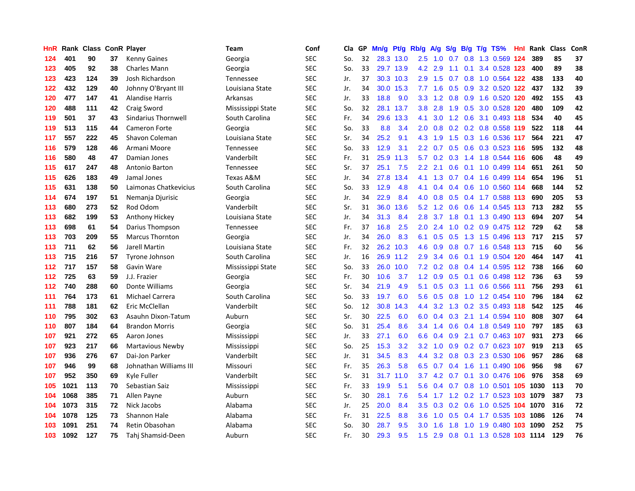| HnR | Rank | <b>Class</b> |    | <b>ConR Player</b>      | Team              | Conf       | Cla | GP | Mn/g | Pt/g      | Rb/g          | A/g | S/g | B/g | $T/g$ TS%                      | Hnl | Rank | <b>Class</b> | ConR |
|-----|------|--------------|----|-------------------------|-------------------|------------|-----|----|------|-----------|---------------|-----|-----|-----|--------------------------------|-----|------|--------------|------|
| 124 | 401  | 90           | 37 | <b>Kenny Gaines</b>     | Georgia           | <b>SEC</b> | So. | 32 |      | 28.3 13.0 | 2.5           | 1.0 | 0.7 |     | 0.8 1.3 0.569 124              |     | 389  | 85           | 37   |
| 123 | 405  | 92           | 38 | Charles Mann            | Georgia           | <b>SEC</b> | So. | 33 |      | 29.7 13.9 | 4.2           | 2.9 |     |     | 1.1 0.1 3.4 0.528 123          |     | 400  | 89           | 38   |
| 123 | 423  | 124          | 39 | Josh Richardson         | Tennessee         | <b>SEC</b> | Jr. | 37 | 30.3 | 10.3      | $2.9^{\circ}$ | 1.5 | 0.7 |     | 0.8 1.0 0.564 122              |     | 438  | 133          | 40   |
| 122 | 432  | 129          | 40 | Johnny O'Bryant III     | Louisiana State   | <b>SEC</b> | Jr. | 34 | 30.0 | 15.3      | 7.7           | 1.6 | 0.5 |     | 0.9 3.2 0.520 122              |     | 437  | 132          | 39   |
| 120 | 477  | 147          | 41 | <b>Alandise Harris</b>  | Arkansas          | <b>SEC</b> | Jr. | 33 | 18.8 | 9.0       | 3.3           | 1.2 | 0.8 |     | 0.9 1.6 0.520 120              |     | 492  | 155          | 43   |
| 120 | 488  | 111          | 42 | Craig Sword             | Mississippi State | <b>SEC</b> | So. | 32 | 28.1 | 13.7      | 3.8           | 2.8 | 1.9 |     | 0.5 3.0 0.528 120              |     | 480  | 109          | 42   |
| 119 | 501  | 37           | 43 | Sindarius Thornwell     | South Carolina    | <b>SEC</b> | Fr. | 34 | 29.6 | 13.3      | 4.1           | 3.0 | 1.2 |     | 0.6 3.1 0.493 118              |     | 534  | 40           | 45   |
| 119 | 513  | 115          | 44 | <b>Cameron Forte</b>    | Georgia           | <b>SEC</b> | So. | 33 | 8.8  | 3.4       | 2.0           | 0.8 | 0.2 |     | 0.2 0.8 0.558 119              |     | 522  | 118          | 44   |
| 117 | 557  | 222          | 45 | Shavon Coleman          | Louisiana State   | <b>SEC</b> | Sr. | 34 | 25.2 | 9.1       | 4.3           | 1.9 | 1.5 |     | 0.3 1.6 0.536 117              |     | 564  | 221          | 47   |
| 116 | 579  | 128          | 46 | Armani Moore            | Tennessee         | <b>SEC</b> | So. | 33 | 12.9 | 3.1       | $2.2^{\circ}$ | 0.7 |     |     | 0.5 0.6 0.3 0.523 116          |     | 595  | 132          | 48   |
| 116 | 580  | 48           | 47 | Damian Jones            | Vanderbilt        | <b>SEC</b> | Fr. | 31 | 25.9 | 11.3      | 5.7           |     |     |     | 0.2 0.3 1.4 1.8 0.544 116      |     | 606  | 48           | 49   |
| 115 | 617  | 247          | 48 | Antonio Barton          | Tennessee         | <b>SEC</b> | Sr. | 37 | 25.1 | 7.5       | $2.2\,$       | 2.1 | 0.6 |     | $0.1$ 1.0 0.499 114            |     | 651  | 261          | 50   |
| 115 | 626  | 183          | 49 | Jamal Jones             | Texas A&M         | <b>SEC</b> | Jr. | 34 | 27.8 | 13.4      | 4.1           | 1.3 | 0.7 |     | 0.4 1.6 0.499 114              |     | 654  | 196          | 51   |
| 115 | 631  | 138          | 50 | Laimonas Chatkevicius   | South Carolina    | <b>SEC</b> | So. | 33 | 12.9 | 4.8       | 4.1           | 0.4 | 0.4 |     | 0.6 1.0 0.560 114              |     | 668  | 144          | 52   |
| 114 | 674  | 197          | 51 | Nemanja Djurisic        | Georgia           | <b>SEC</b> | Jr. | 34 | 22.9 | 8.4       | 4.0           | 0.8 | 0.5 |     | 0.4 1.7 0.588 113              |     | 690  | 205          | 53   |
| 113 | 680  | 273          | 52 | Rod Odom                | Vanderbilt        | <b>SEC</b> | Sr. | 31 | 36.0 | 13.6      | 5.2           | 1.2 | 0.6 |     | 0.6 1.4 0.545 113              |     | 713  | 282          | 55   |
| 113 | 682  | 199          | 53 | Anthony Hickey          | Louisiana State   | <b>SEC</b> | Jr. | 34 | 31.3 | 8.4       | 2.8           | 3.7 | 1.8 |     | 0.1 1.3 0.490 113              |     | 694  | 207          | 54   |
| 113 | 698  | 61           | 54 | Darius Thompson         | Tennessee         | <b>SEC</b> | Fr. | 37 | 16.8 | 2.5       | 2.0           | 2.4 | 1.0 |     | 0.2 0.9 0.475 112 729          |     |      | 62           | 58   |
| 113 | 703  | 209          | 55 | <b>Marcus Thornton</b>  | Georgia           | <b>SEC</b> | Jr. | 34 | 26.0 | 8.3       | 6.1           | 0.5 |     |     | 0.5 1.3 1.5 0.496 113          |     | 717  | 215          | 57   |
| 113 | 711  | 62           | 56 | Jarell Martin           | Louisiana State   | <b>SEC</b> | Fr. | 32 | 26.2 | 10.3      | 4.6           | 0.9 |     |     | 0.8 0.7 1.6 0.548 113 715      |     |      | 60           | 56   |
| 113 | 715  | 216          | 57 | Tyrone Johnson          | South Carolina    | <b>SEC</b> | Jr. | 16 | 26.9 | 11.2      | 2.9           | 3.4 | 0.6 |     | 0.1 1.9 0.504 120              |     | 464  | 147          | 41   |
| 112 | 717  | 157          | 58 | Gavin Ware              | Mississippi State | <b>SEC</b> | So. | 33 | 26.0 | 10.0      | 7.2           | 0.2 | 0.8 |     | $0.4$ 1.4 0.595 112            |     | 738  | 166          | 60   |
| 112 | 725  | 63           | 59 | J.J. Frazier            | Georgia           | <b>SEC</b> | Fr. | 30 | 10.6 | 3.7       | 1.2           | 0.9 | 0.5 |     | 0.1 0.6 0.498 112              |     | 736  | 63           | 59   |
| 112 | 740  | 288          | 60 | Donte Williams          | Georgia           | <b>SEC</b> | Sr. | 34 | 21.9 | 4.9       | 5.1           | 0.5 | 0.3 |     | 1.1 0.6 0.566 111              |     | 756  | 293          | 61   |
| 111 | 764  | 173          | 61 | Michael Carrera         | South Carolina    | <b>SEC</b> | So. | 33 | 19.7 | 6.0       | 5.6           | 0.5 | 0.8 |     | 1.0 1.2 0.454 110              |     | 796  | 184          | 62   |
| 111 | 788  | 181          | 62 | Eric McClellan          | Vanderbilt        | <b>SEC</b> | So. | 12 | 30.8 | 14.3      | 4.4           | 3.2 |     |     | 1.3 0.2 3.5 0.493 118          |     | 542  | 125          | 46   |
| 110 | 795  | 302          | 63 | Asauhn Dixon-Tatum      | Auburn            | <b>SEC</b> | Sr. | 30 | 22.5 | 6.0       | 6.0           |     |     |     | 0.4 0.3 2.1 1.4 0.594 110      |     | 808  | 307          | 64   |
| 110 | 807  | 184          | 64 | <b>Brandon Morris</b>   | Georgia           | <b>SEC</b> | So. | 31 | 25.4 | 8.6       | $3.4^{\circ}$ | 1.4 | 0.6 |     | 0.4 1.8 0.549 110              |     | 797  | 185          | 63   |
| 107 | 921  | 272          | 65 | Aaron Jones             | Mississippi       | <b>SEC</b> | Jr. | 33 | 27.1 | 6.0       | 6.6           | 0.4 | 0.9 |     | 2.1 0.7 0.463 107              |     | 931  | 273          | 66   |
| 107 | 923  | 217          | 66 | <b>Martavious Newby</b> | Mississippi       | <b>SEC</b> | So. | 25 | 15.3 | 3.2       | 3.2           | 1.0 | 0.9 |     | 0.2 0.7 0.623 107              |     | 919  | 213          | 65   |
| 107 | 936  | 276          | 67 | Dai-Jon Parker          | Vanderbilt        | <b>SEC</b> | Jr. | 31 | 34.5 | 8.3       | 4.4           | 3.2 | 0.8 |     | 0.3 2.3 0.530 106              |     | 957  | 286          | 68   |
| 107 | 946  | 99           | 68 | Johnathan Williams III  | Missouri          | <b>SEC</b> | Fr. | 35 | 26.3 | 5.8       | 6.5           | 0.7 | 0.4 |     | 1.6 1.1 0.490 106              |     | 956  | 98           | 67   |
| 107 | 952  | 350          | 69 | Kyle Fuller             | Vanderbilt        | <b>SEC</b> | Sr. | 31 | 31.7 | 11.0      | 3.7           | 4.2 | 0.7 | 0.1 | 3.0 0.476 106                  |     | 976  | 358          | 69   |
| 105 | 1021 | 113          | 70 | Sebastian Saiz          | Mississippi       | <b>SEC</b> | Fr. | 33 | 19.9 | 5.1       | 5.6           | 0.4 | 0.7 |     | 0.8 1.0 0.501 105 1030         |     |      | 113          | 70   |
| 104 | 1068 | 385          | 71 | Allen Payne             | Auburn            | <b>SEC</b> | Sr. | 30 | 28.1 | 7.6       | 5.4           |     |     |     | 1.7 1.2 0.2 1.7 0.523 103 1079 |     |      | 387          | 73   |
| 104 | 1073 | 315          | 72 | Nick Jacobs             | Alabama           | <b>SEC</b> | Jr. | 25 | 20.0 | 8.4       | 3.5           | 0.3 |     |     | 0.2 0.6 1.0 0.525 104 1070     |     |      | 316          | 72   |
| 104 | 1078 | 125          | 73 | Shannon Hale            | Alabama           | <b>SEC</b> | Fr. | 31 | 22.5 | 8.8       | 3.6           | 1.0 | 0.5 |     | 0.4 1.7 0.535 103 1086         |     |      | 126          | 74   |
| 103 | 1091 | 251          | 74 | Retin Obasohan          | Alabama           | <b>SEC</b> | So. | 30 | 28.7 | 9.5       | 3.0           | 1.6 | 1.8 |     | 1.0 1.9 0.480 103              |     | 1090 | 252          | 75   |
| 103 | 1092 | 127          | 75 | Tahi Shamsid-Deen       | Auburn            | <b>SEC</b> | Fr. | 30 | 29.3 | 9.5       | 1.5           | 2.9 |     |     | 0.8 0.1 1.3 0.528 103 1114     |     |      | 129          | 76   |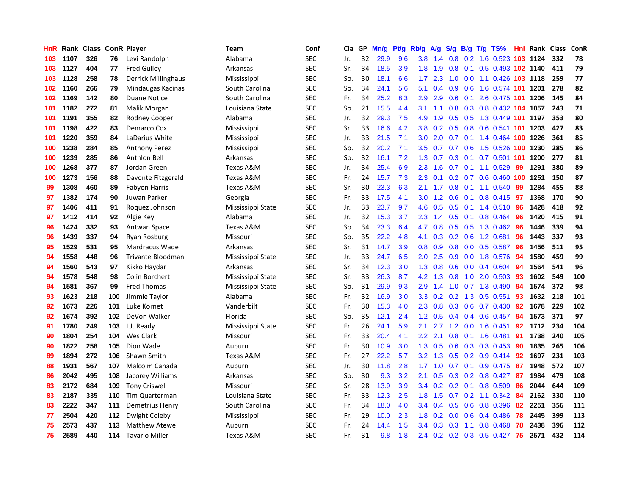| HnR |      | Rank Class |     | <b>ConR Player</b>    | Team              | Conf       | Cla | GP | Mn/g | Pt/g | Rb/g             | A/g | S/g              | B/g | T/g TS%                         |     | Hnl Rank | <b>Class</b> | ConR |
|-----|------|------------|-----|-----------------------|-------------------|------------|-----|----|------|------|------------------|-----|------------------|-----|---------------------------------|-----|----------|--------------|------|
| 103 | 1107 | 326        | 76  | Levi Randolph         | Alabama           | <b>SEC</b> | Jr. | 32 | 29.9 | 9.6  | 3.8              | 1.4 | 0.8              |     | 0.2 1.6 0.523 103 1124          |     |          | 332          | 78   |
| 103 | 1127 | 404        | 77  | <b>Fred Gulley</b>    | Arkansas          | <b>SEC</b> | Sr. | 34 | 18.5 | 3.9  | 1.8              | 1.9 | 0.8              |     | 0.1 0.5 0.493 102 1140          |     |          | 411          | 79   |
| 103 | 1128 | 258        | 78  | Derrick Millinghaus   | Mississippi       | <b>SEC</b> | So. | 30 | 18.1 | 6.6  | 1.7 <sub>z</sub> | 2.3 | 1.0              |     | 0.0 1.1 0.426 103 1118          |     |          | 259          | 77   |
| 102 | 1160 | 266        | 79  | Mindaugas Kacinas     | South Carolina    | <b>SEC</b> | So. | 34 | 24.1 | 5.6  | 5.1              | 0.4 | 0.9              |     | 0.6 1.6 0.574 101 1201          |     |          | 278          | 82   |
| 102 | 1169 | 142        | 80  | <b>Duane Notice</b>   | South Carolina    | <b>SEC</b> | Fr. | 34 | 25.2 | 8.3  | 2.9              | 2.9 | 0.6              | 0.1 | 2.6 0.475 101                   |     | 1206     | 145          | 84   |
| 101 | 1182 | 272        | 81  | Malik Morgan          | Louisiana State   | <b>SEC</b> | So. | 21 | 15.5 | 4.4  | 3.1              | 1.1 | 0.8              |     | 0.3 0.8 0.432 104 1057          |     |          | 243          | 71   |
| 101 | 1191 | 355        | 82  | Rodney Cooper         | Alabama           | <b>SEC</b> | Jr. | 32 | 29.3 | 7.5  | 4.9              | 1.9 | 0.5              |     | 0.5 1.3 0.449                   | 101 | 1197     | 353          | 80   |
| 101 | 1198 | 422        | 83  | Demarco Cox           | Mississippi       | <b>SEC</b> | Sr. | 33 | 16.6 | 4.2  | 3.8 <sub>2</sub> | 0.2 | 0.5              |     | 0.8 0.6 0.541 101 1203          |     |          | 427          | 83   |
| 101 | 1220 | 359        | 84  | LaDarius White        | Mississippi       | <b>SEC</b> | Jr. | 33 | 21.5 | 7.1  | 3.0              | 2.0 | 0.7              |     | 0.1 1.4 0.464 100 1226          |     |          | 361          | 85   |
| 100 | 1238 | 284        | 85  | <b>Anthony Perez</b>  | Mississippi       | <b>SEC</b> | So. | 32 | 20.2 | 7.1  | 3.5              | 0.7 | 0.7              |     | 0.6 1.5 0.526 100 1230          |     |          | 285          | 86   |
| 100 | 1239 | 285        | 86  | Anthlon Bell          | Arkansas          | <b>SEC</b> | So. | 32 | 16.1 | 7.2  | 1.3              | 0.7 |                  |     | 0.3 0.1 0.7 0.501 101 1200      |     |          | 277          | 81   |
| 100 | 1268 | 377        | 87  | Jordan Green          | Texas A&M         | <b>SEC</b> | Jr. | 34 | 25.4 | 6.9  | $2.3\phantom{0}$ | 1.6 |                  |     | $0.7$ 0.1 1.1 0.529             | 99  | 1291     | 380          | 89   |
| 100 | 1273 | 156        | 88  | Davonte Fitzgerald    | Texas A&M         | <b>SEC</b> | Fr. | 24 | 15.7 | 7.3  | 2.3              | 0.1 | 0.2              |     | 0.7 0.6 0.460 100 1251          |     |          | 150          | 87   |
| 99  | 1308 | 460        | 89  | <b>Fabyon Harris</b>  | Texas A&M         | <b>SEC</b> | Sr. | 30 | 23.3 | 6.3  | 2.1              | 1.7 | 0.8              |     | $0.1$ 1.1 0.540                 | 99  | 1284     | 455          | 88   |
| 97  | 1382 | 174        | 90  | Juwan Parker          | Georgia           | <b>SEC</b> | Fr. | 33 | 17.5 | 4.1  | 3.0              | 1.2 | 0.6              |     | $0.1$ 0.8 0.415                 | -97 | 1368     | 170          | 90   |
| 97  | 1406 | 411        | 91  | Roquez Johnson        | Mississippi State | <b>SEC</b> | Jr. | 33 | 23.7 | 9.7  | 4.6              | 0.5 | 0.5              |     | $0.1$ 1.4 $0.510$               | 96  | 1428     | 418          | 92   |
| 97  | 1412 | 414        | 92  | Algie Key             | Alabama           | <b>SEC</b> | Jr. | 32 | 15.3 | 3.7  | 2.3              | 1.4 | 0.5              | 0.1 | $0.8$ 0.464                     | 96  | 1420     | 415          | 91   |
| 96  | 1424 | 332        | 93  | Antwan Space          | Texas A&M         | <b>SEC</b> | So. | 34 | 23.3 | 6.4  | 4.7              | 0.8 | 0.5              |     | 0.5 1.3 0.462                   | 96  | 1446     | 339          | 94   |
| 96  | 1439 | 337        | 94  | Ryan Rosburg          | Missouri          | <b>SEC</b> | So. | 35 | 22.2 | 4.8  | 4.1              | 0.3 |                  |     | 0.2 0.6 1.2 0.681               | 96  | 1443     | 337          | 93   |
| 95  | 1529 | 531        | 95  | Mardracus Wade        | Arkansas          | <b>SEC</b> | Sr. | 31 | 14.7 | 3.9  | 0.8              | 0.9 |                  |     | $0.8$ 0.0 0.5 0.587             | 96  | 1456     | 511          | 95   |
| 94  | 1558 | 448        | 96  | Trivante Bloodman     | Mississippi State | <b>SEC</b> | Jr. | 33 | 24.7 | 6.5  | 2.0 <sub>1</sub> | 2.5 | 0.9 <sup>°</sup> |     | $0.0$ 1.8 $0.576$               | -94 | 1580     | 459          | 99   |
| 94  | 1560 | 543        | 97  | Kikko Haydar          | Arkansas          | <b>SEC</b> | Sr. | 34 | 12.3 | 3.0  | 1.3              | 0.8 | 0.6              |     | $0.0$ 0.4 0.604                 | 94  | 1564     | 541          | 96   |
| 94  | 1578 | 548        | 98  | Colin Borchert        | Mississippi State | <b>SEC</b> | Sr. | 33 | 26.3 | 8.7  | 4.2              | 1.3 | 0.8              |     | 1.0 2.0 0.503                   | -93 | 1602     | 549          | 100  |
| 94  | 1581 | 367        | 99  | <b>Fred Thomas</b>    | Mississippi State | <b>SEC</b> | So. | 31 | 29.9 | 9.3  | 2.9              | 1.4 | 1.0              |     | $0.7$ 1.3 0.490                 | 94  | 1574     | 372          | 98   |
| 93  | 1623 | 218        | 100 | Jimmie Taylor         | Alabama           | <b>SEC</b> | Fr. | 32 | 16.9 | 3.0  | 3.3 <sub>2</sub> | 0.2 |                  |     | 0.2 1.3 0.5 0.551               | 93  | 1632     | 218          | 101  |
| 92  | 1673 | 226        | 101 | Luke Kornet           | Vanderbilt        | <b>SEC</b> | Fr. | 30 | 15.3 | 4.0  | 2.3              | 0.8 | 0.3              |     | $0.6$ 0.7 0.430                 | 92  | 1678     | 229          | 102  |
| 92  | 1674 | 392        | 102 | DeVon Walker          | Florida           | <b>SEC</b> | So. | 35 | 12.1 | 2.4  | 1.2              | 0.5 |                  |     | $0.4$ 0.4 0.6 0.457             | -94 | 1573     | 371          | 97   |
| 91  | 1780 | 249        | 103 | I.J. Ready            | Mississippi State | <b>SEC</b> | Fr. | 26 | 24.1 | 5.9  | 2.1              |     |                  |     | 2.7 1.2 0.0 1.6 0.451           | 92  | 1712     | 234          | 104  |
| 90  | 1804 | 254        | 104 | Wes Clark             | Missouri          | <b>SEC</b> | Fr. | 33 | 20.4 | 4.1  | $2.2\phantom{0}$ | 2.1 | 0.8              |     | $0.1$ 1.6 0.481                 | 91  | 1738     | 240          | 105  |
| 90  | 1822 | 258        | 105 | Dion Wade             | Auburn            | <b>SEC</b> | Fr. | 30 | 10.9 | 3.0  | 1.3              | 0.5 | 0.6              |     | 0.3 0.3 0.453                   | 90  | 1835     | 265          | 106  |
| 89  | 1894 | 272        | 106 | Shawn Smith           | Texas A&M         | <b>SEC</b> | Fr. | 27 | 22.2 | 5.7  | 3.2              | 1.3 | 0.5              |     | $0.2$ 0.9 0.414                 | 92  | 1697     | 231          | 103  |
| 88  | 1931 | 567        | 107 | Malcolm Canada        | Auburn            | <b>SEC</b> | Jr. | 30 | 11.8 | 2.8  | 1.7              | 1.0 | 0.7              | 0.1 | 0.9 0.475                       | -87 | 1948     | 572          | 107  |
| 86  | 2042 | 495        | 108 | Jacorey Williams      | Arkansas          | <b>SEC</b> | So. | 30 | 9.3  | 3.2  | 2.1              | 0.5 | 0.3 <sub>0</sub> |     | $0.2$ 0.8 0.427                 | -87 | 1984     | 479          | 108  |
| 83  | 2172 | 684        | 109 | <b>Tony Criswell</b>  | Missouri          | <b>SEC</b> | Sr. | 28 | 13.9 | 3.9  | 3.4              | 0.2 | 0.2              | 0.1 | 0.8 0.509                       | 86  | 2044     | 644          | 109  |
| 83  | 2187 | 335        | 110 | <b>Tim Quarterman</b> | Louisiana State   | <b>SEC</b> | Fr. | 33 | 12.3 | 2.5  | 1.8              | 1.5 | 0.7              |     | $0.2$ 1.1 0.342                 | -84 | 2162     | 330          | 110  |
| 83  | 2222 | 347        | 111 | Demetrius Henry       | South Carolina    | <b>SEC</b> | Fr. | 34 | 18.0 | 4.0  | 3.4              | 0.4 | 0.5              |     | 0.6 0.8 0.396                   | 82  | 2251     | 356          | 111  |
| 77  | 2504 | 420        | 112 | Dwight Coleby         | Mississippi       | <b>SEC</b> | Fr. | 29 | 10.0 | 2.3  | 1.8              | 0.2 | 0.0              |     | $0.6$ 0.4 0.486                 | 78  | 2445     | 399          | 113  |
| 75  | 2573 | 437        | 113 | <b>Matthew Atewe</b>  | Auburn            | <b>SEC</b> | Fr. | 24 | 14.4 | 1.5  | 3.4              | 0.3 | 0.3 <sub>0</sub> | 1.1 | $0.8$ 0.468                     | 78  | 2438     | 396          | 112  |
| 75  | 2589 | 440        | 114 | <b>Tavario Miller</b> | Texas A&M         | <b>SEC</b> | Fr. | 31 | 9.8  | 1.8  | 2.4              |     |                  |     | $0.2$ $0.2$ $0.3$ $0.5$ $0.427$ | 75  | 2571     | 432          | 114  |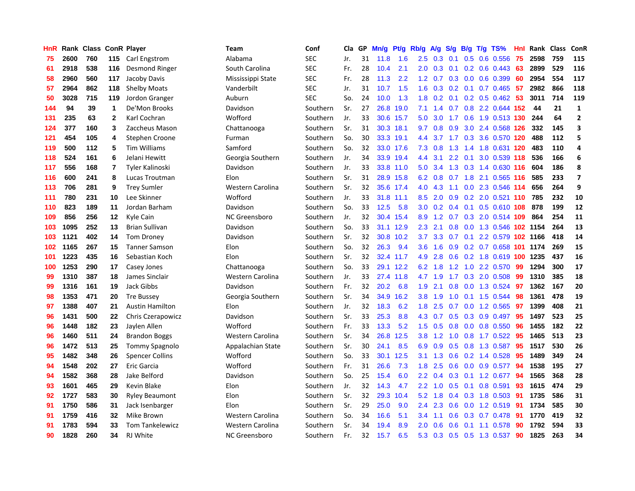| HnR | Rank | <b>Class</b> |                         | <b>ConR Player</b>     | <b>Team</b>       | Conf       | Cla | GP | Mn/g | <b>Pt/g</b> | Rb/g             | <b>A/g</b> | S/g | B/g              | $T/g$ TS%                  | Hnl | Rank | <b>Class</b> | ConR                     |
|-----|------|--------------|-------------------------|------------------------|-------------------|------------|-----|----|------|-------------|------------------|------------|-----|------------------|----------------------------|-----|------|--------------|--------------------------|
| 75  | 2600 | 760          | 115                     | Carl Engstrom          | Alabama           | <b>SEC</b> | Jr. | 31 | 11.8 | 1.6         | 2.5              | 0.3        | 0.1 | 0.5              | 0.6 0.556                  | 75  | 2598 | 759          | 115                      |
| 61  | 2918 | 538          | 116                     | Desmond Ringer         | South Carolina    | <b>SEC</b> | Fr. | 28 | 10.4 | 2.1         | 2.0 <sub>2</sub> | 0.3        | 0.1 |                  | $0.2$ 0.6 0.443            | -63 | 2899 | 529          | 116                      |
| 58  | 2960 | 560          | 117                     | Jacoby Davis           | Mississippi State | <b>SEC</b> | Fr. | 28 | 11.3 | 2.2         | 1.2              | 0.7        | 0.3 |                  | $0.0$ 0.6 0.399            | -60 | 2954 | 554          | 117                      |
| 57  | 2964 | 862          | 118                     | <b>Shelby Moats</b>    | Vanderbilt        | <b>SEC</b> | Jr. | 31 | 10.7 | 1.5         | 1.6              | 0.3        | 0.2 |                  | $0.1$ 0.7 0.465            | -57 | 2982 | 866          | 118                      |
| 50  | 3028 | 715          | 119                     | Jordon Granger         | Auburn            | <b>SEC</b> | So. | 24 | 10.0 | 1.3         | 1.8              | 0.2        | 0.1 |                  | 0.2 0.5 0.462              | 53  | 3011 | 714          | 119                      |
| 144 | 94   | 39           | $\mathbf{1}$            | De'Mon Brooks          | Davidson          | Southern   | Sr. | 27 | 26.8 | 19.0        | 7.1              | 1.4        | 0.7 |                  | 0.8 2.2 0.644 152          |     | 44   | 21           | $\mathbf{1}$             |
| 131 | 235  | 63           | $\mathbf{2}$            | Karl Cochran           | Wofford           | Southern   | Jr. | 33 | 30.6 | 15.7        | 5.0              | 3.0        | 1.7 |                  | 0.6 1.9 0.513 130          |     | 244  | 64           | $\mathbf{2}$             |
| 124 | 377  | 160          | 3                       | Zaccheus Mason         | Chattanooga       | Southern   | Sr. | 31 | 30.3 | 18.1        | 9.7              | 0.8        | 0.9 | 3.0 <sub>2</sub> | 2.4 0.568 126              |     | 332  | 145          | 3                        |
| 121 | 454  | 105          | 4                       | Stephen Croone         | Furman            | Southern   | So. | 30 | 33.3 | 19.1        | $4.4^{\circ}$    | 3.7        | 1.7 | 0.3              | 3.6 0.570 120              |     | 488  | 112          | 5                        |
| 119 | 500  | 112          | 5                       | <b>Tim Williams</b>    | Samford           | Southern   | So. | 32 |      | 33.0 17.6   | 7.3              | 0.8        | 1.3 |                  | 1.4 1.8 0.631 120          |     | 483  | 110          | 4                        |
| 118 | 524  | 161          | 6                       | Jelani Hewitt          | Georgia Southern  | Southern   | Jr. | 34 |      | 33.9 19.4   | 4.4              | 3.1        |     |                  | 2.2 0.1 3.0 0.539 118      |     | 536  | 166          | 6                        |
| 117 | 556  | 168          | $\overline{\mathbf{r}}$ | Tyler Kalinoski        | Davidson          | Southern   | Jr. | 33 |      | 33.8 11.0   | 5.0              | 3.4        |     |                  | 1.3 0.3 1.4 0.630 116      |     | 604  | 186          | 8                        |
| 116 | 600  | 241          | 8                       | Lucas Troutman         | Elon              | Southern   | Sr. | 31 |      | 28.9 15.8   | 6.2              | 0.8        |     |                  | 0.7 1.8 2.1 0.565 116      |     | 585  | 233          | $\overline{\phantom{a}}$ |
| 113 | 706  | 281          | 9                       | <b>Trey Sumler</b>     | Western Carolina  | Southern   | Sr. | 32 | 35.6 | 17.4        | 4.0              | 4.3        | 1.1 |                  | 0.0 2.3 0.546 114          |     | 656  | 264          | 9                        |
| 111 | 780  | 231          | 10                      | Lee Skinner            | Wofford           | Southern   | Jr. | 33 | 31.8 | 11.1        | 8.5              | 2.0        | 0.9 |                  | 0.2 2.0 0.521 110          |     | 785  | 232          | 10                       |
| 110 | 823  | 189          | 11                      | Jordan Barham          | Davidson          | Southern   | So. | 33 | 12.5 | 5.8         | 3.0              | 0.2        | 0.4 | 0.1              | 0.5 0.610 108              |     | 878  | 199          | 12                       |
| 109 | 856  | 256          | 12                      | Kyle Cain              | NC Greensboro     | Southern   | Jr. | 32 | 30.4 | 15.4        | 8.9              | 1.2        | 0.7 |                  | 0.3 2.0 0.514 109          |     | 864  | 254          | 11                       |
| 103 | 1095 | 252          | 13                      | <b>Brian Sullivan</b>  | Davidson          | Southern   | So. | 33 | 31.1 | 12.9        | 2.3              | 2.1        | 0.8 |                  | 0.0 1.3 0.546 102 1154     |     |      | 264          | 13                       |
| 103 | 1121 | 402          | 14                      | <b>Tom Droney</b>      | Davidson          | Southern   | Sr. | 32 | 30.8 | 10.2        | 3.7              | 3.3        | 0.7 |                  | 0.1 2.2 0.579 102 1166     |     |      | 418          | 14                       |
| 102 | 1165 | 267          | 15                      | <b>Tanner Samson</b>   | Elon              | Southern   | So. | 32 | 26.3 | 9.4         | 3.6              | 1.6        |     |                  | 0.9 0.2 0.7 0.658 101 1174 |     |      | 269          | 15                       |
| 101 | 1223 | 435          | 16                      | Sebastian Koch         | Elon              | Southern   | Sr. | 32 |      | 32.4 11.7   | 4.9              | 2.8        | 0.6 |                  | 0.2 1.8 0.619 100 1235     |     |      | 437          | 16                       |
| 100 | 1253 | 290          | 17                      | Casey Jones            | Chattanooga       | Southern   | So. | 33 | 29.1 | 12.2        | 6.2              | 1.8        | 1.2 |                  | 1.0 2.2 0.570              | 99  | 1294 | 300          | 17                       |
| 99  | 1310 | 387          | 18                      | James Sinclair         | Western Carolina  | Southern   | Jr. | 33 | 27.4 | 11.8        | 4.7              | 1.9        | 1.7 |                  | $0.3$ 2.0 0.508            | -99 | 1310 | 385          | 18                       |
| 99  | 1316 | 161          | 19                      | Jack Gibbs             | Davidson          | Southern   | Fr. | 32 | 20.2 | 6.8         | 1.9              | 2.1        | 0.8 |                  | $0.0$ 1.3 0.524            | 97  | 1362 | 167          | 20                       |
| 98  | 1353 | 471          | 20                      | <b>Tre Bussey</b>      | Georgia Southern  | Southern   | Sr. | 34 | 34.9 | 16.2        | 3.8              | 1.9        | 1.0 |                  | $0.1$ 1.5 0.544            | -98 | 1361 | 478          | 19                       |
| 97  | 1388 | 407          | 21                      | <b>Austin Hamilton</b> | Elon              | Southern   | Jr. | 32 | 18.3 | 6.2         | 1.8              | 2.5        | 0.7 |                  | $0.0$ 1.2 $0.565$          | 97  | 1399 | 408          | 21                       |
| 96  | 1431 | 500          | 22                      | Chris Czerapowicz      | Davidson          | Southern   | Sr. | 33 | 25.3 | 8.8         | 4.3              | 0.7        | 0.5 |                  | $0.3$ 0.9 0.497            | -95 | 1497 | 523          | 25                       |
| 96  | 1448 | 182          | 23                      | Jaylen Allen           | Wofford           | Southern   | Fr. | 33 | 13.3 | 5.2         | 1.5              | 0.5        | 0.8 |                  | $0.0$ 0.8 0.550            | -96 | 1455 | 182          | 22                       |
| 96  | 1460 | 511          | 24                      | <b>Brandon Boggs</b>   | Western Carolina  | Southern   | Sr. | 34 | 26.8 | 12.5        | 3.8              | 1.2        | 1.0 |                  | $0.8$ 1.7 $0.522$          | -95 | 1465 | 513          | 23                       |
| 96  | 1472 | 513          | 25                      | <b>Tommy Spagnolo</b>  | Appalachian State | Southern   | Sr. | 30 | 24.1 | 8.5         | 6.9              | 0.9        | 0.5 |                  | 0.8 1.3 0.587              | 95  | 1517 | 530          | 26                       |
| 95  | 1482 | 348          | 26                      | <b>Spencer Collins</b> | Wofford           | Southern   | So. | 33 | 30.1 | 12.5        | 3.1              | 1.3        | 0.6 |                  | $0.2$ 1.4 $0.528$          | 95  | 1489 | 349          | 24                       |
| 94  | 1548 | 202          | 27                      | Eric Garcia            | Wofford           | Southern   | Fr. | 31 | 26.6 | 7.3         | 1.8              | 2.5        | 0.6 |                  | $0.0$ 0.9 0.577            | 94  | 1538 | 195          | 27                       |
| 94  | 1582 | 368          | 28                      | Jake Belford           | Davidson          | Southern   | So. | 25 | 15.4 | 6.0         | $2.2\phantom{0}$ | 0.4        | 0.3 |                  | $0.1$ 1.2 0.677            | 94  | 1565 | 368          | 28                       |
| 93  | 1601 | 465          | 29                      | Kevin Blake            | Elon              | Southern   | Jr. | 32 | 14.3 | 4.7         | $2.2\phantom{0}$ | 1.0        | 0.5 | 0.1              | 0.8 0.591                  | 93  | 1615 | 474          | 29                       |
| 92  | 1727 | 583          | 30                      | <b>Ryley Beaumont</b>  | Elon              | Southern   | Sr. | 32 | 29.3 | 10.4        | 5.2              | 1.8        | 0.4 |                  | 0.3 1.8 0.503              | -91 | 1735 | 586          | 31                       |
| 91  | 1750 | 586          | 31                      | Jack Isenbarger        | Elon              | Southern   | Sr. | 29 | 25.0 | 9.0         | $2.4^{\circ}$    | 2.3        | 0.6 |                  | 0.0 1.2 0.519 91           |     | 1734 | 585          | 30                       |
| 91  | 1759 | 416          | 32                      | Mike Brown             | Western Carolina  | Southern   | So. | 34 | 16.6 | 5.1         | 3.4              | 1.1        | 0.6 |                  | $0.3$ 0.7 0.478            | -91 | 1770 | 419          | 32                       |
| 91  | 1783 | 594          | 33                      | <b>Tom Tankelewicz</b> | Western Carolina  | Southern   | Sr. | 34 | 19.4 | 8.9         | 2.0              | 0.6        | 0.6 |                  | $0.1$ 1.1 0.578            | 90  | 1792 | 594          | 33                       |
| 90  | 1828 | 260          | 34                      | RJ White               | NC Greensboro     | Southern   | Fr. | 32 | 15.7 | 6.5         | 5.3              | 0.3        |     |                  | $0.5$ $0.5$ 1.3 $0.537$    | 90  | 1825 | 263          | 34                       |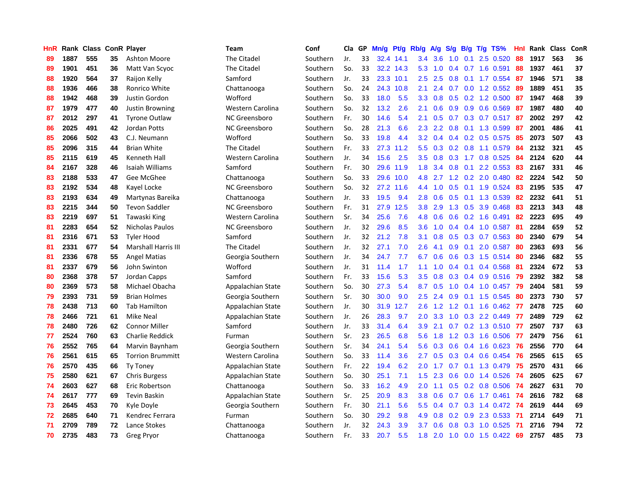| HnR |      | Rank Class ConR Player |    |                            | Team              | Conf     | Cla | GP | Mn/g | Pt/g      | Rb/g             | A/g | S/g              | B/g | $T/g$ TS%                 | Hnl | Rank Class |     | ConR |
|-----|------|------------------------|----|----------------------------|-------------------|----------|-----|----|------|-----------|------------------|-----|------------------|-----|---------------------------|-----|------------|-----|------|
| 89  | 1887 | 555                    | 35 | Ashton Moore               | The Citadel       | Southern | Jr. | 33 | 32.4 | 14.1      | 3.4              | 3.6 | 1.0              | 0.1 | 2.5 0.520                 | 88  | 1917       | 563 | 36   |
| 89  | 1901 | 451                    | 36 | Matt Van Scyoc             | The Citadel       | Southern | So. | 33 |      | 32.2 14.3 | 5.3              | 1.0 | $0.4^{\circ}$    |     | $0.7$ 1.6 0.591           | 88  | 1937       | 461 | 37   |
| 88  | 1920 | 564                    | 37 | Raijon Kelly               | Samford           | Southern | Jr. | 33 | 23.3 | 10.1      | 2.5              | 2.5 | 0.8              |     | $0.1$ 1.7 0.554           | -87 | 1946       | 571 | 38   |
| 88  | 1936 | 466                    | 38 | Ronrico White              | Chattanooga       | Southern | So. | 24 | 24.3 | 10.8      | 2.1              | 2.4 |                  |     | $0.7$ $0.0$ 1.2 $0.552$   | -89 | 1889       | 451 | 35   |
| 88  | 1942 | 468                    | 39 | Justin Gordon              | Wofford           | Southern | So. | 33 | 18.0 | 5.5       | 3.3 <sub>2</sub> | 0.8 | 0.5              |     | $0.2$ 1.2 $0.500$         | -87 | 1947       | 468 | 39   |
| 87  | 1979 | 477                    | 40 | <b>Justin Browning</b>     | Western Carolina  | Southern | So. | 32 | 13.2 | 2.6       | 2.1              | 0.6 | 0.9 <sub>0</sub> |     | 0.9 0.6 0.569             | 87  | 1987       | 480 | 40   |
| 87  | 2012 | 297                    | 41 | <b>Tyrone Outlaw</b>       | NC Greensboro     | Southern | Fr. | 30 | 14.6 | 5.4       | 2.1              | 0.5 | 0.7              |     | $0.3$ 0.7 0.517           | 87  | 2002       | 297 | 42   |
| 86  | 2025 | 491                    | 42 | Jordan Potts               | NC Greensboro     | Southern | So. | 28 | 21.3 | 6.6       | 2.3              | 2.2 | 0.8              |     | 0.1 1.3 0.599             | 87  | 2001       | 486 | 41   |
| 85  | 2066 | 502                    | 43 | C.J. Neumann               | Wofford           | Southern | So. | 33 | 19.8 | 4.4       | 3.2              | 0.4 | 0.4              |     | 0.2 0.5 0.575             | 85  | 2073       | 507 | 43   |
| 85  | 2096 | 315                    | 44 | <b>Brian White</b>         | The Citadel       | Southern | Fr. | 33 | 27.3 | 11.2      | 5.5              | 0.3 | 0.2              |     | 0.8 1.1 0.579             | -84 | 2132       | 321 | 45   |
| 85  | 2115 | 619                    | 45 | Kenneth Hall               | Western Carolina  | Southern | Jr. | 34 | 15.6 | 2.5       | 3.5              | 0.8 |                  |     | 0.3 1.7 0.8 0.525         | -84 | 2124       | 620 | 44   |
| 84  | 2167 | 328                    | 46 | Isaiah Williams            | Samford           | Southern | Fr. | 30 | 29.6 | 11.9      | 1.8              | 3.4 | 0.8              |     | 0.1 2.2 0.553 83          |     | 2167       | 331 | 46   |
| 83  | 2188 | 533                    | 47 | Gee McGhee                 | Chattanooga       | Southern | So. | 33 | 29.6 | 10.0      | 4.8              | 2.7 |                  |     | 1.2 0.2 2.0 0.480         | 82  | 2224       | 542 | 50   |
| 83  | 2192 | 534                    | 48 | Kayel Locke                | NC Greensboro     | Southern | So. | 32 | 27.2 | 11.6      | 4.4              | 1.0 | 0.5              |     | $0.1$ 1.9 0.524           | 83  | 2195       | 535 | 47   |
| 83  | 2193 | 634                    | 49 | Martynas Bareika           | Chattanooga       | Southern | Jr. | 33 | 19.5 | 9.4       | 2.8              | 0.6 | 0.5              |     | 0.1 1.3 0.539             | 82  | 2232       | 641 | 51   |
| 83  | 2215 | 344                    | 50 | <b>Tevon Saddler</b>       | NC Greensboro     | Southern | Fr. | 31 | 27.9 | 12.5      | 3.8              | 2.9 | 1.3              | 0.5 | 3.9 0.468                 | 83  | 2213       | 343 | 48   |
| 83  | 2219 | 697                    | 51 | Tawaski King               | Western Carolina  | Southern | Sr. | 34 | 25.6 | 7.6       | 4.8              | 0.6 | 0.6              |     | 0.2 1.6 0.491             | 82  | 2223       | 695 | 49   |
| 81  | 2283 | 654                    | 52 | Nicholas Paulos            | NC Greensboro     | Southern | Jr. | 32 | 29.6 | 8.5       | 3.6              | 1.0 | $0.4^{\circ}$    |     | 0.4 1.0 0.587             | -81 | 2284       | 659 | 52   |
| 81  | 2316 | 671                    | 53 | Tvler Hood                 | Samford           | Southern | Jr. | 32 | 21.2 | 7.8       | 3.1              | 0.8 | 0.5              |     | $0.3$ 0.7 0.563           | -80 | 2340       | 679 | 54   |
| 81  | 2331 | 677                    | 54 | <b>Marshall Harris III</b> | The Citadel       | Southern | Jr. | 32 | 27.1 | 7.0       | 2.6              | 4.1 | 0.9              |     | $0.1$ 2.0 0.587           | -80 | 2363       | 693 | 56   |
| 81  | 2336 | 678                    | 55 | Angel Matias               | Georgia Southern  | Southern | Jr. | 34 | 24.7 | 7.7       | 6.7              | 0.6 | 0.6              |     | $0.3$ 1.5 $0.514$         | -80 | 2346       | 682 | 55   |
| 81  | 2337 | 679                    | 56 | John Swinton               | Wofford           | Southern | Jr. | 31 | 11.4 | 1.7       | 1.1              | 1.0 | 0.4              |     | $0.1$ 0.4 0.568           | -81 | 2324       | 672 | 53   |
| 80  | 2368 | 378                    | 57 | Jordan Capps               | Samford           | Southern | Fr. | 33 | 15.6 | 5.3       | 3.5              | 0.8 | 0.3              |     | $0.4$ 0.9 0.516           | 79  | 2392       | 382 | 58   |
| 80  | 2369 | 573                    | 58 | Michael Obacha             | Appalachian State | Southern | So. | 30 | 27.3 | 5.4       | 8.7              | 0.5 | 1.0              |     | 0.4 1.0 0.457             | 79  | 2404       | 581 | 59   |
| 79  | 2393 | 731                    | 59 | <b>Brian Holmes</b>        | Georgia Southern  | Southern | Sr. | 30 | 30.0 | 9.0       | 2.5              | 2.4 | 0.9              |     | $0.1$ 1.5 0.545           | 80  | 2373       | 730 | 57   |
| 78  | 2438 | 713                    | 60 | <b>Tab Hamilton</b>        | Appalachian State | Southern | Jr. | 30 | 31.9 | 12.7      | 2.6              | 1.2 | 1.2              |     | $0.1$ 1.6 0.462           | -77 | 2478       | 725 | 60   |
| 78  | 2466 | 721                    | 61 | Mike Neal                  | Appalachian State | Southern | Jr. | 26 | 28.3 | 9.7       | 2.0              | 3.3 | 1.0              |     | 0.3 2.2 0.449             | -77 | 2489       | 729 | 62   |
| 78  | 2480 | 726                    | 62 | <b>Connor Miller</b>       | Samford           | Southern | Jr. | 33 | 31.4 | 6.4       | 3.9 <sup>°</sup> | 2.1 |                  |     | 0.7 0.2 1.3 0.510 77      |     | 2507       | 737 | 63   |
| 77  | 2524 | 760                    | 63 | <b>Charlie Reddick</b>     | Furman            | Southern | Sr. | 23 | 26.5 | 6.8       | 5.6              | 1.8 |                  |     | 1.2 0.3 1.6 0.506 77      |     | 2479       | 756 | 61   |
| 76  | 2552 | 765                    | 64 | Marvin Baynham             | Georgia Southern  | Southern | Sr. | 34 | 24.1 | 5.4       | 5.6              | 0.3 | 0.6              |     | 0.4 1.6 0.623             | -76 | 2556       | 770 | 64   |
| 76  | 2561 | 615                    | 65 | <b>Torrion Brummitt</b>    | Western Carolina  | Southern | So. | 33 | 11.4 | 3.6       | 2.7              | 0.5 | 0.3              |     | $0.4$ 0.6 0.454           | 76  | 2565       | 615 | 65   |
| 76  | 2570 | 435                    | 66 | <b>Ty Toney</b>            | Appalachian State | Southern | Fr. | 22 | 19.4 | 6.2       | 2.0              | 1.7 | 0.7              | 0.1 | 1.3 0.479                 | 75  | 2570       | 431 | 66   |
| 75  | 2580 | 621                    | 67 | <b>Chris Burgess</b>       | Appalachian State | Southern | So. | 30 | 25.1 | 7.1       | 1.5              | 2.3 | 0.6              |     | $0.0$ 1.4 $0.526$         | -74 | 2605       | 625 | 67   |
| 74  | 2603 | 627                    | 68 | Eric Robertson             | Chattanooga       | Southern | So. | 33 | 16.2 | 4.9       | 2.0              | 1.1 | 0.5              |     | $0.2$ 0.8 0.506           | 74  | 2627       | 631 | 70   |
| 74  | 2617 | 777                    | 69 | Tevin Baskin               | Appalachian State | Southern | Sr. | 25 | 20.9 | 8.3       | 3.8              | 0.6 | 0.7              |     | $0.6$ 1.7 $0.461$         | 74  | 2616       | 782 | 68   |
| 73  | 2645 | 453                    | 70 | Kyle Doyle                 | Georgia Southern  | Southern | Fr. | 30 | 21.1 | 5.6       | 5.5              | 0.4 | 0.7              |     | 0.3 1.4 0.472 74          |     | 2619       | 444 | 69   |
| 72  | 2685 | 640                    | 71 | Kendrec Ferrara            | Furman            | Southern | So. | 30 | 29.2 | 9.8       | 4.9              | 0.8 |                  |     | $0.2$ $0.9$ $2.3$ $0.533$ | -71 | 2714       | 649 | 71   |
| 71  | 2709 | 789                    | 72 | Lance Stokes               | Chattanooga       | Southern | Jr. | 32 | 24.3 | 3.9       | 3.7              | 0.6 | 0.8              |     | 0.3 1.0 0.525             | -71 | 2716       | 794 | 72   |
| 70  | 2735 | 483                    | 73 | <b>Greg Pryor</b>          | Chattanooga       | Southern | Fr. | 33 | 20.7 | 5.5       | 1.8              | 2.0 | 1.0              |     | $0.0$ 1.5 $0.422$         | 69  | 2757       | 485 | 73   |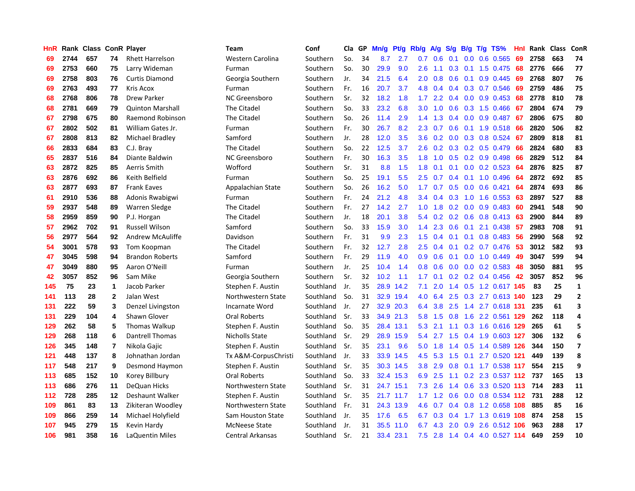| <b>HnR</b> | Rank | <b>Class ConR Player</b> |                  |                         | Team                 | Conf      | Cla | GP | Mn/g | Pt/g      | Rb/g             | <b>A/g</b> | S/g           | B/g | T/g TS%                  | Hnl | Rank Class |     | ConR                     |
|------------|------|--------------------------|------------------|-------------------------|----------------------|-----------|-----|----|------|-----------|------------------|------------|---------------|-----|--------------------------|-----|------------|-----|--------------------------|
| 69         | 2744 | 657                      | 74               | <b>Rhett Harrelson</b>  | Western Carolina     | Southern  | So. | 34 | 8.7  | 2.7       | 0.7              | 0.6        | 0.1           | 0.0 | $0.6$ 0.565              | 69  | 2758       | 663 | 74                       |
| 69         | 2753 | 660                      | 75               | Larry Wideman           | Furman               | Southern  | So. | 30 | 29.9 | 9.0       | 2.6              | 1.1        | 0.3           |     | 0.1 1.5 0.475 68         |     | 2776       | 666 | 77                       |
| 69         | 2758 | 803                      | 76               | <b>Curtis Diamond</b>   | Georgia Southern     | Southern  | Jr. | 34 | 21.5 | 6.4       | 2.0              | 0.8        |               |     | 0.6 0.1 0.9 0.445 69     |     | 2768       | 807 | 76                       |
| 69         | 2763 | 493                      | 77               | Kris Acox               | Furman               | Southern  | Fr. | 16 | 20.7 | 3.7       | 4.8              | 0.4        | 0.4           |     | $0.3$ 0.7 0.546          | -69 | 2759       | 486 | 75                       |
| 68         | 2768 | 806                      | 78               | <b>Drew Parker</b>      | NC Greensboro        | Southern  | Sr. | 32 | 18.2 | 1.8       | 1.7 <sup>2</sup> | 2.2        | 0.4           |     | $0.0$ 0.9 0.453          | 68  | 2778       | 810 | 78                       |
| 68         | 2781 | 669                      | 79               | <b>Quinton Marshall</b> | The Citadel          | Southern  | So. | 33 | 23.2 | 6.8       | 3.0              | 1.0        | 0.6           |     | 0.3 1.5 0.466            | 67  | 2804       | 674 | 79                       |
| 67         | 2798 | 675                      | 80               | Raemond Robinson        | The Citadel          | Southern  | So. | 26 | 11.4 | 2.9       | 1.4              | 1.3        | 0.4           |     | $0.0$ 0.9 0.487          | 67  | 2806       | 675 | 80                       |
| 67         | 2802 | 502                      | 81               | William Gates Jr.       | Furman               | Southern  | Fr. | 30 | 26.7 | 8.2       | 2.3              | 0.7        | 0.6           |     | $0.1$ 1.9 0.518          | -66 | 2820       | 506 | 82                       |
| 67         | 2808 | 813                      | 82               | Michael Bradley         | Samford              | Southern  | Jr. | 28 | 12.0 | 3.5       | 3.6              | 0.2        | 0.0           |     | 0.3 0.8 0.524            | -67 | 2809       | 818 | 81                       |
| 66         | 2833 | 684                      | 83               | C.J. Bray               | The Citadel          | Southern  | So. | 22 | 12.5 | 3.7       | 2.6              | 0.2        |               |     | 0.3 0.2 0.5 0.479        | -66 | 2824       | 680 | 83                       |
| 65         | 2837 | 516                      | 84               | Diante Baldwin          | NC Greensboro        | Southern  | Fr. | 30 | 16.3 | 3.5       | 1.8              |            |               |     | 1.0 0.5 0.2 0.9 0.498 66 |     | 2829       | 512 | 84                       |
| 63         | 2872 | 825                      | 85               | Aerris Smith            | Wofford              | Southern  | Sr. | 31 | 8.8  | 1.5       | 1.8              | 0.1        |               |     | $0.1$ 0.0 0.2 0.523 64   |     | 2876       | 825 | 87                       |
| 63         | 2876 | 692                      | 86               | Keith Belfield          | Furman               | Southern  | So. | 25 | 19.1 | 5.5       | 2.5              | 0.7        | 0.4           |     | $0.1$ 1.0 0.496          | -64 | 2872       | 692 | 85                       |
| 63         | 2877 | 693                      | 87               | <b>Frank Eaves</b>      | Appalachian State    | Southern  | So. | 26 | 16.2 | 5.0       | 1.7              | 0.7        | 0.5           |     | $0.0$ 0.6 0.421          | 64  | 2874       | 693 | 86                       |
| 61         | 2910 | 536                      | 88               | Adonis Rwabigwi         | Furman               | Southern  | Fr. | 24 | 21.2 | 4.8       | 3.4              | 0.4        | 0.3           |     | 1.0 1.6 0.553            | 63  | 2897       | 527 | 88                       |
| 59         | 2937 | 548                      | 89               | Warren Sledge           | The Citadel          | Southern  | Fr. | 27 | 14.2 | 2.7       | 1.0              | 1.8        | 0.2           |     | $0.0$ 0.9 0.483          | -60 | 2941       | 548 | 90                       |
| 58         | 2959 | 859                      | 90               | P.J. Horgan             | The Citadel          | Southern  | Jr. | 18 | 20.1 | 3.8       | 5.4              | 0.2        | 0.2           | 0.6 | 0.8 0.413                | -63 | 2900       | 844 | 89                       |
| 57         | 2962 | 702                      | 91               | <b>Russell Wilson</b>   | Samford              | Southern  | So. | 33 | 15.9 | 3.0       | 1.4              | 2.3        | 0.6           | 0.1 | 2.1 0.438                | -57 | 2983       | 708 | 91                       |
| 56         | 2977 | 564                      | 92               | Andrew McAuliffe        | Davidson             | Southern  | Fr. | 31 | 9.9  | 2.3       | 1.5              | 0.4        | 0.1           |     | $0.1$ 0.8 0.483          | -56 | 2990       | 568 | 92                       |
| 54         | 3001 | 578                      | 93               | Tom Koopman             | The Citadel          | Southern  | Fr. | 32 | 12.7 | 2.8       | 2.5              | 0.4        | 0.1           |     | $0.2$ 0.7 0.476 53       |     | 3012       | 582 | 93                       |
| 47         | 3045 | 598                      | 94               | <b>Brandon Roberts</b>  | Samford              | Southern  | Fr. | 29 | 11.9 | 4.0       | 0.9              | 0.6        | 0.1           |     | $0.0$ 1.0 $0.449$        | -49 | 3047       | 599 | 94                       |
| 47         | 3049 | 880                      | 95               | Aaron O'Neill           | Furman               | Southern  | Jr. | 25 | 10.4 | 1.4       | 0.8              | 0.6        | 0.0           |     | $0.0$ $0.2$ $0.583$      | -48 | 3050       | 881 | 95                       |
| 42         | 3057 | 852                      | 96               | Sam Mike                | Georgia Southern     | Southern  | Sr. | 32 | 10.2 | 1.1       | 1.7              | 0.1        |               |     | $0.2$ 0.2 0.4 0.456      | 42  | 3057       | 852 | 96                       |
| 145        | 75   | 23                       | $\mathbf{1}$     | Jacob Parker            | Stephen F. Austin    | Southland | Jr. | 35 | 28.9 | 14.2      | 7.1              | 2.0        | 1.4           |     | 0.5 1.2 0.617 145        |     | 83         | 25  | $\mathbf 1$              |
| 141        | 113  | 28                       | $\mathbf 2$      | Jalan West              | Northwestern State   | Southland | So. | 31 | 32.9 | 19.4      | 4.0              | 6.4        | 2.5           |     | 0.3 2.7 0.613 140        |     | 123        | 29  | $\mathbf{2}$             |
| 131        | 222  | 59                       | 3                | Denzel Livingston       | Incarnate Word       | Southland | Jr. | 27 | 32.9 | 20.3      | 6.4              | 3.8        | 2.5           |     | 1.4 2.7 0.618 131        |     | 235        | 61  | 3                        |
| 131        | 229  | 104                      | 4                | Shawn Glover            | <b>Oral Roberts</b>  | Southland | Sr. | 33 |      | 34.9 21.3 | 5.8              | 1.5        | 0.8           |     | 1.6 2.2 0.561 129        |     | 262        | 118 | 4                        |
| 129        | 262  | 58                       | 5                | Thomas Walkup           | Stephen F. Austin    | Southland | So. | 35 |      | 28.4 13.1 | 5.3              | 2.1        |               |     | 1.1 0.3 1.6 0.616 129    |     | 265        | 61  | 5                        |
| 129        | 268  | 118                      | 6                | <b>Dantrell Thomas</b>  | Nicholls State       | Southland | Sr. | 29 | 28.9 | 15.9      | 5.4              | 2.7        | 1.5           |     | 0.4 1.9 0.603 127        |     | 306        | 132 | 6                        |
| 126        | 345  | 148                      | $\overline{7}$   | Nikola Gajic            | Stephen F. Austin    | Southland | Sr. | 35 | 23.1 | 9.6       | 5.0              | 1.8        | $1.4^{\circ}$ |     | 0.5 1.4 0.589 126        |     | 344        | 150 | $\overline{\phantom{a}}$ |
| 121        | 448  | 137                      | 8                | Johnathan Jordan        | Tx A&M-CorpusChristi | Southland | Jr. | 33 | 33.9 | 14.5      | 4.5              | 5.3        | 1.5           |     | $0.1$ 2.7 $0.520$ 121    |     | 449        | 139 | 8                        |
| 117        | 548  | 217                      | $\boldsymbol{9}$ | Desmond Haymon          | Stephen F. Austin    | Southland | Sr. | 35 | 30.3 | 14.5      | 3.8              | 2.9        | 0.8           |     | 0.1 1.7 0.538 117        |     | 554        | 215 | 9                        |
| 113        | 685  | 152                      | 10               | Korey Billbury          | <b>Oral Roberts</b>  | Southland | So. | 33 | 32.4 | 15.3      | 6.9              | 2.5        | 1.1           |     | 0.2 2.3 0.537 112        |     | 737        | 165 | 13                       |
| 113        | 686  | 276                      | 11               | DeQuan Hicks            | Northwestern State   | Southland | Sr. | 31 | 24.7 | 15.1      | 7.3              | 2.6        | 1.4           | 0.6 | 3.3 0.520 113            |     | 714        | 283 | 11                       |
| 112        | 728  | 285                      | 12               | Deshaunt Walker         | Stephen F. Austin    | Southland | Sr. | 35 | 21.7 | 11.7      | 1.7              | 1.2        | 0.6           |     | $0.0$ 0.8 0.534 112      |     | 731        | 288 | 12                       |
| 109        | 861  | 83                       | 13               | Zikiteran Woodley       | Northwestern State   | Southland | Fr. | 31 |      | 24.3 13.9 | 4.6              | 0.7        | $0.4^{\circ}$ |     | 0.8 1.2 0.658 108        |     | 885        | 85  | 16                       |
| 109        | 866  | 259                      | 14               | Michael Holyfield       | Sam Houston State    | Southland | Jr. | 35 | 17.6 | 6.5       | 6.7              | 0.3        |               |     | 0.4 1.7 1.3 0.619 108    |     | 874        | 258 | 15                       |
| 107        | 945  | 279                      | 15               | Kevin Hardy             | <b>McNeese State</b> | Southland | Jr. | 31 | 35.5 | 11.0      | 6.7              | 4.3        | 2.0           |     | 0.9 2.6 0.512 106        |     | 963        | 288 | 17                       |
| 106        | 981  | 358                      | 16               | LaQuentin Miles         | Central Arkansas     | Southland | Sr. | 21 | 33.4 | 23.1      | 7.5              |            | $2.8$ 1.4     |     | 0.4 4.0 0.527 114        |     | 649        | 259 | 10                       |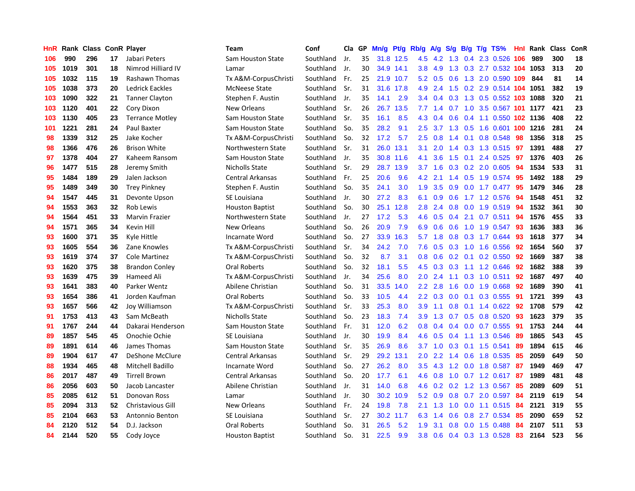| <b>HnR</b> | Rank |     |    | <b>Class ConR Player</b> | Team                     | Conf      | Cla | GP | Mn/g | <b>Pt/g</b> | Rb/g             | A/g             | S/g           | B/g | T/g TS%                    | Hnl | Rank | <b>Class</b> | ConR |
|------------|------|-----|----|--------------------------|--------------------------|-----------|-----|----|------|-------------|------------------|-----------------|---------------|-----|----------------------------|-----|------|--------------|------|
| 106        | 990  | 296 | 17 | Jabari Peters            | <b>Sam Houston State</b> | Southland | Jr. | 35 | 31.8 | 12.5        | 4.5              | 4.2             | 1.3           |     | 0.4 2.3 0.526              | 106 | 989  | 300          | 18   |
| 105        | 1019 | 301 | 18 | Nimrod Hilliard IV       | Lamar                    | Southland | Jr. | 30 |      | 34.9 14.1   | 3.8 <sub>2</sub> | 4.9             |               |     | 1.3 0.3 2.7 0.532 104 1053 |     |      | 313          | 20   |
| 105        | 1032 | 115 | 19 | Rashawn Thomas           | Tx A&M-CorpusChristi     | Southland | Fr. | 25 | 21.9 | 10.7        | 5.2              | 0.5             |               |     | 0.6 1.3 2.0 0.590 109      |     | 844  | 81           | 14   |
| 105        | 1038 | 373 | 20 | Ledrick Eackles          | <b>McNeese State</b>     | Southland | Sr. | 31 | 31.6 | 17.8        | 4.9              | 2.4             | 1.5           |     | 0.2 2.9 0.514 104 1051     |     |      | 382          | 19   |
| 103        | 1090 | 322 | 21 | <b>Tanner Clayton</b>    | Stephen F. Austin        | Southland | Jr. | 35 | 14.1 | 2.9         | 3.4              | 0.4             |               |     | 0.3 1.3 0.5 0.552 103 1088 |     |      | 320          | 21   |
| 103        | 1120 | 401 | 22 | Cory Dixon               | New Orleans              | Southland | Sr. | 26 | 26.7 | 13.5        | 7.7              | 1.4             |               |     | 0.7 1.0 3.5 0.567 101 1177 |     |      | 421          | 23   |
| 103        | 1130 | 405 | 23 | <b>Terrance Motley</b>   | Sam Houston State        | Southland | Sr. | 35 | 16.1 | 8.5         | 4.3              | 0.4             | 0.6           |     | 0.4 1.1 0.550 102 1136     |     |      | 408          | 22   |
| 101        | 1221 | 281 | 24 | Paul Baxter              | Sam Houston State        | Southland | So. | 35 | 28.2 | 9.1         | 2.5              | 3.7             | 1.3           |     | 0.5 1.6 0.601 100 1216     |     |      | 281          | 24   |
| 98         | 1339 | 312 | 25 | Jake Kocher              | Tx A&M-CorpusChristi     | Southland | So. | 32 | 17.2 | 5.7         | 2.5              |                 |               |     | 0.8 1.4 0.1 0.8 0.548 98   |     | 1356 | 318          | 25   |
| 98         | 1366 | 476 | 26 | <b>Brison White</b>      | Northwestern State       | Southland | Sr. | 31 |      | 26.0 13.1   | 3.1              | 2.0             | $1.4^{\circ}$ |     | 0.3 1.3 0.515 97           |     | 1391 | 488          | 27   |
| 97         | 1378 | 404 | 27 | Kaheem Ransom            | Sam Houston State        | Southland | Jr. | 35 |      | 30.8 11.6   | 4.1              | 3.6             | 1.5           |     | $0.1$ 2.4 $0.525$          | 97  | 1376 | 403          | 26   |
| 96         | 1477 | 515 | 28 | Jeremy Smith             | Nicholls State           | Southland | Sr. | 29 | 28.7 | 13.9        | 3.7              | 1.6             | 0.3           |     | $0.2$ 2.0 0.605            | 94  | 1534 | 533          | 31   |
| 95         | 1484 | 189 | 29 | Jalen Jackson            | <b>Central Arkansas</b>  | Southland | Fr. | 25 | 20.6 | 9.6         | 4.2              | 2.1             | 1.4           |     | 0.5 1.9 0.574              | 95  | 1492 | 188          | 29   |
| 95         | 1489 | 349 | 30 | <b>Trey Pinkney</b>      | Stephen F. Austin        | Southland | So. | 35 | 24.1 | 3.0         | 1.9              | 3.5             | 0.9           |     | $0.0$ 1.7 $0.477$          | 95  | 1479 | 346          | 28   |
| 94         | 1547 | 445 | 31 | Devonte Upson            | SE Louisiana             | Southland | Jr. | 30 | 27.2 | 8.3         | 6.1              | 0.9             | 0.6           |     | 1.7 1.2 0.576              | 94  | 1548 | 451          | 32   |
| 94         | 1553 | 363 | 32 | Rob Lewis                | <b>Houston Baptist</b>   | Southland | So. | 30 | 25.1 | 12.8        | 2.8              | 2.4             |               |     | 0.8 0.0 1.9 0.519 94       |     | 1532 | 361          | 30   |
| 94         | 1564 | 451 | 33 | Marvin Frazier           | Northwestern State       | Southland | Jr. | 27 | 17.2 | 5.3         | 4.6              | 0.5             | 0.4           |     | 2.1 0.7 0.511              | 94  | 1576 | 455          | 33   |
| 94         | 1571 | 365 | 34 | Kevin Hill               | <b>New Orleans</b>       | Southland | So. | 26 | 20.9 | 7.9         | 6.9              | 0.6             | 0.6           |     | 1.0 1.9 0.547              | -93 | 1636 | 383          | 36   |
| 93         | 1600 | 371 | 35 | Kyle Hittle              | Incarnate Word           | Southland | So. | 27 | 33.9 | 16.3        | 5.7              | 1.8             | 0.8           |     | 0.3 1.7 0.644              | 93  | 1618 | 377          | 34   |
| 93         | 1605 | 554 | 36 | Zane Knowles             | Tx A&M-CorpusChristi     | Southland | Sr. | 34 | 24.2 | 7.0         | 7.6              | 0.5             |               |     | 0.3 1.0 1.6 0.556          | 92  | 1654 | 560          | 37   |
| 93         | 1619 | 374 | 37 | <b>Cole Martinez</b>     | Tx A&M-CorpusChristi     | Southland | So. | 32 | 8.7  | 3.1         | 0.8              | 0.6             | 0.2           |     | $0.1$ 0.2 0.550            | 92  | 1669 | 387          | 38   |
| 93         | 1620 | 375 | 38 | <b>Brandon Conley</b>    | Oral Roberts             | Southland | So. | 32 | 18.1 | 5.5         | 4.5              | 0.3             | 0.3           |     | 1.1 1.2 0.646              | 92  | 1682 | 388          | 39   |
| 93         | 1639 | 475 | 39 | Hameed Ali               | Tx A&M-CorpusChristi     | Southland | Jr. | 34 | 25.6 | 8.0         | 2.0              | 2.4             | 1.1           |     | 0.3 1.0 0.511 92           |     | 1687 | 497          | 40   |
| 93         | 1641 | 383 | 40 | Parker Wentz             | Abilene Christian        | Southland | So. | 31 | 33.5 | 14.0        | $2.2\phantom{0}$ | 2.8             | 1.6           |     | $0.0$ 1.9 $0.668$          | 92  | 1689 | 390          | 41   |
| 93         | 1654 | 386 | 41 | Jorden Kaufman           | Oral Roberts             | Southland | So. | 33 | 10.5 | 4.4         | $2.2\phantom{0}$ | 0.3             | 0.0           |     | $0.1$ 0.3 0.555            | -91 | 1721 | 399          | 43   |
| 93         | 1657 | 566 | 42 | Joy Williamson           | Tx A&M-CorpusChristi     | Southland | Sr. | 33 | 25.3 | 8.0         | 3.9              | 1.1             | 0.8           |     | 0.1 1.4 0.622 92           |     | 1708 | 579          | 42   |
| 91         | 1753 | 413 | 43 | Sam McBeath              | Nicholls State           | Southland | So. | 23 | 18.3 | 7.4         | 3.9              | 1.3             | 0.7           |     | $0.5$ 0.8 0.520            | 93  | 1623 | 379          | 35   |
| 91         | 1767 | 244 | 44 | Dakarai Henderson        | Sam Houston State        | Southland | Fr. | 31 | 12.0 | 6.2         | 0.8              | 0.4             | 0.4           |     | $0.0$ 0.7 0.555            | 91  | 1753 | 244          | 44   |
| 89         | 1857 | 545 | 45 | Onochie Ochie            | SE Louisiana             | Southland | Jr. | 30 | 19.9 | 8.4         | 4.6              | 0.5             | 0.4           |     | 1.1 1.3 0.546              | -89 | 1865 | 543          | 45   |
| 89         | 1891 | 614 | 46 | James Thomas             | Sam Houston State        | Southland | Sr. | 35 | 26.9 | 8.6         | 3.7              |                 |               |     | 1.0 0.3 0.1 1.5 0.541      | -89 | 1894 | 615          | 46   |
| 89         | 1904 | 617 | 47 | DeShone McClure          | <b>Central Arkansas</b>  | Southland | Sr. | 29 | 29.2 | 13.1        | 2.0              | $2.2 \quad 1.4$ |               |     | 0.6 1.8 0.535              | -85 | 2059 | 649          | 50   |
| 88         | 1934 | 465 | 48 | Mitchell Badillo         | Incarnate Word           | Southland | So. | 27 | 26.2 | 8.0         | 3.5              |                 |               |     | 4.3 1.2 0.0 1.8 0.587      | -87 | 1949 | 469          | 47   |
| 86         | 2017 | 487 | 49 | <b>Tirrell Brown</b>     | <b>Central Arkansas</b>  | Southland | So. | 20 | 17.7 | 6.1         | 4.6              | 0.8             | 1.0           |     | $0.7$ 1.2 0.617            | 87  | 1989 | 481          | 48   |
| 86         | 2056 | 603 | 50 | Jacob Lancaster          | Abilene Christian        | Southland | Jr. | 31 | 14.0 | 6.8         | 4.6              | 0.2             | 0.2           |     | 1.2 1.3 0.567              | 85  | 2089 | 609          | 51   |
| 85         | 2085 | 612 | 51 | Donovan Ross             | Lamar                    | Southland | Jr. | 30 | 30.2 | 10.9        | 5.2              | 0.9             | 0.8           |     | $0.7$ 2.0 0.597            | -84 | 2119 | 619          | 54   |
| 85         | 2094 | 313 | 52 | <b>Christavious Gill</b> | New Orleans              | Southland | Fr. | 24 | 19.8 | 7.8         | 2.1              | 1.3             | 1.0           |     | $0.0$ 1.1 $0.515$          | -84 | 2121 | 319          | 55   |
| 85         | 2104 | 663 | 53 | Antonnio Benton          | SE Louisiana             | Southland | Sr. | 27 | 30.2 | 11.7        | 6.3              | 1.4             |               |     | 0.6 0.8 2.7 0.534 85       |     | 2090 | 659          | 52   |
| 84         | 2120 | 512 | 54 | D.J. Jackson             | Oral Roberts             | Southland | So. | 31 | 26.5 | 5.2         | 1.9              | 3.1             | 0.8           |     | $0.0$ 1.5 $0.488$          | -84 | 2107 | 511          | 53   |
| 84         | 2144 | 520 | 55 | Cody Joyce               | <b>Houston Baptist</b>   | Southland | So. | 31 | 22.5 | 9.9         | 3.8 <sub>2</sub> |                 |               |     | 0.6 0.4 0.3 1.3 0.528 83   |     | 2164 | 523          | 56   |
|            |      |     |    |                          |                          |           |     |    |      |             |                  |                 |               |     |                            |     |      |              |      |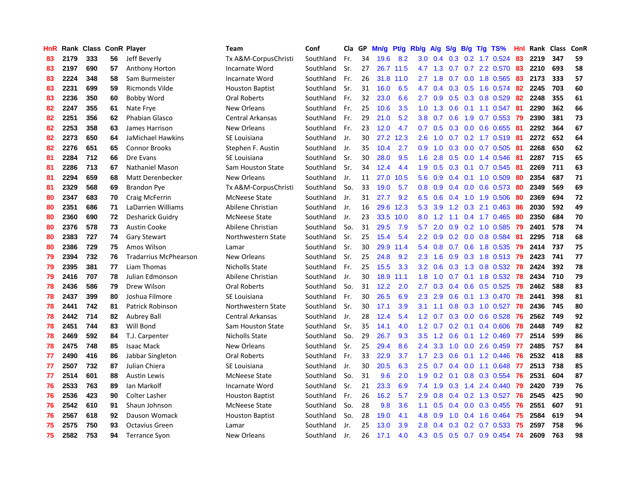| HnR |      | Rank Class ConR Player |    |                              | <b>Team</b>            | Conf      | Cla GP |    | Mn/g | Pt/g | Rb/g             | A/g             | S/g              |     | $B/g$ T/g TS%               | Hnl | Rank Class |     | ConR |
|-----|------|------------------------|----|------------------------------|------------------------|-----------|--------|----|------|------|------------------|-----------------|------------------|-----|-----------------------------|-----|------------|-----|------|
| 83  | 2179 | 333                    | 56 | Jeff Beverly                 | Tx A&M-CorpusChristi   | Southland | Fr.    | 34 | 19.6 | 8.2  | 3.0              | 0.4             | 0.3              |     | $0.2$ 1.7 $0.524$           | 83  | 2219       | 347 | 59   |
| 83  | 2197 | 690                    | 57 | <b>Anthony Horton</b>        | Incarnate Word         | Southland | Sr.    | 27 | 26.7 | 11.5 |                  | 4.7 1.3         | 0.7              |     | $0.7$ 2.2 $0.570$           | 83  | 2210       | 693 | 58   |
| 83  | 2224 | 348                    | 58 | Sam Burmeister               | Incarnate Word         | Southland | Fr.    | 26 | 31.8 | 11.0 | $2.7^{\circ}$    | 1.8             |                  |     | $0.7$ 0.0 1.8 0.565         | -83 | 2173       | 333 | 57   |
| 83  | 2231 | 699                    | 59 | Ricmonds Vilde               | <b>Houston Baptist</b> | Southland | Sr.    | 31 | 16.0 | 6.5  | 4.7              | 0.4             |                  |     | $0.3$ $0.5$ 1.6 $0.574$     | -82 | 2245       | 703 | 60   |
| 83  | 2236 | 350                    | 60 | Bobby Word                   | Oral Roberts           | Southland | Fr.    | 32 | 23.0 | 6.6  | $2.7^{\circ}$    | 0.9             |                  |     | $0.5$ 0.3 0.8 0.529         | 82  | 2248       | 355 | 61   |
| 82  | 2247 | 355                    | 61 | Nate Frye                    | New Orleans            | Southland | Fr.    | 25 | 10.6 | 3.5  | 1.0              | 1.3             | 0.6              |     | $0.1$ 1.1 0.547             | -81 | 2290       | 362 | 66   |
| 82  | 2251 | 356                    | 62 | Phabian Glasco               | Central Arkansas       | Southland | Fr.    | 29 | 21.0 | 5.2  | 3.8 <sub>2</sub> | 0.7             | 0.6              |     | 1.9 0.7 0.553               | -79 | 2390       | 381 | 73   |
| 82  | 2253 | 358                    | 63 | James Harrison               | New Orleans            | Southland | Fr.    | 23 | 12.0 | 4.7  | 0.7              | 0.5             | 0.3              |     | $0.0$ $0.6$ $0.655$         | -81 | 2292       | 364 | 67   |
| 82  | 2273 | 650                    | 64 | JaMichael Hawkins            | SE Louisiana           | Southland | Jr.    | 30 | 27.2 | 12.3 | 2.6              | 1.0             | 0.7              |     | $0.2$ 1.7 0.519             | -81 | 2272       | 652 | 64   |
| 82  | 2276 | 651                    | 65 | <b>Connor Brooks</b>         | Stephen F. Austin      | Southland | Jr.    | 35 | 10.4 | 2.7  | 0.9              | 1.0             | 0.3              |     | $0.0$ 0.7 0.505             | -81 | 2268       | 650 | 62   |
| 81  | 2284 | 712                    | 66 | Dre Evans                    | SE Louisiana           | Southland | Sr.    | 30 | 28.0 | 9.5  | 1.6              | 2.8             |                  |     | $0.5$ 0.0 1.4 0.546         | -81 | 2287       | 715 | 65   |
| 81  | 2286 | 713                    | 67 | Nathaniel Mason              | Sam Houston State      | Southland | Sr.    | 34 | 12.4 | 4.4  | 1.9              | 0.5             |                  |     | 0.3 0.1 0.7 0.545 81        |     | 2269       | 711 | 63   |
| 81  | 2294 | 659                    | 68 | Matt Derenbecker             | New Orleans            | Southland | Jr.    | 11 | 27.0 | 10.5 | 5.6              | 0.9             |                  |     | $0.4$ 0.1 1.0 0.509         | -80 | 2354       | 687 | 71   |
| 81  | 2329 | 568                    | 69 | Brandon Pye                  | Tx A&M-CorpusChristi   | Southland | So.    | 33 | 19.0 | 5.7  | 0.8              | 0.9             | 0.4              |     | $0.0 \quad 0.6 \quad 0.573$ | -80 | 2349       | 569 | 69   |
| 80  | 2347 | 683                    | 70 | Craig McFerrin               | <b>McNeese State</b>   | Southland | Jr.    | 31 | 27.7 | 9.2  | 6.5              | 0.6             | 0.4              |     | 1.0 1.9 0.506               | -80 | 2369       | 694 | 72   |
| 80  | 2351 | 686                    | 71 | LaDarrien Williams           | Abilene Christian      | Southland | Jr.    | 16 | 29.6 | 12.3 | 5.3              | 3.9             | 1.2              |     | $0.3$ 2.1 0.463             | -86 | 2030       | 592 | 49   |
| 80  | 2360 | 690                    | 72 | Desharick Guidry             | <b>McNeese State</b>   | Southland | Jr.    | 23 | 33.5 | 10.0 | 8.0              | 1.2             | 1.1              |     | $0.4$ 1.7 0.465             | -80 | 2350       | 684 | 70   |
| 80  | 2376 | 578                    | 73 | <b>Austin Cooke</b>          | Abilene Christian      | Southland | So.    | 31 | 29.5 | 7.9  | 5.7              | 2.0             | 0.9              |     | 0.2 1.0 0.585               | 79  | 2401       | 578 | 74   |
| 80  | 2383 | 727                    | 74 | <b>Gary Stewart</b>          | Northwestern State     | Southland | Sr.    | 25 | 15.4 | 5.4  | 2.2              | 0.9             |                  |     | $0.2$ 0.0 0.8 0.584         | -81 | 2295       | 718 | 68   |
| 80  | 2386 | 729                    | 75 | Amos Wilson                  | Lamar                  | Southland | Sr.    | 30 | 29.9 | 11.4 | 5.4              | 0.8             |                  |     | 0.7 0.6 1.8 0.535 79        |     | 2414       | 737 | 75   |
| 79  | 2394 | 732                    | 76 | <b>Tradarrius McPhearson</b> | New Orleans            | Southland | Sr.    | 25 | 24.8 | 9.2  | 2.3              | 1.6             |                  |     | 0.9 0.3 1.8 0.513 79        |     | 2423       | 741 | 77   |
| 79  | 2395 | 381                    | 77 | Liam Thomas                  | Nicholls State         | Southland | Fr.    | 25 | 15.5 | 3.3  | 3.2              | 0.6             |                  |     | 0.3 1.3 0.8 0.532 78        |     | 2424       | 392 | 78   |
| 79  | 2416 | 707                    | 78 | Julian Edmonson              | Abilene Christian      | Southland | Jr.    | 30 | 18.9 | 11.1 | 1.8              | 1.0             | 0.7              |     | $0.1$ 1.8 0.532             | 78  | 2434       | 710 | 79   |
| 78  | 2436 | 586                    | 79 | Drew Wilson                  | <b>Oral Roberts</b>    | Southland | So.    | 31 | 12.2 | 2.0  | 2.7              | 0.3             | $0.4^{\circ}$    |     | $0.6$ 0.5 0.525             | 78  | 2462       | 588 | 83   |
| 78  | 2437 | 399                    | 80 | Joshua Filmore               | SE Louisiana           | Southland | Fr.    | 30 | 26.5 | 6.9  | 2.3              | 2.9             | 0.6              |     | 0.1 1.3 0.470               | 78  | 2441       | 398 | 81   |
| 78  | 2441 | 742                    | 81 | <b>Patrick Robinson</b>      | Northwestern State     | Southland | Sr.    | 30 | 17.1 | 3.9  | 3.1              | 1.1             | 0.8              |     | $0.3$ 1.0 0.527             | 78  | 2436       | 745 | 80   |
| 78  | 2442 | 714                    | 82 | Aubrey Ball                  | Central Arkansas       | Southland | Jr.    | 28 | 12.4 | 5.4  | $1.2^{\circ}$    | 0.7             |                  |     | $0.3$ 0.0 0.6 0.528         | -76 | 2562       | 749 | 92   |
| 78  | 2451 | 744                    | 83 | Will Bond                    | Sam Houston State      | Southland | Sr.    | 35 | 14.1 | 4.0  |                  | $1.2 \quad 0.7$ |                  |     | 0.2 0.1 0.4 0.606 78        |     | 2448       | 749 | 82   |
| 78  | 2469 | 592                    | 84 | T.J. Carpenter               | Nicholls State         | Southland | So.    | 29 | 26.7 | 9.3  | 3.5              | 1.2             |                  |     | 0.6 0.1 1.2 0.469 77        |     | 2514       | 599 | 86   |
| 78  | 2475 | 748                    | 85 | <b>Isaac Mack</b>            | New Orleans            | Southland | Sr.    | 25 | 29.4 | 8.6  | $2.4^{\circ}$    | 3.3             | 1.0              |     | $0.0$ 2.6 $0.459$           | -77 | 2485       | 757 | 84   |
| 77  | 2490 | 416                    | 86 | Jabbar Singleton             | Oral Roberts           | Southland | Fr.    | 33 | 22.9 | 3.7  | 1.7              | 2.3             | 0.6              |     | 0.1 1.2 0.446               | 76  | 2532       | 418 | 88   |
| 77  | 2507 | 732                    | 87 | Julian Chiera                | SE Louisiana           | Southland | Jr.    | 30 | 20.5 | 6.3  | 2.5              | 0.7             | 0.4              |     | $0.0$ 1.1 $0.648$           | -77 | 2513       | 738 | 85   |
| 77  | 2514 | 601                    | 88 | <b>Austin Lewis</b>          | <b>McNeese State</b>   | Southland | So.    | 31 | 9.6  | 2.0  | 1.9              | 0.2             | 0.1              | 0.8 | 0.3 0.554                   | 76  | 2531       | 604 | 87   |
| 76  | 2533 | 763                    | 89 | Ian Markolf                  | Incarnate Word         | Southland | Sr.    | 21 | 23.3 | 6.9  | 7.4              | 1.9             | 0.3              | 1.4 | 2.4 0.440                   | 79  | 2420       | 739 | 76   |
| 76  | 2536 | 423                    | 90 | <b>Colter Lasher</b>         | <b>Houston Baptist</b> | Southland | Fr.    | 26 | 16.2 | 5.7  | 2.9              | 0.8             | $0.4^{\circ}$    |     | 0.2 1.3 0.527               | 76  | 2545       | 425 | 90   |
| 76  | 2542 | 610                    | 91 | Shaun Johnson                | <b>McNeese State</b>   | Southland | So.    | 28 | 9.8  | 3.6  | 1.1              | 0.5             | $0.4^{\circ}$    |     | $0.0$ $0.3$ $0.455$         | -76 | 2551       | 607 | 91   |
| 76  | 2567 | 618                    | 92 | Dauson Womack                | <b>Houston Baptist</b> | Southland | So.    | 28 | 19.0 | 4.1  | 4.8              | 0.9             | 1.0              |     | $0.4$ 1.6 0.464             | 75  | 2584       | 619 | 94   |
| 75  | 2575 | 750                    | 93 | <b>Octavius Green</b>        | Lamar                  | Southland | Jr.    | 25 | 13.0 | 3.9  | 2.8              | 0.4             | 0.3 <sub>0</sub> |     | $0.2$ 0.7 0.533             | 75  | 2597       | 758 | 96   |
| 75  | 2582 | 753                    | 94 | <b>Terrance Syon</b>         | New Orleans            | Southland | Jr.    | 26 | 17.1 | 4.0  | 4.3              | 0.5             |                  |     | 0.5 0.7 0.9 0.454           | 74  | 2609       | 763 | 98   |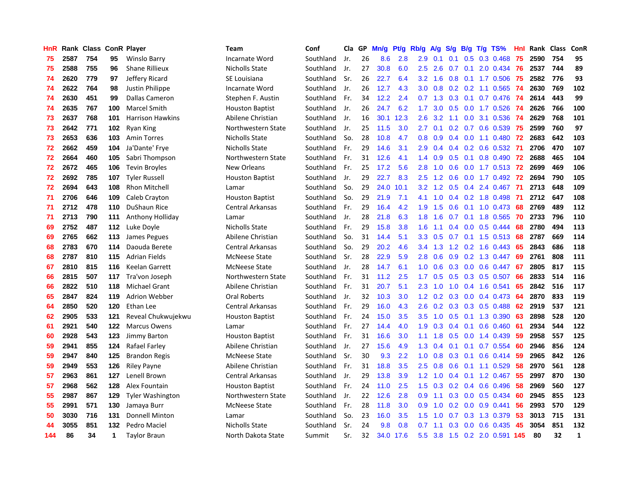| HnR |      | Rank Class |     | <b>ConR Player</b>      | <b>Team</b>            | Conf      | Cla | GP | Mn/g | Pf/g      | Rb/g             | A/g           | S/g              | B/g | T/g TS%                       | Hnl | Rank Class |     | ConR         |
|-----|------|------------|-----|-------------------------|------------------------|-----------|-----|----|------|-----------|------------------|---------------|------------------|-----|-------------------------------|-----|------------|-----|--------------|
| 75  | 2587 | 754        | 95  | <b>Winslo Barry</b>     | Incarnate Word         | Southland | Jr. | 26 | 8.6  | 2.8       | 2.9              | 0.1           | 0.1              | 0.5 | 0.3 0.468                     | 75  | 2590       | 754 | 95           |
| 75  | 2588 | 755        | 96  | <b>Shane Rillieux</b>   | Nicholls State         | Southland | Jr. | 27 | 30.8 | 6.0       | $2.5^{\circ}$    | 2.6           | 0.7              |     | $0.1$ 2.0 $0.434$             | -76 | 2537       | 744 | 89           |
| 74  | 2620 | 779        | 97  | Jeffery Ricard          | SE Louisiana           | Southland | Sr. | 26 | 22.7 | 6.4       | 3.2              | 1.6           |                  |     | 0.8 0.1 1.7 0.506 75          |     | 2582       | 776 | 93           |
| 74  | 2622 | 764        | 98  | Justin Philippe         | Incarnate Word         | Southland | Jr. | 26 | 12.7 | 4.3       | 3.0 <sub>2</sub> | 0.8           |                  |     | $0.2$ 0.2 1.1 0.565           | -74 | 2630       | 769 | 102          |
| 74  | 2630 | 451        | 99  | Dallas Cameron          | Stephen F. Austin      | Southland | Fr. | 34 | 12.2 | 2.4       | 0.7              | 1.3           | 0.3              |     | $0.1$ 0.7 0.476               | -74 | 2614       | 443 | 99           |
| 74  | 2635 | 767        | 100 | <b>Marcel Smith</b>     | <b>Houston Baptist</b> | Southland | Jr. | 26 | 24.7 | 6.2       | 1.7              | 3.0           | 0.5              |     | $0.0$ 1.7 $0.526$             | -74 | 2626       | 766 | 100          |
| 73  | 2637 | 768        | 101 | <b>Harrison Hawkins</b> | Abilene Christian      | Southland | Jr. | 16 | 30.1 | 12.3      | $2.6\,$          | 3.2           | 1.1              | 0.0 | 3.1 0.536                     | -74 | 2629       | 768 | 101          |
| 73  | 2642 | 771        | 102 | Ryan King               | Northwestern State     | Southland | Jr. | 25 | 11.5 | 3.0       | $2.7^{\circ}$    | 0.1           | 0.2 <sub>0</sub> |     | 0.7 0.6 0.539                 | -75 | 2599       | 760 | 97           |
| 73  | 2653 | 636        | 103 | <b>Amin Torres</b>      | Nicholls State         | Southland | So. | 28 | 10.8 | 4.7       | 0.8              | 0.9           | 0.4              |     | $0.0$ 1.1 $0.480$             | 72  | 2683       | 642 | 103          |
| 72  | 2662 | 459        | 104 | Ja'Dante' Frye          | Nicholls State         | Southland | Fr. | 29 | 14.6 | 3.1       | 2.9              | $0.4^{\circ}$ |                  |     | 0.4 0.2 0.6 0.532 71          |     | 2706       | 470 | 107          |
| 72  | 2664 | 460        | 105 | Sabri Thompson          | Northwestern State     | Southland | Fr. | 31 | 12.6 | 4.1       | $1.4^{\circ}$    | 0.9           | 0.5              |     | $0.1$ 0.8 0.490               | -72 | 2688       | 465 | 104          |
| 72  | 2672 | 465        | 106 | <b>Tevin Broyles</b>    | <b>New Orleans</b>     | Southland | Fr. | 25 | 17.2 | 5.6       | 2.8              | 1.0           | 0.6              |     | 0.0 1.7 0.513 72              |     | 2699       | 469 | 106          |
| 72  | 2692 | 785        | 107 | <b>Tyler Russell</b>    | <b>Houston Baptist</b> | Southland | Jr. | 29 | 22.7 | 8.3       | $2.5\,$          | 1.2           | 0.6              |     | $0.0$ 1.7 $0.492$             | 72  | 2694       | 790 | 105          |
| 72  | 2694 | 643        | 108 | <b>Rhon Mitchell</b>    | Lamar                  | Southland | So. | 29 | 24.0 | 10.1      | 3.2              | 1.2           | 0.5              | 0.4 | 2.4 0.467                     | -71 | 2713       | 648 | 109          |
| 71  | 2706 | 646        | 109 | Caleb Crayton           | <b>Houston Baptist</b> | Southland | So. | 29 | 21.9 | 7.1       | 4.1              | 1.0           | 0.4              |     | 0.2 1.8 0.498                 | -71 | 2712       | 647 | 108          |
| 71  | 2712 | 478        | 110 | DuShaun Rice            | Central Arkansas       | Southland | Fr. | 29 | 16.4 | 4.2       | 1.9              | 1.5           | 0.6              |     | $0.1$ 1.0 0.473               | 68  | 2769       | 489 | 112          |
| 71  | 2713 | 790        | 111 | Anthony Holliday        | Lamar                  | Southland | Jr. | 28 | 21.8 | 6.3       | 1.8              | 1.6           | 0.7              |     | $0.1$ 1.8 $0.565$             | -70 | 2733       | 796 | 110          |
| 69  | 2752 | 487        | 112 | Luke Doyle              | <b>Nicholls State</b>  | Southland | Fr. | 29 | 15.8 | 3.8       | 1.6              | 1.1           | 0.4              |     | $0.0$ $0.5$ $0.444$           | 68  | 2780       | 494 | 113          |
| 69  | 2765 | 662        | 113 | James Pegues            | Abilene Christian      | Southland | So. | 31 | 14.4 | 5.1       | 3.3 <sub>2</sub> | 0.5           | 0.7              |     | $0.1$ 1.5 0.513               | 68  | 2787       | 669 | 114          |
| 68  | 2783 | 670        | 114 | Daouda Berete           | Central Arkansas       | Southland | So. | 29 | 20.2 | 4.6       | 3.4              | 1.3           | 1.2              |     | $0.2$ 1.6 0.443               | 65  | 2843       | 686 | 118          |
| 68  | 2787 | 810        | 115 | <b>Adrian Fields</b>    | <b>McNeese State</b>   | Southland | Sr. | 28 | 22.9 | 5.9       | 2.8              | 0.6           | 0.9              |     | 0.2 1.3 0.447                 | 69  | 2761       | 808 | 111          |
| 67  | 2810 | 815        | 116 | Keelan Garrett          | <b>McNeese State</b>   | Southland | Jr. | 28 | 14.7 | 6.1       | 1.0              | 0.6           | 0.3              | 0.0 | $0.6$ 0.447                   | -67 | 2805       | 817 | 115          |
| 66  | 2815 | 507        | 117 | Tra'von Joseph          | Northwestern State     | Southland | Fr. | 31 | 11.2 | 2.5       | 1.7              | 0.5           | 0.5              |     | $0.3$ 0.5 0.507               | 66  | 2833       | 514 | 116          |
| 66  | 2822 | 510        | 118 | Michael Grant           | Abilene Christian      | Southland | Fr. | 31 | 20.7 | 5.1       | 2.3              | 1.0           | 1.0              |     | 0.4 1.6 0.541                 | -65 | 2842       | 516 | 117          |
| 65  | 2847 | 824        | 119 | Adrion Webber           | <b>Oral Roberts</b>    | Southland | Jr. | 32 | 10.3 | 3.0       | 1.2 <sub>1</sub> | 0.2           |                  |     | $0.3$ 0.0 0.4 0.473           | -64 | 2870       | 833 | 119          |
| 64  | 2850 | 520        | 120 | Ethan Lee               | Central Arkansas       | Southland | Fr. | 29 | 16.0 | 4.3       | $2.6\,$          | 0.2           | 0.3              |     | 0.3 0.5 0.488                 | 62  | 2919       | 537 | 121          |
| 62  | 2905 | 533        | 121 | Reveal Chukwujekwu      | <b>Houston Baptist</b> | Southland | Fr. | 24 | 15.0 | 3.5       | 3.5              | 1.0           | 0.5              |     | 0.1 1.3 0.390                 | 63  | 2898       | 528 | 120          |
| 61  | 2921 | 540        | 122 | <b>Marcus Owens</b>     | Lamar                  | Southland | Fr. | 27 | 14.4 | 4.0       | 1.9              | 0.3           | $0.4^{\circ}$    | 0.1 | $0.6$ 0.460                   | -61 | 2934       | 544 | 122          |
| 60  | 2928 | 543        | 123 | <b>Jimmy Barton</b>     | <b>Houston Baptist</b> | Southland | Fr. | 31 | 16.6 | 3.0       | 1.1              | 1.8           | 0.5              |     | $0.0$ 1.4 0.439               | 59  | 2958       | 557 | 125          |
| 59  | 2941 | 855        | 124 | Rafael Farley           | Abilene Christian      | Southland | Jr. | 27 | 15.6 | 4.9       | 1.3              | 0.4           | 0.1              | 0.1 | 0.7 0.554                     | 60  | 2946       | 856 | 124          |
| 59  | 2947 | 840        | 125 | <b>Brandon Regis</b>    | <b>McNeese State</b>   | Southland | Sr. | 30 | 9.3  | 2.2       | 1.0              | 0.8           | 0.3              |     | $0.1$ 0.6 0.414               | -59 | 2965       | 842 | 126          |
| 59  | 2949 | 553        | 126 | <b>Riley Payne</b>      | Abilene Christian      | Southland | Fr. | 31 | 18.8 | 3.5       | 2.5              | 0.8           | 0.6              |     | 0.1 1.1 0.529                 | 58  | 2970       | 561 | 128          |
| 57  | 2963 | 861        | 127 | Lenell Brown            | Central Arkansas       | Southland | Jr. | 29 | 13.8 | 3.9       | 1.2              | 1.0           | 0.4              |     | $0.1$ 1.2 0.467               | -55 | 2997       | 870 | 130          |
| 57  | 2968 | 562        | 128 | Alex Fountain           | <b>Houston Baptist</b> | Southland | Fr. | 24 | 11.0 | 2.5       | 1.5              | 0.3           | 0.2              |     | 0.4 0.6 0.496                 | 58  | 2969       | 560 | 127          |
| 55  | 2987 | 867        | 129 | <b>Tyler Washington</b> | Northwestern State     | Southland | Jr. | 22 | 12.6 | 2.8       | 0.9              | 1.1           | 0.3              |     | $0.0$ 0.5 0.434               | -60 | 2945       | 855 | 123          |
| 55  | 2991 | 571        | 130 | Jamaya Burr             | <b>McNeese State</b>   | Southland | Fr. | 28 | 11.8 | 3.0       | 0.9              | 1.0           | 0.2              | 0.0 | $0.9$ $0.441$                 | 56  | 2993       | 570 | 129          |
| 50  | 3030 | 716        | 131 | <b>Donnell Minton</b>   | Lamar                  | Southland | So. | 23 | 16.0 | 3.5       | 1.5              | 1.0           | 0.7              |     | 0.3 1.3 0.379                 | -53 | 3013       | 715 | 131          |
| 44  | 3055 | 851        | 132 | Pedro Maciel            | Nicholls State         | Southland | Sr. | 24 | 9.8  | 0.8       | 0.7              | 1.1           | 0.3              |     | $0.0$ 0.6 0.435               | 45  | 3054       | 851 | 132          |
| 144 | 86   | 34         | 1.  | <b>Taylor Braun</b>     | North Dakota State     | Summit    | Sr. | 32 |      | 34.0 17.6 |                  |               |                  |     | 5.5 3.8 1.5 0.2 2.0 0.591 145 |     | 80         | 32  | $\mathbf{1}$ |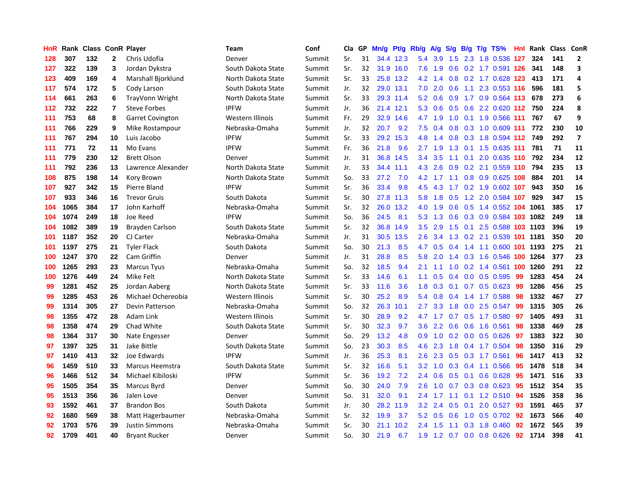| HnR | Rank | <b>Class ConR Player</b> |                |                         | Team               | Conf   | Cla | GP | Mn/g | <b>Pt/g</b> | Rb/g             | A/g           | S/g | B/g | $T/g$ TS%                  | Hnl | Rank | Class | ConR                    |
|-----|------|--------------------------|----------------|-------------------------|--------------------|--------|-----|----|------|-------------|------------------|---------------|-----|-----|----------------------------|-----|------|-------|-------------------------|
| 128 | 307  | 132                      | $\mathbf{2}$   | Chris Udofia            | Denver             | Summit | Sr. | 31 | 34.4 | 12.3        | 5.4              | 3.9           | 1.5 |     | 2.3 1.8 0.536 127          |     | 324  | 141   | $\overline{2}$          |
| 127 | 322  | 139                      | 3              | Jordan Dykstra          | South Dakota State | Summit | Sr. | 32 | 31.9 | 16.0        | 7.6              | 1.9           | 0.6 |     | 0.2 1.7 0.591 126          |     | 341  | 148   | 3                       |
| 123 | 409  | 169                      | 4              | Marshall Bjorklund      | North Dakota State | Summit | Sr. | 33 |      | 25.8 13.2   | 4.2              | 1.4           |     |     | 0.8 0.2 1.7 0.628 123      |     | 413  | 171   | 4                       |
| 117 | 574  | 172                      | 5              | Cody Larson             | South Dakota State | Summit | Jr. | 32 |      | 29.0 13.1   | 7.0              | 2.0           |     |     | 0.6 1.1 2.3 0.553 116      |     | 596  | 181   | 5                       |
| 114 | 661  | 263                      | 6              | TrayVonn Wright         | North Dakota State | Summit | Sr. | 33 | 29.3 | 11.4        | 5.2              | 0.6           | 0.9 |     | 1.7 0.9 0.564 113          |     | 678  | 273   | 6                       |
| 112 | 732  | 222                      | $\overline{7}$ | <b>Steve Forbes</b>     | <b>IPFW</b>        | Summit | Jr. | 36 | 21.4 | 12.1        | 5.3              | 0.6           | 0.5 |     | 0.6 2.2 0.620 112          |     | 750  | 224   | 8                       |
| 111 | 753  | 68                       | 8              | <b>Garret Covington</b> | Western Illinois   | Summit | Fr. | 29 | 32.9 | 14.6        | 4.7              | 1.9           | 1.0 |     | 0.1 1.9 0.566 111          |     | 767  | 67    | 9                       |
| 111 | 766  | 229                      | 9              | Mike Rostampour         | Nebraska-Omaha     | Summit | Jr. | 32 | 20.7 | 9.2         | 7.5              | 0.4           | 0.8 |     | 0.3 1.0 0.609 111          |     | 772  | 230   | 10                      |
| 111 | 767  | 294                      | 10             | Luis Jacobo             | <b>IPFW</b>        | Summit | Sr. | 33 | 29.2 | 15.3        | 4.8              | 1.4           | 0.8 |     | 0.3 1.8 0.594 112          |     | 749  | 292   | $\overline{\mathbf{z}}$ |
| 111 | 771  | 72                       | 11             | Mo Evans                | <b>IPFW</b>        | Summit | Fr. | 36 | 21.8 | 9.6         | 2.7              | 1.9           | 1.3 |     | $0.1$ 1.5 0.635 111        |     | 781  | 71    | 11                      |
| 111 | 779  | 230                      | 12             | <b>Brett Olson</b>      | Denver             | Summit | Jr. | 31 |      | 36.8 14.5   | $3.4^{\circ}$    | 3.5           |     |     | 1.1 0.1 2.0 0.635 110      |     | 792  | 234   | 12                      |
| 111 | 792  | 236                      | 13             | Lawrence Alexander      | North Dakota State | Summit | Jr. | 33 | 34.4 | 11.1        | 4.3              | 2.6           |     |     | 0.9 0.2 2.1 0.559 110      |     | 794  | 235   | 13                      |
| 108 | 875  | 198                      | 14             | Kory Brown              | North Dakota State | Summit | So. | 33 | 27.2 | 7.0         | 4.2              |               |     |     | 1.7 1.1 0.8 0.9 0.625 108  |     | 884  | 201   | 14                      |
| 107 | 927  | 342                      | 15             | Pierre Bland            | <b>IPFW</b>        | Summit | Sr. | 36 | 33.4 | 9.8         | 4.5              | 4.3           | 1.7 |     | 0.2 1.9 0.602 107          |     | 943  | 350   | 16                      |
| 107 | 933  | 346                      | 16             | <b>Trevor Gruis</b>     | South Dakota       | Summit | Sr. | 30 | 27.8 | 11.3        | 5.8              | 1.8           | 0.5 |     | 1.2 2.0 0.584 107          |     | 929  | 347   | 15                      |
| 104 | 1065 | 384                      | 17             | John Karhoff            | Nebraska-Omaha     | Summit | Sr. | 32 | 26.0 | 13.2        | 4.0              | 1.9           | 0.6 |     | 0.5 1.4 0.552 104 1061     |     |      | 385   | 17                      |
| 104 | 1074 | 249                      | 18             | Joe Reed                | <b>IPFW</b>        | Summit | So. | 36 | 24.5 | 8.1         | 5.3              | 1.3           | 0.6 | 0.3 | 0.9 0.584 103 1082         |     |      | 249   | 18                      |
| 104 | 1082 | 389                      | 19             | Brayden Carlson         | South Dakota State | Summit | Sr. | 32 | 36.8 | 14.9        | 3.5              | 2.9           | 1.5 | 0.1 | 2.5 0.588 103 1103         |     |      | 396   | 19                      |
| 101 | 1187 | 352                      | 20             | CJ Carter               | Nebraska-Omaha     | Summit | Jr. | 31 | 30.5 | 13.5        | 2.6              | 3.4           | 1.3 |     | 0.2 2.1 0.539 101 1181     |     |      | 350   | 20                      |
| 101 | 1197 | 275                      | 21             | <b>Tyler Flack</b>      | South Dakota       | Summit | So. | 30 | 21.3 | 8.5         | 4.7              | 0.5           |     |     | 0.4 1.4 1.1 0.600 101 1193 |     |      | 275   | 21                      |
| 100 | 1247 | 370                      | 22             | Cam Griffin             | Denver             | Summit | Jr. | 31 | 28.8 | 8.5         | 5.8              | 2.0           | 1.4 |     | 0.3 1.6 0.546 100 1264     |     |      | 377   | 23                      |
| 100 | 1265 | 293                      | 23             | <b>Marcus Tyus</b>      | Nebraska-Omaha     | Summit | So. | 32 | 18.5 | 9.4         | 2.1              | 1.1           | 1.0 |     | 0.2 1.4 0.561 100 1260     |     |      | 291   | 22                      |
| 100 | 1276 | 449                      | 24             | Mike Felt               | North Dakota State | Summit | Sr. | 33 | 14.6 | 6.1         | 1.1              | 0.5           | 0.4 |     | $0.0$ 0.5 0.595            | -99 | 1283 | 454   | 24                      |
| 99  | 1281 | 452                      | 25             | Jordan Aaberg           | North Dakota State | Summit | Sr. | 33 | 11.6 | 3.6         | 1.8              | 0.3           | 0.1 |     | $0.7$ 0.5 0.623            | 99  | 1286 | 456   | 25                      |
| 99  | 1285 | 453                      | 26             | Michael Ochereobia      | Western Illinois   | Summit | Sr. | 30 | 25.2 | 8.9         | 5.4              | 0.8           |     |     | 0.4 1.4 1.7 0.588          | 98  | 1332 | 467   | 27                      |
| 99  | 1314 | 305                      | 27             | Devin Patterson         | Nebraska-Omaha     | Summit | So. | 32 | 26.3 | 10.1        | 2.7              | 3.3           | 1.8 |     | $0.0$ 2.5 $0.547$          | 99  | 1315 | 305   | 26                      |
| 98  | 1355 | 472                      | 28             | Adam Link               | Western Illinois   | Summit | Sr. | 30 | 28.9 | 9.2         | 4.7              | 1.7           |     |     | 0.7 0.5 1.7 0.580 97       |     | 1405 | 493   | 31                      |
| 98  | 1358 | 474                      | 29             | Chad White              | South Dakota State | Summit | Sr. | 30 | 32.3 | 9.7         | 3.6 <sup>°</sup> | $2.2^{\circ}$ |     |     | $0.6$ 0.6 1.6 0.561        | 98  | 1338 | 469   | 28                      |
| 98  | 1364 | 317                      | 30             | Nate Engesser           | Denver             | Summit | So. | 29 | 13.2 | 4.8         | 0.9 <sub>0</sub> |               |     |     | 1.0 0.2 0.0 0.5 0.626 97   |     | 1383 | 322   | 30                      |
| 97  | 1397 | 325                      | 31             | Jake Bittle             | South Dakota State | Summit | So. | 23 | 30.3 | 8.5         | 4.6              | 2.3           | 1.8 |     | $0.4$ 1.7 0.504            | -98 | 1350 | 316   | 29                      |
| 97  | 1410 | 413                      | 32             | Joe Edwards             | <b>IPFW</b>        | Summit | Jr. | 36 | 25.3 | 8.1         | 2.6              | 2.3           | 0.5 |     | $0.3$ 1.7 $0.561$          | 96  | 1417 | 413   | 32                      |
| 96  | 1459 | 510                      | 33             | Marcus Heemstra         | South Dakota State | Summit | Sr. | 32 | 16.6 | 5.1         | 3.2              | 1.0           | 0.3 |     | 0.4 1.1 0.566              | 95  | 1478 | 518   | 34                      |
| 96  | 1466 | 512                      | 34             | Michael Kibiloski       | <b>IPFW</b>        | Summit | Sr. | 36 | 19.2 | 7.2         | 2.4              | 0.6           | 0.5 | 0.1 | $0.6$ 0.628                | 95  | 1471 | 516   | 33                      |
| 95  | 1505 | 354                      | 35             | Marcus Byrd             | Denver             | Summit | So. | 30 | 24.0 | 7.9         | 2.6              | 1.0           | 0.7 | 0.3 | $0.8$ 0.623                | 95  | 1512 | 354   | 35                      |
| 95  | 1513 | 356                      | 36             | Jalen Love              | Denver             | Summit | So. | 31 | 32.0 | 9.1         | 2.4              | 1.7           | 1.1 |     | 0.1 1.2 0.510 94           |     | 1526 | 358   | 36                      |
| 93  | 1592 | 461                      | 37             | <b>Brandon Bos</b>      | South Dakota       | Summit | Jr. | 30 | 28.2 | 11.9        | 3.2              | 2.4           | 0.5 |     | $0.1$ 2.0 0.527            | 93  | 1591 | 465   | 37                      |
| 92  | 1680 | 569                      | 38             | Matt Hagerbaumer        | Nebraska-Omaha     | Summit | Sr. | 32 | 19.9 | 3.7         | 5.2              | 0.5           | 0.6 |     | 1.0 0.5 0.702              | 92  | 1673 | 566   | 40                      |
| 92  | 1703 | 576                      | 39             | <b>Justin Simmons</b>   | Nebraska-Omaha     | Summit | Sr. | 30 | 21.1 | 10.2        | $2.4^{\circ}$    | 1.5           | 1.1 |     | $0.3$ 1.8 0.460            | 92  | 1672 | 565   | 39                      |
| 92  | 1709 | 401                      | 40             | <b>Bryant Rucker</b>    | Denver             | Summit | So. | 30 | 21.9 | 6.7         | 1.9              |               |     |     | 1.2 0.7 0.0 0.8 0.626      | 92  | 1714 | 398   | 41                      |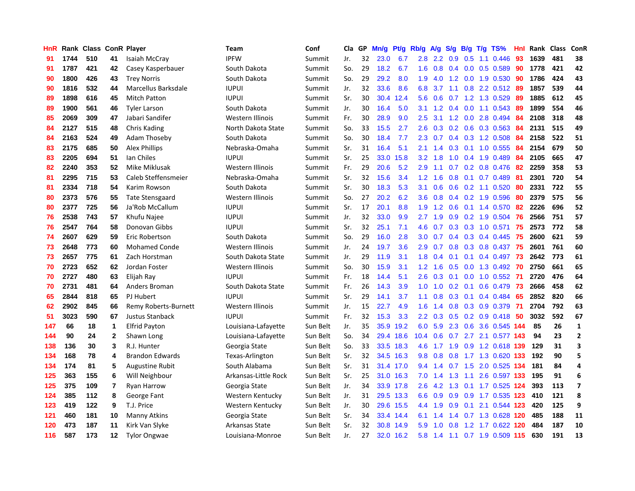| HnR |      | Rank Class ConR Player |                         |                        | Team                 | Conf     | Cla | GP | Mn/g | Pt/g      | Rb/g             | A/g | S/g           | B/g | $T/g$ TS%                    | Hnl | Rank Class |     | ConR                    |
|-----|------|------------------------|-------------------------|------------------------|----------------------|----------|-----|----|------|-----------|------------------|-----|---------------|-----|------------------------------|-----|------------|-----|-------------------------|
| 91  | 1744 | 510                    | 41                      | Isaiah McCray          | <b>IPFW</b>          | Summit   | Jr. | 32 | 23.0 | 6.7       | 2.8              | 2.2 | 0.9           | 0.5 | $1.1 \quad 0.446$            | 93  | 1639       | 481 | 38                      |
| 91  | 1787 | 421                    | 42                      | Casey Kasperbauer      | South Dakota         | Summit   | So. | 29 | 18.2 | 6.7       | 1.6              | 0.8 | 0.4           |     | $0.0$ $0.5$ $0.589$          | 90  | 1778       | 421 | 42                      |
| 90  | 1800 | 426                    | 43                      | <b>Trey Norris</b>     | South Dakota         | Summit   | So. | 29 | 29.2 | 8.0       | 1.9              | 4.0 |               |     | 1.2 0.0 1.9 0.530            | -90 | 1786       | 424 | 43                      |
| 90  | 1816 | 532                    | 44                      | Marcellus Barksdale    | <b>IUPUI</b>         | Summit   | Jr. | 32 | 33.6 | 8.6       | 6.8              | 3.7 |               |     | 1.1 0.8 2.2 0.512 89         |     | 1857       | 539 | 44                      |
| 89  | 1898 | 616                    | 45                      | Mitch Patton           | <b>IUPUI</b>         | Summit   | Sr. | 30 | 30.4 | 12.4      | 5.6              | 0.6 |               |     | 0.7 1.2 1.3 0.529            | -89 | 1885       | 612 | 45                      |
| 89  | 1900 | 561                    | 46                      | <b>Tyler Larson</b>    | South Dakota         | Summit   | Jr. | 30 | 16.4 | 5.0       | 3.1              | 1.2 | 0.4           |     | $0.0$ 1.1 0.543              | 89  | 1899       | 554 | 46                      |
| 85  | 2069 | 309                    | 47                      | Jabari Sandifer        | Western Illinois     | Summit   | Fr. | 30 | 28.9 | 9.0       | 2.5              | 3.1 |               |     | 1.2 0.0 2.8 0.494            | 84  | 2108       | 318 | 48                      |
| 84  | 2127 | 515                    | 48                      | Chris Kading           | North Dakota State   | Summit   | So. | 33 | 15.5 | 2.7       | 2.6              | 0.3 | 0.2           |     | $0.6$ $0.3$ $0.563$          | -84 | 2131       | 515 | 49                      |
| 84  | 2163 | 524                    | 49                      | <b>Adam Thoseby</b>    | South Dakota         | Summit   | So. | 30 | 18.4 | 7.7       | 2.3              | 0.7 | 0.4           |     | 0.3 1.2 0.508                | 84  | 2158       | 522 | 51                      |
| 83  | 2175 | 685                    | 50                      | Alex Phillips          | Nebraska-Omaha       | Summit   | Sr. | 31 | 16.4 | 5.1       | 2.1              | 1.4 | 0.3           |     | 0.1 1.0 0.555 84             |     | 2154       | 679 | 50                      |
| 83  | 2205 | 694                    | 51                      | Ian Chiles             | <b>IUPUI</b>         | Summit   | Sr. | 25 | 33.0 | 15.8      | 3.2              | 1.8 |               |     | 1.0 0.4 1.9 0.489            | -84 | 2105       | 665 | 47                      |
| 82  | 2240 | 353                    | 52                      | Mike Miklusak          | Western Illinois     | Summit   | Fr. | 29 | 20.6 | 5.2       | 2.9              | 1.1 |               |     | 0.7 0.2 0.8 0.476 82         |     | 2259       | 358 | 53                      |
| 81  | 2295 | 715                    | 53                      | Caleb Steffensmeier    | Nebraska-Omaha       | Summit   | Sr. | 32 | 15.6 | 3.4       | 1.2              | 1.6 | 0.8           |     | $0.1$ 0.7 0.489              | -81 | 2301       | 720 | 54                      |
| 81  | 2334 | 718                    | 54                      | Karim Rowson           | South Dakota         | Summit   | Sr. | 30 | 18.3 | 5.3       | 3.1              | 0.6 | 0.6           |     | $0.2$ 1.1 $0.520$            | -80 | 2331       | 722 | 55                      |
| 80  | 2373 | 576                    | 55                      | <b>Tate Stensgaard</b> | Western Illinois     | Summit   | So. | 27 | 20.2 | 6.2       | 3.6              | 0.8 | 0.4           |     | 0.2 1.9 0.596                | 80  | 2379       | 575 | 56                      |
| 80  | 2377 | 725                    | 56                      | Ja'Rob McCallum        | <b>IUPUI</b>         | Summit   | Sr. | 17 | 20.1 | 8.8       | 1.9              | 1.2 | 0.6           |     | $0.1$ 1.4 $0.570$            | 82  | 2226       | 696 | 52                      |
| 76  | 2538 | 743                    | 57                      | Khufu Najee            | <b>IUPUI</b>         | Summit   | Jr. | 32 | 33.0 | 9.9       | 2.7              | 1.9 | 0.9           |     | $0.2$ 1.9 0.504              | 76  | 2566       | 751 | 57                      |
| 76  | 2547 | 764                    | 58                      | Donovan Gibbs          | <b>IUPUI</b>         | Summit   | Sr. | 32 | 25.1 | 7.1       | 4.6              | 0.7 | 0.3           |     | 0.3 1.0 0.571                | 75  | 2573       | 772 | 58                      |
| 74  | 2607 | 629                    | 59                      | Eric Robertson         | South Dakota         | Summit   | So. | 29 | 16.0 | 2.8       | 3.0 <sub>2</sub> | 0.7 |               |     | 0.4 0.3 0.4 0.445 75         |     | 2600       | 621 | 59                      |
| 73  | 2648 | 773                    | 60                      | <b>Mohamed Conde</b>   | Western Illinois     | Summit   | Jr. | 24 | 19.7 | 3.6       | 2.9              | 0.7 |               |     | 0.8 0.3 0.8 0.437 75         |     | 2601       | 761 | 60                      |
| 73  | 2657 | 775                    | 61                      | Zach Horstman          | South Dakota State   | Summit   | Jr. | 29 | 11.9 | 3.1       | 1.8              | 0.4 | 0.1           |     | $0.1$ 0.4 0.497 73           |     | 2642       | 773 | 61                      |
| 70  | 2723 | 652                    | 62                      | Jordan Foster          | Western Illinois     | Summit   | So. | 30 | 15.9 | 3.1       | 1.2              | 1.6 | 0.5           |     | 0.0 1.3 0.492 70             |     | 2750       | 661 | 65                      |
| 70  | 2727 | 480                    | 63                      | Elijah Ray             | <b>IUPUI</b>         | Summit   | Fr. | 18 | 14.4 | 5.1       | 2.6              | 0.3 | 0.1           |     | $0.0$ 1.0 $0.552$            | -71 | 2720       | 476 | 64                      |
| 70  | 2731 | 481                    | 64                      | Anders Broman          | South Dakota State   | Summit   | Fr. | 26 | 14.3 | 3.9       | 1.0              | 1.0 | 0.2           |     | $0.1$ 0.6 0.479              | 73  | 2666       | 458 | 62                      |
| 65  | 2844 | 818                    | 65                      | PJ Hubert              | <b>IUPUI</b>         | Summit   | Sr. | 29 | 14.1 | 3.7       | 1.1              | 0.8 | 0.3           |     | $0.1$ 0.4 0.484              | 65  | 2852       | 820 | 66                      |
| 62  | 2902 | 845                    | 66                      | Remy Roberts-Burnett   | Western Illinois     | Summit   | Jr. | 15 | 22.7 | 4.9       | 1.6              | 1.4 | 0.8           |     | 0.3 0.9 0.379                | -71 | 2704       | 792 | 63                      |
| 51  | 3023 | 590                    | 67                      | Justus Stanback        | <b>IUPUI</b>         | Summit   | Fr. | 32 | 15.3 | 3.3       | 2.2              | 0.3 |               |     | $0.5$ $0.2$ $0.9$ $0.418$ 50 |     | 3032       | 592 | 67                      |
| 147 | 66   | 18                     | 1                       | <b>Elfrid Payton</b>   | Louisiana-Lafayette  | Sun Belt | Jr. | 35 | 35.9 | 19.2      | 6.0              | 5.9 |               |     | 2.3 0.6 3.6 0.545 144        |     | 85         | 26  | $\mathbf{1}$            |
| 144 | 90   | 24                     | $\mathbf{2}$            | Shawn Long             | Louisiana-Lafayette  | Sun Belt | So. | 34 | 29.4 | 18.6      | 10.4             | 0.6 |               |     | 0.7 2.7 2.1 0.577 143        |     | 94         | 23  | $\overline{2}$          |
| 138 | 136  | 30                     | 3                       | R.J. Hunter            | Georgia State        | Sun Belt | So. | 33 | 33.5 | 18.3      | 4.6              | 1.7 | 1.9           |     | 0.9 1.2 0.618 139            |     | 129        | 31  | 3                       |
| 134 | 168  | 78                     | 4                       | <b>Brandon Edwards</b> | Texas-Arlington      | Sun Belt | Sr. | 32 | 34.5 | 16.3      | 9.8              | 0.8 | 0.8           |     | 1.7 1.3 0.620 133            |     | 192        | 90  | 5                       |
| 134 | 174  | 81                     | 5                       | <b>Augustine Rubit</b> | South Alabama        | Sun Belt | Sr. | 31 | 31.4 | 17.0      | 9.4              | 1.4 | 0.7           |     | 1.5 2.0 0.525 134            |     | 181        | 84  | 4                       |
| 125 | 363  | 155                    | 6                       | Will Neighbour         | Arkansas-Little Rock | Sun Belt | Sr. | 25 | 31.0 | 16.3      | 7.0              | 1.4 | 1.3           | 1.1 | 2.6 0.597 133                |     | 195        | 91  | 6                       |
| 125 | 375  | 109                    | $\overline{\mathbf{r}}$ | Ryan Harrow            | Georgia State        | Sun Belt | Jr. | 34 | 33.9 | 17.8      | 2.6              | 4.2 | 1.3           |     | 0.1 1.7 0.525 124            |     | 393        | 113 | $\overline{\mathbf{z}}$ |
| 124 | 385  | 112                    | 8                       | George Fant            | Western Kentucky     | Sun Belt | Jr. | 31 | 29.5 | 13.3      | 6.6              | 0.9 | 0.9           |     | 0.9 1.7 0.535 123            |     | 410        | 121 | 8                       |
| 123 | 419  | 122                    | 9                       | T.J. Price             | Western Kentucky     | Sun Belt | Jr. | 30 |      | 29.6 15.5 | 4.4              | 1.9 | 0.9           |     | 0.1 2.1 0.544 123            |     | 420        | 125 | 9                       |
| 121 | 460  | 181                    | 10                      | Manny Atkins           | Georgia State        | Sun Belt | Sr. | 34 | 33.4 | 14.4      | 6.1              | 1.4 | $1.4^{\circ}$ |     | 0.7 1.3 0.628 120            |     | 485        | 188 | 11                      |
| 120 | 473  | 187                    | 11                      | Kirk Van Slyke         | Arkansas State       | Sun Belt | Sr. | 32 | 30.8 | 14.9      | 5.9              | 1.0 | 0.8           |     | 1.2 1.7 0.622 120            |     | 484        | 187 | 10                      |
| 116 | 587  | 173                    | 12                      | <b>Tylor Ongwae</b>    | Louisiana-Monroe     | Sun Belt | Jr. | 27 |      | 32.0 16.2 | 5.8              |     |               |     | 1.4 1.1 0.7 1.9 0.509 115    |     | 630        | 191 | 13                      |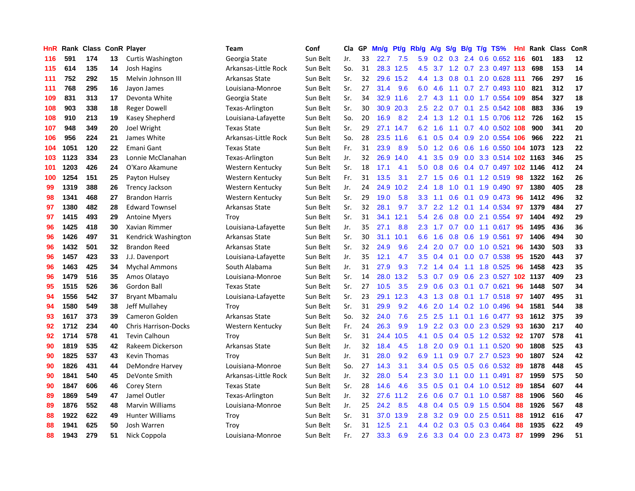| HnR | Rank | <b>Class ConR Player</b> |    |                             | <b>Team</b>          | Conf     | Cla | GP | Mn/g | Pt/g      | Rb/g          | A/g | S/g                 | B/g | $T/g$ TS%                  | <b>Hnl</b> | Rank | <b>Class</b> | ConR |
|-----|------|--------------------------|----|-----------------------------|----------------------|----------|-----|----|------|-----------|---------------|-----|---------------------|-----|----------------------------|------------|------|--------------|------|
| 116 | 591  | 174                      | 13 | Curtis Washington           | Georgia State        | Sun Belt | Jr. | 33 | 22.7 | 7.5       | 5.9           | 0.2 | 0.3                 | 2.4 | 0.6 0.652 116              |            | 601  | 183          | 12   |
| 115 | 614  | 135                      | 14 | Josh Hagins                 | Arkansas-Little Rock | Sun Belt | So. | 31 |      | 28.3 12.5 | 4.5           |     |                     |     | 3.7 1.2 0.7 2.3 0.497 113  |            | 698  | 153          | 14   |
| 111 | 752  | 292                      | 15 | Melvin Johnson III          | Arkansas State       | Sun Belt | Sr. | 32 |      | 29.6 15.2 | $4.4^{\circ}$ | 1.3 |                     |     | 0.8 0.1 2.0 0.628 111      |            | 766  | 297          | 16   |
| 111 | 768  | 295                      | 16 | Jayon James                 | Louisiana-Monroe     | Sun Belt | Sr. | 27 | 31.4 | 9.6       | 6.0           | 4.6 | 1.1                 |     | $0.7$ 2.7 0.493 110        |            | 821  | 312          | 17   |
| 109 | 831  | 313                      | 17 | Devonta White               | Georgia State        | Sun Belt | Sr. | 34 | 32.9 | 11.6      | 2.7           | 4.3 | 1.1                 |     | $0.0$ 1.7 $0.554$ 109      |            | 854  | 327          | 18   |
| 108 | 903  | 338                      | 18 | <b>Reger Dowell</b>         | Texas-Arlington      | Sun Belt | Sr. | 30 | 30.9 | 20.3      | 2.5           | 2.2 | 0.7                 |     | $0.1$ 2.5 $0.542$ 108      |            | 883  | 336          | 19   |
| 108 | 910  | 213                      | 19 | Kasey Shepherd              | Louisiana-Lafayette  | Sun Belt | So. | 20 | 16.9 | 8.2       | 2.4           | 1.3 | 1.2                 |     | 0.1 1.5 0.706 112          |            | 726  | 162          | 15   |
| 107 | 948  | 349                      | 20 | Joel Wright                 | <b>Texas State</b>   | Sun Belt | Sr. | 29 | 27.1 | 14.7      | 6.2           | 1.6 | 1.1                 |     | 0.7 4.0 0.502 108          |            | 900  | 341          | 20   |
| 106 | 956  | 224                      | 21 | James White                 | Arkansas-Little Rock | Sun Belt | So. | 28 | 23.5 | 11.6      | 6.1           | 0.5 | 0.4                 |     | 0.9 2.0 0.554 106          |            | 966  | 222          | 21   |
| 104 | 1051 | 120                      | 22 | Emani Gant                  | <b>Texas State</b>   | Sun Belt | Fr. | 31 | 23.9 | 8.9       | 5.0           | 1.2 | 0.6                 |     | 0.6 1.6 0.550 104 1073     |            |      | 123          | 22   |
| 103 | 1123 | 334                      | 23 | Lonnie McClanahan           | Texas-Arlington      | Sun Belt | Jr. | 32 | 26.9 | 14.0      | 4.1           | 3.5 |                     |     | 0.9 0.0 3.3 0.514 102 1163 |            |      | 346          | 25   |
| 101 | 1203 | 426                      | 24 | O'Karo Akamune              | Western Kentucky     | Sun Belt | Sr. | 18 | 17.1 | 4.1       | 5.0           | 0.8 |                     |     | 0.6 0.4 0.7 0.497 102 1146 |            |      | 412          | 24   |
| 100 | 1254 | 151                      | 25 | Payton Hulsey               | Western Kentucky     | Sun Belt | Fr. | 31 | 13.5 | 3.1       | 2.7           | 1.5 | 0.6                 |     | $0.1$ 1.2 0.519            | -98        | 1322 | 162          | 26   |
| 99  | 1319 | 388                      | 26 | <b>Trency Jackson</b>       | Western Kentucky     | Sun Belt | Jr. | 24 | 24.9 | 10.2      | 2.4           | 1.8 | 1.0                 |     | $0.1$ 1.9 0.490            | 97         | 1380 | 405          | 28   |
| 98  | 1341 | 468                      | 27 | <b>Brandon Harris</b>       | Western Kentucky     | Sun Belt | Sr. | 29 | 19.0 | 5.8       | 3.3           | 1.1 | 0.6                 |     | $0.1$ 0.9 0.473            | 96         | 1412 | 496          | 32   |
| 97  | 1380 | 482                      | 28 | <b>Edward Townsel</b>       | Arkansas State       | Sun Belt | Sr. | 32 | 28.1 | 9.7       | 3.7           | 2.2 | $\mathbf{.2}$<br>-1 |     | $0.1$ 1.4 0.534            | 97         | 1379 | 484          | 27   |
| 97  | 1415 | 493                      | 29 | <b>Antoine Myers</b>        | Troy                 | Sun Belt | Sr. | 31 | 34.1 | 12.1      | 5.4           | 2.6 | 0.8                 | 0.0 | 2.1 0.554                  | 97         | 1404 | 492          | 29   |
| 96  | 1425 | 418                      | 30 | Xavian Rimmer               | Louisiana-Lafayette  | Sun Belt | Jr. | 35 | 27.1 | 8.8       | 2.3           | 1.7 | 0.7                 |     | $0.0$ 1.1 $0.617$          | 95         | 1495 | 436          | 36   |
| 96  | 1426 | 497                      | 31 | Kendrick Washington         | Arkansas State       | Sun Belt | Sr. | 30 | 31.1 | 10.1      | 6.6           | 1.6 | 0.8                 |     | 0.6 1.9 0.561              | 97         | 1406 | 494          | 30   |
| 96  | 1432 | 501                      | 32 | <b>Brandon Reed</b>         | Arkansas State       | Sun Belt | Sr. | 32 | 24.9 | 9.6       | 2.4           | 2.0 |                     |     | 0.7 0.0 1.0 0.521          | 96         | 1430 | 503          | 33   |
| 96  | 1457 | 423                      | 33 | J.J. Davenport              | Louisiana-Lafayette  | Sun Belt | Jr. | 35 | 12.1 | 4.7       | 3.5           | 0.4 | 0.1                 |     | $0.0$ 0.7 0.538            | 95         | 1520 | 443          | 37   |
| 96  | 1463 | 425                      | 34 | <b>Mychal Ammons</b>        | South Alabama        | Sun Belt | Jr. | 31 | 27.9 | 9.3       | 7.2           | 1.4 | 0.4                 |     | 1.1 1.8 0.525              | 96         | 1458 | 423          | 35   |
| 96  | 1479 | 516                      | 35 | Amos Olatayo                | Louisiana-Monroe     | Sun Belt | Sr. | 14 | 28.0 | 13.2      | 5.3           | 0.7 | 0.9                 |     | 0.6 2.3 0.527 102 1137     |            |      | 409          | 23   |
| 95  | 1515 | 526                      | 36 | Gordon Ball                 | <b>Texas State</b>   | Sun Belt | Sr. | 27 | 10.5 | 3.5       | 2.9           | 0.6 | 0.3                 |     | $0.1$ 0.7 0.621            | 96         | 1448 | 507          | 34   |
| 94  | 1556 | 542                      | 37 | <b>Bryant Mbamalu</b>       | Louisiana-Lafayette  | Sun Belt | Sr. | 23 | 29.1 | 12.3      | 4.3           | 1.3 | 0.8                 |     | $0.1$ 1.7 $0.518$          | -97        | 1407 | 495          | 31   |
| 94  | 1580 | 549                      | 38 | Jeff Mullahey               | Troy                 | Sun Belt | Sr. | 31 | 29.9 | 9.2       | 4.6           | 2.0 | 1.4                 |     | $0.2$ 1.0 0.496            | 94         | 1581 | 544          | 38   |
| 93  | 1617 | 373                      | 39 | Cameron Golden              | Arkansas State       | Sun Belt | So. | 32 | 24.0 | 7.6       | $2.5^{\circ}$ | 2.5 |                     |     | 1.1 0.1 1.6 0.477 93       |            | 1612 | 375          | 39   |
| 92  | 1712 | 234                      | 40 | <b>Chris Harrison-Docks</b> | Western Kentucky     | Sun Belt | Fr. | 24 | 26.3 | 9.9       | 1.9           | 2.2 |                     |     | $0.3$ $0.0$ 2.3 $0.529$    | -93        | 1630 | 217          | 40   |
| 92  | 1714 | 578                      | 41 | <b>Tevin Calhoun</b>        | Troy                 | Sun Belt | Sr. | 31 | 24.4 | 10.5      | 4.1           | 0.5 | 0.4                 |     | 0.5 1.2 0.532 92           |            | 1707 | 578          | 41   |
| 90  | 1819 | 535                      | 42 | Rakeem Dickerson            | Arkansas State       | Sun Belt | Jr. | 32 | 18.4 | 4.5       | 1.8           | 2.0 | 0.9                 |     | $0.1$ 1.1 $0.520$          | 90         | 1808 | 525          | 43   |
| 90  | 1825 | 537                      | 43 | Kevin Thomas                | Troy                 | Sun Belt | Jr. | 31 | 28.0 | 9.2       | 6.9           | 1.1 | 0.9                 |     | $0.7$ 2.7 $0.523$          | 90         | 1807 | 524          | 42   |
| 90  | 1826 | 431                      | 44 | DeMondre Harvey             | Louisiana-Monroe     | Sun Belt | So. | 27 | 14.3 | 3.1       | 3.4           | 0.5 | 0.5                 | 0.5 | $0.6$ 0.532                | -89        | 1878 | 448          | 45   |
| 90  | 1841 | 540                      | 45 | DeVonte Smith               | Arkansas-Little Rock | Sun Belt | Jr. | 32 | 28.0 | 5.4       | 2.3           | 3.0 | 1.1                 |     | $0.0$ 1.1 $0.491$          | 87         | 1959 | 575          | 50   |
| 90  | 1847 | 606                      | 46 | Corey Stern                 | <b>Texas State</b>   | Sun Belt | Sr. | 28 | 14.6 | 4.6       | 3.5           | 0.5 | 0.1                 |     | $0.4$ 1.0 $0.512$          | -89        | 1854 | 607          | 44   |
| 89  | 1869 | 549                      | 47 | Jamel Outler                | Texas-Arlington      | Sun Belt | Jr. | 32 | 27.6 | 11.2      | 2.6           | 0.6 | 0.7                 |     | $0.1$ 1.0 $0.587$          | -88        | 1906 | 560          | 46   |
| 89  | 1876 | 552                      | 48 | <b>Marvin Williams</b>      | Louisiana-Monroe     | Sun Belt | Jr. | 25 | 24.2 | 8.5       | 4.8           | 0.4 | 0.5                 |     | $0.9$ 1.5 0.504            | 88         | 1926 | 567          | 48   |
| 88  | 1922 | 622                      | 49 | <b>Hunter Williams</b>      | Trov                 | Sun Belt | Sr. | 31 | 37.0 | 13.9      | 2.8           | 3.2 | 0.9                 |     | $0.0$ 2.5 $0.511$          | 88         | 1912 | 616          | 47   |
| 88  | 1941 | 625                      | 50 | Josh Warren                 | Trov                 | Sun Belt | Sr. | 31 | 12.5 | 2.1       | 4.4           | 0.2 | 0.3                 | 0.5 | 0.3 0.464                  | 88         | 1935 | 622          | 49   |
| 88  | 1943 | 279                      | 51 | Nick Coppola                | Louisiana-Monroe     | Sun Belt | Fr. | 27 | 33.3 | 6.9       | 2.6           |     | $3.3 \quad 0.4$     |     | 0.0 2.3 0.473              | 87         | 1999 | 296          | 51   |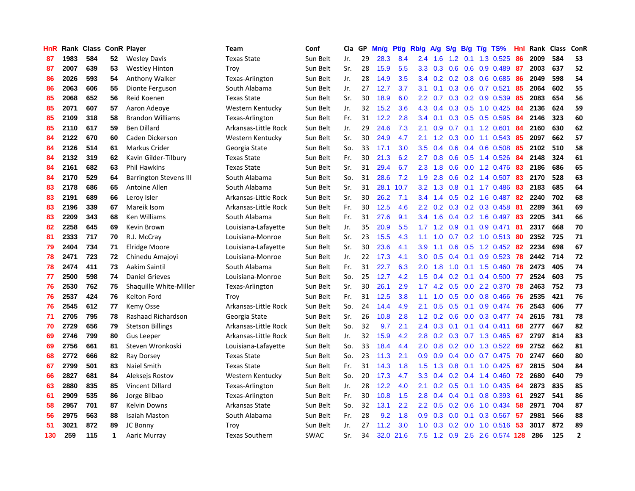| HnR |      | Rank Class ConR Player |    |                               | Team                  | Conf        | Cla | GP | Mn/g | Pt/g | Rb/g             | A/g | S/g           | B/g | T/g TS%                   | Hnl | Rank | <b>Class</b> | ConR           |
|-----|------|------------------------|----|-------------------------------|-----------------------|-------------|-----|----|------|------|------------------|-----|---------------|-----|---------------------------|-----|------|--------------|----------------|
| 87  | 1983 | 584                    | 52 | <b>Wesley Davis</b>           | <b>Texas State</b>    | Sun Belt    | Jr. | 29 | 28.3 | 8.4  | 2.4              | 1.6 | 1.2           | 0.1 | 1.3 0.525                 | 86  | 2009 | 584          | 53             |
| 87  | 2007 | 639                    | 53 | <b>Westley Hinton</b>         | Troy                  | Sun Belt    | Sr. | 28 | 15.9 | 5.5  | 3.3 <sub>2</sub> | 0.3 | 0.6           |     | $0.6$ 0.9 0.489           | -87 | 2003 | 637          | 52             |
| 86  | 2026 | 593                    | 54 | Anthony Walker                | Texas-Arlington       | Sun Belt    | Jr. | 28 | 14.9 | 3.5  | $3.4^{\circ}$    | 0.2 |               |     | $0.2$ $0.8$ $0.6$ $0.685$ | -86 | 2049 | 598          | 54             |
| 86  | 2063 | 606                    | 55 | Dionte Ferguson               | South Alabama         | Sun Belt    | Jr. | 27 | 12.7 | 3.7  | 3.1              | 0.1 |               |     | $0.3$ 0.6 0.7 0.521       | 85  | 2064 | 602          | 55             |
| 85  | 2068 | 652                    | 56 | Reid Koenen                   | <b>Texas State</b>    | Sun Belt    | Sr. | 30 | 18.9 | 6.0  | 2.2              | 0.7 | 0.3           |     | 0.2 0.9 0.539             | 85  | 2083 | 654          | 56             |
| 85  | 2071 | 607                    | 57 | Aaron Adeove                  | Western Kentucky      | Sun Belt    | Jr. | 32 | 15.2 | 3.6  | 4.3              | 0.4 | 0.3           |     | 0.5 1.0 0.425             | 84  | 2136 | 624          | 59             |
| 85  | 2109 | 318                    | 58 | <b>Brandon Williams</b>       | Texas-Arlington       | Sun Belt    | Fr. | 31 | 12.2 | 2.8  | 3.4              | 0.1 |               |     | 0.3 0.5 0.5 0.595         | 84  | 2146 | 323          | 60             |
| 85  | 2110 | 617                    | 59 | <b>Ben Dillard</b>            | Arkansas-Little Rock  | Sun Belt    | Jr. | 29 | 24.6 | 7.3  | 2.1              | 0.9 | 0.7           |     | $0.1$ 1.2 0.601           | 84  | 2160 | 630          | 62             |
| 84  | 2122 | 670                    | 60 | Caden Dickerson               | Western Kentucky      | Sun Belt    | Sr. | 30 | 24.9 | 4.7  | 2.1              | 1.2 | 0.3           |     | $0.0$ 1.1 0.543           | 85  | 2097 | 662          | 57             |
| 84  | 2126 | 514                    | 61 | Markus Crider                 | Georgia State         | Sun Belt    | So. | 33 | 17.1 | 3.0  | 3.5              | 0.4 | 0.6           |     | $0.4$ 0.6 0.508           | 85  | 2102 | 510          | 58             |
| 84  | 2132 | 319                    | 62 | Kavin Gilder-Tilbury          | <b>Texas State</b>    | Sun Belt    | Fr. | 30 | 21.3 | 6.2  | 2.7              | 0.8 |               |     | $0.6$ $0.5$ 1.4 $0.526$   | -84 | 2148 | 324          | 61             |
| 84  | 2161 | 682                    | 63 | <b>Phil Hawkins</b>           | <b>Texas State</b>    | Sun Belt    | Sr. | 31 | 29.4 | 6.7  | 2.3              | 1.8 |               |     | 0.6 0.0 1.2 0.476         | -83 | 2186 | 686          | 65             |
| 84  | 2170 | 529                    | 64 | <b>Barrington Stevens III</b> | South Alabama         | Sun Belt    | So. | 31 | 28.6 | 7.2  | 1.9              | 2.8 | 0.6           |     | 0.2 1.4 0.507 83          |     | 2170 | 528          | 63             |
| 83  | 2178 | 686                    | 65 | Antoine Allen                 | South Alabama         | Sun Belt    | Sr. | 31 | 28.1 | 10.7 | 3.2              | 1.3 | 0.8           |     | $0.1$ 1.7 0.486           | 83  | 2183 | 685          | 64             |
| 83  | 2191 | 689                    | 66 | Leroy Isler                   | Arkansas-Little Rock  | Sun Belt    | Sr. | 30 | 26.2 | 7.1  | 3.4              | 1.4 | 0.5           |     | $0.2$ 1.6 0.487           | 82  | 2240 | 702          | 68             |
| 83  | 2196 | 339                    | 67 | Mareik Isom                   | Arkansas-Little Rock  | Sun Belt    | Fr. | 30 | 12.5 | 4.6  | $2.2\phantom{0}$ | 0.2 | 0.3           |     | 0.2 0.3 0.458             | -81 | 2289 | 361          | 69             |
| 83  | 2209 | 343                    | 68 | <b>Ken Williams</b>           | South Alabama         | Sun Belt    | Fr. | 31 | 27.6 | 9.1  | $3.4^{\circ}$    | 1.6 | 0.4           |     | 0.2 1.6 0.497             | 83  | 2205 | 341          | 66             |
| 82  | 2258 | 645                    | 69 | Kevin Brown                   | Louisiana-Lafayette   | Sun Belt    | Jr. | 35 | 20.9 | 5.5  | 1.7              | 1.2 | 0.9           | 0.1 | 0.9 0.471                 | 81  | 2317 | 668          | 70             |
| 81  | 2333 | 717                    | 70 | R.J. McCray                   | Louisiana-Monroe      | Sun Belt    | Sr. | 23 | 15.5 | 4.3  | 1.1              | 1.0 |               |     | 0.7 0.2 1.0 0.513 80      |     | 2352 | 725          | 71             |
| 79  | 2404 | 734                    | 71 | Elridge Moore                 | Louisiana-Lafayette   | Sun Belt    | Sr. | 30 | 23.6 | 4.1  | 3.9              | 1.1 |               |     | 0.6 0.5 1.2 0.452 82      |     | 2234 | 698          | 67             |
| 78  | 2471 | 723                    | 72 | Chinedu Amajoyi               | Louisiana-Monroe      | Sun Belt    | Jr. | 22 | 17.3 | 4.1  | 3.0              | 0.5 | 0.4           |     | $0.1$ 0.9 0.523           | 78  | 2442 | 714          | 72             |
| 78  | 2474 | 411                    | 73 | Aakim Saintil                 | South Alabama         | Sun Belt    | Fr. | 31 | 22.7 | 6.3  | 2.0              | 1.8 | 1.0           |     | $0.1$ 1.5 0.460           | 78  | 2473 | 405          | 74             |
| 77  | 2500 | 598                    | 74 | <b>Daniel Grieves</b>         | Louisiana-Monroe      | Sun Belt    | So. | 25 | 12.7 | 4.2  | 1.5              | 0.4 | 0.2           |     | $0.1$ 0.4 0.500           | 77  | 2524 | 603          | 75             |
| 76  | 2530 | 762                    | 75 | Shaquille White-Miller        | Texas-Arlington       | Sun Belt    | Sr. | 30 | 26.1 | 2.9  | 1.7              | 4.2 | 0.5           |     | 0.0 2.2 0.370             | 78  | 2463 | 752          | 73             |
| 76  | 2537 | 424                    | 76 | Kelton Ford                   | Troy                  | Sun Belt    | Fr. | 31 | 12.5 | 3.8  | 1.1              | 1.0 | 0.5           |     | $0.0$ 0.8 0.466           | 76  | 2535 | 421          | 76             |
| 76  | 2545 | 612                    | 77 | <b>Kemy Osse</b>              | Arkansas-Little Rock  | Sun Belt    | So. | 24 | 14.4 | 4.9  | 2.1              | 0.5 | 0.5           |     | $0.1$ 0.9 0.474           | 76  | 2543 | 606          | 77             |
| 71  | 2705 | 795                    | 78 | Rashaad Richardson            | Georgia State         | Sun Belt    | Sr. | 26 | 10.8 | 2.8  | $1.2^{\circ}$    | 0.2 | 0.6           |     | $0.0$ $0.3$ $0.477$       | -74 | 2615 | 781          | 78             |
| 70  | 2729 | 656                    | 79 | <b>Stetson Billings</b>       | Arkansas-Little Rock  | Sun Belt    | So. | 32 | 9.7  | 2.1  | $2.4^{\circ}$    | 0.3 |               |     | $0.1$ 0.1 0.4 0.411       | 68  | 2777 | 667          | 82             |
| 69  | 2746 | 799                    | 80 | <b>Gus Leeper</b>             | Arkansas-Little Rock  | Sun Belt    | Jr. | 32 | 15.9 | 4.2  | 2.8              | 0.2 |               |     | 0.3 0.7 1.3 0.465 67      |     | 2797 | 814          | 83             |
| 69  | 2756 | 661                    | 81 | Steven Wronkoski              | Louisiana-Lafayette   | Sun Belt    | So. | 33 | 18.4 | 4.4  | 2.0              | 0.8 | 0.2           |     | $0.0$ 1.3 0.522           | 69  | 2752 | 662          | 81             |
| 68  | 2772 | 666                    | 82 | Ray Dorsey                    | <b>Texas State</b>    | Sun Belt    | So. | 23 | 11.3 | 2.1  | 0.9              | 0.9 | 0.4           |     | $0.0$ 0.7 0.475           | 70  | 2747 | 660          | 80             |
| 67  | 2799 | 501                    | 83 | Naiel Smith                   | <b>Texas State</b>    | Sun Belt    | Fr. | 31 | 14.3 | 1.8  | 1.5              | 1.3 | 0.8           |     | $0.1$ 1.0 0.425           | 67  | 2815 | 504          | 84             |
| 66  | 2827 | 681                    | 84 | Aleksejs Rostov               | Western Kentucky      | Sun Belt    | So. | 20 | 17.3 | 4.7  | 3.3              | 0.4 | 0.2           |     | $0.4$ 1.4 0.460           | 72  | 2680 | 640          | 79             |
| 63  | 2880 | 835                    | 85 | Vincent Dillard               | Texas-Arlington       | Sun Belt    | Jr. | 28 | 12.2 | 4.0  | 2.1              | 0.2 | 0.5           |     | $0.1$ 1.0 0.435           | -64 | 2873 | 835          | 85             |
| 61  | 2909 | 535                    | 86 | Jorge Bilbao                  | Texas-Arlington       | Sun Belt    | Fr. | 30 | 10.8 | 1.5  | 2.8              | 0.4 | $0.4^{\circ}$ |     | $0.1$ 0.8 0.393           | -61 | 2927 | 541          | 86             |
| 58  | 2957 | 701                    | 87 | <b>Kelvin Downs</b>           | Arkansas State        | Sun Belt    | So. | 32 | 13.1 | 2.2  | 2.2              | 0.5 |               |     | $0.2$ 0.6 1.0 0.434       | 58  | 2971 | 704          | 87             |
| 56  | 2975 | 563                    | 88 | <b>Isaiah Maston</b>          | South Alabama         | Sun Belt    | Fr. | 28 | 9.2  | 1.8  | 0.9 <sub>0</sub> | 0.3 | 0.0           |     | $0.1$ 0.3 0.567           | -57 | 2981 | 566          | 88             |
| 51  | 3021 | 872                    | 89 | JC Bonny                      | Troy                  | Sun Belt    | Jr. | 27 | 11.2 | 3.0  | 1.0              | 0.3 | 0.2           |     | $0.0$ 1.0 $0.516$         | -53 | 3017 | 872          | 89             |
| 130 | 259  | 115                    | 1  | Aaric Murray                  | <b>Texas Southern</b> | <b>SWAC</b> | Sr. | 34 | 32.0 | 21.6 | 7.5              |     |               |     | 1.2 0.9 2.5 2.6 0.574 128 |     | 286  | 125          | $\overline{2}$ |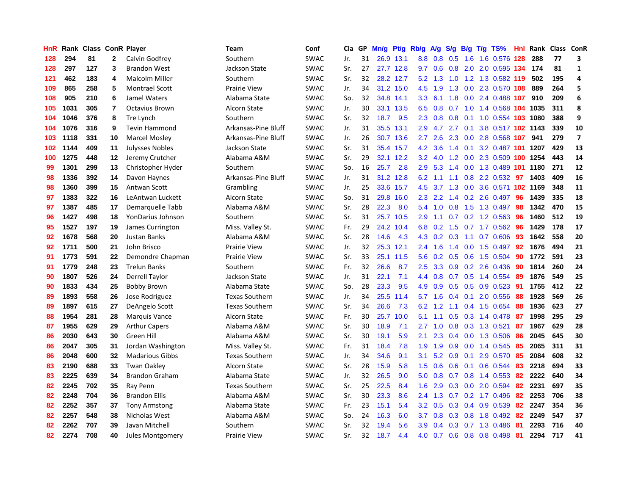| HnR |      | Rank Class ConR Player |                |                        | <b>Team</b>           | Conf        | Cla | GP | Mn/g | Pt/g      | Rb/g             | A/g | S/g    | B/g | $T/g$ TS%                      |     | <b>Hnl</b> Rank | Class ConR |                |
|-----|------|------------------------|----------------|------------------------|-----------------------|-------------|-----|----|------|-----------|------------------|-----|--------|-----|--------------------------------|-----|-----------------|------------|----------------|
| 128 | 294  | 81                     | $\mathbf{2}$   | Calvin Godfrey         | Southern              | <b>SWAC</b> | Jr. | 31 |      | 26.9 13.1 | 8.8              | 0.8 | 0.5    |     | 1.6 1.6 0.576 128              |     | 288             | 77         | 3              |
| 128 | 297  | 127                    | 3              | <b>Brandon West</b>    | Jackson State         | <b>SWAC</b> | Sr. | 27 |      | 27.7 12.8 | 9.7              | 0.6 | 0.8    |     | 2.0 2.0 0.595 134 174          |     |                 | 81         | 1              |
| 121 | 462  | 183                    | 4              | Malcolm Miller         | Southern              | <b>SWAC</b> | Sr. | 32 |      | 28.2 12.7 | 5.2              | 1.3 |        |     | 1.0 1.2 1.3 0.582 119          |     | 502             | 195        | 4              |
| 109 | 865  | 258                    | 5              | <b>Montrael Scott</b>  | <b>Prairie View</b>   | <b>SWAC</b> | Jr. | 34 | 31.2 | 15.0      | 4.5              | 1.9 | 1.3    |     | 0.0 2.3 0.570 108              |     | 889             | 264        | 5              |
| 108 | 905  | 210                    | 6              | Jamel Waters           | Alabama State         | <b>SWAC</b> | So. | 32 | 34.8 | 14.1      | 3.3 <sub>2</sub> | 6.1 | 1.8    |     | 0.0 2.4 0.488 107              |     | 910             | 209        | 6              |
| 105 | 1031 | 305                    | $\overline{7}$ | <b>Octavius Brown</b>  | Alcorn State          | <b>SWAC</b> | Jr. | 30 | 33.1 | 13.5      | 6.5              | 0.8 | 0.7    |     | 1.0 1.4 0.568 104 1035         |     |                 | 311        | 8              |
| 104 | 1046 | 376                    | 8              | Tre Lynch              | Southern              | <b>SWAC</b> | Sr. | 32 | 18.7 | 9.5       | 2.3              | 0.8 | 0.8    |     | 0.1 1.0 0.554 103 1080         |     |                 | 388        | 9              |
| 104 | 1076 | 316                    | 9              | <b>Tevin Hammond</b>   | Arkansas-Pine Bluff   | <b>SWAC</b> | Jr. | 31 | 35.5 | 13.1      | 2.9              | 4.7 | 2.7    | 0.1 | 3.8 0.517 102 1143             |     |                 | 339        | 10             |
| 103 | 1118 | 331                    | 10             | Marcel Mosley          | Arkansas-Pine Bluff   | <b>SWAC</b> | Jr. | 26 | 30.7 | 13.6      | 2.7              | 2.6 | 2.3    |     | 0.0 2.8 0.568 107              |     | 941             | 279        | $\overline{7}$ |
| 102 | 1144 | 409                    | 11             | <b>Julysses Nobles</b> | Jackson State         | <b>SWAC</b> | Sr. | 31 | 35.4 | 15.7      | 4.2              | 3.6 |        |     | 1.4 0.1 3.2 0.487 101 1207     |     |                 | 429        | 13             |
| 100 | 1275 | 448                    | 12             | Jeremy Crutcher        | Alabama A&M           | <b>SWAC</b> | Sr. | 29 |      | 32.1 12.2 | 3.2              |     |        |     | 4.0 1.2 0.0 2.3 0.509 100 1254 |     |                 | 443        | 14             |
| 99  | 1301 | 299                    | 13             | Christopher Hyder      | Southern              | <b>SWAC</b> | So. | 16 | 25.7 | 2.8       | 2.9              |     |        |     | 5.3 1.4 0.0 1.3 0.489 101 1180 |     |                 | 271        | 12             |
| 98  | 1336 | 392                    | 14             | Davon Haynes           | Arkansas-Pine Bluff   | <b>SWAC</b> | Jr. | 31 |      | 31.2 12.8 | 6.2              | 1.1 | $-1.1$ |     | 0.8 2.2 0.532 97               |     | 1403            | 409        | 16             |
| 98  | 1360 | 399                    | 15             | Antwan Scott           | Grambling             | <b>SWAC</b> | Jr. | 25 | 33.6 | 15.7      | 4.5              | 3.7 | 1.3    |     | 0.0 3.6 0.571 102 1169         |     |                 | 348        | 11             |
| 97  | 1383 | 322                    | 16             | LeAntwan Luckett       | Alcorn State          | <b>SWAC</b> | So. | 31 | 29.8 | 16.0      | 2.3              | 2.2 | 1.4    |     | 0.2 2.6 0.497                  | 96  | 1439            | 335        | 18             |
| 97  | 1387 | 485                    | 17             | Demarquelle Tabb       | Alabama A&M           | <b>SWAC</b> | Sr. | 28 | 22.3 | 8.0       | 5.4              | 1.0 | 0.8    |     | 1.5 1.3 0.497                  | 98  | 1342            | 470        | 15             |
| 96  | 1427 | 498                    | 18             | YonDarius Johnson      | Southern              | <b>SWAC</b> | Sr. | 31 | 25.7 | 10.5      | $2.9^{\circ}$    | 1.1 | 0.7    |     | 0.2 1.2 0.563                  | -96 | 1460            | 512        | 19             |
| 95  | 1527 | 197                    | 19             | James Currington       | Miss. Valley St.      | <b>SWAC</b> | Fr. | 29 | 24.2 | 10.4      | 6.8              | 0.2 | 1.5    |     | $0.7$ 1.7 $0.562$              | -96 | 1429            | 178        | 17             |
| 92  | 1678 | 568                    | 20             | <b>Justan Banks</b>    | Alabama A&M           | <b>SWAC</b> | Sr. | 28 | 14.6 | 4.3       |                  |     |        |     | 4.3 0.2 0.3 1.1 0.7 0.606 93   |     | 1642            | 558        | 20             |
| 92  | 1711 | 500                    | 21             | John Brisco            | <b>Prairie View</b>   | <b>SWAC</b> | Jr. | 32 |      | 25.3 12.1 | $2.4^{\circ}$    | 1.6 | 1.4    |     | $0.0$ 1.5 $0.497$              | 92  | 1676            | 494        | 21             |
| 91  | 1773 | 591                    | 22             | Demondre Chapman       | Prairie View          | <b>SWAC</b> | Sr. | 33 | 25.1 | 11.5      | 5.6              | 0.2 | 0.5    |     | 0.6 1.5 0.504                  | 90  | 1772            | 591        | 23             |
| 91  | 1779 | 248                    | 23             | <b>Trelun Banks</b>    | Southern              | <b>SWAC</b> | Fr. | 32 | 26.6 | 8.7       | $2.5^{\circ}$    | 3.3 | 0.9    |     | 0.2 2.6 0.436                  | 90  | 1814            | 260        | 24             |
| 90  | 1807 | 526                    | 24             | Derrell Taylor         | Jackson State         | <b>SWAC</b> | Jr. | 31 | 22.1 | 7.1       | 4.4              | 0.8 | 0.7    |     | 0.5 1.4 0.554                  | -89 | 1876            | 549        | 25             |
| 90  | 1833 | 434                    | 25             | <b>Bobby Brown</b>     | Alabama State         | <b>SWAC</b> | So. | 28 | 23.3 | 9.5       | 4.9              | 0.9 | 0.5    |     | $0.5$ 0.9 0.523                | 91  | 1755            | 412        | 22             |
| 89  | 1893 | 558                    | 26             | Jose Rodriguez         | <b>Texas Southern</b> | <b>SWAC</b> | Jr. | 34 | 25.5 | 11.4      | 5.7              | 1.6 | 0.4    | 0.1 | 2.0 0.556                      | 88  | 1928            | 569        | 26             |
| 89  | 1897 | 615                    | 27             | DeAngelo Scott         | <b>Texas Southern</b> | SWAC        | Sr. | 34 | 26.6 | 7.3       | 6.2              | 1.2 | 1.1    |     | 0.4 1.5 0.654                  | 88  | 1936            | 623        | 27             |
| 88  | 1954 | 281                    | 28             | <b>Marquis Vance</b>   | <b>Alcorn State</b>   | <b>SWAC</b> | Fr. | 30 | 25.7 | 10.0      | 5.1              |     |        |     | 1.1 0.5 0.3 1.4 0.478 87       |     | 1998            | 295        | 29             |
| 87  | 1955 | 629                    | 29             | <b>Arthur Capers</b>   | Alabama A&M           | <b>SWAC</b> | Sr. | 30 | 18.9 | 7.1       | 2.7              | 1.0 |        |     | 0.8 0.3 1.3 0.521              | -87 | 1967            | 629        | 28             |
| 86  | 2030 | 643                    | 30             | Green Hill             | Alabama A&M           | <b>SWAC</b> | Sr. | 30 | 19.1 | 5.9       | 2.1              | 2.3 | 0.4    |     | 0.0 1.3 0.506                  | -86 | 2045            | 645        | 30             |
| 86  | 2047 | 305                    | 31             | Jordan Washington      | Miss. Valley St.      | <b>SWAC</b> | Fr. | 31 | 18.4 | 7.8       | 1.9              | 1.9 | 0.9    |     | 0.0 1.4 0.545                  | -85 | 2065            | 311        | 31             |
| 86  | 2048 | 600                    | 32             | <b>Madarious Gibbs</b> | <b>Texas Southern</b> | <b>SWAC</b> | Jr. | 34 | 34.6 | 9.1       | 3.1              | 5.2 | 0.9    |     | $0.1$ 2.9 $0.570$              | -85 | 2084            | 608        | 32             |
| 83  | 2190 | 688                    | 33             | <b>Twan Oakley</b>     | <b>Alcorn State</b>   | <b>SWAC</b> | Sr. | 28 | 15.9 | 5.8       | 1.5              | 0.6 | 0.6    |     | $0.1$ 0.6 0.544                | -83 | 2218            | 694        | 33             |
| 83  | 2225 | 639                    | 34             | <b>Brandon Graham</b>  | Alabama State         | <b>SWAC</b> | Jr. | 32 | 26.5 | 9.0       | 5.0              | 0.8 | 0.7    |     | $0.8$ 1.4 0.553                | -82 | 2222            | 640        | 34             |
| 82  | 2245 | 702                    | 35             | Ray Penn               | <b>Texas Southern</b> | <b>SWAC</b> | Sr. | 25 | 22.5 | 8.4       | 1.6              | 2.9 | 0.3    |     | $0.0$ 2.0 $0.594$              | 82  | 2231            | 697        | 35             |
| 82  | 2248 | 704                    | 36             | <b>Brandon Ellis</b>   | Alabama A&M           | <b>SWAC</b> | Sr. | 30 | 23.3 | 8.6       | 2.4              | 1.3 | 0.7    |     | $0.2$ 1.7 0.496                | -82 | 2253            | 706        | 38             |
| 82  | 2252 | 357                    | 37             | Tony Armstong          | Alabama State         | <b>SWAC</b> | Fr. | 23 | 15.1 | 5.4       | 3.2              | 0.5 |        |     | $0.3$ 0.4 0.9 0.539            | -82 | 2247            | 354        | 36             |
| 82  | 2257 | 548                    | 38             | Nicholas West          | Alabama A&M           | SWAC        | So. | 24 | 16.3 | 6.0       | 3.7              | 0.8 | 0.3    |     | 0.8 1.8 0.492                  | -82 | 2249            | 547        | 37             |
| 82  | 2262 | 707                    | 39             | Javan Mitchell         | Southern              | SWAC        | Sr. | 32 | 19.4 | 5.6       | 3.9              | 0.4 | 0.3    |     | 0.7 1.3 0.486                  | 81  | 2293            | 716        | 40             |
| 82  | 2274 | 708                    | 40             | Jules Montgomery       | Prairie View          | <b>SWAC</b> | Sr. | 32 | 18.7 | 4.4       | 4.0              | 0.7 |        |     | 0.6 0.8 0.8 0.498              | -81 | 2294            | 717        | 41             |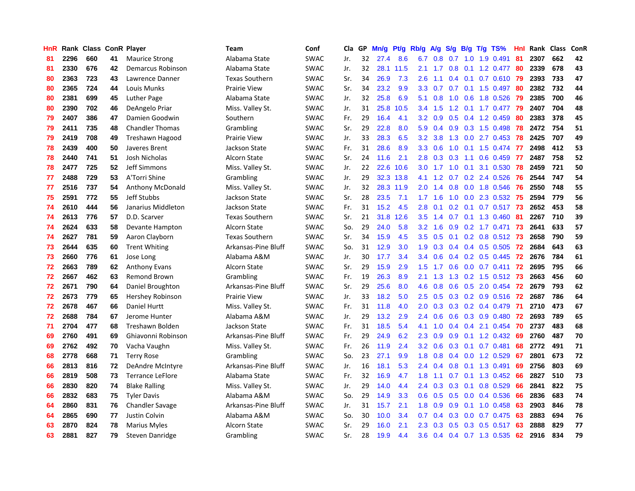| HnR |      | Rank Class ConR Player |    |                         | Team                  | Conf        | <b>Cla</b> | GP | Mn/g | Pt/g | Rb/g             | A/g             | S/g              |     | B/g T/g TS%              | Hnl  | Rank | <b>Class</b> | ConR |
|-----|------|------------------------|----|-------------------------|-----------------------|-------------|------------|----|------|------|------------------|-----------------|------------------|-----|--------------------------|------|------|--------------|------|
| 81  | 2296 | 660                    | 41 | <b>Maurice Strong</b>   | Alabama State         | <b>SWAC</b> | Jr.        | 32 | 27.4 | 8.6  | 6.7              | 0.8             | 0.7              | 1.0 | 1.9 0.491                | 81   | 2307 | 662          | 42   |
| 81  | 2330 | 676                    | 42 | Demarcus Robinson       | Alabama State         | <b>SWAC</b> | Jr.        | 32 | 28.1 | 11.5 | 2.1              | 1.7             |                  |     | 0.8 0.1 1.2 0.477 80     |      | 2339 | 678          | 43   |
| 80  | 2363 | 723                    | 43 | Lawrence Danner         | <b>Texas Southern</b> | <b>SWAC</b> | Sr.        | 34 | 26.9 | 7.3  | 2.6              | 1.1             |                  |     | 0.4 0.1 0.7 0.610 79     |      | 2393 | 733          | 47   |
| 80  | 2365 | 724                    | 44 | Louis Munks             | <b>Prairie View</b>   | <b>SWAC</b> | Sr.        | 34 | 23.2 | 9.9  | 3.3 <sub>2</sub> | 0.7             |                  |     | $0.7$ 0.1 1.5 0.497      | -80  | 2382 | 732          | 44   |
| 80  | 2381 | 699                    | 45 | Luther Page             | Alabama State         | <b>SWAC</b> | Jr.        | 32 | 25.8 | 6.9  | 5.1              | 0.8             | 1.0              |     | 0.6 1.8 0.526            | -79  | 2385 | 700          | 46   |
| 80  | 2390 | 702                    | 46 | DeAngelo Priar          | Miss. Valley St.      | <b>SWAC</b> | Jr.        | 31 | 25.8 | 10.5 | 3.4              | 1.5             |                  |     | 1.2 0.1 1.7 0.477        | 79   | 2407 | 704          | 48   |
| 79  | 2407 | 386                    | 47 | Damien Goodwin          | Southern              | <b>SWAC</b> | Fr.        | 29 | 16.4 | 4.1  | 3.2              | 0.9             | 0.5              |     | 0.4 1.2 0.459            | 80   | 2383 | 378          | 45   |
| 79  | 2411 | 735                    | 48 | <b>Chandler Thomas</b>  | Grambling             | <b>SWAC</b> | Sr.        | 29 | 22.8 | 8.0  | 5.9              | 0.4             | 0.9 <sub>0</sub> |     | 0.3 1.5 0.498            | 78   | 2472 | 754          | 51   |
| 79  | 2419 | 708                    | 49 | Treshawn Hagood         | <b>Prairie View</b>   | <b>SWAC</b> | Jr.        | 33 | 28.3 | 6.5  | 3.2              | 3.8             | 1.3              |     | $0.0$ 2.7 $0.453$        | 78   | 2425 | 707          | 49   |
| 78  | 2439 | 400                    | 50 | Javeres Brent           | Jackson State         | <b>SWAC</b> | Fr.        | 31 | 28.6 | 8.9  | 3.3 <sub>2</sub> | 0.6             |                  |     | 1.0 0.1 1.5 0.474 77     |      | 2498 | 412          | 53   |
| 78  | 2440 | 741                    | 51 | Josh Nicholas           | Alcorn State          | <b>SWAC</b> | Sr.        | 24 | 11.6 | 2.1  | 2.8              | 0.3             |                  |     | 0.3 1.1 0.6 0.459 77     |      | 2487 | 758          | 52   |
| 78  | 2477 | 725                    | 52 | Jeff Simmons            | Miss. Valley St.      | <b>SWAC</b> | Jr.        | 22 | 22.6 | 10.6 | 3.0 <sub>1</sub> | $1.7 \quad 1.0$ |                  |     | 0.1 3.1 0.530 78         |      | 2459 | 721          | 50   |
| 77  | 2488 | 729                    | 53 | A'Torri Shine           | Grambling             | <b>SWAC</b> | Jr.        | 29 | 32.3 | 13.8 | 4.1              | 1.2             |                  |     | $0.7$ $0.2$ 2.4 $0.526$  | 76   | 2544 | 747          | 54   |
| 77  | 2516 | 737                    | 54 | <b>Anthony McDonald</b> | Miss. Valley St.      | <b>SWAC</b> | Jr.        | 32 | 28.3 | 11.9 | 2.0 <sub>1</sub> | 1.4             | 0.8              |     | 0.0 1.8 0.546            | -76  | 2550 | 748          | 55   |
| 75  | 2591 | 772                    | 55 | Jeff Stubbs             | Jackson State         | <b>SWAC</b> | Sr.        | 28 | 23.5 | 7.1  | 1.7 <sup>2</sup> | 1.6             | 1.0              |     | 0.0 2.3 0.532            | -75  | 2594 | 779          | 56   |
| 74  | 2610 | 444                    | 56 | Janarius Middleton      | Jackson State         | <b>SWAC</b> | Fr.        | 31 | 15.2 | 4.5  | 2.8              | 0.1             | 0.2 <sub>0</sub> |     | $0.1$ 0.7 0.517          | -73  | 2652 | 453          | 58   |
| 74  | 2613 | 776                    | 57 | D.D. Scarver            | <b>Texas Southern</b> | <b>SWAC</b> | Sr.        | 21 | 31.8 | 12.6 | 3.5              | 1.4             | 0.7              |     | 0.1 1.3 0.460            | 81   | 2267 | 710          | 39   |
| 74  | 2624 | 633                    | 58 | Devante Hampton         | Alcorn State          | <b>SWAC</b> | So.        | 29 | 24.0 | 5.8  | 3.2              | 1.6             | 0.9              |     | $0.2$ 1.7 0.471          | 73   | 2641 | 633          | 57   |
| 74  | 2627 | 781                    | 59 | Aaron Clayborn          | <b>Texas Southern</b> | <b>SWAC</b> | Sr.        | 34 | 15.9 | 4.5  | 3.5              | 0.5             |                  |     | 0.1 0.2 0.8 0.512 73     |      | 2658 | 790          | 59   |
| 73  | 2644 | 635                    | 60 | <b>Trent Whiting</b>    | Arkansas-Pine Bluff   | <b>SWAC</b> | So.        | 31 | 12.9 | 3.0  | 1.9              | 0.3             |                  |     | 0.4 0.4 0.5 0.505 72     |      | 2684 | 643          | 63   |
| 73  | 2660 | 776                    | 61 | Jose Long               | Alabama A&M           | <b>SWAC</b> | Jr.        | 30 | 17.7 | 3.4  | 3.4              | 0.6             |                  |     | 0.4 0.2 0.5 0.445        | -72  | 2676 | 784          | 61   |
| 72  | 2663 | 789                    | 62 | <b>Anthony Evans</b>    | Alcorn State          | <b>SWAC</b> | Sr.        | 29 | 15.9 | 2.9  | 1.5              | 1.7             | 0.6              |     | $0.0$ 0.7 0.411          | 72   | 2695 | 795          | 66   |
| 72  | 2667 | 462                    | 63 | <b>Remond Brown</b>     | Grambling             | <b>SWAC</b> | Fr.        | 19 | 26.3 | 8.9  | 2.1              | 1.3             | 1.3              |     | $0.2$ 1.5 0.512          | -73  | 2663 | 456          | 60   |
| 72  | 2671 | 790                    | 64 | Daniel Broughton        | Arkansas-Pine Bluff   | <b>SWAC</b> | Sr.        | 29 | 25.6 | 8.0  | 4.6              | 0.8             | 0.6              |     | 0.5 2.0 0.454            | 72   | 2679 | 793          | 62   |
| 72  | 2673 | 779                    | 65 | Hershey Robinson        | <b>Prairie View</b>   | <b>SWAC</b> | Jr.        | 33 | 18.2 | 5.0  | 2.5              | 0.5             | 0.3              |     | 0.2 0.9 0.516            | -72  | 2687 | 786          | 64   |
| 72  | 2678 | 467                    | 66 | Daniel Hurtt            | Miss. Valley St.      | <b>SWAC</b> | Fr.        | 31 | 11.8 | 4.0  | 2.0 <sub>1</sub> | 0.3             |                  |     | 0.3 0.2 0.4 0.479 71     |      | 2710 | 473          | 67   |
| 72  | 2688 | 784                    | 67 | Jerome Hunter           | Alabama A&M           | <b>SWAC</b> | Jr.        | 29 | 13.2 | 2.9  | $2.4^{\circ}$    | 0.6             |                  |     | 0.6 0.3 0.9 0.480 72     |      | 2693 | 789          | 65   |
| 71  | 2704 | 477                    | 68 | Treshawn Bolden         | Jackson State         | <b>SWAC</b> | Fr.        | 31 | 18.5 | 5.4  | 4.1              | 1.0             |                  |     | $0.4$ 0.4 2.1 0.454      | -70  | 2737 | 483          | 68   |
| 69  | 2760 | 491                    | 69 | Ghiavonni Robinson      | Arkansas-Pine Bluff   | <b>SWAC</b> | Fr.        | 29 | 24.9 | 6.2  | 2.3              | 0.9             | 0.9 <sub>0</sub> |     | 0.1 1.2 0.432 69         |      | 2760 | 487          | 70   |
| 69  | 2762 | 492                    | 70 | Vacha Vaughn            | Miss. Valley St.      | <b>SWAC</b> | Fr.        | 26 | 11.9 | 2.4  | 3.2              | 0.6             | 0.3              |     | $0.1$ 0.7 0.481          | 68   | 2772 | 491          | 71   |
| 68  | 2778 | 668                    | 71 | <b>Terry Rose</b>       | Grambling             | <b>SWAC</b> | So.        | 23 | 27.1 | 9.9  | 1.8              | 0.8             |                  |     | 0.4 0.0 1.2 0.529        | -67  | 2801 | 673          | 72   |
| 66  | 2813 | 816                    | 72 | DeAndre McIntyre        | Arkansas-Pine Bluff   | <b>SWAC</b> | Jr.        | 16 | 18.1 | 5.3  | $2.4^{\circ}$    | 0.4             | 0.8              |     | 0.1 1.3 0.491            | 69   | 2756 | 803          | 69   |
| 66  | 2819 | 508                    | 73 | <b>Terrance LeFlore</b> | Alabama State         | <b>SWAC</b> | Fr.        | 32 | 16.9 | 4.7  | 1.8              | 1.1             | 0.7              |     | 0.1 1.3 0.452            | -66  | 2827 | 510          | 73   |
| 66  | 2830 | 820                    | 74 | <b>Blake Ralling</b>    | Miss. Valley St.      | <b>SWAC</b> | Jr.        | 29 | 14.0 | 4.4  | $2.4^{\circ}$    | 0.3             | 0.3              | 0.1 | $0.8$ 0.529              | -66  | 2841 | 822          | 75   |
| 66  | 2832 | 683                    | 75 | <b>Tyler Davis</b>      | Alabama A&M           | <b>SWAC</b> | So.        | 29 | 14.9 | 3.3  | 0.6 <sub>1</sub> | 0.5             |                  |     | $0.5$ 0.0 0.4 0.536      | - 66 | 2836 | 683          | 74   |
| 64  | 2860 | 831                    | 76 | Chandler Savage         | Arkansas-Pine Bluff   | <b>SWAC</b> | Jr.        | 31 | 15.7 | 2.1  | 1.8              | 0.9             |                  |     | $0.9$ 0.1 1.0 0.458 63   |      | 2903 | 846          | 78   |
| 64  | 2865 | 690                    | 77 | Justin Colvin           | Alabama A&M           | <b>SWAC</b> | So.        | 30 | 10.0 | 3.4  | 0.7              | 0.4             | 0.3              |     | $0.0$ 0.7 0.475          | -63  | 2883 | 694          | 76   |
| 63  | 2870 | 824                    | 78 | Marius Myles            | Alcorn State          | SWAC        | Sr.        | 29 | 16.0 | 2.1  | 2.3              | 0.3             | 0.5              |     | $0.3$ 0.5 0.517          | 63   | 2888 | 829          | 77   |
| 63  | 2881 | 827                    | 79 | Steven Danridge         | Grambling             | <b>SWAC</b> | Sr.        | 28 | 19.9 | 4.4  | 3.6              |                 |                  |     | 0.4 0.4 0.7 1.3 0.535 62 |      | 2916 | 834          | 79   |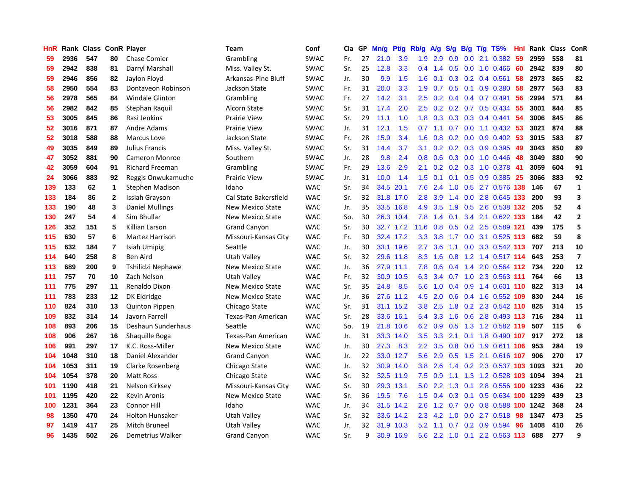| HnR | Rank | <b>Class ConR Player</b> |              |                        | <b>Team</b>               | Conf        | Cla | GP | Mn/g | Pt/g      | Rb/g             | $\mathsf{A/g}$ | S/g             |     | B/g T/g TS%                   | Hnl | Rank | <b>Class</b> | ConR                    |
|-----|------|--------------------------|--------------|------------------------|---------------------------|-------------|-----|----|------|-----------|------------------|----------------|-----------------|-----|-------------------------------|-----|------|--------------|-------------------------|
| 59  | 2936 | 547                      | 80           | <b>Chase Comier</b>    | Grambling                 | <b>SWAC</b> | Fr. | 27 | 21.0 | 3.9       | 1.9              | 2.9            | 0.9             |     | $0.0$ 2.1 $0.382$             | 59  | 2959 | 558          | 81                      |
| 59  | 2942 | 838                      | 81           | Darryl Marshall        | Miss. Valley St.          | <b>SWAC</b> | Sr. | 25 | 12.8 | 3.3       | $0.4^{\circ}$    | 1.4            |                 |     | $0.5$ 0.0 1.0 0.466           | -60 | 2942 | 839          | 80                      |
| 59  | 2946 | 856                      | 82           | Jaylon Floyd           | Arkansas-Pine Bluff       | <b>SWAC</b> | Jr. | 30 | 9.9  | 1.5       | 1.6              | 0.1            |                 |     | $0.3$ 0.2 0.4 0.561           | -58 | 2973 | 865          | 82                      |
| 58  | 2950 | 554                      | 83           | Dontaveon Robinson     | Jackson State             | <b>SWAC</b> | Fr. | 31 | 20.0 | 3.3       | 1.9              | 0.7            | 0.5             |     | $0.1$ 0.9 0.380               | 58  | 2977 | 563          | 83                      |
| 56  | 2978 | 565                      | 84           | Windale Glinton        | Grambling                 | <b>SWAC</b> | Fr. | 27 | 14.2 | 3.1       | $2.5\,$          | 0.2            | 0.4             |     | $0.4$ 0.7 0.491               | 56  | 2994 | 571          | 84                      |
| 56  | 2982 | 842                      | 85           | Stephan Raquil         | Alcorn State              | <b>SWAC</b> | Sr. | 31 | 17.4 | 2.0       | 2.5              | 0.2            |                 |     | $0.2$ 0.7 0.5 0.434           | 55  | 3001 | 844          | 85                      |
| 53  | 3005 | 845                      | 86           | Rasi Jenkins           | <b>Prairie View</b>       | SWAC        | Sr. | 29 | 11.1 | 1.0       | 1.8              | 0.3            | 0.3             |     | 0.3 0.4 0.441                 | 54  | 3006 | 845          | 86                      |
| 52  | 3016 | 871                      | 87           | Andre Adams            | <b>Prairie View</b>       | <b>SWAC</b> | Jr. | 31 | 12.1 | 1.5       | 0.7              | 1.1            | 0.7             |     | $0.0$ 1.1 $0.432$             | -53 | 3021 | 874          | 88                      |
| 52  | 3018 | 588                      | 88           | <b>Marcus Love</b>     | Jackson State             | <b>SWAC</b> | Fr. | 28 | 15.9 | 3.4       | 1.6              | 0.8            | 0.2             |     | $0.0$ $0.9$ $0.402$           | -53 | 3015 | 583          | 87                      |
| 49  | 3035 | 849                      | 89           | Julius Francis         | Miss. Valley St.          | <b>SWAC</b> | Sr. | 31 | 14.4 | 3.7       | 3.1              | 0.2            |                 |     | 0.2 0.3 0.9 0.395 49          |     | 3043 | 850          | 89                      |
| 47  | 3052 | 881                      | 90           | <b>Cameron Monroe</b>  | Southern                  | <b>SWAC</b> | Jr. | 28 | 9.8  | 2.4       | 0.8              |                |                 |     | 0.6 0.3 0.0 1.0 0.446 48      |     | 3049 | 880          | 90                      |
| 42  | 3059 | 604                      | 91           | <b>Richard Freeman</b> | Grambling                 | <b>SWAC</b> | Fr. | 29 | 13.6 | 2.9       | 2.1              | 0.2            |                 |     | 0.2 0.3 1.0 0.378 41          |     | 3059 | 604          | 91                      |
| 24  | 3066 | 883                      | 92           | Reggis Onwukamuche     | Prairie View              | <b>SWAC</b> | Jr. | 31 | 10.0 | 1.4       | 1.5              | 0.1            | 0.1             |     | $0.5$ 0.9 0.385               | -25 | 3066 | 883          | 92                      |
| 139 | 133  | 62                       | $\mathbf{1}$ | Stephen Madison        | Idaho                     | <b>WAC</b>  | Sr. | 34 | 34.5 | 20.1      | 7.6              | 2.4            | 1.0             |     | 0.5 2.7 0.576 138             |     | 146  | 67           | $\mathbf 1$             |
| 133 | 184  | 86                       | $\mathbf{2}$ | Issiah Grayson         | Cal State Bakersfield     | <b>WAC</b>  | Sr. | 32 | 31.8 | 17.0      | 2.8              | 3.9            | $1.4^{\circ}$   |     | 0.0 2.8 0.645 133             |     | 200  | 93           | 3                       |
| 133 | 190  | 48                       | 3            | <b>Daniel Mullings</b> | <b>New Mexico State</b>   | <b>WAC</b>  | Jr. | 35 | 33.5 | 16.8      | 4.9              | 3.5            | 1.9             |     | 0.5 2.6 0.538 132             |     | 205  | 52           | 4                       |
| 130 | 247  | 54                       | 4            | Sim Bhullar            | New Mexico State          | <b>WAC</b>  | So. | 30 | 26.3 | 10.4      | 7.8              | 1.4            | 0.1             |     | 3.4 2.1 0.622 133             |     | 184  | 42           | $\overline{2}$          |
| 126 | 352  | 151                      | 5            | Killian Larson         | <b>Grand Canyon</b>       | <b>WAC</b>  | Sr. | 30 |      | 32.7 17.2 | 11.6             | 0.8            | 0.5             |     | 0.2 2.5 0.589 121             |     | 439  | 175          | 5                       |
| 115 | 630  | 57                       | 6            | <b>Martez Harrison</b> | Missouri-Kansas City      | <b>WAC</b>  | Fr. | 30 |      | 32.4 17.2 | 3.3 <sub>2</sub> | 3.8            |                 |     | 1.7 0.0 3.1 0.525 113         |     | 682  | 59           | 8                       |
| 115 | 632  | 184                      | 7            | Isiah Umipig           | Seattle                   | <b>WAC</b>  | Jr. | 30 |      | 33.1 19.6 | $2.7^{\circ}$    | 3.6            |                 |     | 1.1 0.0 3.3 0.542 113         |     | 707  | 213          | 10                      |
| 114 | 640  | 258                      | 8            | Ben Aird               | Utah Valley               | <b>WAC</b>  | Sr. | 32 | 29.6 | 11.8      | 8.3              | 1.6            |                 |     | 0.8 1.2 1.4 0.517 114         |     | 643  | 253          | $\overline{\mathbf{z}}$ |
| 113 | 689  | 200                      | 9            | Tshilidzi Nephawe      | New Mexico State          | <b>WAC</b>  | Jr. | 36 | 27.9 | 11.1      | 7.8              | 0.6            |                 |     | $0.4$ 1.4 2.0 0.564 112       |     | 734  | 220          | 12                      |
| 111 | 757  | 70                       | 10           | Zach Nelson            | Utah Valley               | <b>WAC</b>  | Fr. | 32 | 30.9 | 10.5      | 6.3              | 3.4            |                 |     | $0.7$ 1.0 2.3 0.563 111       |     | 764  | 66           | 13                      |
| 111 | 775  | 297                      | 11           | Renaldo Dixon          | <b>New Mexico State</b>   | <b>WAC</b>  | Sr. | 35 | 24.8 | 8.5       | 5.6              | 1.0            | 0.4             |     | 0.9 1.4 0.601 110             |     | 822  | 313          | 14                      |
| 111 | 783  | 233                      | 12           | DK Eldridge            | <b>New Mexico State</b>   | <b>WAC</b>  | Jr. | 36 | 27.6 | 11.2      | 4.5              | 2.0            | 0.6             |     | 0.4 1.6 0.552 109             |     | 830  | 244          | 16                      |
| 110 | 824  | 310                      | 13           | <b>Quinton Pippen</b>  | Chicago State             | <b>WAC</b>  | Sr. | 31 | 31.1 | 15.2      | 3.8              | 2.5            | 1.8             |     | 0.2 2.3 0.542 110             |     | 825  | 314          | 15                      |
| 109 | 832  | 314                      | 14           | Javorn Farrell         | <b>Texas-Pan American</b> | <b>WAC</b>  | Sr. | 28 |      | 33.6 16.1 | 5.4              |                |                 |     | 3.3 1.6 0.6 2.8 0.493 113 716 |     |      | 284          | 11                      |
| 108 | 893  | 206                      | 15           | Deshaun Sunderhaus     | Seattle                   | <b>WAC</b>  | So. | 19 | 21.8 | 10.6      | 6.2              | 0.9            |                 |     | 0.5 1.3 1.2 0.582 119         |     | 507  | 115          | 6                       |
| 108 | 906  | 267                      | 16           | Shaquille Boga         | Texas-Pan American        | <b>WAC</b>  | Jr. | 31 | 33.3 | 14.0      | 3.5              | 3.3            |                 |     | 2.1 0.1 1.8 0.490 107         |     | 917  | 272          | 18                      |
| 106 | 991  | 297                      | 17           | K.C. Ross-Miller       | <b>New Mexico State</b>   | <b>WAC</b>  | Jr. | 30 | 27.3 | 8.3       | $2.2\phantom{0}$ | 3.5            | 0.8             |     | 0.0 1.9 0.611 106             |     | 953  | 284          | 19                      |
| 104 | 1048 | 310                      | 18           | Daniel Alexander       | <b>Grand Canyon</b>       | <b>WAC</b>  | Jr. | 22 | 33.0 | 12.7      | 5.6              | 2.9            | 0.5             |     | 1.5 2.1 0.616 107             |     | 906  | 270          | 17                      |
| 104 | 1053 | 311                      | 19           | Clarke Rosenberg       | Chicago State             | <b>WAC</b>  | Jr. | 32 | 30.9 | 14.0      | 3.8              | 2.6            | 1.4             |     | 0.2 2.3 0.537 103 1093        |     |      | 321          | 20                      |
| 104 | 1054 | 378                      | 20           | <b>Matt Ross</b>       | Chicago State             | <b>WAC</b>  | Sr. | 32 | 32.5 | 11.9      | 7.5              | 0.9            |                 |     | 1.1 1.3 1.2 0.528 103 1094    |     |      | 394          | 21                      |
| 101 | 1190 | 418                      | 21           | Nelson Kirksey         | Missouri-Kansas City      | <b>WAC</b>  | Sr. | 30 | 29.3 | 13.1      | 5.0              | 2.2            | 1.3             | 0.1 | 2.8 0.556 100 1233            |     |      | 436          | 22                      |
| 101 | 1195 | 420                      | 22           | Kevin Aronis           | <b>New Mexico State</b>   | <b>WAC</b>  | Sr. | 36 | 19.5 | 7.6       | 1.5              | 0.4            | 0.3             |     | 0.1 0.5 0.634 100 1239        |     |      | 439          | 23                      |
| 100 | 1231 | 364                      | 23           | Connor Hill            | Idaho                     | <b>WAC</b>  | Jr. | 34 |      | 31.5 14.2 | 2.6              |                | $1.2 \quad 0.7$ |     | 0.0 0.8 0.588 100 1242        |     |      | 368          | 24                      |
| 98  | 1350 | 470                      | 24           | <b>Holton Hunsaker</b> | Utah Valley               | <b>WAC</b>  | Sr. | 32 | 33.6 | 14.2      | 2.3              | 4.2            | 1.0             |     | $0.0$ 2.7 $0.518$             | 98  | 1347 | 473          | 25                      |
| 97  | 1419 | 417                      | 25           | Mitch Bruneel          | Utah Valley               | <b>WAC</b>  | Jr. | 32 | 31.9 | 10.3      | 5.2              | 1.1            | 0.7             |     | $0.2$ 0.9 0.594               | 96  | 1408 | 410          | 26                      |
| 96  | 1435 | 502                      | 26           | Demetrius Walker       | <b>Grand Canyon</b>       | <b>WAC</b>  | Sr. | 9  |      | 30.9 16.9 |                  |                |                 |     | 5.6 2.2 1.0 0.1 2.2 0.563 113 |     | 688  | 277          | 9                       |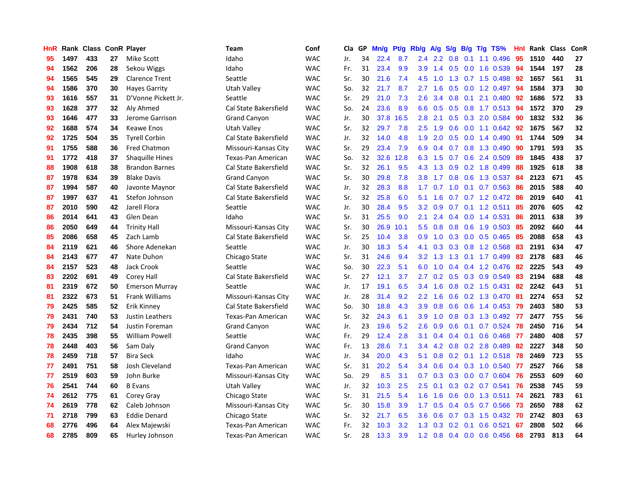| HnR |      | Rank Class |    | <b>ConR Player</b>     | Team                      | Conf       | Cla | GP | Mn/g | Pt/g | Rb/g             | <b>A/g</b> | S/g              | B/g | $T/g$ TS%                 | Hnl | Rank | <b>Class</b> | ConR |
|-----|------|------------|----|------------------------|---------------------------|------------|-----|----|------|------|------------------|------------|------------------|-----|---------------------------|-----|------|--------------|------|
| 95  | 1497 | 433        | 27 | Mike Scott             | Idaho                     | <b>WAC</b> | Jr. | 34 | 22.4 | 8.7  | $2.4^{\circ}$    | 2.2        | 0.8              | 0.1 | 1.1 0.496                 | 95  | 1510 | 440          | 27   |
| 94  | 1562 | 206        | 28 | Sekou Wiggs            | Idaho                     | <b>WAC</b> | Fr. | 31 | 23.4 | 9.9  | 3.9 <sup>°</sup> |            |                  |     | 1.4 0.5 0.0 1.6 0.539     | -94 | 1544 | 197          | 28   |
| 94  | 1565 | 545        | 29 | <b>Clarence Trent</b>  | Seattle                   | <b>WAC</b> | Sr. | 30 | 21.6 | 7.4  | 4.5              | 1.0        |                  |     | 1.3 0.7 1.5 0.498         | 92  | 1657 | 561          | 31   |
| 94  | 1586 | 370        | 30 | <b>Hayes Garrity</b>   | Utah Valley               | <b>WAC</b> | So. | 32 | 21.7 | 8.7  | 2.7              | 1.6        | 0.5              |     | $0.0$ 1.2 0.497           | 94  | 1584 | 373          | 30   |
| 93  | 1616 | 557        | 31 | D'Vonne Pickett Jr.    | Seattle                   | <b>WAC</b> | Sr. | 29 | 21.0 | 7.3  | 2.6              | 3.4        | 0.8              | 0.1 | 2.1 0.480                 | 92  | 1686 | 572          | 33   |
| 93  | 1628 | 377        | 32 | Aly Ahmed              | Cal State Bakersfield     | <b>WAC</b> | So. | 24 | 23.6 | 8.9  | 6.6              | 0.5        | 0.5              |     | $0.8$ 1.7 0.513           | -94 | 1572 | 370          | 29   |
| 93  | 1646 | 477        | 33 | Jerome Garrison        | <b>Grand Canyon</b>       | <b>WAC</b> | Jr. | 30 | 37.8 | 16.5 | 2.8              | 2.1        | 0.5              |     | 0.3 2.0 0.584             | 90  | 1832 | 532          | 36   |
| 92  | 1688 | 574        | 34 | Keawe Enos             | Utah Valley               | <b>WAC</b> | Sr. | 32 | 29.7 | 7.8  | 2.5              | 1.9        | 0.6              |     | $0.0$ 1.1 $0.642$         | 92  | 1675 | 567          | 32   |
| 92  | 1725 | 504        | 35 | <b>Tyrell Corbin</b>   | Cal State Bakersfield     | <b>WAC</b> | Jr. | 32 | 14.0 | 4.8  | 1.9              | 2.0        | 0.5              |     | $0.0$ 1.4 $0.490$         | -91 | 1744 | 509          | 34   |
| 91  | 1755 | 588        | 36 | <b>Fred Chatmon</b>    | Missouri-Kansas City      | <b>WAC</b> | Sr. | 29 | 23.4 | 7.9  | 6.9              | 0.4        |                  |     | 0.7 0.8 1.3 0.490         | -90 | 1791 | 593          | 35   |
| 91  | 1772 | 418        | 37 | <b>Shaquille Hines</b> | Texas-Pan American        | <b>WAC</b> | So. | 32 | 32.6 | 12.8 | 6.3              | 1.5        |                  |     | 0.7 0.6 2.4 0.509         | 89  | 1845 | 438          | 37   |
| 88  | 1908 | 618        | 38 | <b>Brandon Barnes</b>  | Cal State Bakersfield     | <b>WAC</b> | Sr. | 32 | 26.1 | 9.5  | 4.3              | 1.3        | 0.9              |     | 0.2 1.8 0.499             | 88  | 1925 | 618          | 38   |
| 87  | 1978 | 634        | 39 | <b>Blake Davis</b>     | <b>Grand Canyon</b>       | <b>WAC</b> | Sr. | 30 | 29.8 | 7.8  | 3.8              | 1.7        | 0.8              |     | $0.6$ 1.3 0.537           | -84 | 2123 | 671          | 45   |
| 87  | 1994 | 587        | 40 | Javonte Maynor         | Cal State Bakersfield     | <b>WAC</b> | Jr. | 32 | 28.3 | 8.8  | 1.7              | 0.7        | 1.0              |     | $0.1$ 0.7 0.563           | 86  | 2015 | 588          | 40   |
| 87  | 1997 | 637        | 41 | Stefon Johnson         | Cal State Bakersfield     | <b>WAC</b> | Sr. | 32 | 25.8 | 6.0  | 5.1              | 1.6        | 0.7              |     | $0.7$ 1.2 $0.472$         | 86  | 2019 | 640          | 41   |
| 87  | 2010 | 590        | 42 | Jarell Flora           | Seattle                   | <b>WAC</b> | Jr. | 30 | 28.4 | 9.5  | 3.2              | 0.9        | 0.7              |     | $0.1$ 1.2 0.511           | 85  | 2076 | 605          | 42   |
| 86  | 2014 | 641        | 43 | Glen Dean              | Idaho                     | <b>WAC</b> | Sr. | 31 | 25.5 | 9.0  | 2.1              | 2.4        | $0.4^{\circ}$    |     | 0.0 1.4 0.531             | 86  | 2011 | 638          | 39   |
| 86  | 2050 | 649        | 44 | <b>Trinity Hall</b>    | Missouri-Kansas City      | <b>WAC</b> | Sr. | 30 | 26.9 | 10.1 | 5.5              | 0.8        | 0.8              |     | 0.6 1.9 0.503 85          |     | 2092 | 660          | 44   |
| 85  | 2086 | 658        | 45 | Zach Lamb              | Cal State Bakersfield     | <b>WAC</b> | Sr. | 25 | 10.4 | 3.8  | 0.9              | 1.0        |                  |     | 0.3 0.0 0.5 0.465         | -85 | 2088 | 658          | 43   |
| 84  | 2119 | 621        | 46 | Shore Adenekan         | Seattle                   | <b>WAC</b> | Jr. | 30 | 18.3 | 5.4  | 4.1              | 0.3        |                  |     | 0.3 0.8 1.2 0.568         | -83 | 2191 | 634          | 47   |
| 84  | 2143 | 677        | 47 | Nate Duhon             | Chicago State             | <b>WAC</b> | Sr. | 31 | 24.6 | 9.4  | 3.2              | 1.3        | 1.3              |     | $0.1$ 1.7 $0.499$         | 83  | 2178 | 683          | 46   |
| 84  | 2157 | 523        | 48 | <b>Jack Crook</b>      | Seattle                   | <b>WAC</b> | So. | 30 | 22.3 | 5.1  | 6.0              | 1.0        | $0.4^{\circ}$    |     | 0.4 1.2 0.476             | 82  | 2225 | 543          | 49   |
| 83  | 2202 | 691        | 49 | Corey Hall             | Cal State Bakersfield     | <b>WAC</b> | Sr. | 27 | 12.1 | 3.7  | 2.7              | 0.2        | 0.5              |     | 0.3 0.9 0.549             | 83  | 2194 | 688          | 48   |
| 81  | 2319 | 672        | 50 | <b>Emerson Murray</b>  | Seattle                   | <b>WAC</b> | Jr. | 17 | 19.1 | 6.5  | 3.4              | 1.6        | 0.8              |     | 0.2 1.5 0.431             | 82  | 2242 | 643          | 51   |
| 81  | 2322 | 673        | 51 | <b>Frank Williams</b>  | Missouri-Kansas City      | <b>WAC</b> | Jr. | 28 | 31.4 | 9.2  | 2.2              | 1.6        | 0.6              |     | 0.2 1.3 0.470             | 81  | 2274 | 653          | 52   |
| 79  | 2425 | 585        | 52 | Erik Kinney            | Cal State Bakersfield     | <b>WAC</b> | So. | 30 | 18.8 | 4.3  | 3.9              | 0.8        | 0.6              |     | 0.6 1.4 0.453             | -79 | 2403 | 580          | 53   |
| 79  | 2431 | 740        | 53 | Justin Leathers        | Texas-Pan American        | <b>WAC</b> | Sr. | 32 | 24.3 | 6.1  | 3.9              | 1.0        |                  |     | 0.8 0.3 1.3 0.492 77      |     | 2477 | 755          | 56   |
| 79  | 2434 | 712        | 54 | Justin Foreman         | <b>Grand Canyon</b>       | <b>WAC</b> | Jr. | 23 | 19.6 | 5.2  | 2.6              | 0.9        |                  |     | $0.6$ $0.1$ $0.7$ $0.524$ | 78  | 2450 | 716          | 54   |
| 78  | 2435 | 398        | 55 | <b>William Powell</b>  | Seattle                   | <b>WAC</b> | Fr. | 29 | 12.4 | 2.8  | 3.1              | 0.4        |                  |     | 0.4 0.1 0.6 0.468 77      |     | 2480 | 408          | 57   |
| 78  | 2448 | 403        | 56 | Sam Daly               | <b>Grand Canyon</b>       | <b>WAC</b> | Fr. | 13 | 28.6 | 7.1  | 3.4              | 4.2        | 0.8              |     | 0.2 2.8 0.489             | -82 | 2227 | 348          | 50   |
| 78  | 2459 | 718        | 57 | <b>Bira Seck</b>       | Idaho                     | <b>WAC</b> | Jr. | 34 | 20.0 | 4.3  | 5.1              | 0.8        |                  |     | $0.2$ 0.1 1.2 0.518       | -78 | 2469 | 723          | 55   |
| 77  | 2491 | 751        | 58 | Josh Cleveland         | <b>Texas-Pan American</b> | <b>WAC</b> | Sr. | 31 | 20.2 | 5.4  | 3.4              | 0.6        | 0.4              |     | 0.3 1.0 0.540             | 77  | 2527 | 766          | 58   |
| 77  | 2519 | 603        | 59 | John Burke             | Missouri-Kansas City      | <b>WAC</b> | So. | 29 | 8.5  | 3.1  | 0.7              | 0.3        | 0.3              |     | $0.0$ 0.7 0.604           | 76  | 2553 | 609          | 60   |
| 76  | 2541 | 744        | 60 | <b>B</b> Evans         | <b>Utah Valley</b>        | <b>WAC</b> | Jr. | 32 | 10.3 | 2.5  | 2.5              | 0.1        | 0.3              |     | 0.2 0.7 0.541             | 76  | 2538 | 745          | 59   |
| 74  | 2612 | 775        | 61 | Corey Gray             | Chicago State             | <b>WAC</b> | Sr. | 31 | 21.5 | 5.4  | 1.6              | 1.6        | 0.6              |     | $0.0$ 1.3 0.511           | 74  | 2621 | 783          | 61   |
| 74  | 2619 | 778        | 62 | Caleb Johnson          | Missouri-Kansas City      | <b>WAC</b> | Sr. | 30 | 15.8 | 3.9  | 1.7 <sub>z</sub> | 0.5        |                  |     | $0.4$ 0.5 0.7 0.566       | -73 | 2650 | 788          | 62   |
| 71  | 2718 | 799        | 63 | <b>Eddie Denard</b>    | Chicago State             | <b>WAC</b> | Sr. | 32 | 21.7 | 6.5  | 3.6              | 0.6        | 0.7              |     | $0.3$ 1.5 $0.432$         | -70 | 2742 | 803          | 63   |
| 68  | 2776 | 496        | 64 | Alex Majewski          | Texas-Pan American        | <b>WAC</b> | Fr. | 32 | 10.3 | 3.2  | 1.3              | 0.3        | 0.2 <sub>0</sub> | 0.1 | $0.6$ 0.521               | 67  | 2808 | 502          | 66   |
| 68  | 2785 | 809        | 65 | Hurley Johnson         | Texas-Pan American        | <b>WAC</b> | Sr. | 28 | 13.3 | 3.9  | $1.2^{\circ}$    | 0.8        |                  |     | $0.4$ 0.0 0.6 0.456       | 68  | 2793 | 813          | 64   |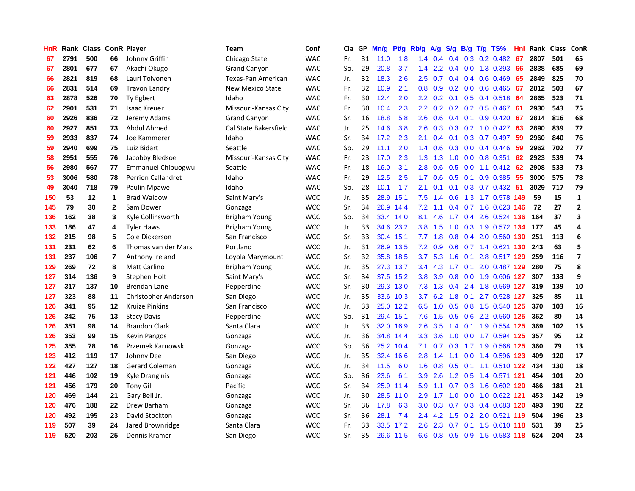| HnR | Rank | <b>Class</b> |                         | <b>ConR Player</b>        | <b>Team</b>             | Conf       | Cla | <b>GP</b> | Mn/g | Pt/g      | Rb/g             | <b>A/g</b> | S/g | B/g | T/g TS%               | Hnl | Rank | <b>Class</b> | ConR                     |
|-----|------|--------------|-------------------------|---------------------------|-------------------------|------------|-----|-----------|------|-----------|------------------|------------|-----|-----|-----------------------|-----|------|--------------|--------------------------|
| 67  | 2791 | 500          | 66                      | Johnny Griffin            | Chicago State           | <b>WAC</b> | Fr. | 31        | 11.0 | 1.8       | 1.4              | 0.4        | 0.4 |     | $0.3$ 0.2 0.482       | -67 | 2807 | 501          | 65                       |
| 67  | 2801 | 677          | 67                      | Akachi Okugo              | Grand Canyon            | <b>WAC</b> | So. | 29        | 20.8 | 3.7       | 1.4              | 2.2        |     |     | 0.4 0.0 1.3 0.393 66  |     | 2838 | 685          | 69                       |
| 66  | 2821 | 819          | 68                      | Lauri Toivonen            | Texas-Pan American      | <b>WAC</b> | Jr. | 32        | 18.3 | 2.6       | $2.5^{\circ}$    | 0.7        |     |     | $0.4$ 0.4 0.6 0.469   | 65  | 2849 | 825          | 70                       |
| 66  | 2831 | 514          | 69                      | <b>Travon Landry</b>      | <b>New Mexico State</b> | <b>WAC</b> | Fr. | 32        | 10.9 | 2.1       | 0.8              | 0.9        | 0.2 |     | $0.0$ 0.6 0.465       | 67  | 2812 | 503          | 67                       |
| 63  | 2878 | 526          | 70                      | Ty Egbert                 | Idaho                   | <b>WAC</b> | Fr. | 30        | 12.4 | 2.0       | 2.2              | 0.2        | 0.1 |     | $0.5$ 0.4 0.518       | -64 | 2865 | 523          | 71                       |
| 62  | 2901 | 531          | 71                      | <b>Isaac Kreuer</b>       | Missouri-Kansas City    | <b>WAC</b> | Fr. | 30        | 10.4 | 2.3       | 2.2              | 0.2        |     |     | 0.2 0.2 0.5 0.467     | -61 | 2930 | 543          | 75                       |
| 60  | 2926 | 836          | 72                      | Jeremy Adams              | <b>Grand Canyon</b>     | <b>WAC</b> | Sr. | 16        | 18.8 | 5.8       | 2.6              | 0.6        | 0.4 |     | $0.1$ 0.9 0.420       | 67  | 2814 | 816          | 68                       |
| 60  | 2927 | 851          | 73                      | Abdul Ahmed               | Cal State Bakersfield   | <b>WAC</b> | Jr. | 25        | 14.6 | 3.8       | 2.6              | 0.3        | 0.3 |     | $0.2$ 1.0 0.427       | 63  | 2890 | 839          | 72                       |
| 59  | 2933 | 837          | 74                      | Joe Kammerer              | Idaho                   | <b>WAC</b> | Sr. | 34        | 17.2 | 2.3       | 2.1              | 0.4        | 0.1 |     | $0.3$ 0.7 0.497       | 59  | 2960 | 840          | 76                       |
| 59  | 2940 | 699          | 75                      | Luiz Bidart               | Seattle                 | <b>WAC</b> | So. | 29        | 11.1 | 2.0       | 1.4              | 0.6        |     |     | $0.3$ 0.0 0.4 0.446   | -59 | 2962 | 702          | 77                       |
| 58  | 2951 | 555          | 76                      | Jacobby Bledsoe           | Missouri-Kansas City    | <b>WAC</b> | Fr. | 23        | 17.0 | 2.3       | 1.3              | 1.3        | 1.0 |     | $0.0$ 0.8 0.351       | 62  | 2923 | 539          | 74                       |
| 56  | 2980 | 567          | 77                      | Emmanuel Chibuogwu        | Seattle                 | <b>WAC</b> | Fr. | 18        | 16.0 | 3.1       | 2.8              | 0.6        | 0.5 |     | $0.0$ 1.1 $0.412$ 62  |     | 2908 | 533          | 73                       |
| 53  | 3006 | 580          | 78                      | <b>Perrion Callandret</b> | Idaho                   | <b>WAC</b> | Fr. | 29        | 12.5 | 2.5       | 1.7              | 0.6        | 0.5 |     | $0.1$ 0.9 0.385       | 55  | 3000 | 575          | 78                       |
| 49  | 3040 | 718          | 79                      | Paulin Mpawe              | Idaho                   | <b>WAC</b> | So. | 28        | 10.1 | 1.7       | 2.1              | 0.1        | 0.1 |     | $0.3$ 0.7 0.432       | -51 | 3029 | 717          | 79                       |
| 150 | 53   | 12           | 1                       | <b>Brad Waldow</b>        | Saint Mary's            | <b>WCC</b> | Jr. | 35        | 28.9 | 15.1      | 7.5              | 1.4        | 0.6 |     | 1.3 1.7 0.578 149     |     | 59   | 15           | $\mathbf 1$              |
| 145 | 79   | 30           | $\mathbf{2}$            | Sam Dower                 | Gonzaga                 | <b>WCC</b> | Sr. | 34        | 26.9 | 14.4      | 7.2              | 1.1        | 0.4 |     | 0.7 1.6 0.623 146     |     | 72   | 27           | $\overline{2}$           |
| 136 | 162  | 38           | 3                       | Kyle Collinsworth         | <b>Brigham Young</b>    | <b>WCC</b> | So. | 34        | 33.4 | 14.0      | 8.1              | 4.6        | 1.7 |     | 0.4 2.6 0.524 136     |     | 164  | 37           | 3                        |
| 133 | 186  | 47           | 4                       | <b>Tyler Haws</b>         | Brigham Young           | <b>WCC</b> | Jr. | 33        | 34.6 | 23.2      | 3.8 <sub>2</sub> | 1.5        | 1.0 |     | 0.3 1.9 0.572 134 177 |     |      | 45           | 4                        |
| 132 | 215  | 98           | 5                       | Cole Dickerson            | San Francisco           | <b>WCC</b> | Sr. | 33        | 30.4 | 15.1      | 7.7              | 1.8        |     |     | 0.8 0.4 2.0 0.560 130 |     | 251  | 113          | 6                        |
| 131 | 231  | 62           | 6                       | Thomas van der Mars       | Portland                | <b>WCC</b> | Jr. | 31        | 26.9 | 13.5      | 7.2              | 0.9        |     |     | 0.6 0.7 1.4 0.621 130 |     | 243  | 63           | 5                        |
| 131 | 237  | 106          | $\overline{\mathbf{r}}$ | Anthony Ireland           | Loyola Marymount        | <b>WCC</b> | Sr. | 32        | 35.8 | 18.5      | 3.7              | 5.3        | 1.6 | 0.1 | 2.8 0.517 129         |     | 259  | 116          | $\overline{\phantom{a}}$ |
| 129 | 269  | 72           | 8                       | <b>Matt Carlino</b>       | Brigham Young           | <b>WCC</b> | Jr. | 35        | 27.3 | 13.7      | 3.4              | 4.3        | 1.7 |     | 0.1 2.0 0.487 129     |     | 280  | 75           | 8                        |
| 127 | 314  | 136          | 9                       | Stephen Holt              | Saint Mary's            | <b>WCC</b> | Sr. | 34        | 37.5 | 15.2      | 3.8              | 3.9        | 0.8 |     | 0.0 1.9 0.606 127     |     | 307  | 133          | 9                        |
| 127 | 317  | 137          | 10                      | <b>Brendan Lane</b>       | Pepperdine              | <b>WCC</b> | Sr. | 30        | 29.3 | 13.0      | 7.3              | 1.3        | 0.4 |     | 2.4 1.8 0.569 127     |     | 319  | 139          | 10                       |
| 127 | 323  | 88           | 11                      | Christopher Anderson      | San Diego               | <b>WCC</b> | Jr. | 35        | 33.6 | 10.3      | 3.7              | 6.2        | 1.8 | 0.1 | 2.7 0.528 127         |     | 325  | 85           | 11                       |
| 126 | 341  | 95           | $12 \,$                 | <b>Kruize Pinkins</b>     | San Francisco           | <b>WCC</b> | Jr. | 33        |      | 25.0 12.2 | 6.5              | 1.0        |     |     | 0.5 0.8 1.5 0.540 125 |     | 370  | 103          | 16                       |
| 126 | 342  | 75           | 13                      | <b>Stacy Davis</b>        | Pepperdine              | <b>WCC</b> | So. | 31        | 29.4 | 15.1      | 7.6              | 1.5        |     |     | 0.5 0.6 2.2 0.560 125 |     | 362  | 80           | 14                       |
| 126 | 351  | 98           | 14                      | <b>Brandon Clark</b>      | Santa Clara             | <b>WCC</b> | Jr. | 33        | 32.0 | 16.9      | $2.6\,$          | 3.5        |     |     | 1.4 0.1 1.9 0.554 125 |     | 369  | 102          | 15                       |
| 126 | 353  | 99           | 15                      | <b>Kevin Pangos</b>       | Gonzaga                 | <b>WCC</b> | Jr. | 36        | 34.8 | 14.4      | 3.3 <sub>2</sub> | 3.6        | 1.0 |     | 0.0 1.7 0.594 125     |     | 357  | 95           | 12                       |
| 125 | 355  | 78           | 16                      | Przemek Karnowski         | Gonzaga                 | <b>WCC</b> | So. | 36        | 25.2 | 10.4      | 7.1              | 0.7        | 0.3 |     | 1.7 1.9 0.568 125     |     | 360  | 79           | 13                       |
| 123 | 412  | 119          | 17                      | Johnny Dee                | San Diego               | <b>WCC</b> | Jr. | 35        | 32.4 | 16.6      | 2.8              | 1.4        | 1.1 |     | 0.0 1.4 0.596 123     |     | 409  | 120          | 17                       |
| 122 | 427  | 127          | 18                      | Gerard Coleman            | Gonzaga                 | <b>WCC</b> | Jr. | 34        | 11.5 | 6.0       | 1.6              | 0.8        | 0.5 |     | $0.1$ 1.1 0.510 122   |     | 434  | 130          | 18                       |
| 121 | 446  | 102          | 19                      | Kyle Dranginis            | Gonzaga                 | <b>WCC</b> | So. | 36        | 23.6 | 6.1       | 3.9              | 2.6        | 1.2 |     | 0.5 1.4 0.571 121     |     | 454  | 101          | 20                       |
| 121 | 456  | 179          | 20                      | <b>Tony Gill</b>          | Pacific                 | <b>WCC</b> | Sr. | 34        | 25.9 | 11.4      | 5.9              | 1.1        | 0.7 |     | 0.3 1.6 0.602 120     |     | 466  | 181          | 21                       |
| 120 | 469  | 144          | 21                      | Gary Bell Jr.             | Gonzaga                 | <b>WCC</b> | Jr. | 30        | 28.5 | 11.0      | 2.9              | 1.7        | 1.0 |     | 0.0 1.0 0.622 121     |     | 453  | 142          | 19                       |
| 120 | 476  | 188          | 22                      | Drew Barham               | Gonzaga                 | <b>WCC</b> | Sr. | 36        | 17.8 | 6.3       | 3.0 <sub>2</sub> | 0.3        |     |     | 0.7 0.3 0.4 0.683 120 |     | 493  | 190          | 22                       |
| 120 | 492  | 195          | 23                      | David Stockton            | Gonzaga                 | <b>WCC</b> | Sr. | 36        | 28.1 | 7.4       | 2.4              | 4.2        | 1.5 |     | 0.2 2.0 0.521 119     |     | 504  | 196          | 23                       |
| 119 | 507  | 39           | 24                      | Jared Brownridge          | Santa Clara             | <b>WCC</b> | Fr. | 33        | 33.5 | 17.2      | 2.6              | 2.3        | 0.7 | 0.1 | 1.5 0.610             | 118 | 531  | 39           | 25                       |
| 119 | 520  | 203          | 25                      | Dennis Kramer             | San Diego               | <b>WCC</b> | Sr. | 35        | 26.6 | 11.5      | 6.6              | 0.8        |     |     | 0.5 0.9 1.5 0.583 118 |     | 524  | 204          | 24                       |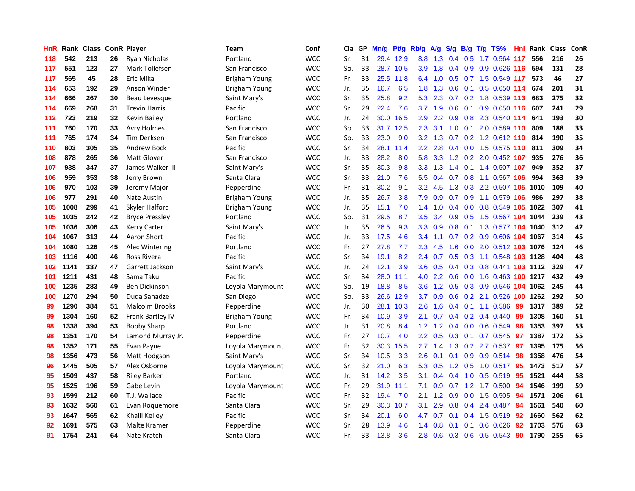| <b>HnR</b> | Rank |     |    | <b>Class ConR Player</b> | Team                 | Conf       | Cla | GP | Mn/g | Pt/g      | Rb/g             | <b>A/g</b>      | S/g           | B/g | $T/g$ TS%                  | Hnl | Rank | <b>Class</b> | ConR |
|------------|------|-----|----|--------------------------|----------------------|------------|-----|----|------|-----------|------------------|-----------------|---------------|-----|----------------------------|-----|------|--------------|------|
| 118        | 542  | 213 | 26 | Ryan Nicholas            | Portland             | <b>WCC</b> | Sr. | 31 |      | 29.4 12.9 | 8.8              | 1.3             | 0.4           |     | 0.5 1.7 0.564 117          |     | 556  | 216          | 26   |
| 117        | 551  | 123 | 27 | Mark Tollefsen           | San Francisco        | <b>WCC</b> | So. | 33 |      | 28.7 10.5 | 3.9              | 1.8             | 0.4           |     | 0.9 0.9 0.626 116          |     | 594  | 131          | 28   |
| 117        | 565  | 45  | 28 | Eric Mika                | Brigham Young        | <b>WCC</b> | Fr. | 33 |      | 25.5 11.8 | 6.4              | 1.0             |               |     | 0.5 0.7 1.5 0.549 117      |     | 573  | 46           | 27   |
| 114        | 653  | 192 | 29 | Anson Winder             | Brigham Young        | <b>WCC</b> | Jr. | 35 | 16.7 | 6.5       | 1.8              | 1.3             | 0.6           |     | $0.1$ $0.5$ $0.650$ 114    |     | 674  | 201          | 31   |
| 114        | 666  | 267 | 30 | Beau Levesque            | Saint Mary's         | <b>WCC</b> | Sr. | 35 | 25.8 | 9.2       | 5.3              | 2.3             | 0.7           |     | 0.2 1.8 0.539 113          |     | 683  | 275          | 32   |
| 114        | 669  | 268 | 31 | <b>Trevin Harris</b>     | Pacific              | <b>WCC</b> | Sr. | 29 | 22.4 | 7.6       | 3.7              | 1.9             | 0.6           |     | $0.1$ 0.9 0.650 116        |     | 607  | 241          | 29   |
| 112        | 723  | 219 | 32 | Kevin Bailey             | Portland             | <b>WCC</b> | Jr. | 24 | 30.0 | 16.5      | 2.9              | 2.2             | 0.9           |     | 0.8 2.3 0.540 114          |     | 641  | 193          | 30   |
| 111        | 760  | 170 | 33 | <b>Avry Holmes</b>       | San Francisco        | <b>WCC</b> | So. | 33 | 31.7 | 12.5      | 2.3              | 3.1             | 1.0           |     | $0.1$ 2.0 0.589 110        |     | 809  | 188          | 33   |
| 111        | 765  | 174 | 34 | Tim Derksen              | San Francisco        | <b>WCC</b> | So. | 33 | 23.0 | 9.0       | 3.2              | 1.3             | 0.7           |     | 0.2 1.2 0.612 110          |     | 814  | 190          | 35   |
| 110        | 803  | 305 | 35 | <b>Andrew Bock</b>       | Pacific              | <b>WCC</b> | Sr. | 34 | 28.1 | 11.4      | $2.2^{\circ}$    | 2.8             |               |     | 0.4 0.0 1.5 0.575 110      |     | -811 | 309          | 34   |
| 108        | 878  | 265 | 36 | <b>Matt Glover</b>       | San Francisco        | <b>WCC</b> | Jr. | 33 | 28.2 | 8.0       | 5.8              |                 |               |     | 3.3 1.2 0.2 2.0 0.452 107  |     | 935  | 276          | 36   |
| 107        | 938  | 347 | 37 | James Walker III         | Saint Mary's         | <b>WCC</b> | Sr. | 35 | 30.3 | 9.8       | 3.3 <sub>2</sub> | $1.3 \quad 1.4$ |               |     | $0.1$ 1.4 0.507 107        |     | 949  | 352          | 37   |
| 106        | 959  | 353 | 38 | Jerry Brown              | Santa Clara          | <b>WCC</b> | Sr. | 33 | 21.0 | 7.6       | 5.5              | 0.4             |               |     | 0.7 0.8 1.1 0.567 106      |     | 994  | 363          | 39   |
| 106        | 970  | 103 | 39 | Jeremy Major             | Pepperdine           | <b>WCC</b> | Fr. | 31 | 30.2 | 9.1       | 3.2              | 4.5             | 1.3           |     | 0.3 2.2 0.507 105 1010     |     |      | 109          | 40   |
| 106        | 977  | 291 | 40 | <b>Nate Austin</b>       | <b>Brigham Young</b> | <b>WCC</b> | Jr. | 35 | 26.7 | 3.8       | 7.9              | 0.9             | 0.7           |     | 0.9 1.1 0.579 106          |     | 986  | 297          | 38   |
| 105        | 1008 | 299 | 41 | Skyler Halford           | Brigham Young        | <b>WCC</b> | Jr. | 35 | 15.1 | 7.0       | 1.4              | 1.0             | $0.4^{\circ}$ |     | 0.0 0.8 0.549 105 1022     |     |      | 307          | 41   |
| 105        | 1035 | 242 | 42 | <b>Bryce Pressley</b>    | Portland             | <b>WCC</b> | So. | 31 | 29.5 | 8.7       | 3.5              | 3.4             | 0.9           |     | 0.5 1.5 0.567 104 1044     |     |      | 239          | 43   |
| 105        | 1036 | 306 | 43 | <b>Kerry Carter</b>      | Saint Mary's         | <b>WCC</b> | Jr. | 35 | 26.5 | 9.3       | 3.3 <sub>2</sub> | 0.9             | 0.8           |     | 0.1 1.3 0.577 104 1040     |     |      | 312          | 42   |
| 104        | 1067 | 313 | 44 | Aaron Short              | Pacific              | <b>WCC</b> | Jr. | 33 | 17.5 | 4.6       | 3.4              | 1.1             |               |     | 0.7 0.2 0.9 0.606 104 1067 |     |      | 314          | 45   |
| 104        | 1080 | 126 | 45 | Alec Wintering           | Portland             | <b>WCC</b> | Fr. | 27 | 27.8 | 7.7       | 2.3              | 4.5             | 1.6           |     | 0.0 2.0 0.512 103 1076     |     |      | 124          | 46   |
| 103        | 1116 | 400 | 46 | Ross Rivera              | Pacific              | <b>WCC</b> | Sr. | 34 | 19.1 | 8.2       | 2.4              | 0.7             |               |     | 0.5 0.3 1.1 0.548 103 1128 |     |      | 404          | 48   |
| 102        | 1141 | 337 | 47 | Garrett Jackson          | Saint Mary's         | <b>WCC</b> | Jr. | 24 | 12.1 | 3.9       | 3.6              | 0.5             | $0.4^{\circ}$ |     | 0.3 0.8 0.441 103 1112     |     |      | 329          | 47   |
| 101        | 1211 | 431 | 48 | Sama Taku                | Pacific              | <b>WCC</b> | Sr. | 34 | 28.0 | 11.1      | 4.0              | $2.2^{\circ}$   | 0.6           |     | 0.0 1.6 0.463 100 1217     |     |      | 432          | 49   |
| 100        | 1235 | 283 | 49 | Ben Dickinson            | Loyola Marymount     | <b>WCC</b> | So. | 19 | 18.8 | 8.5       | 3.6              | 1.2             | 0.5           |     | 0.3 0.9 0.546 104          |     | 1062 | 245          | 44   |
| 100        | 1270 | 294 | 50 | Duda Sanadze             | San Diego            | <b>WCC</b> | So. | 33 | 26.6 | 12.9      | 3.7              | 0.9             | 0.6           |     | 0.2 2.1 0.526 100 1262     |     |      | 292          | 50   |
| 99         | 1290 | 384 | 51 | <b>Malcolm Brooks</b>    | Pepperdine           | <b>WCC</b> | Jr. | 30 | 28.1 | 10.3      | 2.6              | 1.6             | 0.4           |     | $0.1$ 1.1 0.586            | -99 | 1317 | 389          | 52   |
| 99         | 1304 | 160 | 52 | Frank Bartley IV         | Brigham Young        | <b>WCC</b> | Fr. | 34 | 10.9 | 3.9       | 2.1              | 0.7             |               |     | 0.4 0.2 0.4 0.440 99       |     | 1308 | 160          | 51   |
| 98         | 1338 | 394 | 53 | <b>Bobby Sharp</b>       | Portland             | <b>WCC</b> | Jr. | 31 | 20.8 | 8.4       | $1.2^{\circ}$    | 1.2             | 0.4           |     | $0.0$ 0.6 0.549            | -98 | 1353 | 397          | 53   |
| 98         | 1351 | 170 | 54 | Lamond Murray Jr.        | Pepperdine           | <b>WCC</b> | Fr. | 27 | 10.7 | 4.0       | $2.2\phantom{0}$ | 0.5             | 0.3           |     | 0.1 0.7 0.545 97           |     | 1387 | 172          | 55   |
| 98         | 1352 | 171 | 55 | Evan Payne               | Loyola Marymount     | <b>WCC</b> | Fr. | 32 | 30.3 | 15.5      | 2.7              | 1.4             | 1.3           |     | 0.2 2.7 0.537              | 97  | 1395 | 175          | 56   |
| 98         | 1356 | 473 | 56 | Matt Hodgson             | Saint Mary's         | <b>WCC</b> | Sr. | 34 | 10.5 | 3.3       | 2.6              | 0.1             | 0.1           |     | 0.9 0.9 0.514 98           |     | 1358 | 476          | 54   |
| 96         | 1445 | 505 | 57 | Alex Osborne             | Loyola Marymount     | <b>WCC</b> | Sr. | 32 | 21.0 | 6.3       | 5.3              | 0.5             | 1.2           |     | $0.5$ 1.0 0.517            | 95  | 1473 | 517          | 57   |
| 95         | 1509 | 437 | 58 | <b>Riley Barker</b>      | Portland             | <b>WCC</b> | Jr. | 31 | 14.2 | 3.5       | 3.1              | 0.4             | $0.4^{\circ}$ | 1.0 | $0.5$ 0.519                | 95  | 1521 | 444          | 58   |
| 95         | 1525 | 196 | 59 | Gabe Levin               | Loyola Marymount     | <b>WCC</b> | Fr. | 29 | 31.9 | 11.1      | 7.1              | 0.9             | 0.7           |     | 1.2 1.7 0.500              | 94  | 1546 | 199          | 59   |
| 93         | 1599 | 212 | 60 | T.J. Wallace             | Pacific              | <b>WCC</b> | Fr. | 32 | 19.4 | 7.0       | 2.1              | 1.2             | 0.9           |     | $0.0$ 1.5 $0.505$          | -94 | 1571 | 206          | 61   |
| 93         | 1632 | 560 | 61 | Evan Roguemore           | Santa Clara          | <b>WCC</b> | Sr. | 29 | 30.3 | 10.7      | 3.1              | 2.9             | 0.8           |     | $0.4$ 2.4 $0.487$          | -94 | 1561 | 540          | 60   |
| 93         | 1647 | 565 | 62 | Khalil Kelley            | Pacific              | <b>WCC</b> | Sr. | 34 | 20.1 | 6.0       | 4.7              | 0.7             | 0.1           |     | $0.4$ 1.5 $0.519$          | 92  | 1660 | 562          | 62   |
| 92         | 1691 | 575 | 63 | Malte Kramer             | Pepperdine           | <b>WCC</b> | Sr. | 28 | 13.9 | 4.6       | 1.4              | 0.8             | 0.1           | 0.1 | $0.6$ 0.626                | 92  | 1703 | 576          | 63   |
| 91         | 1754 | 241 | 64 | Nate Kratch              | Santa Clara          | <b>WCC</b> | Fr. | 33 | 13.8 | 3.6       | 2.8              | 0.6             | 0.3           |     | $0.6$ 0.5 0.543            | 90  | 1790 | 255          | 65   |